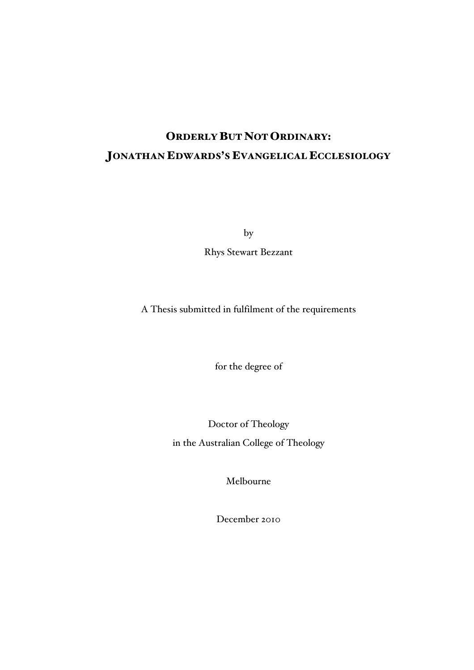# ORDERLY BUT NOT ORDINARY: JONATHAN EDWARDS'S EVANGELICAL ECCLESIOLOGY

by

Rhys Stewart Bezzant

A Thesis submitted in fulfilment of the requirements

for the degree of

Doctor of Theology in the Australian College of Theology

Melbourne

December 2010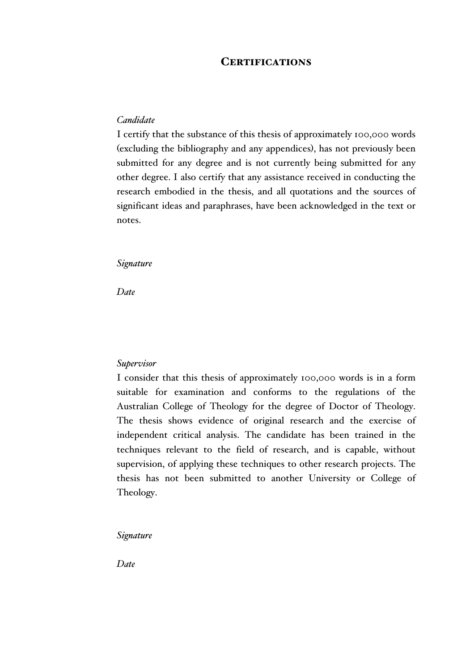## **CERTIFICATIONS**

### *Candidate*

I certify that the substance of this thesis of approximately 100,000 words (excluding the bibliography and any appendices), has not previously been submitted for any degree and is not currently being submitted for any other degree. I also certify that any assistance received in conducting the research embodied in the thesis, and all quotations and the sources of significant ideas and paraphrases, have been acknowledged in the text or notes.

#### *Signature*

*Date*

## *Supervisor*

I consider that this thesis of approximately 100,000 words is in a form suitable for examination and conforms to the regulations of the Australian College of Theology for the degree of Doctor of Theology. The thesis shows evidence of original research and the exercise of independent critical analysis. The candidate has been trained in the techniques relevant to the field of research, and is capable, without supervision, of applying these techniques to other research projects. The thesis has not been submitted to another University or College of Theology.

#### *Signature*

*Date*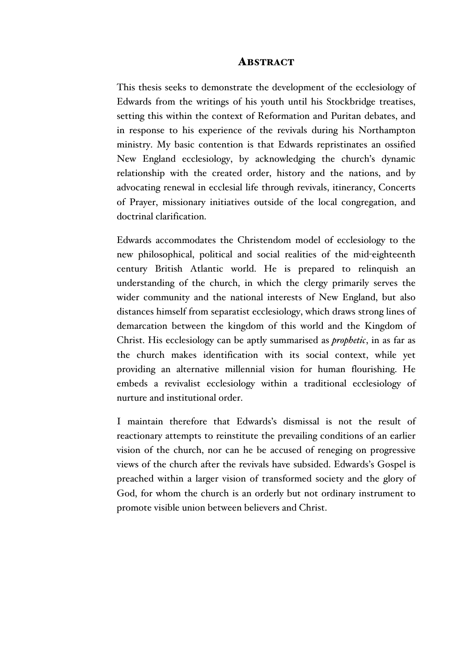### **ABSTRACT**

This thesis seeks to demonstrate the development of the ecclesiology of Edwards from the writings of his youth until his Stockbridge treatises, setting this within the context of Reformation and Puritan debates, and in response to his experience of the revivals during his Northampton ministry. My basic contention is that Edwards repristinates an ossified New England ecclesiology, by acknowledging the church's dynamic relationship with the created order, history and the nations, and by advocating renewal in ecclesial life through revivals, itinerancy, Concerts of Prayer, missionary initiatives outside of the local congregation, and doctrinal clarification.

Edwards accommodates the Christendom model of ecclesiology to the new philosophical, political and social realities of the mid-eighteenth century British Atlantic world. He is prepared to relinquish an understanding of the church, in which the clergy primarily serves the wider community and the national interests of New England, but also distances himself from separatist ecclesiology, which draws strong lines of demarcation between the kingdom of this world and the Kingdom of Christ. His ecclesiology can be aptly summarised as *prophetic*, in as far as the church makes identification with its social context, while yet providing an alternative millennial vision for human flourishing. He embeds a revivalist ecclesiology within a traditional ecclesiology of nurture and institutional order.

I maintain therefore that Edwards's dismissal is not the result of reactionary attempts to reinstitute the prevailing conditions of an earlier vision of the church, nor can he be accused of reneging on progressive views of the church after the revivals have subsided. Edwards's Gospel is preached within a larger vision of transformed society and the glory of God, for whom the church is an orderly but not ordinary instrument to promote visible union between believers and Christ.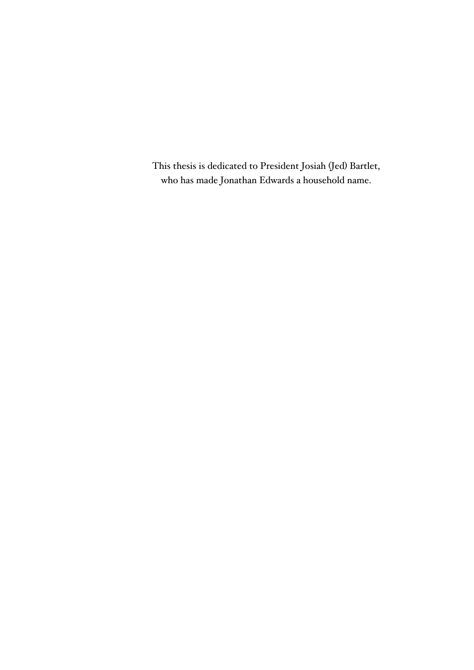This thesis is dedicated to President Josiah (Jed) Bartlet, who has made Jonathan Edwards a household name.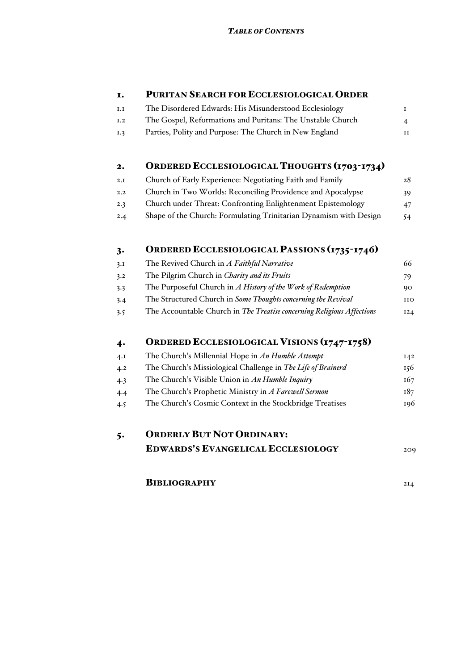## 1. PURITAN SEARCH FOR ECCLESIOLOGICAL ORDER

| I.I | The Disordered Edwards: His Misunderstood Ecclesiology     |   |
|-----|------------------------------------------------------------|---|
| I.2 | The Gospel, Reformations and Puritans: The Unstable Church | 4 |
| I.3 | Parties, Polity and Purpose: The Church in New England     | H |

# 2. ORDERED ECCLESIOLOGICAL THOUGHTS (1703-1734)

| 2.I | Church of Early Experience: Negotiating Faith and Family          | 28 |
|-----|-------------------------------------------------------------------|----|
| 2.2 | Church in Two Worlds: Reconciling Providence and Apocalypse       | 39 |
| 2.3 | Church under Threat: Confronting Enlightenment Epistemology       | 47 |
| 2.4 | Shape of the Church: Formulating Trinitarian Dynamism with Design | 54 |

# 3. ORDERED ECCLESIOLOGICAL PASSIONS (1735-1746)

| 3.I | The Revived Church in A Faithful Narrative                             | 66           |
|-----|------------------------------------------------------------------------|--------------|
| 3.2 | The Pilgrim Church in Charity and its Fruits                           | 79           |
| 3.3 | The Purposeful Church in A History of the Work of Redemption           | 90.          |
| 3.4 | The Structured Church in Some Thoughts concerning the Revival          | $_{\rm IIO}$ |
| 3.5 | The Accountable Church in The Treatise concerning Religious Affections | 124          |

# 4. ORDERED ECCLESIOLOGICAL VISIONS (1747-1758)

| 4.I | The Church's Millennial Hope in An Humble Attempt            | 142 |
|-----|--------------------------------------------------------------|-----|
| 4.2 | The Church's Missiological Challenge in The Life of Brainerd | 156 |
| 4.3 | The Church's Visible Union in An Humble Inquiry              | 167 |
| 4.4 | The Church's Prophetic Ministry in A Farewell Sermon         | 187 |
| 4.5 | The Church's Cosmic Context in the Stockbridge Treatises     | 196 |

| 5. | <b>ORDERLY BUT NOT ORDINARY:</b>          |     |
|----|-------------------------------------------|-----|
|    | <b>EDWARDS'S EVANGELICAL ECCLESIOLOGY</b> | 209 |

## BIBLIOGRAPHY 214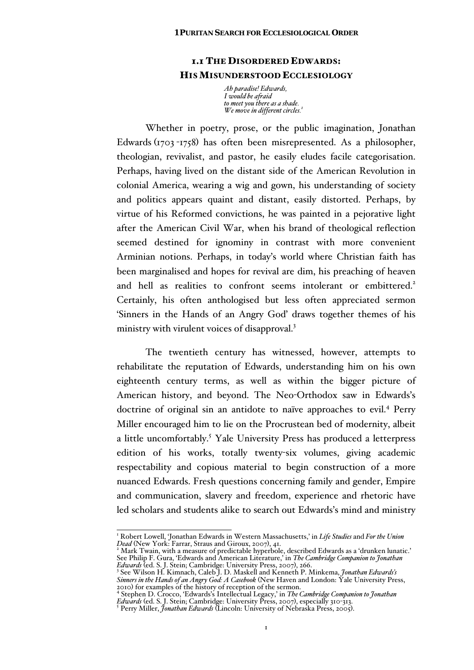# 1.1 THE DISORDERED EDWARDS: HIS MISUNDERSTOOD ECCLESIOLOGY

*Ah paradise! Edwards, I would be afraid to meet you there as a shade. We move in different circles.1*

Whether in poetry, prose, or the public imagination, Jonathan Edwards (1703 -1758) has often been misrepresented. As a philosopher, theologian, revivalist, and pastor, he easily eludes facile categorisation. Perhaps, having lived on the distant side of the American Revolution in colonial America, wearing a wig and gown, his understanding of society and politics appears quaint and distant, easily distorted. Perhaps, by virtue of his Reformed convictions, he was painted in a pejorative light after the American Civil War, when his brand of theological reflection seemed destined for ignominy in contrast with more convenient Arminian notions. Perhaps, in today's world where Christian faith has been marginalised and hopes for revival are dim, his preaching of heaven and hell as realities to confront seems intolerant or embittered.<sup>2</sup> Certainly, his often anthologised but less often appreciated sermon 'Sinners in the Hands of an Angry God' draws together themes of his ministry with virulent voices of disapproval.<sup>3</sup>

The twentieth century has witnessed, however, attempts to rehabilitate the reputation of Edwards, understanding him on his own eighteenth century terms, as well as within the bigger picture of American history, and beyond. The Neo-Orthodox saw in Edwards's doctrine of original sin an antidote to naïve approaches to evil.<sup>4</sup> Perry Miller encouraged him to lie on the Procrustean bed of modernity, albeit a little uncomfortably.<sup>5</sup> Yale University Press has produced a letterpress edition of his works, totally twenty-six volumes, giving academic respectability and copious material to begin construction of a more nuanced Edwards. Fresh questions concerning family and gender, Empire and communication, slavery and freedom, experience and rhetoric have led scholars and students alike to search out Edwards's mind and ministry

*Edwards* (ed. S. J. Stein; Cambridge: University Press, 2007), especially 310-313.<br><sup>5</sup> Perry Miller, *Jonathan Edwards* (Lincoln: University of Nebraska Press, 2005).

<sup>1</sup> Robert Lowell, 'Jonathan Edwards in Western Massachusetts,' in *Life Studies* and *For the Union Dead* (New York: Farrar, Straus and Giroux, 2007), 41.<br><sup>2</sup> Mork Twain, with a measure of prodictable hyperholo

<sup>&</sup>lt;sup>2</sup> Mark Twain, with a measure of predictable hyperbole, described Edwards as a 'drunken lunatic.' See Philip F. Gura, 'Edwards and American Literature,' in *The Cambridge Companion to Jonathan*<br>*Edwards* (ed. S. J. Stein; Cambridge: University Press, 2007), 266.<br><sup>3 See Wilson H. Kimpech, Calab L.D. Meskell and Konneth </sup>

<sup>&</sup>lt;sup>3</sup> See Wilson H. Kimnach, Caleb J. D. Maskell and Kenneth P. Minkema, *Jonathan Edwards's*<br>*Sinners in the Hands of an Angry God: A Casebook* (New Haven and London: Yale University Press, <sup>2010</sup>) for examples of the history of reception of the sermon. <sup>4</sup> Stephen D. Crocco, 'Edwards's Intellectual Legacy,' in *The Cambridge Companion to Jonathan*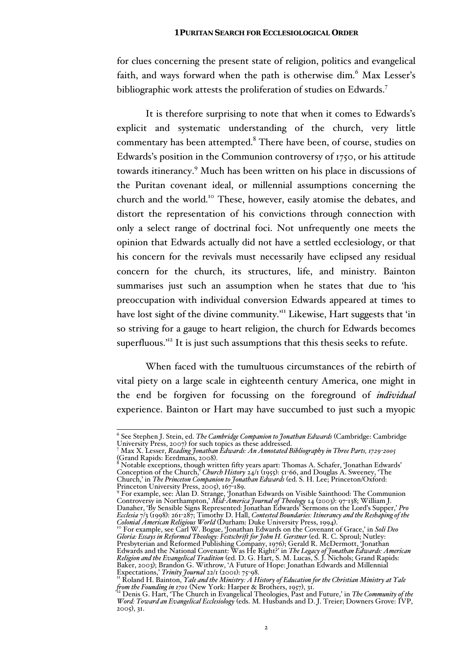for clues concerning the present state of religion, politics and evangelical faith, and ways forward when the path is otherwise dim.<sup>6</sup> Max Lesser's bibliographic work attests the proliferation of studies on Edwards.<sup>7</sup>

It is therefore surprising to note that when it comes to Edwards's explicit and systematic understanding of the church, very little commentary has been attempted.<sup>8</sup> There have been, of course, studies on Edwards's position in the Communion controversy of 1750, or his attitude towards itinerancy.9 Much has been written on his place in discussions of the Puritan covenant ideal, or millennial assumptions concerning the church and the world.<sup>10</sup> These, however, easily atomise the debates, and distort the representation of his convictions through connection with only a select range of doctrinal foci. Not unfrequently one meets the opinion that Edwards actually did not have a settled ecclesiology, or that his concern for the revivals must necessarily have eclipsed any residual concern for the church, its structures, life, and ministry. Bainton summarises just such an assumption when he states that due to 'his preoccupation with individual conversion Edwards appeared at times to have lost sight of the divine community.<sup>'II</sup> Likewise, Hart suggests that 'in so striving for a gauge to heart religion, the church for Edwards becomes superfluous.<sup>312</sup> It is just such assumptions that this thesis seeks to refute.

When faced with the tumultuous circumstances of the rebirth of vital piety on a large scale in eighteenth century America, one might in the end be forgiven for focussing on the foreground of *individual* experience. Bainton or Hart may have succumbed to just such a myopic

6 See Stephen J. Stein, ed. *The Cambridge Companion to Jonathan Edwards* (Cambridge: Cambridge

University Press, 2007) for such topics as these addressed. <sup>7</sup> Max X. Lesser, *Reading Jonathan Edwards: An Annotated Bibliography in Three Parts, 1729-<sup>2005</sup>*

<sup>(</sup>Grand Rapids: Eerdmans, 2008).<br><sup>8</sup> Notable exceptions, though written fifty years apart: Thomas A. Schafer, 'Jonathan Edwards' Conception of the Church,' *Church History* 24/1 (1955): 51-66, and Douglas A. Sweeney, 'The Church,' in *The Princeton Companion to Jonathan Edwards* (ed. S. H. Lee; Princeton/Oxford: Princeton University Press, 2005), 167-189.<br><sup>9</sup> For example, see: Alan D. Strange, 'Jonathan Edwards on Visible Sainthood: The Communion

Controversy in Northampton,' *Mid-America Journal of Theology* 14 (2003): 97-138; William J. Danaher, 'By Sensible Signs Represented: Jonathan Edwards' Sermons on the Lord's Supper,' *Pro Ecclesia* 7/3 (1998): 261-287; Timothy D. Hall, *Contested Boundaries: Itinerancy and the Reshaping of the Colonial American Religious World* (Durham: Duke University Press, 1994). 10 For example, see Carl W. Bogue, 'Jonathan Edwards on the Covenant of Grace,' in *Soli Deo* 

*Gloria: Essays in Reformed Theology: Festschrift for John H. Gerstner* (ed. R. C. Sproul; Nutley: Presbyterian and Reformed Publishing Company, 1976); Gerald R. McDermott, 'Jonathan Edwards and the National Covenant: Was He Right?' in *The Legacy of Jonathan Edwards: American Religion and the Evangelical Tradition* (ed. D. G. Hart, S. M. Lucas, S. J. Nichols; Grand Rapids: Baker, 2003); Brandon G. Withrow, 'A Future of Hope: Jonathan Edwards and Millennial Expectations,' *Trinity Journal 22*/1 (2001): 75-98.<br><sup>11</sup> Roland H. Bainton, *Yale and the Ministry: A History of Education for the Christian Ministry at Yale* 

*from the Founding in 1701* (New York: Harper & Brothers, 1957), 31. <sup>12</sup> Denis G. Hart, 'The Church in Evangelical Theologies, Past and Future,' in *The Community of the* 

*Word: Toward an Evangelical Ecclesiology* (eds. M. Husbands and D. J. Treier; Downers Grove: IVP, 2005), 31.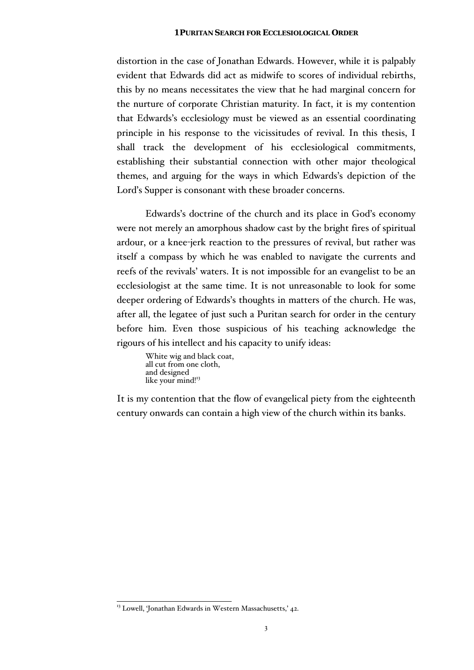distortion in the case of Jonathan Edwards. However, while it is palpably evident that Edwards did act as midwife to scores of individual rebirths, this by no means necessitates the view that he had marginal concern for the nurture of corporate Christian maturity. In fact, it is my contention that Edwards's ecclesiology must be viewed as an essential coordinating principle in his response to the vicissitudes of revival. In this thesis, I shall track the development of his ecclesiological commitments, establishing their substantial connection with other major theological themes, and arguing for the ways in which Edwards's depiction of the Lord's Supper is consonant with these broader concerns.

Edwards's doctrine of the church and its place in God's economy were not merely an amorphous shadow cast by the bright fires of spiritual ardour, or a knee-jerk reaction to the pressures of revival, but rather was itself a compass by which he was enabled to navigate the currents and reefs of the revivals' waters. It is not impossible for an evangelist to be an ecclesiologist at the same time. It is not unreasonable to look for some deeper ordering of Edwards's thoughts in matters of the church. He was, after all, the legatee of just such a Puritan search for order in the century before him. Even those suspicious of his teaching acknowledge the rigours of his intellect and his capacity to unify ideas:

White wig and black coat, all cut from one cloth, and designed like your mind!<sup>13</sup>

It is my contention that the flow of evangelical piety from the eighteenth century onwards can contain a high view of the church within its banks.

<sup>&</sup>lt;sup>13</sup> Lowell, 'Jonathan Edwards in Western Massachusetts,' 42.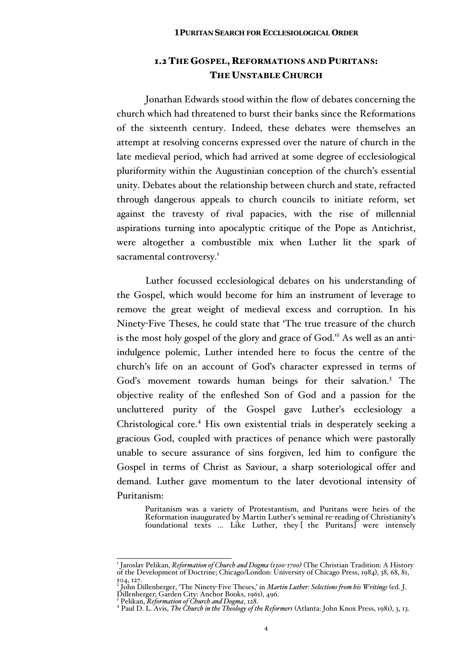## 1.2 THE GOSPEL, REFORMATIONS AND PURITANS: THE UNSTABLE CHURCH

Jonathan Edwards stood within the flow of debates concerning the church which had threatened to burst their banks since the Reformations of the sixteenth century. Indeed, these debates were themselves an attempt at resolving concerns expressed over the nature of church in the late medieval period, which had arrived at some degree of ecclesiological pluriformity within the Augustinian conception of the church's essential unity. Debates about the relationship between church and state, refracted through dangerous appeals to church councils to initiate reform, set against the travesty of rival papacies, with the rise of millennial aspirations turning into apocalyptic critique of the Pope as Antichrist, were altogether a combustible mix when Luther lit the spark of sacramental controversy.<sup>1</sup>

Luther focussed ecclesiological debates on his understanding of the Gospel, which would become for him an instrument of leverage to remove the great weight of medieval excess and corruption. In his Ninety-Five Theses, he could state that 'The true treasure of the church is the most holy gospel of the glory and grace of God." As well as an antiindulgence polemic, Luther intended here to focus the centre of the church's life on an account of God's character expressed in terms of God's movement towards human beings for their salvation.<sup>3</sup> The objective reality of the enfleshed Son of God and a passion for the uncluttered purity of the Gospel gave Luther's ecclesiology a Christological core.<sup>4</sup> His own existential trials in desperately seeking a gracious God, coupled with practices of penance which were pastorally unable to secure assurance of sins forgiven, led him to configure the Gospel in terms of Christ as Saviour, a sharp soteriological offer and demand. Luther gave momentum to the later devotional intensity of Puritanism:

Puritanism was a variety of Protestantism, and Puritans were heirs of the Reformation inaugurated by Martin Luther's seminal re-reading of Christianity's foundational texts ... Like Luther, they [ the Puritans] were intensely

<sup>&</sup>lt;sup>1</sup> Jaroslav Pelikan, *Reformation of Church and Dogma* (1300-1700) (The Christian Tradition: A History of the Development of Doctrine; Chicago/London: University of Chicago Press, 1984), 38, 68, 81,

<sup>104, 127.</sup> <sup>2</sup> John Dillenberger, 'The Ninety-Five Theses,' in *Martin Luther: Selections from his Writings* (ed. J. Dillenberger; Garden City: Anchor Books, 1961), 496. <sup>3</sup> Pelikan, *Reformation of Church and Dogma*, 128. <sup>4</sup> Paul D. L. Avis, *The Church in the Theology of the Reformers* (Atlanta: John Knox Press, 1981), 3, 13.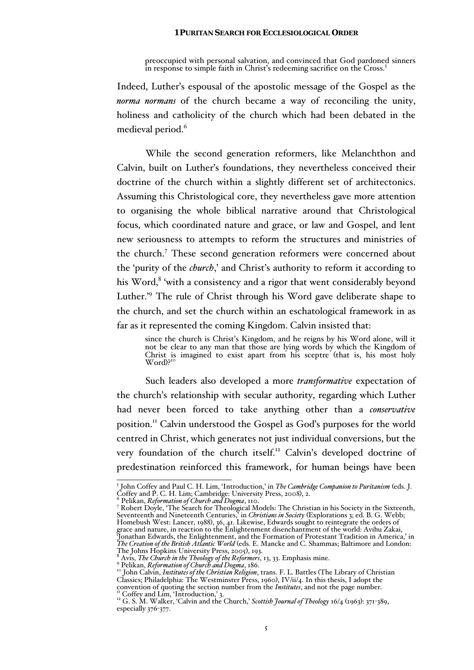preoccupied with personal salvation, and convinced that God pardoned sinners in response to simple faith in Christ's redeeming sacrifice on the Cross.<sup>5</sup>

Indeed, Luther's espousal of the apostolic message of the Gospel as the *norma normans* of the church became a way of reconciling the unity, holiness and catholicity of the church which had been debated in the medieval period.<sup>6</sup>

While the second generation reformers, like Melanchthon and Calvin, built on Luther's foundations, they nevertheless conceived their doctrine of the church within a slightly different set of architectonics. Assuming this Christological core, they nevertheless gave more attention to organising the whole biblical narrative around that Christological focus, which coordinated nature and grace, or law and Gospel, and lent new seriousness to attempts to reform the structures and ministries of the church.<sup>7</sup> These second generation reformers were concerned about the 'purity of the *church*,' and Christ's authority to reform it according to his Word,<sup>8</sup> 'with a consistency and a rigor that went considerably beyond Luther.'<sup>9</sup> The rule of Christ through his Word gave deliberate shape to the church, and set the church within an eschatological framework in as far as it represented the coming Kingdom. Calvin insisted that:

since the church is Christ's Kingdom, and he reigns by his Word alone, will it not be clear to any man that those are lying words by which the Kingdom of Christ is imagined to exist apart from his sceptre (that is, his most holy Word)?<sup>10</sup>

Such leaders also developed a more *transformative* expectation of the church's relationship with secular authority, regarding which Luther had never been forced to take anything other than a *conservative* position.11 Calvin understood the Gospel as God's purposes for the world centred in Christ, which generates not just individual conversions, but the very foundation of the church itself.<sup>12</sup> Calvin's developed doctrine of predestination reinforced this framework, for human beings have been

<sup>5</sup> John Coffey and Paul C. H. Lim, 'Introduction,' in *The Cambridge Companion to Puritanism* (eds. J.

Coffey and P. C. H. Lim; Cambridge: University Press, 2008), 2.<br><sup>6</sup> Pelikan, *Reformation of Church and Dogma*, 110.<br><sup>7</sup> Robert Doyle, 'The Search for Theological Models: The Christian in his Society in the Sixteenth, Seventeenth and Nineteenth Centuries,' in *Christians in Society* (Explorations 3; ed. B. G. Webb; Homebush West: Lancer, 1988), 36, 41. Likewise, Edwards sought to reintegrate the orders of grace and nature, in reaction to the Enlightenment disenchantment of the world: Avihu Zakai, 'Jonathan Edwards, the Enlightenment, and the Formation of Protestant Tradition in America,' in *The Creation of the British Atlantic World* (eds. E. Mancke and C. Shammas; Baltimore and London:

*a ne Creation of the British Attantic World* (eds. E. Mancke and C. Shammas; Baltimore and Lon<br>The Johns Hopkins University Press, 2005), 193.<br><sup>8</sup> Avis, *The Church in the Theology of the Reformers*, 13, 33. Emphasis mine <sup>11</sup> Coffey and Lim, 'Introduction,' 3.<br><sup>12</sup> G. S. M. Walker, 'Calvin and the Church,' *Scottish Journal of Theology* 16/4 (1963): 371-389,

especially 376-377.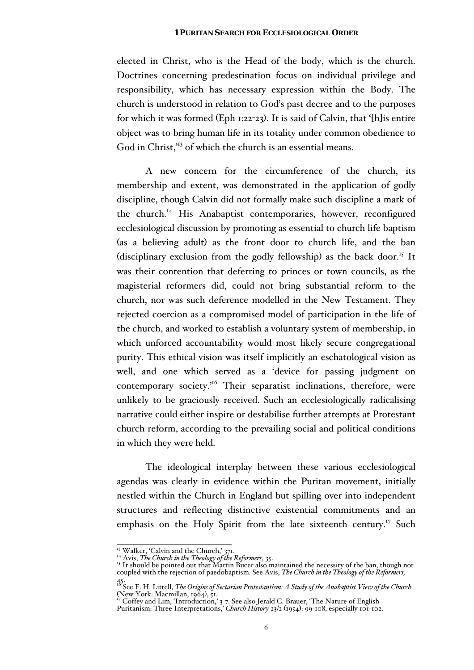elected in Christ, who is the Head of the body, which is the church. Doctrines concerning predestination focus on individual privilege and responsibility, which has necessary expression within the Body. The church is understood in relation to God's past decree and to the purposes for which it was formed (Eph 1:22-23). It is said of Calvin, that '[h]is entire object was to bring human life in its totality under common obedience to God in Christ,<sup>13</sup> of which the church is an essential means.

A new concern for the circumference of the church, its membership and extent, was demonstrated in the application of godly discipline, though Calvin did not formally make such discipline a mark of the church.<sup>14</sup> His Anabaptist contemporaries, however, reconfigured ecclesiological discussion by promoting as essential to church life baptism (as a believing adult) as the front door to church life, and the ban (disciplinary exclusion from the godly fellowship) as the back door.<sup>15</sup> It was their contention that deferring to princes or town councils, as the magisterial reformers did, could not bring substantial reform to the church, nor was such deference modelled in the New Testament. They rejected coercion as a compromised model of participation in the life of the church, and worked to establish a voluntary system of membership, in which unforced accountability would most likely secure congregational purity. This ethical vision was itself implicitly an eschatological vision as well, and one which served as a 'device for passing judgment on contemporary society.<sup>16</sup> Their separatist inclinations, therefore, were unlikely to be graciously received. Such an ecclesiologically radicalising narrative could either inspire or destabilise further attempts at Protestant church reform, according to the prevailing social and political conditions in which they were held.

The ideological interplay between these various ecclesiological agendas was clearly in evidence within the Puritan movement, initially nestled within the Church in England but spilling over into independent structures and reflecting distinctive existential commitments and an emphasis on the Holy Spirit from the late sixteenth century.<sup>17</sup> Such

<sup>1&</sup>lt;sup>3</sup> Walker, 'Calvin and the Church,' 371.<br><sup>14</sup> Avis, *The Church in the Theology of the Reformers*, 35.<br><sup>15</sup> It should be pointed out that Martin Bucer also maintained the necessity of the ban, though not coupled with the rejection of paedobaptism. See Avis, *The Church in the Theology of the Reformers,*

<sup>45.</sup> 16 See F. H. Littell, *The Origins of Sectarian Protestantism: A Study of the Anabaptist View of the Church* (New York: Macmillan, 1964), 51.<br><sup>17</sup> Coffey and Lim, 'Introduction,' 3-7. See also Jerald C. Brauer, 'The Nature of English

Puritanism: Three Interpretations,' *Church History* 23/2 (1954): 99-108, especially 101-102.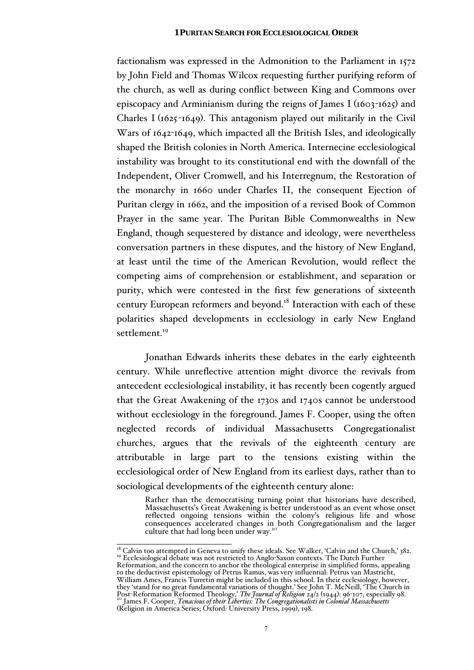factionalism was expressed in the Admonition to the Parliament in 1572 by John Field and Thomas Wilcox requesting further purifying reform of the church, as well as during conflict between King and Commons over episcopacy and Arminianism during the reigns of James I (1603-1625) and Charles I ( $1625 - 1649$ ). This antagonism played out militarily in the Civil Wars of 1642-1649, which impacted all the British Isles, and ideologically shaped the British colonies in North America. Internecine ecclesiological instability was brought to its constitutional end with the downfall of the Independent, Oliver Cromwell, and his Interregnum, the Restoration of the monarchy in 1660 under Charles II, the consequent Ejection of Puritan clergy in 1662, and the imposition of a revised Book of Common Prayer in the same year. The Puritan Bible Commonwealths in New England, though sequestered by distance and ideology, were nevertheless conversation partners in these disputes, and the history of New England, at least until the time of the American Revolution, would reflect the competing aims of comprehension or establishment, and separation or purity, which were contested in the first few generations of sixteenth century European reformers and beyond.<sup>18</sup> Interaction with each of these polarities shaped developments in ecclesiology in early New England settlement.<sup>19</sup>

Jonathan Edwards inherits these debates in the early eighteenth century. While unreflective attention might divorce the revivals from antecedent ecclesiological instability, it has recently been cogently argued that the Great Awakening of the 1730s and 1740s cannot be understood without ecclesiology in the foreground. James F. Cooper, using the often neglected records of individual Massachusetts Congregationalist churches, argues that the revivals of the eighteenth century are attributable in large part to the tensions existing within the ecclesiological order of New England from its earliest days, rather than to sociological developments of the eighteenth century alone:

Rather than the democratising turning point that historians have described, Massachusetts's Great Awakening is better understood as an event whose onset reflected ongoing tensions within the colony's religious life and whose consequences accelerated changes in both Congregationalism and the larger culture that had long been under way.<sup>20</sup>

<sup>18&</sup>lt;br><sup>18</sup> Calvin too attempted in Geneva to unify these ideals. See Walker, 'Calvin and the Church,' 382.<br><sup>19</sup> Ecclesiological debate was not restricted to Anglo-Saxon contexts. The Dutch Further Reformation, and the concern to anchor the theological enterprise in simplified forms, appealing to the deductivist epistemology of Petrus Ramus, was very influential: Petrus van Mastricht, William Ames, Francis Turretin might be included in this school. In their ecclesiology, however, they 'stand for no great fundamental variations of thought.' See John T. McNeill, 'The Church in Post-Reformation Reformed Theology,' *The Journal of Religion* 24/2 (1944): 96-107, especially 98. <sup>20</sup> James F. Cooper, *Tenacious of their Liberties: The Congregationalists in Colonial Massachusetts* (Religion in America Series; Oxford: University Press, 1999), 198.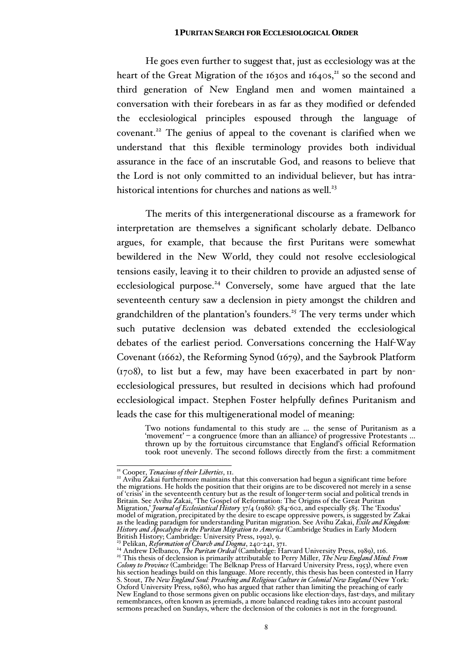He goes even further to suggest that, just as ecclesiology was at the heart of the Great Migration of the 1630s and  $1640s$ ,<sup>21</sup> so the second and third generation of New England men and women maintained a conversation with their forebears in as far as they modified or defended the ecclesiological principles espoused through the language of covenant.<sup>22</sup> The genius of appeal to the covenant is clarified when we understand that this flexible terminology provides both individual assurance in the face of an inscrutable God, and reasons to believe that the Lord is not only committed to an individual believer, but has intrahistorical intentions for churches and nations as well.<sup>23</sup>

The merits of this intergenerational discourse as a framework for interpretation are themselves a significant scholarly debate. Delbanco argues, for example, that because the first Puritans were somewhat bewildered in the New World, they could not resolve ecclesiological tensions easily, leaving it to their children to provide an adjusted sense of ecclesiological purpose.<sup>24</sup> Conversely, some have argued that the late seventeenth century saw a declension in piety amongst the children and grandchildren of the plantation's founders.<sup>25</sup> The very terms under which such putative declension was debated extended the ecclesiological debates of the earliest period. Conversations concerning the Half-Way Covenant (1662), the Reforming Synod (1679), and the Saybrook Platform (1708), to list but a few, may have been exacerbated in part by nonecclesiological pressures, but resulted in decisions which had profound ecclesiological impact. Stephen Foster helpfully defines Puritanism and leads the case for this multigenerational model of meaning:

Two notions fundamental to this study are … the sense of Puritanism as a 'movement' – a congruence (more than an alliance) of progressive Protestants … thrown up by the fortuitous circumstance that England's official Reformation took root unevenly. The second follows directly from the first: a commitment

<sup>&</sup>lt;sup>21</sup> Cooper, *Tenacious of their Liberties*, 11.<br><sup>22</sup> Avihu Zakai furthermore maintains that this conversation had begun a significant time before the migrations. He holds the position that their origins are to be discovered not merely in a sense of 'crisis' in the seventeenth century but as the result of longer-term social and political trends in Britain. See Avihu Zakai, 'The Gospel of Reformation: The Origins of the Great Puritan Migration,' *Journal of Ecclesiastical History* 37/4 (1986): 584-602, and especially 585. The 'Exodus' model of migration, precipitated by the desire to escape oppressive powers, is suggested by Zakai as the leading paradigm for understanding Puritan migration. See Avihu Zakai, *Exile and Kingdom: History and Apocalypse in the Puritan Migration to America* (Cambridge Studies in Early Modern

British History; Cambridge: University Press, 1992), 9.<br><sup>23</sup> Pelikan, *Reformation of Church and Dogma*, 240-241, 371.<br><sup>24</sup> Andrew Delbanco, *The Puritan Ordeal* (Cambridge: Harvard University Press, 1989), 116.<br><sup>25</sup> This his section headings build on this language. More recently, this thesis has been contested in Harry S. Stout, *The New England Soul: Preaching and Religious Culture in Colonial New England* (New York: Oxford University Press, 1986), who has argued that rather than limiting the preaching of early New England to those sermons given on public occasions like election-days, fast-days, and military remembrances, often known as jeremiads, a more balanced reading takes into account pastoral sermons preached on Sundays, where the declension of the colonies is not in the foreground.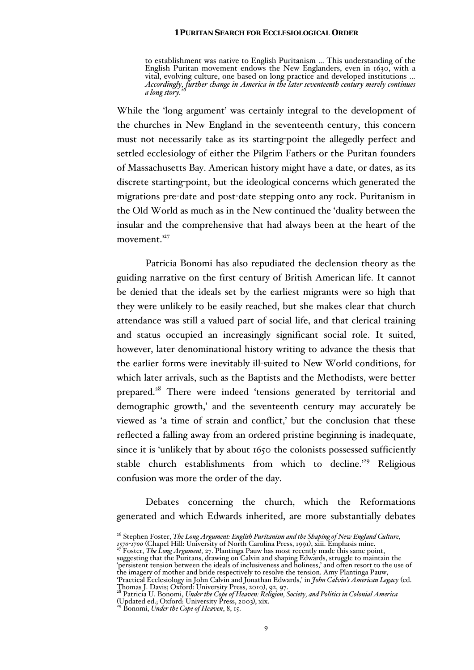to establishment was native to English Puritanism … This understanding of the English Puritan movement endows the New Englanders, even in 1630, with a vital, evolving culture, one based on long practice and developed institutions … *Accordingly, further change in America in the later seventeenth century merely continues a long story.* 

While the 'long argument' was certainly integral to the development of the churches in New England in the seventeenth century, this concern must not necessarily take as its starting-point the allegedly perfect and settled ecclesiology of either the Pilgrim Fathers or the Puritan founders of Massachusetts Bay. American history might have a date, or dates, as its discrete starting-point, but the ideological concerns which generated the migrations pre-date and post-date stepping onto any rock. Puritanism in the Old World as much as in the New continued the 'duality between the insular and the comprehensive that had always been at the heart of the movement.<sup>327</sup>

Patricia Bonomi has also repudiated the declension theory as the guiding narrative on the first century of British American life. It cannot be denied that the ideals set by the earliest migrants were so high that they were unlikely to be easily reached, but she makes clear that church attendance was still a valued part of social life, and that clerical training and status occupied an increasingly significant social role. It suited, however, later denominational history writing to advance the thesis that the earlier forms were inevitably ill-suited to New World conditions, for which later arrivals, such as the Baptists and the Methodists, were better prepared.28 There were indeed 'tensions generated by territorial and demographic growth,' and the seventeenth century may accurately be viewed as 'a time of strain and conflict,' but the conclusion that these reflected a falling away from an ordered pristine beginning is inadequate, since it is 'unlikely that by about 1650 the colonists possessed sufficiently stable church establishments from which to decline.<sup>29</sup> Religious confusion was more the order of the day.

Debates concerning the church, which the Reformations generated and which Edwards inherited, are more substantially debates

<sup>26</sup> Stephen Foster, *The Long Argument: English Puritanism and the Shaping of New England Culture, <sup>1570</sup>-<sup>1700</sup>* (Chapel Hill: University of North Carolina Press, 1991), xiii. Emphasis mine. <sup>27</sup> Foster, *The Long Argument,* 27. Plantinga Pauw has most recently made this same point,

suggesting that the Puritans, drawing on Calvin and shaping Edwards, struggle to maintain the 'persistent tension between the ideals of inclusiveness and holiness,' and often resort to the use of the imagery of mother and bride respectively to resolve the tension. Amy Plantinga Pauw,<br>'Practical Ecclesiology in John Calvin and Jonathan Edwards,' in *John Calvin's American Legacy* (ed.

Thomas J. Davis; Oxford: University Press, 2010), 92, 97.<br><sup>28</sup> Patricia U. Bonomi, *Under the Cope of Heaven: Religion, Society, and Politics in Colonial America* (Updated ed.; Oxford: University Press, 2003), xix. <sup>29</sup> Bonomi, *Under the Cope of Heaven*, 8, 15.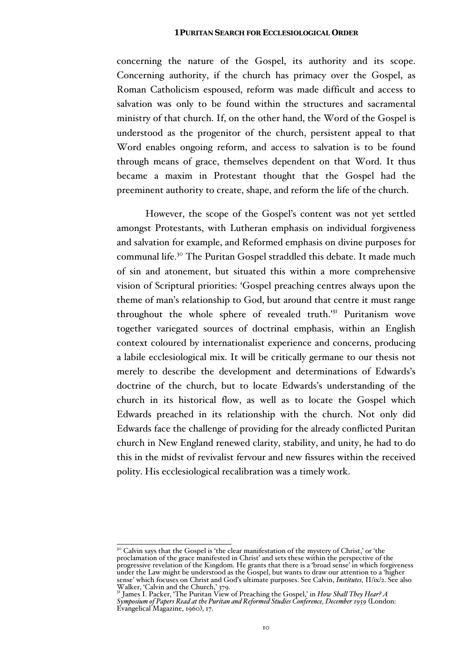concerning the nature of the Gospel, its authority and its scope. Concerning authority, if the church has primacy over the Gospel, as Roman Catholicism espoused, reform was made difficult and access to salvation was only to be found within the structures and sacramental ministry of that church. If, on the other hand, the Word of the Gospel is understood as the progenitor of the church, persistent appeal to that Word enables ongoing reform, and access to salvation is to be found through means of grace, themselves dependent on that Word. It thus became a maxim in Protestant thought that the Gospel had the preeminent authority to create, shape, and reform the life of the church.

However, the scope of the Gospel's content was not yet settled amongst Protestants, with Lutheran emphasis on individual forgiveness and salvation for example, and Reformed emphasis on divine purposes for communal life.30 The Puritan Gospel straddled this debate. It made much of sin and atonement, but situated this within a more comprehensive vision of Scriptural priorities: 'Gospel preaching centres always upon the theme of man's relationship to God, but around that centre it must range throughout the whole sphere of revealed truth.'31 Puritanism wove together variegated sources of doctrinal emphasis, within an English context coloured by internationalist experience and concerns, producing a labile ecclesiological mix. It will be critically germane to our thesis not merely to describe the development and determinations of Edwards's doctrine of the church, but to locate Edwards's understanding of the church in its historical flow, as well as to locate the Gospel which Edwards preached in its relationship with the church. Not only did Edwards face the challenge of providing for the already conflicted Puritan church in New England renewed clarity, stability, and unity, he had to do this in the midst of revivalist fervour and new fissures within the received polity. His ecclesiological recalibration was a timely work.

<sup>&</sup>lt;sup>30</sup> Calvin says that the Gospel is 'the clear manifestation of the mystery of Christ,' or 'the proclamation of the grace manifested in Christ' and sets these within the perspective of the progressive revelation of the Kingdom. He grants that there is a 'broad sense' in which forgiveness under the Law might be understood as the Gospel, but wants to draw our attention to a 'higher under the Law might be understood as the Gospel, but wants to draw our attention to a 'higher sense' which focuses on Christ and God's ultimate purposes. See Calvin, *Institutes*, II/ix/2. See also

Walker, 'Calvin and the Church,' 379.<br><sup>31</sup> James I. Packer, 'The Puritan View of Preaching the Gospel,' in *How Shall They Hear? A Symposium of Papers Read at the Puritan and Reformed Studies Conference, December 1959* (London: Evangelical Magazine, 1960), 17.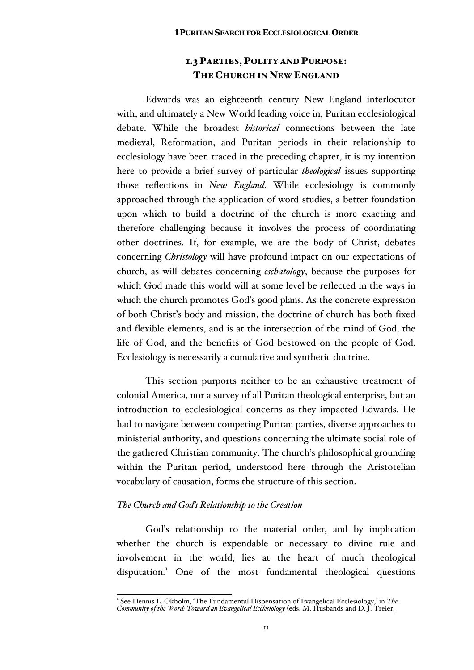# 1.3 PARTIES, POLITY AND PURPOSE: THE CHURCH IN NEW ENGLAND

Edwards was an eighteenth century New England interlocutor with, and ultimately a New World leading voice in, Puritan ecclesiological debate. While the broadest *historical* connections between the late medieval, Reformation, and Puritan periods in their relationship to ecclesiology have been traced in the preceding chapter, it is my intention here to provide a brief survey of particular *theological* issues supporting those reflections in *New England*. While ecclesiology is commonly approached through the application of word studies, a better foundation upon which to build a doctrine of the church is more exacting and therefore challenging because it involves the process of coordinating other doctrines. If, for example, we are the body of Christ, debates concerning *Christology* will have profound impact on our expectations of church, as will debates concerning *eschatology*, because the purposes for which God made this world will at some level be reflected in the ways in which the church promotes God's good plans. As the concrete expression of both Christ's body and mission, the doctrine of church has both fixed and flexible elements, and is at the intersection of the mind of God, the life of God, and the benefits of God bestowed on the people of God. Ecclesiology is necessarily a cumulative and synthetic doctrine.

This section purports neither to be an exhaustive treatment of colonial America, nor a survey of all Puritan theological enterprise, but an introduction to ecclesiological concerns as they impacted Edwards. He had to navigate between competing Puritan parties, diverse approaches to ministerial authority, and questions concerning the ultimate social role of the gathered Christian community. The church's philosophical grounding within the Puritan period, understood here through the Aristotelian vocabulary of causation, forms the structure of this section.

#### *The Church and God's Relationship to the Creation*

God's relationship to the material order, and by implication whether the church is expendable or necessary to divine rule and involvement in the world, lies at the heart of much theological disputation.<sup>1</sup> One of the most fundamental theological questions

<sup>-&</sup>lt;br>1 See Dennis L. Okholm, 'The Fundamental Dispensation of Evangelical Ecclesiology,' in *The Community of the Word: Toward an Evangelical Ecclesiology* (eds. M. Husbands and D. J. Treier;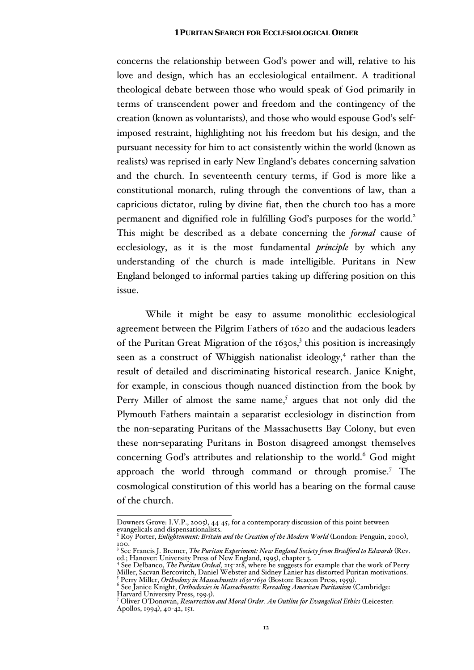concerns the relationship between God's power and will, relative to his love and design, which has an ecclesiological entailment. A traditional theological debate between those who would speak of God primarily in terms of transcendent power and freedom and the contingency of the creation (known as voluntarists), and those who would espouse God's selfimposed restraint, highlighting not his freedom but his design, and the pursuant necessity for him to act consistently within the world (known as realists) was reprised in early New England's debates concerning salvation and the church. In seventeenth century terms, if God is more like a constitutional monarch, ruling through the conventions of law, than a capricious dictator, ruling by divine fiat, then the church too has a more permanent and dignified role in fulfilling God's purposes for the world.<sup>2</sup> This might be described as a debate concerning the *formal* cause of ecclesiology, as it is the most fundamental *principle* by which any understanding of the church is made intelligible. Puritans in New England belonged to informal parties taking up differing position on this issue.

While it might be easy to assume monolithic ecclesiological agreement between the Pilgrim Fathers of 1620 and the audacious leaders of the Puritan Great Migration of the 1630s,<sup>3</sup> this position is increasingly seen as a construct of Whiggish nationalist ideology,<sup>4</sup> rather than the result of detailed and discriminating historical research. Janice Knight, for example, in conscious though nuanced distinction from the book by Perry Miller of almost the same name,<sup>5</sup> argues that not only did the Plymouth Fathers maintain a separatist ecclesiology in distinction from the non-separating Puritans of the Massachusetts Bay Colony, but even these non-separating Puritans in Boston disagreed amongst themselves concerning God's attributes and relationship to the world.<sup>6</sup> God might approach the world through command or through promise.<sup>7</sup> The cosmological constitution of this world has a bearing on the formal cause of the church.

1

Downers Grove: I.V.P., 2005), 44-45, for a contemporary discussion of this point between evangelicals and dispensationalists. <sup>2</sup> Roy Porter, *Enlightenment: Britain and the Creation of the Modern World* (London: Penguin, 2000),

<sup>100.</sup>

<sup>3</sup> See Francis J. Bremer, *The Puritan Experiment: New England Society from Bradford to Edwards* (Rev. ed.; Hanover: University Press of New England, 1995), chapter 3.<br>4 See Delbance, *The Puritan Ordeal, 25*-258, where he success for

<sup>&</sup>lt;sup>4</sup> See Delbanco, *The Puritan Ordeal,* 215-218, where he suggests for example that the work of Perry<br>Miller, Sacvan Bercovitch, Daniel Webster and Sidney Lanier has distorted Puritan motivations. <sup>5</sup> Perry Miller, *Orthodoxy in Massachusetts 1630-1650* (Boston: Beacon Press, 1959).<br><sup>6</sup> See Janice Knight, *Orthodoxies in Massachusetts: Rereading American Puritanism* (Cambridge:

Harvard University Press, 1994). <sup>7</sup> Oliver O'Donovan, *Resurrection and Moral Order: An Outline for Evangelical Ethics* (Leicester:

Apollos, 1994), 40-42, 151.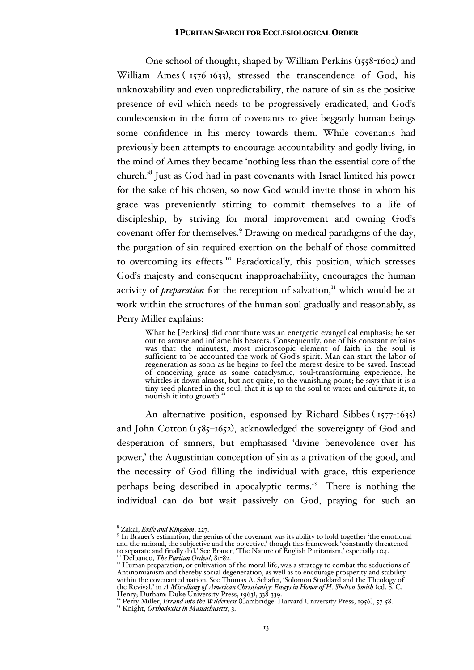One school of thought, shaped by William Perkins (1558-1602) and William Ames ( 1576-1633), stressed the transcendence of God, his unknowability and even unpredictability, the nature of sin as the positive presence of evil which needs to be progressively eradicated, and God's condescension in the form of covenants to give beggarly human beings some confidence in his mercy towards them. While covenants had previously been attempts to encourage accountability and godly living, in the mind of Ames they became 'nothing less than the essential core of the church.'8 Just as God had in past covenants with Israel limited his power for the sake of his chosen, so now God would invite those in whom his grace was preveniently stirring to commit themselves to a life of discipleship, by striving for moral improvement and owning God's covenant offer for themselves.<sup>9</sup> Drawing on medical paradigms of the day, the purgation of sin required exertion on the behalf of those committed to overcoming its effects.<sup>10</sup> Paradoxically, this position, which stresses God's majesty and consequent inapproachability, encourages the human activity of *preparation* for the reception of salvation,<sup>11</sup> which would be at work within the structures of the human soul gradually and reasonably, as Perry Miller explains:

What he [Perkins] did contribute was an energetic evangelical emphasis; he set out to arouse and inflame his hearers. Consequently, one of his constant refrains was that the minutest, most microscopic element of faith in the soul is sufficient to be accounted the work of God's spirit. Man can start the labor of regeneration as soon as he begins to feel the merest desire to be saved. Instead of conceiving grace as some cataclysmic, soul-transforming experience, he whittles it down almost, but not quite, to the vanishing point; he says that it is a tiny seed planted in the soul, that it is up to the soul to water and cultivate it, to nourish it into growth.<sup>12</sup>

An alternative position, espoused by Richard Sibbes ( 1577-1635) and John Cotton (1585-1652), acknowledged the sovereignty of God and desperation of sinners, but emphasised 'divine benevolence over his power,' the Augustinian conception of sin as a privation of the good, and the necessity of God filling the individual with grace, this experience perhaps being described in apocalyptic terms.<sup>13</sup> There is nothing the individual can do but wait passively on God, praying for such an

<sup>8</sup> Zakai, *Exile and Kingdom*, 227. <sup>9</sup>

In Brauer's estimation, the genius of the covenant was its ability to hold together 'the emotional and the rational, the subjective and the objective,' though this framework 'constantly threatened

<sup>&</sup>lt;sup>10</sup> Delbanco, *The Puritan Ordeal*, 81-82.<br><sup>11</sup> Human preparation, or cultivation of the moral life, was a strategy to combat the seductions of Antinomianism and thereby social degeneration, as well as to encourage prosperity and stability within the covenanted nation. See Thomas A. Schafer, 'Solomon Stoddard and the Theology of the Revival,' in *A Miscellany of American Christianity: Essays in Honor of H. Shelton Smith* (ed. S. C. Henry; Durham: Duke University Press, 1963), 338-339.<br><sup>12</sup> Perry Miller, *Errand into the Wilderness* (Cambridge: Harvard University Press, 1956), 57-58.<br><sup>13</sup> Knight, *Orthodoxies in Massachusetts*, 3.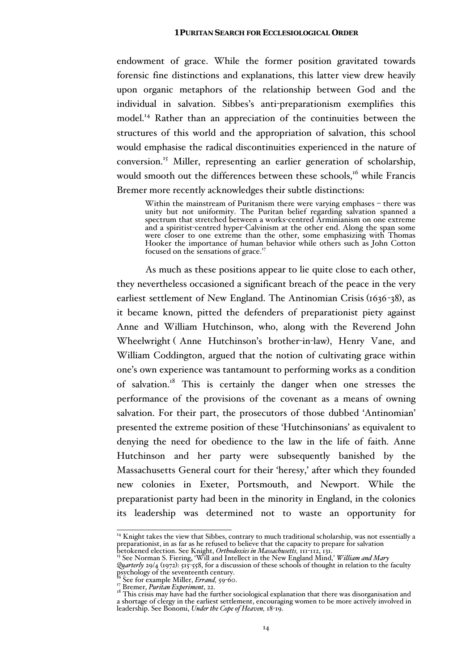endowment of grace. While the former position gravitated towards forensic fine distinctions and explanations, this latter view drew heavily upon organic metaphors of the relationship between God and the individual in salvation. Sibbes's anti-preparationism exemplifies this model.14 Rather than an appreciation of the continuities between the structures of this world and the appropriation of salvation, this school would emphasise the radical discontinuities experienced in the nature of conversion.15 Miller, representing an earlier generation of scholarship, would smooth out the differences between these schools,<sup>16</sup> while Francis Bremer more recently acknowledges their subtle distinctions:

Within the mainstream of Puritanism there were varying emphases – there was unity but not uniformity. The Puritan belief regarding salvation spanned a spectrum that stretched between a works-centred Arminianism on one extreme and a spiritist-centred hyper-Calvinism at the other end. Along the span some were closer to one extreme than the other, some emphasizing with Thomas Hooker the importance of human behavior while others such as John Cotton focused on the sensations of grace.<sup>17</sup>

As much as these positions appear to lie quite close to each other, they nevertheless occasioned a significant breach of the peace in the very earliest settlement of New England. The Antinomian Crisis (1636-38), as it became known, pitted the defenders of preparationist piety against Anne and William Hutchinson, who, along with the Reverend John Wheelwright ( Anne Hutchinson's brother-in-law), Henry Vane, and William Coddington, argued that the notion of cultivating grace within one's own experience was tantamount to performing works as a condition of salvation.18 This is certainly the danger when one stresses the performance of the provisions of the covenant as a means of owning salvation. For their part, the prosecutors of those dubbed 'Antinomian' presented the extreme position of these 'Hutchinsonians' as equivalent to denying the need for obedience to the law in the life of faith. Anne Hutchinson and her party were subsequently banished by the Massachusetts General court for their 'heresy,' after which they founded new colonies in Exeter, Portsmouth, and Newport. While the preparationist party had been in the minority in England, in the colonies its leadership was determined not to waste an opportunity for

 $\frac{1}{14}$  Knight takes the view that Sibbes, contrary to much traditional scholarship, was not essentially a preparationist, in as far as he refused to believe that the capacity to prepare for salvation

betokened election. See Knight, *Orthodoxies in Massachusetts,* 111-112, 131.<br><sup>15</sup> See Norman S. Fiering, 'Will and Intellect in the New England Mind,' *William and Mary*<br>*Quarterly 29/4 (1972): 515-558*, for a discussion

<sup>&</sup>lt;sup>16</sup> See for example Miller, *Errand*, 59-60.<br><sup>17</sup> Bremer, *Puritan Experiment*, 22.<br><sup>18</sup> This crisis may have had the further sociological explanation that there was disorganisation and a shortage of clergy in the earliest settlement, encouraging women to be more actively involved in leadership. See Bonomi, *Under the Cope of Heaven,* 18-19.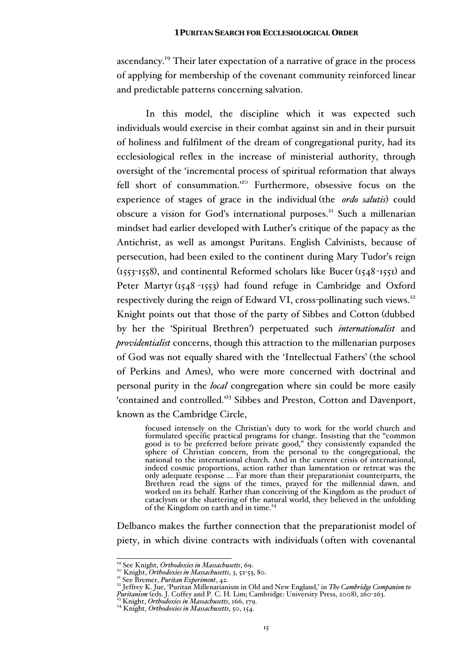ascendancy.<sup>19</sup> Their later expectation of a narrative of grace in the process of applying for membership of the covenant community reinforced linear and predictable patterns concerning salvation.

In this model, the discipline which it was expected such individuals would exercise in their combat against sin and in their pursuit of holiness and fulfilment of the dream of congregational purity, had its ecclesiological reflex in the increase of ministerial authority, through oversight of the 'incremental process of spiritual reformation that always fell short of consummation.'20 Furthermore, obsessive focus on the experience of stages of grace in the individual (the *ordo salutis*) could obscure a vision for God's international purposes.<sup>21</sup> Such a millenarian mindset had earlier developed with Luther's critique of the papacy as the Antichrist, as well as amongst Puritans. English Calvinists, because of persecution, had been exiled to the continent during Mary Tudor's reign (1553-1558), and continental Reformed scholars like Bucer (1548-1551) and Peter Martyr (1548-1553) had found refuge in Cambridge and Oxford respectively during the reign of Edward VI, cross-pollinating such views.<sup>22</sup> Knight points out that those of the party of Sibbes and Cotton (dubbed by her the 'Spiritual Brethren') perpetuated such *internationalist* and *providentialist* concerns, though this attraction to the millenarian purposes of God was not equally shared with the 'Intellectual Fathers' (the school of Perkins and Ames), who were more concerned with doctrinal and personal purity in the *local* congregation where sin could be more easily 'contained and controlled.'23 Sibbes and Preston, Cotton and Davenport, known as the Cambridge Circle,

focused intensely on the Christian's duty to work for the world church and formulated specific practical programs for change. Insisting that the "common good is to be preferred before private good," they consistently expanded the sphere of Christian concern, from the personal to the congregational, the national to the international church. And in the current crisis of international, indeed cosmic proportions, action rather than lamentation or retreat was the only adequate response … Far more than their preparationist counterparts, the Brethren read the signs of the times, prayed for the millennial dawn, and worked on its behalf. Rather than conceiving of the Kingdom as the product of cataclysm or the shattering of the natural world, they believed in the unfolding of the Kingdom on earth and in time.<sup>24</sup>

Delbanco makes the further connection that the preparationist model of piety, in which divine contracts with individuals ( often with covenantal

<sup>&</sup>lt;sup>19</sup> See Knight, *Ortbodoxies in Massachusetts*, 69.<br><sup>20</sup> Knight, *Ortbodoxies in Massachusetts*, 3, 52-53, 80.<br><sup>21</sup> See Bremer, *Puritan Experiment*, 42.<br><sup>22</sup> Jeffrey K. Jue, 'Puritan Millenarianism in Old and New England *Puritanism* (eds. J. Coffey and P. C. H. Lim; Cambridge: University Press, 2008), 260-263. <sup>23</sup> Knight, *Orthodoxies in Massachusetts*, 166, 179. <sup>24</sup> Knight, *Orthodoxies in Massachusetts*, 50, 154.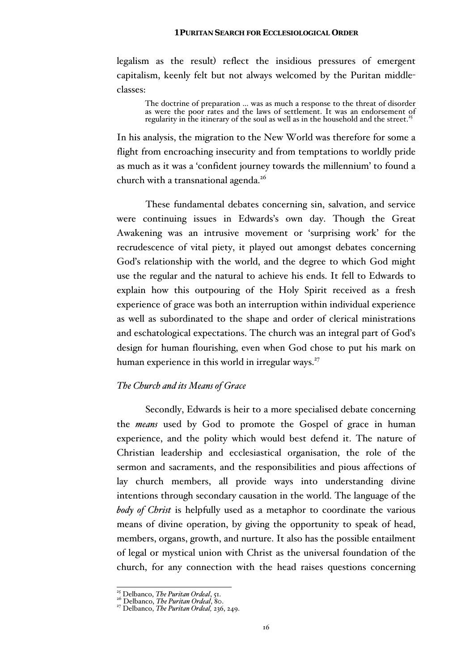legalism as the result) reflect the insidious pressures of emergent capitalism, keenly felt but not always welcomed by the Puritan middleclasses:

The doctrine of preparation … was as much a response to the threat of disorder as were the poor rates and the laws of settlement. It was an endorsement of regularity in the itinerary of the soul as well as in the household and the street.<sup>25</sup>

In his analysis, the migration to the New World was therefore for some a flight from encroaching insecurity and from temptations to worldly pride as much as it was a 'confident journey towards the millennium' to found a church with a transnational agenda.<sup>26</sup>

These fundamental debates concerning sin, salvation, and service were continuing issues in Edwards's own day. Though the Great Awakening was an intrusive movement or 'surprising work' for the recrudescence of vital piety, it played out amongst debates concerning God's relationship with the world, and the degree to which God might use the regular and the natural to achieve his ends. It fell to Edwards to explain how this outpouring of the Holy Spirit received as a fresh experience of grace was both an interruption within individual experience as well as subordinated to the shape and order of clerical ministrations and eschatological expectations. The church was an integral part of God's design for human flourishing, even when God chose to put his mark on human experience in this world in irregular ways. $27$ 

#### *The Church and its Means of Grace*

Secondly, Edwards is heir to a more specialised debate concerning the *means* used by God to promote the Gospel of grace in human experience, and the polity which would best defend it. The nature of Christian leadership and ecclesiastical organisation, the role of the sermon and sacraments, and the responsibilities and pious affections of lay church members, all provide ways into understanding divine intentions through secondary causation in the world. The language of the *body of Christ* is helpfully used as a metaphor to coordinate the various means of divine operation, by giving the opportunity to speak of head, members, organs, growth, and nurture. It also has the possible entailment of legal or mystical union with Christ as the universal foundation of the church, for any connection with the head raises questions concerning

<sup>&</sup>lt;sup>25</sup> Delbanco, *The Puritan Ordeal*, 51.<br><sup>26</sup> Delbanco, *The Puritan Ordeal*, 80.<br><sup>27</sup> Delbanco, *The Puritan Ordeal*, 236, 249.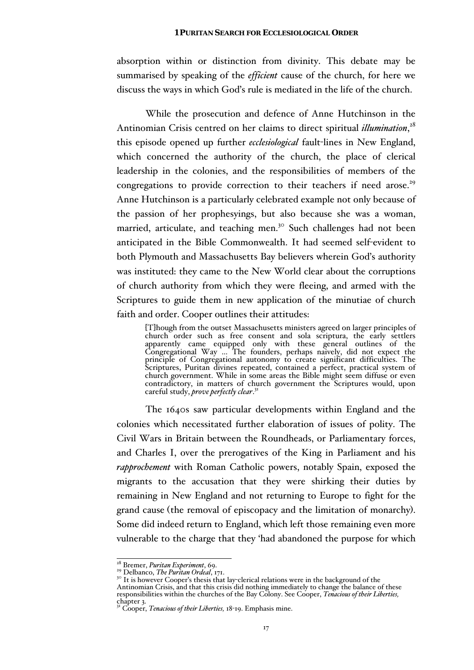absorption within or distinction from divinity. This debate may be summarised by speaking of the *efficient* cause of the church, for here we discuss the ways in which God's rule is mediated in the life of the church.

While the prosecution and defence of Anne Hutchinson in the Antinomian Crisis centred on her claims to direct spiritual *illumination*, 28 this episode opened up further *ecclesiological* fault-lines in New England, which concerned the authority of the church, the place of clerical leadership in the colonies, and the responsibilities of members of the congregations to provide correction to their teachers if need arose.<sup>29</sup> Anne Hutchinson is a particularly celebrated example not only because of the passion of her prophesyings, but also because she was a woman, married, articulate, and teaching men.<sup>30</sup> Such challenges had not been anticipated in the Bible Commonwealth. It had seemed self-evident to both Plymouth and Massachusetts Bay believers wherein God's authority was instituted: they came to the New World clear about the corruptions of church authority from which they were fleeing, and armed with the Scriptures to guide them in new application of the minutiae of church faith and order. Cooper outlines their attitudes:

[T]hough from the outset Massachusetts ministers agreed on larger principles of church order such as free consent and sola scriptura, the early settlers apparently came equipped only with these general outlines of the Congregational Way … The founders, perhaps naively, did not expect the principle of Congregational autonomy to create significant difficulties. The Scriptures, Puritan divines repeated, contained a perfect, practical system of church government. While in some areas the Bible might seem diffuse or even contradictory, in matters of church government the Scriptures would, upon careful study, *prove perfectly clear*. 31

The 1640s saw particular developments within England and the colonies which necessitated further elaboration of issues of polity. The Civil Wars in Britain between the Roundheads, or Parliamentary forces, and Charles I, over the prerogatives of the King in Parliament and his *rapprochement* with Roman Catholic powers, notably Spain, exposed the migrants to the accusation that they were shirking their duties by remaining in New England and not returning to Europe to fight for the grand cause (the removal of episcopacy and the limitation of monarchy). Some did indeed return to England, which left those remaining even more vulnerable to the charge that they 'had abandoned the purpose for which

<sup>&</sup>lt;sup>28</sup> Bremer, *Puritan Experiment*, 69.<br><sup>29</sup> Delbanco, *The Puritan Ordeal*, 171.<br><sup>30</sup> It is however Cooper's thesis that lay-clerical relations were in the background of the

Antinomian Crisis, and that this crisis did nothing immediately to change the balance of these responsibilities within the churches of the Bay Colony. See Cooper, *Tenacious of their Liberties,*

chapter 3. <sup>31</sup> Cooper, *Tenacious of their Liberties,* 18-19. Emphasis mine.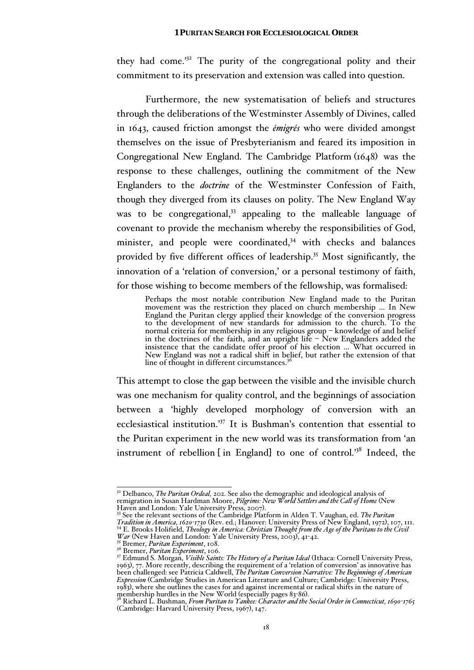they had come.<sup>32</sup> The purity of the congregational polity and their commitment to its preservation and extension was called into question.

Furthermore, the new systematisation of beliefs and structures through the deliberations of the Westminster Assembly of Divines, called in 1643, caused friction amongst the *émigrés* who were divided amongst themselves on the issue of Presbyterianism and feared its imposition in Congregational New England. The Cambridge Platform (1648) was the response to these challenges, outlining the commitment of the New Englanders to the *doctrine* of the Westminster Confession of Faith, though they diverged from its clauses on polity. The New England Way was to be congregational,<sup>33</sup> appealing to the malleable language of covenant to provide the mechanism whereby the responsibilities of God, minister, and people were coordinated, $34$  with checks and balances provided by five different offices of leadership.<sup>35</sup> Most significantly, the innovation of a 'relation of conversion,' or a personal testimony of faith, for those wishing to become members of the fellowship, was formalised:

Perhaps the most notable contribution New England made to the Puritan movement was the restriction they placed on church membership … In New England the Puritan clergy applied their knowledge of the conversion progress to the development of new standards for admission to the church. To the normal criteria for membership in any religious group – knowledge of and belief in the doctrines of the faith, and an upright life – New Englanders added the insistence that the candidate offer proof of his election … What occurred in New England was not a radical shift in belief, but rather the extension of that line of thought in different circumstances.<sup>36</sup>

This attempt to close the gap between the visible and the invisible church was one mechanism for quality control, and the beginnings of association between a 'highly developed morphology of conversion with an ecclesiastical institution.<sup>37</sup> It is Bushman's contention that essential to the Puritan experiment in the new world was its transformation from 'an instrument of rebellion  $\left[$  in England $\right]$  to one of control.<sup>'38</sup> Indeed, the

<sup>32</sup> Delbanco, *The Puritan Ordeal,* 202. See also the demographic and ideological analysis of remigration in Susan Hardman Moore, *Pilgrims: New World Settlers and the Call of Home* (New

Haven and London: Yale University Press, 2007).<br><sup>33</sup> See the relevant sections of the Cambridge Platform in Alden T. Vaughan, ed. *The Puritan* Tradition in America, 1620-1730 (Rev. ed.; Hanover: University Press of New England, 1972), 107, 111.<br><sup>34</sup> E. Brooks Holifield, *Theology in America: Christian Thought from the Age of the Puritans to the Civil War* (New Haven and London: Yale University Press, 2003), 41-42.<br><sup>35</sup> Bremer, *Puritan Experiment*, 108.

<sup>&</sup>lt;sup>36</sup> Bremer, *Puritan Experiment*, 106.<br><sup>37</sup> Edmund S. Morgan, *Visible Saints: The History of a Puritan Ideal* (Ithaca: Cornell University Press, 1963), 77. More recently, describing the requirement of a 'relation of conversion' as innovative has<br>been challenged: see Patricia Caldwell, *The Puritan Conversion Narrative: The Beginnings of American Expression* (Cambridge Studies in American Literature and Culture; Cambridge: University Press, 1983), where she outlines the cases for and against incremental or radical shifts in the nature of membership hurdles in the New World (especially pages 83-86). <sup>38</sup> Richard L. Bushman, *From Puritan to Yankee: Character and the Social Order in Connecticut, 1690-<sup>1765</sup>*

<sup>(</sup>Cambridge: Harvard University Press, 1967), 147.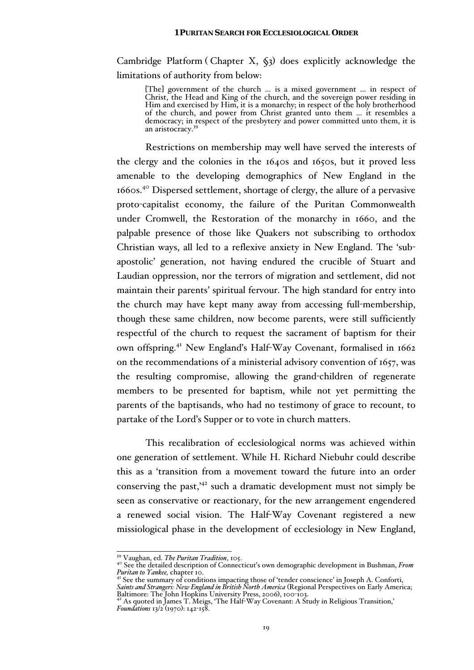## Cambridge Platform (Chapter  $X$ ,  $\zeta_3$ ) does explicitly acknowledge the limitations of authority from below:

[The] government of the church … is a mixed government … in respect of Christ, the Head and King of the church, and the sovereign power residing in Him and exercised by Him, it is a monarchy; in respect of the holy brotherhood of the church, and power from Christ granted unto them … it resembles a democracy; in respect of the presbytery and power committed unto them, it is an aristocracy.<sup>39</sup>

Restrictions on membership may well have served the interests of the clergy and the colonies in the 1640s and 1650s, but it proved less amenable to the developing demographics of New England in the 1660s.40 Dispersed settlement, shortage of clergy, the allure of a pervasive proto-capitalist economy, the failure of the Puritan Commonwealth under Cromwell, the Restoration of the monarchy in 1660, and the palpable presence of those like Quakers not subscribing to orthodox Christian ways, all led to a reflexive anxiety in New England. The 'subapostolic' generation, not having endured the crucible of Stuart and Laudian oppression, nor the terrors of migration and settlement, did not maintain their parents' spiritual fervour. The high standard for entry into the church may have kept many away from accessing full-membership, though these same children, now become parents, were still sufficiently respectful of the church to request the sacrament of baptism for their own offspring. 41 New England's Half-Way Covenant, formalised in 1662 on the recommendations of a ministerial advisory convention of 1657, was the resulting compromise, allowing the grand-children of regenerate members to be presented for baptism, while not yet permitting the parents of the baptisands, who had no testimony of grace to recount, to partake of the Lord's Supper or to vote in church matters.

This recalibration of ecclesiological norms was achieved within one generation of settlement. While H. Richard Niebuhr could describe this as a 'transition from a movement toward the future into an order conserving the past,<sup> $1/42$ </sup> such a dramatic development must not simply be seen as conservative or reactionary, for the new arrangement engendered a renewed social vision. The Half-Way Covenant registered a new missiological phase in the development of ecclesiology in New England,

<sup>&</sup>lt;sup>39</sup> Vaughan, ed. *The Puritan Tradition*, 105.<br><sup>40</sup> See the detailed description of Connecticut's own demographic development in Bushman, *From Puritan to Yankee,* chapter 10. 41 See the summary of conditions impacting those of 'tender conscience' in Joseph A. Conforti,

*Saints and Strangers: New England in British North America* (Regional Perspectives on Early America;

Baltimore: The John Hopkins University Press, 2006), 100-103.<br>
<sup>42</sup> As quoted in James T. Meigs, 'The Half-Way Covenant: A Study in Religious Transition,' *Foundations* 13/2 (1970): 142-158.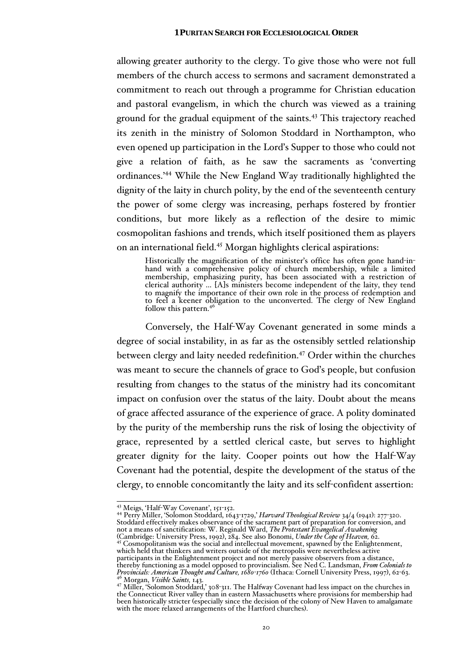allowing greater authority to the clergy. To give those who were not full members of the church access to sermons and sacrament demonstrated a commitment to reach out through a programme for Christian education and pastoral evangelism, in which the church was viewed as a training ground for the gradual equipment of the saints.<sup>43</sup> This trajectory reached its zenith in the ministry of Solomon Stoddard in Northampton, who even opened up participation in the Lord's Supper to those who could not give a relation of faith, as he saw the sacraments as 'converting ordinances.'44 While the New England Way traditionally highlighted the dignity of the laity in church polity, by the end of the seventeenth century the power of some clergy was increasing, perhaps fostered by frontier conditions, but more likely as a reflection of the desire to mimic cosmopolitan fashions and trends, which itself positioned them as players on an international field.45 Morgan highlights clerical aspirations:

Historically the magnification of the minister's office has often gone hand-inhand with a comprehensive policy of church membership, while a limited membership, emphasizing purity, has been associated with a restriction of clerical authority … [A]s ministers become independent of the laity, they tend to magnify the importance of their own role in the process of redemption and to feel a keener obligation to the unconverted. The clergy of New England follow this pattern.<sup>46</sup>

Conversely, the Half-Way Covenant generated in some minds a degree of social instability, in as far as the ostensibly settled relationship between clergy and laity needed redefinition.<sup>47</sup> Order within the churches was meant to secure the channels of grace to God's people, but confusion resulting from changes to the status of the ministry had its concomitant impact on confusion over the status of the laity. Doubt about the means of grace affected assurance of the experience of grace. A polity dominated by the purity of the membership runs the risk of losing the objectivity of grace, represented by a settled clerical caste, but serves to highlight greater dignity for the laity. Cooper points out how the Half-Way Covenant had the potential, despite the development of the status of the clergy, to ennoble concomitantly the laity and its self-confident assertion:

<sup>43</sup> Meigs, 'Half-Way Covenant', 151-152.<br><sup>44</sup> Perry Miller, 'Solomon Stoddard, 1643-1729,' *Harvard Theological Review* 34/4 (1941): 277-320. Stoddard effectively makes observance of the sacrament part of preparation for conversion, and not a means of sanctification: W. Reginald Ward, *The Protestant Evangelical Awakening*

<sup>(</sup>Cambridge: University Press, 1992), 284. See also Bonomi, *Under the Cope of Heaven, 6*2.<br><sup>45</sup> Cosmopolitanism was the social and intellectual movement, spawned by the Enlightenment, which held that thinkers and writers outside of the metropolis were nevertheless active participants in the Enlightenment project and not merely passive observers from a distance, thereby functioning as a model opposed to provincialism. See Ned C. Landsman, *From Colonials to*  <sup>46</sup> Morgan, *Visible Saints*, 143.<br><sup>47</sup> Miller, 'Solomon Stoddard,' 308-311. The Halfway Covenant had less impact on the churches in

the Connecticut River valley than in eastern Massachusetts where provisions for membership had been historically stricter (especially since the decision of the colony of New Haven to amalgamate with the more relaxed arrangements of the Hartford churches).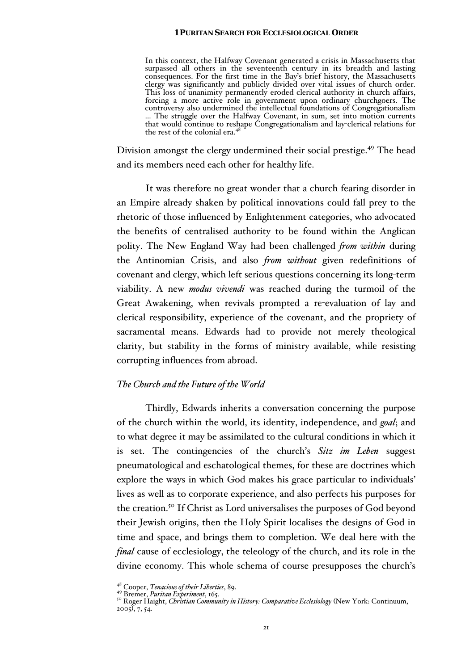In this context, the Halfway Covenant generated a crisis in Massachusetts that  $\overline{\text{consequences.}}$  For the first time in the Bay's brief history, the Massachusetts clergy was significantly and publicly divided over vital issues of church order. This loss of unanimity permanently eroded clerical authority in church affairs, forcing a more active role in government upon ordinary churchgoers. The controversy also undermined the intellectual foundations of Congregationalism … The struggle over the Halfway Covenant, in sum, set into motion currents that would continue to reshape Congregationalism and lay-clerical relations for the rest of the colonial era.<sup>48</sup>

Division amongst the clergy undermined their social prestige.<sup>49</sup> The head and its members need each other for healthy life.

It was therefore no great wonder that a church fearing disorder in an Empire already shaken by political innovations could fall prey to the rhetoric of those influenced by Enlightenment categories, who advocated the benefits of centralised authority to be found within the Anglican polity. The New England Way had been challenged *from within* during the Antinomian Crisis, and also *from without* given redefinitions of covenant and clergy, which left serious questions concerning its long-term viability. A new *modus vivendi* was reached during the turmoil of the Great Awakening, when revivals prompted a re-evaluation of lay and clerical responsibility, experience of the covenant, and the propriety of sacramental means. Edwards had to provide not merely theological clarity, but stability in the forms of ministry available, while resisting corrupting influences from abroad.

#### *The Church and the Future of the World*

Thirdly, Edwards inherits a conversation concerning the purpose of the church within the world, its identity, independence, and *goal*; and to what degree it may be assimilated to the cultural conditions in which it is set. The contingencies of the church's *Sitz im Leben* suggest pneumatological and eschatological themes, for these are doctrines which explore the ways in which God makes his grace particular to individuals' lives as well as to corporate experience, and also perfects his purposes for the creation.50 If Christ as Lord universalises the purposes of God beyond their Jewish origins, then the Holy Spirit localises the designs of God in time and space, and brings them to completion. We deal here with the *final* cause of ecclesiology, the teleology of the church, and its role in the divine economy. This whole schema of course presupposes the church's

<sup>&</sup>lt;sup>48</sup> Cooper, *Tenacious of their Liberties*, 89.<br><sup>49</sup> Bremer, *Puritan Experiment*, 165.<br><sup>50</sup> Roger Haight, *Christian Community in History: Comparative Ecclesiology* (New York: Continuum,  $2005$ , 7, 54.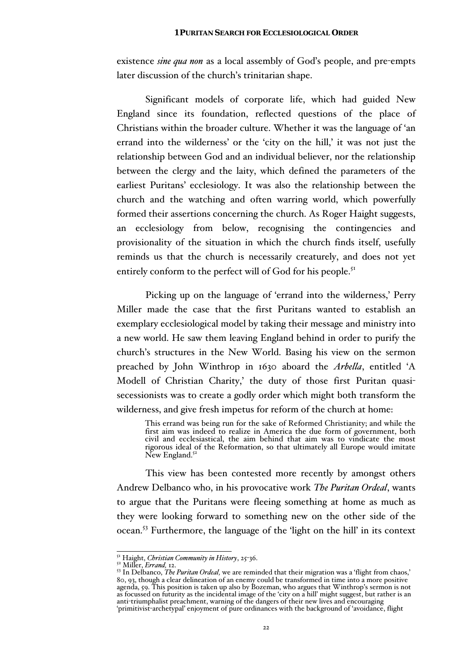existence *sine qua non* as a local assembly of God's people, and pre-empts later discussion of the church's trinitarian shape.

Significant models of corporate life, which had guided New England since its foundation, reflected questions of the place of Christians within the broader culture. Whether it was the language of 'an errand into the wilderness' or the 'city on the hill,' it was not just the relationship between God and an individual believer, nor the relationship between the clergy and the laity, which defined the parameters of the earliest Puritans' ecclesiology. It was also the relationship between the church and the watching and often warring world, which powerfully formed their assertions concerning the church. As Roger Haight suggests, an ecclesiology from below, recognising the contingencies and provisionality of the situation in which the church finds itself, usefully reminds us that the church is necessarily creaturely, and does not yet entirely conform to the perfect will of God for his people.<sup>51</sup>

Picking up on the language of 'errand into the wilderness,' Perry Miller made the case that the first Puritans wanted to establish an exemplary ecclesiological model by taking their message and ministry into a new world. He saw them leaving England behind in order to purify the church's structures in the New World. Basing his view on the sermon preached by John Winthrop in 1630 aboard the *Arbella*, entitled 'A Modell of Christian Charity,' the duty of those first Puritan quasisecessionists was to create a godly order which might both transform the wilderness, and give fresh impetus for reform of the church at home:

This errand was being run for the sake of Reformed Christianity; and while the first aim was indeed to realize in America the due form of government, both civil and ecclesiastical, the aim behind that aim was to vindicate the most rigorous ideal of the Reformation, so that ultimately all Europe would imitate New England. $5$ 

This view has been contested more recently by amongst others Andrew Delbanco who, in his provocative work *The Puritan Ordeal*, wants to argue that the Puritans were fleeing something at home as much as they were looking forward to something new on the other side of the ocean.53 Furthermore, the language of the 'light on the hill' in its context

<sup>&</sup>lt;sup>51</sup> Haight, *Christian Community in History*, 25-36.<br><sup>52</sup> Miller, *Errand*, 12.<br><sup>53</sup> In Delbanco, *The Puritan Ordeal*, we are reminded that their migration was a 'flight from chaos,'<br>80, 93, though a clear delineation o agenda, 59. This position is taken up also by Bozeman, who argues that Winthrop's sermon is not as focussed on futurity as the incidental image of the 'city on a hill' might suggest, but rather is an anti-triumphalist preachment, warning of the dangers of their new lives and encouraging 'primitivist-archetypal' enjoyment of pure ordinances with the background of 'avoidance, flight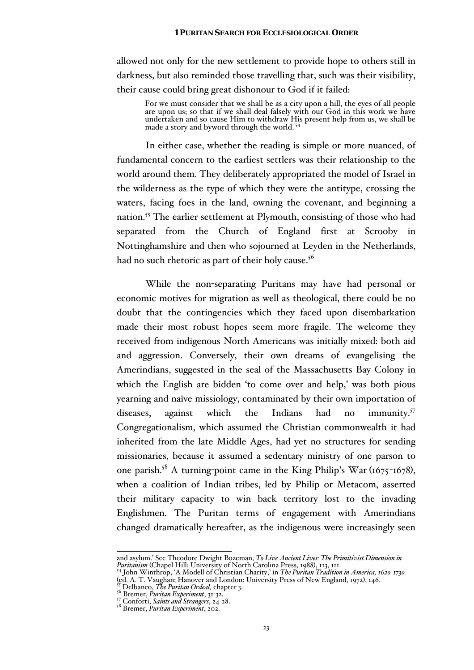allowed not only for the new settlement to provide hope to others still in darkness, but also reminded those travelling that, such was their visibility, their cause could bring great dishonour to God if it failed:

For we must consider that we shall be as a city upon a hill, the eyes of all people are upon us; so that if we shall deal falsely with our God in this work we have undertaken and so cause Him to withdraw His present help from us, we shall be made a story and byword through the world. <sup>54</sup>

In either case, whether the reading is simple or more nuanced, of fundamental concern to the earliest settlers was their relationship to the world around them. They deliberately appropriated the model of Israel in the wilderness as the type of which they were the antitype, crossing the waters, facing foes in the land, owning the covenant, and beginning a nation.55 The earlier settlement at Plymouth, consisting of those who had separated from the Church of England first at Scrooby in Nottinghamshire and then who sojourned at Leyden in the Netherlands, had no such rhetoric as part of their holy cause.<sup>56</sup>

While the non-separating Puritans may have had personal or economic motives for migration as well as theological, there could be no doubt that the contingencies which they faced upon disembarkation made their most robust hopes seem more fragile. The welcome they received from indigenous North Americans was initially mixed: both aid and aggression. Conversely, their own dreams of evangelising the Amerindians, suggested in the seal of the Massachusetts Bay Colony in which the English are bidden 'to come over and help,' was both pious yearning and naïve missiology, contaminated by their own importation of diseases, against which the Indians had no immunity. $57$ Congregationalism, which assumed the Christian commonwealth it had inherited from the late Middle Ages, had yet no structures for sending missionaries, because it assumed a sedentary ministry of one parson to one parish.<sup>58</sup> A turning-point came in the King Philip's War ( $1675$ - $1678$ ), when a coalition of Indian tribes, led by Philip or Metacom, asserted their military capacity to win back territory lost to the invading Englishmen. The Puritan terms of engagement with Amerindians changed dramatically hereafter, as the indigenous were increasingly seen

1

and asylum.' See Theodore Dwight Bozeman, *To Live Ancient Lives: The Primitivist Dimension in Puritanism* (Chapel Hill: University of North Carolina Press, 1988), 113, 111. <sup>54</sup> John Winthrop, 'A Modell of Christian Charity,' in *The Puritan Tradition in America, 1620-<sup>1730</sup>*

<sup>(</sup>ed. A. T. Vaughan; Hanover and London: University Press of New England, 1972), 146.<br><sup>55</sup> Delbanco, *The Puritan Ordeal*, chapter 3.

<sup>56</sup> Deibanco, *1 De 1 ut tum Ortical*, encyclopedia<br>56 Bremer, *Puritan Experiment*, 31-32.<br>57 Conforti, Saints and Strangers, 24-28.<br>58 Bremer, *Puritan Experiment*, 202.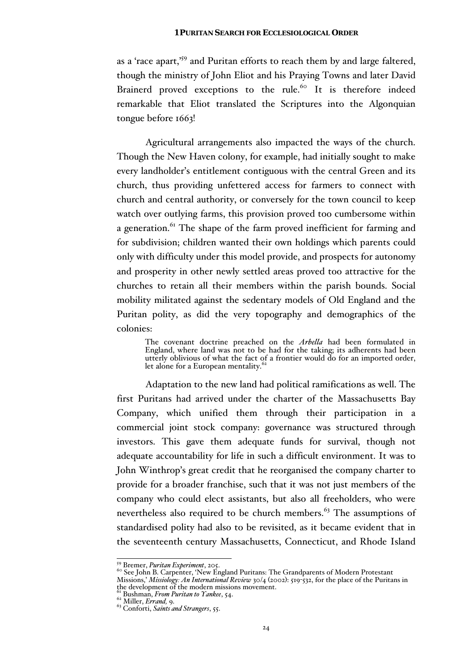as a 'race apart,<sup>559</sup> and Puritan efforts to reach them by and large faltered, though the ministry of John Eliot and his Praying Towns and later David Brainerd proved exceptions to the rule.<sup>60</sup> It is therefore indeed remarkable that Eliot translated the Scriptures into the Algonquian tongue before 1663!

Agricultural arrangements also impacted the ways of the church. Though the New Haven colony, for example, had initially sought to make every landholder's entitlement contiguous with the central Green and its church, thus providing unfettered access for farmers to connect with church and central authority, or conversely for the town council to keep watch over outlying farms, this provision proved too cumbersome within a generation.<sup>61</sup> The shape of the farm proved inefficient for farming and for subdivision; children wanted their own holdings which parents could only with difficulty under this model provide, and prospects for autonomy and prosperity in other newly settled areas proved too attractive for the churches to retain all their members within the parish bounds. Social mobility militated against the sedentary models of Old England and the Puritan polity, as did the very topography and demographics of the colonies:

The covenant doctrine preached on the *Arbella* had been formulated in England, where land was not to be had for the taking; its adherents had been utterly oblivious of what the fact of a frontier would do for an imported order, let alone for a European mentality.<sup>62</sup>

Adaptation to the new land had political ramifications as well. The first Puritans had arrived under the charter of the Massachusetts Bay Company, which unified them through their participation in a commercial joint stock company: governance was structured through investors. This gave them adequate funds for survival, though not adequate accountability for life in such a difficult environment. It was to John Winthrop's great credit that he reorganised the company charter to provide for a broader franchise, such that it was not just members of the company who could elect assistants, but also all freeholders, who were nevertheless also required to be church members.<sup>63</sup> The assumptions of standardised polity had also to be revisited, as it became evident that in the seventeenth century Massachusetts, Connecticut, and Rhode Island

<sup>&</sup>lt;sup>59</sup> Bremer, *Puritan Experiment*, 205.<br><sup>60</sup> See John B. Carpenter, 'New England Puritans: The Grandparents of Modern Protestant Missions,' *Missiology: An International Review* 30/4 (2002): 519-532, for the place of the Puritans in<br>the development of the modern missions movement.

the development of the modern missions movement. <sup>61</sup> Bushman, *From Puritan to Yankee*, 54. <sup>62</sup> Miller, *Errand,* 9. <sup>63</sup> Conforti, *Saints and Strangers*, 55.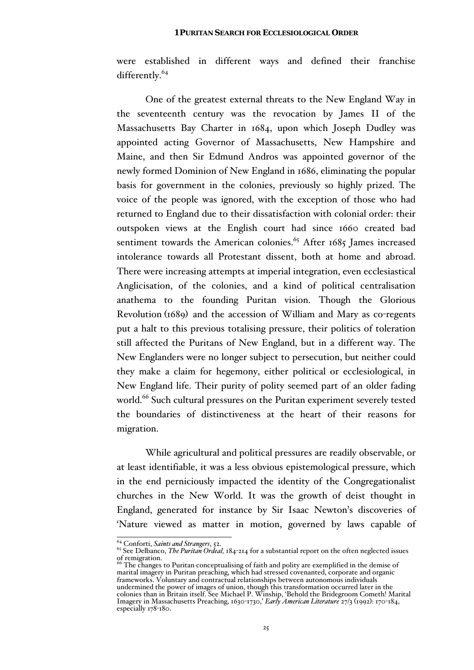were established in different ways and defined their franchise differently.<sup>64</sup>

One of the greatest external threats to the New England Way in the seventeenth century was the revocation by James II of the Massachusetts Bay Charter in 1684, upon which Joseph Dudley was appointed acting Governor of Massachusetts, New Hampshire and Maine, and then Sir Edmund Andros was appointed governor of the newly formed Dominion of New England in 1686, eliminating the popular basis for government in the colonies, previously so highly prized. The voice of the people was ignored, with the exception of those who had returned to England due to their dissatisfaction with colonial order: their outspoken views at the English court had since 1660 created bad sentiment towards the American colonies.<sup>65</sup> After  $1685$  James increased intolerance towards all Protestant dissent, both at home and abroad. There were increasing attempts at imperial integration, even ecclesiastical Anglicisation, of the colonies, and a kind of political centralisation anathema to the founding Puritan vision. Though the Glorious Revolution (1689) and the accession of William and Mary as co-regents put a halt to this previous totalising pressure, their politics of toleration still affected the Puritans of New England, but in a different way. The New Englanders were no longer subject to persecution, but neither could they make a claim for hegemony, either political or ecclesiological, in New England life. Their purity of polity seemed part of an older fading world.<sup>66</sup> Such cultural pressures on the Puritan experiment severely tested the boundaries of distinctiveness at the heart of their reasons for migration.

While agricultural and political pressures are readily observable, or at least identifiable, it was a less obvious epistemological pressure, which in the end perniciously impacted the identity of the Congregationalist churches in the New World. It was the growth of deist thought in England, generated for instance by Sir Isaac Newton's discoveries of 'Nature viewed as matter in motion, governed by laws capable of

<sup>&</sup>lt;sup>64</sup> Conforti, *Saints and Strangers*, 52.<br><sup>65</sup> See Delbanco, *The Puritan Ordeal*, 184-214 for a substantial report on the often neglected issues of remigration.

<sup>66</sup> The changes to Puritan conceptualising of faith and polity are exemplified in the demise of marital imagery in Puritan preaching, which had stressed covenanted, corporate and organic<br>frameworks. Voluntary and contractual relationships between autonomous individuals undermined the power of images of union, though this transformation occurred later in the colonies than in Britain itself. See Michael P. Winship, 'Behold the Bridegroom Cometh! Marital Imagery in Massachusetts Preaching, 1630-1730,' *Early American Literature* 27/3 (1992): 170-184, especially 178-180.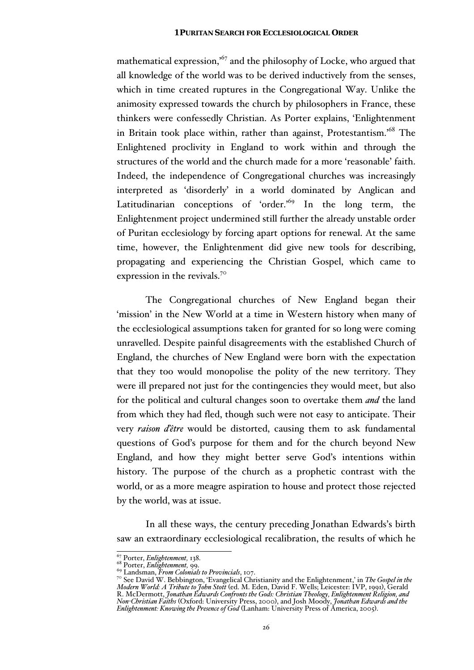mathematical expression,<sup> $67$ </sup> and the philosophy of Locke, who argued that all knowledge of the world was to be derived inductively from the senses, which in time created ruptures in the Congregational Way. Unlike the animosity expressed towards the church by philosophers in France, these thinkers were confessedly Christian. As Porter explains, 'Enlightenment in Britain took place within, rather than against, Protestantism.'68 The Enlightened proclivity in England to work within and through the structures of the world and the church made for a more 'reasonable' faith. Indeed, the independence of Congregational churches was increasingly interpreted as 'disorderly' in a world dominated by Anglican and Latitudinarian conceptions of 'order.'<sup>69</sup> In the long term, the Enlightenment project undermined still further the already unstable order of Puritan ecclesiology by forcing apart options for renewal. At the same time, however, the Enlightenment did give new tools for describing, propagating and experiencing the Christian Gospel, which came to expression in the revivals.<sup>70</sup>

The Congregational churches of New England began their 'mission' in the New World at a time in Western history when many of the ecclesiological assumptions taken for granted for so long were coming unravelled. Despite painful disagreements with the established Church of England, the churches of New England were born with the expectation that they too would monopolise the polity of the new territory. They were ill prepared not just for the contingencies they would meet, but also for the political and cultural changes soon to overtake them *and* the land from which they had fled, though such were not easy to anticipate. Their very *raison d'être* would be distorted, causing them to ask fundamental questions of God's purpose for them and for the church beyond New England, and how they might better serve God's intentions within history. The purpose of the church as a prophetic contrast with the world, or as a more meagre aspiration to house and protect those rejected by the world, was at issue.

In all these ways, the century preceding Jonathan Edwards's birth saw an extraordinary ecclesiological recalibration, the results of which he

<sup>&</sup>lt;sup>67</sup> Porter, *Enlightenment,* 138.<br><sup>68</sup> Porter, *Enlightenment,* 99.<br><sup>69</sup> Landsman, *From Colonials to Provincials*, 107.<br><sup>70</sup> See David W. Bebbington, 'Evangelical Christianity and the Enlightenment,' in *The Gospel in th Modern World: A Tribute to John Stott* (ed. M. Eden, David F. Wells; Leicester: IVP, 1991), Gerald R. McDermott, *Jonathan Edwards Confronts the Gods: Christian Theology, Enlightenment Religion, and Non-Christian Faiths* (Oxford: University Press, 2000), and Josh Moody, *Jonathan Edwards and the Enlightenment: Knowing the Presence of God* (Lanham: University Press of America, 2005).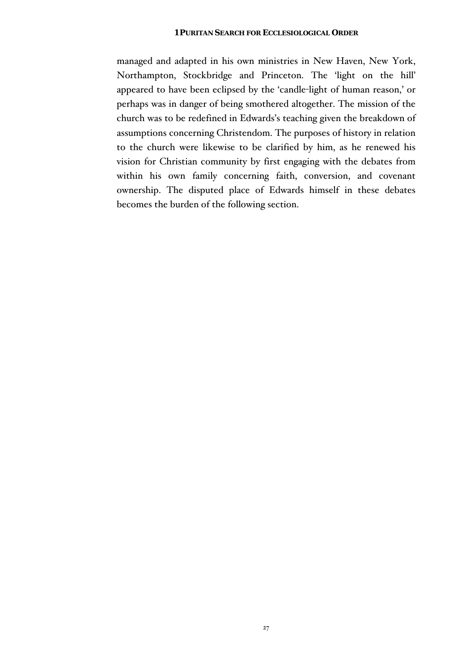managed and adapted in his own ministries in New Haven, New York, Northampton, Stockbridge and Princeton. The 'light on the hill' appeared to have been eclipsed by the 'candle-light of human reason,' or perhaps was in danger of being smothered altogether. The mission of the church was to be redefined in Edwards's teaching given the breakdown of assumptions concerning Christendom. The purposes of history in relation to the church were likewise to be clarified by him, as he renewed his vision for Christian community by first engaging with the debates from within his own family concerning faith, conversion, and covenant ownership. The disputed place of Edwards himself in these debates becomes the burden of the following section.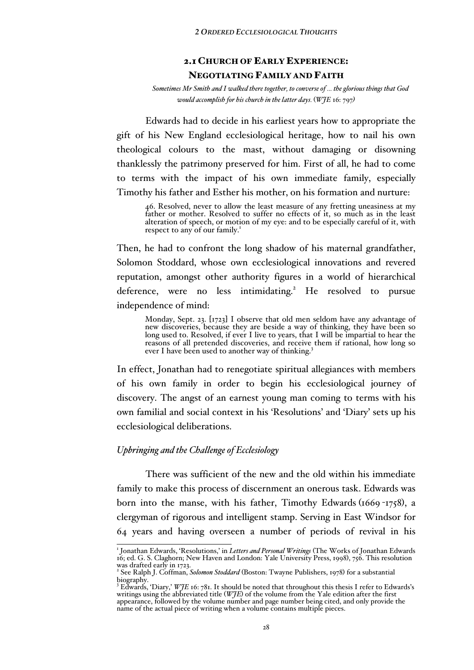## 2.1 CHURCH OF EARLY EXPERIENCE: NEGOTIATING FAMILY AND FAITH

*Sometimes Mr Smith and I walked there together, to converse of … the glorious things that God would accomplish for his church in the latter days.* (*WJE* 16: 797*)*

Edwards had to decide in his earliest years how to appropriate the gift of his New England ecclesiological heritage, how to nail his own theological colours to the mast, without damaging or disowning thanklessly the patrimony preserved for him. First of all, he had to come to terms with the impact of his own immediate family, especially Timothy his father and Esther his mother, on his formation and nurture:

46. Resolved, never to allow the least measure of any fretting uneasiness at my father or mother. Resolved to suffer no effects of it, so much as in the least alteration of speech, or motion of my eye: and to be especially careful of it, with respect to any of our family.<sup>1</sup>

Then, he had to confront the long shadow of his maternal grandfather, Solomon Stoddard, whose own ecclesiological innovations and revered reputation, amongst other authority figures in a world of hierarchical deference, were no less intimidating.<sup>2</sup> He resolved to pursue independence of mind:

Monday, Sept. 23. [1723] I observe that old men seldom have any advantage of new discoveries, because they are beside a way of thinking, they have been so long used to. Resolved, if ever I live to years, that I will be impartial to hear the reasons of all pretended discoveries, and receive them if rational, how long so ever I have been used to another way of thinking.<sup>3</sup>

In effect, Jonathan had to renegotiate spiritual allegiances with members of his own family in order to begin his ecclesiological journey of discovery. The angst of an earnest young man coming to terms with his own familial and social context in his 'Resolutions' and 'Diary' sets up his ecclesiological deliberations.

#### *Upbringing and the Challenge of Ecclesiology*

There was sufficient of the new and the old within his immediate family to make this process of discernment an onerous task. Edwards was born into the manse, with his father, Timothy Edwards (1669 -1758), a clergyman of rigorous and intelligent stamp. Serving in East Windsor for 64 years and having overseen a number of periods of revival in his

<sup>1</sup> Jonathan Edwards, 'Resolutions,' in *Letters and Personal Writings* (The Works of Jonathan Edwards 16; ed. G. S. Claghorn; New Haven and London: Yale University Press, 1998), 756. This resolution was drafted early in 1723. 2 See Ralph J. Coffman, *Solomon Stoddard* (Boston: Twayne Publishers, 1978) for a substantial

biography. <sup>3</sup> Edwards, 'Diary,' *WJE* 16: 781. It should be noted that throughout this thesis I refer to Edwards's

writings using the abbreviated title (*WJE*) of the volume from the Yale edition after the first appearance, followed by the volume number and page number being cited, and only provide the name of the actual piece of writing when a volume contains multiple pieces.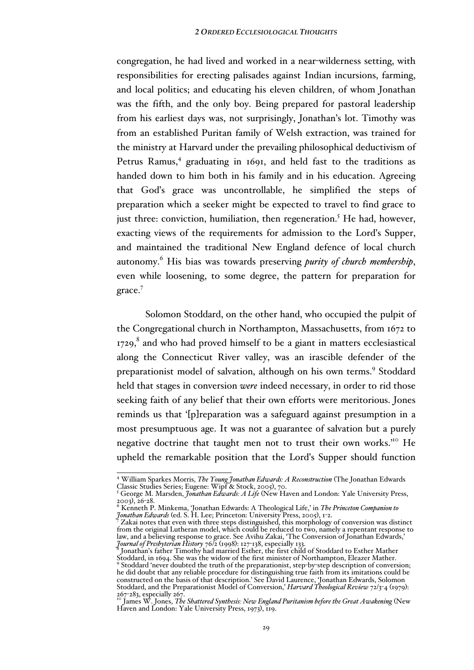congregation, he had lived and worked in a near-wilderness setting, with responsibilities for erecting palisades against Indian incursions, farming, and local politics; and educating his eleven children, of whom Jonathan was the fifth, and the only boy. Being prepared for pastoral leadership from his earliest days was, not surprisingly, Jonathan's lot. Timothy was from an established Puritan family of Welsh extraction, was trained for the ministry at Harvard under the prevailing philosophical deductivism of Petrus Ramus,<sup>4</sup> graduating in 1691, and held fast to the traditions as handed down to him both in his family and in his education. Agreeing that God's grace was uncontrollable, he simplified the steps of preparation which a seeker might be expected to travel to find grace to just three: conviction, humiliation, then regeneration.<sup>5</sup> He had, however, exacting views of the requirements for admission to the Lord's Supper, and maintained the traditional New England defence of local church autonomy.6 His bias was towards preserving *purity of church membership*, even while loosening, to some degree, the pattern for preparation for grace.7

Solomon Stoddard, on the other hand, who occupied the pulpit of the Congregational church in Northampton, Massachusetts, from 1672 to 1729, $^8$  and who had proved himself to be a giant in matters ecclesiastical along the Connecticut River valley, was an irascible defender of the preparationist model of salvation, although on his own terms.<sup>9</sup> Stoddard held that stages in conversion *were* indeed necessary, in order to rid those seeking faith of any belief that their own efforts were meritorious. Jones reminds us that '[p]reparation was a safeguard against presumption in a most presumptuous age. It was not a guarantee of salvation but a purely negative doctrine that taught men not to trust their own works."<sup>10</sup> He upheld the remarkable position that the Lord's Supper should function

<sup>4</sup> William Sparkes Morris, *The Young Jonathan Edwards: A Reconstruction* (The Jonathan Edwards

Classic Studies Series; Eugene: Wipf & Stock, 2005), 70.<br><sup>5</sup> George M. Marsden, *Jonathan Edwards: A Life* (New Haven and London: Yale University Press,

<sup>2003), 26-28.&</sup>lt;br><sup>6</sup> Kenneth P. Minkema, 'Jonathan Edwards: A Theological Life,' in *The Princeton Companion to* <sub>.</sub>

J*onathan Edwards* (ed. S. H. Lee; Princeton: University Press, 2005), 1-2.<br><sup>7</sup> Zakai notes that even with three steps distinguished, this morphology of conversion was distinct from the original Lutheran model, which could be reduced to two, namely a repentant response to law, and a believing response to grace. See Avihu Zakai, 'The Conversion of Jonathan Edwards,'

J*ournal of Presbyterian History 76*/2 (1998): 127-138, especially 133.<br><sup>8</sup> Jonathan's father Timothy had married Esther, the first child of Stoddard to Esther Mather Stoddard, in 1694. She was the widow of the first minister of Northampton, Eleazer Mather. <sup>9</sup> Stoddard 'never doubted the truth of the preparationist, step-by-step description of conversion; he did doubt that any reliable procedure for distinguishing true faith from its imitations could be constructed on the basis of that description.' See David Laurence, 'Jonathan Edwards, Solomon Stoddard, and the Preparationist Model of Conversion,' *Harvard Theological Review* 72/3-4 (1979): 267-283, especially 267.<br><sup>10</sup> James W. Jones, *The Shattered Synthesis: New England Puritanism before the Great Awakening (*New

Haven and London: Yale University Press, 1973), 119.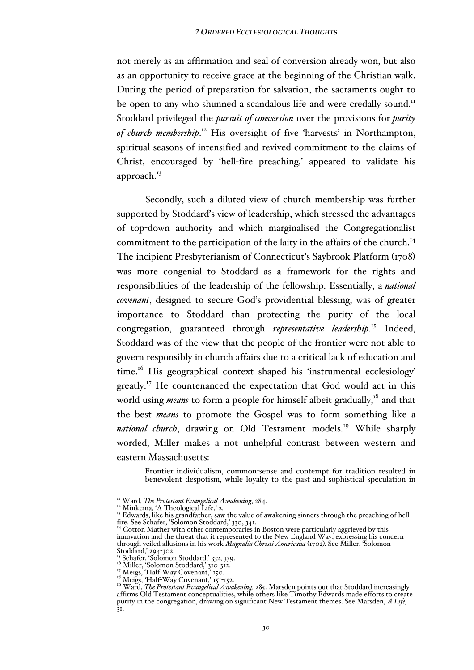not merely as an affirmation and seal of conversion already won, but also as an opportunity to receive grace at the beginning of the Christian walk. During the period of preparation for salvation, the sacraments ought to be open to any who shunned a scandalous life and were credally sound.<sup>11</sup> Stoddard privileged the *pursuit of conversion* over the provisions for *purity of church membership*. 12 His oversight of five 'harvests' in Northampton, spiritual seasons of intensified and revived commitment to the claims of Christ, encouraged by 'hell-fire preaching,' appeared to validate his approach. $13$ 

Secondly, such a diluted view of church membership was further supported by Stoddard's view of leadership, which stressed the advantages of top-down authority and which marginalised the Congregationalist commitment to the participation of the laity in the affairs of the church.<sup>14</sup> The incipient Presbyterianism of Connecticut's Saybrook Platform (1708) was more congenial to Stoddard as a framework for the rights and responsibilities of the leadership of the fellowship. Essentially, a *national covenant*, designed to secure God's providential blessing, was of greater importance to Stoddard than protecting the purity of the local congregation, guaranteed through *representative leadership*. 15 Indeed, Stoddard was of the view that the people of the frontier were not able to govern responsibly in church affairs due to a critical lack of education and time.<sup>16</sup> His geographical context shaped his 'instrumental ecclesiology' greatly.<sup>17</sup> He countenanced the expectation that God would act in this world using *means* to form a people for himself albeit gradually, 18 and that the best *means* to promote the Gospel was to form something like a *national church*, drawing on Old Testament models.<sup>19</sup> While sharply worded, Miller makes a not unhelpful contrast between western and eastern Massachusetts:

Frontier individualism, common-sense and contempt for tradition resulted in benevolent despotism, while loyalty to the past and sophistical speculation in

<sup>&</sup>lt;sup>11</sup> Ward, *The Protestant Evangelical Awakening*, 284.<br><sup>12</sup> Minkema, 'A Theological Life,' 2.<br><sup>13</sup> Edwards, like his grandfather, saw the value of awakening sinners through the preaching of hell-

fire. See Schafer, 'Solomon Stoddard,' 330, 341.<br><sup>14</sup> Cotton Mather with other contemporaries in Boston were particularly aggrieved by this innovation and the threat that it represented to the New England Way, expressing his concern through veiled allusions in his work *Magnalia Christi Americana* (1702)*.* See Miller, 'Solomon

Stoddard,' 294-302.<br><sup>15</sup> Schafer, 'Solomon Stoddard,' 332, 339.<br><sup>16</sup> Miller, 'Solomon Stoddard,' 310-312.<br><sup>17</sup> Meigs, 'Half-Way Covenant,' 150.<br><sup>18</sup> Meigs, 'Half-Way Covenant,' 151-152.<br><sup>19</sup> Ward, *The Protestant Evangelic* affirms Old Testament conceptualities, while others like Timothy Edwards made efforts to create purity in the congregation, drawing on significant New Testament themes. See Marsden, *A Life,* 31.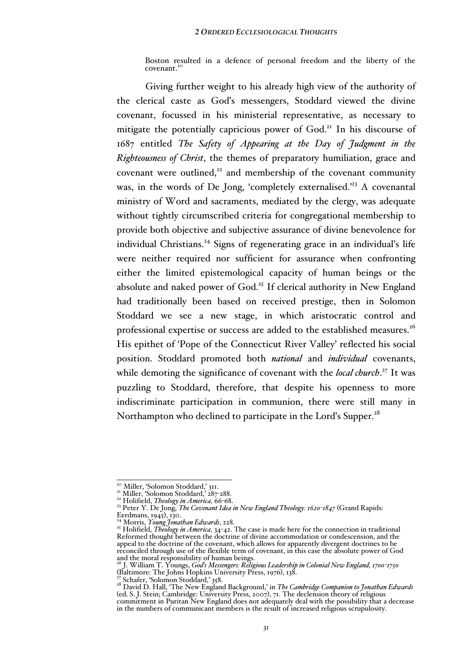Boston resulted in a defence of personal freedom and the liberty of the  $c$ ovenant $\frac{2}{3}$ 

Giving further weight to his already high view of the authority of the clerical caste as God's messengers, Stoddard viewed the divine covenant, focussed in his ministerial representative, as necessary to mitigate the potentially capricious power of  $God<sup>21</sup>$ . In his discourse of 1687 entitled *The Safety of Appearing at the Day of Judgment in the Righteousness of Christ*, the themes of preparatory humiliation, grace and covenant were outlined, $22$  and membership of the covenant community was, in the words of De Jong, 'completely externalised.'<sup>23</sup> A covenantal ministry of Word and sacraments, mediated by the clergy, was adequate without tightly circumscribed criteria for congregational membership to provide both objective and subjective assurance of divine benevolence for individual Christians.<sup>24</sup> Signs of regenerating grace in an individual's life were neither required nor sufficient for assurance when confronting either the limited epistemological capacity of human beings or the absolute and naked power of God.<sup>25</sup> If clerical authority in New England had traditionally been based on received prestige, then in Solomon Stoddard we see a new stage, in which aristocratic control and professional expertise or success are added to the established measures.<sup>26</sup> His epithet of 'Pope of the Connecticut River Valley' reflected his social position. Stoddard promoted both *national* and *individual* covenants, while demoting the significance of covenant with the *local church*. 27 It was puzzling to Stoddard, therefore, that despite his openness to more indiscriminate participation in communion, there were still many in Northampton who declined to participate in the Lord's Supper.<sup>28</sup>

<sup>&</sup>lt;sup>20</sup> Miller, 'Solomon Stoddard,' 311.<br><sup>21</sup> Miller, 'Solomon Stoddard,' 287-288.<br><sup>22</sup> Holifield, *Theology in America*, 66-68.<br><sup>23</sup> Peter Y. De Jong, *The Covenant Idea in New England Theology: 1620-1847* (Grand Rapids:<br>Eer

Eerdmans, 1945), 130.<br><sup>24</sup> Morris, *Young Jonathan Edwards*, 228.<br><sup>25</sup> Holifield, *Theology in America,* 34-42. The case is made here for the connection in traditional Reformed thought between the doctrine of divine accommodation or condescension, and the appeal to the doctrine of the covenant, which allows for apparently divergent doctrines to be reconciled through use of the flexible term of covenant, in this case the absolute power of God and the moral responsibility of human beings. <sup>26</sup> J. William T. Youngs, *God's Messengers: Religious Leadership in Colonial New England, 1700-1750*

<sup>(</sup>Baltimore: The Johns Hopkins University Press, 1976), 138.<br><sup>27</sup> Schafer, 'Solomon Stoddard,' 358.<br><sup>28</sup> David D. Hall, 'The New England Background,' in *The Cambridge Companion to Jonathan Edwards* 

<sup>(</sup>ed. S. J. Stein; Cambridge: University Press, 2007), 71. The declension theory of religious commitment in Puritan New England does not adequately deal with the possibility that a decrease in the numbers of communicant members is the result of increased religious scrupulosity.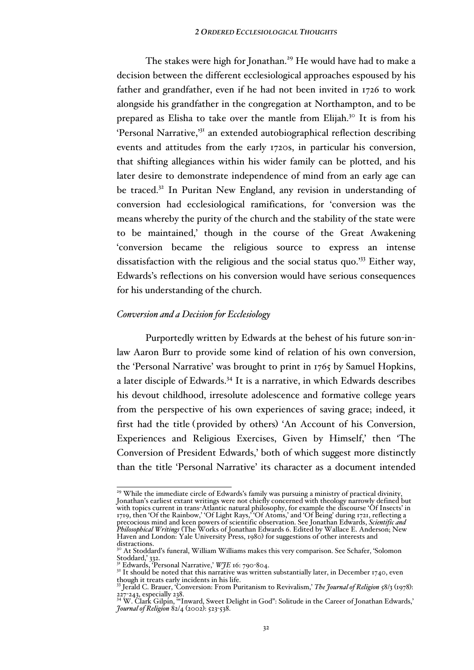The stakes were high for Jonathan.<sup>29</sup> He would have had to make a decision between the different ecclesiological approaches espoused by his father and grandfather, even if he had not been invited in 1726 to work alongside his grandfather in the congregation at Northampton, and to be prepared as Elisha to take over the mantle from Elijah.<sup>30</sup> It is from his 'Personal Narrative,'31 an extended autobiographical reflection describing events and attitudes from the early 1720s, in particular his conversion, that shifting allegiances within his wider family can be plotted, and his later desire to demonstrate independence of mind from an early age can be traced.<sup>32</sup> In Puritan New England, any revision in understanding of conversion had ecclesiological ramifications, for 'conversion was the means whereby the purity of the church and the stability of the state were to be maintained,' though in the course of the Great Awakening 'conversion became the religious source to express an intense dissatisfaction with the religious and the social status quo.'33 Either way, Edwards's reflections on his conversion would have serious consequences for his understanding of the church.

#### *Conversion and a Decision for Ecclesiology*

Purportedly written by Edwards at the behest of his future son-inlaw Aaron Burr to provide some kind of relation of his own conversion, the 'Personal Narrative' was brought to print in 1765 by Samuel Hopkins, a later disciple of Edwards.<sup>34</sup> It is a narrative, in which Edwards describes his devout childhood, irresolute adolescence and formative college years from the perspective of his own experiences of saving grace; indeed, it first had the title (provided by others) 'An Account of his Conversion, Experiences and Religious Exercises, Given by Himself,' then 'The Conversion of President Edwards,' both of which suggest more distinctly than the title 'Personal Narrative' its character as a document intended

 $\frac{29}{29}$  While the immediate circle of Edwards's family was pursuing a ministry of practical divinity, Jonathan's earliest extant writings were not chiefly concerned with theology narrowly defined but with topics current in trans-Atlantic natural philosophy, for example the discourse 'Of Insects' in 1719, then 'Of the Rainbow,' 'Of Light Rays,' 'Of Atoms,' and 'Of Being' during 1721, reflecting a precocious mind and keen powers of scientific observation. See Jonathan Edwards, *Scientific and Philosophical Writings* (The Works of Jonathan Edwards 6. Edited by Wallace E. Anderson; New Haven and London: Yale University Press, 1980) for suggestions of other interests and  $distractions.$ <sup>30</sup> A t Stodde

<sup>&</sup>lt;sup>30</sup> At Stoddard's funeral, William Williams makes this very comparison. See Schafer, 'Solomon Stoddard,' 332.<br><sup>31</sup> Edwards, 'Personal Narrative,' *WJE* 16: 790-804.

<sup>&</sup>lt;sup>32</sup> It should be noted that this narrative was written substantially later, in December 1740, even though it treats early incidents in his life. <sup>33</sup> Jerald C. Brauer, 'Conversion: From Puritanism to Revivalism,' *The Journal of Religion* 58/3 (1978):

<sup>227-243,</sup> especially 238.<br><sup>34</sup> W. Clark Gilpin, '"Inward, Sweet Delight in God": Solitude in the Career of Jonathan Edwards,'

*Journal of Religion* 82/4 (2002): 523-538.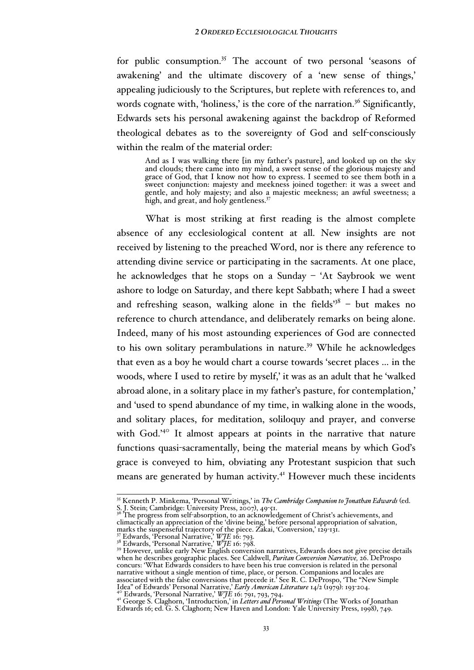for public consumption.<sup>35</sup> The account of two personal 'seasons of awakening' and the ultimate discovery of a 'new sense of things,' appealing judiciously to the Scriptures, but replete with references to, and words cognate with, 'holiness,' is the core of the narration. $3^6$  Significantly, Edwards sets his personal awakening against the backdrop of Reformed theological debates as to the sovereignty of God and self-consciously within the realm of the material order:

And as I was walking there [in my father's pasture], and looked up on the sky and clouds; there came into my mind, a sweet sense of the glorious majesty and grace of God, that I know not how to express. I seemed to see them both in a sweet conjunction: majesty and meekness joined together: it was a sweet and gentle, and holy majesty; and also a majestic meekness; an awful sweetness; a high, and great, and holy gentleness.37

What is most striking at first reading is the almost complete absence of any ecclesiological content at all. New insights are not received by listening to the preached Word, nor is there any reference to attending divine service or participating in the sacraments. At one place, he acknowledges that he stops on a Sunday – 'At Saybrook we went ashore to lodge on Saturday, and there kept Sabbath; where I had a sweet and refreshing season, walking alone in the fields<sup>338</sup> – but makes no reference to church attendance, and deliberately remarks on being alone. Indeed, many of his most astounding experiences of God are connected to his own solitary perambulations in nature.<sup>39</sup> While he acknowledges that even as a boy he would chart a course towards 'secret places … in the woods, where I used to retire by myself,' it was as an adult that he 'walked abroad alone, in a solitary place in my father's pasture, for contemplation,' and 'used to spend abundance of my time, in walking alone in the woods, and solitary places, for meditation, soliloquy and prayer, and converse with God.<sup>'40</sup> It almost appears at points in the narrative that nature functions quasi-sacramentally, being the material means by which God's grace is conveyed to him, obviating any Protestant suspicion that such means are generated by human activity.<sup>41</sup> However much these incidents

<sup>35</sup> Kenneth P. Minkema, 'Personal Writings,' in *The Cambridge Companion to Jonathan Edwards* (ed.

S. J. Stein; Cambridge: University Press, 2007), 49-51.<br><sup>36</sup> The progress from self-absorption, to an acknowledgement of Christ's achievements, and climactically an appreciation of the 'divine being,' before personal appropriation of salvation,

marks the suspenseful trajectory of the piece. Zakai, 'Conversion,' 129-131.<br><sup>37</sup> Edwards, 'Personal Narrative,' *WJE* 16: 793.<br><sup>38</sup> Edwards, 'Personal Narrative,' *WJE* 16: 798.<br><sup>39</sup> However, unlike early New English conv when he describes geographic places. See Caldwell, *Puritan Conversion Narrative,* 26. DeProspo concurs: 'What Edwards considers to have been his true conversion is related in the personal narrative without a single mention of time, place, or person. Companions and locales are associated with the false conversions that precede it.' See R. C. DeProspo, 'The "New Simple Idea" of Edwards' Personal Narrative,' *Early American Literature 14*/2 (1979): 193-204.<br><sup>40</sup> Edwards, 'Personal Narrative,' *WJE 16: 791, 793, 794.*<br><sup>41</sup> George S. Claghorn, 'Introduction,' in *Letters and Personal Writin* 

Edwards 16; ed. G. S. Claghorn; New Haven and London: Yale University Press, 1998), 749.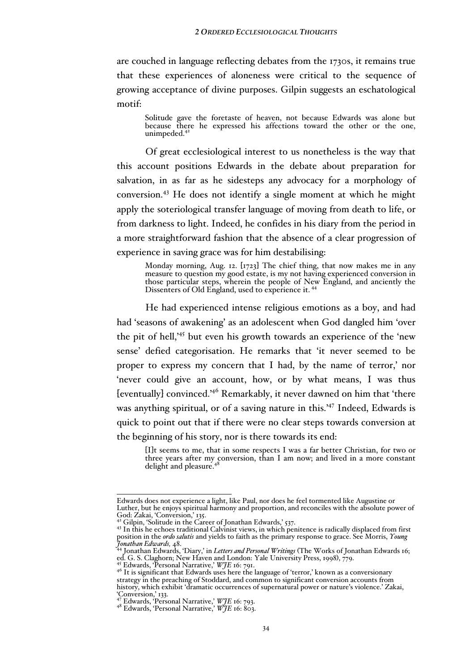are couched in language reflecting debates from the 1730s, it remains true that these experiences of aloneness were critical to the sequence of growing acceptance of divine purposes. Gilpin suggests an eschatological motif:

Solitude gave the foretaste of heaven, not because Edwards was alone but because there he expressed his affections toward the other or the one, unimpeded.<sup>42</sup>

Of great ecclesiological interest to us nonetheless is the way that this account positions Edwards in the debate about preparation for salvation, in as far as he sidesteps any advocacy for a morphology of conversion.43 He does not identify a single moment at which he might apply the soteriological transfer language of moving from death to life, or from darkness to light. Indeed, he confides in his diary from the period in a more straightforward fashion that the absence of a clear progression of experience in saving grace was for him destabilising:

Monday morning, Aug. 12. [1723] The chief thing, that now makes me in any measure to question my good estate, is my not having experienced conversion in those particular steps, wherein the people of New England, and anciently the Dissenters of Old England, used to experience it. <sup>44</sup>

He had experienced intense religious emotions as a boy, and had had 'seasons of awakening' as an adolescent when God dangled him 'over the pit of hell,<sup>'45</sup> but even his growth towards an experience of the 'new sense' defied categorisation. He remarks that 'it never seemed to be proper to express my concern that I had, by the name of terror,' nor 'never could give an account, how, or by what means, I was thus [eventually] convinced.'46 Remarkably, it never dawned on him that 'there was anything spiritual, or of a saving nature in this.<sup>'47</sup> Indeed, Edwards is quick to point out that if there were no clear steps towards conversion at the beginning of his story, nor is there towards its end:

<sup>[</sup>I]t seems to me, that in some respects I was a far better Christian, for two or three years after my conversion, than I am now; and lived in a more constant delight and pleasure.<sup>48</sup>

<sup>1</sup> Edwards does not experience a light, like Paul, nor does he feel tormented like Augustine or Luther, but he enjoys spiritual harmony and proportion, and reconciles with the absolute power of

God: Zakai, 'Conversion,' 135.<br><sup>42</sup> Gilpin, 'Solitude in the Career of Jonathan Edwards,' 537.<br><sup>43</sup> In this he echoes traditional Calvinist views, in which penitence is radically displaced from first position in the *ordo salutis* and yields to faith as the primary response to grace. See Morris, *Young* 

*Jonathan Edwards,* 48. <sup>44</sup> Jonathan Edwards, 'Diary,' in *Letters and Personal Writings* (The Works of Jonathan Edwards 16;

ed. G. S. Claghorn; New Haven and London: Yale University Press, 1998), 779.<br><sup>45</sup> Edwards, 'Personal Narrative,' *WJE* 16: 791.<br><sup>46</sup> It is significant that Edwards uses here the language of 'terror,' known as a conversiona strategy in the preaching of Stoddard, and common to significant conversion accounts from history, which exhibit 'dramatic occurrences of supernatural power or nature's violence.' Zakai, 'Conversion,' 133. <sup>47</sup> Edwards, 'Personal Narrative,' *WJE* 16: 793. <sup>48</sup> Edwards, 'Personal Narrative,' *WJE* 16: 803.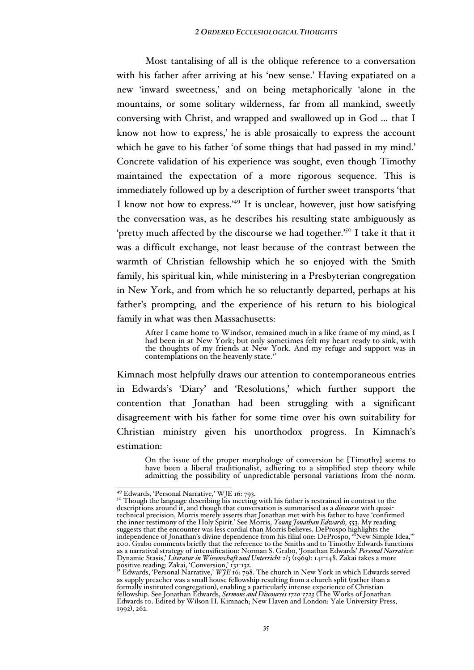Most tantalising of all is the oblique reference to a conversation with his father after arriving at his 'new sense.' Having expatiated on a new 'inward sweetness,' and on being metaphorically 'alone in the mountains, or some solitary wilderness, far from all mankind, sweetly conversing with Christ, and wrapped and swallowed up in God … that I know not how to express,' he is able prosaically to express the account which he gave to his father 'of some things that had passed in my mind.' Concrete validation of his experience was sought, even though Timothy maintained the expectation of a more rigorous sequence. This is immediately followed up by a description of further sweet transports 'that I know not how to express.'49 It is unclear, however, just how satisfying the conversation was, as he describes his resulting state ambiguously as 'pretty much affected by the discourse we had together.'50 I take it that it was a difficult exchange, not least because of the contrast between the warmth of Christian fellowship which he so enjoyed with the Smith family, his spiritual kin, while ministering in a Presbyterian congregation in New York, and from which he so reluctantly departed, perhaps at his father's prompting, and the experience of his return to his biological family in what was then Massachusetts:

After I came home to Windsor, remained much in a like frame of my mind, as I had been in at New York; but only sometimes felt my heart ready to sink, with the thoughts of my friends at New York. And my refuge and support was in contemplations on the heavenly state.<sup>51</sup>

Kimnach most helpfully draws our attention to contemporaneous entries in Edwards's 'Diary' and 'Resolutions,' which further support the contention that Jonathan had been struggling with a significant disagreement with his father for some time over his own suitability for Christian ministry given his unorthodox progress. In Kimnach's estimation:

On the issue of the proper morphology of conversion he [Timothy] seems to have been a liberal traditionalist, adhering to a simplified step theory while admitting the possibility of unpredictable personal variations from the norm.

<sup>49</sup> Edwards, 'Personal Narrative,' WJE 16: 793.<br><sup>50</sup> Though the language describing his meeting with his father is restrained in contrast to the descriptions around it, and though that conversation is summarised as a *discourse* with quasitechnical precision, Morris merely asserts that Jonathan met with his father to have 'confirmed the inner testimony of the Holy Spirit.' See Morris, *Young Jonathan Edwards,* 553. My reading suggests that the encounter was less cordial than Morris believes. DeProspo highlights the independence of Jonathan's divine dependence from his filial one: DeProspo, '"New Simple Idea,"' 200. Grabo comments briefly that the reference to the Smiths and to Timothy Edwards functions as a narratival strategy of intensification: Norman S. Grabo, 'Jonathan Edwards' *Personal Narrative*: Dynamic Stasis,' *Literatur in Wissenschaft und Unterricht* 2/3 (1969): 141-148. Zakai takes a more positive reading: Zakai, 'Conversion,' 131-132.<br><sup>31</sup> Edwards, 'Personal Narrative,' *WJE* 16: 798. The church in New York in which Edwards served

as supply preacher was a small house fellowship resulting from a church split (rather than a formally instituted congregation), enabling a particularly intense experience of Christian fellowship. See Jonathan Edwards, *Sermons and Discourses 1720-1723* (The Works of Jonathan Edwards 10. Edited by Wilson H. Kimnach; New Haven and London: Yale University Press, 1992), 262.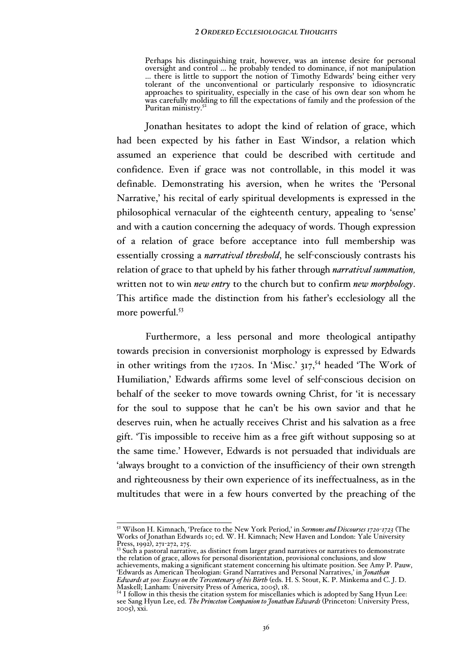Perhaps his distinguishing trait, however, was an intense desire for personal oversight and control … he probably tended to dominance, if not manipulation … there is little to support the notion of Timothy Edwards' being either very tolerant of the unconventional or particularly responsive to idiosyncratic approaches to spirituality, especially in the case of his own dear son whom he was carefully molding to fill the expectations of family and the profession of the Puritan ministry.<sup>52</sup>

Jonathan hesitates to adopt the kind of relation of grace, which had been expected by his father in East Windsor, a relation which assumed an experience that could be described with certitude and confidence. Even if grace was not controllable, in this model it was definable. Demonstrating his aversion, when he writes the 'Personal Narrative,' his recital of early spiritual developments is expressed in the philosophical vernacular of the eighteenth century, appealing to 'sense' and with a caution concerning the adequacy of words. Though expression of a relation of grace before acceptance into full membership was essentially crossing a *narratival threshold*, he self-consciously contrasts his relation of grace to that upheld by his father through *narratival summation,*  written not to win *new entry* to the church but to confirm *new morphology*. This artifice made the distinction from his father's ecclesiology all the more powerful.<sup>53</sup>

Furthermore, a less personal and more theological antipathy towards precision in conversionist morphology is expressed by Edwards in other writings from the 1720s. In 'Misc.'  $317,54$  headed 'The Work of Humiliation,' Edwards affirms some level of self-conscious decision on behalf of the seeker to move towards owning Christ, for 'it is necessary for the soul to suppose that he can't be his own savior and that he deserves ruin, when he actually receives Christ and his salvation as a free gift. 'Tis impossible to receive him as a free gift without supposing so at the same time.' However, Edwards is not persuaded that individuals are 'always brought to a conviction of the insufficiency of their own strength and righteousness by their own experience of its ineffectualness, as in the multitudes that were in a few hours converted by the preaching of the

Press, 1992), 271-272, 275.<br><sup>53</sup> Such a pastoral narrative, as distinct from larger grand narratives or narratives to demonstrate the relation of grace, allows for personal disorientation, provisional conclusions, and slow the relation of grace, allows for personal disoliteriation, provisional conclusions, and slow<br>achievements, making a significant statement concerning his ultimate position. See Amy P. Pauw,<br>Edwards as American Theologian:

<sup>52</sup> Wilson H. Kimnach, 'Preface to the New York Period,' in *Sermons and Discourses 1720-<sup>1723</sup>* (The Works of Jonathan Edwards 10; ed. W. H. Kimnach; New Haven and London: Yale University

Maskell; Lanham: University Press of America, 2005), 18.<br><sup>54</sup> I follow in this thesis the citation system for miscellanies which is adopted by Sang Hyun Lee: see Sang Hyun Lee, ed. *The Princeton Companion to Jonathan Edwards* (Princeton: University Press, 2005), xxi.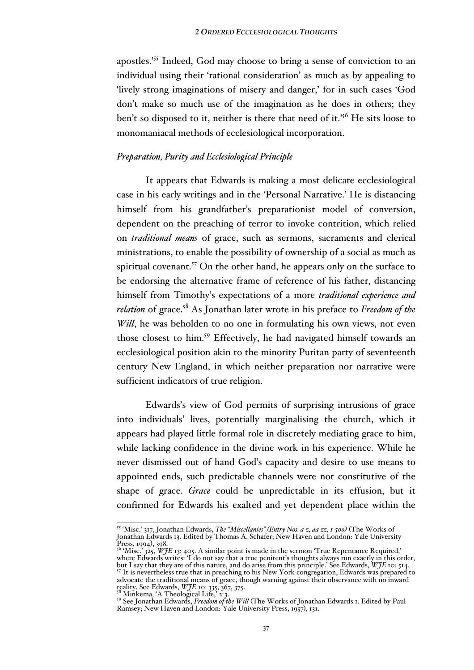apostles.'55 Indeed, God may choose to bring a sense of conviction to an individual using their 'rational consideration' as much as by appealing to 'lively strong imaginations of misery and danger,' for in such cases 'God don't make so much use of the imagination as he does in others; they ben't so disposed to it, neither is there that need of it.<sup>'56</sup> He sits loose to monomaniacal methods of ecclesiological incorporation.

# *Preparation, Purity and Ecclesiological Principle*

It appears that Edwards is making a most delicate ecclesiological case in his early writings and in the 'Personal Narrative.' He is distancing himself from his grandfather's preparationist model of conversion, dependent on the preaching of terror to invoke contrition, which relied on *traditional means* of grace, such as sermons, sacraments and clerical ministrations, to enable the possibility of ownership of a social as much as spiritual covenant.<sup>57</sup> On the other hand, he appears only on the surface to be endorsing the alternative frame of reference of his father, distancing himself from Timothy's expectations of a more *traditional experience and relation* of grace.58 As Jonathan later wrote in his preface to *Freedom of the Will*, he was beholden to no one in formulating his own views, not even those closest to him.<sup>59</sup> Effectively, he had navigated himself towards an ecclesiological position akin to the minority Puritan party of seventeenth century New England, in which neither preparation nor narrative were sufficient indicators of true religion.

Edwards's view of God permits of surprising intrusions of grace into individuals' lives, potentially marginalising the church, which it appears had played little formal role in discretely mediating grace to him, while lacking confidence in the divine work in his experience. While he never dismissed out of hand God's capacity and desire to use means to appointed ends, such predictable channels were not constitutive of the shape of grace. *Grace* could be unpredictable in its effusion, but it confirmed for Edwards his exalted and yet dependent place within the

55 'Misc.' 317, Jonathan Edwards, *The "Miscellanies" (Entry Nos. a-z, aa-zz, 1-500)* (The Works of Jonathan Edwards 13. Edited by Thomas A. Schafer; New Haven and London: Yale University

Press, 1994), 398.<br><sup>56</sup> 'Misc.' 325, *WJE* 13: 405. A similar point is made in the sermon 'True Repentance Required,' where Edwards writes: 'I do not say that a true penitent's thoughts always run exactly in this order,<br>but I say that they are of this nature, and do arise from this principle.' See Edwards, WJE 10: 514.<br><sup>57</sup> It is neverthe reality. See Edwards, *WJE* 10: 335, 367, 375.<br><sup>58</sup> Minkema, 'A Theological Life,' 2-3.<br><sup>59</sup> See Jonathan Edwards, *Freedom of the Will* (The Works of Jonathan Edwards 1. Edited by Paul

Ramsey; New Haven and London: Yale University Press, 1957), 131.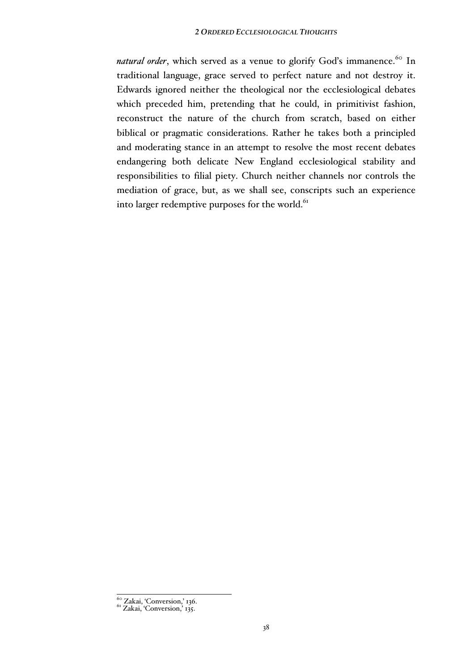*natural order*, which served as a venue to glorify God's immanence.<sup>60</sup> In traditional language, grace served to perfect nature and not destroy it. Edwards ignored neither the theological nor the ecclesiological debates which preceded him, pretending that he could, in primitivist fashion, reconstruct the nature of the church from scratch, based on either biblical or pragmatic considerations. Rather he takes both a principled and moderating stance in an attempt to resolve the most recent debates endangering both delicate New England ecclesiological stability and responsibilities to filial piety. Church neither channels nor controls the mediation of grace, but, as we shall see, conscripts such an experience into larger redemptive purposes for the world.<sup>61</sup>

 $\frac{60}{60}$  Zakai, 'Conversion,' 136.<br><sup>61</sup> Zakai, 'Conversion,' 135.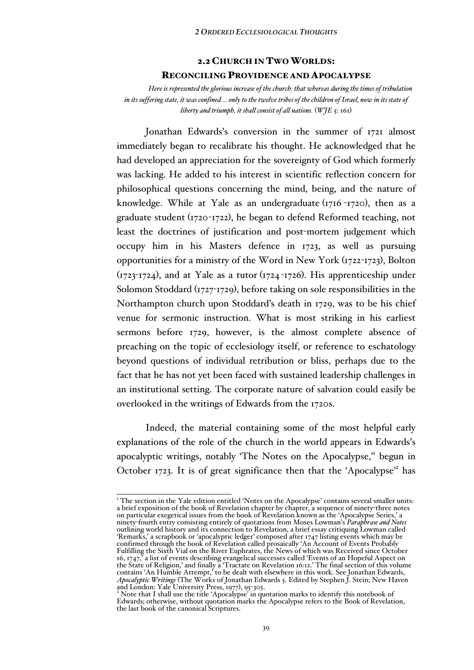# 2.2 CHURCH IN TWO WORLDS: RECONCILING PROVIDENCE AND APOCALYPSE

*Here is represented the glorious increase of the church: that whereas during the times of tribulation in its suffering state, it was confined … only to the twelve tribes of the children of Israel, now in its state of liberty and triumph, it shall consist of all nations.* (*WJE* 5: 161)

Jonathan Edwards's conversion in the summer of 1721 almost immediately began to recalibrate his thought. He acknowledged that he had developed an appreciation for the sovereignty of God which formerly was lacking. He added to his interest in scientific reflection concern for philosophical questions concerning the mind, being, and the nature of knowledge. While at Yale as an undergraduate (1716 -1720), then as a graduate student (1720-1722), he began to defend Reformed teaching, not least the doctrines of justification and post-mortem judgement which occupy him in his Masters defence in 1723, as well as pursuing opportunities for a ministry of the Word in New York (1722-1723), Bolton (1723-1724), and at Yale as a tutor (1724-1726). His apprenticeship under Solomon Stoddard (1727-1729), before taking on sole responsibilities in the Northampton church upon Stoddard's death in 1729, was to be his chief venue for sermonic instruction. What is most striking in his earliest sermons before 1729, however, is the almost complete absence of preaching on the topic of ecclesiology itself, or reference to eschatology beyond questions of individual retribution or bliss, perhaps due to the fact that he has not yet been faced with sustained leadership challenges in an institutional setting. The corporate nature of salvation could easily be overlooked in the writings of Edwards from the 1720s.

Indeed, the material containing some of the most helpful early explanations of the role of the church in the world appears in Edwards's apocalyptic writings, notably 'The Notes on the Apocalypse," begun in October 1723. It is of great significance then that the 'Apocalypse'<sup>2</sup> has

<sup>-&</sup>lt;br>1 <sup>1</sup> The section in the Yale edition entitled 'Notes on the Apocalypse' contains several smaller units: a brief exposition of the book of Revelation chapter by chapter, a sequence of ninety-three notes on particular exegetical issues from the book of Revelation known as the 'Apocalypse Series,' a ninety-fourth entry consisting entirely of quotations from Moses Lowman's *Paraphrase and Notes* outlining world history and its connection to Revelation, a brief essay critiquing Lowman called 'Remarks,' a scrapbook or 'apocalyptic ledger' composed after 1747 listing events which may be confirmed through the book of Revelation called prosaically 'An Account of Events Probably Fulfilling the Sixth Vial on the River Euphrates, the News of which was Received since October 16, 1747,' a list of events describing evangelical successes called 'Events of an Hopeful Aspect on the State of Religion,' and finally a 'Tractate on Revelation 16:12.' The final section of this volume contains 'An Humble Attempt,' to be dealt with elsewhere in this work. See Jonathan Edwards, *Apocalyptic Writings* (The Works of Jonathan Edwards 5. Edited by Stephen J. Stein; New Haven

and London: Yale University Press, 1977), 95-305.<br><sup>2</sup> Note that I shall use the title 'Apocalypse' in quotation marks to identify this notebook of Edwards; otherwise, without quotation marks the Apocalypse refers to the Book of Revelation, the last book of the canonical Scriptures.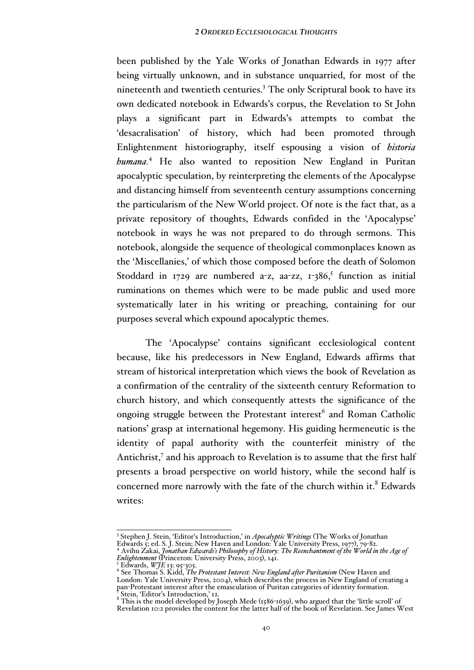been published by the Yale Works of Jonathan Edwards in 1977 after being virtually unknown, and in substance unquarried, for most of the nineteenth and twentieth centuries.<sup>3</sup> The only Scriptural book to have its own dedicated notebook in Edwards's corpus, the Revelation to St John plays a significant part in Edwards's attempts to combat the 'desacralisation' of history, which had been promoted through Enlightenment historiography, itself espousing a vision of *historia humana.*<sup>4</sup> He also wanted to reposition New England in Puritan apocalyptic speculation, by reinterpreting the elements of the Apocalypse and distancing himself from seventeenth century assumptions concerning the particularism of the New World project. Of note is the fact that, as a private repository of thoughts, Edwards confided in the 'Apocalypse' notebook in ways he was not prepared to do through sermons. This notebook, alongside the sequence of theological commonplaces known as the 'Miscellanies,' of which those composed before the death of Solomon Stoddard in 1729 are numbered a-z, aa-zz,  $1-386$ ,<sup>5</sup> function as initial ruminations on themes which were to be made public and used more systematically later in his writing or preaching, containing for our purposes several which expound apocalyptic themes.

The 'Apocalypse' contains significant ecclesiological content because, like his predecessors in New England, Edwards affirms that stream of historical interpretation which views the book of Revelation as a confirmation of the centrality of the sixteenth century Reformation to church history, and which consequently attests the significance of the ongoing struggle between the Protestant interest<sup>6</sup> and Roman Catholic nations' grasp at international hegemony. His guiding hermeneutic is the identity of papal authority with the counterfeit ministry of the Antichrist,<sup>7</sup> and his approach to Revelation is to assume that the first half presents a broad perspective on world history, while the second half is concerned more narrowly with the fate of the church within it. $8$  Edwards writes:

<sup>&</sup>lt;sup>3</sup> Stephen J. Stein, 'Editor's Introduction,' in *Apocalyptic Writings* (The Works of Jonathan Edwards 5; ed. S. J. Stein; New Haven and London: Yale University Press, 1977), 79-82. Edwards 5; ed. S. J. Stein; New Haven and London: Yale University Press, 1977), 79-82. <sup>4</sup> Avihu Zakai, *Jonathan Edwards's Philosophy of History: The Reenchantment of the World in the Age of* 

E*nlightenment (*Princeton: University Press, 2003), 141.<br><sup>5</sup> Edwards, *WJE* 13: 95-305.<br><sup>6</sup> See Thomas S. Kidd, *The Protestant Interest: New England after Puritanism* (New Haven and

London: Yale University Press, 2004), which describes the process in New England of creating a pan-Protestant interest after the emasculation of Puritan categories of identity formation.<br><sup>7</sup> Stein, 'Editor's Introduction,' 12.<br><sup>8</sup> This is the model developed by Joseph Mede (1586-1639), who argued that the 'little sc

Revelation 10:2 provides the content for the latter half of the book of Revelation. See James West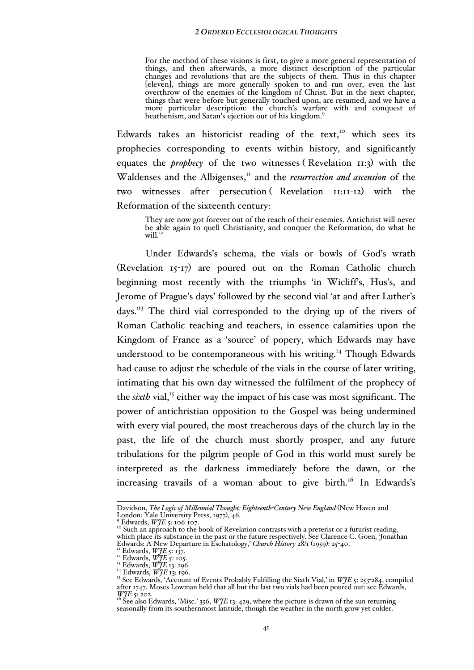For the method of these visions is first, to give a more general representation of things, and then afterwards, a more distinct description of the particular changes and revolutions that are the subjects of them. Thus in this chapter [eleven], things are more generally spoken to and run over, even the last overthrow of the enemies of the kingdom of Christ. But in the next chapter, things that were before but generally touched upon, are resumed, and we have a more particular description: the church's warfare with and conquest of heathenism, and Satan's ejection out of his kingdom.<sup>9</sup>

Edwards takes an historicist reading of the text,<sup>10</sup> which sees its prophecies corresponding to events within history, and significantly equates the *prophecy* of the two witnesses ( Revelation 11:3) with the Waldenses and the Albigenses,<sup>11</sup> and the *resurrection and ascension* of the two witnesses after persecution ( Revelation 11:11-12) with the Reformation of the sixteenth century:

They are now got forever out of the reach of their enemies. Antichrist will never be able again to quell Christianity, and conquer the Reformation, do what he will.<sup>12</sup>

Under Edwards's schema, the vials or bowls of God's wrath (Revelation 15-17) are poured out on the Roman Catholic church beginning most recently with the triumphs 'in Wicliff's, Hus's, and Jerome of Prague's days' followed by the second vial 'at and after Luther's days.'13 The third vial corresponded to the drying up of the rivers of Roman Catholic teaching and teachers, in essence calamities upon the Kingdom of France as a 'source' of popery, which Edwards may have understood to be contemporaneous with his writing.<sup>14</sup> Though Edwards had cause to adjust the schedule of the vials in the course of later writing, intimating that his own day witnessed the fulfilment of the prophecy of the *sixth* vial,<sup>15</sup> either way the impact of his case was most significant. The power of antichristian opposition to the Gospel was being undermined with every vial poured, the most treacherous days of the church lay in the past, the life of the church must shortly prosper, and any future tribulations for the pilgrim people of God in this world must surely be interpreted as the darkness immediately before the dawn, or the increasing travails of a woman about to give birth.<sup>16</sup> In Edwards's

<sup>1</sup> Davidson, *The Logic of Millennial Thought: Eighteenth-Century New England* (New Haven and

London: Yale University Press, 1977), 46.<br><sup>9</sup> Edwards, *WJE 5*: 106-107.<br><sup>10</sup> Such an approach to the book of Revelation contrasts with a preterist or a futurist reading, which place its substance in the past or the future respectively. See Clarence C. Goen, 'Jonathan

Edwards: A New Departure in Eschatology,' *Church History* 28/1 (1959): 25-40.<br>" Edwards, *WJE 5*: 137.<br><sup>12</sup> Edwards, *WJE 5*: 105.<br><sup>13</sup> Edwards, *WJE* 13: 196.<br><sup>14</sup> Edwards, *WJE* 13: 196.<br><sup>14</sup> Edwards, *WJE* 13: 196. after 1747. Moses Lowman held that all but the last two vials had been poured out: see Edwards, *WJE 5*: 202.<br><sup>16</sup> See also Edwards, 'Misc.' 356, *WJE* 13: 429, where the picture is drawn of the sun returning

seasonally from its southernmost latitude, though the weather in the north grow yet colder.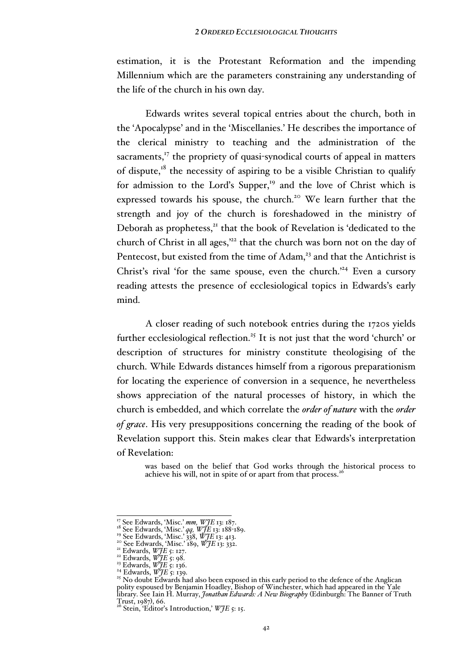estimation, it is the Protestant Reformation and the impending Millennium which are the parameters constraining any understanding of the life of the church in his own day.

Edwards writes several topical entries about the church, both in the 'Apocalypse' and in the 'Miscellanies.' He describes the importance of the clerical ministry to teaching and the administration of the sacraments, $^{17}$  the propriety of quasi-synodical courts of appeal in matters of dispute, $18$  the necessity of aspiring to be a visible Christian to qualify for admission to the Lord's Supper,<sup>19</sup> and the love of Christ which is expressed towards his spouse, the church.<sup>20</sup> We learn further that the strength and joy of the church is foreshadowed in the ministry of Deborah as prophetess,<sup>21</sup> that the book of Revelation is 'dedicated to the church of Christ in all ages,<sup>22</sup> that the church was born not on the day of Pentecost, but existed from the time of Adam,<sup>23</sup> and that the Antichrist is Christ's rival 'for the same spouse, even the church.<sup>24</sup> Even a cursory reading attests the presence of ecclesiological topics in Edwards's early mind.

A closer reading of such notebook entries during the 1720s yields further ecclesiological reflection.<sup>25</sup> It is not just that the word 'church' or description of structures for ministry constitute theologising of the church. While Edwards distances himself from a rigorous preparationism for locating the experience of conversion in a sequence, he nevertheless shows appreciation of the natural processes of history, in which the church is embedded, and which correlate the *order of nature* with the *order of grace*. His very presuppositions concerning the reading of the book of Revelation support this. Stein makes clear that Edwards's interpretation of Revelation:

was based on the belief that God works through the historical process to achieve his will, not in spite of or apart from that process.<sup>2</sup>

<sup>&</sup>lt;sup>17</sup> See Edwards, 'Misc.' *mm, WJE* 13: 187.<br><sup>18</sup> See Edwards, 'Misc.' *qq, WJE* 13: 188-189.<br><sup>19</sup> See Edwards, 'Misc.' 338, *WJE* 13: 188-189.<br><sup>21</sup> Edwards, *WJEE* : 127.<br><sup>21</sup> Edwards, *WJEE* 5: 198.<br><sup>22</sup> Edwards, *WJEE* polity espoused by Benjamin Hoadley, Bishop of Winchester, which had appeared in the Yale polity espoused by Benjamin Hoadley, Bishop of Winchester, which had appeared in the Yale<br>library. See Iain H. Murray, *Jonathan Edwards: A New Biography* (Edinburgh: The Banner of Truth Trust, 1987), 66. <sup>26</sup> Stein, 'Editor's Introduction,' *WJE* 5: 15.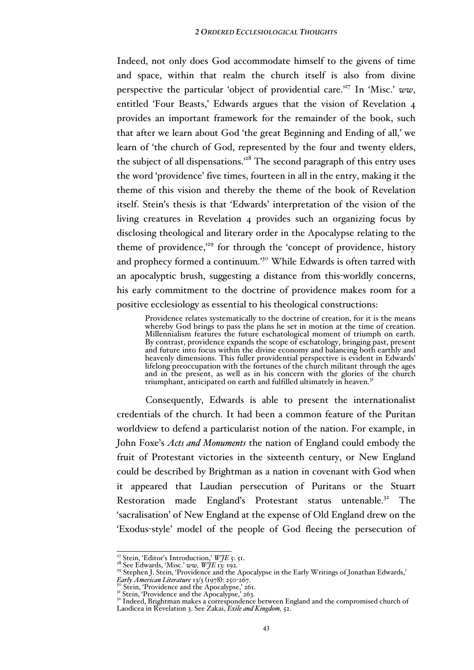Indeed, not only does God accommodate himself to the givens of time and space, within that realm the church itself is also from divine perspective the particular 'object of providential care.'27 In 'Misc.' *ww*, entitled 'Four Beasts,' Edwards argues that the vision of Revelation 4 provides an important framework for the remainder of the book, such that after we learn about God 'the great Beginning and Ending of all,' we learn of 'the church of God, represented by the four and twenty elders, the subject of all dispensations.<sup> $28$ </sup> The second paragraph of this entry uses the word 'providence' five times, fourteen in all in the entry, making it the theme of this vision and thereby the theme of the book of Revelation itself. Stein's thesis is that 'Edwards' interpretation of the vision of the living creatures in Revelation 4 provides such an organizing focus by disclosing theological and literary order in the Apocalypse relating to the theme of providence,<sup>229</sup> for through the 'concept of providence, history and prophecy formed a continuum.<sup>'30</sup> While Edwards is often tarred with an apocalyptic brush, suggesting a distance from this-worldly concerns, his early commitment to the doctrine of providence makes room for a positive ecclesiology as essential to his theological constructions:

Providence relates systematically to the doctrine of creation, for it is the means whereby God brings to pass the plans he set in motion at the time of creation. Millennialism features the future eschatological moment of triumph on earth. By contrast, providence expands the scope of eschatology, bringing past, present and future into focus within the divine economy and balancing both earthly and heavenly dimensions. This fuller providential perspective is evident in Edwards' lifelong preoccupation with the fortunes of the church militant through the ages and in the present, as well as in his concern with the glories of the church triumphant, anticipated on earth and fulfilled ultimately in heaven.<sup>31</sup>

Consequently, Edwards is able to present the internationalist credentials of the church. It had been a common feature of the Puritan worldview to defend a particularist notion of the nation. For example, in John Foxe's *Acts and Monuments* the nation of England could embody the fruit of Protestant victories in the sixteenth century, or New England could be described by Brightman as a nation in covenant with God when it appeared that Laudian persecution of Puritans or the Stuart Restoration made England's Protestant status untenable.<sup>32</sup> The 'sacralisation' of New England at the expense of Old England drew on the 'Exodus-style' model of the people of God fleeing the persecution of

<sup>&</sup>lt;sup>27</sup> Stein, 'Editor's Introduction,' *WJE* 5: 51.<br><sup>28</sup> See Edwards, 'Misc.' *ww, WJE* 13: 192.<br><sup>29</sup> Stephen J. Stein, 'Providence and the Apocalypse in the Early Writings of Jonathan Edwards,'

Early American Literature 13/3 (1978): 250-267.<br>
<sup>30</sup> Stein, 'Providence and the Apocalypse,' 261.<br>
<sup>31</sup> Stein, 'Providence and the Apocalypse,' 261.<br>
<sup>31</sup> Stein, 'Providence and the Apocalypse,' 263.<br>
<sup>32</sup> Indeed, Bright Laodicea in Revelation 3. See Zakai, *Exile and Kingdom,* 52.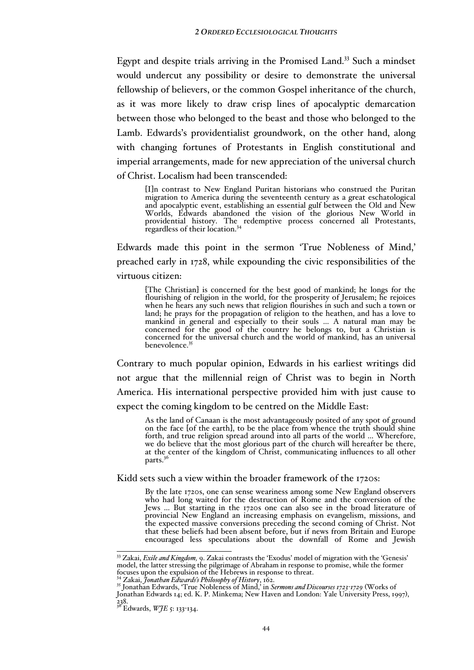Egypt and despite trials arriving in the Promised Land.<sup>33</sup> Such a mindset would undercut any possibility or desire to demonstrate the universal fellowship of believers, or the common Gospel inheritance of the church, as it was more likely to draw crisp lines of apocalyptic demarcation between those who belonged to the beast and those who belonged to the Lamb. Edwards's providentialist groundwork, on the other hand, along with changing fortunes of Protestants in English constitutional and imperial arrangements, made for new appreciation of the universal church of Christ. Localism had been transcended:

[I]n contrast to New England Puritan historians who construed the Puritan migration to America during the seventeenth century as a great eschatological and apocalyptic event, establishing an essential gulf between the Old and New Worlds, Edwards abandoned the vision of the glorious New World in providential history. The redemptive process concerned all Protestants, regardless of their location.<sup>34</sup>

Edwards made this point in the sermon 'True Nobleness of Mind,' preached early in 1728, while expounding the civic responsibilities of the virtuous citizen:

[The Christian] is concerned for the best good of mankind; he longs for the flourishing of religion in the world, for the prosperity of Jerusalem; he rejoices when he hears any such news that religion flourishes in such and such a town or land; he prays for the propagation of religion to the heathen, and has a love to mankind in general and especially to their souls … A natural man may be concerned for the good of the country he belongs to, but a Christian is concerned for the universal church and the world of mankind, has an universal benevolence.<sup>35</sup>

Contrary to much popular opinion, Edwards in his earliest writings did not argue that the millennial reign of Christ was to begin in North America. His international perspective provided him with just cause to expect the coming kingdom to be centred on the Middle East:

As the land of Canaan is the most advantageously posited of any spot of ground on the face [of the earth], to be the place from whence the truth should shine forth, and true religion spread around into all parts of the world … Wherefore, we do believe that the most glorious part of the church will hereafter be there, at the center of the kingdom of Christ, communicating influences to all other parts. $3$ 

Kidd sets such a view within the broader framework of the 1720s:

By the late 1720s, one can sense weariness among some New England observers who had long waited for the destruction of Rome and the conversion of the Jews … But starting in the 1720s one can also see in the broad literature of provincial New England an increasing emphasis on evangelism, missions, and the expected massive conversions preceding the second coming of Christ. Not that these beliefs had been absent before, but if news from Britain and Europe encouraged less speculations about the downfall of Rome and Jewish

<sup>&</sup>lt;sup>33</sup> Zakai, *Exile and Kingdom,* 9. Zakai contrasts the 'Exodus' model of migration with the 'Genesis'<br>model, the latter stressing the pilgrimage of Abraham in response to promise, while the former focuses upon the expulsion of the Hebrews in response to threat.<br><sup>34</sup> Zakai, *Jonathan Edwards's Philosophy of History*, 162.<br><sup>35</sup> Jonathan Edwards, 'True Nobleness of Mind,' in *Sermons and Discourses 1723-1729* (Works of

Jonathan Edwards 14; ed. K. P. Minkema; New Haven and London: Yale University Press, 1997), 238. <sup>36</sup> Edwards, *WJE* 5: 133-134.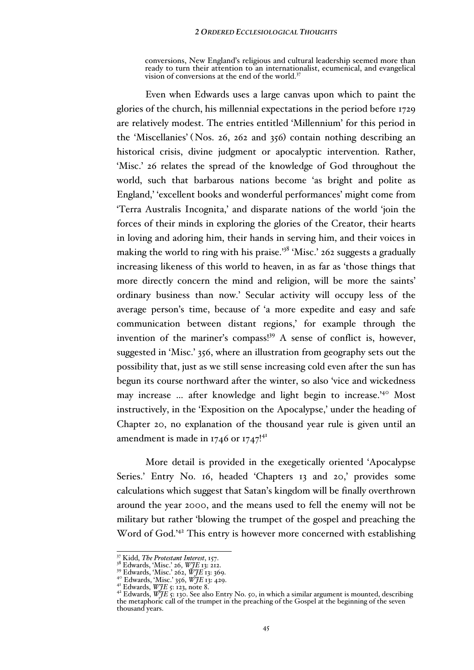conversions, New England's religious and cultural leadership seemed more than ready to turn their attention to an internationalist, ecumenical, and evangelical vision of conversions at the end of the world.<sup>37</sup>

Even when Edwards uses a large canvas upon which to paint the glories of the church, his millennial expectations in the period before 1729 are relatively modest. The entries entitled 'Millennium' for this period in the 'Miscellanies' ( Nos. 26, 262 and 356) contain nothing describing an historical crisis, divine judgment or apocalyptic intervention. Rather, 'Misc.' 26 relates the spread of the knowledge of God throughout the world, such that barbarous nations become 'as bright and polite as England,' 'excellent books and wonderful performances' might come from 'Terra Australis Incognita,' and disparate nations of the world 'join the forces of their minds in exploring the glories of the Creator, their hearts in loving and adoring him, their hands in serving him, and their voices in making the world to ring with his praise.<sup>38</sup> 'Misc.' 262 suggests a gradually increasing likeness of this world to heaven, in as far as 'those things that more directly concern the mind and religion, will be more the saints' ordinary business than now.' Secular activity will occupy less of the average person's time, because of 'a more expedite and easy and safe communication between distant regions,' for example through the invention of the mariner's compass!<sup>39</sup> A sense of conflict is, however, suggested in 'Misc.' 356, where an illustration from geography sets out the possibility that, just as we still sense increasing cold even after the sun has begun its course northward after the winter, so also 'vice and wickedness may increase … after knowledge and light begin to increase.'40 Most instructively, in the 'Exposition on the Apocalypse,' under the heading of Chapter 20, no explanation of the thousand year rule is given until an amendment is made in 1746 or 1747!<sup>41</sup>

More detail is provided in the exegetically oriented 'Apocalypse Series.' Entry No. 16, headed 'Chapters 13 and 20,' provides some calculations which suggest that Satan's kingdom will be finally overthrown around the year 2000, and the means used to fell the enemy will not be military but rather 'blowing the trumpet of the gospel and preaching the Word of God.<sup>42</sup> This entry is however more concerned with establishing

<sup>&</sup>lt;sup>37</sup> Kidd, *The Protestant Interest*, 157.<br><sup>38</sup> Edwards, 'Misc.' 26, *WJE* 13: 212.<br><sup>39</sup> Edwards, 'Misc.' 262, *WJE* 13: 369.<br><sup>40</sup> Edwards, Wisc.' 356, *WJE* 13: 429.<br><sup>41</sup> Edwards, *WJE* 5: 123, note 8.<br><sup>42</sup> Edwards, *WJE* the metaphoric call of the trumpet in the preaching of the Gospel at the beginning of the seven thousand years.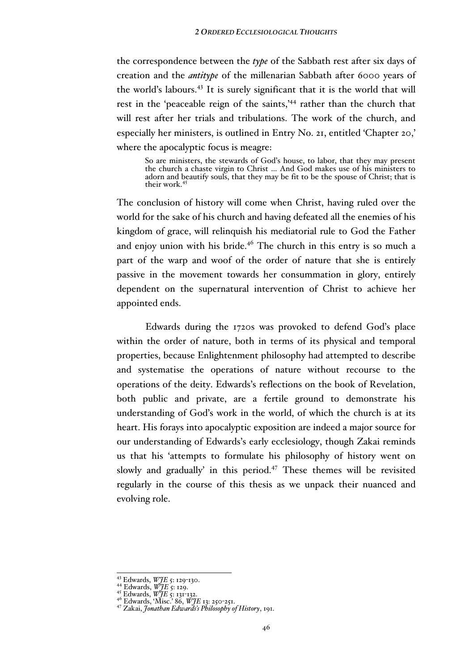the correspondence between the *type* of the Sabbath rest after six days of creation and the *antitype* of the millenarian Sabbath after 6000 years of the world's labours.43 It is surely significant that it is the world that will rest in the 'peaceable reign of the saints,<sup>'44</sup> rather than the church that will rest after her trials and tribulations. The work of the church, and especially her ministers, is outlined in Entry No. 21, entitled 'Chapter 20,' where the apocalyptic focus is meagre:

So are ministers, the stewards of God's house, to labor, that they may present the church a chaste virgin to Christ … And God makes use of his ministers to adorn and beautify souls, that they may be fit to be the spouse of Christ; that is their work.<sup>45</sup>

The conclusion of history will come when Christ, having ruled over the world for the sake of his church and having defeated all the enemies of his kingdom of grace, will relinquish his mediatorial rule to God the Father and enjoy union with his bride. $4^6$  The church in this entry is so much a part of the warp and woof of the order of nature that she is entirely passive in the movement towards her consummation in glory, entirely dependent on the supernatural intervention of Christ to achieve her appointed ends.

Edwards during the 1720s was provoked to defend God's place within the order of nature, both in terms of its physical and temporal properties, because Enlightenment philosophy had attempted to describe and systematise the operations of nature without recourse to the operations of the deity. Edwards's reflections on the book of Revelation, both public and private, are a fertile ground to demonstrate his understanding of God's work in the world, of which the church is at its heart. His forays into apocalyptic exposition are indeed a major source for our understanding of Edwards's early ecclesiology, though Zakai reminds us that his 'attempts to formulate his philosophy of history went on slowly and gradually' in this period.<sup>47</sup> These themes will be revisited regularly in the course of this thesis as we unpack their nuanced and evolving role.

<sup>43</sup> Edwards, *WJE 5*: 129-130.<br><sup>44</sup> Edwards, *WJE* 5: 129.<br><sup>45</sup> Edwards, *WJE* 5: 131-132.<br><sup>46</sup> Edwards, 'Misc.' 86, *WJE* 13: 250-251.<br><sup>47</sup> Zakai, *Jonathan Edwards's Philosophy of History*, 191.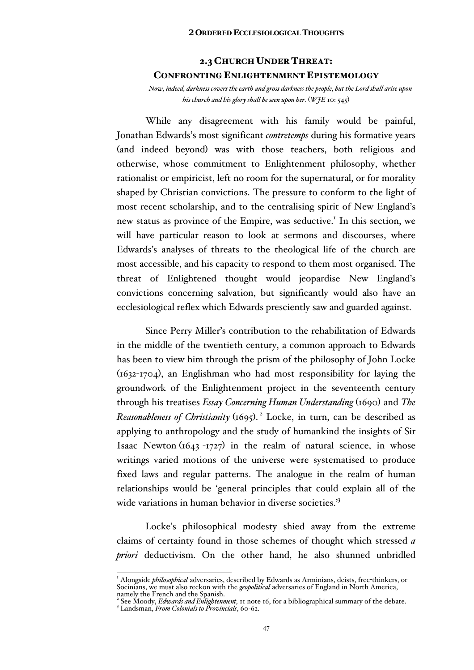# 2.3 CHURCH UNDER THREAT: CONFRONTING ENLIGHTENMENT EPISTEMOLOGY

*Now, indeed, darkness covers the earth and gross darkness the people, but the Lord shall arise upon his church and his glory shall be seen upon her.* (*WJE* 10: 545)

While any disagreement with his family would be painful, Jonathan Edwards's most significant *contretemps* during his formative years (and indeed beyond) was with those teachers, both religious and otherwise, whose commitment to Enlightenment philosophy, whether rationalist or empiricist, left no room for the supernatural, or for morality shaped by Christian convictions. The pressure to conform to the light of most recent scholarship, and to the centralising spirit of New England's new status as province of the Empire, was seductive.<sup>I</sup> In this section, we will have particular reason to look at sermons and discourses, where Edwards's analyses of threats to the theological life of the church are most accessible, and his capacity to respond to them most organised. The threat of Enlightened thought would jeopardise New England's convictions concerning salvation, but significantly would also have an ecclesiological reflex which Edwards presciently saw and guarded against.

Since Perry Miller's contribution to the rehabilitation of Edwards in the middle of the twentieth century, a common approach to Edwards has been to view him through the prism of the philosophy of John Locke (1632-1704), an Englishman who had most responsibility for laying the groundwork of the Enlightenment project in the seventeenth century through his treatises *Essay Concerning Human Understanding* (1690) and *The Reasonableness of Christianity* (1695). 2 Locke, in turn, can be described as applying to anthropology and the study of humankind the insights of Sir Isaac Newton  $(1643 -1727)$  in the realm of natural science, in whose writings varied motions of the universe were systematised to produce fixed laws and regular patterns. The analogue in the realm of human relationships would be 'general principles that could explain all of the wide variations in human behavior in diverse societies.<sup>3</sup>

Locke's philosophical modesty shied away from the extreme claims of certainty found in those schemes of thought which stressed *a priori* deductivism. On the other hand, he also shunned unbridled

<sup>-&</sup>lt;br>1 Alongside *philosophical* adversaries, described by Edwards as Arminians, deists, free-thinkers, or Socinians, we must also reckon with the *geopolitical* adversaries of England in North America, namely the French and the Spanish.<br><sup>2</sup> See Moody *Edwards and Enlighteni* 

<sup>&</sup>lt;sup>2</sup> See Moody, *Edwards and Enlightenment,* 11 note 16, for a bibliographical summary of the debate.<br><sup>3</sup> Landsman, *From Colonials to Provincials*, 60-62.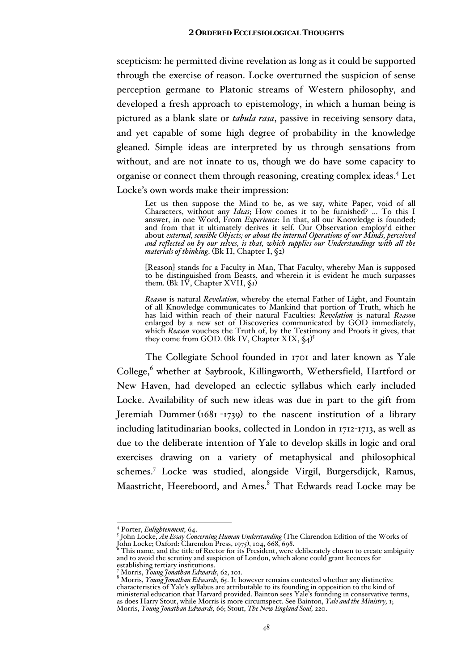scepticism: he permitted divine revelation as long as it could be supported through the exercise of reason. Locke overturned the suspicion of sense perception germane to Platonic streams of Western philosophy, and developed a fresh approach to epistemology, in which a human being is pictured as a blank slate or *tabula rasa*, passive in receiving sensory data, and yet capable of some high degree of probability in the knowledge gleaned. Simple ideas are interpreted by us through sensations from without, and are not innate to us, though we do have some capacity to organise or connect them through reasoning, creating complex ideas.<sup>4</sup> Let Locke's own words make their impression:

Let us then suppose the Mind to be, as we say, white Paper, void of all Characters, without any *Ideas*; How comes it to be furnished? … To this I answer, in one Word, From *Experience*: In that, all our Knowledge is founded; and from that it ultimately derives it self. Our Observation employ'd either about *external, sensible Objects; or about the internal Operations of our Minds, perceived and reflected on by our selves, is that, which supplies our Understandings with all the materials of thinking*. (Bk II, Chapter I, §2)

[Reason] stands for a Faculty in Man, That Faculty, whereby Man is supposed to be distinguished from Beasts, and wherein it is evident he much surpasses them. (Bk IV, Chapter XVII,  $\zeta_I$ )

*Reason* is natural *Revelation*, whereby the eternal Father of Light, and Fountain of all Knowledge communicates to Mankind that portion of Truth, which he has laid within reach of their natural Faculties: *Revelation* is natural *Reason* enlarged by a new set of Discoveries communicated by GOD immediately, which *Reason* vouches the Truth of, by the Testimony and Proofs it gives, that they come from GOD. (Bk IV, Chapter XIX, §4)<sup>5</sup>

The Collegiate School founded in 1701 and later known as Yale College,<sup>6</sup> whether at Saybrook, Killingworth, Wethersfield, Hartford or New Haven, had developed an eclectic syllabus which early included Locke. Availability of such new ideas was due in part to the gift from Jeremiah Dummer (1681 -1739) to the nascent institution of a library including latitudinarian books, collected in London in 1712-1713, as well as due to the deliberate intention of Yale to develop skills in logic and oral exercises drawing on a variety of metaphysical and philosophical schemes.<sup>7</sup> Locke was studied, alongside Virgil, Burgersdijck, Ramus, Maastricht, Heereboord, and Ames.<sup>8</sup> That Edwards read Locke may be

<sup>–&</sup>lt;br><sup>4</sup> Porter, *Enlightenment, 6*4.<br><sup>5</sup> John Locke, *An Essay Concerning Human Understanding* (The Clarendon Edition of the Works of John Locke; Oxford: Clarendon Press, 1975), 104, 668, 698. <sup>6</sup>

This name, and the title of Rector for its President, were deliberately chosen to create ambiguity and to avoid the scrutiny and suspicion of London, which alone could grant licences for establishing tertiary institutions.

<sup>&</sup>lt;sup>7</sup> Morris, *Young Jonathan Edward*s, 62, 101.<br><sup>8</sup> Morris, *Young Jonathan Edward*s, 65. It however remains contested whether any distinctive characteristics of Yale's syllabus are attributable to its founding in opposition to the kind of ministerial education that Harvard provided. Bainton sees Yale's founding in conservative terms, as does Harry Stout, while Morris is more circumspect. See Bainton, *Yale and the Ministry,* 1; Morris, *Young Jonathan Edwards,* 66; Stout, *The New England Soul,* 220.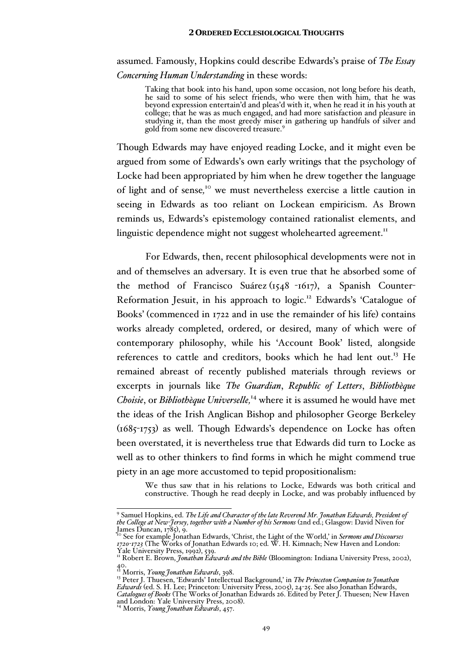# assumed. Famously, Hopkins could describe Edwards's praise of *The Essay Concerning Human Understanding* in these words:

Taking that book into his hand, upon some occasion, not long before his death, he said to some of his select friends, who were then with him, that he was beyond expression entertain'd and pleas'd with it, when he read it in his youth at college; that he was as much engaged, and had more satisfaction and pleasure in studying it, than the most greedy miser in gathering up handfuls of silver and gold from some new discovered treasure.9

Though Edwards may have enjoyed reading Locke, and it might even be argued from some of Edwards's own early writings that the psychology of Locke had been appropriated by him when he drew together the language of light and of sense*,* 10 we must nevertheless exercise a little caution in seeing in Edwards as too reliant on Lockean empiricism. As Brown reminds us, Edwards's epistemology contained rationalist elements, and linguistic dependence might not suggest wholehearted agreement.<sup>11</sup>

For Edwards, then, recent philosophical developments were not in and of themselves an adversary. It is even true that he absorbed some of the method of Francisco Suárez (1548 -1617), a Spanish Counter-Reformation Jesuit, in his approach to logic.<sup>12</sup> Edwards's 'Catalogue of Books' (commenced in 1722 and in use the remainder of his life) contains works already completed, ordered, or desired, many of which were of contemporary philosophy, while his 'Account Book' listed, alongside references to cattle and creditors, books which he had lent out.<sup>13</sup> He remained abreast of recently published materials through reviews or excerpts in journals like *The Guardian*, *Republic of Letters*, *Bibliothèque Choisie*, or *Bibliothèque Universelle,*14 where it is assumed he would have met the ideas of the Irish Anglican Bishop and philosopher George Berkeley (1685-1753) as well. Though Edwards's dependence on Locke has often been overstated, it is nevertheless true that Edwards did turn to Locke as well as to other thinkers to find forms in which he might commend true piety in an age more accustomed to tepid propositionalism:

We thus saw that in his relations to Locke, Edwards was both critical and constructive. Though he read deeply in Locke, and was probably influenced by

<sup>9</sup> Samuel Hopkins, ed. *The Life and Character of the late Reverend Mr. Jonathan Edwards, President of the College at New-Jersey, together with a Number of his Sermons* (2nd ed.; Glasgow: David Niven for

James Duncan, 1785), 9.<br><sup>10</sup> See for example Jonathan Edwards, 'Christ, the Light of the World,' in *Sermons and Discourses 1720-1723* (The Works of Jonathan Edwards 10; ed. W. H. Kimnach; New Haven and London: Yale University Press, 1992), 539.<br><sup>11</sup> Robert E. Brown, *Jonathan Edwards and the Bible* (Bloomington: Indiana University Press, 2002),

<sup>&</sup>lt;sup>12</sup> Morris, *Young Jonathan Edwards*, 398.<br><sup>13</sup> Peter J. Thuesen, 'Edwards' Intellectual Background,' in *The Princeton Companion to Jonathan Edwards* (ed. S. H. Lee; Princeton: University Press, 2005), 24-25. See also Jonathan Edwards, *Catalogues of Books* (The Works of Jonathan Edwards 26. Edited by Peter J. Thuesen; New Haven and London: Yale University Press, 2008). 14 Morris, *Young Jonathan Edwards*, 457.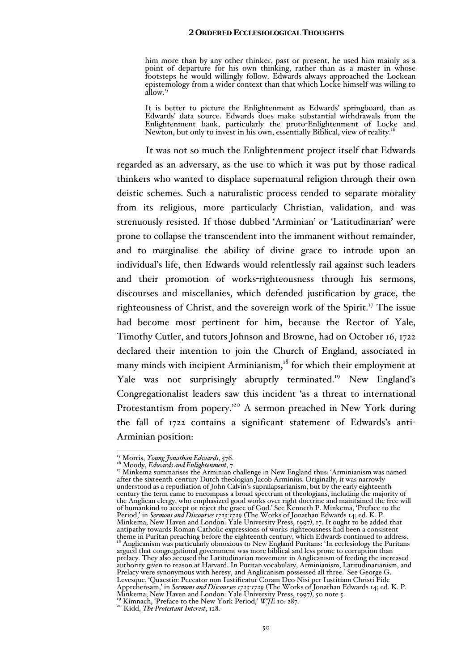him more than by any other thinker, past or present, he used him mainly as a point of departure for his own thinking, rather than as a master in whose footsteps he would willingly follow. Edwards always approached the Lockean epistemology from a wider context than that which Locke himself was willing to  $a$ llow.<sup>15</sup>

It is better to picture the Enlightenment as Edwards' springboard, than as Edwards' data source. Edwards does make substantial withdrawals from the Enlightenment bank, particularly the proto-Enlightenment of Locke and Newton, but only to invest in his own, essentially Biblical, view of reality.<sup>16</sup>

It was not so much the Enlightenment project itself that Edwards regarded as an adversary, as the use to which it was put by those radical thinkers who wanted to displace supernatural religion through their own deistic schemes. Such a naturalistic process tended to separate morality from its religious, more particularly Christian, validation, and was strenuously resisted. If those dubbed 'Arminian' or 'Latitudinarian' were prone to collapse the transcendent into the immanent without remainder, and to marginalise the ability of divine grace to intrude upon an individual's life, then Edwards would relentlessly rail against such leaders and their promotion of works-righteousness through his sermons, discourses and miscellanies, which defended justification by grace, the righteousness of Christ, and the sovereign work of the Spirit.<sup>17</sup> The issue had become most pertinent for him, because the Rector of Yale, Timothy Cutler, and tutors Johnson and Browne, had on October 16, 1722 declared their intention to join the Church of England, associated in many minds with incipient Arminianism, $18$  for which their employment at Yale was not surprisingly abruptly terminated.<sup>19</sup> New England's Congregationalist leaders saw this incident 'as a threat to international Protestantism from popery.<sup>20</sup> A sermon preached in New York during the fall of 1722 contains a significant statement of Edwards's anti-Arminian position:

<sup>1&</sup>lt;sup>5</sup><br><sup>15</sup> Morris, *Young Jonathan Edwards*, 576.<br><sup>16</sup> Moody, *Edwards and Enlightenment*, 7.<br><sup>17</sup> Minkema summarises the Arminian challenge in New England thus: 'Arminianism was named after the sixteenth-century Dutch theologian Jacob Arminius. Originally, it was narrowly understood as a repudiation of John Calvin's supralapsarianism, but by the early eighteenth century the term came to encompass a broad spectrum of theologians, including the majority of the Anglican clergy, who emphasized good works over right doctrine and maintained the free will of humankind to accept or reject the grace of God.' See Kenneth P. Minkema, 'Preface to the Period,' in *Sermons and Discourses 1723-1729* (The Works of Jonathan Edwards 14; ed. K. P. Minkema; New Haven and London: Yale University Press, 1997), 17. It ought to be added that antipathy towards Roman Catholic expressions of works-righteousness had been a consistent theme in Puritan preaching before the eighteenth century, which Edwards continued to address. 18 Anglicanism was particularly obnoxious to New England Puritans: 'In ecclesiology the Puritans

argued that congregational government was more biblical and less prone to corruption than prelacy. They also accused the Latitudinarian movement in Anglicanism of feeding the increased preacy. They also accused the Earthchmanian inovement in Enginearism of recalls the interessed<br>authority given to reason at Harvard. In Puritan vocabulary, Arminianism, Latitudinarianism, and<br>Prelacy were synonymous with h Apprehensam,' in *Sermons and Discourses 1723-1729* (The Works of Jonathan Edwards 14; ed. K. P. Minkema; New Haven and London: Yale University Press, 1997), 50 note 5.<br><sup>19</sup> Kimnach, 'Preface to the New York Period,' *WJE* 10: 287.<br><sup>20</sup> Kidd, *The Protestant Interest*, 128.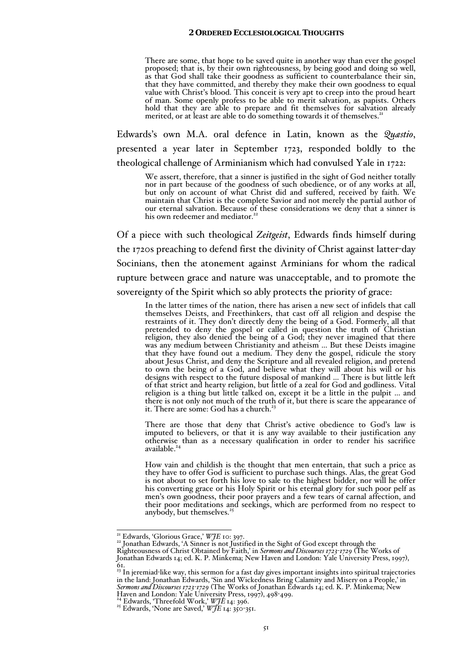There are some, that hope to be saved quite in another way than ever the gospel proposed; that is, by their own righteousness, by being good and doing so well, as that God shall take their goodness as sufficient to counterbalance their sin, that they have committed, and thereby they make their own goodness to equal value with Christ's blood. This conceit is very apt to creep into the proud heart of man. Some openly profess to be able to merit salvation, as papists. Others hold that they are able to prepare and fit themselves for salvation already merited, or at least are able to do something towards it of themselves.<sup>2</sup>

Edwards's own M.A. oral defence in Latin, known as the *Quæstio*, presented a year later in September 1723, responded boldly to the theological challenge of Arminianism which had convulsed Yale in 1722:

We assert, therefore, that a sinner is justified in the sight of God neither totally nor in part because of the goodness of such obedience, or of any works at all, but only on account of what Christ did and suffered, received by faith. We maintain that Christ is the complete Savior and not merely the partial author of our eternal salvation. Because of these considerations we deny that a sinner is his own redeemer and mediator.<sup>22</sup>

Of a piece with such theological *Zeitgeist*, Edwards finds himself during the 1720s preaching to defend first the divinity of Christ against latter-day Socinians, then the atonement against Arminians for whom the radical rupture between grace and nature was unacceptable, and to promote the sovereignty of the Spirit which so ably protects the priority of grace:

In the latter times of the nation, there has arisen a new sect of infidels that call themselves Deists, and Freethinkers, that cast off all religion and despise the restraints of it. They don't directly deny the being of a God. Formerly, all that pretended to deny the gospel or called in question the truth of Christian religion, they also denied the being of a God; they never imagined that there was any medium between Christianity and atheism … But these Deists imagine that they have found out a medium. They deny the gospel, ridicule the story about Jesus Christ, and deny the Scripture and all revealed religion, and pretend to own the being of a God, and believe what they will about his will or his designs with respect to the future disposal of mankind … There is but little left of that strict and hearty religion, but little of a zeal for God and godliness. Vital religion is a thing but little talked on, except it be a little in the pulpit … and there is not only not much of the truth of it, but there is scare the appearance of it. There are some: God has a church.<sup>23</sup>

There are those that deny that Christ's active obedience to God's law is imputed to believers, or that it is any way available to their justification any otherwise than as a necessary qualification in order to render his sacrifice available.<sup>24</sup>

How vain and childish is the thought that men entertain, that such a price as they have to offer God is sufficient to purchase such things. Alas, the great God is not about to set forth his love to sale to the highest bidder, nor will he offer his converting grace or his Holy Spirit or his eternal glory for such poor pelf as men's own goodness, their poor prayers and a few tears of carnal affection, and their poor meditations and seekings, which are performed from no respect to anybody, but themselves.<sup>25</sup>

<sup>&</sup>lt;sup>21</sup> Edwards, 'Glorious Grace,' *WJE* 10: 397.<br><sup>22</sup> Jonathan Edwards, 'A Sinner is not Justified in the Sight of God except through the

Righteousness of Christ Obtained by Faith,' in *Sermons and Discourses 1723-1729* (The Works of Jonathan Edwards 14; ed. K. P. Minkema; New Haven and London: Yale University Press, 1997), 61.

<sup>&</sup>lt;sup>23</sup> In jeremiad-like way, this sermon for a fast day gives important insights into spiritual trajectories in the land: Jonathan Edwards, 'Sin and Wickedness Bring Calamity and Misery on a People,' in *Sermons and Discourses 1723-1729* (The Works of Jonathan Edwards 14; ed. K. P. Minkema; New Haven and London: Yale University Press, 1997), 498-499.<br><sup>24</sup> Edwards, 'Threefold Work,' *WJE* 14: 396.<br><sup>25</sup> Edwards, 'None are Saved,' *WJE* 14: 350-351.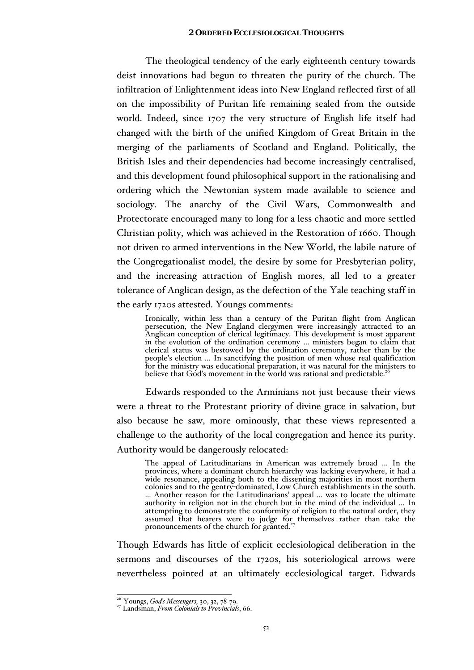The theological tendency of the early eighteenth century towards deist innovations had begun to threaten the purity of the church. The infiltration of Enlightenment ideas into New England reflected first of all on the impossibility of Puritan life remaining sealed from the outside world. Indeed, since 1707 the very structure of English life itself had changed with the birth of the unified Kingdom of Great Britain in the merging of the parliaments of Scotland and England. Politically, the British Isles and their dependencies had become increasingly centralised, and this development found philosophical support in the rationalising and ordering which the Newtonian system made available to science and sociology. The anarchy of the Civil Wars, Commonwealth and Protectorate encouraged many to long for a less chaotic and more settled Christian polity, which was achieved in the Restoration of 1660. Though not driven to armed interventions in the New World, the labile nature of the Congregationalist model, the desire by some for Presbyterian polity, and the increasing attraction of English mores, all led to a greater tolerance of Anglican design, as the defection of the Yale teaching staff in the early 1720s attested. Youngs comments:

Ironically, within less than a century of the Puritan flight from Anglican persecution, the New England clergymen were increasingly attracted to an Anglican conception of clerical legitimacy. This development is most apparent in the evolution of the ordination ceremony … ministers began to claim that clerical status was bestowed by the ordination ceremony, rather than by the people's election … In sanctifying the position of men whose real qualification for the ministry was educational preparation, it was natural for the ministers to believe that God's movement in the world was rational and predictable.<sup>26</sup>

Edwards responded to the Arminians not just because their views were a threat to the Protestant priority of divine grace in salvation, but also because he saw, more ominously, that these views represented a challenge to the authority of the local congregation and hence its purity. Authority would be dangerously relocated:

The appeal of Latitudinarians in American was extremely broad … In the provinces, where a dominant church hierarchy was lacking everywhere, it had a wide resonance, appealing both to the dissenting majorities in most northern colonies and to the gentry-dominated, Low Church establishments in the south. … Another reason for the Latitudinarians' appeal … was to locate the ultimate authority in religion not in the church but in the mind of the individual … In attempting to demonstrate the conformity of religion to the natural order, they assumed that hearers were to judge for themselves rather than take the pronouncements of the church for granted.<sup>27</sup>

Though Edwards has little of explicit ecclesiological deliberation in the sermons and discourses of the 1720s, his soteriological arrows were nevertheless pointed at an ultimately ecclesiological target. Edwards

<sup>26</sup> Youngs, *God's Messengers,* 30, 32, 78-79. 27 Landsman, *From Colonials to Provincials*, 66.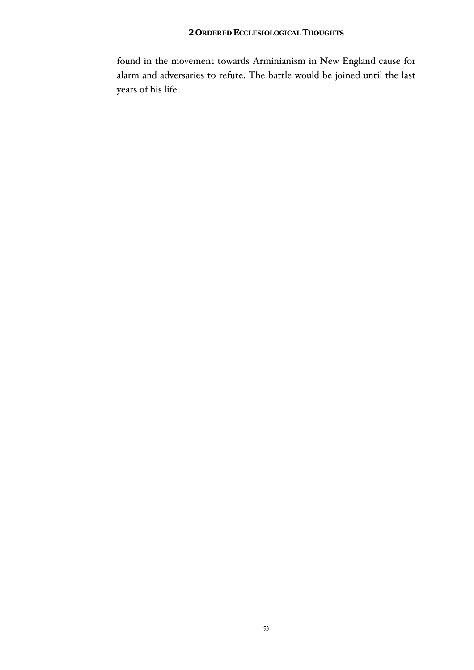found in the movement towards Arminianism in New England cause for alarm and adversaries to refute. The battle would be joined until the last years of his life.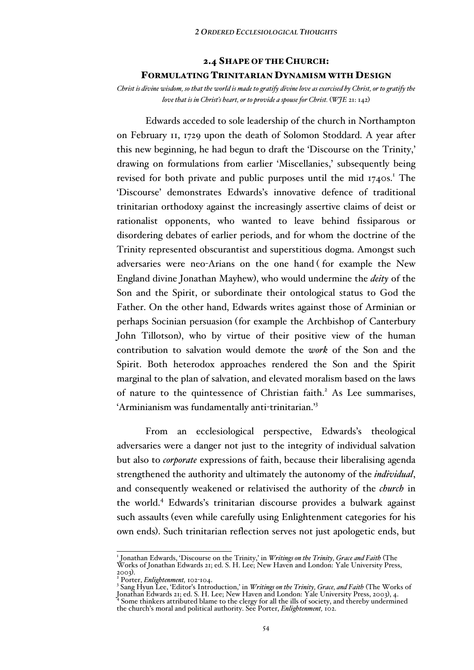# 2.4SHAPE OF THE CHURCH: FORMULATING TRINITARIAN DYNAMISM WITH DESIGN

*Christ is divine wisdom, so that the world is made to gratify divine love as exercised by Christ, or to gratify the love that is in Christ's heart, or to provide a spouse for Christ.* (*WJE* 21: 142)

Edwards acceded to sole leadership of the church in Northampton on February 11, 1729 upon the death of Solomon Stoddard. A year after this new beginning, he had begun to draft the 'Discourse on the Trinity,' drawing on formulations from earlier 'Miscellanies,' subsequently being revised for both private and public purposes until the mid 1740s.<sup>1</sup> The 'Discourse' demonstrates Edwards's innovative defence of traditional trinitarian orthodoxy against the increasingly assertive claims of deist or rationalist opponents, who wanted to leave behind fissiparous or disordering debates of earlier periods, and for whom the doctrine of the Trinity represented obscurantist and superstitious dogma. Amongst such adversaries were neo-Arians on the one hand ( for example the New England divine Jonathan Mayhew), who would undermine the *deity* of the Son and the Spirit, or subordinate their ontological status to God the Father. On the other hand, Edwards writes against those of Arminian or perhaps Socinian persuasion (for example the Archbishop of Canterbury John Tillotson), who by virtue of their positive view of the human contribution to salvation would demote the *work* of the Son and the Spirit. Both heterodox approaches rendered the Son and the Spirit marginal to the plan of salvation, and elevated moralism based on the laws of nature to the quintessence of Christian faith.<sup>2</sup> As Lee summarises, 'Arminianism was fundamentally anti-trinitarian.'<sup>3</sup>

From an ecclesiological perspective, Edwards's theological adversaries were a danger not just to the integrity of individual salvation but also to *corporate* expressions of faith, because their liberalising agenda strengthened the authority and ultimately the autonomy of the *individual*, and consequently weakened or relativised the authority of the *church* in the world.4 Edwards's trinitarian discourse provides a bulwark against such assaults (even while carefully using Enlightenment categories for his own ends). Such trinitarian reflection serves not just apologetic ends, but

<sup>1</sup> Jonathan Edwards, 'Discourse on the Trinity,' in *Writings on the Trinity, Grace and Faith* (The Works of Jonathan Edwards 21; ed. S. H. Lee; New Haven and London: Yale University Press,

<sup>2003).&</sup>lt;br><sup>2</sup> Porter, *Enlightenment,* 102-104.<br><sup>3</sup> Sang Hyun Lee, 'Editor's Introduction,' in *Writings on the Trinity, Grace, and Faith* (The Works of Jonathan Edwards 21; ed. S. H. Lee; New Haven and London: Yale University Press, 2003), 4. <sup>4</sup> Some thinkers attributed blame to the clergy for all the ills of society, and thereby undermined the church's moral and political authority. See Porter, *Enlightenment,* 102.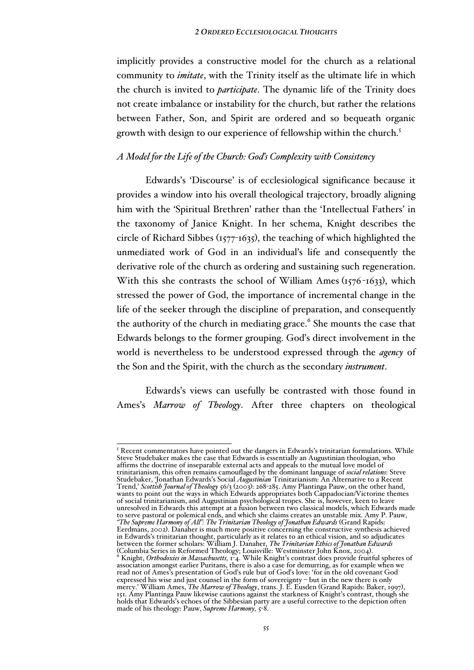implicitly provides a constructive model for the church as a relational community to *imitate*, with the Trinity itself as the ultimate life in which the church is invited to *participate*. The dynamic life of the Trinity does not create imbalance or instability for the church, but rather the relations between Father, Son, and Spirit are ordered and so bequeath organic growth with design to our experience of fellowship within the church.<sup>5</sup>

### *A Model for the Life of the Church: God's Complexity with Consistency*

Edwards's 'Discourse' is of ecclesiological significance because it provides a window into his overall theological trajectory, broadly aligning him with the 'Spiritual Brethren' rather than the 'Intellectual Fathers' in the taxonomy of Janice Knight. In her schema, Knight describes the circle of Richard Sibbes (1577-1635), the teaching of which highlighted the unmediated work of God in an individual's life and consequently the derivative role of the church as ordering and sustaining such regeneration. With this she contrasts the school of William Ames (1576-1633), which stressed the power of God, the importance of incremental change in the life of the seeker through the discipline of preparation, and consequently the authority of the church in mediating grace.<sup>6</sup> She mounts the case that Edwards belongs to the former grouping. God's direct involvement in the world is nevertheless to be understood expressed through the *agency* of the Son and the Spirit, with the church as the secondary *instrument*.

Edwards's views can usefully be contrasted with those found in Ames's *Marrow of Theology*. After three chapters on theological

<sup>-&</sup>lt;br>5  $<sup>5</sup>$  Recent commentators have pointed out the dangers in Edwards's trinitarian formulations. While</sup> Steve Studebaker makes the case that Edwards is essentially an Augustinian theologian, who affirms the doctrine of inseparable external acts and appeals to the mutual love model of trinitarianism, this often remains camouflaged by the dominant language of *social relations*: Steve Studebaker, 'Jonathan Edwards's Social *Augustinian* Trinitarianism: An Alternative to a Recent Trend,' *Scottish Journal of Theology* 56/3 (2003): 268-285. Amy Plantinga Pauw, on the other hand, wants to point out the ways in which Edwards appropriates both Cappadocian/Victorine themes of social trinitarianism, and Augustinian psychological tropes. She is, however, keen to leave unresolved in Edwards this attempt at a fusion between two classical models, which Edwards made to serve pastoral or polemical ends, and which she claims creates an unstable mix. Amy P. Pauw, *"The Supreme Harmony of All": The Trinitarian Theology of Jonathan Edwards* (Grand Rapids: Eerdmans, 2002). Danaher is much more positive concerning the constructive synthesis achieved in Edwards's trinitarian thought, particularly as it relates to an ethical vision, and so adjudicates between the former scholars: William J. Danaher, *The Trinitarian Ethics of Jonathan Edwards*

<sup>(</sup>Columbia Series in Reformed Theology; Louisville: Westminster John Knox, 2004).<br><sup>6</sup> Knight, *Orthodoxies in Massachusetts,* 1-4. While Knight's contrast does provide fruitful spheres of<br>association amongst earlier Puritan read not of Ames's presentation of God's rule but of God's love: 'for in the old covenant God expressed his wise and just counsel in the form of sovereignty – but in the new there is only mercy.' William Ames, *The Marrow of Theology*, trans. J. E. Eusden (Grand Rapids: Baker, 1997), 151. Amy Plantinga Pauw likewise cautions against the starkness of Knight's contrast, though she holds that Edwards's echoes of the Sibbesian party are a useful corrective to the depiction often made of his theology: Pauw, *Supreme Harmony,* 5-8.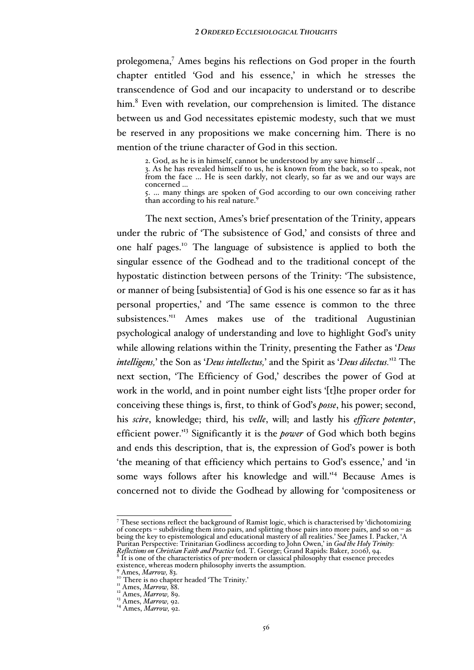prolegomena,<sup>7</sup> Ames begins his reflections on God proper in the fourth chapter entitled 'God and his essence,' in which he stresses the transcendence of God and our incapacity to understand or to describe him.<sup>8</sup> Even with revelation, our comprehension is limited. The distance between us and God necessitates epistemic modesty, such that we must be reserved in any propositions we make concerning him. There is no mention of the triune character of God in this section.

2. God, as he is in himself, cannot be understood by any save himself …

3. As he has revealed himself to us, he is known from the back, so to speak, not from the face … He is seen darkly, not clearly, so far as we and our ways are concerned …

5. … many things are spoken of God according to our own conceiving rather than according to his real nature.<sup>9</sup>

The next section, Ames's brief presentation of the Trinity, appears under the rubric of 'The subsistence of God,' and consists of three and one half pages.10 The language of subsistence is applied to both the singular essence of the Godhead and to the traditional concept of the hypostatic distinction between persons of the Trinity: 'The subsistence, or manner of being [subsistentia] of God is his one essence so far as it has personal properties,' and 'The same essence is common to the three subsistences.<sup>'II</sup> Ames makes use of the traditional Augustinian psychological analogy of understanding and love to highlight God's unity while allowing relations within the Trinity, presenting the Father as '*Deus intelligens,*' the Son as '*Deus intellectus,*' and the Spirit as '*Deus dilectus.*' 12 The next section, 'The Efficiency of God,' describes the power of God at work in the world, and in point number eight lists '[t]he proper order for conceiving these things is, first, to think of God's *posse*, his power; second, his *scire*, knowledge; third, his *velle*, will; and lastly his *efficere potenter*, efficient power.'13 Significantly it is the *power* of God which both begins and ends this description, that is, the expression of God's power is both 'the meaning of that efficiency which pertains to God's essence,' and 'in some ways follows after his knowledge and will.<sup>114</sup> Because Ames is concerned not to divide the Godhead by allowing for 'compositeness or

<sup>-&</sup>lt;br>7  $^7$  These sections reflect the background of Ramist logic, which is characterised by 'dichotomizing' of concepts – subdividing them into pairs, and splitting those pairs into more pairs, and so on – as being the key to epistemological and educational mastery of all realities.' See James I. Packer, 'A Puritan Perspective: Trinitarian Godliness according to John Owen,' in *God the Holy Trinity: Reflections on Christian Faith and Practice* (ed. T. George; Grand Rapids: Baker, 2006), 94.<br><sup>8</sup> It is one of the characteristics of pre-modern or classical philosophy that essence prece

 $\textdegree$  It is one of the characteristics of pre-modern or classical philosophy that essence precedes existence, whereas modern philosophy inverts the assumption. 19 Ames, *Marrow*, 83. 10 The Chapter headed 'The Trinity.'<br>
<sup>9</sup> Ames, *Marrow*, 83.<br>
<sup>10</sup> There is no chapter headed 'The Trinity.'<br>
<sup>11</sup> Ames, *Marrow*, 88.<br>
<sup>12</sup> Ames, *Marrow*, 92.<br>
<sup>13</sup> Ames, *Marrow*, 92.<br>
<sup>14</sup> Ames,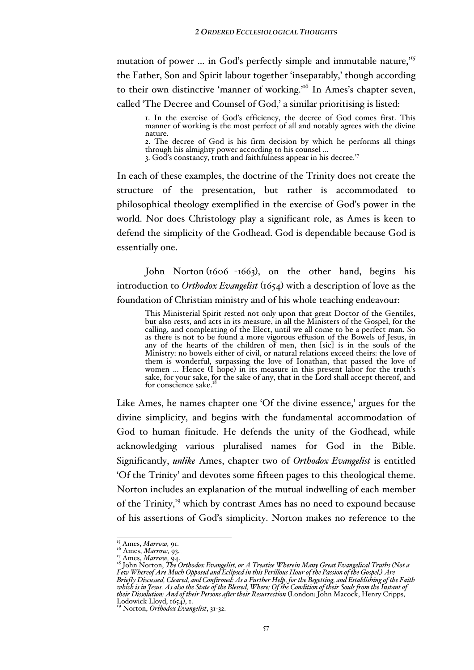mutation of power ... in God's perfectly simple and immutable nature,<sup>15</sup> the Father, Son and Spirit labour together 'inseparably,' though according to their own distinctive 'manner of working."<sup>6</sup> In Ames's chapter seven, called 'The Decree and Counsel of God,' a similar prioritising is listed:

2. The decree of God is his firm decision by which he performs all things through his almighty power according to his counsel ...<br>3. God's constancy, truth and faithfulness appear in his decree.<sup>17</sup>

In each of these examples, the doctrine of the Trinity does not create the structure of the presentation, but rather is accommodated to philosophical theology exemplified in the exercise of God's power in the world. Nor does Christology play a significant role, as Ames is keen to defend the simplicity of the Godhead. God is dependable because God is essentially one.

John Norton (1606 -1663), on the other hand, begins his introduction to *Orthodox Evangelist* (1654) with a description of love as the foundation of Christian ministry and of his whole teaching endeavour:

This Ministerial Spirit rested not only upon that great Doctor of the Gentiles, but also rests, and acts in its measure, in all the Ministers of the Gospel, for the calling, and compleating of the Elect, until we all come to be a perfect man. So as there is not to be found a more vigorous effusion of the Bowels of Jesus, in any of the hearts of the children of men, then [sic] is in the souls of the Ministry: no bowels either of civil, or natural relations exceed theirs: the love of them is wonderful, surpassing the love of Ionathan, that passed the love of women … Hence (I hope) in its measure in this present labor for the truth's sake, for your sake, for the sake of any, that in the Lord shall accept thereof, and for conscience sake.<sup>1</sup>

Like Ames, he names chapter one 'Of the divine essence,' argues for the divine simplicity, and begins with the fundamental accommodation of God to human finitude. He defends the unity of the Godhead, while acknowledging various pluralised names for God in the Bible. Significantly, *unlike* Ames, chapter two of *Orthodox Evangelist* is entitled 'Of the Trinity' and devotes some fifteen pages to this theological theme. Norton includes an explanation of the mutual indwelling of each member of the Trinity,<sup>19</sup> which by contrast Ames has no need to expound because of his assertions of God's simplicity. Norton makes no reference to the

<sup>1.</sup> In the exercise of God's efficiency, the decree of God comes first. This manner of working is the most perfect of all and notably agrees with the divine nature.

<sup>15</sup> Ames, *Marrow,* 91.<br><sup>16</sup> Ames, *Marrow, 93.*<br><sup>17</sup> Ames, *Marrow, 94.*<br><sup>18</sup> John Norton, *The Orthodox Evangelist, or A Treatise Wherein Many Great Evangelical Truths (Not a Few Whereof Are Much Opposed and Eclipsed in this Perillous Hour of the Passion of the Gospel,) Are Briefly Discussed, Cleared, and Confirmed: As a Further Help, for the Begetting, and Establishing of the Faith which is in Jesus. As also the State of the Blessed, Where; Of the Condition of their Souls from the Instant of their Dissolution: And of their Persons after their Resurrection* (London: John Macock, Henry Cripps, Lodowick Lloyd, 1654), 1. <sup>19</sup> Norton, *Orthodox Evangelist*, 31-32.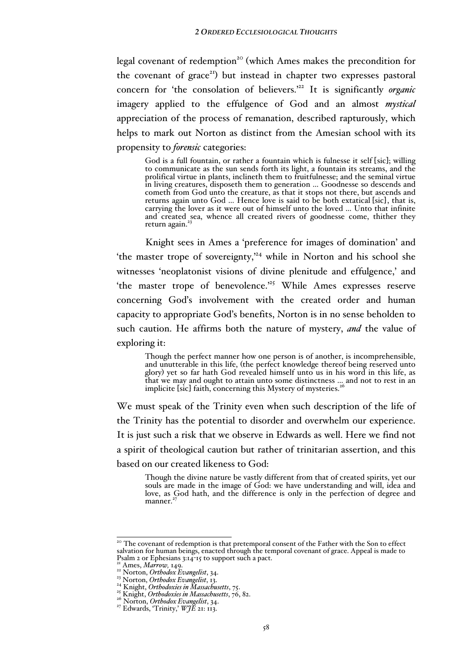legal covenant of redemption<sup>20</sup> (which Ames makes the precondition for the covenant of grace<sup>21</sup>) but instead in chapter two expresses pastoral concern for 'the consolation of believers.'<sup>22</sup> It is significantly *organic* imagery applied to the effulgence of God and an almost *mystical* appreciation of the process of remanation, described rapturously, which helps to mark out Norton as distinct from the Amesian school with its propensity to *forensic* categories:

God is a full fountain, or rather a fountain which is fulnesse it self [sic]; willing to communicate as the sun sends forth its light, a fountain its streams, and the prolifical virtue in plants, inclineth them to fruitfulnesse; and the seminal virtue in living creatures, disposeth them to generation … Goodnesse so descends and cometh from God unto the creature, as that it stops not there, but ascends and returns again unto God … Hence love is said to be both extatical [sic], that is, carrying the lover as it were out of himself unto the loved … Unto that infinite and created sea, whence all created rivers of goodnesse come, thither they return again.<sup>23</sup>

Knight sees in Ames a 'preference for images of domination' and 'the master trope of sovereignty,<sup>24</sup> while in Norton and his school she witnesses 'neoplatonist visions of divine plenitude and effulgence,' and 'the master trope of benevolence.<sup>225</sup> While Ames expresses reserve concerning God's involvement with the created order and human capacity to appropriate God's benefits, Norton is in no sense beholden to such caution. He affirms both the nature of mystery, *and* the value of exploring it:

Though the perfect manner how one person is of another, is incomprehensible, and unutterable in this life, (the perfect knowledge thereof being reserved unto glory) yet so far hath God revealed himself unto us in his word in this life, as that we may and ought to attain unto some distinctness … and not to rest in an implicite [sic] faith, concerning this Mystery of mysteries. $^{26}$ 

We must speak of the Trinity even when such description of the life of the Trinity has the potential to disorder and overwhelm our experience. It is just such a risk that we observe in Edwards as well. Here we find not a spirit of theological caution but rather of trinitarian assertion, and this based on our created likeness to God:

Though the divine nature be vastly different from that of created spirits, yet our souls are made in the image of God: we have understanding and will, idea and love, as God hath, and the difference is only in the perfection of degree and manner.<sup>27</sup>

<sup>&</sup>lt;sup>20</sup> The covenant of redemption is that pretemporal consent of the Father with the Son to effect salvation for human beings, enacted through the temporal covenant of grace. Appeal is made to Psalm 2 or Ephesians 3:14-15 to support such a pact.

Palm 2 of Ephesians 3:14-15 to support such<br>
<sup>21</sup> Ames, *Marrow*, 149.<br>
<sup>22</sup> Norton, *Orthodox Evangelist*, 34.<br>
<sup>23</sup> Norton, *Orthodox Evangelist*, 13.<br>
<sup>24</sup> Knight, *Orthodoxies in Massachusetts*, 75.<br>
<sup>25</sup> Knight, *Orth*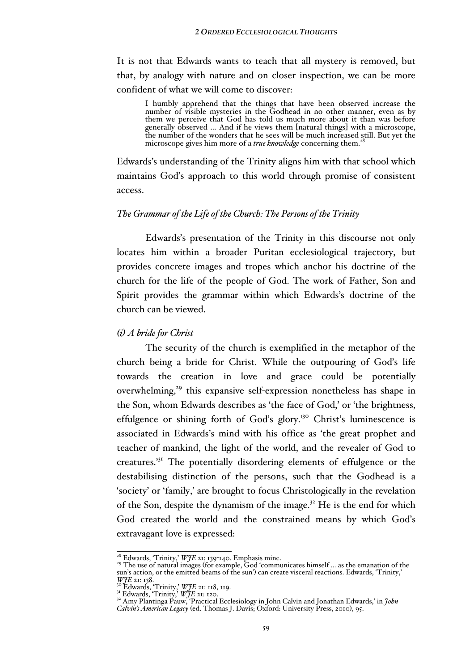It is not that Edwards wants to teach that all mystery is removed, but that, by analogy with nature and on closer inspection, we can be more confident of what we will come to discover:

I humbly apprehend that the things that have been observed increase the number of visible mysteries in the Godhead in no other manner, even as by them we perceive that God has told us much more about it than was before generally observed … And if he views them [natural things] with a microscope, the number of the wonders that he sees will be much increased still. But yet the microscope gives him more of a *true knowledge* concerning them.<sup>2</sup>

Edwards's understanding of the Trinity aligns him with that school which maintains God's approach to this world through promise of consistent access.

### *The Grammar of the Life of the Church: The Persons of the Trinity*

Edwards's presentation of the Trinity in this discourse not only locates him within a broader Puritan ecclesiological trajectory, but provides concrete images and tropes which anchor his doctrine of the church for the life of the people of God. The work of Father, Son and Spirit provides the grammar within which Edwards's doctrine of the church can be viewed.

#### *(i) A bride for Christ*

The security of the church is exemplified in the metaphor of the church being a bride for Christ. While the outpouring of God's life towards the creation in love and grace could be potentially overwhelming,<sup>29</sup> this expansive self-expression nonetheless has shape in the Son, whom Edwards describes as 'the face of God,' or 'the brightness, effulgence or shining forth of God's glory.'30 Christ's luminescence is associated in Edwards's mind with his office as 'the great prophet and teacher of mankind, the light of the world, and the revealer of God to creatures.'31 The potentially disordering elements of effulgence or the destabilising distinction of the persons, such that the Godhead is a 'society' or 'family,' are brought to focus Christologically in the revelation of the Son, despite the dynamism of the image. 32 He is the end for which God created the world and the constrained means by which God's extravagant love is expressed:

<sup>&</sup>lt;sup>28</sup> Edwards, 'Trinity,' *WJE* 21: 139-140. Emphasis mine.<br><sup>29</sup> The use of natural images (for example, God 'communicates himself ... as the emanation of the sun's action, or the emitted beams of the sun') can create visceral reactions. Edwards, 'Trinity,' *WJE* 21: 138.<br><sup>30</sup> Edwards, 'Trinity,' *WJE* 21: 118, 119.<br><sup>31</sup> Edwards, 'Trinity,' *WJE* 21: 120.<br><sup>32</sup> Amy Plantinga Pauw, 'Practical Ecclesiology in John Calvin and Jonathan Edwards,' in *John* 

*Calvin's American Legacy* (ed. Thomas J. Davis; Oxford: University Press, 2010), 95.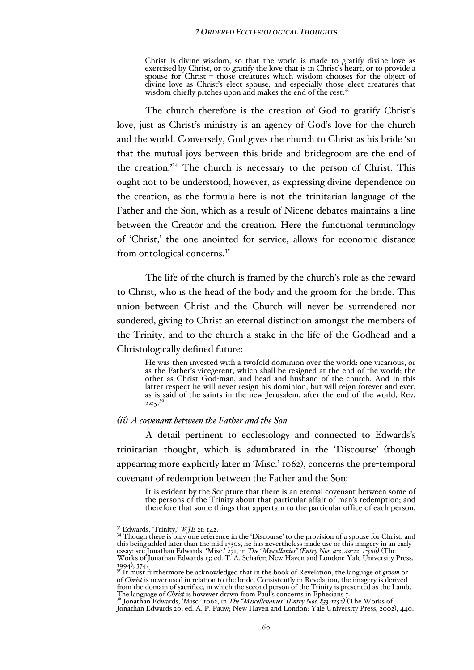Christ is divine wisdom, so that the world is made to gratify divine love as exercised by Christ, or to gratify the love that is in Christ's heart, or to provide a spouse for Christ – those creatures which wisdom chooses for the object of divine love as Christ's elect spouse, and especially those elect creatures that wisdom chiefly pitches upon and makes the end of the rest.<sup>33</sup>

The church therefore is the creation of God to gratify Christ's love, just as Christ's ministry is an agency of God's love for the church and the world. Conversely, God gives the church to Christ as his bride 'so that the mutual joys between this bride and bridegroom are the end of the creation.'34 The church is necessary to the person of Christ. This ought not to be understood, however, as expressing divine dependence on the creation, as the formula here is not the trinitarian language of the Father and the Son, which as a result of Nicene debates maintains a line between the Creator and the creation. Here the functional terminology of 'Christ,' the one anointed for service, allows for economic distance from ontological concerns.<sup>35</sup>

The life of the church is framed by the church's role as the reward to Christ, who is the head of the body and the groom for the bride. This union between Christ and the Church will never be surrendered nor sundered, giving to Christ an eternal distinction amongst the members of the Trinity, and to the church a stake in the life of the Godhead and a Christologically defined future:

He was then invested with a twofold dominion over the world: one vicarious, or as the Father's vicegerent, which shall be resigned at the end of the world; the other as Christ God-man, and head and husband of the church. And in this latter respect he will never resign his dominion, but will reign forever and ever, as is said of the saints in the new Jerusalem, after the end of the world, Rev.  $22:5.$ 

## *(ii) A covenant between the Father and the Son*

A detail pertinent to ecclesiology and connected to Edwards's trinitarian thought, which is adumbrated in the 'Discourse' (though appearing more explicitly later in 'Misc.' 1062), concerns the pre-temporal covenant of redemption between the Father and the Son:

It is evident by the Scripture that there is an eternal covenant between some of the persons of the Trinity about that particular affair of man's redemption; and therefore that some things that appertain to the particular office of each person,

<sup>33</sup> Edwards, 'Trinity,' *WJE* 21: 142.<br><sup>34</sup> Though there is only one reference in the 'Discourse' to the provision of a spouse for Christ, and this being added later than the mid 1730s, he has nevertheless made use of this imagery in an early essay: see Jonathan Edwards, 'Misc.' 271, in *The "Miscellanies" (Entry Nos. a-z, aa-zz, 1-500)* (The Works of Jonathan Edwards 13; ed. T. A. Schafer; New Haven and London: Yale University Press,

<sup>1994), 374.&</sup>lt;br><sup>35</sup> It must furthermore be acknowledged that in the book of Revelation, the language of *groom* or<br>of *Christ* is never used in relation to the bride. Consistently in Revelation, the imagery is derived<br>a stree from the domain of sacrifice, in which the second person of the Trinity is presented as the Lamb. The language of *Christ* is however drawn from Paul's concerns in Ephesians 5. <sup>36</sup> Jonathan Edwards, 'Misc.' 1062, in *The "Miscellenanies" (Entry Nos. 833-1152)* (The Works of

Jonathan Edwards 20; ed. A. P. Pauw; New Haven and London: Yale University Press, 2002), 440.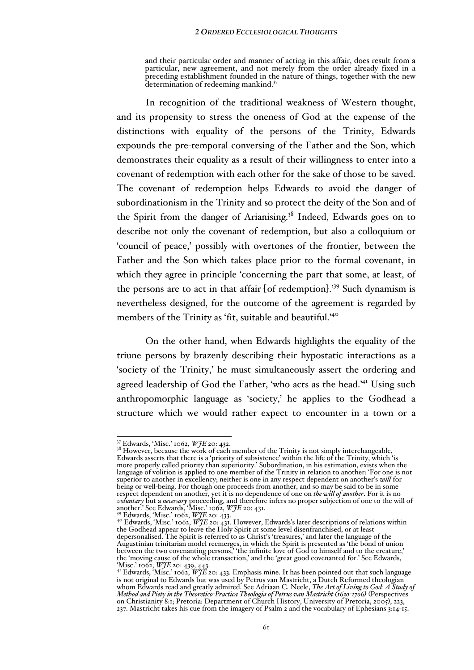and their particular order and manner of acting in this affair, does result from a particular, new agreement, and not merely from the order already fixed in a preceding establishment founded in the nature of things, together with the new determination of redeeming mankind.<sup>37</sup>

In recognition of the traditional weakness of Western thought, and its propensity to stress the oneness of God at the expense of the distinctions with equality of the persons of the Trinity, Edwards expounds the pre-temporal conversing of the Father and the Son, which demonstrates their equality as a result of their willingness to enter into a covenant of redemption with each other for the sake of those to be saved. The covenant of redemption helps Edwards to avoid the danger of subordinationism in the Trinity and so protect the deity of the Son and of the Spirit from the danger of Arianising.<sup>38</sup> Indeed, Edwards goes on to describe not only the covenant of redemption, but also a colloquium or 'council of peace,' possibly with overtones of the frontier, between the Father and the Son which takes place prior to the formal covenant, in which they agree in principle 'concerning the part that some, at least, of the persons are to act in that affair [of redemption].'39 Such dynamism is nevertheless designed, for the outcome of the agreement is regarded by members of the Trinity as 'fit, suitable and beautiful.<sup>'40</sup>

On the other hand, when Edwards highlights the equality of the triune persons by brazenly describing their hypostatic interactions as a 'society of the Trinity,' he must simultaneously assert the ordering and agreed leadership of God the Father, 'who acts as the head.'<sup>41</sup> Using such anthropomorphic language as 'society,' he applies to the Godhead a structure which we would rather expect to encounter in a town or a

<sup>&</sup>lt;sup>37</sup> Edwards, 'Misc.' 1062, *WJE* 20: 432.<br><sup>38</sup> However, because the work of each member of the Trinity is not simply interchangeable, Edwards asserts that there is a 'priority of subsistence' within the life of the Trinity, which 'is more properly called priority than superiority.' Subordination, in his estimation, exists when the language of volition is applied to one member of the Trinity in relation to another: 'For one is not superior to another in excellency; neither is one in any respect dependent on another's *will* for being or well-being. For though one proceeds from another, and so may be said to be in some respect dependent on another, yet it is no dependence of one on *the will of another*. For it is no *voluntary* but a *necessary* proceeding, and therefore infers no proper subjection of one to the will of another.' See Edwards, 'Misc.' 1062, *WJE* 20: 431. another.' See Edwards, 'Misc.' 1062, *WJE* 20: 431.<br><sup>39</sup> Edwards, 'Misc.' 1062, *WJE* 20: 433.<br><sup>40</sup> Edwards, 'Misc.' 1062, *WJE* 20: 431. However, Edwards's later descriptions of relations within

the Godhead appear to leave the Holy Spirit at some level disenfranchised, or at least depersonalised. The Spirit is referred to as Christ's 'treasures,' and later the language of the Augustinian trinitarian model reemerges, in which the Spirit is presented as 'the bond of union between the two covenanting persons,' 'the infinite love of God to himself and to the creature,' the 'moving cause of the whole transaction,' and the 'great good covenanted for.' See Edwards,

<sup>&#</sup>x27;Misc.' 1062, *WJE* 20: 439, 443.<br><sup>41</sup> Edwards, 'Misc.' 1062, *WJE* 20: 433. Emphasis mine. It has been pointed out that such language<br>is not original to Edwards but was used by Petrus van Mastricht, a Dutch Reformed theol whom Edwards read and greatly admired. See Adriaan C. Neele, *The Art of Living to God: A Study of Method and Piety in the Theoretico-Practica Theologia of Petrus van Mastricht (1630-1706)* (Perspectives on Christianity 8:1; Pretoria: Department of Church History, University of Pretoria, 2005), 223, 237. Mastricht takes his cue from the imagery of Psalm 2 and the vocabulary of Ephesians 3:14-15.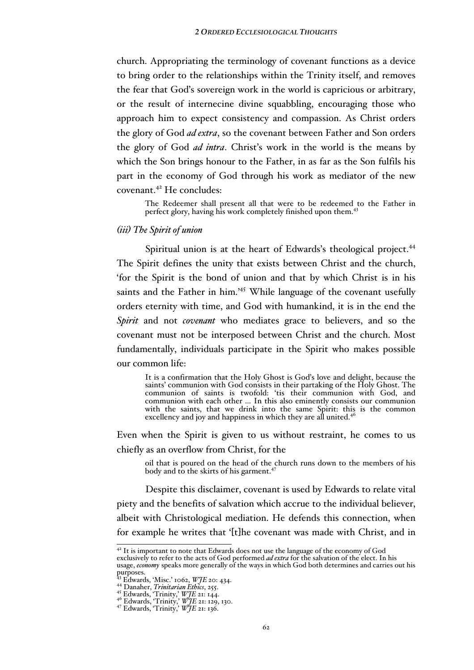church. Appropriating the terminology of covenant functions as a device to bring order to the relationships within the Trinity itself, and removes the fear that God's sovereign work in the world is capricious or arbitrary, or the result of internecine divine squabbling, encouraging those who approach him to expect consistency and compassion. As Christ orders the glory of God *ad extra*, so the covenant between Father and Son orders the glory of God *ad intra*. Christ's work in the world is the means by which the Son brings honour to the Father, in as far as the Son fulfils his part in the economy of God through his work as mediator of the new covenant.42 He concludes:

The Redeemer shall present all that were to be redeemed to the Father in perfect glory, having his work completely finished upon them.<sup>43</sup>

#### *(iii) The Spirit of union*

Spiritual union is at the heart of Edwards's theological project.<sup>44</sup> The Spirit defines the unity that exists between Christ and the church, 'for the Spirit is the bond of union and that by which Christ is in his saints and the Father in him.<sup>'45</sup> While language of the covenant usefully orders eternity with time, and God with humankind, it is in the end the *Spirit* and not *covenant* who mediates grace to believers, and so the covenant must not be interposed between Christ and the church. Most fundamentally, individuals participate in the Spirit who makes possible our common life:

It is a confirmation that the Holy Ghost is God's love and delight, because the saints' communion with God consists in their partaking of the Holy Ghost. The communion of saints is twofold: 'tis their communion with God, and communion with each other … In this also eminently consists our communion with the saints, that we drink into the same Spirit: this is the common excellency and joy and happiness in which they are all united.<sup>46</sup>

Even when the Spirit is given to us without restraint, he comes to us chiefly as an overflow from Christ, for the

oil that is poured on the head of the church runs down to the members of his body and to the skirts of his garment.<sup>47</sup>

Despite this disclaimer, covenant is used by Edwards to relate vital piety and the benefits of salvation which accrue to the individual believer, albeit with Christological mediation. He defends this connection, when for example he writes that '[t]he covenant was made with Christ, and in

 $^{42}$  It is important to note that Edwards does not use the language of the economy of God

exclusively to refer to the acts of God performed *ad extra* for the salvation of the elect. In his usage, *economy* speaks more generally of the ways in which God both determines and carries out his purposes.<br><sup>43</sup> Edwards, 'Misc.' 1062, WJE 20: 434.

<sup>&</sup>lt;sup>44</sup> Danaher, *Trinitarian Ethics*, 255.<br>
<sup>45</sup> Edwards, 'Trinity,' *WJE* 21: 144.<br>
<sup>46</sup> Edwards, 'Trinity,' *WJE* 21: 129, 130.<br>
<sup>47</sup> Edwards, 'Trinity,' *WJE* 21: 136.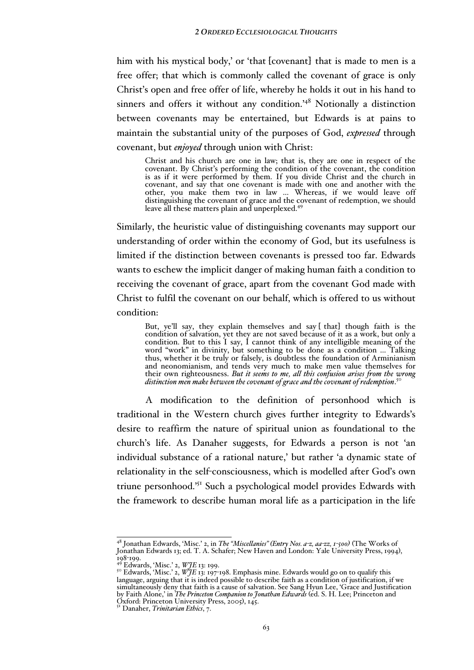him with his mystical body,' or 'that [covenant] that is made to men is a free offer; that which is commonly called the covenant of grace is only Christ's open and free offer of life, whereby he holds it out in his hand to sinners and offers it without any condition.<sup>48</sup> Notionally a distinction between covenants may be entertained, but Edwards is at pains to maintain the substantial unity of the purposes of God, *expressed* through covenant, but *enjoyed* through union with Christ:

Christ and his church are one in law; that is, they are one in respect of the covenant. By Christ's performing the condition of the covenant, the condition is as if it were performed by them. If you divide Christ and the church in covenant, and say that one covenant is made with one and another with the other, you make them two in law … Whereas, if we would leave off distinguishing the covenant of grace and the covenant of redemption, we should leave all these matters plain and unperplexed. $^{49}$ 

Similarly, the heuristic value of distinguishing covenants may support our understanding of order within the economy of God, but its usefulness is limited if the distinction between covenants is pressed too far. Edwards wants to eschew the implicit danger of making human faith a condition to receiving the covenant of grace, apart from the covenant God made with Christ to fulfil the covenant on our behalf, which is offered to us without condition:

But, ye'll say, they explain themselves and say [ that] though faith is the condition of salvation, yet they are not saved because of it as a work, but only a condition. But to this I say, I cannot think of any intelligible meaning of the word "work" in divinity, but something to be done as a condition … Talking thus, whether it be truly or falsely, is doubtless the foundation of Arminianism and neonomianism, and tends very much to make men value themselves for their own righteousness. *But it seems to me, all this confusion arises from the wrong distinction men make between the covenant of grace and the covenant of redemption*. distinction men make between the covenant of grace and the covenant of redemption.<sup>50</sup>

A modification to the definition of personhood which is traditional in the Western church gives further integrity to Edwards's desire to reaffirm the nature of spiritual union as foundational to the church's life. As Danaher suggests, for Edwards a person is not 'an individual substance of a rational nature,' but rather 'a dynamic state of relationality in the self-consciousness, which is modelled after God's own triune personhood.'51 Such a psychological model provides Edwards with the framework to describe human moral life as a participation in the life

<sup>48</sup> Jonathan Edwards, 'Misc.' 2, in *The "Miscellanies" (Entry Nos. a-z, aa-zz, 1-500)* (The Works of Jonathan Edwards 13; ed. T. A. Schafer; New Haven and London: Yale University Press, 1994),

Jonations<br>
198-199.<br>
<sup>49</sup> Edwards, 'Misc.' 2, *WHE* 13: 199.<br>
<sup>50</sup> Edwards, 'Misc.' 2, *WHE* 13: 197-198. Emphasis mine. Edwards would go on to qualify this<br>
language, arguing that it is indeed possible to describe faith a simultaneously deny that faith is a cause of salvation. See Sang Hyun Lee, 'Grace and Justification by Faith Alone,' in *The Princeton Companion to Jonathan Edwards* (ed. S. H. Lee; Princeton and Oxford: Princeton University Press, 2005), 145. <sup>51</sup> Danaher, *Trinitarian Ethics*, 7.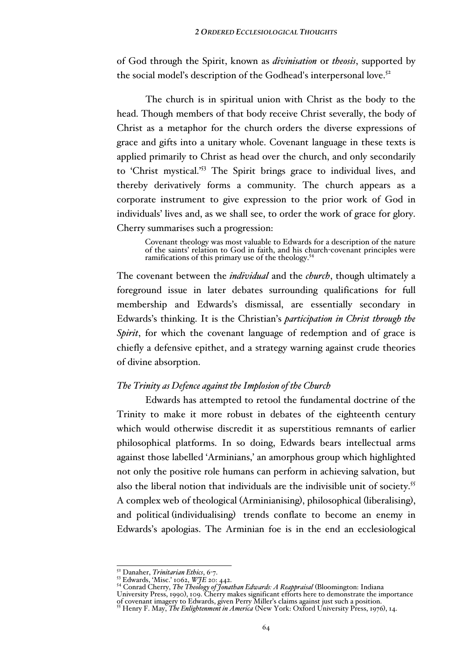of God through the Spirit, known as *divinisation* or *theosis*, supported by the social model's description of the Godhead's interpersonal love.<sup>52</sup>

The church is in spiritual union with Christ as the body to the head. Though members of that body receive Christ severally, the body of Christ as a metaphor for the church orders the diverse expressions of grace and gifts into a unitary whole. Covenant language in these texts is applied primarily to Christ as head over the church, and only secondarily to 'Christ mystical.'53 The Spirit brings grace to individual lives, and thereby derivatively forms a community. The church appears as a corporate instrument to give expression to the prior work of God in individuals' lives and, as we shall see, to order the work of grace for glory. Cherry summarises such a progression:

Covenant theology was most valuable to Edwards for a description of the nature of the saints' relation to God in faith, and his church-covenant principles were ramifications of this primary use of the theology.<sup>54</sup>

The covenant between the *individual* and the *church*, though ultimately a foreground issue in later debates surrounding qualifications for full membership and Edwards's dismissal, are essentially secondary in Edwards's thinking. It is the Christian's *participation in Christ through the Spirit*, for which the covenant language of redemption and of grace is chiefly a defensive epithet, and a strategy warning against crude theories of divine absorption.

### *The Trinity as Defence against the Implosion of the Church*

Edwards has attempted to retool the fundamental doctrine of the Trinity to make it more robust in debates of the eighteenth century which would otherwise discredit it as superstitious remnants of earlier philosophical platforms. In so doing, Edwards bears intellectual arms against those labelled 'Arminians,' an amorphous group which highlighted not only the positive role humans can perform in achieving salvation, but also the liberal notion that individuals are the indivisible unit of society.<sup>55</sup> A complex web of theological (Arminianising), philosophical (liberalising), and political (individualising) trends conflate to become an enemy in Edwards's apologias. The Arminian foe is in the end an ecclesiological

<sup>&</sup>lt;del>52</del><br>53 Danaher, *Trinitarian Ethics*, 6-7.<br>53 Edwards, 'Misc.' 1062, *WJE* 20: 442.<br><sup>54</sup> Conrad Cherry, *The Theology of Jonathan Edwards: A Reappraisal* (Bloomington: Indiana

University Press, 1990), 109. Cherry makes significant efforts here to demonstrate the importance

of covenant imagery to Edwards, given Perry Miller's claims against just such a position.<br><sup>55</sup> Henry F. May, *The Enlightenment in America* (New York: Oxford University Press, 1976), 14.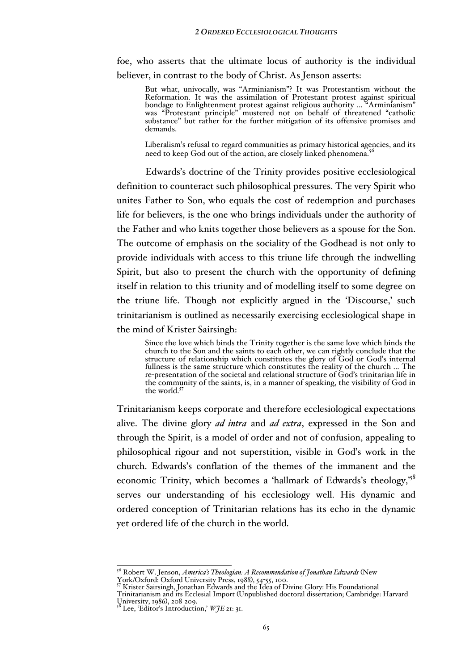foe, who asserts that the ultimate locus of authority is the individual believer, in contrast to the body of Christ. As Jenson asserts:

But what, univocally, was "Arminianism"? It was Protestantism without the Reformation. It was the assimilation of Protestant protest against spiritual bondage to Enlightenment protest against religious authority … "Arminianism" was "Protestant principle" mustered not on behalf of threatened "catholic substance" but rather for the further mitigation of its offensive promises and demands.

Liberalism's refusal to regard communities as primary historical agencies, and its need to keep God out of the action, are closely linked phenomena.<sup>56</sup>

Edwards's doctrine of the Trinity provides positive ecclesiological definition to counteract such philosophical pressures. The very Spirit who unites Father to Son, who equals the cost of redemption and purchases life for believers, is the one who brings individuals under the authority of the Father and who knits together those believers as a spouse for the Son. The outcome of emphasis on the sociality of the Godhead is not only to provide individuals with access to this triune life through the indwelling Spirit, but also to present the church with the opportunity of defining itself in relation to this triunity and of modelling itself to some degree on the triune life. Though not explicitly argued in the 'Discourse,' such trinitarianism is outlined as necessarily exercising ecclesiological shape in the mind of Krister Sairsingh:

Since the love which binds the Trinity together is the same love which binds the church to the Son and the saints to each other, we can rightly conclude that the structure of relationship which constitutes the glory of God or God's internal fullness is the same structure which constitutes the reality of the church … The re-presentation of the societal and relational structure of God's trinitarian life in the community of the saints, is, in a manner of speaking, the visibility of God in the world.<sup>57</sup>

Trinitarianism keeps corporate and therefore ecclesiological expectations alive. The divine glory *ad intra* and *ad extra*, expressed in the Son and through the Spirit, is a model of order and not of confusion, appealing to philosophical rigour and not superstition, visible in God's work in the church. Edwards's conflation of the themes of the immanent and the economic Trinity, which becomes a 'hallmark of Edwards's theology,"<sup>8</sup> serves our understanding of his ecclesiology well. His dynamic and ordered conception of Trinitarian relations has its echo in the dynamic yet ordered life of the church in the world.

<sup>56</sup> Robert W. Jenson, *America's Theologian: A Recommendation of Jonathan Edwards* (New

York/Oxford: Oxford University Press, 1988), 54-55, 100.<br><sup>57</sup> Krister Sairsingh, Jonathan Edwards and the Idea of Divine Glory: His Foundational

Trinitarianism and its Ecclesial Import (Unpublished doctoral dissertation; Cambridge: Harvard University, 1986), 208-209. <sup>58</sup> Lee, 'Editor's Introduction,' *WJE* 21: 31.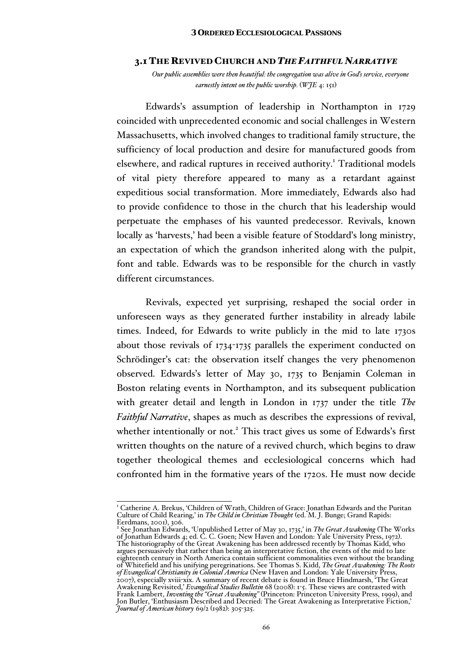### 3.1 THE REVIVED CHURCH AND *THE FAITHFUL NARRATIVE*

*Our public assemblies were then beautiful: the congregation was alive in God's service, everyone earnestly intent on the public worship.* (*WJE* 4: 151)

Edwards's assumption of leadership in Northampton in 1729 coincided with unprecedented economic and social challenges in Western Massachusetts, which involved changes to traditional family structure, the sufficiency of local production and desire for manufactured goods from elsewhere, and radical ruptures in received authority.<sup>I</sup> Traditional models of vital piety therefore appeared to many as a retardant against expeditious social transformation. More immediately, Edwards also had to provide confidence to those in the church that his leadership would perpetuate the emphases of his vaunted predecessor. Revivals, known locally as 'harvests,' had been a visible feature of Stoddard's long ministry, an expectation of which the grandson inherited along with the pulpit, font and table. Edwards was to be responsible for the church in vastly different circumstances.

Revivals, expected yet surprising, reshaped the social order in unforeseen ways as they generated further instability in already labile times. Indeed, for Edwards to write publicly in the mid to late 1730s about those revivals of 1734-1735 parallels the experiment conducted on Schrödinger's cat: the observation itself changes the very phenomenon observed. Edwards's letter of May 30, 1735 to Benjamin Coleman in Boston relating events in Northampton, and its subsequent publication with greater detail and length in London in 1737 under the title *The Faithful Narrative*, shapes as much as describes the expressions of revival, whether intentionally or not.<sup>2</sup> This tract gives us some of Edwards's first written thoughts on the nature of a revived church, which begins to draw together theological themes and ecclesiological concerns which had confronted him in the formative years of the 1720s. He must now decide

<sup>1</sup> Catherine A. Brekus, 'Children of Wrath, Children of Grace: Jonathan Edwards and the Puritan Culture of Child Rearing,' in *The Child in Christian Thought* (ed. M. J. Bunge; Grand Rapids:

Eerdmans, 2001), 306.<br><sup>2</sup> See Jonathan Edwards, 'Unpublished Letter of May 30, 1735,' in *The Great Awakening* (The Works of Jonathan Edwards 4; ed. C. C. Goen; New Haven and London: Yale University Press, 1972). The historiography of the Great Awakening has been addressed recently by Thomas Kidd, who argues persuasively that rather than being an interpretative fiction, the events of the mid to late eighteenth century in North America contain sufficient commonalities even without the branding of Whitefield and his unifying peregrinations. See Thomas S. Kidd, *The Great Awakening: The Roots*<br>*of Evangelical Christianity in Colonial America* (New Haven and London: Yale University Press, 2007), especially xviii-xix. A summary of recent debate is found in Bruce Hindmarsh, 'The Great Awakening Revisited,' *Evangelical Studies Bulletin* 68 (2008): 1-5. These views are contrasted with Frank Lambert, *Inventing the "Great Awakening"* (Princeton: Princeton University Press, 1999), and Jon Butler, 'Enthusiasm Described and Decried: The Great Awakening as Interpretative Fiction,' *Journal of American history* 69/2 (1982): 305-325.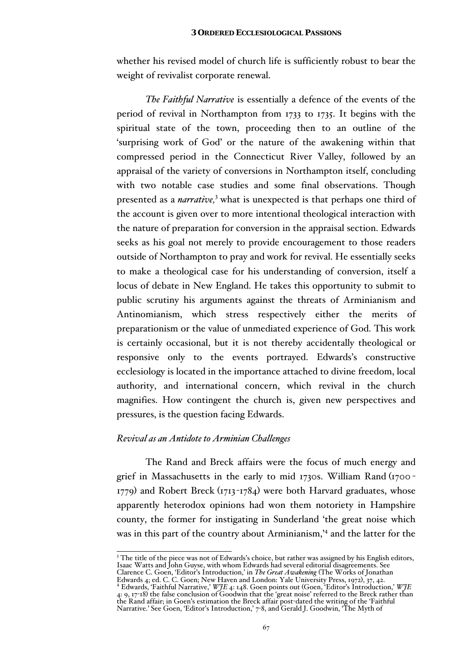whether his revised model of church life is sufficiently robust to bear the weight of revivalist corporate renewal.

*The Faithful Narrative* is essentially a defence of the events of the period of revival in Northampton from 1733 to 1735. It begins with the spiritual state of the town, proceeding then to an outline of the 'surprising work of God' or the nature of the awakening within that compressed period in the Connecticut River Valley, followed by an appraisal of the variety of conversions in Northampton itself, concluding with two notable case studies and some final observations. Though presented as a *narrative,*<sup>3</sup> what is unexpected is that perhaps one third of the account is given over to more intentional theological interaction with the nature of preparation for conversion in the appraisal section. Edwards seeks as his goal not merely to provide encouragement to those readers outside of Northampton to pray and work for revival. He essentially seeks to make a theological case for his understanding of conversion, itself a locus of debate in New England. He takes this opportunity to submit to public scrutiny his arguments against the threats of Arminianism and Antinomianism, which stress respectively either the merits of preparationism or the value of unmediated experience of God. This work is certainly occasional, but it is not thereby accidentally theological or responsive only to the events portrayed. Edwards's constructive ecclesiology is located in the importance attached to divine freedom, local authority, and international concern, which revival in the church magnifies. How contingent the church is, given new perspectives and pressures, is the question facing Edwards.

### *Revival as an Antidote to Arminian Challenges*

The Rand and Breck affairs were the focus of much energy and grief in Massachusetts in the early to mid 1730s. William Rand (1700 - 1779) and Robert Breck (1713 -1784) were both Harvard graduates, whose apparently heterodox opinions had won them notoriety in Hampshire county, the former for instigating in Sunderland 'the great noise which was in this part of the country about Arminianism,<sup>4</sup> and the latter for the

 $\frac{1}{3}$  The title of the piece was not of Edwards's choice, but rather was assigned by his English editors, Isaac Watts and John Guyse, with whom Edwards had several editorial disagreements. See Clarence C. Goen, 'Editor's Introduction,' in *The Great Awakening* (The Works of Jonathan Edwards 4; ed. C. C. Goen; New Haven and London: Yale University Press, 1972), 37, 42. <sup>4</sup> Edwards, 'Faithful Narrative,' *WJE* 4: 148. Goen points out (Goen, 'Editor's Introduction,' *WJE*

<sup>4: 9, 17</sup>-18) the false conclusion of Goodwin that the 'great noise' referred to the Breck rather than the Rand affair; in Goen's estimation the Breck affair post-dated the writing of the 'Faithful Narrative.' See Goen, 'Editor's Introduction,' 7-8, and Gerald J. Goodwin, 'The Myth of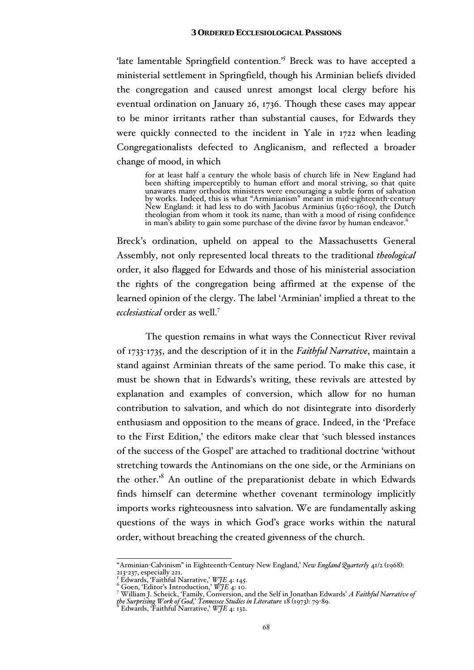'late lamentable Springfield contention.<sup>5</sup> Breck was to have accepted a ministerial settlement in Springfield, though his Arminian beliefs divided the congregation and caused unrest amongst local clergy before his eventual ordination on January 26, 1736. Though these cases may appear to be minor irritants rather than substantial causes, for Edwards they were quickly connected to the incident in Yale in 1722 when leading Congregationalists defected to Anglicanism, and reflected a broader change of mood, in which

for at least half a century the whole basis of church life in New England had been shifting imperceptibly to human effort and moral striving, so that quite unawares many orthodox ministers were encouraging a subtle form of salvation by works. Indeed, this is what "Arminianism" meant in mid-eighteenth-century New England: it had less to do with Jacobus Arminius (1560-1609), the Dutch theologian from whom it took its name, than with a mood of rising confidence in man's ability to gain some purchase of the divine favor by human endeavor.<sup>6</sup>

Breck's ordination, upheld on appeal to the Massachusetts General Assembly, not only represented local threats to the traditional *theological* order, it also flagged for Edwards and those of his ministerial association the rights of the congregation being affirmed at the expense of the learned opinion of the clergy. The label 'Arminian' implied a threat to the *ecclesiastical* order as well.<sup>7</sup>

The question remains in what ways the Connecticut River revival of 1733-1735, and the description of it in the *Faithful Narrative*, maintain a stand against Arminian threats of the same period. To make this case, it must be shown that in Edwards's writing, these revivals are attested by explanation and examples of conversion, which allow for no human contribution to salvation, and which do not disintegrate into disorderly enthusiasm and opposition to the means of grace. Indeed, in the 'Preface to the First Edition,' the editors make clear that 'such blessed instances of the success of the Gospel' are attached to traditional doctrine 'without stretching towards the Antinomians on the one side, or the Arminians on the other.<sup>8</sup> An outline of the preparationist debate in which Edwards finds himself can determine whether covenant terminology implicitly imports works righteousness into salvation. We are fundamentally asking questions of the ways in which God's grace works within the natural order, without breaching the created givenness of the church.

1

<sup>&</sup>quot;Arminian-Calvinism" in Eighteenth-Century New England,' *New England Quarterly 41*/2 (1968):<br>213-237, especially 221.<br><sup>5</sup> Edwards, 'Faithful Narrative,' *WJE 4*: 145.<br><sup>6</sup> Goen, 'Editor's Introduction,' *WJE 4*: 10.<br>7 Will

*the Surprising Work of God,*' *Tennessee Studies in Literature* 18 (1973): 79-89. <sup>8</sup> Edwards, 'Faithful Narrative,' *WJE* 4: 132.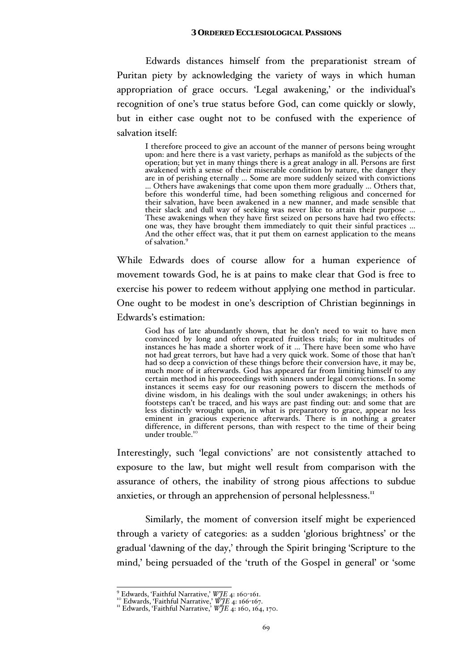Edwards distances himself from the preparationist stream of Puritan piety by acknowledging the variety of ways in which human appropriation of grace occurs. 'Legal awakening,' or the individual's recognition of one's true status before God, can come quickly or slowly, but in either case ought not to be confused with the experience of salvation itself:

I therefore proceed to give an account of the manner of persons being wrought upon: and here there is a vast variety, perhaps as manifold as the subjects of the operation; but yet in many things there is a great analogy in all. Persons are first awakened with a sense of their miserable condition by nature, the danger they are in of perishing eternally … Some are more suddenly seized with convictions … Others have awakenings that come upon them more gradually … Others that, before this wonderful time, had been something religious and concerned for their salvation, have been awakened in a new manner, and made sensible that their slack and dull way of seeking was never like to attain their purpose … These awakenings when they have first seized on persons have had two effects: one was, they have brought them immediately to quit their sinful practices … And the other effect was, that it put them on earnest application to the means of salvation.<sup>9</sup>

While Edwards does of course allow for a human experience of movement towards God, he is at pains to make clear that God is free to exercise his power to redeem without applying one method in particular. One ought to be modest in one's description of Christian beginnings in Edwards's estimation:

God has of late abundantly shown, that he don't need to wait to have men convinced by long and often repeated fruitless trials; for in multitudes of instances he has made a shorter work of it … There have been some who have not had great terrors, but have had a very quick work. Some of those that han't had so deep a conviction of these things before their conversion have, it may be, much more of it afterwards. God has appeared far from limiting himself to any certain method in his proceedings with sinners under legal convictions. In some instances it seems easy for our reasoning powers to discern the methods of divine wisdom, in his dealings with the soul under awakenings; in others his footsteps can't be traced, and his ways are past finding out: and some that are less distinctly wrought upon, in what is preparatory to grace, appear no less eminent in gracious experience afterwards. There is in nothing a greater difference, in different persons, than with respect to the time of their being under trouble.<sup>10</sup>

Interestingly, such 'legal convictions' are not consistently attached to exposure to the law, but might well result from comparison with the assurance of others, the inability of strong pious affections to subdue anxieties, or through an apprehension of personal helplessness.<sup>11</sup>

Similarly, the moment of conversion itself might be experienced through a variety of categories: as a sudden 'glorious brightness' or the gradual 'dawning of the day,' through the Spirit bringing 'Scripture to the mind,' being persuaded of the 'truth of the Gospel in general' or 'some

<sup>&</sup>lt;sup>9</sup> Edwards, 'Faithful Narrative,' *WJE* 4: 160-161.<br><sup>10</sup> Edwards, 'Faithful Narrative,' *WJE* 4: 166-167.<br><sup>11</sup> Edwards, 'Faithful Narrative,' *WJE* 4: 160, 164, 170.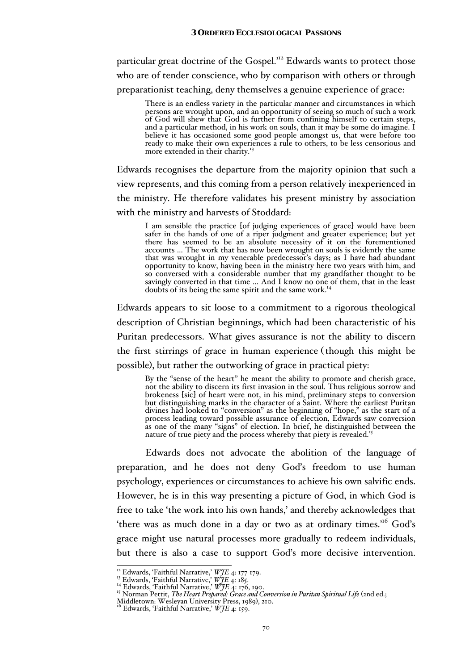particular great doctrine of the Gospel."<sup>2</sup> Edwards wants to protect those who are of tender conscience, who by comparison with others or through preparationist teaching, deny themselves a genuine experience of grace:

There is an endless variety in the particular manner and circumstances in which persons are wrought upon, and an opportunity of seeing so much of such a work of God will shew that God is further from confining himself to certain steps, and a particular method, in his work on souls, than it may be some do imagine. I believe it has occasioned some good people amongst us, that were before too ready to make their own experiences a rule to others, to be less censorious and more extended in their charity.<sup>13</sup>

Edwards recognises the departure from the majority opinion that such a view represents, and this coming from a person relatively inexperienced in the ministry. He therefore validates his present ministry by association with the ministry and harvests of Stoddard:

I am sensible the practice [of judging experiences of grace] would have been safer in the hands of one of a riper judgment and greater experience; but yet there has seemed to be an absolute necessity of it on the forementioned accounts … The work that has now been wrought on souls is evidently the same that was wrought in my venerable predecessor's days; as I have had abundant opportunity to know, having been in the ministry here two years with him, and so conversed with a considerable number that my grandfather thought to be savingly converted in that time ... And I know no one of them, that in the least doubts of its being the same spirit and the same work.<sup>14</sup>

Edwards appears to sit loose to a commitment to a rigorous theological description of Christian beginnings, which had been characteristic of his Puritan predecessors. What gives assurance is not the ability to discern the first stirrings of grace in human experience ( though this might be possible), but rather the outworking of grace in practical piety:

By the "sense of the heart" he meant the ability to promote and cherish grace, not the ability to discern its first invasion in the soul. Thus religious sorrow and brokeness [sic] of heart were not, in his mind, preliminary steps to conversion but distinguishing marks in the character of a Saint. Where the earliest Puritan divines had looked to "conversion" as the beginning of "hope," as the start of a process leading toward possible assurance of election, Edwards saw conversion as one of the many "signs" of election. In brief, he distinguished between the nature of true piety and the process whereby that piety is revealed.<sup>15</sup>

Edwards does not advocate the abolition of the language of preparation, and he does not deny God's freedom to use human psychology, experiences or circumstances to achieve his own salvific ends. However, he is in this way presenting a picture of God, in which God is free to take 'the work into his own hands,' and thereby acknowledges that 'there was as much done in a day or two as at ordinary times.'16 God's grace might use natural processes more gradually to redeem individuals, but there is also a case to support God's more decisive intervention.

<sup>&</sup>lt;sup>12</sup> Edwards, 'Faithful Narrative,' *WJE 4*: 177-179.<br><sup>13</sup> Edwards, 'Faithful Narrative,' *WJE 4*: 185.<br><sup>14</sup> Edwards, 'Faithful Narrative,' *WJE 4*: 176, 190.<br><sup>15</sup> Norman Pettit, *The Heart Prepared: Grace and Conversion i* 

Middletown: Wesleyan University Press, 1989), 210. <sup>16</sup> Edwards, 'Faithful Narrative,' *WJE* 4: 159.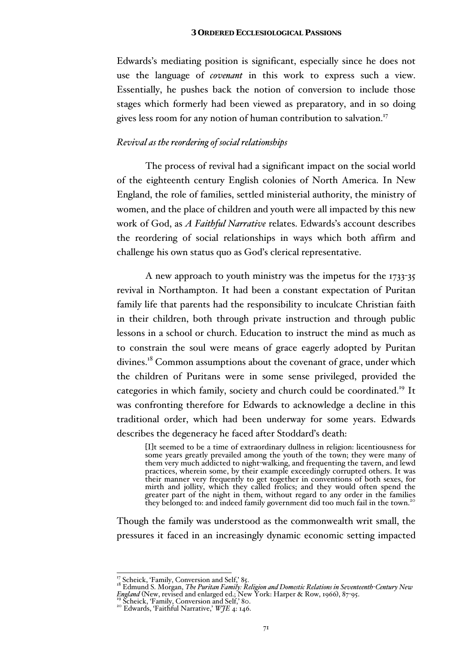Edwards's mediating position is significant, especially since he does not use the language of *covenant* in this work to express such a view. Essentially, he pushes back the notion of conversion to include those stages which formerly had been viewed as preparatory, and in so doing gives less room for any notion of human contribution to salvation.<sup>17</sup>

# *Revival as the reordering of social relationships*

The process of revival had a significant impact on the social world of the eighteenth century English colonies of North America. In New England, the role of families, settled ministerial authority, the ministry of women, and the place of children and youth were all impacted by this new work of God, as *A Faithful Narrative* relates. Edwards's account describes the reordering of social relationships in ways which both affirm and challenge his own status quo as God's clerical representative.

A new approach to youth ministry was the impetus for the 1733-35 revival in Northampton. It had been a constant expectation of Puritan family life that parents had the responsibility to inculcate Christian faith in their children, both through private instruction and through public lessons in a school or church. Education to instruct the mind as much as to constrain the soul were means of grace eagerly adopted by Puritan divines.<sup>18</sup> Common assumptions about the covenant of grace, under which the children of Puritans were in some sense privileged, provided the categories in which family, society and church could be coordinated.19 It was confronting therefore for Edwards to acknowledge a decline in this traditional order, which had been underway for some years. Edwards describes the degeneracy he faced after Stoddard's death:

[I]t seemed to be a time of extraordinary dullness in religion: licentiousness for some years greatly prevailed among the youth of the town; they were many of them very much addicted to night-walking, and frequenting the tavern, and lewd practices, wherein some, by their example exceedingly corrupted others. It was their manner very frequently to get together in conventions of both sexes, for mirth and jollity, which they called frolics; and they would often spend the greater part of the night in them, without regard to any order in the families they belonged to: and indeed family government did too much fail in the town.<sup>20</sup>

Though the family was understood as the commonwealth writ small, the pressures it faced in an increasingly dynamic economic setting impacted

<sup>17</sup> Scheick, 'Family, Conversion and Self,' 85. <sup>18</sup> Edmund S. Morgan, *The Puritan Family: Religion and Domestic Relations in Seventeenth-Century New England* (New, revised and enlarged ed.; New York: Harper & Row, 1966), 87-95.<br><sup>19</sup> Scheick, 'Family, Conversion and Self,' 80.<br><sup>20</sup> Edwards, 'Faithful Narrative,' *WJE* 4: 146.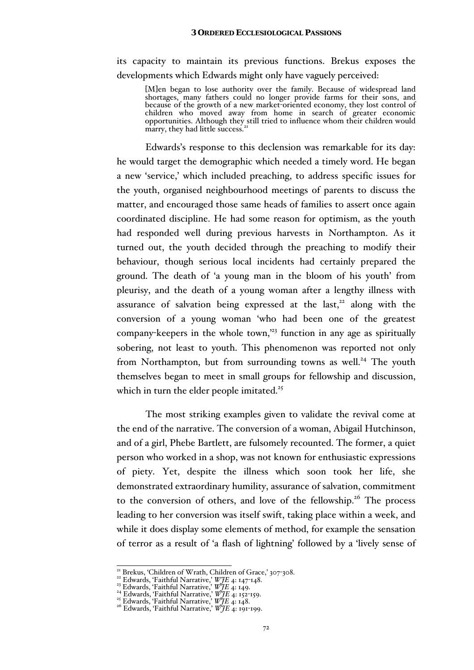its capacity to maintain its previous functions. Brekus exposes the developments which Edwards might only have vaguely perceived:

[M]en began to lose authority over the family. Because of widespread land shortages, many fathers could no longer provide farms for their sons, and because of the growth of a new market-oriented economy, they lost control of children who moved away from home in search of greater economic opportunities. Although they still tried to influence whom their children would marry, they had little success.<sup>21</sup>

Edwards's response to this declension was remarkable for its day: he would target the demographic which needed a timely word. He began a new 'service,' which included preaching, to address specific issues for the youth, organised neighbourhood meetings of parents to discuss the matter, and encouraged those same heads of families to assert once again coordinated discipline. He had some reason for optimism, as the youth had responded well during previous harvests in Northampton. As it turned out, the youth decided through the preaching to modify their behaviour, though serious local incidents had certainly prepared the ground. The death of 'a young man in the bloom of his youth' from pleurisy, and the death of a young woman after a lengthy illness with assurance of salvation being expressed at the last, $22$  along with the conversion of a young woman 'who had been one of the greatest company-keepers in the whole town,<sup>23</sup> function in any age as spiritually sobering, not least to youth. This phenomenon was reported not only from Northampton, but from surrounding towns as well.<sup>24</sup> The youth themselves began to meet in small groups for fellowship and discussion, which in turn the elder people imitated.<sup>25</sup>

The most striking examples given to validate the revival come at the end of the narrative. The conversion of a woman, Abigail Hutchinson, and of a girl, Phebe Bartlett, are fulsomely recounted. The former, a quiet person who worked in a shop, was not known for enthusiastic expressions of piety. Yet, despite the illness which soon took her life, she demonstrated extraordinary humility, assurance of salvation, commitment to the conversion of others, and love of the fellowship.<sup>26</sup> The process leading to her conversion was itself swift, taking place within a week, and while it does display some elements of method, for example the sensation of terror as a result of 'a flash of lightning' followed by a 'lively sense of

<sup>&</sup>lt;sup>21</sup> Brekus, 'Children of Wrath, Children of Grace,' 307-308.<br>
<sup>22</sup> Edwards, 'Faithful Narrative,' *WJE* 4: 147-148.<br>
<sup>23</sup> Edwards, 'Faithful Narrative,' *WJE* 4: 149.<br>
<sup>24</sup> Edwards, 'Faithful Narrative,' *WJE* 4: 152-159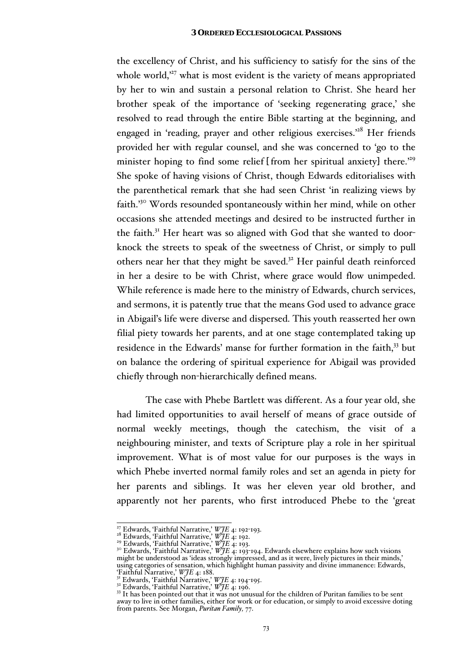the excellency of Christ, and his sufficiency to satisfy for the sins of the whole world,<sup>27</sup> what is most evident is the variety of means appropriated by her to win and sustain a personal relation to Christ. She heard her brother speak of the importance of 'seeking regenerating grace,' she resolved to read through the entire Bible starting at the beginning, and engaged in 'reading, prayer and other religious exercises.<sup>28</sup> Her friends provided her with regular counsel, and she was concerned to 'go to the minister hoping to find some relief [from her spiritual anxiety] there.<sup>29</sup> She spoke of having visions of Christ, though Edwards editorialises with the parenthetical remark that she had seen Christ 'in realizing views by faith.'30 Words resounded spontaneously within her mind, while on other occasions she attended meetings and desired to be instructed further in the faith.<sup>31</sup> Her heart was so aligned with God that she wanted to doorknock the streets to speak of the sweetness of Christ, or simply to pull others near her that they might be saved.<sup>32</sup> Her painful death reinforced in her a desire to be with Christ, where grace would flow unimpeded. While reference is made here to the ministry of Edwards, church services, and sermons, it is patently true that the means God used to advance grace in Abigail's life were diverse and dispersed. This youth reasserted her own filial piety towards her parents, and at one stage contemplated taking up residence in the Edwards' manse for further formation in the faith,<sup>33</sup> but on balance the ordering of spiritual experience for Abigail was provided chiefly through non-hierarchically defined means.

The case with Phebe Bartlett was different. As a four year old, she had limited opportunities to avail herself of means of grace outside of normal weekly meetings, though the catechism, the visit of a neighbouring minister, and texts of Scripture play a role in her spiritual improvement. What is of most value for our purposes is the ways in which Phebe inverted normal family roles and set an agenda in piety for her parents and siblings. It was her eleven year old brother, and apparently not her parents, who first introduced Phebe to the 'great

<sup>&</sup>lt;sup>27</sup> Edwards, 'Faithful Narrative,' *WJE* 4: 192-193.<br><sup>28</sup> Edwards, 'Faithful Narrative,' *WJE* 4: 192.<br><sup>29</sup> Edwards, 'Faithful Narrative,' *WJE* 4: 193.<br><sup>30</sup> Edwards, 'Faithful Narrative,' *WJE* 4: 193-194. Edwards elsewh might be understood as 'ideas strongly impressed, and as it were, lively pictures in their minds,' using categories of sensation, which highlight human passivity and divine immanence: Edwards, 'Faithful Narrative,' *WJE* 4: 188.<br><sup>31</sup> Edwards, 'Faithful Narrative,' *WJE* 4: 194-195.<br><sup>32</sup> Edwards, 'Faithful Narrative,' *WJE* 4: 196.<br><sup>33</sup> It has been pointed out that it was not unusual for the children of Puritan f

away to live in other families, either for work or for education, or simply to avoid excessive doting from parents. See Morgan, *Puritan Family,* 77.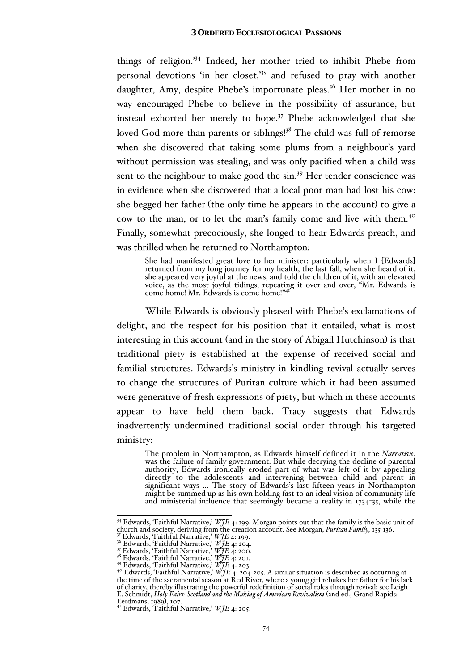things of religion.'34 Indeed, her mother tried to inhibit Phebe from personal devotions 'in her closet,<sup>35</sup> and refused to pray with another daughter, Amy, despite Phebe's importunate pleas.<sup>36</sup> Her mother in no way encouraged Phebe to believe in the possibility of assurance, but instead exhorted her merely to hope.37 Phebe acknowledged that she loved God more than parents or siblings!<sup>38</sup> The child was full of remorse when she discovered that taking some plums from a neighbour's yard without permission was stealing, and was only pacified when a child was sent to the neighbour to make good the sin.<sup>39</sup> Her tender conscience was in evidence when she discovered that a local poor man had lost his cow: she begged her father (the only time he appears in the account) to give a cow to the man, or to let the man's family come and live with them.<sup>40</sup> Finally, somewhat precociously, she longed to hear Edwards preach, and was thrilled when he returned to Northampton:

She had manifested great love to her minister: particularly when I [Edwards] returned from my long journey for my health, the last fall, when she heard of it, she appeared very joyful at the news, and told the children of it, with an elevated voice, as the most joyful tidings; repeating it over and over, "Mr. Edwards is come home! Mr. Edwards is come home!"41

While Edwards is obviously pleased with Phebe's exclamations of delight, and the respect for his position that it entailed, what is most interesting in this account (and in the story of Abigail Hutchinson) is that traditional piety is established at the expense of received social and familial structures. Edwards's ministry in kindling revival actually serves to change the structures of Puritan culture which it had been assumed were generative of fresh expressions of piety, but which in these accounts appear to have held them back. Tracy suggests that Edwards inadvertently undermined traditional social order through his targeted ministry:

The problem in Northampton, as Edwards himself defined it in the *Narrative*, was the failure of family government. But while decrying the decline of parental authority, Edwards ironically eroded part of what was left of it by appealing directly to the adolescents and intervening between child and parent in significant ways … The story of Edwards's last fifteen years in Northampton might be summed up as his own holding fast to an ideal vision of community life and ministerial influence that seemingly became a reality in 1734-35, while the

<sup>&</sup>lt;sup>34</sup> Edwards, 'Faithful Narrative,' *WJE* 4: 199. Morgan points out that the family is the basic unit of church and society, deriving from the creation account. See Morgan, *Puritan Family*, 135-136.

church and society, deriving from the creation account. See Morgan, *Puritan Family*, 135-136.<br><sup>35</sup> Edwards, 'Faithful Narrative,' *WJE* 4: 199.<br><sup>36</sup> Edwards, 'Faithful Narrative,' *WJE* 4: 204.<br><sup>37</sup> Edwards, 'Faithful Nar of charity, thereby illustrating the powerful redefinition of social roles through revival: see Leigh E. Schmidt, *Holy Fairs: Scotland and the Making of American Revivalism* (2nd ed.; Grand Rapids: Eerdmans, 1989), 107. <sup>41</sup> Edwards, 'Faithful Narrative,' *WJE* 4: 205.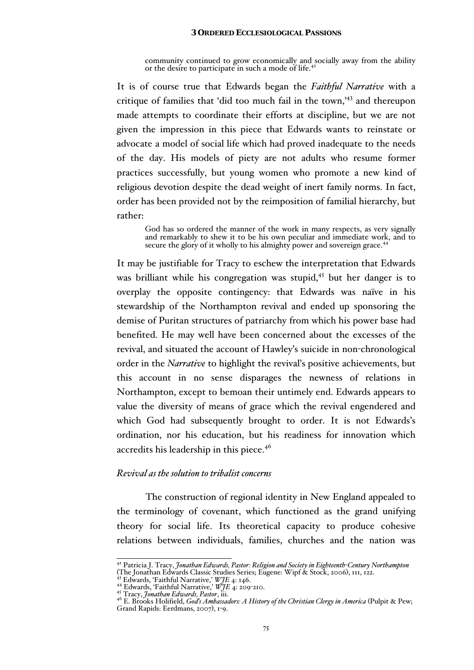community continued to grow economically and socially away from the ability or the desire to participate in such a mode of life.<sup>42</sup>

It is of course true that Edwards began the *Faithful Narrative* with a critique of families that 'did too much fail in the town,'43 and thereupon made attempts to coordinate their efforts at discipline, but we are not given the impression in this piece that Edwards wants to reinstate or advocate a model of social life which had proved inadequate to the needs of the day. His models of piety are not adults who resume former practices successfully, but young women who promote a new kind of religious devotion despite the dead weight of inert family norms. In fact, order has been provided not by the reimposition of familial hierarchy, but rather:

God has so ordered the manner of the work in many respects, as very signally and remarkably to shew it to be his own peculiar and immediate work, and to secure the glory of it wholly to his almighty power and sovereign grace.<sup>4</sup>

It may be justifiable for Tracy to eschew the interpretation that Edwards was brilliant while his congregation was stupid,<sup>45</sup> but her danger is to overplay the opposite contingency: that Edwards was naïve in his stewardship of the Northampton revival and ended up sponsoring the demise of Puritan structures of patriarchy from which his power base had benefited. He may well have been concerned about the excesses of the revival, and situated the account of Hawley's suicide in non-chronological order in the *Narrative* to highlight the revival's positive achievements, but this account in no sense disparages the newness of relations in Northampton, except to bemoan their untimely end. Edwards appears to value the diversity of means of grace which the revival engendered and which God had subsequently brought to order. It is not Edwards's ordination, nor his education, but his readiness for innovation which accredits his leadership in this piece.<sup>46</sup>

#### *Revival as the solution to tribalist concerns*

The construction of regional identity in New England appealed to the terminology of covenant, which functioned as the grand unifying theory for social life. Its theoretical capacity to produce cohesive relations between individuals, families, churches and the nation was

<sup>&</sup>lt;sup>42</sup> Patricia J. Tracy, Jonathan Edwards, Pastor: Religion and Society in Eighteenth-Century Northampton<br>
(The Jonathan Edwards Classic Studies Series; Eugene: Wipf & Stock, 2006), 111, 122.<br>
<sup>43</sup> Edwards, 'Faithful Narra

<sup>46</sup> E. Brooks Holifield, *God's Ambassadors: A History of the Christian Clergy in America* (Pulpit & Pew; Grand Rapids: Eerdmans, 2007), 1-9.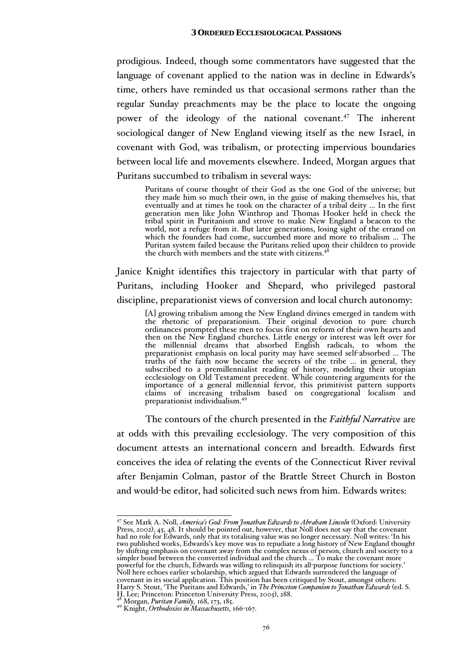prodigious. Indeed, though some commentators have suggested that the language of covenant applied to the nation was in decline in Edwards's time, others have reminded us that occasional sermons rather than the regular Sunday preachments may be the place to locate the ongoing power of the ideology of the national covenant.47 The inherent sociological danger of New England viewing itself as the new Israel, in covenant with God, was tribalism, or protecting impervious boundaries between local life and movements elsewhere. Indeed, Morgan argues that Puritans succumbed to tribalism in several ways:

Puritans of course thought of their God as the one God of the universe; but they made him so much their own, in the guise of making themselves his, that eventually and at times he took on the character of a tribal deity … In the first generation men like John Winthrop and Thomas Hooker held in check the tribal spirit in Puritanism and strove to make New England a beacon to the world, not a refuge from it. But later generations, losing sight of the errand on which the founders had come, succumbed more and more to tribalism ... The Puritan system failed because the Puritans relied upon their children to provide the church with members and the state with citizens. $4^{\circ}$ 

Janice Knight identifies this trajectory in particular with that party of Puritans, including Hooker and Shepard, who privileged pastoral discipline, preparationist views of conversion and local church autonomy:

[A] growing tribalism among the New England divines emerged in tandem with the rhetoric of preparationism. Their original devotion to pure church ordinances prompted these men to focus first on reform of their own hearts and then on the New England churches. Little energy or interest was left over for the millennial dreams that absorbed English radicals, to whom the preparationist emphasis on local purity may have seemed self-absorbed … The truths of the faith now became the secrets of the tribe … in general, they subscribed to a premillennialist reading of history, modeling their utopian ecclesiology on Old Testament precedent. While countering arguments for the importance of a general millennial fervor, this primitivist pattern supports claims of increasing tribalism based on congregational localism and<br>preparationist individualism.<sup>49</sup>

The contours of the church presented in the *Faithful Narrative* are at odds with this prevailing ecclesiology. The very composition of this document attests an international concern and breadth. Edwards first conceives the idea of relating the events of the Connecticut River revival after Benjamin Colman, pastor of the Brattle Street Church in Boston and would-be editor, had solicited such news from him. Edwards writes:

47 See Mark A. Noll, *America's God: From Jonathan Edwards to Abraham Lincoln* (Oxford: University Press, 2002), 45, 48. It should be pointed out, however, that Noll does not say that the covenant had no role for Edwards, only that its totalising value was no longer necessary. Noll writes: 'In his two published works, Edwards's key move was to repudiate a long history of New England thought by shifting emphasis on covenant away from the complex nexus of person, church and society to a simpler bond between the converted individual and the church … To make the covenant more powerful for the church, Edwards was willing to relinquish its all-purpose functions for society.'<br>Noll here echoes earlier scholarship, which argued that Edwards surrendered the language of<br>covenant in its social applicat Harry S. Stout, 'The Puritans and Edwards,' in *The Princeton Companion to Jonathan Edwards* (ed. S. H. Lee; Princeton: Princeton University Press, 2005), 288. <sup>48</sup> Morgan, *Puritan Family,* 168, 173, 185. <sup>49</sup> Knight, *Orthodoxies in Massachusetts*, 166-167.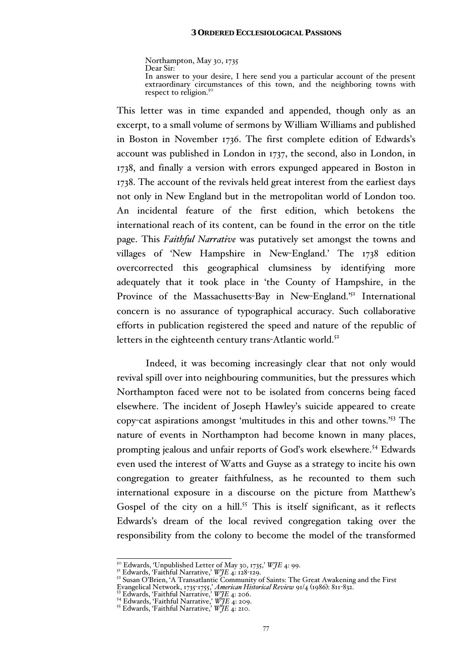Northampton, May 30, 1735 Dear Sir:

In answer to your desire, I here send you a particular account of the present extraordinary circumstances of this town, and the neighboring towns with respect to religion.<sup>50</sup>

This letter was in time expanded and appended, though only as an excerpt, to a small volume of sermons by William Williams and published in Boston in November 1736. The first complete edition of Edwards's account was published in London in 1737, the second, also in London, in 1738, and finally a version with errors expunged appeared in Boston in 1738. The account of the revivals held great interest from the earliest days not only in New England but in the metropolitan world of London too. An incidental feature of the first edition, which betokens the international reach of its content, can be found in the error on the title page. This *Faithful Narrative* was putatively set amongst the towns and villages of 'New Hampshire in New-England.' The 1738 edition overcorrected this geographical clumsiness by identifying more adequately that it took place in 'the County of Hampshire, in the Province of the Massachusetts-Bay in New-England.<sup>51</sup> International concern is no assurance of typographical accuracy. Such collaborative efforts in publication registered the speed and nature of the republic of letters in the eighteenth century trans-Atlantic world. $52$ 

Indeed, it was becoming increasingly clear that not only would revival spill over into neighbouring communities, but the pressures which Northampton faced were not to be isolated from concerns being faced elsewhere. The incident of Joseph Hawley's suicide appeared to create copy-cat aspirations amongst 'multitudes in this and other towns.'53 The nature of events in Northampton had become known in many places, prompting jealous and unfair reports of God's work elsewhere.<sup>54</sup> Edwards even used the interest of Watts and Guyse as a strategy to incite his own congregation to greater faithfulness, as he recounted to them such international exposure in a discourse on the picture from Matthew's Gospel of the city on a hill.<sup>55</sup> This is itself significant, as it reflects Edwards's dream of the local revived congregation taking over the responsibility from the colony to become the model of the transformed

<sup>&</sup>lt;sup>50</sup> Edwards, 'Unpublished Letter of May 30, 1735,' *WJE* 4: 99.<br><sup>51</sup> Edwards, 'Faithful Narrative,' *WJE* 4: 128-129.<br><sup>52</sup> Susan O'Brien, 'A Transatlantic Community of Saints: The Great Awakening and the First<br>Community o Evangelical Network, 1735-1755, American Historical Review 91/4 (1986): 811-832.<br>
<sup>53</sup> Edwards, Faithful Narrative, *WJE* 4: 206.<br>
<sup>54</sup> Edwards, Faithful Narrative, *WJE* 4: 206.<br>
<sup>54</sup> Edwards, Faithful Narrative, *WJE* 4: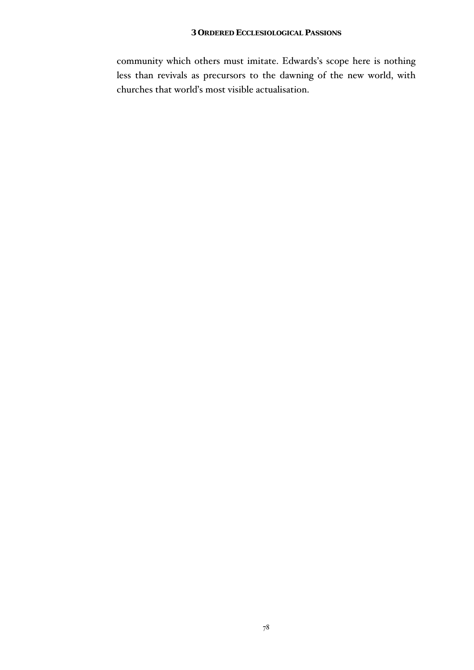community which others must imitate. Edwards's scope here is nothing less than revivals as precursors to the dawning of the new world, with churches that world's most visible actualisation.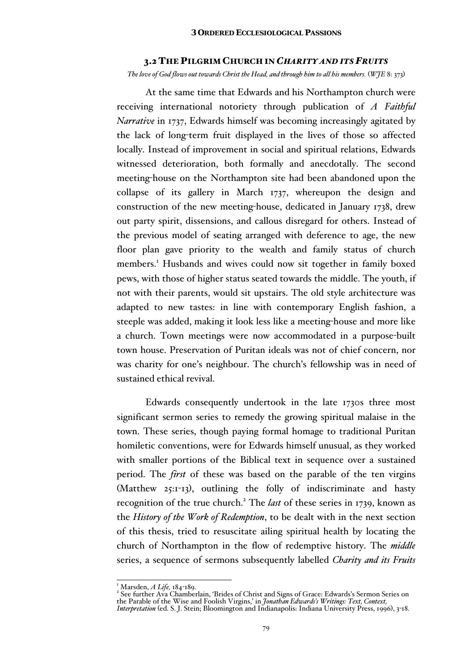# 3.2 THE PILGRIM CHURCH IN *CHARITY AND ITS FRUITS*

*The love of God flows out towards Christ the Head, and through him to all his members.* (*WJE* 8: 373)

At the same time that Edwards and his Northampton church were receiving international notoriety through publication of *A Faithful Narrative* in 1737, Edwards himself was becoming increasingly agitated by the lack of long-term fruit displayed in the lives of those so affected locally. Instead of improvement in social and spiritual relations, Edwards witnessed deterioration, both formally and anecdotally. The second meeting-house on the Northampton site had been abandoned upon the collapse of its gallery in March 1737, whereupon the design and construction of the new meeting-house, dedicated in January 1738, drew out party spirit, dissensions, and callous disregard for others. Instead of the previous model of seating arranged with deference to age, the new floor plan gave priority to the wealth and family status of church members.<sup>1</sup> Husbands and wives could now sit together in family boxed pews, with those of higher status seated towards the middle. The youth, if not with their parents, would sit upstairs. The old style architecture was adapted to new tastes: in line with contemporary English fashion, a steeple was added, making it look less like a meeting-house and more like a church. Town meetings were now accommodated in a purpose-built town house. Preservation of Puritan ideals was not of chief concern, nor was charity for one's neighbour. The church's fellowship was in need of sustained ethical revival.

Edwards consequently undertook in the late 1730s three most significant sermon series to remedy the growing spiritual malaise in the town. These series, though paying formal homage to traditional Puritan homiletic conventions, were for Edwards himself unusual, as they worked with smaller portions of the Biblical text in sequence over a sustained period. The *first* of these was based on the parable of the ten virgins (Matthew 25:1-13), outlining the folly of indiscriminate and hasty recognition of the true church.<sup>2</sup> The *last* of these series in 1739, known as the *History of the Work of Redemption*, to be dealt with in the next section of this thesis, tried to resuscitate ailing spiritual health by locating the church of Northampton in the flow of redemptive history. The *middle* series, a sequence of sermons subsequently labelled *Charity and its Fruits*

<sup>1</sup> Marsden, *A Life,* <sup>184</sup>-189. <sup>2</sup>

See further Ava Chamberlain, 'Brides of Christ and Signs of Grace: Edwards's Sermon Series on the Parable of the Wise and Foolish Virgins,' in *Jonathan Edwards's Writings: Text, Context, Interpretation* (ed. S. J. Stein; Bloomington and Indianapolis: Indiana University Press, 1996), 3-18.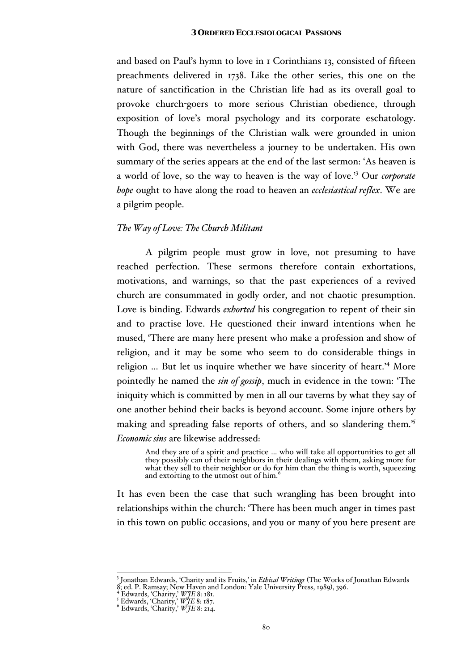and based on Paul's hymn to love in 1 Corinthians 13, consisted of fifteen preachments delivered in 1738. Like the other series, this one on the nature of sanctification in the Christian life had as its overall goal to provoke church-goers to more serious Christian obedience, through exposition of love's moral psychology and its corporate eschatology. Though the beginnings of the Christian walk were grounded in union with God, there was nevertheless a journey to be undertaken. His own summary of the series appears at the end of the last sermon: 'As heaven is a world of love, so the way to heaven is the way of love.'3 Our *corporate hope* ought to have along the road to heaven an *ecclesiastical reflex*. We are a pilgrim people.

#### *The Way of Love: The Church Militant*

A pilgrim people must grow in love, not presuming to have reached perfection. These sermons therefore contain exhortations, motivations, and warnings, so that the past experiences of a revived church are consummated in godly order, and not chaotic presumption. Love is binding. Edwards *exhorted* his congregation to repent of their sin and to practise love. He questioned their inward intentions when he mused, 'There are many here present who make a profession and show of religion, and it may be some who seem to do considerable things in religion … But let us inquire whether we have sincerity of heart.'4 More pointedly he named the *sin of gossip*, much in evidence in the town: 'The iniquity which is committed by men in all our taverns by what they say of one another behind their backs is beyond account. Some injure others by making and spreading false reports of others, and so slandering them.'5 *Economic sins* are likewise addressed:

And they are of a spirit and practice … who will take all opportunities to get all they possibly can of their neighbors in their dealings with them, asking more for what they sell to their neighbor or do for him than the thing is worth, squeezing and extorting to the utmost out of him.<sup>6</sup>

It has even been the case that such wrangling has been brought into relationships within the church: 'There has been much anger in times past in this town on public occasions, and you or many of you here present are

 $\frac{1}{3}$  Jonathan Edwards, 'Charity and its Fruits,' in *Ethical Writings* (The Works of Jonathan Edwards 8; ed. P. Ramsay; New Haven and London: Yale University Press, 1989), 396.

Edwards, 'Charity,' *WJE* 8: 181. <sup>5</sup>

Edwards, 'Charity,' *WJE* 8: 187. <sup>6</sup> Edwards, 'Charity,' *WJE* 8: 214.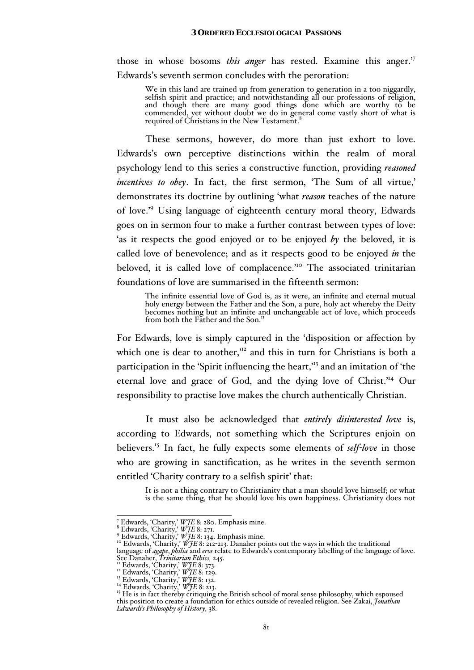those in whose bosoms *this anger* has rested. Examine this anger.'<sup>7</sup> Edwards's seventh sermon concludes with the peroration:

We in this land are trained up from generation to generation in a too niggardly, selfish spirit and practice; and notwithstanding all our professions of religion, and though there are many good things done which are worthy to be commended, yet without doubt we do in general come vastly short of what is required of Christians in the New Testament.<sup>8</sup>

These sermons, however, do more than just exhort to love. Edwards's own perceptive distinctions within the realm of moral psychology lend to this series a constructive function, providing *reasoned incentives to obey*. In fact, the first sermon, 'The Sum of all virtue,' demonstrates its doctrine by outlining 'what *reason* teaches of the nature of love.'9 Using language of eighteenth century moral theory, Edwards goes on in sermon four to make a further contrast between types of love: 'as it respects the good enjoyed or to be enjoyed *by* the beloved, it is called love of benevolence; and as it respects good to be enjoyed *in* the beloved, it is called love of complacence.<sup>10</sup> The associated trinitarian foundations of love are summarised in the fifteenth sermon:

The infinite essential love of God is, as it were, an infinite and eternal mutual holy energy between the Father and the Son, a pure, holy act whereby the Deity becomes nothing but an infinite and unchangeable act of love, which proceeds from both the Father and the Son.<sup>11</sup>

For Edwards, love is simply captured in the 'disposition or affection by which one is dear to another,"<sup>22</sup> and this in turn for Christians is both a participation in the 'Spirit influencing the heart,'13 and an imitation of 'the eternal love and grace of God, and the dying love of Christ.'14 Our responsibility to practise love makes the church authentically Christian.

It must also be acknowledged that *entirely disinterested love* is, according to Edwards, not something which the Scriptures enjoin on believers.15 In fact, he fully expects some elements of *self-love* in those who are growing in sanctification, as he writes in the seventh sermon entitled 'Charity contrary to a selfish spirit' that:

It is not a thing contrary to Christianity that a man should love himself; or what is the same thing, that he should love his own happiness. Christianity does not

<sup>-&</sup>lt;br>7 <sup>7</sup> Edwards, 'Charity,' *WJE* 8: 280. Emphasis mine.<br><sup>8</sup> Edwards, 'Charity,' *WJE* 8: 271.<br><sup>9</sup> Edwards, 'Charity,' *W*7E 8: 224. Emphasis mine.

<sup>&</sup>lt;sup>9</sup> Edwards, 'Charity,' *WJE* 8: 134. Emphasis mine.<br><sup>10</sup> Edwards, 'Charity,' *WJE* 8: 212-213. Danaher points out the ways in which the traditional language of *agape*, *philia* and *eros* relate to Edwards's contemporary labelling of the language of love.

See Danaher, *Trinitarian Etbics,* 245.<br><sup>11</sup> Edwards, 'Charity,' WJE 8: 373.<br><sup>12</sup> Edwards, 'Charity,' WJE 8: 129.<br><sup>13</sup> Edwards, 'Charity,' WJE 8: 132.<br><sup>14</sup> Edwards, 'Charity,' WJE 8: 213.<br><sup>14</sup> He is in fact thereby critiqu <sup>15</sup> He is in fact thereby critiquing the British school of moral sense philosophy, which espoused this position to create a foundation for ethics outside of revealed religion. See Zakai, *Jonathan Edwards's Philosophy of History,* 38.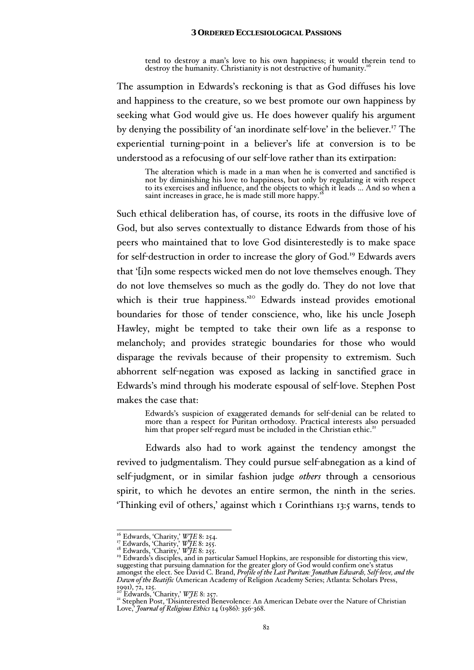tend to destroy a man's love to his own happiness; it would therein tend to destroy the humanity. Christianity is not destructive of humanity.<sup>1</sup>

The assumption in Edwards's reckoning is that as God diffuses his love and happiness to the creature, so we best promote our own happiness by seeking what God would give us. He does however qualify his argument by denying the possibility of 'an inordinate self-love' in the believer.<sup>17</sup> The experiential turning-point in a believer's life at conversion is to be understood as a refocusing of our self-love rather than its extirpation:

The alteration which is made in a man when he is converted and sanctified is not by diminishing his love to happiness, but only by regulating it with respect to its exercises and influence, and the objects to which it leads ... And so when a saint increases in grace, he is made still more happy.<sup>18</sup>

Such ethical deliberation has, of course, its roots in the diffusive love of God, but also serves contextually to distance Edwards from those of his peers who maintained that to love God disinterestedly is to make space for self-destruction in order to increase the glory of God.<sup>19</sup> Edwards avers that '[i]n some respects wicked men do not love themselves enough. They do not love themselves so much as the godly do. They do not love that which is their true happiness.<sup>20</sup> Edwards instead provides emotional boundaries for those of tender conscience, who, like his uncle Joseph Hawley, might be tempted to take their own life as a response to melancholy; and provides strategic boundaries for those who would disparage the revivals because of their propensity to extremism. Such abhorrent self-negation was exposed as lacking in sanctified grace in Edwards's mind through his moderate espousal of self-love. Stephen Post makes the case that:

Edwards's suspicion of exaggerated demands for self-denial can be related to more than a respect for Puritan orthodoxy. Practical interests also persuaded him that proper self-regard must be included in the Christian ethic.<sup>2</sup>

Edwards also had to work against the tendency amongst the revived to judgmentalism. They could pursue self-abnegation as a kind of self-judgment, or in similar fashion judge *others* through a censorious spirit, to which he devotes an entire sermon, the ninth in the series. 'Thinking evil of others,' against which 1 Corinthians 13:5 warns, tends to

<sup>&</sup>lt;sup>16</sup> Edwards, 'Charity,' *WJE* 8: 254.<br><sup>17</sup> Edwards, 'Charity,' *WJE* 8: 255.<br><sup>18</sup> Edwards, 'Charity,' *WJE* 8: 255.<br><sup>19</sup> Edwards's disciples, and in particular Samuel Hopkins, are responsible for distorting this view,<br><sup>19</sup> amongst the elect. See David C. Brand, *Profile of the Last Puritan: Jonathan Edwards, Self-love, and the Dawn of the Beatific* (American Academy of Religion Academy Series; Atlanta: Scholars Press, 1991), 72, 125.<br><sup>20</sup> Edwards, 'Charity,' *WJE* 8: 257.<br><sup>21</sup> Stephen Post, 'Disinterested Benevolence: An American Debate over the Nature of Christian

Love,' *Journal of Religious Ethics* 14 (1986): 356-368.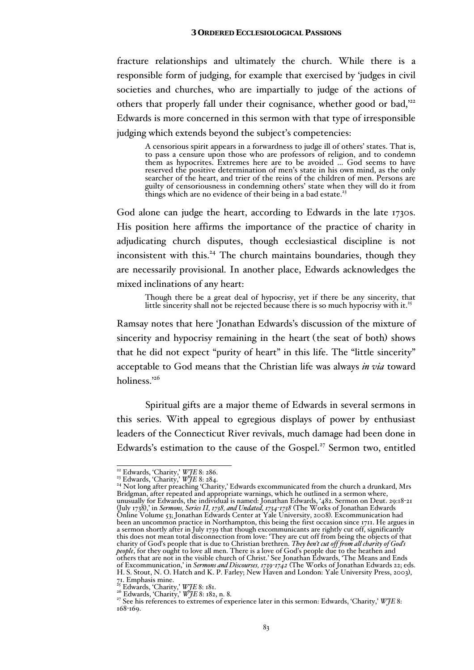fracture relationships and ultimately the church. While there is a responsible form of judging, for example that exercised by 'judges in civil societies and churches, who are impartially to judge of the actions of others that properly fall under their cognisance, whether good or bad,<sup>22</sup> Edwards is more concerned in this sermon with that type of irresponsible judging which extends beyond the subject's competencies:

A censorious spirit appears in a forwardness to judge ill of others' states. That is, to pass a censure upon those who are professors of religion, and to condemn them as hypocrites. Extremes here are to be avoided ... God seems to have reserved the positive determination of men's state in his own mind, as the only searcher of the heart, and trier of the reins of the children of men. Persons are guilty of censoriousness in condemning others' state when they will do it from things which are no evidence of their being in a bad estate. $23$ 

God alone can judge the heart, according to Edwards in the late 1730s. His position here affirms the importance of the practice of charity in adjudicating church disputes, though ecclesiastical discipline is not inconsistent with this. $^{24}$  The church maintains boundaries, though they are necessarily provisional. In another place, Edwards acknowledges the mixed inclinations of any heart:

Though there be a great deal of hypocrisy, yet if there be any sincerity, that little sincerity shall not be rejected because there is so much hypocrisy with it.<sup>25</sup>

Ramsay notes that here 'Jonathan Edwards's discussion of the mixture of sincerity and hypocrisy remaining in the heart (the seat of both) shows that he did not expect "purity of heart" in this life. The "little sincerity" acceptable to God means that the Christian life was always *in via* toward holiness.'<sup>26</sup>

Spiritual gifts are a major theme of Edwards in several sermons in this series. With appeal to egregious displays of power by enthusiast leaders of the Connecticut River revivals, much damage had been done in Edwards's estimation to the cause of the Gospel.<sup>27</sup> Sermon two, entitled

<sup>&</sup>lt;sup>22</sup> Edwards, 'Charity,' *WJE* 8: 286.<br><sup>23</sup> Edwards, 'Charity,' *WJE* 8: 284.<br><sup>24</sup> Not long after preaching 'Charity,' Edwards excommunicated from the church a drunkard, Mrs Bridgman, after repeated and appropriate warnings, which he outlined in a sermon where, unusually for Edwards, the individual is named: Jonathan Edwards, '482. Sermon on Deut. 29:18-21 (July 1738),' in *Sermons, Series II, 1738, and Undated, 1734-1738* (The Works of Jonathan Edwards Online Volume 53; Jonathan Edwards Center at Yale University, 2008). Excommunication had been an uncommon practice in Northampton, this being the first occasion since 1711. He argues in a sermon shortly after in July 1739 that though excommunicants are rightly cut off, significantly this does not mean total disconnection from love: 'They are cut off from being the objects of that charity of God's people that is due to Christian brethren. *They ben't cut off from all charity of God's people*, for they ought to love all men. There is a love of God's people due to the heathen and others that are not in the visible church of Christ.' See Jonathan Edwards, 'The Means and Ends of Excommunication,' in *Sermons and Discourses, 1739-1742* (The Works of Jonathan Edwards 22; eds. H. S. Stout, N. O. Hatch and K. P. Farley; New Haven and London: Yale University Press, 2003), 71. Emphasis mine.

<sup>&</sup>lt;sup>25</sup> Edwards, 'Charity,' *WJE* 8: 181.<br><sup>26</sup> Edwards, 'Charity,' *WJE* 8: 182, n. 8.<br><sup>27</sup> See his references to extremes of experience later in this sermon: Edwards, 'Charity,' *WJE* 8: 168-169.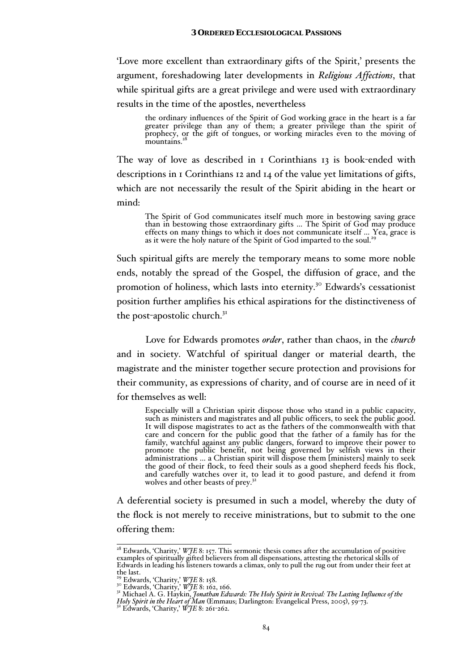'Love more excellent than extraordinary gifts of the Spirit,' presents the argument, foreshadowing later developments in *Religious Affections*, that while spiritual gifts are a great privilege and were used with extraordinary results in the time of the apostles, nevertheless

the ordinary influences of the Spirit of God working grace in the heart is a far greater privilege than any of them; a greater privilege than the spirit of prophecy, or the gift of tongues, or working miracles even to the moving of mountains.<sup>28</sup>

The way of love as described in 1 Corinthians 13 is book-ended with descriptions in 1 Corinthians 12 and 14 of the value yet limitations of gifts, which are not necessarily the result of the Spirit abiding in the heart or mind:

The Spirit of God communicates itself much more in bestowing saving grace than in bestowing those extraordinary gifts ... The Spirit of God may produce effects on many things to which it does not communicate itself … Yea, grace is as it were the holy nature of the Spirit of God imparted to the soul.<sup>29</sup>

Such spiritual gifts are merely the temporary means to some more noble ends, notably the spread of the Gospel, the diffusion of grace, and the promotion of holiness, which lasts into eternity.<sup>30</sup> Edwards's cessationist position further amplifies his ethical aspirations for the distinctiveness of the post-apostolic church. $3<sup>I</sup>$ 

Love for Edwards promotes *order*, rather than chaos, in the *church* and in society. Watchful of spiritual danger or material dearth, the magistrate and the minister together secure protection and provisions for their community, as expressions of charity, and of course are in need of it for themselves as well:

Especially will a Christian spirit dispose those who stand in a public capacity, such as ministers and magistrates and all public officers, to seek the public good. It will dispose magistrates to act as the fathers of the commonwealth with that care and concern for the public good that the father of a family has for the family, watchful against any public dangers, forward to improve their power to promote the public benefit, not being governed by selfish views in their administrations … a Christian spirit will dispose them [ministers] mainly to seek the good of their flock, to feed their souls as a good shepherd feeds his flock, and carefully watches over it, to lead it to good pasture, and defend it from wolves and other beasts of prey.<sup>32</sup>

A deferential society is presumed in such a model, whereby the duty of the flock is not merely to receive ministrations, but to submit to the one offering them:

28 Edwards, 'Charity,' *WJE* 8: 157. This sermonic thesis comes after the accumulation of positive examples of spiritually gifted believers from all dispensations, attesting the rhetorical skills of<br>Edwards in leading his listeners towards a climax, only to pull the rug out from under their feet at

the last.<br><sup>29</sup> Edwards, 'Charity,' *WJE* 8: 158.<br><sup>30</sup> Edwards, 'Charity,' *WJE* 8: 162, 166.<br><sup>31</sup> Michael A. G. Haykin, *Jonathan Edwards: The Holy Spirit in Revival: The Lasting Influence of the Holy Spirit in the Heart of Man* (Emmaus; Darlington: Evangelical Press, 2005), 59-73. 32 Edwards, 'Charity,' *WJE* 8: 261-262.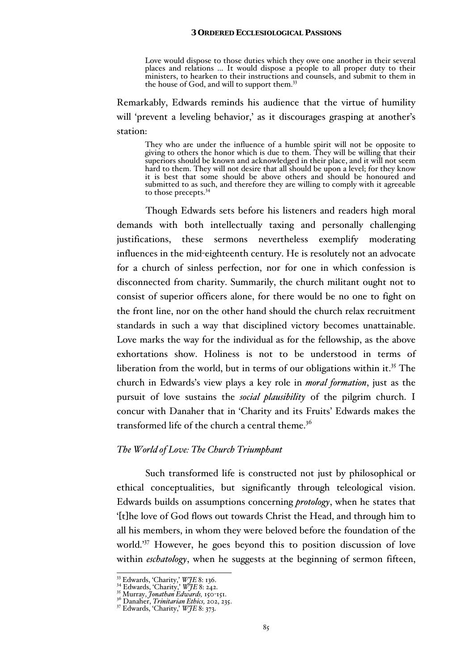Love would dispose to those duties which they owe one another in their several places and relations ... It would dispose a people to all proper duty to their ministers, to hearken to their instructions and counsels, and submit to them in the house of God, and will to support them.<sup>33</sup>

Remarkably, Edwards reminds his audience that the virtue of humility will 'prevent a leveling behavior,' as it discourages grasping at another's station:

They who are under the influence of a humble spirit will not be opposite to giving to others the honor which is due to them. They will be willing that their superiors should be known and acknowledged in their place, and it will not seem hard to them. They will not desire that all should be upon a level; for they know it is best that some should be above others and should be honoured and submitted to as such, and therefore they are willing to comply with it agreeable to those precepts.<sup>34</sup>

Though Edwards sets before his listeners and readers high moral demands with both intellectually taxing and personally challenging justifications, these sermons nevertheless exemplify moderating influences in the mid-eighteenth century. He is resolutely not an advocate for a church of sinless perfection, nor for one in which confession is disconnected from charity. Summarily, the church militant ought not to consist of superior officers alone, for there would be no one to fight on the front line, nor on the other hand should the church relax recruitment standards in such a way that disciplined victory becomes unattainable. Love marks the way for the individual as for the fellowship, as the above exhortations show. Holiness is not to be understood in terms of liberation from the world, but in terms of our obligations within it.<sup>35</sup> The church in Edwards's view plays a key role in *moral formation*, just as the pursuit of love sustains the *social plausibility* of the pilgrim church. I concur with Danaher that in 'Charity and its Fruits' Edwards makes the transformed life of the church a central theme. $3^6$ 

#### *The World of Love: The Church Triumphant*

Such transformed life is constructed not just by philosophical or ethical conceptualities, but significantly through teleological vision. Edwards builds on assumptions concerning *protology*, when he states that '[t]he love of God flows out towards Christ the Head, and through him to all his members, in whom they were beloved before the foundation of the world.'37 However, he goes beyond this to position discussion of love within *eschatology*, when he suggests at the beginning of sermon fifteen,

<sup>&</sup>lt;sup>33</sup> Edwards, 'Charity,' *WJE* 8: 136.<br><sup>34</sup> Edwards, 'Charity,' *WJE* 8: 242.<br><sup>35</sup> Murray, *Jonathan Edwards*, 150-151.<br><sup>36</sup> Danaher, *Trinitarian Ethics*, 202, 235.<br><sup>37</sup> Edwards, 'Charity,' *WJE* 8: 373.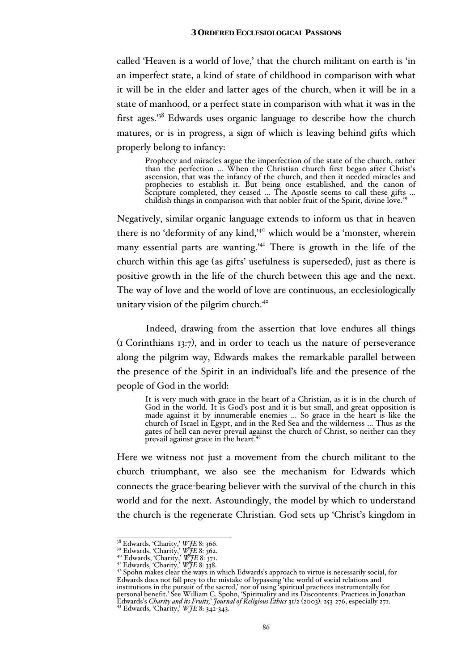called 'Heaven is a world of love,' that the church militant on earth is 'in an imperfect state, a kind of state of childhood in comparison with what it will be in the elder and latter ages of the church, when it will be in a state of manhood, or a perfect state in comparison with what it was in the first ages.'38 Edwards uses organic language to describe how the church matures, or is in progress, a sign of which is leaving behind gifts which properly belong to infancy:

Prophecy and miracles argue the imperfection of the state of the church, rather than the perfection … When the Christian church first began after Christ's ascension, that was the infancy of the church, and then it needed miracles and prophecies to establish it. But being once established, and the canon of Scripture completed, they ceased ... The Apostle seems to call these gifts ...<br>childish things in comparison with that nobler fruit of the Spirit, divine love.<sup>39</sup>

Negatively, similar organic language extends to inform us that in heaven there is no 'deformity of any kind,'40 which would be a 'monster, wherein many essential parts are wanting.<sup>'41</sup> There is growth in the life of the church within this age (as gifts' usefulness is superseded), just as there is positive growth in the life of the church between this age and the next. The way of love and the world of love are continuous, an ecclesiologically unitary vision of the pilgrim church. $42$ 

Indeed, drawing from the assertion that love endures all things (1 Corinthians 13:7), and in order to teach us the nature of perseverance along the pilgrim way, Edwards makes the remarkable parallel between the presence of the Spirit in an individual's life and the presence of the people of God in the world:

It is very much with grace in the heart of a Christian, as it is in the church of God in the world. It is God's post and it is but small, and great opposition is made against it by innumerable enemies … So grace in the heart is like the church of Israel in Egypt, and in the Red Sea and the wilderness … Thus as the gates of hell can never prevail against the church of Christ, so neither can they prevail against grace in the heart.<sup>43</sup>

Here we witness not just a movement from the church militant to the church triumphant, we also see the mechanism for Edwards which connects the grace-bearing believer with the survival of the church in this world and for the next. Astoundingly, the model by which to understand the church is the regenerate Christian. God sets up 'Christ's kingdom in

<sup>&</sup>lt;sup>38</sup> Edwards, 'Charity,' *WJE* 8: 366.<br><sup>39</sup> Edwards, 'Charity,' *WJE* 8: 362.<br><sup>40</sup> Edwards, 'Charity,' *WJE* 8: 371.<br><sup>41</sup> Edwards, 'Charity,' *WJE* 8: 338.<br><sup>42</sup> Spohn makes clear the ways in which Edwards's approach to vir Edwards does not fall prey to the mistake of bypassing 'the world of social relations and institutions in the pursuit of the sacred,' nor of using 'spiritual practices instrumentally for personal benefit.' See William C. Spohn, 'Spirituality and its Discontents: Practices in Jonathan Edwards's *Charity and its Fruits,*' *Journal of Religious Ethics* 31/2 (2003): 253-276, especially 271. 43 Edwards, 'Charity,' *WJE* 8: 342-343.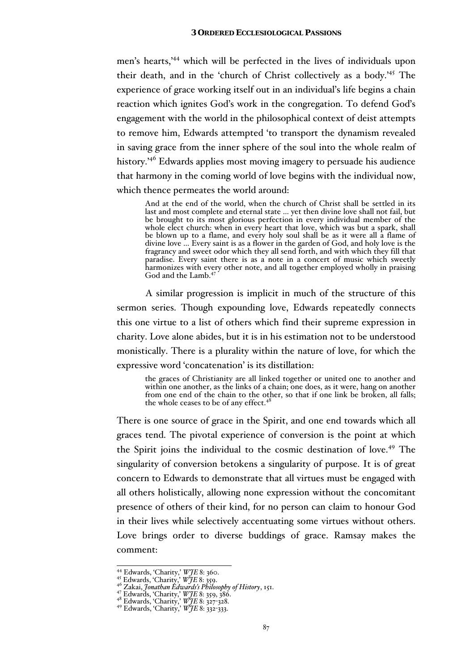men's hearts,'44 which will be perfected in the lives of individuals upon their death, and in the 'church of Christ collectively as a body.'45 The experience of grace working itself out in an individual's life begins a chain reaction which ignites God's work in the congregation. To defend God's engagement with the world in the philosophical context of deist attempts to remove him, Edwards attempted 'to transport the dynamism revealed in saving grace from the inner sphere of the soul into the whole realm of history.<sup>246</sup> Edwards applies most moving imagery to persuade his audience that harmony in the coming world of love begins with the individual now, which thence permeates the world around:

And at the end of the world, when the church of Christ shall be settled in its last and most complete and eternal state … yet then divine love shall not fail, but be brought to its most glorious perfection in every individual member of the whole elect church: when in every heart that love, which was but a spark, shall be blown up to a flame, and every holy soul shall be as it were all a flame of divine love … Every saint is as a flower in the garden of God, and holy love is the fragrancy and sweet odor which they all send forth, and with which they fill that paradise. Every saint there is as a note in a concert of music which sweetly harmonizes with every other note, and all together employed wholly in praising God and the Lamb.<sup>47</sup>

A similar progression is implicit in much of the structure of this sermon series. Though expounding love, Edwards repeatedly connects this one virtue to a list of others which find their supreme expression in charity. Love alone abides, but it is in his estimation not to be understood monistically. There is a plurality within the nature of love, for which the expressive word 'concatenation' is its distillation:

the graces of Christianity are all linked together or united one to another and within one another, as the links of a chain; one does, as it were, hang on another from one end of the chain to the other, so that if one link be broken, all falls; the whole ceases to be of any effect.<sup>4</sup>

There is one source of grace in the Spirit, and one end towards which all graces tend. The pivotal experience of conversion is the point at which the Spirit joins the individual to the cosmic destination of love.49 The singularity of conversion betokens a singularity of purpose. It is of great concern to Edwards to demonstrate that all virtues must be engaged with all others holistically, allowing none expression without the concomitant presence of others of their kind, for no person can claim to honour God in their lives while selectively accentuating some virtues without others. Love brings order to diverse buddings of grace. Ramsay makes the comment:

<sup>&</sup>lt;sup>44</sup> Edwards, 'Charity,' *WHE* 8: 360.<br><sup>45</sup> Edwards, 'Charity,' *WHE* 8: 359.<br><sup>46</sup> Zakai, *Jonathan Edwards's Philosophy of History*, 151.<br><sup>47</sup> Edwards, 'Charity,' *WHE* 8: 359, 386.<br><sup>48</sup> Edwards, 'Charity,' *WHE* 8: 327-3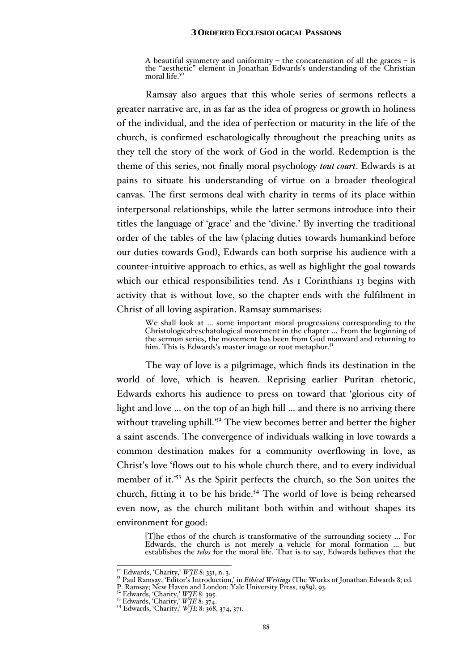A beautiful symmetry and uniformity – the concatenation of all the graces – is the "aesthetic" element in Jonathan Edwards's understanding of the Christian moral life. $5^\circ$ 

Ramsay also argues that this whole series of sermons reflects a greater narrative arc, in as far as the idea of progress or growth in holiness of the individual, and the idea of perfection or maturity in the life of the church, is confirmed eschatologically throughout the preaching units as they tell the story of the work of God in the world. Redemption is the theme of this series, not finally moral psychology *tout court*. Edwards is at pains to situate his understanding of virtue on a broader theological canvas. The first sermons deal with charity in terms of its place within interpersonal relationships, while the latter sermons introduce into their titles the language of 'grace' and the 'divine.' By inverting the traditional order of the tables of the law (placing duties towards humankind before our duties towards God), Edwards can both surprise his audience with a counter-intuitive approach to ethics, as well as highlight the goal towards which our ethical responsibilities tend. As I Corinthians 13 begins with activity that is without love, so the chapter ends with the fulfilment in Christ of all loving aspiration. Ramsay summarises:

We shall look at … some important moral progressions corresponding to the Christological-eschatological movement in the chapter … From the beginning of the sermon series, the movement has been from God manward and returning to him. This is Edwards's master image or root metaphor.<sup>51</sup>

The way of love is a pilgrimage, which finds its destination in the world of love, which is heaven. Reprising earlier Puritan rhetoric, Edwards exhorts his audience to press on toward that 'glorious city of light and love … on the top of an high hill … and there is no arriving there without traveling uphill.<sup>'52</sup> The view becomes better and better the higher a saint ascends. The convergence of individuals walking in love towards a common destination makes for a community overflowing in love, as Christ's love 'flows out to his whole church there, and to every individual member of it.'53 As the Spirit perfects the church, so the Son unites the church, fitting it to be his bride.<sup>54</sup> The world of love is being rehearsed even now, as the church militant both within and without shapes its environment for good:

[T]he ethos of the church is transformative of the surrounding society … For Edwards, the church is not merely a vehicle for moral formation … but establishes the *telos* for the moral life. That is to say, Edwards believes that the

<sup>&</sup>lt;sup>50</sup> Edwards, 'Charity,' *WJE* 8: 331, n. 3.<br><sup>51</sup> Paul Ramsay, 'Editor's Introduction,' in *Ethical Writings* (The Works of Jonathan Edwards 8; ed.<br>P. Ramsay; New Haven and London: Yale University Press, 1989), 93.<br><sup>52</sup> Ed

P. Ramsay; New Haven and London: Yale University Press, 1989), 93. 52 Edwards, 'Charity,' *WJE* 8: 395. 53 Edwards, 'Charity,' *WJE* 8: 374. 54 Edwards, 'Charity,' *WJE* 8: 368, 374, 371.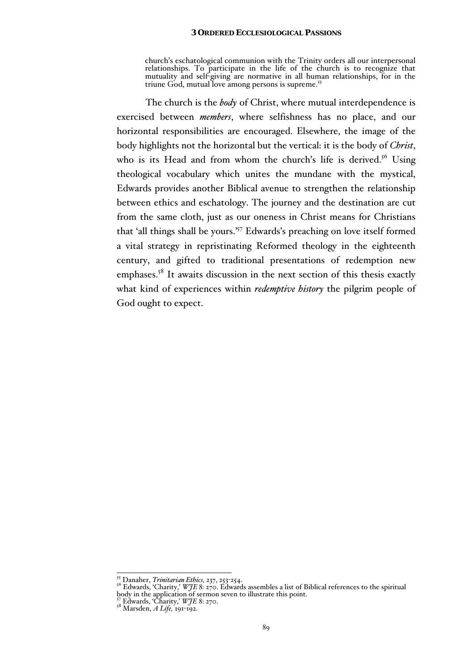church's eschatological communion with the Trinity orders all our interpersonal relationships. To participate in the life of the church is to recognize that mutuality and self-giving are normative in all human relationships, for in the triune God, mutual love among persons is supreme.<sup>55</sup>

The church is the *body* of Christ, where mutual interdependence is exercised between *members*, where selfishness has no place, and our horizontal responsibilities are encouraged. Elsewhere, the image of the body highlights not the horizontal but the vertical: it is the body of *Christ*, who is its Head and from whom the church's life is derived.<sup>56</sup> Using theological vocabulary which unites the mundane with the mystical, Edwards provides another Biblical avenue to strengthen the relationship between ethics and eschatology. The journey and the destination are cut from the same cloth, just as our oneness in Christ means for Christians that 'all things shall be yours.'57 Edwards's preaching on love itself formed a vital strategy in repristinating Reformed theology in the eighteenth century, and gifted to traditional presentations of redemption new emphases.<sup>58</sup> It awaits discussion in the next section of this thesis exactly what kind of experiences within *redemptive history* the pilgrim people of God ought to expect.

<sup>&</sup>lt;sup>55</sup> Danaher, *Trinitarian Ethics,* 237, 253-254.<br><sup>56</sup> Edwards, 'Charity,' *WJE* 8: 270. Edwards assembles a list of Biblical references to the spiritual body in the application of sermon seven to illustrate this point. 57 Edwards, 'Charity,' *WJE* 8: 270. 58 Marsden, *A Life,* 191-192.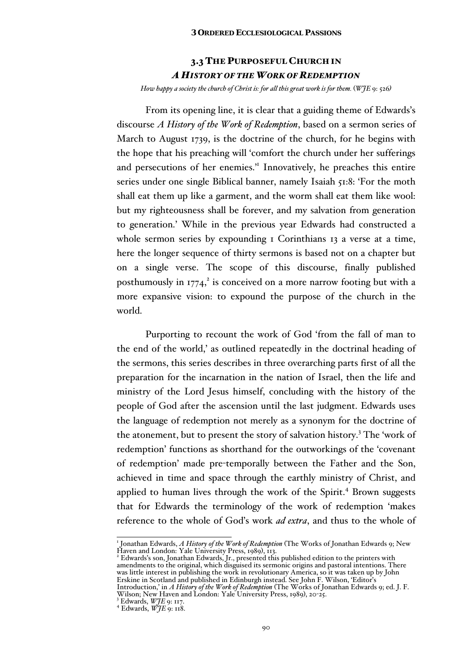# 3.3 THE PURPOSEFUL CHURCH IN *A HISTORY OF THE WORK OF REDEMPTION*

*How happy a society the church of Christ is: for all this great work is for them.* (*WJE* 9: 526*)*

From its opening line, it is clear that a guiding theme of Edwards's discourse *A History of the Work of Redemption*, based on a sermon series of March to August 1739, is the doctrine of the church, for he begins with the hope that his preaching will 'comfort the church under her sufferings and persecutions of her enemies." Innovatively, he preaches this entire series under one single Biblical banner, namely Isaiah 51:8: 'For the moth shall eat them up like a garment, and the worm shall eat them like wool: but my righteousness shall be forever, and my salvation from generation to generation.' While in the previous year Edwards had constructed a whole sermon series by expounding 1 Corinthians 13 a verse at a time, here the longer sequence of thirty sermons is based not on a chapter but on a single verse. The scope of this discourse, finally published posthumously in 1774,<sup>2</sup> is conceived on a more narrow footing but with a more expansive vision: to expound the purpose of the church in the world.

Purporting to recount the work of God 'from the fall of man to the end of the world,' as outlined repeatedly in the doctrinal heading of the sermons, this series describes in three overarching parts first of all the preparation for the incarnation in the nation of Israel, then the life and ministry of the Lord Jesus himself, concluding with the history of the people of God after the ascension until the last judgment. Edwards uses the language of redemption not merely as a synonym for the doctrine of the atonement, but to present the story of salvation history.<sup>3</sup> The 'work of redemption' functions as shorthand for the outworkings of the 'covenant of redemption' made pre-temporally between the Father and the Son, achieved in time and space through the earthly ministry of Christ, and applied to human lives through the work of the Spirit.<sup>4</sup> Brown suggests that for Edwards the terminology of the work of redemption 'makes reference to the whole of God's work *ad extra*, and thus to the whole of

<sup>1</sup> Jonathan Edwards, *A History of the Work of Redemption* (The Works of Jonathan Edwards 9; New Haven and London: Yale University Press, 1989), 113.<br><sup>2</sup> Edwards's son, Jonathan Edwards, Jr., presented this published edition to the printers with

amendments to the original, which disguised its sermonic origins and pastoral intentions. There was little interest in publishing the work in revolutionary America, so it was taken up by John<br>Erskine in Scotland and published in Edinburgh instead. See John F. Wilson, 'Editor's Introduction,' in *A History of the Work of Redemption* (The Works of Jonathan Edwards 9; ed. J. F. Wilson; New Haven and London: Yale University Press, 1989), 20-25. <sup>3</sup> Edwards, *WJE* 9: 117. <sup>4</sup> Edwards, *WJE* 9: 118.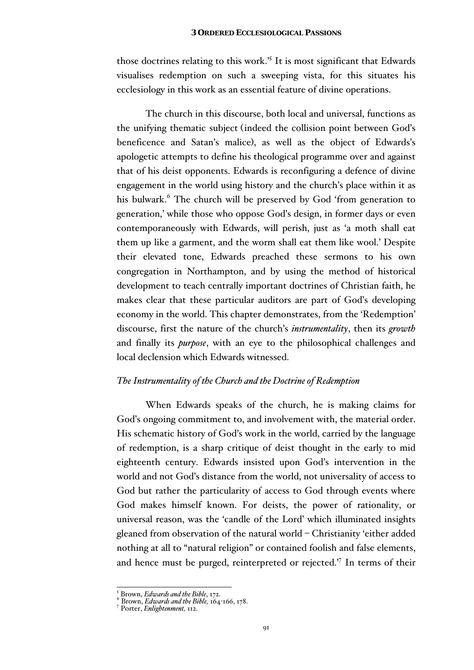those doctrines relating to this work.<sup>5</sup> It is most significant that Edwards visualises redemption on such a sweeping vista, for this situates his ecclesiology in this work as an essential feature of divine operations.

The church in this discourse, both local and universal, functions as the unifying thematic subject (indeed the collision point between God's beneficence and Satan's malice), as well as the object of Edwards's apologetic attempts to define his theological programme over and against that of his deist opponents. Edwards is reconfiguring a defence of divine engagement in the world using history and the church's place within it as his bulwark.<sup>6</sup> The church will be preserved by God 'from generation to generation,' while those who oppose God's design, in former days or even contemporaneously with Edwards, will perish, just as 'a moth shall eat them up like a garment, and the worm shall eat them like wool.' Despite their elevated tone, Edwards preached these sermons to his own congregation in Northampton, and by using the method of historical development to teach centrally important doctrines of Christian faith, he makes clear that these particular auditors are part of God's developing economy in the world. This chapter demonstrates, from the 'Redemption' discourse, first the nature of the church's *instrumentality*, then its *growth* and finally its *purpose*, with an eye to the philosophical challenges and local declension which Edwards witnessed.

# *The Instrumentality of the Church and the Doctrine of Redemption*

When Edwards speaks of the church, he is making claims for God's ongoing commitment to, and involvement with, the material order. His schematic history of God's work in the world, carried by the language of redemption, is a sharp critique of deist thought in the early to mid eighteenth century. Edwards insisted upon God's intervention in the world and not God's distance from the world, not universality of access to God but rather the particularity of access to God through events where God makes himself known. For deists, the power of rationality, or universal reason, was the 'candle of the Lord' which illuminated insights gleaned from observation of the natural world – Christianity 'either added nothing at all to "natural religion" or contained foolish and false elements, and hence must be purged, reinterpreted or rejected.'<sup>7</sup> In terms of their

<sup>5</sup> Brown, *Edwards and the Bible*, 172. <sup>6</sup> Brown, *Edwards and the Bible,* <sup>164</sup>-166, 178. <sup>7</sup> Porter, *Enlightenment,* 112.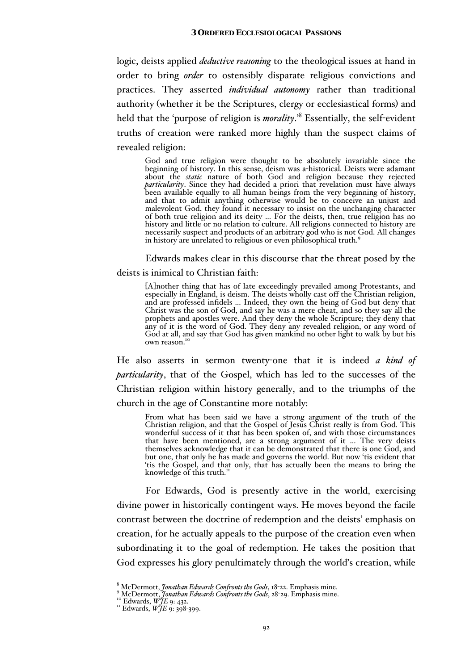logic, deists applied *deductive reasoning* to the theological issues at hand in order to bring *order* to ostensibly disparate religious convictions and practices. They asserted *individual autonomy* rather than traditional authority (whether it be the Scriptures, clergy or ecclesiastical forms) and held that the 'purpose of religion is *morality*.'8 Essentially, the self-evident truths of creation were ranked more highly than the suspect claims of revealed religion:

God and true religion were thought to be absolutely invariable since the beginning of history. In this sense, deism was a-historical. Deists were adamant about the *static* nature of both God and religion because they rejected *particularity*. Since they had decided a priori that revelation must have always been available equally to all human beings from the very beginning of history, and that to admit anything otherwise would be to conceive an unjust and malevolent God, they found it necessary to insist on the unchanging character of both true religion and its deity … For the deists, then, true religion has no history and little or no relation to culture. All religions connected to history are necessarily suspect and products of an arbitrary god who is not God. All changes in history are unrelated to religious or even philosophical truth. $^9$ 

Edwards makes clear in this discourse that the threat posed by the deists is inimical to Christian faith:

[A]nother thing that has of late exceedingly prevailed among Protestants, and especially in England, is deism. The deists wholly cast off the Christian religion, and are professed infidels … Indeed, they own the being of God but deny that Christ was the son of God, and say he was a mere cheat, and so they say all the prophets and apostles were. And they deny the whole Scripture; they deny that any of it is the word of God. They deny any revealed religion, or any word of God at all, and say that God has given mankind no other light to walk by but his own reason.<sup>10</sup>

He also asserts in sermon twenty-one that it is indeed *a kind of particularity*, that of the Gospel, which has led to the successes of the Christian religion within history generally, and to the triumphs of the church in the age of Constantine more notably:

From what has been said we have a strong argument of the truth of the Christian religion, and that the Gospel of Jesus Christ really is from God. This wonderful success of it that has been spoken of, and with those circumstances that have been mentioned, are a strong argument of it … The very deists themselves acknowledge that it can be demonstrated that there is one God, and but one, that only he has made and governs the world. But now 'tis evident that 'tis the Gospel, and that only, that has actually been the means to bring the knowledge of this truth."

For Edwards, God is presently active in the world, exercising divine power in historically contingent ways. He moves beyond the facile contrast between the doctrine of redemption and the deists' emphasis on creation, for he actually appeals to the purpose of the creation even when subordinating it to the goal of redemption. He takes the position that God expresses his glory penultimately through the world's creation, while

<sup>&</sup>lt;sup>8</sup> McDermott, *Jonathan Edwards Confronts the Gods*, 18-22. Emphasis mine.<br><sup>9</sup> McDermott, *Jonathan Edwards Confronts the Gods*, 28-29. Emphasis mine.<br><sup>10</sup> Edwards, *WJE* 9: 398-399.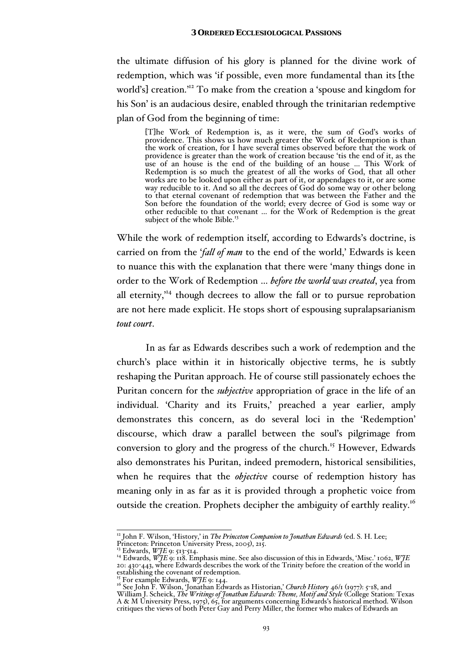the ultimate diffusion of his glory is planned for the divine work of redemption, which was 'if possible, even more fundamental than its [the world's] creation.'12 To make from the creation a 'spouse and kingdom for his Son' is an audacious desire, enabled through the trinitarian redemptive plan of God from the beginning of time:

[T]he Work of Redemption is, as it were, the sum of God's works of providence. This shows us how much greater the Work of Redemption is than the work of creation, for I have several times observed before that the work of providence is greater than the work of creation because 'tis the end of it, as the use of an house is the end of the building of an house … This Work of Redemption is so much the greatest of all the works of God, that all other works are to be looked upon either as part of it, or appendages to it, or are some way reducible to it. And so all the decrees of God do some way or other belong to that eternal covenant of redemption that was between the Father and the Son before the foundation of the world; every decree of God is some way or other reducible to that covenant … for the Work of Redemption is the great subject of the whole Bible.<sup>13</sup>

While the work of redemption itself, according to Edwards's doctrine, is carried on from the '*fall of man* to the end of the world,' Edwards is keen to nuance this with the explanation that there were 'many things done in order to the Work of Redemption … *before the world was created*, yea from all eternity,<sup>14</sup> though decrees to allow the fall or to pursue reprobation are not here made explicit. He stops short of espousing supralapsarianism *tout court*.

In as far as Edwards describes such a work of redemption and the church's place within it in historically objective terms, he is subtly reshaping the Puritan approach. He of course still passionately echoes the Puritan concern for the *subjective* appropriation of grace in the life of an individual. 'Charity and its Fruits,' preached a year earlier, amply demonstrates this concern, as do several loci in the 'Redemption' discourse, which draw a parallel between the soul's pilgrimage from conversion to glory and the progress of the church.<sup>15</sup> However, Edwards also demonstrates his Puritan, indeed premodern, historical sensibilities, when he requires that the *objective* course of redemption history has meaning only in as far as it is provided through a prophetic voice from outside the creation. Prophets decipher the ambiguity of earthly reality.<sup>16</sup>

<sup>&</sup>lt;sup>12</sup> John F. Wilson, 'History,' in *The Princeton Companion to Jonathan Edwards* (ed. S. H. Lee; Princeton: Princeton University Press, 2005), 215.

Princeton: Princeton University Press, 2005), 215.<br><sup>13</sup> Edwards, *WJE* 9: 513-514.<br><sup>14</sup> Edwards, *WJE* 9: 118. Emphasis mine. See also discussion of this in Edwards, 'Misc.' 1062, *WJE* 20: 430-443, where Edwards describes the work of the Trinity before the creation of the world in establishing the covenant of redemption.

<sup>&</sup>lt;sup>15</sup> For example Edwards, *WJE* 9: 144.<br><sup>16</sup> See John F. Wilson, 'Jonathan Edwards as Historian,' *Church History* 46/1 (1977): 5-18, and William J. Scheick, *The Writings of Jonathan Edwards: Theme, Motif and Style* (College Station: Texas A & M University Press, 1975), 65, for arguments concerning Edwards's historical method. Wilson critiques the views of both Peter Gay and Perry Miller, the former who makes of Edwards an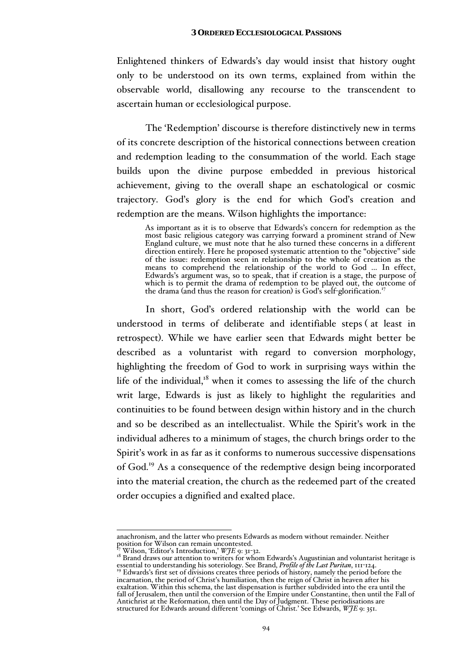Enlightened thinkers of Edwards's day would insist that history ought only to be understood on its own terms, explained from within the observable world, disallowing any recourse to the transcendent to ascertain human or ecclesiological purpose.

The 'Redemption' discourse is therefore distinctively new in terms of its concrete description of the historical connections between creation and redemption leading to the consummation of the world. Each stage builds upon the divine purpose embedded in previous historical achievement, giving to the overall shape an eschatological or cosmic trajectory. God's glory is the end for which God's creation and redemption are the means. Wilson highlights the importance:

As important as it is to observe that Edwards's concern for redemption as the most basic religious category was carrying forward a prominent strand of New England culture, we must note that he also turned these concerns in a different direction entirely. Here he proposed systematic attention to the "objective" side of the issue: redemption seen in relationship to the whole of creation as the means to comprehend the relationship of the world to God … In effect, Edwards's argument was, so to speak, that if creation is a stage, the purpose of which is to permit the drama of redemption to be played out, the outcome of the drama (and thus the reason for creation) is God's self-glorification.<sup>17</sup>

In short, God's ordered relationship with the world can be understood in terms of deliberate and identifiable steps ( at least in retrospect). While we have earlier seen that Edwards might better be described as a voluntarist with regard to conversion morphology, highlighting the freedom of God to work in surprising ways within the life of the individual, $18$ <sup>8</sup> when it comes to assessing the life of the church writ large, Edwards is just as likely to highlight the regularities and continuities to be found between design within history and in the church and so be described as an intellectualist. While the Spirit's work in the individual adheres to a minimum of stages, the church brings order to the Spirit's work in as far as it conforms to numerous successive dispensations of God.19 As a consequence of the redemptive design being incorporated into the material creation, the church as the redeemed part of the created order occupies a dignified and exalted place.

<sup>1</sup> anachronism, and the latter who presents Edwards as modern without remainder. Neither position for Wilson can remain uncontested.

<sup>&</sup>lt;sup>17</sup> Wilson, 'Editor's Introduction,' *WJE* 9: 31-32.<br><sup>18</sup> Brand draws our attention to writers for whom Edwards's Augustinian and voluntarist heritage is<br>essential to understanding his soteriology. See Brand, *Profile of* incarnation, the period of Christ's humiliation, then the reign of Christ in heaven after his

exaltation. Within this schema, the last dispensation is further subdivided into the era until the fall of Jerusalem, then until the conversion of the Empire under Constantine, then until the Fall of Antichrist at the Reformation, then until the Day of Judgment. These periodisations are structured for Edwards around different 'comings of Christ.' See Edwards, *WJE* 9: 351.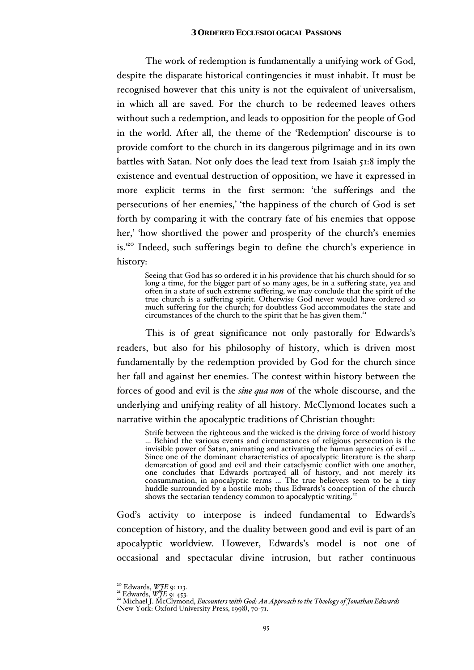The work of redemption is fundamentally a unifying work of God, despite the disparate historical contingencies it must inhabit. It must be recognised however that this unity is not the equivalent of universalism, in which all are saved. For the church to be redeemed leaves others without such a redemption, and leads to opposition for the people of God in the world. After all, the theme of the 'Redemption' discourse is to provide comfort to the church in its dangerous pilgrimage and in its own battles with Satan. Not only does the lead text from Isaiah 51:8 imply the existence and eventual destruction of opposition, we have it expressed in more explicit terms in the first sermon: 'the sufferings and the persecutions of her enemies,' 'the happiness of the church of God is set forth by comparing it with the contrary fate of his enemies that oppose her,' 'how shortlived the power and prosperity of the church's enemies is.'20 Indeed, such sufferings begin to define the church's experience in history:

Seeing that God has so ordered it in his providence that his church should for so long a time, for the bigger part of so many ages, be in a suffering state, yea and often in a state of such extreme suffering, we may conclude that the spirit of the true church is a suffering spirit. Otherwise God never would have ordered so much suffering for the church; for doubtless God accommodates the state and circumstances of the church to the spirit that he has given them.<sup>2</sup>

This is of great significance not only pastorally for Edwards's readers, but also for his philosophy of history, which is driven most fundamentally by the redemption provided by God for the church since her fall and against her enemies. The contest within history between the forces of good and evil is the *sine qua non* of the whole discourse, and the underlying and unifying reality of all history. McClymond locates such a narrative within the apocalyptic traditions of Christian thought:

Strife between the righteous and the wicked is the driving force of world history … Behind the various events and circumstances of religious persecution is the invisible power of Satan, animating and activating the human agencies of evil … Since one of the dominant characteristics of apocalyptic literature is the sharp demarcation of good and evil and their cataclysmic conflict with one another, one concludes that Edwards portrayed all of history, and not merely its consummation, in apocalyptic terms … The true believers seem to be a tiny huddle surrounded by a hostile mob; thus Edwards's conception of the church shows the sectarian tendency common to apocalyptic writing.<sup>2</sup>

God's activity to interpose is indeed fundamental to Edwards's conception of history, and the duality between good and evil is part of an apocalyptic worldview. However, Edwards's model is not one of occasional and spectacular divine intrusion, but rather continuous

<sup>&</sup>lt;sup>20</sup> Edwards, *WJE* 9: 113.<br><sup>21</sup> Edwards, *WJE* 9: 453.<br><sup>22</sup> Michael J. McClymond, *Encounters with God: An Approach to the Theology of Jonathan Edwards* (New York: Oxford University Press, 1998), 70-71.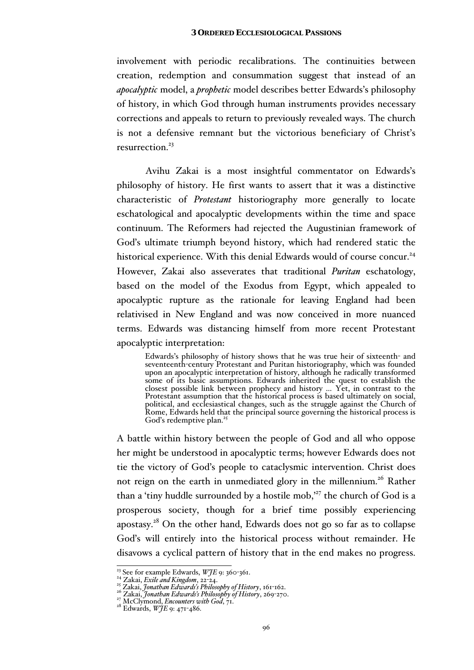involvement with periodic recalibrations. The continuities between creation, redemption and consummation suggest that instead of an *apocalyptic* model, a *prophetic* model describes better Edwards's philosophy of history, in which God through human instruments provides necessary corrections and appeals to return to previously revealed ways. The church is not a defensive remnant but the victorious beneficiary of Christ's resurrection.<sup>23</sup>

Avihu Zakai is a most insightful commentator on Edwards's philosophy of history. He first wants to assert that it was a distinctive characteristic of *Protestant* historiography more generally to locate eschatological and apocalyptic developments within the time and space continuum. The Reformers had rejected the Augustinian framework of God's ultimate triumph beyond history, which had rendered static the historical experience. With this denial Edwards would of course concur.<sup>24</sup> However, Zakai also asseverates that traditional *Puritan* eschatology, based on the model of the Exodus from Egypt, which appealed to apocalyptic rupture as the rationale for leaving England had been relativised in New England and was now conceived in more nuanced terms. Edwards was distancing himself from more recent Protestant apocalyptic interpretation:

Edwards's philosophy of history shows that he was true heir of sixteenth- and seventeenth-century Protestant and Puritan historiography, which was founded upon an apocalyptic interpretation of history, although he radically transformed some of its basic assumptions. Edwards inherited the quest to establish the closest possible link between prophecy and history … Yet, in contrast to the Protestant assumption that the historical process is based ultimately on social, political, and ecclesiastical changes, such as the struggle against the Church of Rome, Edwards held that the principal source governing the historical process is God's redemptive plan.<sup>25</sup>

A battle within history between the people of God and all who oppose her might be understood in apocalyptic terms; however Edwards does not tie the victory of God's people to cataclysmic intervention. Christ does not reign on the earth in unmediated glory in the millennium.<sup>26</sup> Rather than a 'tiny huddle surrounded by a hostile mob,"<sup>27</sup> the church of God is a prosperous society, though for a brief time possibly experiencing apostasy.<sup>28</sup> On the other hand, Edwards does not go so far as to collapse God's will entirely into the historical process without remainder. He disavows a cyclical pattern of history that in the end makes no progress.

<sup>&</sup>lt;sup>23</sup> See for example Edwards, *WJE* 9: 360-361.<br><sup>24</sup> Zakai, *Exile and Kingdom*, 22-24.<br><sup>25</sup> Zakai, *Jonatban Edwards's Philosophy of History*, 161-162.<br><sup>26</sup> Zakai, *Jonatban Edwards's Philosophy of History*, 269-270.<br><sup>27</sup>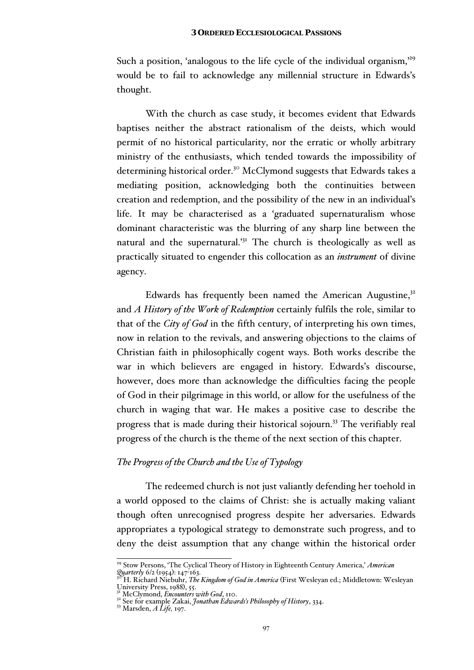Such a position, 'analogous to the life cycle of the individual organism,<sup>29</sup> would be to fail to acknowledge any millennial structure in Edwards's thought.

With the church as case study, it becomes evident that Edwards baptises neither the abstract rationalism of the deists, which would permit of no historical particularity, nor the erratic or wholly arbitrary ministry of the enthusiasts, which tended towards the impossibility of determining historical order.<sup>30</sup> McClymond suggests that Edwards takes a mediating position, acknowledging both the continuities between creation and redemption, and the possibility of the new in an individual's life. It may be characterised as a 'graduated supernaturalism whose dominant characteristic was the blurring of any sharp line between the natural and the supernatural.<sup>31</sup> The church is theologically as well as practically situated to engender this collocation as an *instrument* of divine agency.

Edwards has frequently been named the American Augustine, $3<sup>2</sup>$ and *A History of the Work of Redemption* certainly fulfils the role, similar to that of the *City of God* in the fifth century, of interpreting his own times, now in relation to the revivals, and answering objections to the claims of Christian faith in philosophically cogent ways. Both works describe the war in which believers are engaged in history. Edwards's discourse, however, does more than acknowledge the difficulties facing the people of God in their pilgrimage in this world, or allow for the usefulness of the church in waging that war. He makes a positive case to describe the progress that is made during their historical sojourn.<sup>33</sup> The verifiably real progress of the church is the theme of the next section of this chapter.

# *The Progress of the Church and the Use of Typology*

The redeemed church is not just valiantly defending her toehold in a world opposed to the claims of Christ: she is actually making valiant though often unrecognised progress despite her adversaries. Edwards appropriates a typological strategy to demonstrate such progress, and to deny the deist assumption that any change within the historical order

<sup>29</sup> Stow Persons, 'The Cyclical Theory of History in Eighteenth Century America,' *American* 

*Quarterly* 6/2 (1954): 147-163. <sup>30</sup> H. Richard Niebuhr, *The Kingdom of God in America* (First Wesleyan ed.; Middletown: Wesleyan University Press, 1988), 55.<br>University Press, 1988), 55.<br><sup>32</sup> See for example Zakai, *Jonathan Edwards's Philosophy of History*, 334.<br><sup>32</sup> See for example Zakai, *Jonathan Edwards's Philosophy of History*, 334.<br><sup>33</sup> Marsd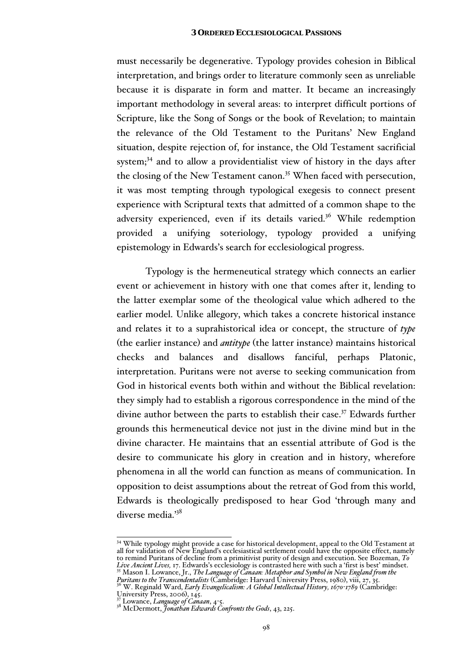must necessarily be degenerative. Typology provides cohesion in Biblical interpretation, and brings order to literature commonly seen as unreliable because it is disparate in form and matter. It became an increasingly important methodology in several areas: to interpret difficult portions of Scripture, like the Song of Songs or the book of Revelation; to maintain the relevance of the Old Testament to the Puritans' New England situation, despite rejection of, for instance, the Old Testament sacrificial system;<sup>34</sup> and to allow a providentialist view of history in the days after the closing of the New Testament canon.<sup>35</sup> When faced with persecution, it was most tempting through typological exegesis to connect present experience with Scriptural texts that admitted of a common shape to the adversity experienced, even if its details varied.<sup>36</sup> While redemption provided a unifying soteriology, typology provided a unifying epistemology in Edwards's search for ecclesiological progress.

Typology is the hermeneutical strategy which connects an earlier event or achievement in history with one that comes after it, lending to the latter exemplar some of the theological value which adhered to the earlier model. Unlike allegory, which takes a concrete historical instance and relates it to a suprahistorical idea or concept, the structure of *type* (the earlier instance) and *antitype* (the latter instance) maintains historical checks and balances and disallows fanciful, perhaps Platonic, interpretation. Puritans were not averse to seeking communication from God in historical events both within and without the Biblical revelation: they simply had to establish a rigorous correspondence in the mind of the divine author between the parts to establish their case.<sup>37</sup> Edwards further grounds this hermeneutical device not just in the divine mind but in the divine character. He maintains that an essential attribute of God is the desire to communicate his glory in creation and in history, wherefore phenomena in all the world can function as means of communication. In opposition to deist assumptions about the retreat of God from this world, Edwards is theologically predisposed to hear God 'through many and diverse media.'<sup>38</sup>

<sup>&</sup>lt;sup>34</sup> While typology might provide a case for historical development, appeal to the Old Testament at all for validation of New England's ecclesiastical settlement could have the opposite effect, namely to remind Puritans of decline from a primitivist purity of design and execution. See Bozeman, *To*  Live Ancient Lives, 17. Edwards's ecclesiology is contrasted here with such a 'first is best' mindset.<br><sup>35</sup> Mason I. Lowance, Jr., *The Language of Canaan: Metaphor and Symbol in New England from the<br>Puritans to the Transc* 

University Press, 2006), 145. <sup>37</sup> Lowance, *Language of Canaan*, 4-5. <sup>38</sup> McDermott, *Jonathan Edwards Confronts the Gods*, 43, 225.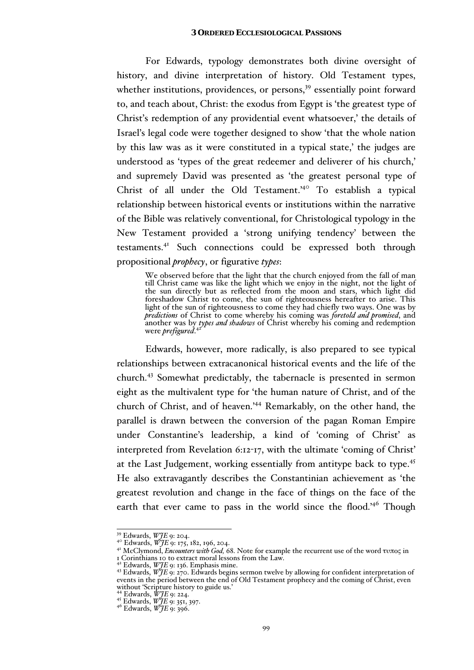For Edwards, typology demonstrates both divine oversight of history, and divine interpretation of history. Old Testament types, whether institutions, providences, or persons, $39$  essentially point forward to, and teach about, Christ: the exodus from Egypt is 'the greatest type of Christ's redemption of any providential event whatsoever,' the details of Israel's legal code were together designed to show 'that the whole nation by this law was as it were constituted in a typical state,' the judges are understood as 'types of the great redeemer and deliverer of his church,' and supremely David was presented as 'the greatest personal type of Christ of all under the Old Testament.'40 To establish a typical relationship between historical events or institutions within the narrative of the Bible was relatively conventional, for Christological typology in the New Testament provided a 'strong unifying tendency' between the testaments.41 Such connections could be expressed both through propositional *prophecy*, or figurative *types*:

We observed before that the light that the church enjoyed from the fall of man till Christ came was like the light which we enjoy in the night, not the light of the sun directly but as reflected from the moon and stars, which light did foreshadow Christ to come, the sun of righteousness hereafter to arise. This light of the sun of righteousness to come they had chiefly two ways. One was by *predictions* of Christ to come whereby his coming was *foretold and promised*, and another was by *types and shadows* of Christ whereby his coming and redemption was a preferent of the state of the state of the state of the state of the state of the state of the state of the state of the state of the sta were *prefigured*.

Edwards, however, more radically, is also prepared to see typical relationships between extracanonical historical events and the life of the church.43 Somewhat predictably, the tabernacle is presented in sermon eight as the multivalent type for 'the human nature of Christ, and of the church of Christ, and of heaven.'44 Remarkably, on the other hand, the parallel is drawn between the conversion of the pagan Roman Empire under Constantine's leadership, a kind of 'coming of Christ' as interpreted from Revelation 6:12-17, with the ultimate 'coming of Christ' at the Last Judgement, working essentially from antitype back to type.<sup>45</sup> He also extravagantly describes the Constantinian achievement as 'the greatest revolution and change in the face of things on the face of the earth that ever came to pass in the world since the flood.<sup>'46</sup> Though

<sup>&</sup>lt;sup>39</sup> Edwards, *WJE* 9: 204.<br><sup>40</sup> Edwards, *WJE* 9: 175, 182, 196, 204.<br><sup>41</sup> McClymond, *Encounters with God*, 68. Note for example the recurrent use of the word τυπος in

The Caymond, *Elitables 8thb* 6th, 6th 6th Cample the recurrent use of the word tends in<br>1 Corinthians 10 to extract moral lessons from the Law.<br><sup>42</sup> Edwards, *WJE* 9: 136. Emphasis mine.<br><sup>43</sup> Edwards, *WJE* 9: 270. Edward without 'Scripture history to guide us.' <sup>44</sup> Edwards, *WJE* 9: 224. <sup>45</sup> Edwards, *WJE* 9: 351, 397. <sup>46</sup> Edwards, *WJE* 9: 396.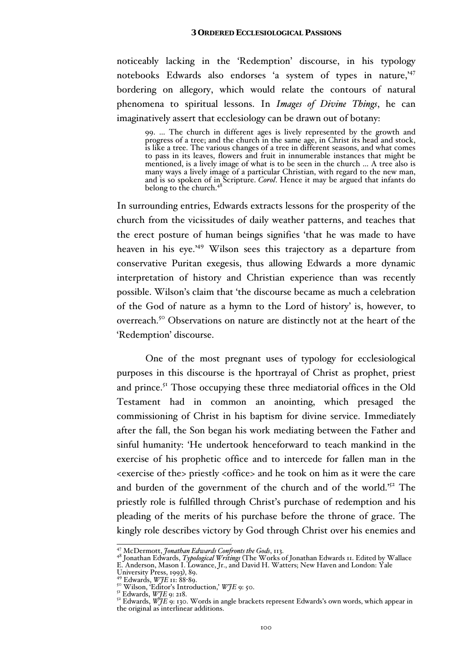noticeably lacking in the 'Redemption' discourse, in his typology notebooks Edwards also endorses 'a system of types in nature,' 47 bordering on allegory, which would relate the contours of natural phenomena to spiritual lessons. In *Images of Divine Things*, he can imaginatively assert that ecclesiology can be drawn out of botany:

99. … The church in different ages is lively represented by the growth and progress of a tree; and the church in the same age, in Christ its head and stock, is like a tree. The various changes of a tree in different seasons, and what comes to pass in its leaves, flowers and fruit in innumerable instances that might be mentioned, is a lively image of what is to be seen in the church … A tree also is many ways a lively image of a particular Christian, with regard to the new man, and is so spoken of in Scripture. *Corol*. Hence it may be argued that infants do belong to the church.<sup>4</sup>

In surrounding entries, Edwards extracts lessons for the prosperity of the church from the vicissitudes of daily weather patterns, and teaches that the erect posture of human beings signifies 'that he was made to have heaven in his eye.'49 Wilson sees this trajectory as a departure from conservative Puritan exegesis, thus allowing Edwards a more dynamic interpretation of history and Christian experience than was recently possible. Wilson's claim that 'the discourse became as much a celebration of the God of nature as a hymn to the Lord of history' is, however, to overreach.50 Observations on nature are distinctly not at the heart of the 'Redemption' discourse.

One of the most pregnant uses of typology for ecclesiological purposes in this discourse is the hportrayal of Christ as prophet, priest and prince.51 Those occupying these three mediatorial offices in the Old Testament had in common an anointing, which presaged the commissioning of Christ in his baptism for divine service. Immediately after the fall, the Son began his work mediating between the Father and sinful humanity: 'He undertook henceforward to teach mankind in the exercise of his prophetic office and to intercede for fallen man in the <exercise of the> priestly <office> and he took on him as it were the care and burden of the government of the church and of the world.<sup>52</sup> The priestly role is fulfilled through Christ's purchase of redemption and his pleading of the merits of his purchase before the throne of grace. The kingly role describes victory by God through Christ over his enemies and

<sup>&</sup>lt;sup>47</sup> McDermott, *Jonathan Edwards Confronts the Gods*, 113.<br><sup>48</sup> Jonathan Edwards, *Typological Writings* (The Works of Jonathan Edwards 11. Edited by Wallace<br>E. Anderson, Mason I. Lowance, Jr., and David H. Watters; New H

University Press, 1993), 89.<br><sup>49</sup> Edwards, *WJE* 11: 88-89.<br><sup>50</sup> Wilson, 'Editor's Introduction,' *WJE* 9: 50.<br><sup>51</sup> Edwards, *WJE* 9: 218.<br><sup>52</sup> Edwards, *WJE* 9: 130. Words in angle brackets represent Edwards's own words, the original as interlinear additions.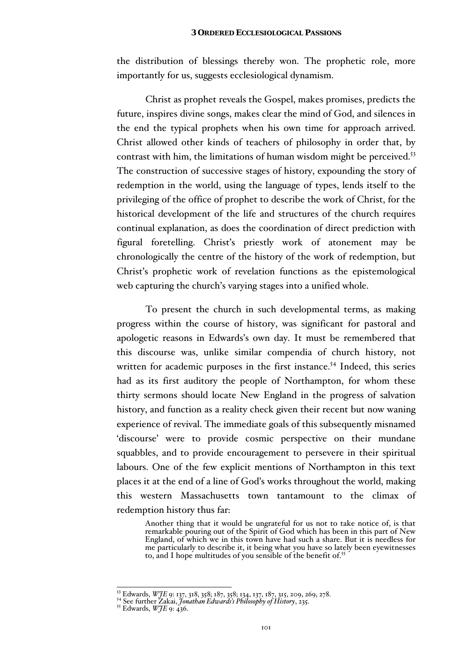the distribution of blessings thereby won. The prophetic role, more importantly for us, suggests ecclesiological dynamism.

Christ as prophet reveals the Gospel, makes promises, predicts the future, inspires divine songs, makes clear the mind of God, and silences in the end the typical prophets when his own time for approach arrived. Christ allowed other kinds of teachers of philosophy in order that, by contrast with him, the limitations of human wisdom might be perceived.<sup>53</sup> The construction of successive stages of history, expounding the story of redemption in the world, using the language of types, lends itself to the privileging of the office of prophet to describe the work of Christ, for the historical development of the life and structures of the church requires continual explanation, as does the coordination of direct prediction with figural foretelling. Christ's priestly work of atonement may be chronologically the centre of the history of the work of redemption, but Christ's prophetic work of revelation functions as the epistemological web capturing the church's varying stages into a unified whole.

To present the church in such developmental terms, as making progress within the course of history, was significant for pastoral and apologetic reasons in Edwards's own day. It must be remembered that this discourse was, unlike similar compendia of church history, not written for academic purposes in the first instance.<sup>54</sup> Indeed, this series had as its first auditory the people of Northampton, for whom these thirty sermons should locate New England in the progress of salvation history, and function as a reality check given their recent but now waning experience of revival. The immediate goals of this subsequently misnamed 'discourse' were to provide cosmic perspective on their mundane squabbles, and to provide encouragement to persevere in their spiritual labours. One of the few explicit mentions of Northampton in this text places it at the end of a line of God's works throughout the world, making this western Massachusetts town tantamount to the climax of redemption history thus far:

Another thing that it would be ungrateful for us not to take notice of, is that remarkable pouring out of the Spirit of God which has been in this part of New England, of which we in this town have had such a share. But it is needless for me particularly to describe it, it being what you have so lately been eyewitnesses to, and I hope multitudes of you sensible of the benefit of.<sup>55</sup>

<sup>53</sup> Edwards, *WJE* 9: 137, 318, 358; 187, 358; 134, 137, 187, 315, 209, 269, 278. 54 See further Zakai, *Jonathan Edwards's Philosophy of History*, 235. <sup>55</sup> Edwards, *WJE* 9: 436.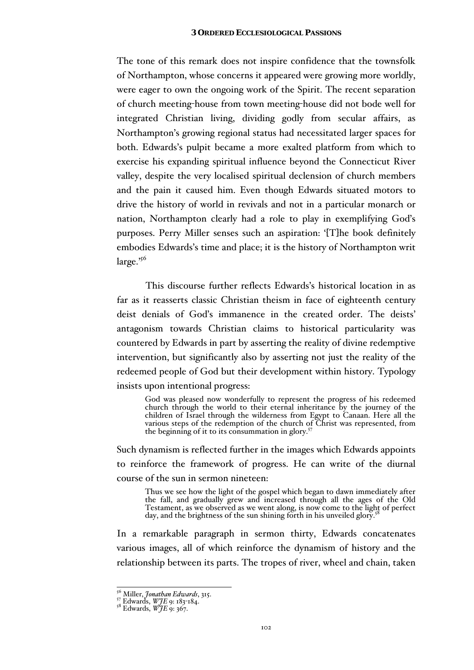The tone of this remark does not inspire confidence that the townsfolk of Northampton, whose concerns it appeared were growing more worldly, were eager to own the ongoing work of the Spirit. The recent separation of church meeting-house from town meeting-house did not bode well for integrated Christian living, dividing godly from secular affairs, as Northampton's growing regional status had necessitated larger spaces for both. Edwards's pulpit became a more exalted platform from which to exercise his expanding spiritual influence beyond the Connecticut River valley, despite the very localised spiritual declension of church members and the pain it caused him. Even though Edwards situated motors to drive the history of world in revivals and not in a particular monarch or nation, Northampton clearly had a role to play in exemplifying God's purposes. Perry Miller senses such an aspiration: '[T]he book definitely embodies Edwards's time and place; it is the history of Northampton writ large.'56

This discourse further reflects Edwards's historical location in as far as it reasserts classic Christian theism in face of eighteenth century deist denials of God's immanence in the created order. The deists' antagonism towards Christian claims to historical particularity was countered by Edwards in part by asserting the reality of divine redemptive intervention, but significantly also by asserting not just the reality of the redeemed people of God but their development within history. Typology insists upon intentional progress:

God was pleased now wonderfully to represent the progress of his redeemed church through the world to their eternal inheritance by the journey of the children of Israel through the wilderness from Egypt to Canaan. Here all the various steps of the redemption of the church of Christ was represented, from the beginning of it to its consummation in glory.<sup>57</sup>

Such dynamism is reflected further in the images which Edwards appoints to reinforce the framework of progress. He can write of the diurnal course of the sun in sermon nineteen:

Thus we see how the light of the gospel which began to dawn immediately after the fall, and gradually grew and increased through all the ages of the Old Testament, as we observed as we went along, is now come to the light of perfect day, and the brightness of the sun shining forth in his unveiled glory.<sup>5</sup>

In a remarkable paragraph in sermon thirty, Edwards concatenates various images, all of which reinforce the dynamism of history and the relationship between its parts. The tropes of river, wheel and chain, taken

<sup>56</sup> Miller, *Jonathan Edwards*, 315. <sup>57</sup> Edwards, *WJE* 9: 183-184. <sup>58</sup> Edwards, *WJE* 9: 367.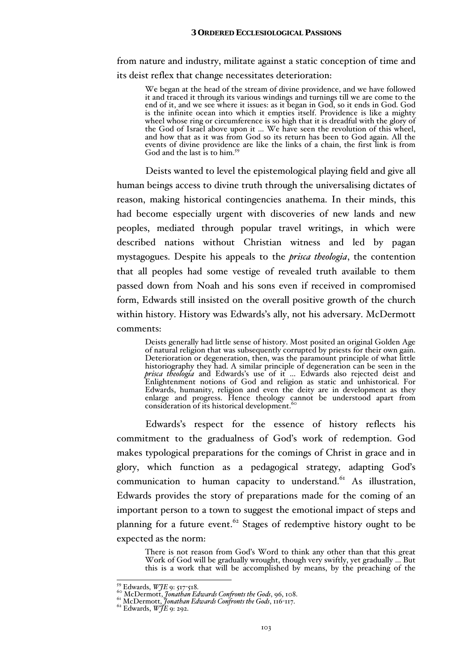# from nature and industry, militate against a static conception of time and its deist reflex that change necessitates deterioration:

We began at the head of the stream of divine providence, and we have followed it and traced it through its various windings and turnings till we are come to the end of it, and we see where it issues: as it began in God, so it ends in God. God is the infinite ocean into which it empties itself. Providence is like a mighty wheel whose ring or circumference is so high that it is dreadful with the glory of the God of Israel above upon it … We have seen the revolution of this wheel, and how that as it was from God so its return has been to God again. All the events of divine providence are like the links of a chain, the first link is from God and the last is to him.<sup>5</sup>

Deists wanted to level the epistemological playing field and give all human beings access to divine truth through the universalising dictates of reason, making historical contingencies anathema. In their minds, this had become especially urgent with discoveries of new lands and new peoples, mediated through popular travel writings, in which were described nations without Christian witness and led by pagan mystagogues. Despite his appeals to the *prisca theologia*, the contention that all peoples had some vestige of revealed truth available to them passed down from Noah and his sons even if received in compromised form, Edwards still insisted on the overall positive growth of the church within history. History was Edwards's ally, not his adversary. McDermott comments:

Deists generally had little sense of history. Most posited an original Golden Age of natural religion that was subsequently corrupted by priests for their own gain. Deterioration or degeneration, then, was the paramount principle of what little historiography they had. A similar principle of degeneration can be seen in the *prisca theologia* and Edwards's use of it … Edwards also rejected deist and Enlightenment notions of God and religion as static and unhistorical. For Edwards, humanity, religion and even the deity are in development as they enlarge and progress. Hence theology cannot be understood apart from consideration of its historical development.<sup>60</sup>

Edwards's respect for the essence of history reflects his commitment to the gradualness of God's work of redemption. God makes typological preparations for the comings of Christ in grace and in glory, which function as a pedagogical strategy, adapting God's communication to human capacity to understand.<sup>61</sup> As illustration, Edwards provides the story of preparations made for the coming of an important person to a town to suggest the emotional impact of steps and planning for a future event.<sup>62</sup> Stages of redemptive history ought to be expected as the norm:

There is not reason from God's Word to think any other than that this great Work of God will be gradually wrought, though very swiftly, yet gradually … But this is a work that will be accomplished by means, by the preaching of the

<sup>&</sup>lt;sup>59</sup> Edwards, *WJE* 9: 517-518.<br><sup>60</sup> McDermott, *Jonathan Edwards Confronts the Gods*, 96, 108.<br><sup>61</sup> McDermott, *Jonathan Edwards Confronts the Gods*, 116-117.<br><sup>62</sup> Edwards, *WJE* 9: 292.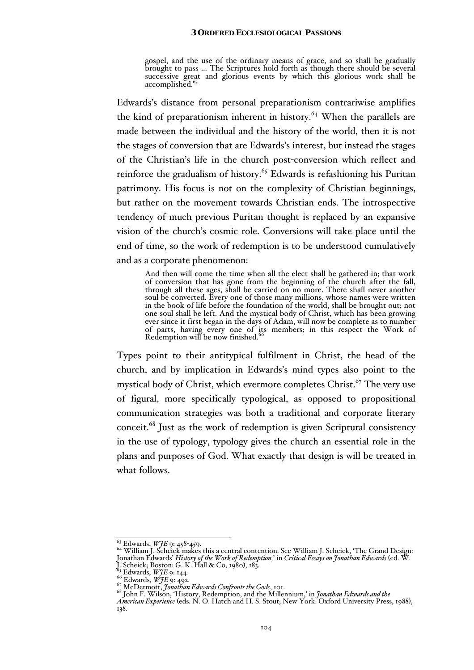gospel, and the use of the ordinary means of grace, and so shall be gradually brought to pass … The Scriptures hold forth as though there should be several successive great and glorious events by which this glorious work shall be accomplished.<sup>63</sup>

Edwards's distance from personal preparationism contrariwise amplifies the kind of preparationism inherent in history.<sup>64</sup> When the parallels are made between the individual and the history of the world, then it is not the stages of conversion that are Edwards's interest, but instead the stages of the Christian's life in the church post-conversion which reflect and reinforce the gradualism of history.<sup>65</sup> Edwards is refashioning his Puritan patrimony. His focus is not on the complexity of Christian beginnings, but rather on the movement towards Christian ends. The introspective tendency of much previous Puritan thought is replaced by an expansive vision of the church's cosmic role. Conversions will take place until the end of time, so the work of redemption is to be understood cumulatively and as a corporate phenomenon:

And then will come the time when all the elect shall be gathered in; that work of conversion that has gone from the beginning of the church after the fall, through all these ages, shall be carried on no more. There shall never another soul be converted. Every one of those many millions, whose names were written in the book of life before the foundation of the world, shall be brought out; not one soul shall be left. And the mystical body of Christ, which has been growing ever since it first began in the days of Adam, will now be complete as to number of parts, having every one of its members; in this respect the Work of Redemption will be now finished.<sup>66</sup>

Types point to their antitypical fulfilment in Christ, the head of the church, and by implication in Edwards's mind types also point to the mystical body of Christ, which evermore completes Christ.<sup>67</sup> The very use of figural, more specifically typological, as opposed to propositional communication strategies was both a traditional and corporate literary conceit.68 Just as the work of redemption is given Scriptural consistency in the use of typology, typology gives the church an essential role in the plans and purposes of God. What exactly that design is will be treated in what follows.

<sup>&</sup>lt;sup>63</sup> Edwards, *WJE* 9: 458-459.<br><sup>64</sup> William J. Scheick makes this a central contention. See William J. Scheick, 'The Grand Design: Jonathan Edwards' *History of the Work of Redemption,*' in *Critical Essays on Jonathan Edwards* (ed. W.

J. Scheick; Boston: G. K. Hall & Co, 1980), 183.<br><sup>65</sup> Edwards, *WJE* 9: 144.<br><sup>66</sup> Edwards, *WJE* 9: 492.<br><sup>67</sup> McDermott, *Jonathan Edwards Confronts the Gods*, 101.<br><sup>68</sup> John F. Wilson, 'History, Redemption, and the Millen Fuwarus, *w J* L 9: 492.<br><sup>67</sup> McDermott, *Jonathan Edwards Confronts the Gods*, 101.<br><sup>68</sup> John F. Wilson, 'History, Redemption, and the Millennium,' in *Jonathan Edwards and the American Experience* (eds. N. O. Hatch and

<sup>138.</sup>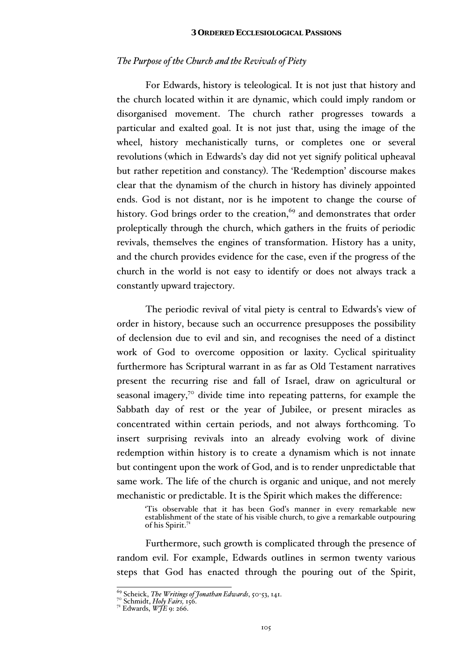## *The Purpose of the Church and the Revivals of Piety*

For Edwards, history is teleological. It is not just that history and the church located within it are dynamic, which could imply random or disorganised movement. The church rather progresses towards a particular and exalted goal. It is not just that, using the image of the wheel, history mechanistically turns, or completes one or several revolutions (which in Edwards's day did not yet signify political upheaval but rather repetition and constancy). The 'Redemption' discourse makes clear that the dynamism of the church in history has divinely appointed ends. God is not distant, nor is he impotent to change the course of history. God brings order to the creation,<sup>69</sup> and demonstrates that order proleptically through the church, which gathers in the fruits of periodic revivals, themselves the engines of transformation. History has a unity, and the church provides evidence for the case, even if the progress of the church in the world is not easy to identify or does not always track a constantly upward trajectory.

The periodic revival of vital piety is central to Edwards's view of order in history, because such an occurrence presupposes the possibility of declension due to evil and sin, and recognises the need of a distinct work of God to overcome opposition or laxity. Cyclical spirituality furthermore has Scriptural warrant in as far as Old Testament narratives present the recurring rise and fall of Israel, draw on agricultural or seasonal imagery, $7^\circ$  divide time into repeating patterns, for example the Sabbath day of rest or the year of Jubilee, or present miracles as concentrated within certain periods, and not always forthcoming. To insert surprising revivals into an already evolving work of divine redemption within history is to create a dynamism which is not innate but contingent upon the work of God, and is to render unpredictable that same work. The life of the church is organic and unique, and not merely mechanistic or predictable. It is the Spirit which makes the difference:

'Tis observable that it has been God's manner in every remarkable new establishment of the state of his visible church, to give a remarkable outpouring of his Spirit.<sup>71</sup>

Furthermore, such growth is complicated through the presence of random evil. For example, Edwards outlines in sermon twenty various steps that God has enacted through the pouring out of the Spirit,

<sup>69</sup> Scheick, *The Writings of Jonathan Edwards*, 50-53, 141. <sup>70</sup> Schmidt, *Holy Fairs,* 156. <sup>71</sup> Edwards, *WJE* 9: 266.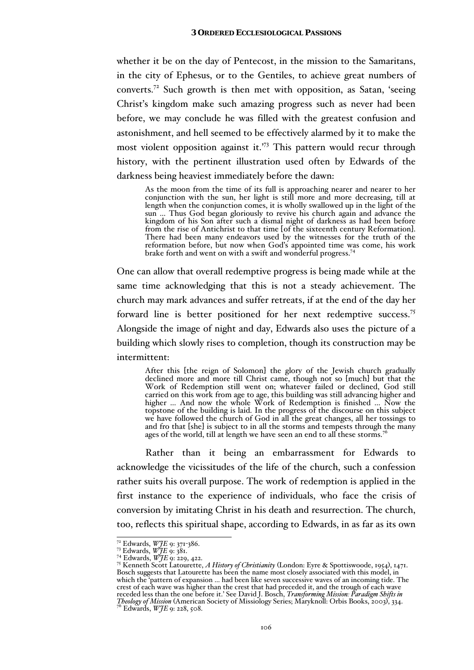whether it be on the day of Pentecost, in the mission to the Samaritans, in the city of Ephesus, or to the Gentiles, to achieve great numbers of converts.72 Such growth is then met with opposition, as Satan, 'seeing Christ's kingdom make such amazing progress such as never had been before, we may conclude he was filled with the greatest confusion and astonishment, and hell seemed to be effectively alarmed by it to make the most violent opposition against it.'73 This pattern would recur through history, with the pertinent illustration used often by Edwards of the darkness being heaviest immediately before the dawn:

As the moon from the time of its full is approaching nearer and nearer to her conjunction with the sun, her light is still more and more decreasing, till at length when the conjunction comes, it is wholly swallowed up in the light of the sun … Thus God began gloriously to revive his church again and advance the kingdom of his Son after such a dismal night of darkness as had been before from the rise of Antichrist to that time [of the sixteenth century Reformation]. There had been many endeavors used by the witnesses for the truth of the reformation before, but now when God's appointed time was come, his work brake forth and went on with a swift and wonderful progress.<sup>74</sup>

One can allow that overall redemptive progress is being made while at the same time acknowledging that this is not a steady achievement. The church may mark advances and suffer retreats, if at the end of the day her forward line is better positioned for her next redemptive success.<sup>75</sup> Alongside the image of night and day, Edwards also uses the picture of a building which slowly rises to completion, though its construction may be intermittent:

After this [the reign of Solomon] the glory of the Jewish church gradually declined more and more till Christ came, though not so [much] but that the Work of Redemption still went on; whatever failed or declined, God still carried on this work from age to age, this building was still advancing higher and higher … And now the whole Work of Redemption is finished … Now the topstone of the building is laid. In the progress of the discourse on this subject we have followed the church of God in all the great changes, all her tossings to and fro that [she] is subject to in all the storms and tempests through the many ages of the world, till at length we have seen an end to all these storms.<sup>76</sup>

Rather than it being an embarrassment for Edwards to acknowledge the vicissitudes of the life of the church, such a confession rather suits his overall purpose. The work of redemption is applied in the first instance to the experience of individuals, who face the crisis of conversion by imitating Christ in his death and resurrection. The church, too, reflects this spiritual shape, according to Edwards, in as far as its own

<sup>7&</sup>lt;sup>2</sup> Edwards, *WJE* 9: 371-386.<br><sup>73</sup> Edwards, *WJE* 9: 381.<br><sup>74</sup> Edwards, *WJE* 9: 229, 422.<br><sup>75</sup> Kenneth Scott Latourette, *A History of Christianity* (London: Eyre & Spottiswoode, 1954), 1471. Bosch suggests that Latourette has been the name most closely associated with this model, in which the 'pattern of expansion … had been like seven successive waves of an incoming tide. The crest of each wave was higher than the crest that had preceded it, and the trough of each wave receded less than the one before it.' See David J. Bosch, *Transforming Mission: Paradigm Shifts in Theology of Mission* (American Society of Missiology Series; Maryknoll: Orbis Books, 2003), 334. <sup>76</sup> Edwards, *WJE* 9: 228, 508.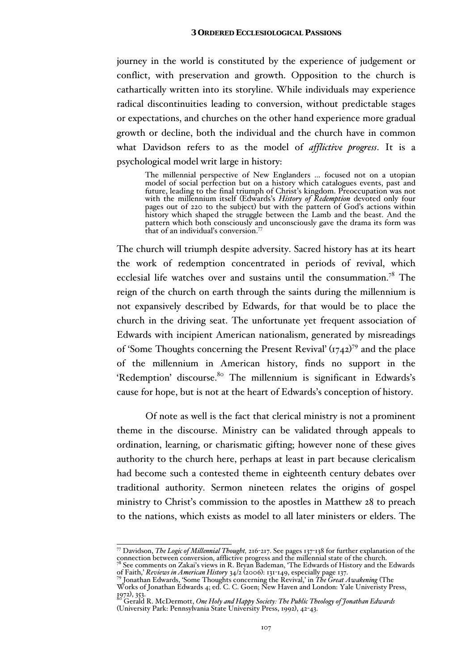journey in the world is constituted by the experience of judgement or conflict, with preservation and growth. Opposition to the church is cathartically written into its storyline. While individuals may experience radical discontinuities leading to conversion, without predictable stages or expectations, and churches on the other hand experience more gradual growth or decline, both the individual and the church have in common what Davidson refers to as the model of *afflictive progress*. It is a psychological model writ large in history:

The millennial perspective of New Englanders … focused not on a utopian model of social perfection but on a history which catalogues events, past and future, leading to the final triumph of Christ's kingdom. Preoccupation was not with the millennium itself (Edwards's *History of Redemption* devoted only four pages out of 220 to the subject) but with the pattern of God's actions within history which shaped the struggle between the Lamb and the beast. And the pattern which both consciously and unconsciously gave the drama its form was that of an individual's conversion.<sup>77</sup>

The church will triumph despite adversity. Sacred history has at its heart the work of redemption concentrated in periods of revival, which ecclesial life watches over and sustains until the consummation.<sup>78</sup> The reign of the church on earth through the saints during the millennium is not expansively described by Edwards, for that would be to place the church in the driving seat. The unfortunate yet frequent association of Edwards with incipient American nationalism, generated by misreadings of 'Some Thoughts concerning the Present Revival' (1742) 79 and the place of the millennium in American history, finds no support in the 'Redemption' discourse.<sup>80</sup> The millennium is significant in Edwards's cause for hope, but is not at the heart of Edwards's conception of history.

Of note as well is the fact that clerical ministry is not a prominent theme in the discourse. Ministry can be validated through appeals to ordination, learning, or charismatic gifting; however none of these gives authority to the church here, perhaps at least in part because clericalism had become such a contested theme in eighteenth century debates over traditional authority. Sermon nineteen relates the origins of gospel ministry to Christ's commission to the apostles in Matthew 28 to preach to the nations, which exists as model to all later ministers or elders. The

<sup>77</sup> Davidson, *The Logic of Millennial Thought,* <sup>216</sup>-217. See pages 137-138 for further explanation of the

connection between conversion, afflictive progress and the millennial state of the church.<br><sup>78</sup> See comments on Zakai's views in R. Bryan Bademan, 'The Edwards of History and the Edwards<br>of Faith,' *Reviews in American His* 

Works of Jonathan Edwards 4; ed. C. C. Goen; New Haven and London: Yale Univeristy Press,

<sup>1972), 353.&</sup>lt;br><sup>80</sup> Gerald R. McDermott, *One Holy and Happy Society: The Public Theology of Jonathan Edwards* (University Park: Pennsylvania State University Press, 1992), 42-43.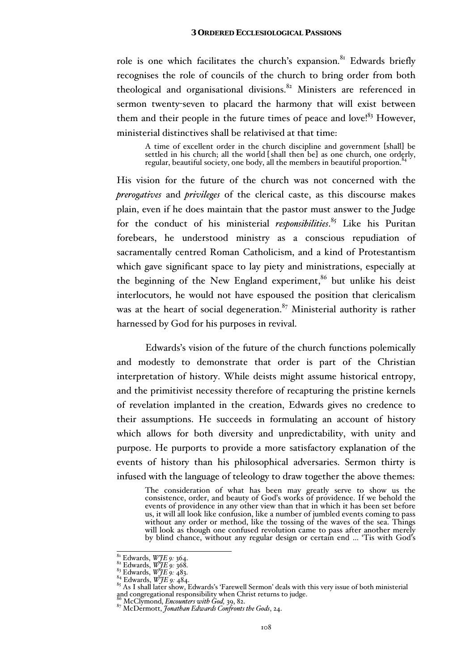role is one which facilitates the church's expansion.<sup>81</sup> Edwards briefly recognises the role of councils of the church to bring order from both theological and organisational divisions.<sup>82</sup> Ministers are referenced in sermon twenty-seven to placard the harmony that will exist between them and their people in the future times of peace and love! $83$  However, ministerial distinctives shall be relativised at that time:

A time of excellent order in the church discipline and government [shall] be settled in his church; all the world [shall then be] as one church, one orderly, regular, beautiful society, one body, all the members in beautiful proportion.<sup>84</sup>

His vision for the future of the church was not concerned with the *prerogatives* and *privileges* of the clerical caste, as this discourse makes plain, even if he does maintain that the pastor must answer to the Judge for the conduct of his ministerial *responsibilities*. 85 Like his Puritan forebears, he understood ministry as a conscious repudiation of sacramentally centred Roman Catholicism, and a kind of Protestantism which gave significant space to lay piety and ministrations, especially at the beginning of the New England experiment,  $86$  but unlike his deist interlocutors, he would not have espoused the position that clericalism was at the heart of social degeneration. $87$  Ministerial authority is rather harnessed by God for his purposes in revival.

Edwards's vision of the future of the church functions polemically and modestly to demonstrate that order is part of the Christian interpretation of history. While deists might assume historical entropy, and the primitivist necessity therefore of recapturing the pristine kernels of revelation implanted in the creation, Edwards gives no credence to their assumptions. He succeeds in formulating an account of history which allows for both diversity and unpredictability, with unity and purpose. He purports to provide a more satisfactory explanation of the events of history than his philosophical adversaries. Sermon thirty is infused with the language of teleology to draw together the above themes:

The consideration of what has been may greatly serve to show us the consistence, order, and beauty of God's works of providence. If we behold the events of providence in any other view than that in which it has been set before us, it will all look like confusion, like a number of jumbled events coming to pass without any order or method, like the tossing of the waves of the sea. Things will look as though one confused revolution came to pass after another merely by blind chance, without any regular design or certain end … 'Tis with God's

<sup>&</sup>lt;sup>81</sup> Edwards, *WJE 9:* 364.<br><sup>82</sup> Edwards, *WJE 9:* 368.<br><sup>83</sup> Edwards, *WJE 9:* 483.<br><sup>84</sup> Edwards, *WJE 9:* 484.<br><sup>85</sup> As I shall later show, Edwards's 'Farewell Sermon' deals with this very issue of both ministerial and congregational responsibility when Christ returns to judge. <sup>86</sup> McClymond, *Encounters with God,* 39, 82. <sup>87</sup> McDermott, *Jonathan Edwards Confronts the Gods*, 24.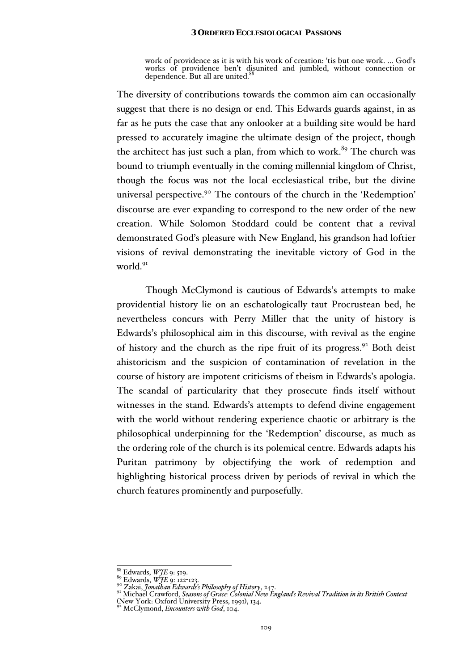work of providence as it is with his work of creation: 'tis but one work. … God's works of providence ben't disunited and jumbled, without connection or dependence. But all are united.<sup>8</sup>

The diversity of contributions towards the common aim can occasionally suggest that there is no design or end. This Edwards guards against, in as far as he puts the case that any onlooker at a building site would be hard pressed to accurately imagine the ultimate design of the project, though the architect has just such a plan, from which to work.<sup>89</sup> The church was bound to triumph eventually in the coming millennial kingdom of Christ, though the focus was not the local ecclesiastical tribe, but the divine universal perspective.<sup>90</sup> The contours of the church in the 'Redemption' discourse are ever expanding to correspond to the new order of the new creation. While Solomon Stoddard could be content that a revival demonstrated God's pleasure with New England, his grandson had loftier visions of revival demonstrating the inevitable victory of God in the world.<sup>91</sup>

Though McClymond is cautious of Edwards's attempts to make providential history lie on an eschatologically taut Procrustean bed, he nevertheless concurs with Perry Miller that the unity of history is Edwards's philosophical aim in this discourse, with revival as the engine of history and the church as the ripe fruit of its progress.<sup>92</sup> Both deist ahistoricism and the suspicion of contamination of revelation in the course of history are impotent criticisms of theism in Edwards's apologia. The scandal of particularity that they prosecute finds itself without witnesses in the stand. Edwards's attempts to defend divine engagement with the world without rendering experience chaotic or arbitrary is the philosophical underpinning for the 'Redemption' discourse, as much as the ordering role of the church is its polemical centre. Edwards adapts his Puritan patrimony by objectifying the work of redemption and highlighting historical process driven by periods of revival in which the church features prominently and purposefully.

<sup>&</sup>lt;sup>88</sup> Edwards, *WJE 9*: 519.<br><sup>89</sup> Edwards, *WJE 9*: 122-123.<br><sup>90</sup> Zakai, Jonathan Edwards's Philosophy of History, 247.<br><sup>91</sup> Michael Crawford, Seasons of Grace: Colonial New England's Revival Tradition in its British Contex

<sup>(</sup>New York: Oxford University Press, 1991), 134. <sup>92</sup> McClymond, *Encounters with God*, 104.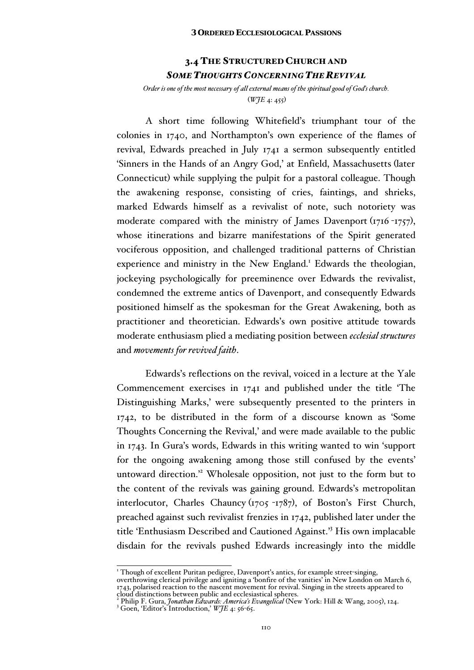# 3.4 THE STRUCTURED CHURCH AND *SOME THOUGHTS CONCERNING THE REVIVAL*

*Order is one of the most necessary of all external means of the spiritual good of God's church.* (*WJE* 4: 455)

A short time following Whitefield's triumphant tour of the colonies in 1740, and Northampton's own experience of the flames of revival, Edwards preached in July 1741 a sermon subsequently entitled 'Sinners in the Hands of an Angry God,' at Enfield, Massachusetts (later Connecticut) while supplying the pulpit for a pastoral colleague. Though the awakening response, consisting of cries, faintings, and shrieks, marked Edwards himself as a revivalist of note, such notoriety was moderate compared with the ministry of James Davenport (1716-1757), whose itinerations and bizarre manifestations of the Spirit generated vociferous opposition, and challenged traditional patterns of Christian experience and ministry in the New England.<sup>1</sup> Edwards the theologian, jockeying psychologically for preeminence over Edwards the revivalist, condemned the extreme antics of Davenport, and consequently Edwards positioned himself as the spokesman for the Great Awakening, both as practitioner and theoretician. Edwards's own positive attitude towards moderate enthusiasm plied a mediating position between *ecclesial structures* and *movements for revived faith*.

Edwards's reflections on the revival, voiced in a lecture at the Yale Commencement exercises in 1741 and published under the title 'The Distinguishing Marks,' were subsequently presented to the printers in 1742, to be distributed in the form of a discourse known as 'Some Thoughts Concerning the Revival,' and were made available to the public in 1743. In Gura's words, Edwards in this writing wanted to win 'support for the ongoing awakening among those still confused by the events' untoward direction.<sup>2</sup> Wholesale opposition, not just to the form but to the content of the revivals was gaining ground. Edwards's metropolitan interlocutor, Charles Chauncy (1705 -1787), of Boston's First Church, preached against such revivalist frenzies in 1742, published later under the title 'Enthusiasm Described and Cautioned Against.'<sup>3</sup> His own implacable disdain for the revivals pushed Edwards increasingly into the middle

-<br>1

Though of excellent Puritan pedigree, Davenport's antics, for example street-singing, overthrowing clerical privilege and igniting a 'bonfire of the vanities' in New London on March 6,

<sup>1743,</sup> polarised reaction to the nascent movement for revival. Singing in the streets appeared to

cloud distinctions between public and ecclesiastical spheres.<br><sup>2</sup> Philip F. Gura, *Jonathan Edwards: America's Evangelical* (New York: Hill & Wang, 2005), 124.<br><sup>3</sup> Goen, 'Editor's Introduction,' *WJE* 4: 56-65.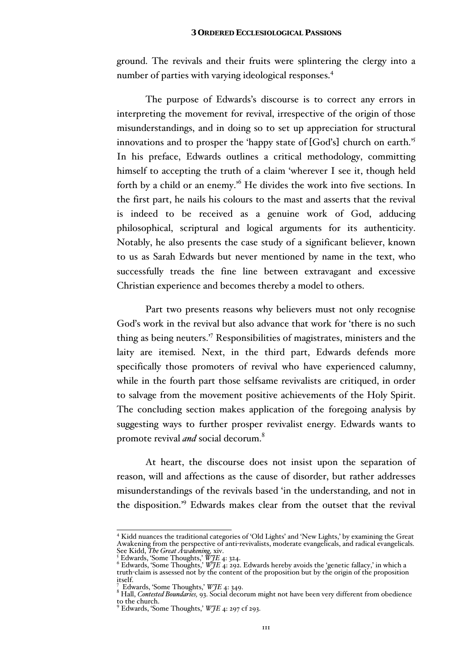ground. The revivals and their fruits were splintering the clergy into a number of parties with varying ideological responses.<sup>4</sup>

The purpose of Edwards's discourse is to correct any errors in interpreting the movement for revival, irrespective of the origin of those misunderstandings, and in doing so to set up appreciation for structural innovations and to prosper the 'happy state of [God's] church on earth.'5 In his preface, Edwards outlines a critical methodology, committing himself to accepting the truth of a claim 'wherever I see it, though held forth by a child or an enemy.<sup>'6</sup> He divides the work into five sections. In the first part, he nails his colours to the mast and asserts that the revival is indeed to be received as a genuine work of God, adducing philosophical, scriptural and logical arguments for its authenticity. Notably, he also presents the case study of a significant believer, known to us as Sarah Edwards but never mentioned by name in the text, who successfully treads the fine line between extravagant and excessive Christian experience and becomes thereby a model to others.

Part two presents reasons why believers must not only recognise God's work in the revival but also advance that work for 'there is no such thing as being neuters.'7 Responsibilities of magistrates, ministers and the laity are itemised. Next, in the third part, Edwards defends more specifically those promoters of revival who have experienced calumny, while in the fourth part those selfsame revivalists are critiqued, in order to salvage from the movement positive achievements of the Holy Spirit. The concluding section makes application of the foregoing analysis by suggesting ways to further prosper revivalist energy. Edwards wants to promote revival *and* social decorum.<sup>8</sup>

At heart, the discourse does not insist upon the separation of reason, will and affections as the cause of disorder, but rather addresses misunderstandings of the revivals based 'in the understanding, and not in the disposition.'9 Edwards makes clear from the outset that the revival

4 Kidd nuances the traditional categories of 'Old Lights' and 'New Lights,' by examining the Great Awakening from the perspective of anti-revivalists, moderate evangelicals, and radical evangelicals.

See Kidd, The Great Awakening, xiv.<br>
See Kidd, The Great Awakening, xiv.<br>
See Kidd, The Great Awakening, xiv.<br>
See Kidd, The Great Awakening, xiv.<br>
See Kidd, The Great Awakening, xiv.<br>
See Kidd, The Great Awakening, xiv.<br> itself.

<sup>&</sup>lt;sup>7</sup> Edwards, 'Some Thoughts,' *WJE* 4: 349.<br><sup>8</sup> Hall, *Contested Boundaries*, 93. Social decorum might not have been very different from obedience to the church. <sup>9</sup> Edwards, 'Some Thoughts,' *WJE* 4: 297 cf 293.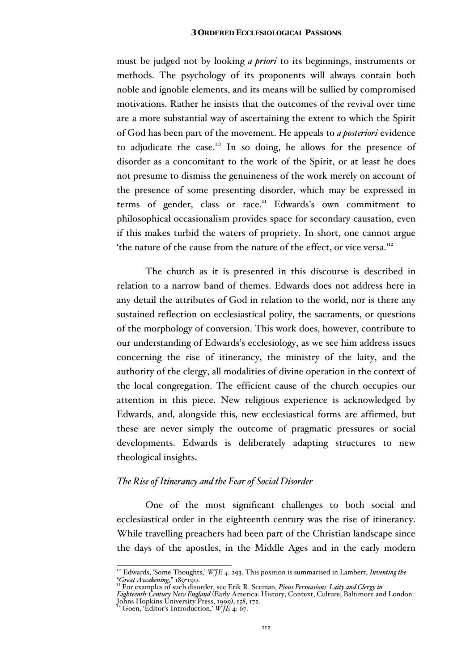must be judged not by looking *a priori* to its beginnings, instruments or methods. The psychology of its proponents will always contain both noble and ignoble elements, and its means will be sullied by compromised motivations. Rather he insists that the outcomes of the revival over time are a more substantial way of ascertaining the extent to which the Spirit of God has been part of the movement. He appeals to *a posteriori* evidence to adjudicate the case.10 In so doing, he allows for the presence of disorder as a concomitant to the work of the Spirit, or at least he does not presume to dismiss the genuineness of the work merely on account of the presence of some presenting disorder, which may be expressed in terms of gender, class or race.<sup>11</sup> Edwards's own commitment to philosophical occasionalism provides space for secondary causation, even if this makes turbid the waters of propriety. In short, one cannot argue 'the nature of the cause from the nature of the effect, or vice versa.'12

The church as it is presented in this discourse is described in relation to a narrow band of themes. Edwards does not address here in any detail the attributes of God in relation to the world, nor is there any sustained reflection on ecclesiastical polity, the sacraments, or questions of the morphology of conversion. This work does, however, contribute to our understanding of Edwards's ecclesiology, as we see him address issues concerning the rise of itinerancy, the ministry of the laity, and the authority of the clergy, all modalities of divine operation in the context of the local congregation. The efficient cause of the church occupies our attention in this piece. New religious experience is acknowledged by Edwards, and, alongside this, new ecclesiastical forms are affirmed, but these are never simply the outcome of pragmatic pressures or social developments. Edwards is deliberately adapting structures to new theological insights.

### *The Rise of Itinerancy and the Fear of Social Disorder*

One of the most significant challenges to both social and ecclesiastical order in the eighteenth century was the rise of itinerancy. While travelling preachers had been part of the Christian landscape since the days of the apostles, in the Middle Ages and in the early modern

<sup>-&</sup>lt;br><sup>10</sup> Edwards, 'Some Thoughts,' *WJE* 4: 293. This position is summarised in Lambert, *Inventing the*<br>"*Great Awakening*," 189-190.<br><sup>11</sup> For examples of such disorder, see Erik R. Seeman, *Pious Persuasions: Laity and Cle* 

*Eighteenth-Century New England* (Early America: History, Context, Culture; Baltimore and London: Johns Hopkins University Press, 1999), 158, 172.<br><sup>12</sup> Goen, 'Editor's Introduction,' *WJE* 4: 67.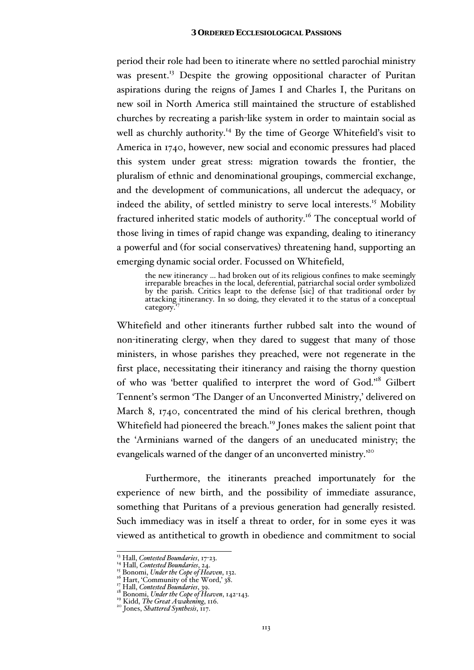period their role had been to itinerate where no settled parochial ministry was present.<sup>13</sup> Despite the growing oppositional character of Puritan aspirations during the reigns of James I and Charles I, the Puritans on new soil in North America still maintained the structure of established churches by recreating a parish-like system in order to maintain social as well as churchly authority.<sup>14</sup> By the time of George Whitefield's visit to America in 1740, however, new social and economic pressures had placed this system under great stress: migration towards the frontier, the pluralism of ethnic and denominational groupings, commercial exchange, and the development of communications, all undercut the adequacy, or indeed the ability, of settled ministry to serve local interests.<sup>15</sup> Mobility fractured inherited static models of authority.<sup>16</sup> The conceptual world of those living in times of rapid change was expanding, dealing to itinerancy a powerful and (for social conservatives) threatening hand, supporting an emerging dynamic social order. Focussed on Whitefield,

the new itinerancy … had broken out of its religious confines to make seemingly irreparable breaches in the local, deferential, patriarchal social order symbolized by the parish. Critics leapt to the defense [sic] of that traditional order by attacking itinerancy. In so doing, they elevated it to the status of a conceptual category.

Whitefield and other itinerants further rubbed salt into the wound of non-itinerating clergy, when they dared to suggest that many of those ministers, in whose parishes they preached, were not regenerate in the first place, necessitating their itinerancy and raising the thorny question of who was 'better qualified to interpret the word of God.<sup>18</sup> Gilbert Tennent's sermon 'The Danger of an Unconverted Ministry,' delivered on March 8, 1740, concentrated the mind of his clerical brethren, though Whitefield had pioneered the breach.<sup>19</sup> Jones makes the salient point that the 'Arminians warned of the dangers of an uneducated ministry; the evangelicals warned of the danger of an unconverted ministry.<sup>20</sup>

Furthermore, the itinerants preached importunately for the experience of new birth, and the possibility of immediate assurance, something that Puritans of a previous generation had generally resisted. Such immediacy was in itself a threat to order, for in some eyes it was viewed as antithetical to growth in obedience and commitment to social

<sup>&</sup>lt;sup>13</sup> Hall, *Contested Boundaries*, 17-23.<br><sup>14</sup> Hall, *Contested Boundaries*, 24.<br><sup>15</sup> Bonomi, *Under the Cope of Heaven*, 132.<br><sup>16</sup> Hart, 'Community of the Word,' 38.<br><sup>17</sup> Hall, *Contested Boundaries*, 39.<br><sup>18</sup> Bonomi, *U*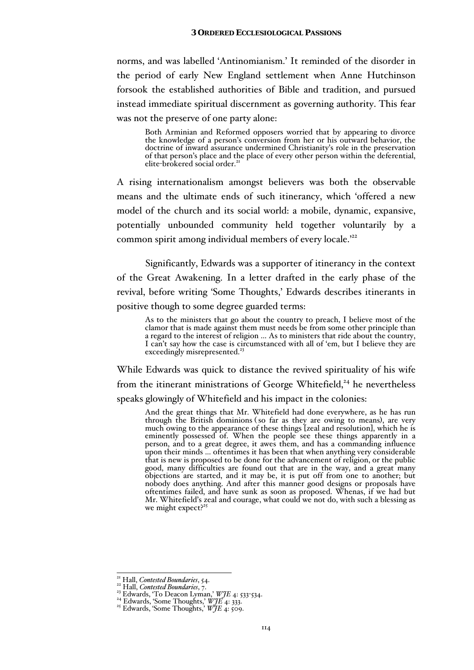norms, and was labelled 'Antinomianism.' It reminded of the disorder in the period of early New England settlement when Anne Hutchinson forsook the established authorities of Bible and tradition, and pursued instead immediate spiritual discernment as governing authority. This fear was not the preserve of one party alone:

Both Arminian and Reformed opposers worried that by appearing to divorce the knowledge of a person's conversion from her or his outward behavior, the doctrine of inward assurance undermined Christianity's role in the preservation of that person's place and the place of every other person within the deferential, elite-brokered social order.<sup>21</sup>

A rising internationalism amongst believers was both the observable means and the ultimate ends of such itinerancy, which 'offered a new model of the church and its social world: a mobile, dynamic, expansive, potentially unbounded community held together voluntarily by a common spirit among individual members of every locale.<sup>322</sup>

Significantly, Edwards was a supporter of itinerancy in the context of the Great Awakening. In a letter drafted in the early phase of the revival, before writing 'Some Thoughts,' Edwards describes itinerants in positive though to some degree guarded terms:

As to the ministers that go about the country to preach, I believe most of the clamor that is made against them must needs be from some other principle than a regard to the interest of religion … As to ministers that ride about the country, I can't say how the case is circumstanced with all of 'em, but I believe they are exceedingly misrepresented.<sup>23</sup>

While Edwards was quick to distance the revived spirituality of his wife from the itinerant ministrations of George Whitefield,<sup>24</sup> he nevertheless speaks glowingly of Whitefield and his impact in the colonies:

And the great things that Mr. Whitefield had done everywhere, as he has run through the British dominions ( so far as they are owing to means), are very much owing to the appearance of these things [zeal and resolution], which he is eminently possessed of. When the people see these things apparently in a person, and to a great degree, it awes them, and has a commanding influence upon their minds … oftentimes it has been that when anything very considerable that is new is proposed to be done for the advancement of religion, or the public good, many difficulties are found out that are in the way, and a great many objections are started, and it may be, it is put off from one to another; but nobody does anything. And after this manner good designs or proposals have oftentimes failed, and have sunk as soon as proposed. Whenas, if we had but Mr. Whitefield's zeal and courage, what could we not do, with such a blessing as we might expect?<sup>25</sup>

<sup>&</sup>lt;sup>21</sup> Hall, *Contested Boundaries*, 54.<br><sup>22</sup> Hall, *Contested Boundaries*, 7.<br><sup>23</sup> Edwards, 'To Deacon Lyman,' *WJE* 4: 533-534.<br><sup>24</sup> Edwards, 'Some Thoughts,' *WJE* 4: 333.<br><sup>25</sup> Edwards, 'Some Thoughts,' *WJE* 4: 509.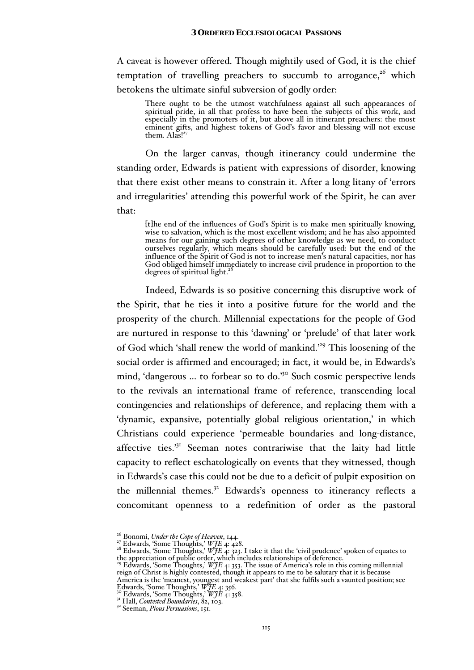A caveat is however offered. Though mightily used of God, it is the chief temptation of travelling preachers to succumb to arrogance,<sup>26</sup> which betokens the ultimate sinful subversion of godly order:

There ought to be the utmost watchfulness against all such appearances of spiritual pride, in all that profess to have been the subjects of this work, and especially in the promoters of it, but above all in itinerant preachers: the most eminent gifts, and highest tokens of God's favor and blessing will not excuse them. Alas!<sup>27</sup>

On the larger canvas, though itinerancy could undermine the standing order, Edwards is patient with expressions of disorder, knowing that there exist other means to constrain it. After a long litany of 'errors and irregularities' attending this powerful work of the Spirit, he can aver that:

[t]he end of the influences of God's Spirit is to make men spiritually knowing, wise to salvation, which is the most excellent wisdom; and he has also appointed means for our gaining such degrees of other knowledge as we need, to conduct ourselves regularly, which means should be carefully used: but the end of the influence of the Spirit of God is not to increase men's natural capacities, nor has God obliged himself immediately to increase civil prudence in proportion to the<br>degrees of spiritual light.<sup>28</sup>

Indeed, Edwards is so positive concerning this disruptive work of the Spirit, that he ties it into a positive future for the world and the prosperity of the church. Millennial expectations for the people of God are nurtured in response to this 'dawning' or 'prelude' of that later work of God which 'shall renew the world of mankind.'29 This loosening of the social order is affirmed and encouraged; in fact, it would be, in Edwards's mind, 'dangerous ... to forbear so to do.'<sup>30</sup> Such cosmic perspective lends to the revivals an international frame of reference, transcending local contingencies and relationships of deference, and replacing them with a 'dynamic, expansive, potentially global religious orientation,' in which Christians could experience 'permeable boundaries and long-distance, affective ties.'<sup>31</sup> Seeman notes contrariwise that the laity had little capacity to reflect eschatologically on events that they witnessed, though in Edwards's case this could not be due to a deficit of pulpit exposition on the millennial themes. $32$  Edwards's openness to itinerancy reflects a concomitant openness to a redefinition of order as the pastoral

<sup>26&</sup>lt;br><sup>26</sup> Bonomi, *Under the Cope of Heaven*, 144.<br><sup>27</sup> Edwards, 'Some Thoughts,' *WJE* 4: 323. I take it that the 'civil prudence' spoken of equates to

the appreciation of public order, which includes relationships of deference.<br><sup>29</sup> Edwards, 'Some Thoughts,' *WJE* 4: 353. The issue of America's role in this coming millennial<br>reign of Christ is highly contested, though it Edwards, 'Some Thoughts,' *WJE* 4: 356.<br>
America is the 'meanest, youngest and weakest part' that she fulfils such a vaunted position; see<br>
Edwards, 'Some Thoughts,' *WJE* 4: 356.<br>
<sup>31</sup> Hall, *Contested Boundaries*, 82, 10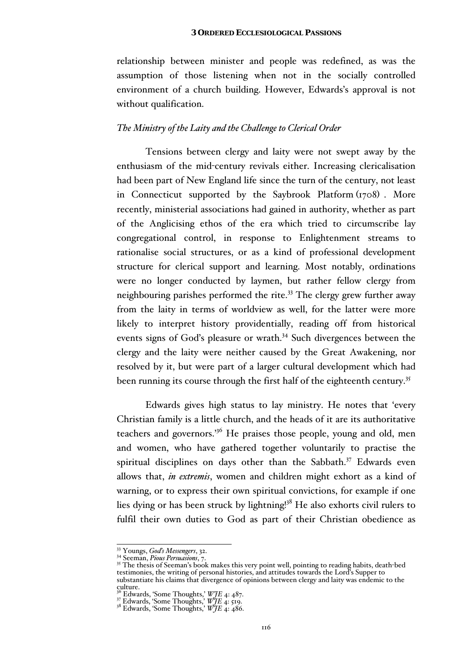relationship between minister and people was redefined, as was the assumption of those listening when not in the socially controlled environment of a church building. However, Edwards's approval is not without qualification.

# *The Ministry of the Laity and the Challenge to Clerical Order*

Tensions between clergy and laity were not swept away by the enthusiasm of the mid-century revivals either. Increasing clericalisation had been part of New England life since the turn of the century, not least in Connecticut supported by the Saybrook Platform (1708) . More recently, ministerial associations had gained in authority, whether as part of the Anglicising ethos of the era which tried to circumscribe lay congregational control, in response to Enlightenment streams to rationalise social structures, or as a kind of professional development structure for clerical support and learning. Most notably, ordinations were no longer conducted by laymen, but rather fellow clergy from neighbouring parishes performed the rite.<sup>33</sup> The clergy grew further away from the laity in terms of worldview as well, for the latter were more likely to interpret history providentially, reading off from historical events signs of God's pleasure or wrath.<sup>34</sup> Such divergences between the clergy and the laity were neither caused by the Great Awakening, nor resolved by it, but were part of a larger cultural development which had been running its course through the first half of the eighteenth century.<sup>35</sup>

Edwards gives high status to lay ministry. He notes that 'every Christian family is a little church, and the heads of it are its authoritative teachers and governors.<sup>36</sup> He praises those people, young and old, men and women, who have gathered together voluntarily to practise the spiritual disciplines on days other than the Sabbath. $37$  Edwards even allows that, *in extremis*, women and children might exhort as a kind of warning, or to express their own spiritual convictions, for example if one lies dying or has been struck by lightning!<sup>38</sup> He also exhorts civil rulers to fulfil their own duties to God as part of their Christian obedience as

<sup>&</sup>lt;sup>33</sup> Youngs, *God's Messengers*, 32.<br><sup>34</sup> Seeman, *Pious Persuasions*, 7.<br><sup>35</sup> The thesis of Seeman's book makes this very point well, pointing to reading habits, death-bed testimonies, the writing of personal histories, and attitudes towards the Lord's Supper to substantiate his claims that divergence of opinions between clergy and laity was endemic to the culture.

<sup>36</sup> Edwards, 'Some Thoughts,' *WJE* 4: 487. <sup>37</sup> Edwards, 'Some Thoughts,' *WJE* 4: 519. <sup>38</sup> Edwards, 'Some Thoughts,' *WJE* 4: 486.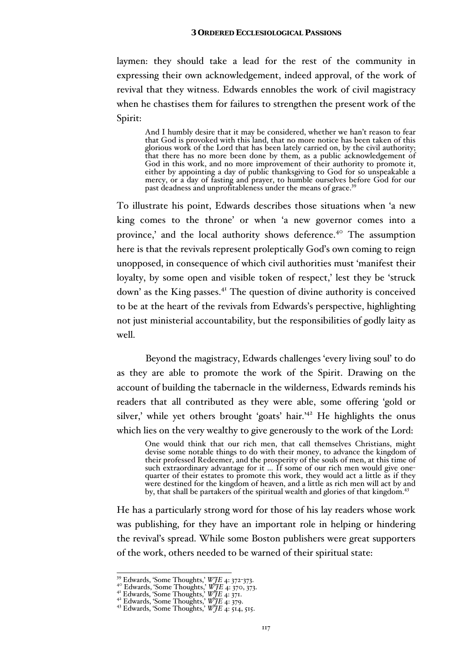laymen: they should take a lead for the rest of the community in expressing their own acknowledgement, indeed approval, of the work of revival that they witness. Edwards ennobles the work of civil magistracy when he chastises them for failures to strengthen the present work of the Spirit:

And I humbly desire that it may be considered, whether we han't reason to fear that God is provoked with this land, that no more notice has been taken of this glorious work of the Lord that has been lately carried on, by the civil authority; that there has no more been done by them, as a public acknowledgement of God in this work, and no more improvement of their authority to promote it, either by appointing a day of public thanksgiving to God for so unspeakable a mercy, or a day of fasting and prayer, to humble ourselves before God for our past deadness and unprofitableness under the means of grace.<sup>39</sup>

To illustrate his point, Edwards describes those situations when 'a new king comes to the throne' or when 'a new governor comes into a province,' and the local authority shows deference.<sup>40</sup> The assumption here is that the revivals represent proleptically God's own coming to reign unopposed, in consequence of which civil authorities must 'manifest their loyalty, by some open and visible token of respect,' lest they be 'struck down' as the King passes.41 The question of divine authority is conceived to be at the heart of the revivals from Edwards's perspective, highlighting not just ministerial accountability, but the responsibilities of godly laity as well.

Beyond the magistracy, Edwards challenges 'every living soul' to do as they are able to promote the work of the Spirit. Drawing on the account of building the tabernacle in the wilderness, Edwards reminds his readers that all contributed as they were able, some offering 'gold or silver,' while yet others brought 'goats' hair.<sup> $142$ </sup> He highlights the onus which lies on the very wealthy to give generously to the work of the Lord:

One would think that our rich men, that call themselves Christians, might devise some notable things to do with their money, to advance the kingdom of their professed Redeemer, and the prosperity of the souls of men, at this time of such extraordinary advantage for it … If some of our rich men would give onequarter of their estates to promote this work, they would act a little as if they were destined for the kingdom of heaven, and a little as rich men will act by and by, that shall be partakers of the spiritual wealth and glories of that kingdom.<sup>43</sup>

He has a particularly strong word for those of his lay readers whose work was publishing, for they have an important role in helping or hindering the revival's spread. While some Boston publishers were great supporters of the work, others needed to be warned of their spiritual state:

<sup>&</sup>lt;sup>39</sup> Edwards, 'Some Thoughts,' *WJE* 4: 372-373.<br><sup>40</sup> Edwards, 'Some Thoughts,' *WJE* 4: 370, 373.<br><sup>41</sup> Edwards, 'Some Thoughts,' *WJE* 4: 371.<br><sup>42</sup> Edwards, 'Some Thoughts,' *WJE* 4: 379.<br><sup>43</sup> Edwards, 'Some Thoughts,'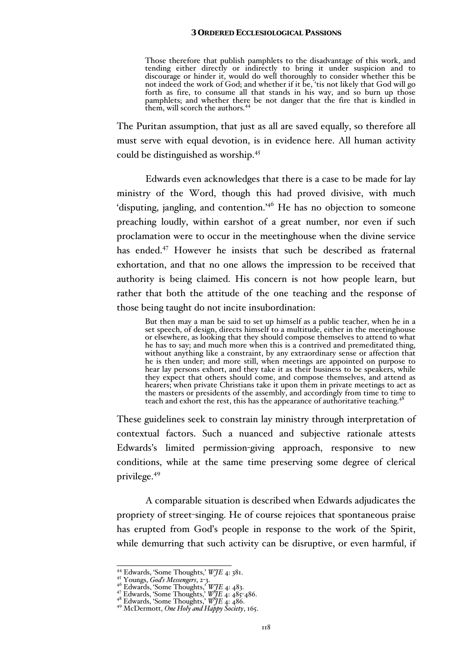Those therefore that publish pamphlets to the disadvantage of this work, and tending either directly or indirectly to bring it under suspicion and to discourage or hinder it, would do well thoroughly to consider whether this be not indeed the work of God; and whether if it be, 'tis not likely that God will go forth as fire, to consume all that stands in his way, and so burn up those pamphlets; and whether there be not danger that the fire that is kindled in them, will scorch the authors.<sup>44</sup>

The Puritan assumption, that just as all are saved equally, so therefore all must serve with equal devotion, is in evidence here. All human activity could be distinguished as worship.<sup>45</sup>

Edwards even acknowledges that there is a case to be made for lay ministry of the Word, though this had proved divisive, with much 'disputing, jangling, and contention.'46 He has no objection to someone preaching loudly, within earshot of a great number, nor even if such proclamation were to occur in the meetinghouse when the divine service has ended.<sup>47</sup> However he insists that such be described as fraternal exhortation, and that no one allows the impression to be received that authority is being claimed. His concern is not how people learn, but rather that both the attitude of the one teaching and the response of those being taught do not incite insubordination:

But then may a man be said to set up himself as a public teacher, when he in a set speech, of design, directs himself to a multitude, either in the meetinghouse or elsewhere, as looking that they should compose themselves to attend to what he has to say; and much more when this is a contrived and premeditated thing, without anything like a constraint, by any extraordinary sense or affection that he is then under; and more still, when meetings are appointed on purpose to hear lay persons exhort, and they take it as their business to be speakers, while they expect that others should come, and compose themselves, and attend as hearers; when private Christians take it upon them in private meetings to act as the masters or presidents of the assembly, and accordingly from time to time to teach and exhort the rest, this has the appearance of authoritative teaching.<sup>4</sup>

These guidelines seek to constrain lay ministry through interpretation of contextual factors. Such a nuanced and subjective rationale attests Edwards's limited permission-giving approach, responsive to new conditions, while at the same time preserving some degree of clerical privilege.<sup>49</sup>

A comparable situation is described when Edwards adjudicates the propriety of street-singing. He of course rejoices that spontaneous praise has erupted from God's people in response to the work of the Spirit, while demurring that such activity can be disruptive, or even harmful, if

<sup>&</sup>lt;sup>44</sup> Edwards, 'Some Thoughts,' *WJE* 4: 381.<br><sup>45</sup> Youngs, *God's Messengers*, 2-3.<br><sup>46</sup> Edwards, 'Some Thoughts,' *WJE* 4: 483.<br><sup>47</sup> Edwards, 'Some Thoughts,' *WJE* 4: 485-486.<br><sup>48</sup> Edwards, 'Some Thoughts,' *WJE* 4: 486.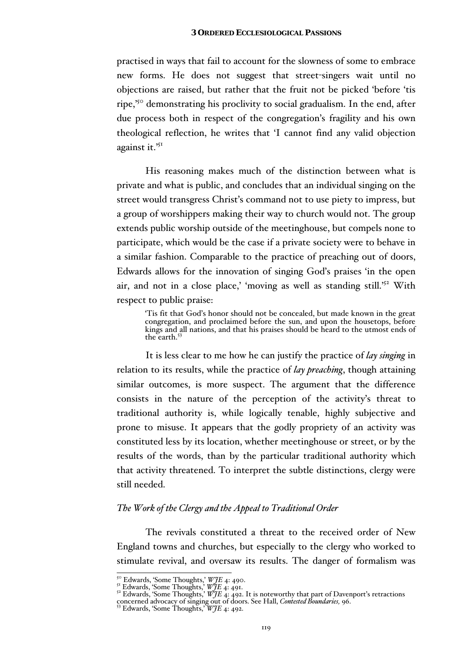practised in ways that fail to account for the slowness of some to embrace new forms. He does not suggest that street-singers wait until no objections are raised, but rather that the fruit not be picked 'before 'tis ripe,' 50 demonstrating his proclivity to social gradualism. In the end, after due process both in respect of the congregation's fragility and his own theological reflection, he writes that 'I cannot find any valid objection against it.<sup>'51</sup>

His reasoning makes much of the distinction between what is private and what is public, and concludes that an individual singing on the street would transgress Christ's command not to use piety to impress, but a group of worshippers making their way to church would not. The group extends public worship outside of the meetinghouse, but compels none to participate, which would be the case if a private society were to behave in a similar fashion. Comparable to the practice of preaching out of doors, Edwards allows for the innovation of singing God's praises 'in the open air, and not in a close place,' 'moving as well as standing still.'<sup>52</sup> With respect to public praise:

'Tis fit that God's honor should not be concealed, but made known in the great congregation, and proclaimed before the sun, and upon the housetops, before kings and all nations, and that his praises should be heard to the utmost ends of the earth.<sup>53</sup>

It is less clear to me how he can justify the practice of *lay singing* in relation to its results, while the practice of *lay preaching*, though attaining similar outcomes, is more suspect. The argument that the difference consists in the nature of the perception of the activity's threat to traditional authority is, while logically tenable, highly subjective and prone to misuse. It appears that the godly propriety of an activity was constituted less by its location, whether meetinghouse or street, or by the results of the words, than by the particular traditional authority which that activity threatened. To interpret the subtle distinctions, clergy were still needed.

# *The Work of the Clergy and the Appeal to Traditional Order*

The revivals constituted a threat to the received order of New England towns and churches, but especially to the clergy who worked to stimulate revival, and oversaw its results. The danger of formalism was

<sup>5&</sup>lt;sup>0</sup> Edwards, 'Some Thoughts,' *WJE* 4: 490.<br><sup>51</sup> Edwards, 'Some Thoughts,' *WJE* 4: 491.<br><sup>52</sup> Edwards, 'Some Thoughts,' *WJE* 4: 492. It is noteworthy that part of Davenport's retractions

concerned advocacy of singing out of doors. See Hall, *Contested Boundaries,* 96. <sup>53</sup> Edwards, 'Some Thoughts,' *WJE* 4: 492.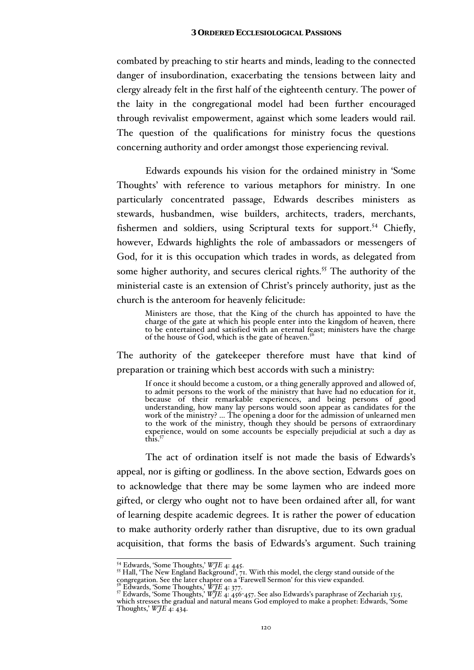combated by preaching to stir hearts and minds, leading to the connected danger of insubordination, exacerbating the tensions between laity and clergy already felt in the first half of the eighteenth century. The power of the laity in the congregational model had been further encouraged through revivalist empowerment, against which some leaders would rail. The question of the qualifications for ministry focus the questions concerning authority and order amongst those experiencing revival.

Edwards expounds his vision for the ordained ministry in 'Some Thoughts' with reference to various metaphors for ministry. In one particularly concentrated passage, Edwards describes ministers as stewards, husbandmen, wise builders, architects, traders, merchants, fishermen and soldiers, using Scriptural texts for support.<sup>54</sup> Chiefly, however, Edwards highlights the role of ambassadors or messengers of God, for it is this occupation which trades in words, as delegated from some higher authority, and secures clerical rights.<sup>55</sup> The authority of the ministerial caste is an extension of Christ's princely authority, just as the church is the anteroom for heavenly felicitude:

Ministers are those, that the King of the church has appointed to have the charge of the gate at which his people enter into the kingdom of heaven, there to be entertained and satisfied with an eternal feast; ministers have the charge of the house of God, which is the gate of heaven.<sup>56</sup>

The authority of the gatekeeper therefore must have that kind of preparation or training which best accords with such a ministry:

If once it should become a custom, or a thing generally approved and allowed of, to admit persons to the work of the ministry that have had no education for it, because of their remarkable experiences, and being persons of good understanding, how many lay persons would soon appear as candidates for the work of the ministry? … The opening a door for the admission of unlearned men to the work of the ministry, though they should be persons of extraordinary experience, would on some accounts be especially prejudicial at such a day as this<sup>5</sup>

The act of ordination itself is not made the basis of Edwards's appeal, nor is gifting or godliness. In the above section, Edwards goes on to acknowledge that there may be some laymen who are indeed more gifted, or clergy who ought not to have been ordained after all, for want of learning despite academic degrees. It is rather the power of education to make authority orderly rather than disruptive, due to its own gradual acquisition, that forms the basis of Edwards's argument. Such training

<sup>54</sup> Edwards, 'Some Thoughts,' *WJE* 4: 445.<br><sup>55</sup> Hall, 'The New England Background', 71. With this model, the clergy stand outside of the<br>congregation. See the later chapter on a 'Farewell Sermon' for this view expanded.

<sup>&</sup>lt;sup>56</sup> Edwards, 'Some Thoughts,' *WHE* 4: 377.<br><sup>57</sup> Edwards, 'Some Thoughts,' *WHE* 4: 456-457. See also Edwards's paraphrase of Zechariah 13:5, which stresses the gradual and natural means God employed to make a prophet: Edwards, 'Some Thoughts,' *WJE* 4: 434.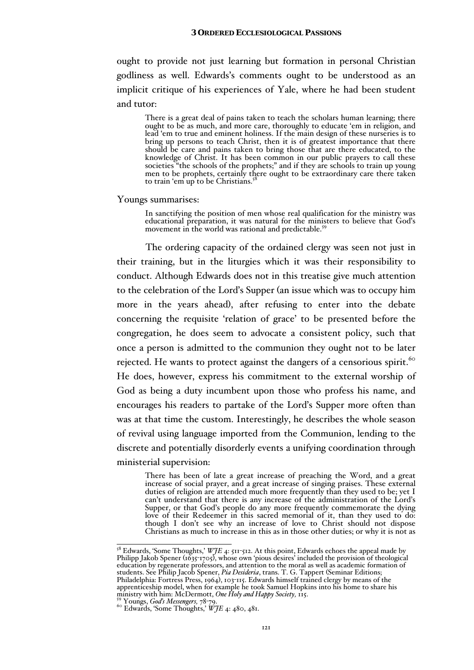ought to provide not just learning but formation in personal Christian godliness as well. Edwards's comments ought to be understood as an implicit critique of his experiences of Yale, where he had been student and tutor:

There is a great deal of pains taken to teach the scholars human learning; there ought to be as much, and more care, thoroughly to educate 'em in religion, and lead 'em to true and eminent holiness. If the main design of these nurseries is to bring up persons to teach Christ, then it is of greatest importance that there should be care and pains taken to bring those that are there educated, to the knowledge of Christ. It has been common in our public prayers to call these societies "the schools of the prophets;" and if they are schools to train up young men to be prophets, certainly there ought to be extraordinary care there taken to train 'em up to be Christians.<sup>58</sup>

#### Youngs summarises:

In sanctifying the position of men whose real qualification for the ministry was educational preparation, it was natural for the ministers to believe that God's movement in the world was rational and predictable.<sup>59</sup>

The ordering capacity of the ordained clergy was seen not just in their training, but in the liturgies which it was their responsibility to conduct. Although Edwards does not in this treatise give much attention to the celebration of the Lord's Supper (an issue which was to occupy him more in the years ahead), after refusing to enter into the debate concerning the requisite 'relation of grace' to be presented before the congregation, he does seem to advocate a consistent policy, such that once a person is admitted to the communion they ought not to be later rejected. He wants to protect against the dangers of a censorious spirit.<sup>60</sup> He does, however, express his commitment to the external worship of God as being a duty incumbent upon those who profess his name, and encourages his readers to partake of the Lord's Supper more often than was at that time the custom. Interestingly, he describes the whole season of revival using language imported from the Communion, lending to the discrete and potentially disorderly events a unifying coordination through ministerial supervision:

There has been of late a great increase of preaching the Word, and a great increase of social prayer, and a great increase of singing praises. These external duties of religion are attended much more frequently than they used to be; yet I can't understand that there is any increase of the administration of the Lord's Supper, or that God's people do any more frequently commemorate the dying love of their Redeemer in this sacred memorial of it, than they used to do: though I don't see why an increase of love to Christ should not dispose Christians as much to increase in this as in those other duties; or why it is not as

<sup>58</sup> Edwards, 'Some Thoughts,' *WJE* 4: 511-512. At this point, Edwards echoes the appeal made by Philipp Jakob Spener (1635-1705), whose own 'pious desires' included the provision of theological education by regenerate professors, and attention to the moral as well as academic formation of students. See Philip Jacob Spener, *Pia Desideria*, trans. T. G. Tappert (Seminar Editions; Philadelphia: Fortress Press, 1964), 103-115. Edwards himself trained clergy by means of the apprenticeship model, when for example he took Samuel Hopkins into his home to share his ministry with him: McDermott, *One Holy and Happy Society*, 115.<br><sup>59</sup> Youngs, *God's Messengers*, 78-79.<br><sup>60</sup> Edwards, 'Some Thoughts,' *WJE* 4: 480, 481.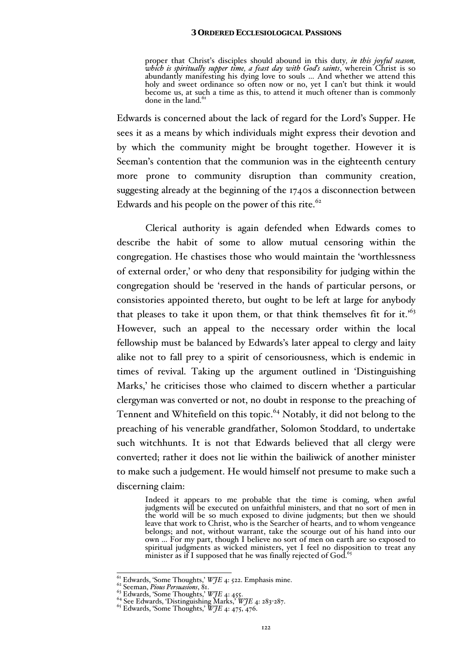proper that Christ's disciples should abound in this duty*, in this joyful season, which is spiritually supper time, a feast day with God's saints*, wherein Christ is so abundantly manifesting his dying love to souls … And whether we attend this holy and sweet ordinance so often now or no, yet I can't but think it would become us, at such a time as this, to attend it much oftener than is commonly done in the land.<sup>6</sup>

Edwards is concerned about the lack of regard for the Lord's Supper. He sees it as a means by which individuals might express their devotion and by which the community might be brought together. However it is Seeman's contention that the communion was in the eighteenth century more prone to community disruption than community creation, suggesting already at the beginning of the 1740s a disconnection between Edwards and his people on the power of this rite. $62$ 

Clerical authority is again defended when Edwards comes to describe the habit of some to allow mutual censoring within the congregation. He chastises those who would maintain the 'worthlessness of external order,' or who deny that responsibility for judging within the congregation should be 'reserved in the hands of particular persons, or consistories appointed thereto, but ought to be left at large for anybody that pleases to take it upon them, or that think themselves fit for it.<sup>'63</sup> However, such an appeal to the necessary order within the local fellowship must be balanced by Edwards's later appeal to clergy and laity alike not to fall prey to a spirit of censoriousness, which is endemic in times of revival. Taking up the argument outlined in 'Distinguishing Marks,' he criticises those who claimed to discern whether a particular clergyman was converted or not, no doubt in response to the preaching of Tennent and Whitefield on this topic.<sup>64</sup> Notably, it did not belong to the preaching of his venerable grandfather, Solomon Stoddard, to undertake such witchhunts. It is not that Edwards believed that all clergy were converted; rather it does not lie within the bailiwick of another minister to make such a judgement. He would himself not presume to make such a discerning claim:

Indeed it appears to me probable that the time is coming, when awful judgments will be executed on unfaithful ministers, and that no sort of men in the world will be so much exposed to divine judgments; but then we should leave that work to Christ, who is the Searcher of hearts, and to whom vengeance belongs; and not, without warrant, take the scourge out of his hand into our own … For my part, though I believe no sort of men on earth are so exposed to spiritual judgments as wicked ministers, yet I feel no disposition to treat any minister as if I supposed that he was finally rejected of God.<sup>65</sup>

<sup>61</sup> Edwards, 'Some Thoughts,' *WJE* 4: 522. Emphasis mine. <sup>62</sup> Seeman, *Pious Persuasions*, 81.

<sup>63</sup> Edwards, 'Some Thoughts,' *WJE* 4: 455. 64 See Edwards, 'Distinguishing Marks,' *WJE* 4: 283-287. <sup>65</sup> Edwards, 'Some Thoughts,' *WJE* 4: 475, 476.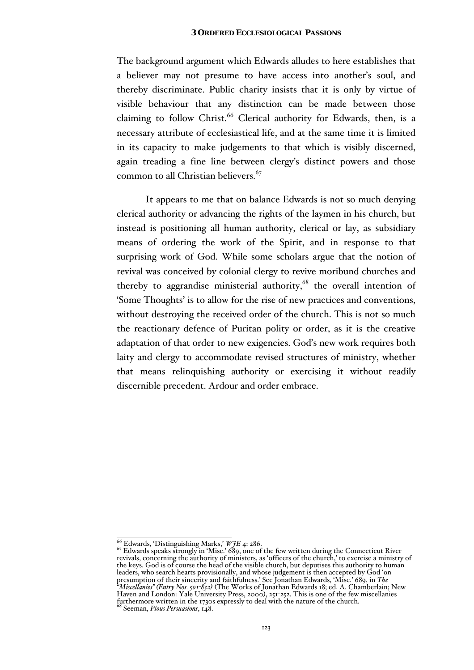The background argument which Edwards alludes to here establishes that a believer may not presume to have access into another's soul, and thereby discriminate. Public charity insists that it is only by virtue of visible behaviour that any distinction can be made between those claiming to follow Christ.<sup>66</sup> Clerical authority for Edwards, then, is a necessary attribute of ecclesiastical life, and at the same time it is limited in its capacity to make judgements to that which is visibly discerned, again treading a fine line between clergy's distinct powers and those common to all Christian believers.<sup>67</sup>

It appears to me that on balance Edwards is not so much denying clerical authority or advancing the rights of the laymen in his church, but instead is positioning all human authority, clerical or lay, as subsidiary means of ordering the work of the Spirit, and in response to that surprising work of God. While some scholars argue that the notion of revival was conceived by colonial clergy to revive moribund churches and thereby to aggrandise ministerial authority, $68$  the overall intention of 'Some Thoughts' is to allow for the rise of new practices and conventions, without destroying the received order of the church. This is not so much the reactionary defence of Puritan polity or order, as it is the creative adaptation of that order to new exigencies. God's new work requires both laity and clergy to accommodate revised structures of ministry, whether that means relinquishing authority or exercising it without readily discernible precedent. Ardour and order embrace.

<sup>&</sup>lt;sup>66</sup> Edwards, 'Distinguishing Marks,' *WJE* 4: 286.<br><sup>67</sup> Edwards speaks strongly in 'Misc.' 689, one of the few written during the Connecticut River revivals, concerning the authority of ministers, as 'officers of the church,' to exercise a ministry of the keys. God is of course the head of the visible church, but deputises this authority to human leaders, who search hearts provisionally, and whose judgement is then accepted by God 'on presumption of their sincerity and faithfulness.' See Jonathan Edwards, 'Misc.' 689, in *The "Miscellanies" (Entry Nos. 501-832)* (The Works of Jonathan Edwards 18; ed. A. Chamberlain; New Haven and London: Yale University Press, 2000), 251-252. This is one of the few miscellanies furthermore written in the 1730s expressly to deal with the nature of the church. <sup>68</sup> Seeman, *Pious Persuasions*, 148.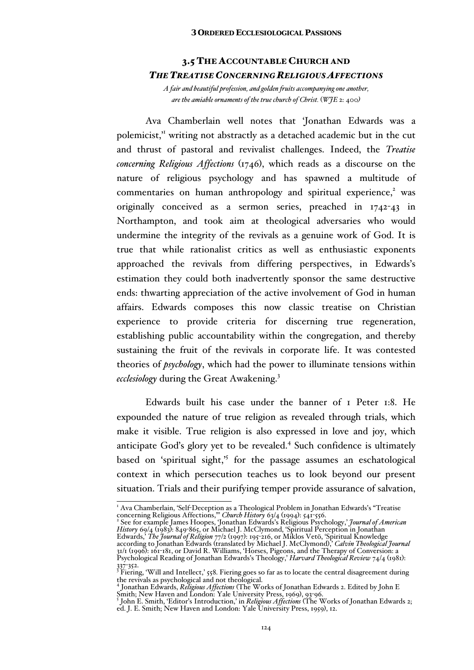# 3.5 THE ACCOUNTABLE CHURCH AND *THE TREATISE CONCERNING RELIGIOUS AFFECTIONS*

*A fair and beautiful profession, and golden fruits accompanying one another, are the amiable ornaments of the true church of Christ.* (*WJE* 2: 400*)*

Ava Chamberlain well notes that 'Jonathan Edwards was a polemicist,'1 writing not abstractly as a detached academic but in the cut and thrust of pastoral and revivalist challenges. Indeed, the *Treatise concerning Religious Affections* (1746), which reads as a discourse on the nature of religious psychology and has spawned a multitude of commentaries on human anthropology and spiritual experience,<sup>2</sup> was originally conceived as a sermon series, preached in 1742-43 in Northampton, and took aim at theological adversaries who would undermine the integrity of the revivals as a genuine work of God. It is true that while rationalist critics as well as enthusiastic exponents approached the revivals from differing perspectives, in Edwards's estimation they could both inadvertently sponsor the same destructive ends: thwarting appreciation of the active involvement of God in human affairs. Edwards composes this now classic treatise on Christian experience to provide criteria for discerning true regeneration, establishing public accountability within the congregation, and thereby sustaining the fruit of the revivals in corporate life. It was contested theories of *psychology*, which had the power to illuminate tensions within *ecclesiology* during the Great Awakening.3

Edwards built his case under the banner of 1 Peter 1:8. He expounded the nature of true religion as revealed through trials, which make it visible. True religion is also expressed in love and joy, which anticipate God's glory yet to be revealed.<sup>4</sup> Such confidence is ultimately based on 'spiritual sight," for the passage assumes an eschatological context in which persecution teaches us to look beyond our present situation. Trials and their purifying temper provide assurance of salvation,

<sup>&</sup>lt;sup>1</sup> Ava Chamberlain, 'Self-Deception as a Theological Problem in Jonathan Edwards's "Treatise concerning Religious Affections,"' *Church History* 63/4 (1994): 541-556. <sup>2</sup> See for example James Hoopes, 'Jonathan Edwards's Religious Psychology,' *Journal of American* 

*History* 69/4 (1983): 849-865, or Michael J. McClymond, 'Spiritual Perception in Jonathan Edwards,' *The Journal of Religion* 77/2 (1997): 195-216, or Miklos Vetö, 'Spiritual Knowledge according to Jonathan Edwards (translated by Michael J. McClymond),' *Calvin Theological Journal* 31/1 (1996): 161-181, or David R. Williams, 'Horses, Pigeons, and the Therapy of Conversion: a<br>Psychological Reading of Jonathan Edwards's Theology,' *Harvard Theological Review* 74/4 (1981):

Psychological Reading of Jonathan Edwards's Theology,' *Harvard Theological Review* 74/4 (1981):<br>337-352.<br><sup>3</sup> Fiering, 'Will and Intellect,' 558. Fiering goes so far as to locate the central disagreement during<br>the revival

<sup>4</sup> Jonathan Edwards, *Religious Affections* (The Works of Jonathan Edwards 2. Edited by John E Smith; New Haven and London: Yale University Press, 1969), 93-96.<br><sup>5</sup> John E. Smith, 'Editor's Introduction,' in *Religious Affections* (The Works of Jonathan Edwards 2;

ed. J. E. Smith; New Haven and London: Yale University Press, 1959), 12.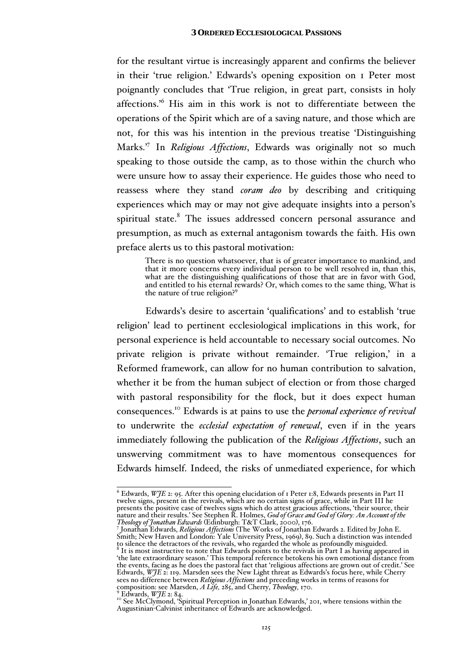for the resultant virtue is increasingly apparent and confirms the believer in their 'true religion.' Edwards's opening exposition on 1 Peter most poignantly concludes that 'True religion, in great part, consists in holy affections.<sup>,6</sup> His aim in this work is not to differentiate between the operations of the Spirit which are of a saving nature, and those which are not, for this was his intention in the previous treatise 'Distinguishing Marks.' 7 In *Religious Affections*, Edwards was originally not so much speaking to those outside the camp, as to those within the church who were unsure how to assay their experience. He guides those who need to reassess where they stand *coram deo* by describing and critiquing experiences which may or may not give adequate insights into a person's spiritual state.<sup>8</sup> The issues addressed concern personal assurance and presumption, as much as external antagonism towards the faith. His own preface alerts us to this pastoral motivation:

There is no question whatsoever, that is of greater importance to mankind, and that it more concerns every individual person to be well resolved in, than this, what are the distinguishing qualifications of those that are in favor with God, and entitled to his eternal rewards? Or, which comes to the same thing, What is the nature of true religion?<sup>9</sup>

Edwards's desire to ascertain 'qualifications' and to establish 'true religion' lead to pertinent ecclesiological implications in this work, for personal experience is held accountable to necessary social outcomes. No private religion is private without remainder. 'True religion,' in a Reformed framework, can allow for no human contribution to salvation, whether it be from the human subject of election or from those charged with pastoral responsibility for the flock, but it does expect human consequences.10 Edwards is at pains to use the *personal experience of revival* to underwrite the *ecclesial expectation of renewal*, even if in the years immediately following the publication of the *Religious Affections*, such an unswerving commitment was to have momentous consequences for Edwards himself. Indeed, the risks of unmediated experience, for which

<sup>6</sup> Edwards, *WJE* 2: 95. After this opening elucidation of 1 Peter 1:8, Edwards presents in Part II twelve signs, present in the revivals, which are no certain signs of grace, while in Part III he presents the positive case of twelves signs which do attest gracious affections, 'their source, their nature and their results.' See Stephen R. Holmes, *God of Grace and God of Glory: An Account of the* 

*Theology of Jonathan Edwards (*Edinburgh: T&T Clark, 2000), 176.<br><sup>7</sup> Jonathan Edwards, *Religious Affections (*The Works of Jonathan Edwards 2. Edited by John E. Smith; New Haven and London: Yale University Press, 1969), 89. Such a distinction was intended to silence the detractors of the revivals, who regarded the whole as profoundly misguided.<br> $8\text{ It is most interesting to note that Edwards points to the variable in Part I as having a range of the system.}$ 

It is most instructive to note that Edwards points to the revivals in Part I as having appeared in 'the late extraordinary season.' This temporal reference betokens his own emotional distance from the events, facing as he does the pastoral fact that 'religious affections are grown out of credit.' See<br>Edwards, *WJE* 2: 119. Marsden sees the New Light threat as Edwards's focus here, while Cherry<br>sees no difference bet composition: see Marsden, *A Life*, 285, and Cherry, *Theology*, 170.<br><sup>9</sup> Edwards, *WTE* a. 84

<sup>&</sup>lt;sup>9</sup> Edwards, *WJE* 2: 84.<br><sup>10</sup> See McClymond, 'Spiritual Perception in Jonathan Edwards,' 201, where tensions within the Augustinian-Calvinist inheritance of Edwards are acknowledged.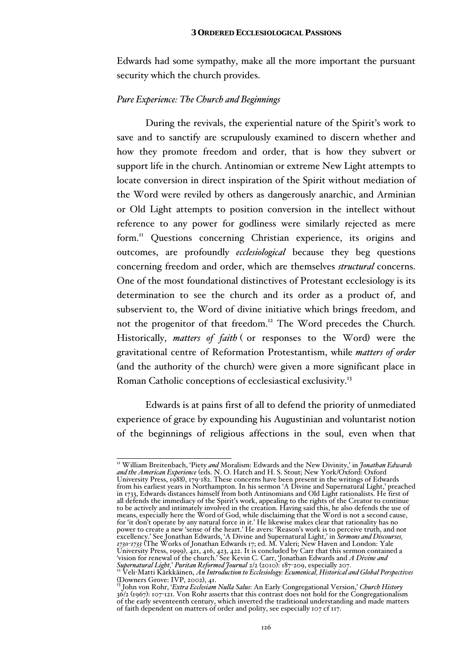Edwards had some sympathy, make all the more important the pursuant security which the church provides.

# *Pure Experience: The Church and Beginnings*

During the revivals, the experiential nature of the Spirit's work to save and to sanctify are scrupulously examined to discern whether and how they promote freedom and order, that is how they subvert or support life in the church. Antinomian or extreme New Light attempts to locate conversion in direct inspiration of the Spirit without mediation of the Word were reviled by others as dangerously anarchic, and Arminian or Old Light attempts to position conversion in the intellect without reference to any power for godliness were similarly rejected as mere form.11 Questions concerning Christian experience, its origins and outcomes, are profoundly *ecclesiological* because they beg questions concerning freedom and order, which are themselves *structural* concerns. One of the most foundational distinctives of Protestant ecclesiology is its determination to see the church and its order as a product of, and subservient to, the Word of divine initiative which brings freedom, and not the progenitor of that freedom.<sup>12</sup> The Word precedes the Church. Historically, *matters of faith* ( or responses to the Word) were the gravitational centre of Reformation Protestantism, while *matters of order* (and the authority of the church) were given a more significant place in Roman Catholic conceptions of ecclesiastical exclusivity.<sup>13</sup>

Edwards is at pains first of all to defend the priority of unmediated experience of grace by expounding his Augustinian and voluntarist notion of the beginnings of religious affections in the soul, even when that

<sup>11</sup> William Breitenbach, 'Piety *and* Moralism: Edwards and the New Divinity,' in *Jonathan Edwards and the American Experience* (eds. N. O. Hatch and H. S. Stout; New York/Oxford: Oxford University Press, 1988), 179-182. These concerns have been present in the writings of Edwards from his earliest years in Northampton. In his sermon 'A Divine and Supernatural Light,' preached in 1733, Edwards distances himself from both Antinomians and Old Light rationalists. He first of all defends the immediacy of the Spirit's work, appealing to the rights of the Creator to continue to be actively and intimately involved in the creation. Having said this, he also defends the use of means, especially here the Word of God, while disclaiming that the Word is not a second cause, for 'it don't operate by any natural force in it.' He likewise makes clear that rationality has no power to create a new 'sense of the heart.' He avers: 'Reason's work is to perceive truth, and not excellency.' See Jonathan Edwards, 'A Divine and Supernatural Light,' in *Sermons and Discourses, 1730-1733* (The Works of Jonathan Edwards 17; ed. M. Valeri; New Haven and London: Yale University Press, 1999), 421, 416, 423, 422. It is concluded by Carr that this sermon contained a 'vision for renewal of the church.' See Kevin C. Carr, 'Jonathan Edwards and *A Divine and* 

Supernatural Light,' Puritan Reformed Journal 2/2 (2010): 187-209, especially 207.<br><sup>12</sup> Veli-Matti Kärkkäinen, *An Introduction to Ecclesiology: Ecumenical, Historical and Global Perspectives*<br>(Downers Grove: IVP, 2002), 4

<sup>36/2</sup> (1967): 107-121. Von Rohr asserts that this contrast does not hold for the Congregationalism of the early seventeenth century, which inverted the traditional understanding and made matters of faith dependent on matters of order and polity, see especially 107 cf 117.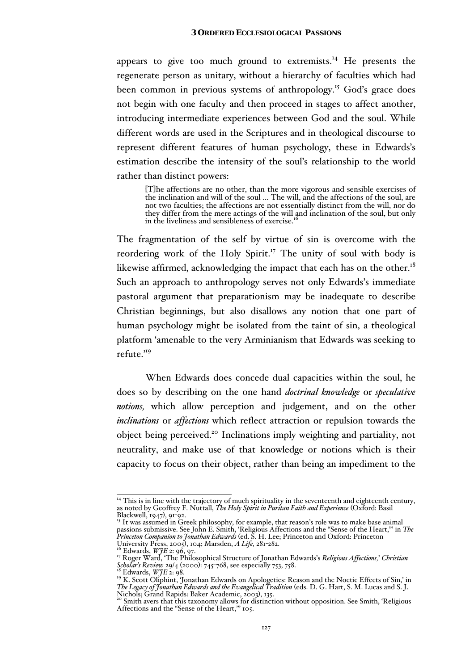appears to give too much ground to extremists.<sup>14</sup> He presents the regenerate person as unitary, without a hierarchy of faculties which had been common in previous systems of anthropology.<sup>15</sup> God's grace does not begin with one faculty and then proceed in stages to affect another, introducing intermediate experiences between God and the soul. While different words are used in the Scriptures and in theological discourse to represent different features of human psychology, these in Edwards's estimation describe the intensity of the soul's relationship to the world rather than distinct powers:

[T]he affections are no other, than the more vigorous and sensible exercises of the inclination and will of the soul … The will, and the affections of the soul, are not two faculties; the affections are not essentially distinct from the will, nor do they differ from the mere actings of the will and inclination of the soul, but only in the liveliness and sensibleness of exercise.<sup>16</sup>

The fragmentation of the self by virtue of sin is overcome with the reordering work of the Holy Spirit.<sup>17</sup> The unity of soul with body is likewise affirmed, acknowledging the impact that each has on the other.<sup>18</sup> Such an approach to anthropology serves not only Edwards's immediate pastoral argument that preparationism may be inadequate to describe Christian beginnings, but also disallows any notion that one part of human psychology might be isolated from the taint of sin, a theological platform 'amenable to the very Arminianism that Edwards was seeking to refute<sup>,19</sup>

When Edwards does concede dual capacities within the soul, he does so by describing on the one hand *doctrinal knowledge* or *speculative notions,* which allow perception and judgement, and on the other *inclinations* or *affections* which reflect attraction or repulsion towards the object being perceived.<sup>20</sup> Inclinations imply weighting and partiality, not neutrality, and make use of that knowledge or notions which is their capacity to focus on their object, rather than being an impediment to the

 $\frac{1}{14}$  This is in line with the trajectory of much spirituality in the seventeenth and eighteenth century, as noted by Geoffrey F. Nuttall, *The Holy Spirit in Puritan Faith and Experience* (Oxford: Basil

Blackwell, 1947), 91-92.<br><sup>15</sup> It was assumed in Greek philosophy, for example, that reason's role was to make base animal passions submissive. See John E. Smith, 'Religious Affections and the "Sense of the Heart,"' in *The Princeton Companion to Jonathan Edwards* (ed. S. H. Lee; Princeton and Oxford: Princeton

University Press, 2005), 104; Marsden, *A Life,* 281-282.<br><sup>16</sup> Edwards, *WJE* 2: 96, 97.<br><sup>17</sup> Roger Ward, 'The Philosophical Structure of Jonathan Edwards's *Religious Affections,' Christian Scholar's Review 2*9/4 (2000): 745-768, see especially 753, 758.<br><sup>18</sup> Edwards, *WJE 2*: 98.<br><sup>19</sup> K. Scott Oliphint, 'Jonathan Edwards on Apologetics: Reason and the Noetic Effects of Sin,' in

*The Legacy of Jonathan Edwards and the Evangelical Tradition* (eds. D. G. Hart, S. M. Lucas and S. J. Nichols; Grand Rapids: Baker Academic, 2003), 135.<br><sup>20</sup> Smith avers that this taxonomy allows for distinction without opposition. See Smith, 'Religious

Affections and the "Sense of the Heart,"' 105.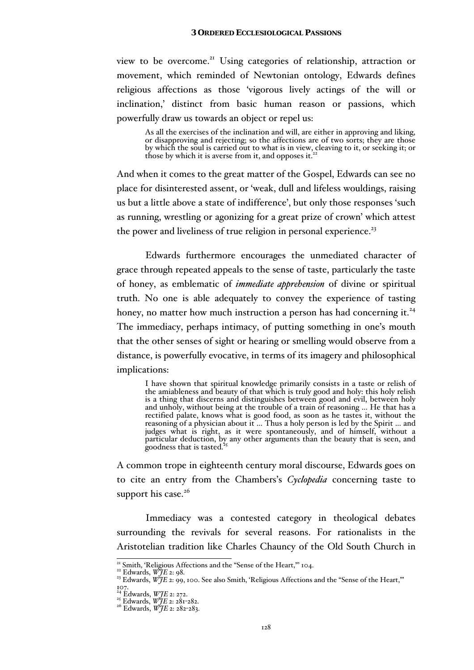view to be overcome.<sup>21</sup> Using categories of relationship, attraction or movement, which reminded of Newtonian ontology, Edwards defines religious affections as those 'vigorous lively actings of the will or inclination,' distinct from basic human reason or passions, which powerfully draw us towards an object or repel us:

As all the exercises of the inclination and will, are either in approving and liking, or disapproving and rejecting; so the affections are of two sorts; they are those by which the soul is carried out to what is in view, cleaving to it, or seeking it; or those by which it is averse from it, and opposes it.<sup>22</sup>

And when it comes to the great matter of the Gospel, Edwards can see no place for disinterested assent, or 'weak, dull and lifeless wouldings, raising us but a little above a state of indifference', but only those responses 'such as running, wrestling or agonizing for a great prize of crown' which attest the power and liveliness of true religion in personal experience.<sup>23</sup>

Edwards furthermore encourages the unmediated character of grace through repeated appeals to the sense of taste, particularly the taste of honey, as emblematic of *immediate apprehension* of divine or spiritual truth. No one is able adequately to convey the experience of tasting honey, no matter how much instruction a person has had concerning it. $^{24}$ The immediacy, perhaps intimacy, of putting something in one's mouth that the other senses of sight or hearing or smelling would observe from a distance, is powerfully evocative, in terms of its imagery and philosophical implications:

I have shown that spiritual knowledge primarily consists in a taste or relish of the amiableness and beauty of that which is truly good and holy: this holy relish is a thing that discerns and distinguishes between good and evil, between holy and unholy, without being at the trouble of a train of reasoning … He that has a rectified palate, knows what is good food, as soon as he tastes it, without the reasoning of a physician about it … Thus a holy person is led by the Spirit … and judges what is right, as it were spontaneously, and of himself, without a particular deduction, by any other arguments than the beauty that is seen, and goodness that is tasted. $25$ 

A common trope in eighteenth century moral discourse, Edwards goes on to cite an entry from the Chambers's *Cyclopedia* concerning taste to support his case. $26$ 

Immediacy was a contested category in theological debates surrounding the revivals for several reasons. For rationalists in the Aristotelian tradition like Charles Chauncy of the Old South Church in

<sup>&</sup>lt;sup>21</sup> Smith, 'Religious Affections and the "Sense of the Heart,"' 104.<br><sup>22</sup> Edwards, *WJE* 2: 98.<br><sup>23</sup> Edwards, *WJE* 2: 99, 100. See also Smith, 'Religious Affections and the "Sense of the Heart,"'

<sup>107.&</sup>lt;br><sup>24</sup> Edwards, *WJE* 2: 272.<br><sup>25</sup> Edwards, *WJE* 2: 281-282.<br><sup>26</sup> Edwards, *WJE* 2: 282-283.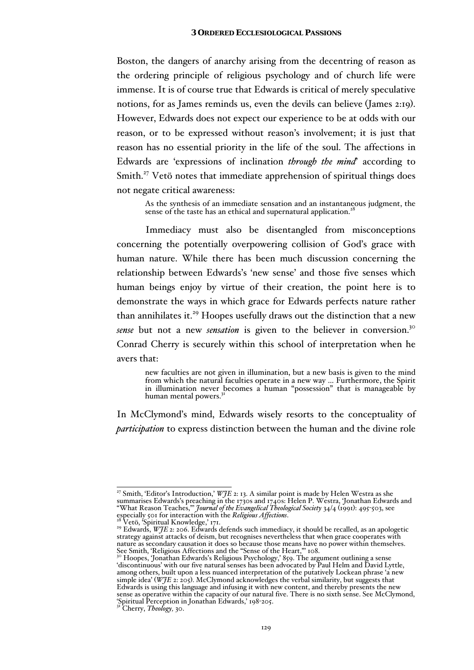Boston, the dangers of anarchy arising from the decentring of reason as the ordering principle of religious psychology and of church life were immense. It is of course true that Edwards is critical of merely speculative notions, for as James reminds us, even the devils can believe (James 2:19). However, Edwards does not expect our experience to be at odds with our reason, or to be expressed without reason's involvement; it is just that reason has no essential priority in the life of the soul. The affections in Edwards are 'expressions of inclination *through the mind*' according to Smith.<sup>27</sup> Vetö notes that immediate apprehension of spiritual things does not negate critical awareness:

As the synthesis of an immediate sensation and an instantaneous judgment, the sense of the taste has an ethical and supernatural application.<sup>2</sup>

Immediacy must also be disentangled from misconceptions concerning the potentially overpowering collision of God's grace with human nature. While there has been much discussion concerning the relationship between Edwards's 'new sense' and those five senses which human beings enjoy by virtue of their creation, the point here is to demonstrate the ways in which grace for Edwards perfects nature rather than annihilates it.<sup>29</sup> Hoopes usefully draws out the distinction that a new *sense* but not a new *sensation* is given to the believer in conversion.<sup>30</sup> Conrad Cherry is securely within this school of interpretation when he avers that:

new faculties are not given in illumination, but a new basis is given to the mind from which the natural faculties operate in a new way … Furthermore, the Spirit in illumination never becomes a human "possession" that is manageable by<br>human mental powers.<sup>31</sup>

In McClymond's mind, Edwards wisely resorts to the conceptuality of *participation* to express distinction between the human and the divine role

<sup>&</sup>lt;sup>27</sup> Smith, 'Editor's Introduction,' *WHE* 2: 13. A similar point is made by Helen Westra as she summarises Edwards's preaching in the 1730s and 1740s: Helen P. Westra, 'Jonathan Edwards and "What Reason Teaches,"' *Journal of the Evangelical Theological Society* 34/4 (1991): 495-503, see

especially 501 for interaction with the *Religious Affections.*<br><sup>28</sup> Vetö, 'Spiritual Knowledge,' 171.<br><sup>29</sup> Edwards, *WJE* 2: 206. Edwards defends such immediacy, it should be recalled, as an apologetic strategy against attacks of deism, but recognises nevertheless that when grace cooperates with nature as secondary causation it does so because those means have no power within themselves.

See Smith, 'Religious Affections and the "Sense of the Heart," 108.<br>
See Smith, 'Religious Affections and the "Sense of the Heart," 108.<br>
<sup>30</sup> Hoopes, 'Jonathan Edwards's Religious Psychology,' 859. The argument outlining among others, built upon a less nuanced interpretation of the putatively Lockean phrase 'a new simple idea' (*WJE* 2: 205). McClymond acknowledges the verbal similarity, but suggests that Edwards is using this language and infusing it with new content, and thereby presents the new sense as operative within the capacity of our natural five. There is no sixth sense. See McClymond, 'Spiritual Perception in Jonathan Edwards,' <sup>198</sup>-205. <sup>31</sup> Cherry, *Theology,* 30.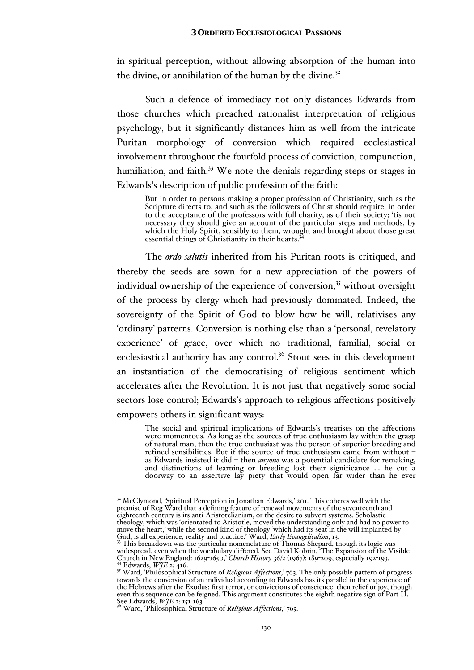in spiritual perception, without allowing absorption of the human into the divine, or annihilation of the human by the divine. $32$ 

Such a defence of immediacy not only distances Edwards from those churches which preached rationalist interpretation of religious psychology, but it significantly distances him as well from the intricate Puritan morphology of conversion which required ecclesiastical involvement throughout the fourfold process of conviction, compunction, humiliation, and faith.<sup>33</sup> We note the denials regarding steps or stages in Edwards's description of public profession of the faith:

But in order to persons making a proper profession of Christianity, such as the Scripture directs to, and such as the followers of Christ should require, in order to the acceptance of the professors with full charity, as of their society; 'tis not necessary they should give an account of the particular steps and methods, by which the Holy Spirit, sensibly to them, wrought and brought about those great essential things of Christianity in their hearts.<sup>3</sup>

The *ordo salutis* inherited from his Puritan roots is critiqued, and thereby the seeds are sown for a new appreciation of the powers of individual ownership of the experience of conversion, $35$  without oversight of the process by clergy which had previously dominated. Indeed, the sovereignty of the Spirit of God to blow how he will, relativises any 'ordinary' patterns. Conversion is nothing else than a 'personal, revelatory experience' of grace, over which no traditional, familial, social or ecclesiastical authority has any control. $3^6$  Stout sees in this development an instantiation of the democratising of religious sentiment which accelerates after the Revolution. It is not just that negatively some social sectors lose control; Edwards's approach to religious affections positively empowers others in significant ways:

The social and spiritual implications of Edwards's treatises on the affections were momentous. As long as the sources of true enthusiasm lay within the grasp of natural man, then the true enthusiast was the person of superior breeding and refined sensibilities. But if the source of true enthusiasm came from without – as Edwards insisted it did – then *anyone* was a potential candidate for remaking, and distinctions of learning or breeding lost their significance … he cut a doorway to an assertive lay piety that would open far wider than he ever

<sup>32</sup> McClymond, 'Spiritual Perception in Jonathan Edwards,' 201. This coheres well with the premise of Reg Ward that a defining feature of renewal movements of the seventeenth and eighteenth century is its anti-Aristotelianism, or the desire to subvert systems. Scholastic theology, which was 'orientated to Aristotle, moved the understanding only and had no power to move the heart,' while the second kind of theology 'which had its seat in the will implanted by God, is all experience, reality and practice.' Ward, *Early Evangelicalism,* 13.<br><sup>33</sup> This breakdown was the particular nomenclature of Thomas Shepard, though its logic was

widespread, even when the vocabulary differed. See David Kobrin, 'The Expansion of the Visible Church in New England: 1629-1650,' *Church History* 36/2 (1967): 189-209, especially 192-193.<br><sup>34</sup> Edwards, *WJE* 2: 416.<br><sup>35</sup> Ward, 'Philosophical Structure of *Religious Affections*,' 763. The only possible pattern of pr

the Hebrews after the Exodus: first terror, or convictions of conscience, then relief or joy, though even this sequence can be feigned. This argument constitutes the eighth negative sign of Part II. See Edwards, *WJE* 2: 151-163. <sup>36</sup> Ward, 'Philosophical Structure of *Religious Affections*,' 765.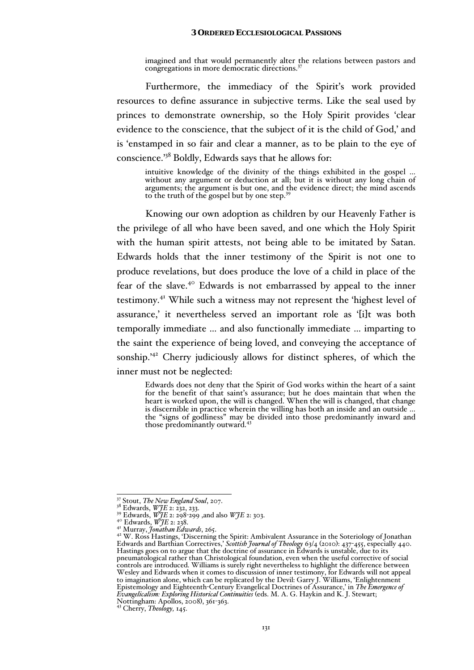imagined and that would permanently alter the relations between pastors and congregations in more democratic directions.<sup>37</sup>

Furthermore, the immediacy of the Spirit's work provided resources to define assurance in subjective terms. Like the seal used by princes to demonstrate ownership, so the Holy Spirit provides 'clear evidence to the conscience, that the subject of it is the child of God,' and is 'enstamped in so fair and clear a manner, as to be plain to the eye of conscience.'38 Boldly, Edwards says that he allows for:

intuitive knowledge of the divinity of the things exhibited in the gospel … without any argument or deduction at all; but it is without any long chain of arguments; the argument is but one, and the evidence direct; the mind ascends to the truth of the gospel but by one step.<sup>39</sup>

Knowing our own adoption as children by our Heavenly Father is the privilege of all who have been saved, and one which the Holy Spirit with the human spirit attests, not being able to be imitated by Satan. Edwards holds that the inner testimony of the Spirit is not one to produce revelations, but does produce the love of a child in place of the fear of the slave.40 Edwards is not embarrassed by appeal to the inner testimony.41 While such a witness may not represent the 'highest level of assurance,' it nevertheless served an important role as '[i]t was both temporally immediate … and also functionally immediate … imparting to the saint the experience of being loved, and conveying the acceptance of sonship.'42 Cherry judiciously allows for distinct spheres, of which the inner must not be neglected:

Edwards does not deny that the Spirit of God works within the heart of a saint for the benefit of that saint's assurance; but he does maintain that when the heart is worked upon, the will is changed. When the will is changed, that change is discernible in practice wherein the willing has both an inside and an outside … the "signs of godliness" may be divided into those predominantly inward and those predominantly outward.<sup>43</sup>

<sup>&</sup>lt;sup>37</sup> Stout, *The New England Soul*, 207.<br><sup>38</sup> Edwards, *WJE* 2: 232, 233.<br><sup>39</sup> Edwards, *WJE* 2: 298-299 ,and also *WJE* 2: 303.<br><sup>40</sup> Edwards, *WJE* 2: 238.<br><sup>41</sup> Murray, *Jonathan Edwards*, 265.

Edwards and Barthian Correctives,' *Scottish Journal of Theology* 63/4 (2010): 437-455, especially 440. Hastings goes on to argue that the doctrine of assurance in Edwards is unstable, due to its pneumatological rather than Christological foundation, even when the useful corrective of social controls are introduced. Williams is surely right nevertheless to highlight the difference between Wesley and Edwards when it comes to discussion of inner testimony, for Edwards will not appeal to imagination alone, which can be replicated by the Devil: Garry J. Williams, 'Enlightenment Epistemology and Eighteenth-Century Evangelical Doctrines of Assurance,' in *The Emergence of Evangelicalism: Exploring Historical Continuities* (eds. M. A. G. Haykin and K. J. Stewart; Nottingham: Apollos, 2008), 361-363. <sup>43</sup> Cherry, *Theology,* 145.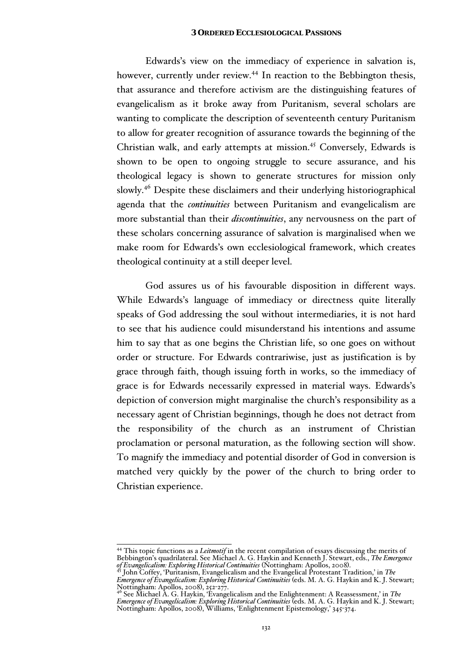Edwards's view on the immediacy of experience in salvation is, however, currently under review.<sup>44</sup> In reaction to the Bebbington thesis, that assurance and therefore activism are the distinguishing features of evangelicalism as it broke away from Puritanism, several scholars are wanting to complicate the description of seventeenth century Puritanism to allow for greater recognition of assurance towards the beginning of the Christian walk, and early attempts at mission.<sup>45</sup> Conversely, Edwards is shown to be open to ongoing struggle to secure assurance, and his theological legacy is shown to generate structures for mission only slowly.46 Despite these disclaimers and their underlying historiographical agenda that the *continuities* between Puritanism and evangelicalism are more substantial than their *discontinuities*, any nervousness on the part of these scholars concerning assurance of salvation is marginalised when we make room for Edwards's own ecclesiological framework, which creates theological continuity at a still deeper level.

God assures us of his favourable disposition in different ways. While Edwards's language of immediacy or directness quite literally speaks of God addressing the soul without intermediaries, it is not hard to see that his audience could misunderstand his intentions and assume him to say that as one begins the Christian life, so one goes on without order or structure. For Edwards contrariwise, just as justification is by grace through faith, though issuing forth in works, so the immediacy of grace is for Edwards necessarily expressed in material ways. Edwards's depiction of conversion might marginalise the church's responsibility as a necessary agent of Christian beginnings, though he does not detract from the responsibility of the church as an instrument of Christian proclamation or personal maturation, as the following section will show. To magnify the immediacy and potential disorder of God in conversion is matched very quickly by the power of the church to bring order to Christian experience.

44 This topic functions as a *Leitmotif* in the recent compilation of essays discussing the merits of Bebbington's quadrilateral. See Michael A. G. Haykin and Kenneth J. Stewart, eds., *The Emergence<br>of Ev<i>angelicalism: Exploring Historical Continuities* (Nottingham: Apollos, 2008).<br><sup>45</sup> John Coffey, 'Puritanism, Evangelic

*Emergence of Evangelicalism: Exploring Historical Continuities* (eds. M. A. G. Haykin and K. J. Stewart; Nottingham: Apollos, 2008), 252-277.<br><sup>46</sup> See Michael A. G. Haykin, 'Evangelicalism and the Enlightenment: A Reassessment,' in *The* 

*Emergence of Evangelicalism: Exploring Historical Continuities* (eds. M. A. G. Haykin and K. J. Stewart; Nottingham: Apollos, 2008), Williams, 'Enlightenment Epistemology,' 345-374.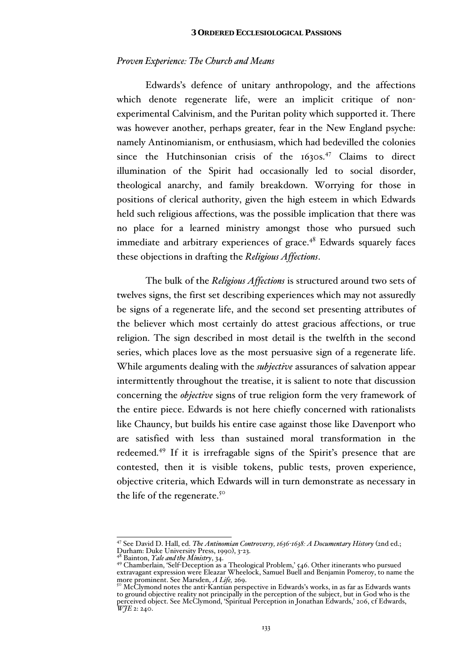### *Proven Experience: The Church and Means*

Edwards's defence of unitary anthropology, and the affections which denote regenerate life, were an implicit critique of nonexperimental Calvinism, and the Puritan polity which supported it. There was however another, perhaps greater, fear in the New England psyche: namely Antinomianism, or enthusiasm, which had bedevilled the colonies since the Hutchinsonian crisis of the  $1630s.^{47}$  Claims to direct illumination of the Spirit had occasionally led to social disorder, theological anarchy, and family breakdown. Worrying for those in positions of clerical authority, given the high esteem in which Edwards held such religious affections, was the possible implication that there was no place for a learned ministry amongst those who pursued such immediate and arbitrary experiences of grace. $48$  Edwards squarely faces these objections in drafting the *Religious Affections*.

The bulk of the *Religious Affections* is structured around two sets of twelves signs, the first set describing experiences which may not assuredly be signs of a regenerate life, and the second set presenting attributes of the believer which most certainly do attest gracious affections, or true religion. The sign described in most detail is the twelfth in the second series, which places love as the most persuasive sign of a regenerate life. While arguments dealing with the *subjective* assurances of salvation appear intermittently throughout the treatise, it is salient to note that discussion concerning the *objective* signs of true religion form the very framework of the entire piece. Edwards is not here chiefly concerned with rationalists like Chauncy, but builds his entire case against those like Davenport who are satisfied with less than sustained moral transformation in the redeemed.49 If it is irrefragable signs of the Spirit's presence that are contested, then it is visible tokens, public tests, proven experience, objective criteria, which Edwards will in turn demonstrate as necessary in the life of the regenerate.<sup>50</sup>

47 See David D. Hall, ed. *The Antinomian Controversy, 1636-1638: A Documentary History* (2nd ed.; Durham: Duke University Press, 1990), 3-23.<br><sup>48</sup> Bainton, *Yale and the Ministry*, 34.<br><sup>49</sup> Chamberlain, 'Self-Deception as a Theological Problem,' 546. Other itinerants who pursued

extravagant expression were Eleazar Wheelock, Samuel Buell and Benjamin Pomeroy, to name the

extravagant capitssion were measured.<br>
more prominent. See Marsden, *A Life*, 269.<br>
<sup>50</sup> McClymond notes the anti-Kantian perspective in Edwards's works, in as far as Edwards wants to ground objective reality not principally in the perception of the subject, but in God who is the perceived object. See McClymond, 'Spiritual Perception in Jonathan Edwards,' 206, cf Edwards, *WJE* 2: 240.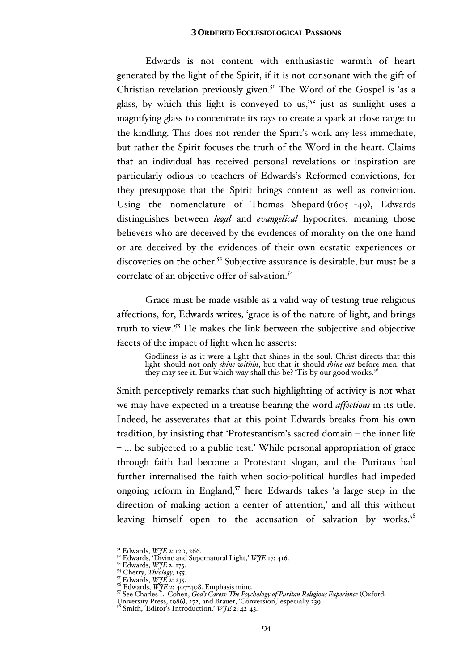Edwards is not content with enthusiastic warmth of heart generated by the light of the Spirit, if it is not consonant with the gift of Christian revelation previously given.<sup>51</sup> The Word of the Gospel is 'as a glass, by which this light is conveyed to us,<sup>52</sup> just as sunlight uses a magnifying glass to concentrate its rays to create a spark at close range to the kindling. This does not render the Spirit's work any less immediate, but rather the Spirit focuses the truth of the Word in the heart. Claims that an individual has received personal revelations or inspiration are particularly odious to teachers of Edwards's Reformed convictions, for they presuppose that the Spirit brings content as well as conviction. Using the nomenclature of Thomas Shepard  $(1605 - 49)$ , Edwards distinguishes between *legal* and *evangelical* hypocrites, meaning those believers who are deceived by the evidences of morality on the one hand or are deceived by the evidences of their own ecstatic experiences or discoveries on the other.<sup>53</sup> Subjective assurance is desirable, but must be a correlate of an objective offer of salvation.<sup>54</sup>

Grace must be made visible as a valid way of testing true religious affections, for, Edwards writes, 'grace is of the nature of light, and brings truth to view.'55 He makes the link between the subjective and objective facets of the impact of light when he asserts:

Godliness is as it were a light that shines in the soul: Christ directs that this light should not only *shine within*, but that it should *shine out* before men, that they may see it. But which way shall this be? 'Tis by our good works.<sup>56</sup>

Smith perceptively remarks that such highlighting of activity is not what we may have expected in a treatise bearing the word *affections* in its title. Indeed, he asseverates that at this point Edwards breaks from his own tradition, by insisting that 'Protestantism's sacred domain – the inner life – … be subjected to a public test.' While personal appropriation of grace through faith had become a Protestant slogan, and the Puritans had further internalised the faith when socio-political hurdles had impeded ongoing reform in England,<sup>57</sup> here Edwards takes 'a large step in the direction of making action a center of attention,' and all this without leaving himself open to the accusation of salvation by works. $5^8$ 

<sup>&</sup>lt;sup>51</sup> Edwards, *WJE* 2: 120, 266.<br><sup>52</sup> Edwards, 'Divine and Supernatural Light,' *WJE* 17: 416.<br><sup>53</sup> Edwards, *WJE* 2: 173.<br><sup>54</sup> Cherry, *Theology*, 155.<br><sup>55</sup> Edwards, *WJE* 2: 235.<br><sup>56</sup> Edwards, *WJE* 2: 407-408. Emphasis

University Press, 1986), 272, and Brauer, 'Conversion,' especially 239. <sup>58</sup> Smith, 'Editor's Introduction,' *WJE* 2: 42-43.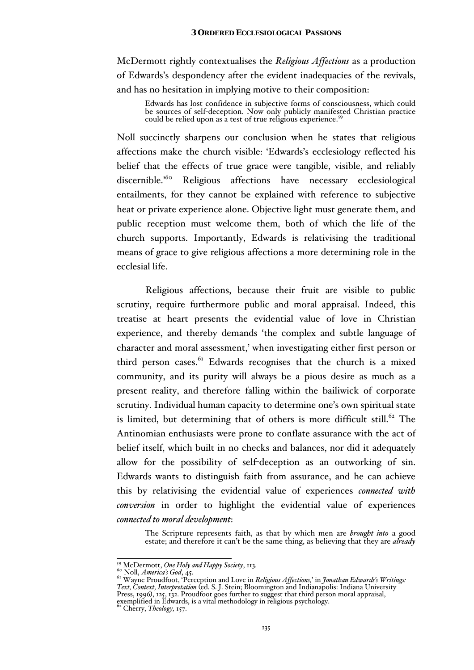McDermott rightly contextualises the *Religious Affections* as a production of Edwards's despondency after the evident inadequacies of the revivals, and has no hesitation in implying motive to their composition:

Edwards has lost confidence in subjective forms of consciousness, which could be sources of self-deception. Now only publicly manifested Christian practice could be relied upon as a test of true religious experience.<sup>59</sup>

Noll succinctly sharpens our conclusion when he states that religious affections make the church visible: 'Edwards's ecclesiology reflected his belief that the effects of true grace were tangible, visible, and reliably discernible.<sup>'60</sup> Religious affections have necessary ecclesiological entailments, for they cannot be explained with reference to subjective heat or private experience alone. Objective light must generate them, and public reception must welcome them, both of which the life of the church supports. Importantly, Edwards is relativising the traditional means of grace to give religious affections a more determining role in the ecclesial life.

Religious affections, because their fruit are visible to public scrutiny, require furthermore public and moral appraisal. Indeed, this treatise at heart presents the evidential value of love in Christian experience, and thereby demands 'the complex and subtle language of character and moral assessment,' when investigating either first person or third person cases.<sup>61</sup> Edwards recognises that the church is a mixed community, and its purity will always be a pious desire as much as a present reality, and therefore falling within the bailiwick of corporate scrutiny. Individual human capacity to determine one's own spiritual state is limited, but determining that of others is more difficult still.<sup>62</sup> The Antinomian enthusiasts were prone to conflate assurance with the act of belief itself, which built in no checks and balances, nor did it adequately allow for the possibility of self-deception as an outworking of sin. Edwards wants to distinguish faith from assurance, and he can achieve this by relativising the evidential value of experiences *connected with conversion* in order to highlight the evidential value of experiences *connected to moral development*:

The Scripture represents faith, as that by which men are *brought into* a good estate; and therefore it can't be the same thing, as believing that they are *already*

<sup>59&</sup>lt;br><sup>59</sup> McDermott, *One Holy and Happy Society*, 113.<br><sup>60</sup> Noll, *America's God*, 45.<br><sup>61</sup> Wayne Proudfoot, 'Perception and Love in *Religious Affections,*' in *Jonathan Edwards's Writings: Text, Context, Interpretation* (ed. S. J. Stein; Bloomington and Indianapolis: Indiana University Press, 1996), 125, 132. Proudfoot goes further to suggest that third person moral appraisal, exemplified in Edwards, is a vital methodology in religious psychology. <sup>62</sup> Cherry, *Theology,* 157.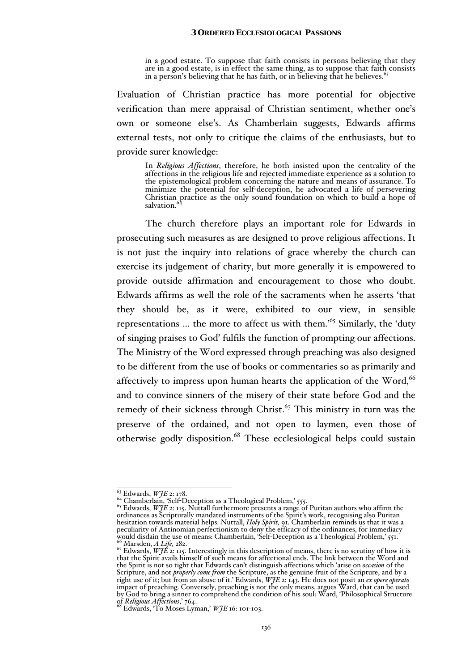in a good estate. To suppose that faith consists in persons believing that they are in a good estate, is in effect the same thing, as to suppose that faith consists<br>in a person's believing that he has faith, or in believing that he believes.<sup>63</sup>

Evaluation of Christian practice has more potential for objective verification than mere appraisal of Christian sentiment, whether one's own or someone else's. As Chamberlain suggests, Edwards affirms external tests, not only to critique the claims of the enthusiasts, but to provide surer knowledge:

In *Religious Affections*, therefore, he both insisted upon the centrality of the affections in the religious life and rejected immediate experience as a solution to the epistemological problem concerning the nature and means of assurance. To minimize the potential for self-deception, he advocated a life of persevering Christian practice as the only sound foundation on which to build a hope of salvation.

The church therefore plays an important role for Edwards in prosecuting such measures as are designed to prove religious affections. It is not just the inquiry into relations of grace whereby the church can exercise its judgement of charity, but more generally it is empowered to provide outside affirmation and encouragement to those who doubt. Edwards affirms as well the role of the sacraments when he asserts 'that they should be, as it were, exhibited to our view, in sensible representations … the more to affect us with them.'65 Similarly, the 'duty of singing praises to God' fulfils the function of prompting our affections. The Ministry of the Word expressed through preaching was also designed to be different from the use of books or commentaries so as primarily and affectively to impress upon human hearts the application of the  $Word<sub>66</sub>$ and to convince sinners of the misery of their state before God and the remedy of their sickness through Christ.<sup>67</sup> This ministry in turn was the preserve of the ordained, and not open to laymen, even those of otherwise godly disposition.<sup>68</sup> These ecclesiological helps could sustain

<sup>&</sup>lt;sup>63</sup> Edwards, *WJE* 2: 178.<br><sup>64</sup> Chamberlain, 'Self-Deception as a Theological Problem,' 555.<br><sup>65</sup> Edwards, *WJE* 2: 115. Nuttall furthermore presents a range of Puritan authors who affirm the ordinances as Scripturally mandated instruments of the Spirit's work, recognising also Puritan hesitation towards material helps: Nuttall, *Holy Spirit,* 91. Chamberlain reminds us that it was a peculiarity of Antinomian perfectionism to deny the efficacy of the ordinances, for immediacy would disdain the use of means: Chamberlain, 'Self-Deception as a Theological Problem,' 551.<br>
<sup>66</sup> Marsden, *A Life*, 282.

<sup>&</sup>lt;sup>67</sup> Edwards, *WJE* 2: 115. Interestingly in this description of means, there is no scrutiny of how it is that the Spirit avails himself of such means for affectional ends. The link between the Word and the Spirit is not so tight that Edwards can't distinguish affections which 'arise on *occasion* of the Scripture, and not *properly come from* the Scripture, as the genuine fruit of the Scripture, and by a right use of it; but from an abuse of it.' Edwards, *WJE* 2: 143. He does not posit an *ex opere operato* impact of preaching. Conversely, preaching is not the only means, argues Ward, that can be used by God to bring a sinner to comprehend the condition of his soul: Ward, 'Philosophical Structure of *Religious Affections*,' 764. <sup>68</sup> Edwards, 'To Moses Lyman,' *WJE* 16: 101-103.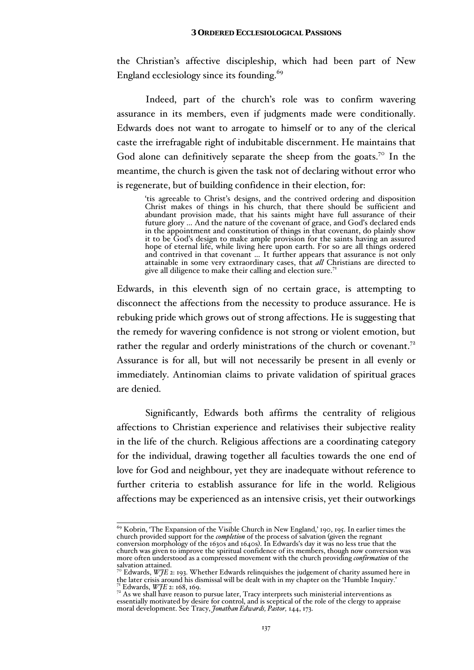the Christian's affective discipleship, which had been part of New England ecclesiology since its founding.<sup>69</sup>

Indeed, part of the church's role was to confirm wavering assurance in its members, even if judgments made were conditionally. Edwards does not want to arrogate to himself or to any of the clerical caste the irrefragable right of indubitable discernment. He maintains that God alone can definitively separate the sheep from the goats.<sup>70</sup> In the meantime, the church is given the task not of declaring without error who is regenerate, but of building confidence in their election, for:

'tis agreeable to Christ's designs, and the contrived ordering and disposition Christ makes of things in his church, that there should be sufficient and abundant provision made, that his saints might have full assurance of their future glory … And the nature of the covenant of grace, and God's declared ends in the appointment and constitution of things in that covenant, do plainly show it to be God's design to make ample provision for the saints having an assured hope of eternal life, while living here upon earth. For so are all things ordered and contrived in that covenant … It further appears that assurance is not only attainable in some very extraordinary cases, that *all* Christians are directed to give all diligence to make their calling and election sure.<sup>71</sup>

Edwards, in this eleventh sign of no certain grace, is attempting to disconnect the affections from the necessity to produce assurance. He is rebuking pride which grows out of strong affections. He is suggesting that the remedy for wavering confidence is not strong or violent emotion, but rather the regular and orderly ministrations of the church or covenant.<sup>72</sup> Assurance is for all, but will not necessarily be present in all evenly or immediately. Antinomian claims to private validation of spiritual graces are denied.

Significantly, Edwards both affirms the centrality of religious affections to Christian experience and relativises their subjective reality in the life of the church. Religious affections are a coordinating category for the individual, drawing together all faculties towards the one end of love for God and neighbour, yet they are inadequate without reference to further criteria to establish assurance for life in the world. Religious affections may be experienced as an intensive crisis, yet their outworkings

<sup>69</sup> Kobrin, 'The Expansion of the Visible Church in New England,' 190, 195. In earlier times the church provided support for the *completion* of the process of salvation (given the regnant conversion morphology of the 1630s and 1640s). In Edwards's day it was no less true that the church was given to improve the spiritual confidence of its members, though now conversion was more often understood as a compressed movement with the church providing *confirmation* of the salvation attained.

<sup>&</sup>lt;sup>70</sup> Edwards, *WHE* 2: 193. Whether Edwards relinquishes the judgement of charity assumed here in the later crisis around his dismissal will be dealt with in my chapter on the 'Humble Inquiry.'<br><sup>71</sup> Edwards, *WHE* 2: 168,

Edwards,  $w_j L$  2. 100, 109.<br><sup>72</sup> As we shall have reason to pursue later, Tracy interprets such ministerial interventions as essentially motivated by desire for control, and is sceptical of the role of the clergy to appra moral development. See Tracy, *Jonathan Edwards, Pastor,* 144, 173.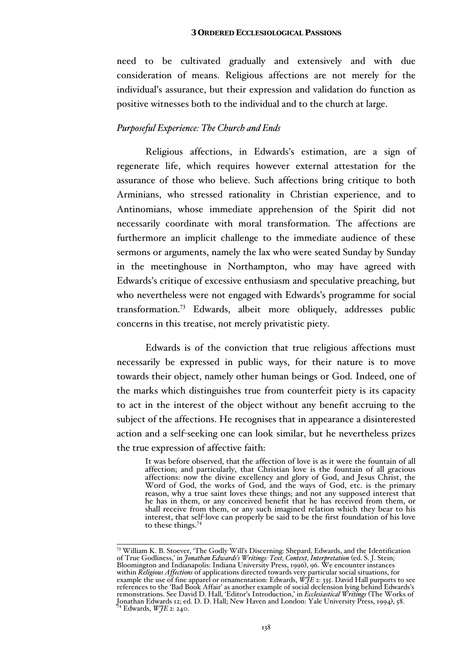need to be cultivated gradually and extensively and with due consideration of means. Religious affections are not merely for the individual's assurance, but their expression and validation do function as positive witnesses both to the individual and to the church at large.

# *Purposeful Experience: The Church and Ends*

Religious affections, in Edwards's estimation, are a sign of regenerate life, which requires however external attestation for the assurance of those who believe. Such affections bring critique to both Arminians, who stressed rationality in Christian experience, and to Antinomians, whose immediate apprehension of the Spirit did not necessarily coordinate with moral transformation. The affections are furthermore an implicit challenge to the immediate audience of these sermons or arguments, namely the lax who were seated Sunday by Sunday in the meetinghouse in Northampton, who may have agreed with Edwards's critique of excessive enthusiasm and speculative preaching, but who nevertheless were not engaged with Edwards's programme for social transformation.73 Edwards, albeit more obliquely, addresses public concerns in this treatise, not merely privatistic piety.

Edwards is of the conviction that true religious affections must necessarily be expressed in public ways, for their nature is to move towards their object, namely other human beings or God. Indeed, one of the marks which distinguishes true from counterfeit piety is its capacity to act in the interest of the object without any benefit accruing to the subject of the affections. He recognises that in appearance a disinterested action and a self-seeking one can look similar, but he nevertheless prizes the true expression of affective faith:

It was before observed, that the affection of love is as it were the fountain of all affection; and particularly, that Christian love is the fountain of all gracious affections: now the divine excellency and glory of God, and Jesus Christ, the Word of God, the works of God, and the ways of God, etc. is the primary reason, why a true saint loves these things; and not any supposed interest that he has in them, or any conceived benefit that he has received from them, or shall receive from them, or any such imagined relation which they bear to his interest, that self-love can properly be said to be the first foundation of his love to these things.<sup>74</sup>

<sup>73</sup> William K. B. Stoever, 'The Godly Will's Discerning: Shepard, Edwards, and the Identification of True Godliness,' in *Jonathan Edwards's Writings: Text, Context, Interpretation* (ed. S. J. Stein; Bloomington and Indianapolis: Indiana University Press, 1996), 96. We encounter instances within *Religious Affections* of applications directed towards very particular social situations, for example the use of fine apparel or ornamentation: Edwards, *WJE* 2: 335. David Hall purports to see references to the 'Bad Book Affair' as another example of social declension lying behind Edwards's remonstrations. See David D. Hall, 'Editor's Introduction,' in *Ecclesiastical Writings* (The Works of Jonathan Edwards 12; ed. D. D. Hall; New Haven and London: Yale University Press, 1994), 58. <sup>74</sup> Edwards, *WJE* 2: 240.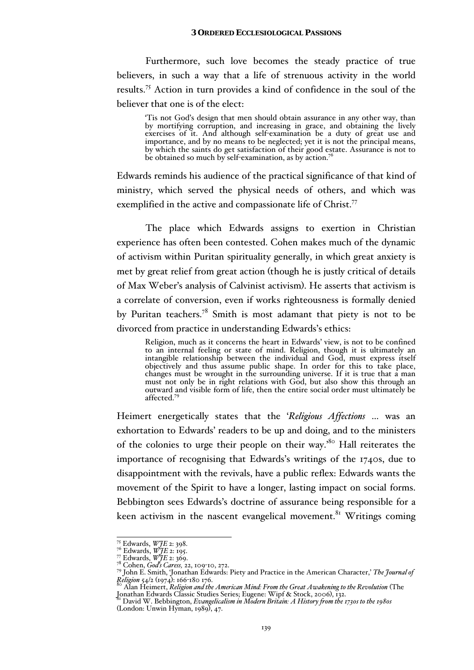Furthermore, such love becomes the steady practice of true believers, in such a way that a life of strenuous activity in the world results.75 Action in turn provides a kind of confidence in the soul of the believer that one is of the elect:

'Tis not God's design that men should obtain assurance in any other way, than by mortifying corruption, and increasing in grace, and obtaining the lively exercises of it. And although self-examination be a duty of great use and importance, and by no means to be neglected; yet it is not the principal means, by which the saints do get satisfaction of their good estate. Assurance is not to be obtained so much by self-examination, as by action.<sup>76</sup>

Edwards reminds his audience of the practical significance of that kind of ministry, which served the physical needs of others, and which was exemplified in the active and compassionate life of Christ.<sup>77</sup>

The place which Edwards assigns to exertion in Christian experience has often been contested. Cohen makes much of the dynamic of activism within Puritan spirituality generally, in which great anxiety is met by great relief from great action (though he is justly critical of details of Max Weber's analysis of Calvinist activism). He asserts that activism is a correlate of conversion, even if works righteousness is formally denied by Puritan teachers.78 Smith is most adamant that piety is not to be divorced from practice in understanding Edwards's ethics:

Religion, much as it concerns the heart in Edwards' view, is not to be confined to an internal feeling or state of mind. Religion, though it is ultimately an intangible relationship between the individual and God, must express itself objectively and thus assume public shape. In order for this to take place, changes must be wrought in the surrounding universe. If it is true that a man must not only be in right relations with God, but also show this through an outward and visible form of life, then the entire social order must ultimately be affected.<sup>79</sup>

Heimert energetically states that the '*Religious Affections* … was an exhortation to Edwards' readers to be up and doing, and to the ministers of the colonies to urge their people on their way.'80 Hall reiterates the importance of recognising that Edwards's writings of the 1740s, due to disappointment with the revivals, have a public reflex: Edwards wants the movement of the Spirit to have a longer, lasting impact on social forms. Bebbington sees Edwards's doctrine of assurance being responsible for a keen activism in the nascent evangelical movement.<sup>81</sup> Writings coming

<sup>&</sup>lt;sup>75</sup> Edwards, *WJE* 2: 398.<br><sup>76</sup> Edwards, *WJE* 2: 195.<br><sup>77</sup> Edwards, *WJE* 2: 195.<br><sup>78</sup> Cohen, God's Caress, 22, 109-10, 272.<br><sup>79</sup> John E. Smith, 'Jonathan Edwards: Piety and Practice in the American Character,' *The Jour* 

Jonathan Edwards Classic Studies Series; Eugene: Wipf & Stock, 2006), 132.<br><sup>81</sup> David W. Bebbington, *Evangelicalism in Modern Britain: A History from the 1730s to the 1980s* 

<sup>(</sup>London: Unwin Hyman, 1989), 47.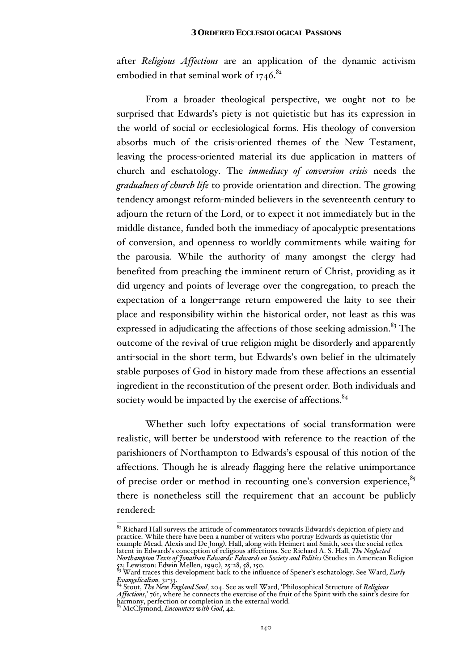after *Religious Affections* are an application of the dynamic activism embodied in that seminal work of  $1746$ .<sup>82</sup>

From a broader theological perspective, we ought not to be surprised that Edwards's piety is not quietistic but has its expression in the world of social or ecclesiological forms. His theology of conversion absorbs much of the crisis-oriented themes of the New Testament, leaving the process-oriented material its due application in matters of church and eschatology. The *immediacy of conversion crisis* needs the *gradualness of church life* to provide orientation and direction. The growing tendency amongst reform-minded believers in the seventeenth century to adjourn the return of the Lord, or to expect it not immediately but in the middle distance, funded both the immediacy of apocalyptic presentations of conversion, and openness to worldly commitments while waiting for the parousia. While the authority of many amongst the clergy had benefited from preaching the imminent return of Christ, providing as it did urgency and points of leverage over the congregation, to preach the expectation of a longer-range return empowered the laity to see their place and responsibility within the historical order, not least as this was expressed in adjudicating the affections of those seeking admission.<sup>83</sup> The outcome of the revival of true religion might be disorderly and apparently anti-social in the short term, but Edwards's own belief in the ultimately stable purposes of God in history made from these affections an essential ingredient in the reconstitution of the present order. Both individuals and society would be impacted by the exercise of affections.<sup>84</sup>

Whether such lofty expectations of social transformation were realistic, will better be understood with reference to the reaction of the parishioners of Northampton to Edwards's espousal of this notion of the affections. Though he is already flagging here the relative unimportance of precise order or method in recounting one's conversion experience,<sup>85</sup> there is nonetheless still the requirement that an account be publicly rendered:

<sup>&</sup>lt;sup>82</sup> Richard Hall surveys the attitude of commentators towards Edwards's depiction of piety and practice. While there have been a number of writers who portray Edwards as quietistic (for example Mead, Alexis and De Jong), Hall, along with Heimert and Smith, sees the social reflex latent in Edwards's conception of religious affections. See Richard A. S. Hall, *The Neglected Northampton Texts of Jonathan Edwards: Edwards on Society and Politics* (Studies in American Religion<br>52; Lewiston: Edwin Mellen, 1990), 25-28, 58, 150.<br><sup>83</sup> Ward traces this development back to the influence of Spener's

*Affections*,' 761, where he connects the exercise of the fruit of the Spirit with the saint's desire for harmony, perfection or completion in the external world. <sup>85</sup> McClymond, *Encounters with God*, 42.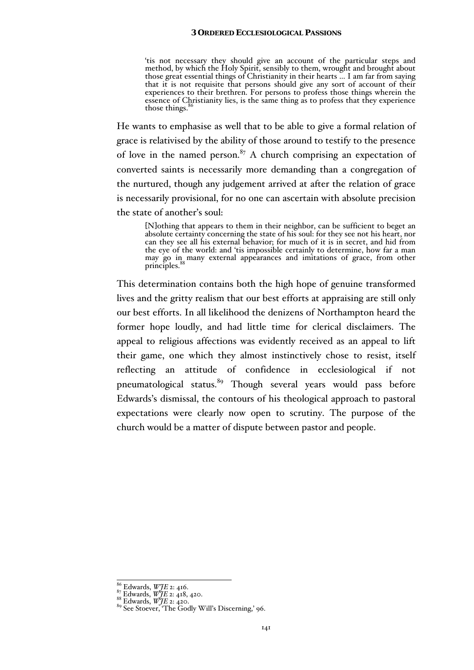'tis not necessary they should give an account of the particular steps and method, by which the Holy Spirit, sensibly to them, wrought and brought about those great essential things of Christianity in their hearts … I am far from saying that it is not requisite that persons should give any sort of account of their experiences to their brethren. For persons to profess those things wherein the essence of Christianity lies, is the same thing as to profess that they experience those things. $86$ 

He wants to emphasise as well that to be able to give a formal relation of grace is relativised by the ability of those around to testify to the presence of love in the named person.<sup>87</sup> A church comprising an expectation of converted saints is necessarily more demanding than a congregation of the nurtured, though any judgement arrived at after the relation of grace is necessarily provisional, for no one can ascertain with absolute precision the state of another's soul:

[N]othing that appears to them in their neighbor, can be sufficient to beget an absolute certainty concerning the state of his soul: for they see not his heart, nor can they see all his external behavior; for much of it is in secret, and hid from the eye of the world: and 'tis impossible certainly to determine, how far a man may go in many external appearances and imitations of grace, from other principles.<sup>88</sup>

This determination contains both the high hope of genuine transformed lives and the gritty realism that our best efforts at appraising are still only our best efforts. In all likelihood the denizens of Northampton heard the former hope loudly, and had little time for clerical disclaimers. The appeal to religious affections was evidently received as an appeal to lift their game, one which they almost instinctively chose to resist, itself reflecting an attitude of confidence in ecclesiological if not pneumatological status.<sup>89</sup> Though several years would pass before Edwards's dismissal, the contours of his theological approach to pastoral expectations were clearly now open to scrutiny. The purpose of the church would be a matter of dispute between pastor and people.

<sup>&</sup>lt;sup>86</sup> Edwards, *WJE* 2: 416.<br><sup>87</sup> Edwards, *WJE* 2: 418, 420.<br><sup>89</sup> See Stoever, 'The Godly Will's Discerning,' 96.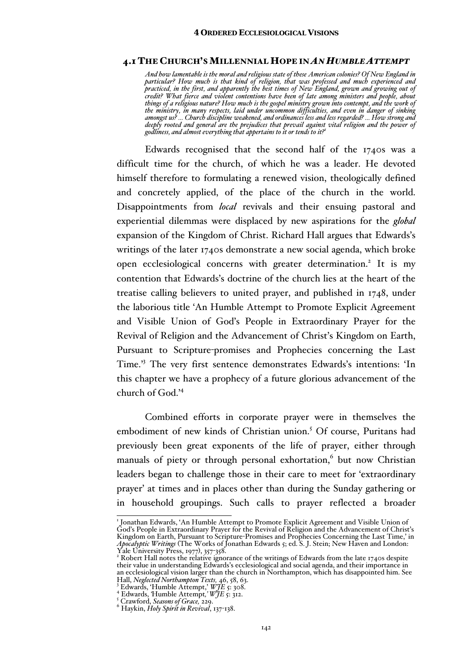## 4.1 THE CHURCH'S MILLENNIAL HOPE IN *AN HUMBLE ATTEMPT*

*And how lamentable is the moral and religious state of these American colonies? Of New England in particular? How much is that kind of religion, that was professed and much experienced and practiced, in the first, and apparently the best times of New England, grown and growing out of credit? What fierce and violent contentions have been of late among ministers and people, about things of a religious nature? How much is the gospel ministry grown into contempt, and the work of the ministry, in many respects, laid under uncommon difficulties, and even in danger of sinking amongst us? … Church discipline weakened, and ordinances less and less regarded? … How strong and*  deeply rooted and general are the prejudices that prevail against vital religion and the power of<br>godliness, and almost everything that appertains to it or tends to it?<sup>1</sup>

Edwards recognised that the second half of the 1740s was a difficult time for the church, of which he was a leader. He devoted himself therefore to formulating a renewed vision, theologically defined and concretely applied, of the place of the church in the world. Disappointments from *local* revivals and their ensuing pastoral and experiential dilemmas were displaced by new aspirations for the *global* expansion of the Kingdom of Christ. Richard Hall argues that Edwards's writings of the later 1740s demonstrate a new social agenda, which broke open ecclesiological concerns with greater determination.<sup>2</sup> It is my contention that Edwards's doctrine of the church lies at the heart of the treatise calling believers to united prayer, and published in 1748, under the laborious title 'An Humble Attempt to Promote Explicit Agreement and Visible Union of God's People in Extraordinary Prayer for the Revival of Religion and the Advancement of Christ's Kingdom on Earth, Pursuant to Scripture-promises and Prophecies concerning the Last Time.'<sup>3</sup> The very first sentence demonstrates Edwards's intentions: 'In this chapter we have a prophecy of a future glorious advancement of the church of God.'<sup>4</sup>

Combined efforts in corporate prayer were in themselves the embodiment of new kinds of Christian union.<sup>5</sup> Of course, Puritans had previously been great exponents of the life of prayer, either through manuals of piety or through personal exhortation,<sup>6</sup> but now Christian leaders began to challenge those in their care to meet for 'extraordinary prayer' at times and in places other than during the Sunday gathering or in household groupings. Such calls to prayer reflected a broader

<sup>1</sup> Jonathan Edwards, 'An Humble Attempt to Promote Explicit Agreement and Visible Union of God's People in Extraordinary Prayer for the Revival of Religion and the Advancement of Christ's Kingdom on Earth, Pursuant to Scripture-Promises and Prophecies Concerning the Last Time,' in *Apocalyptic Writings* (The Works of Jonathan Edwards 5; ed. S. J. Stein; New Haven and London:

Yale University Press, 1977), 357-358.<br><sup>2</sup> Robert Hall notes the relative ignorance of the writings of Edwards from the late 1740s despite their value in understanding Edwards's ecclesiological and social agenda, and their importance in an ecclesiological vision larger than the church in Northampton, which has disappointed him. See

Hall, *Neglected Northampton Texts,* 46, 58, 63. <sup>3</sup> Edwards, 'Humble Attempt,' *WJE* 5: 308. <sup>4</sup>

<sup>&</sup>lt;sup>4</sup> Edwards, Humble Attempt,' WJE 5: 312.<br><sup>5</sup> Crawford, *Seasons of Grace,* 229.<br><sup>6</sup> Haykin, *Holy Spirit in Revival*, 137-138.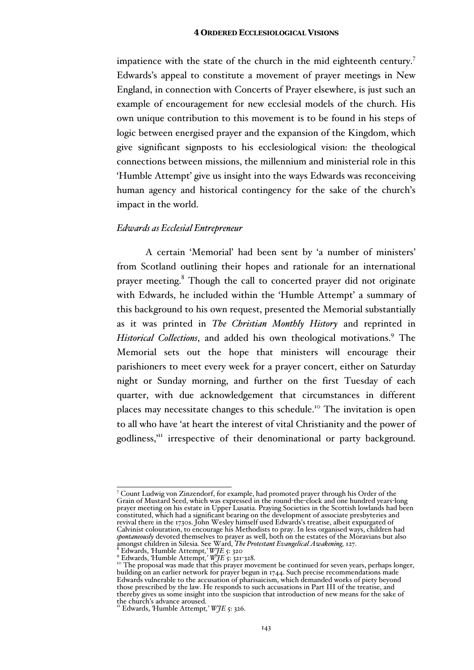impatience with the state of the church in the mid eighteenth century.<sup>7</sup> Edwards's appeal to constitute a movement of prayer meetings in New England, in connection with Concerts of Prayer elsewhere, is just such an example of encouragement for new ecclesial models of the church. His own unique contribution to this movement is to be found in his steps of logic between energised prayer and the expansion of the Kingdom, which give significant signposts to his ecclesiological vision: the theological connections between missions, the millennium and ministerial role in this 'Humble Attempt' give us insight into the ways Edwards was reconceiving human agency and historical contingency for the sake of the church's impact in the world.

### *Edwards as Ecclesial Entrepreneur*

A certain 'Memorial' had been sent by 'a number of ministers' from Scotland outlining their hopes and rationale for an international prayer meeting.<sup>8</sup> Though the call to concerted prayer did not originate with Edwards, he included within the 'Humble Attempt' a summary of this background to his own request, presented the Memorial substantially as it was printed in *The Christian Monthly History* and reprinted in Historical Collections, and added his own theological motivations.<sup>9</sup> The Memorial sets out the hope that ministers will encourage their parishioners to meet every week for a prayer concert, either on Saturday night or Sunday morning, and further on the first Tuesday of each quarter, with due acknowledgement that circumstances in different places may necessitate changes to this schedule.10 The invitation is open to all who have 'at heart the interest of vital Christianity and the power of godliness,'11 irrespective of their denominational or party background.

<sup>-&</sup>lt;br>7 <sup>7</sup> Count Ludwig von Zinzendorf, for example, had promoted prayer through his Order of the Grain of Mustard Seed, which was expressed in the round-the-clock and one hundred years-long prayer meeting on his estate in Upper Lusatia. Praying Societies in the Scottish lowlands had been constituted, which had a significant bearing on the development of associate presbyteries and revival there in the 1730s. John Wesley himself used Edwards's treatise, albeit expurgated of Calvinist colouration, to encourage his Methodists to pray. In less organised ways, children had *spontaneously* devoted themselves to prayer as well, both on the estates of the Moravians but also amongst children in Silesia. See Ward, *The Protestant Evangelical Awakening*, 127.<br><sup>8</sup> Edwards, Humble Attempt (*WIE 5*, 220

Edwards, *'*Humble Attempt*,' WJE* 5: 320 <sup>9</sup>

<sup>&</sup>lt;sup>9</sup> Edwards, 'Humble Attempt,*' WJE 5*: 321-328.<br><sup>10</sup> The proposal was made that this prayer movement be continued for seven years, perhaps longer, building on an earlier network for prayer begun in 1744. Such precise recommendations made Edwards vulnerable to the accusation of pharisaicism, which demanded works of piety beyond those prescribed by the law. He responds to such accusations in Part III of the treatise, and thereby gives us some insight into the suspicion that introduction of new means for the sake of

the church's advance aroused. 11 Edwards, *'*Humble Attempt*,' WJE* 5: 326.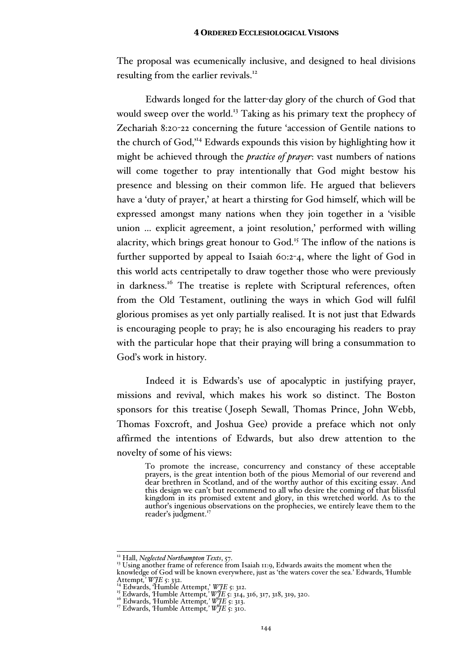The proposal was ecumenically inclusive, and designed to heal divisions resulting from the earlier revivals.<sup>12</sup>

Edwards longed for the latter-day glory of the church of God that would sweep over the world.<sup>13</sup> Taking as his primary text the prophecy of Zechariah 8:20-22 concerning the future 'accession of Gentile nations to the church of God,<sup>114</sup> Edwards expounds this vision by highlighting how it might be achieved through the *practice of prayer*: vast numbers of nations will come together to pray intentionally that God might bestow his presence and blessing on their common life. He argued that believers have a 'duty of prayer,' at heart a thirsting for God himself, which will be expressed amongst many nations when they join together in a 'visible union … explicit agreement, a joint resolution,' performed with willing alacrity, which brings great honour to  $God.^{15}$ . The inflow of the nations is further supported by appeal to Isaiah 60:2-4, where the light of God in this world acts centripetally to draw together those who were previously in darkness.<sup>16</sup> The treatise is replete with Scriptural references, often from the Old Testament, outlining the ways in which God will fulfil glorious promises as yet only partially realised. It is not just that Edwards is encouraging people to pray; he is also encouraging his readers to pray with the particular hope that their praying will bring a consummation to God's work in history.

Indeed it is Edwards's use of apocalyptic in justifying prayer, missions and revival, which makes his work so distinct. The Boston sponsors for this treatise ( Joseph Sewall, Thomas Prince, John Webb, Thomas Foxcroft, and Joshua Gee) provide a preface which not only affirmed the intentions of Edwards, but also drew attention to the novelty of some of his views:

To promote the increase, concurrency and constancy of these acceptable prayers, is the great intention both of the pious Memorial of our reverend and dear brethren in Scotland, and of the worthy author of this exciting essay. And this design we can't but recommend to all who desire the coming of that blissful kingdom in its promised extent and glory, in this wretched world. As to the author's ingenious observations on the prophecies, we entirely leave them to the reader's judgment.<sup>17</sup>

<sup>&</sup>lt;u>...</u><br><sup>12</sup> Hall, *Neglected Northampton Texts*, 57.<br><sup>13</sup> Using another frame of reference from Isaiah 11:9, Edwards awaits the moment when the

knowledge of God will be known everywhere, just as 'the waters cover the sea.' Edwards, *'*Humble Attempt, *WJE 5*: 332.<br><sup>14</sup> Edwards, 'Humble Attempt,' *WJE 5*: 312.<br><sup>15</sup> Edwards, 'Humble Attempt,' *WJE 5*: 314, 316, 317, 318, 319, 320.<br><sup>16</sup> Edwards, 'Humble Attempt,' *WJE 5*: 313.<br><sup>17</sup> Edwards, 'Humble Attempt,' *WJE*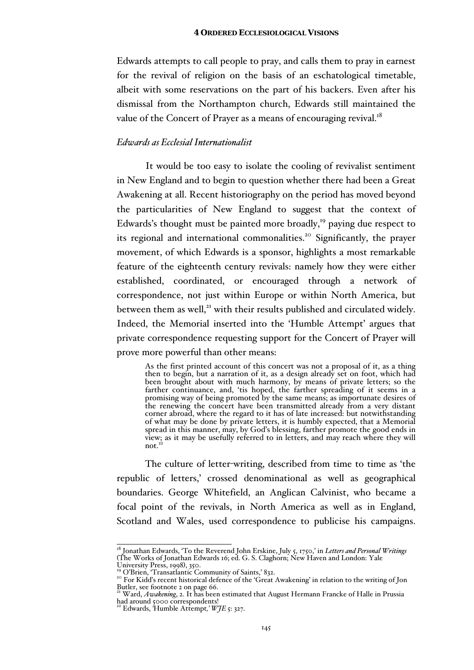Edwards attempts to call people to pray, and calls them to pray in earnest for the revival of religion on the basis of an eschatological timetable, albeit with some reservations on the part of his backers. Even after his dismissal from the Northampton church, Edwards still maintained the value of the Concert of Prayer as a means of encouraging revival.<sup>18</sup>

### *Edwards as Ecclesial Internationalist*

It would be too easy to isolate the cooling of revivalist sentiment in New England and to begin to question whether there had been a Great Awakening at all. Recent historiography on the period has moved beyond the particularities of New England to suggest that the context of Edwards's thought must be painted more broadly,<sup>19</sup> paying due respect to its regional and international commonalities.<sup>20</sup> Significantly, the prayer movement, of which Edwards is a sponsor, highlights a most remarkable feature of the eighteenth century revivals: namely how they were either established, coordinated, or encouraged through a network of correspondence, not just within Europe or within North America, but between them as well,<sup>21</sup> with their results published and circulated widely. Indeed, the Memorial inserted into the 'Humble Attempt' argues that private correspondence requesting support for the Concert of Prayer will prove more powerful than other means:

As the first printed account of this concert was not a proposal of it, as a thing then to begin, but a narration of it, as a design already set on foot, which had been brought about with much harmony, by means of private letters; so the farther continuance, and, 'tis hoped, the farther spreading of it seems in a promising way of being promoted by the same means; as importunate desires of the renewing the concert have been transmitted already from a very distant corner abroad, where the regard to it has of late increased: but notwithstanding of what may be done by private letters, it is humbly expected, that a Memorial spread in this manner, may, by God's blessing, farther promote the good ends in view; as it may be usefully referred to in letters, and may reach where they will not. $2^{2}$ 

The culture of letter-writing, described from time to time as 'the republic of letters,' crossed denominational as well as geographical boundaries. George Whitefield, an Anglican Calvinist, who became a focal point of the revivals, in North America as well as in England, Scotland and Wales, used correspondence to publicise his campaigns.

<sup>18</sup> Jonathan Edwards, 'To the Reverend John Erskine, July 5, 1750,' in *Letters and Personal Writings* (The Works of Jonathan Edwards 16; ed. G. S. Claghorn; New Haven and London: Yale

University Press, 1998), 350.<br><sup>19</sup> O'Brien, 'Transatlantic Community of Saints,' 832.<br><sup>20</sup> For Kidd's recent historical defence of the 'Great Awakening' in relation to the writing of Jon Butler, see footnote 2 on page 66.<br><sup>21</sup> Ward, *Awakening*, 2. It has been estimated that August Hermann Francke of Halle in Prussia

had around 5000 correspondents! 22 Edwards, *'*Humble Attempt*,' WJE* 5: 327.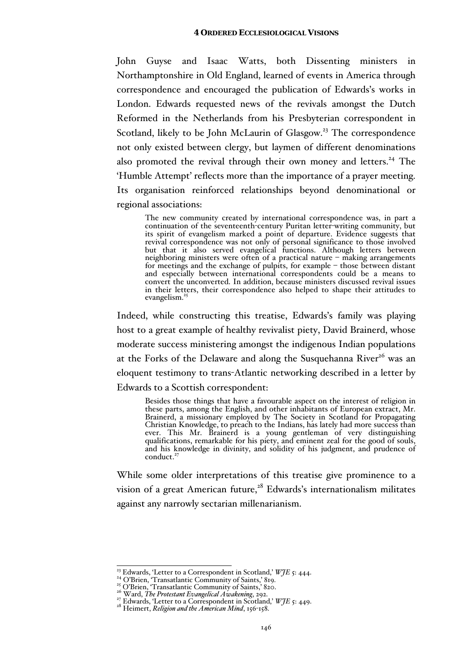John Guyse and Isaac Watts, both Dissenting ministers in Northamptonshire in Old England, learned of events in America through correspondence and encouraged the publication of Edwards's works in London. Edwards requested news of the revivals amongst the Dutch Reformed in the Netherlands from his Presbyterian correspondent in Scotland, likely to be John McLaurin of Glasgow.<sup>23</sup> The correspondence not only existed between clergy, but laymen of different denominations also promoted the revival through their own money and letters.<sup>24</sup> The 'Humble Attempt' reflects more than the importance of a prayer meeting. Its organisation reinforced relationships beyond denominational or regional associations:

The new community created by international correspondence was, in part a continuation of the seventeenth-century Puritan letter-writing community, but its spirit of evangelism marked a point of departure. Evidence suggests that revival correspondence was not only of personal significance to those involved but that it also served evangelical functions. Although letters between neighboring ministers were often of a practical nature – making arrangements for meetings and the exchange of pulpits, for example – those between distant and especially between international correspondents could be a means to convert the unconverted. In addition, because ministers discussed revival issues in their letters, their correspondence also helped to shape their attitudes to evangelism.<sup>25</sup>

Indeed, while constructing this treatise, Edwards's family was playing host to a great example of healthy revivalist piety, David Brainerd, whose moderate success ministering amongst the indigenous Indian populations at the Forks of the Delaware and along the Susquehanna River<sup>26</sup> was an eloquent testimony to trans-Atlantic networking described in a letter by Edwards to a Scottish correspondent:

Besides those things that have a favourable aspect on the interest of religion in these parts, among the English, and other inhabitants of European extract, Mr. Brainerd, a missionary employed by The Society in Scotland for Propagating Christian Knowledge, to preach to the Indians, has lately had more success than ever. This Mr. Brainerd is a young gentleman of very distinguishing qualifications, remarkable for his piety, and eminent zeal for the good of souls, and his knowledge in divinity, and solidity of his judgment, and prudence of conduct.<sup>27</sup>

While some older interpretations of this treatise give prominence to a vision of a great American future,<sup>28</sup> Edwards's internationalism militates against any narrowly sectarian millenarianism.

<sup>&</sup>lt;sup>23</sup> Edwards, 'Letter to a Correspondent in Scotland,' *WHE* 5: 444.<br><sup>24</sup> O'Brien, 'Transatlantic Community of Saints,' 819.<br><sup>25</sup> O'Brien, 'Transatlantic Community of Saints,' 820.<br><sup>26</sup> Ward, *The Protestant Evangelical A*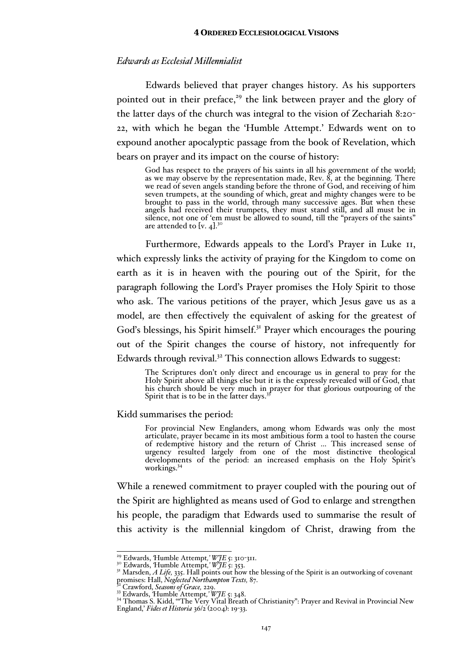## *Edwards as Ecclesial Millennialist*

Edwards believed that prayer changes history. As his supporters pointed out in their preface,<sup>29</sup> the link between prayer and the glory of the latter days of the church was integral to the vision of Zechariah 8:20- 22, with which he began the 'Humble Attempt.' Edwards went on to expound another apocalyptic passage from the book of Revelation, which bears on prayer and its impact on the course of history:

God has respect to the prayers of his saints in all his government of the world; as we may observe by the representation made, Rev. 8, at the beginning. There we read of seven angels standing before the throne of God, and receiving of him seven trumpets, at the sounding of which, great and mighty changes were to be brought to pass in the world, through many successive ages. But when these angels had received their trumpets, they must stand still, and all must be in silence, not one of 'em must be allowed to sound, till the "prayers of the saints" are attended to [v. 4].<sup>30</sup>

Furthermore, Edwards appeals to the Lord's Prayer in Luke 11, which expressly links the activity of praying for the Kingdom to come on earth as it is in heaven with the pouring out of the Spirit, for the paragraph following the Lord's Prayer promises the Holy Spirit to those who ask. The various petitions of the prayer, which Jesus gave us as a model, are then effectively the equivalent of asking for the greatest of God's blessings, his Spirit himself.<sup>31</sup> Prayer which encourages the pouring out of the Spirit changes the course of history, not infrequently for Edwards through revival.<sup>32</sup> This connection allows Edwards to suggest:

The Scriptures don't only direct and encourage us in general to pray for the Holy Spirit above all things else but it is the expressly revealed will of God, that his church should be very much in prayer for that glorious outpouring of the Spirit that is to be in the latter days.<sup>33</sup>

#### Kidd summarises the period:

For provincial New Englanders, among whom Edwards was only the most articulate, prayer became in its most ambitious form a tool to hasten the course of redemptive history and the return of Christ … This increased sense of urgency resulted largely from one of the most distinctive theological developments of the period: an increased emphasis on the Holy Spirit's workings.<sup>34</sup>

While a renewed commitment to prayer coupled with the pouring out of the Spirit are highlighted as means used of God to enlarge and strengthen his people, the paradigm that Edwards used to summarise the result of this activity is the millennial kingdom of Christ, drawing from the

<sup>&</sup>lt;sup>29</sup> Edwards, *Humble Attempt,' WJE 5*: 310-311.<br><sup>30</sup> Edwards, *Humble Attempt,' WJE 5*: 353.<br><sup>31</sup> Marsden, *A Life,* 335. Hall points out how the blessing of the Spirit is an outworking of covenant<br><sup>32</sup> Crawford, *Shape o* 

Crawford, Seasons of Grace, 229.<br>
<sup>33</sup> Edwards, Humble Attempt, *WJE* 5: 348.<br>
<sup>34</sup> Thomas S. Kidd, "The Very Vital Breath of Christianity": Prayer and Revival in Provincial New England,' *Fides et Historia* 36/2 (2004): 19-33.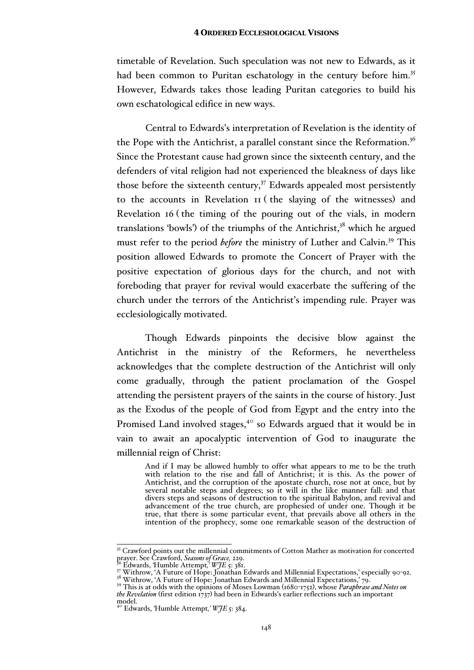timetable of Revelation. Such speculation was not new to Edwards, as it had been common to Puritan eschatology in the century before him.<sup>35</sup> However, Edwards takes those leading Puritan categories to build his own eschatological edifice in new ways.

Central to Edwards's interpretation of Revelation is the identity of the Pope with the Antichrist, a parallel constant since the Reformation.<sup>36</sup> Since the Protestant cause had grown since the sixteenth century, and the defenders of vital religion had not experienced the bleakness of days like those before the sixteenth century,<sup>37</sup> Edwards appealed most persistently to the accounts in Revelation 11 ( the slaying of the witnesses) and Revelation 16 ( the timing of the pouring out of the vials, in modern translations 'bowls') of the triumphs of the Antichrist, $3^8$  which he argued must refer to the period *before* the ministry of Luther and Calvin.<sup>39</sup> This position allowed Edwards to promote the Concert of Prayer with the positive expectation of glorious days for the church, and not with foreboding that prayer for revival would exacerbate the suffering of the church under the terrors of the Antichrist's impending rule. Prayer was ecclesiologically motivated.

Though Edwards pinpoints the decisive blow against the Antichrist in the ministry of the Reformers, he nevertheless acknowledges that the complete destruction of the Antichrist will only come gradually, through the patient proclamation of the Gospel attending the persistent prayers of the saints in the course of history. Just as the Exodus of the people of God from Egypt and the entry into the Promised Land involved stages,<sup>40</sup> so Edwards argued that it would be in vain to await an apocalyptic intervention of God to inaugurate the millennial reign of Christ:

And if I may be allowed humbly to offer what appears to me to be the truth with relation to the rise and fall of Antichrist; it is this. As the power of Antichrist, and the corruption of the apostate church, rose not at once, but by several notable steps and degrees; so it will in the like manner fall: and that divers steps and seasons of destruction to the spiritual Babylon, and revival and advancement of the true church, are prophesied of under one. Though it be true, that there is some particular event, that prevails above all others in the intention of the prophecy, some one remarkable season of the destruction of

<sup>&</sup>lt;sup>35</sup> Crawford points out the millennial commitments of Cotton Mather as motivation for concerted

Crawford points out the inheritial communities of Cotton Mather as motivation for concerted<br>prayer. See Crawford, Seasons of Grace, 229.<br><sup>37</sup> Edwards, Humble Attempt, *WHE* 5: 381.<br><sup>37</sup> Withrow, 'A Future of Hope: Jonathan

<sup>&</sup>lt;sup>39</sup> This is at odds with the opinions of Moses Lowman (1680-1752), whose *Paraphrase and Notes on*<br>the Revelation (first edition 1737) had been in Edwards's earlier reflections such an important model. 40 Edwards, *'*Humble Attempt*,' WJE* 5: 384.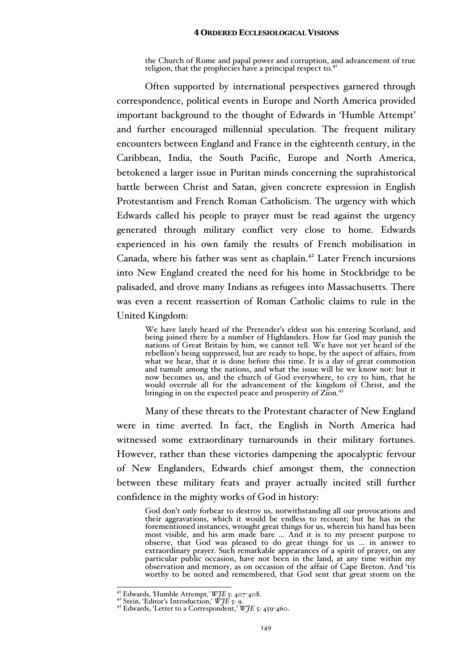the Church of Rome and papal power and corruption, and advancement of true religion, that the prophecies have a principal respect to.<sup>41</sup>

Often supported by international perspectives garnered through correspondence, political events in Europe and North America provided important background to the thought of Edwards in 'Humble Attempt' and further encouraged millennial speculation. The frequent military encounters between England and France in the eighteenth century, in the Caribbean, India, the South Pacific, Europe and North America, betokened a larger issue in Puritan minds concerning the suprahistorical battle between Christ and Satan, given concrete expression in English Protestantism and French Roman Catholicism. The urgency with which Edwards called his people to prayer must be read against the urgency generated through military conflict very close to home. Edwards experienced in his own family the results of French mobilisation in Canada, where his father was sent as chaplain.<sup>42</sup> Later French incursions into New England created the need for his home in Stockbridge to be palisaded, and drove many Indians as refugees into Massachusetts. There was even a recent reassertion of Roman Catholic claims to rule in the United Kingdom:

We have lately heard of the Pretender's eldest son his entering Scotland, and being joined there by a number of Highlanders. How far God may punish the nations of Great Britain by him, we cannot tell. We have not yet heard of the rebellion's being suppressed, but are ready to hope, by the aspect of affairs, from what we hear, that it is done before this time. It is a day of great commotion and tumult among the nations, and what the issue will be we know not: but it now becomes us, and the church of God everywhere, to cry to him, that he would overrule all for the advancement of the kingdom of Christ, and the bringing in on the expected peace and prosperity of Zion.<sup>43</sup>

Many of these threats to the Protestant character of New England were in time averted. In fact, the English in North America had witnessed some extraordinary turnarounds in their military fortunes. However, rather than these victories dampening the apocalyptic fervour of New Englanders, Edwards chief amongst them, the connection between these military feats and prayer actually incited still further confidence in the mighty works of God in history:

God don't only forbear to destroy us, notwithstanding all our provocations and their aggravations, which it would be endless to recount; but he has in the forementioned instances, wrought great things for us, wherein his hand has been most visible, and his arm made bare … And it is to my present purpose to observe, that God was pleased to do great things for us … in answer to extraordinary prayer. Such remarkable appearances of a spirit of prayer, on any particular public occasion, have not been in the land, at any time within my particular public occasion, have not been in the land, at any time within my observation and memory, as on occasion of the affair of Cape Breton. And 'tis worthy to be noted and remembered, that God sent that great storm on the

<sup>&</sup>lt;sup>41</sup> Edwards, *Humble Attempt*,' *WJE 5*: 407-408.<br><sup>42</sup> Stein, 'Editor's Introduction,' *WJE 5*: 9.<br><sup>43</sup> Edwards, 'Letter to a Correspondent,' *WJE 5*: 459-460.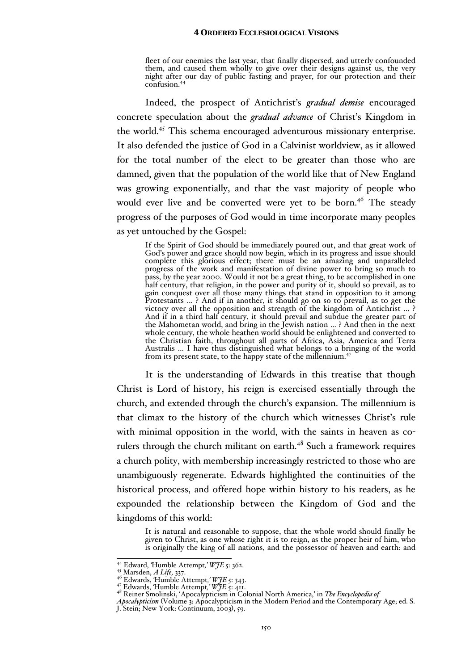fleet of our enemies the last year, that finally dispersed, and utterly confounded them, and caused them wholly to give over their designs against us, the very night after our day of public fasting and prayer, for our protection and their confusion.<sup>44</sup>

Indeed, the prospect of Antichrist's *gradual demise* encouraged concrete speculation about the *gradual advance* of Christ's Kingdom in the world.45 This schema encouraged adventurous missionary enterprise. It also defended the justice of God in a Calvinist worldview, as it allowed for the total number of the elect to be greater than those who are damned, given that the population of the world like that of New England was growing exponentially, and that the vast majority of people who would ever live and be converted were yet to be born.<sup>46</sup> The steady progress of the purposes of God would in time incorporate many peoples as yet untouched by the Gospel:

If the Spirit of God should be immediately poured out, and that great work of God's power and grace should now begin, which in its progress and issue should complete this glorious effect; there must be an amazing and unparalleled progress of the work and manifestation of divine power to bring so much to pass, by the year 2000. Would it not be a great thing, to be accomplished in one half century, that religion, in the power and purity of it, should so prevail, as to gain conquest over all those many things that stand in opposition to it among Protestants … ? And if in another, it should go on so to prevail, as to get the victory over all the opposition and strength of the kingdom of Antichrist … ? And if in a third half century, it should prevail and subdue the greater part of the Mahometan world, and bring in the Jewish nation … ? And then in the next whole century, the whole heathen world should be enlightened and converted to the Christian faith, throughout all parts of Africa, Asia, America and Terra Australis … I have thus distinguished what belongs to a bringing of the world from its present state, to the happy state of the millennium.<sup>47</sup>

It is the understanding of Edwards in this treatise that though Christ is Lord of history, his reign is exercised essentially through the church, and extended through the church's expansion. The millennium is that climax to the history of the church which witnesses Christ's rule with minimal opposition in the world, with the saints in heaven as corulers through the church militant on earth. $4^8$  Such a framework requires a church polity, with membership increasingly restricted to those who are unambiguously regenerate. Edwards highlighted the continuities of the historical process, and offered hope within history to his readers, as he expounded the relationship between the Kingdom of God and the kingdoms of this world:

It is natural and reasonable to suppose, that the whole world should finally be given to Christ, as one whose right it is to reign, as the proper heir of him, who is originally the king of all nations, and the possessor of heaven and earth: and

<sup>&</sup>lt;sup>44</sup> Edward, Humble Attempt,' *WJE 5*: 362.<br><sup>45</sup> Marsden, *A Life*, 337.<br><sup>46</sup> Edwards, Humble Attempt,' *WJE 5*: 343.<br><sup>47</sup> Edwards, Humble Attempt,' *WJE 5*: 411.<br><sup>48</sup> Reiner Smolinski, 'Apocalypticism in Colonial North Am

*Apocalypticism* (Volume 3: Apocalypticism in the Modern Period and the Contemporary Age; ed. S. J. Stein; New York: Continuum, 2003), 59.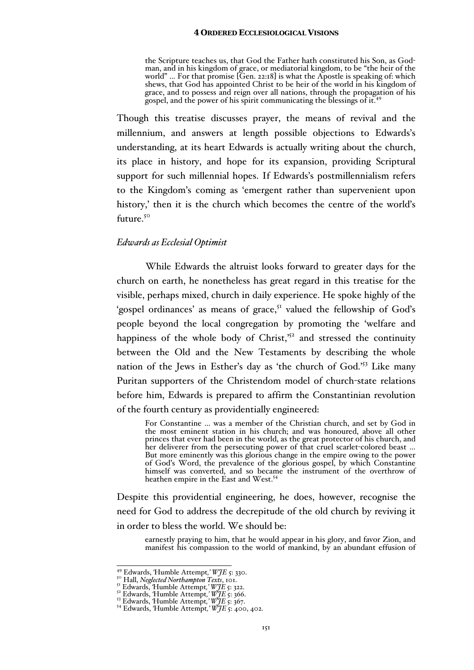the Scripture teaches us, that God the Father hath constituted his Son, as Godman, and in his kingdom of grace, or mediatorial kingdom, to be "the heir of the world" … For that promise [Gen. 22:18] is what the Apostle is speaking of: which shews, that God has appointed Christ to be heir of the world in his kingdom of grace, and to possess and reign over all nations, through the propagation of his gospel, and the power of his spirit communicating the blessings of it.<sup>49</sup>

Though this treatise discusses prayer, the means of revival and the millennium, and answers at length possible objections to Edwards's understanding, at its heart Edwards is actually writing about the church, its place in history, and hope for its expansion, providing Scriptural support for such millennial hopes. If Edwards's postmillennialism refers to the Kingdom's coming as 'emergent rather than supervenient upon history,' then it is the church which becomes the centre of the world's future.<sup>50</sup>

## *Edwards as Ecclesial Optimist*

While Edwards the altruist looks forward to greater days for the church on earth, he nonetheless has great regard in this treatise for the visible, perhaps mixed, church in daily experience. He spoke highly of the 'gospel ordinances' as means of grace,<sup>51</sup> valued the fellowship of God's people beyond the local congregation by promoting the 'welfare and happiness of the whole body of Christ,<sup>32</sup> and stressed the continuity between the Old and the New Testaments by describing the whole nation of the Jews in Esther's day as 'the church of God.'53 Like many Puritan supporters of the Christendom model of church-state relations before him, Edwards is prepared to affirm the Constantinian revolution of the fourth century as providentially engineered:

For Constantine … was a member of the Christian church, and set by God in the most eminent station in his church; and was honoured, above all other princes that ever had been in the world, as the great protector of his church, and her deliverer from the persecuting power of that cruel scarlet-colored beast … But more eminently was this glorious change in the empire owing to the power of God's Word, the prevalence of the glorious gospel, by which Constantine himself was converted, and so became the instrument of the overthrow of heathen empire in the East and West. $^{54}$ 

Despite this providential engineering, he does, however, recognise the need for God to address the decrepitude of the old church by reviving it in order to bless the world. We should be:

earnestly praying to him, that he would appear in his glory, and favor Zion, and manifest his compassion to the world of mankind, by an abundant effusion of

<sup>&</sup>lt;sup>49</sup> Edwards, Humble Attempt, *WJE* 5: 330.<br><sup>50</sup> Hall, *Neglected Northampton Texts*, 101.<br><sup>51</sup> Edwards, Humble Attempt, *WJE* 5: 322.<br><sup>52</sup> Edwards, Humble Attempt, *WJE* 5: 366.<br><sup>53</sup> Edwards, Humble Attempt, *WJE* 5: 367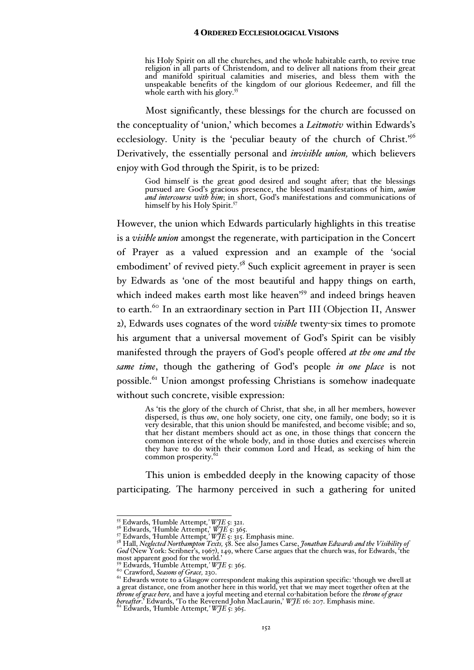his Holy Spirit on all the churches, and the whole habitable earth, to revive true religion in all parts of Christendom, and to deliver all nations from their great and manifold spiritual calamities and miseries, and bless them with the unspeakable benefits of the kingdom of our glorious Redeemer, and fill the whole earth with his glory.<sup>55</sup>

Most significantly, these blessings for the church are focussed on the conceptuality of 'union,' which becomes a *Leitmotiv* within Edwards's ecclesiology. Unity is the 'peculiar beauty of the church of Christ.'<sup>56</sup> Derivatively, the essentially personal and *invisible union,* which believers enjoy with God through the Spirit, is to be prized:

God himself is the great good desired and sought after; that the blessings pursued are God's gracious presence, the blessed manifestations of him, *union and intercourse with him*; in short, God's manifestations and communications of himself by his Holy Spirit.<sup>57</sup>

However, the union which Edwards particularly highlights in this treatise is a *visible union* amongst the regenerate, with participation in the Concert of Prayer as a valued expression and an example of the 'social embodiment' of revived piety.<sup>58</sup> Such explicit agreement in prayer is seen by Edwards as 'one of the most beautiful and happy things on earth, which indeed makes earth most like heaven'<sup>59</sup> and indeed brings heaven to earth.<sup>60</sup> In an extraordinary section in Part III (Objection II, Answer 2), Edwards uses cognates of the word *visible* twenty-six times to promote his argument that a universal movement of God's Spirit can be visibly manifested through the prayers of God's people offered *at the one and the same time*, though the gathering of God's people *in one place* is not possible.<sup>61</sup> Union amongst professing Christians is somehow inadequate without such concrete, visible expression:

As 'tis the glory of the church of Christ, that she, in all her members, however dispersed, is thus *one*, one holy society, one city, one family, one body; so it is very desirable, that this union should be manifested, and become visible; and so, that her distant members should act as one, in those things that concern the common interest of the whole body, and in those duties and exercises wherein they have to do with their common Lord and Head, as seeking of him the common prosperity.<sup>62</sup>

This union is embedded deeply in the knowing capacity of those participating. The harmony perceived in such a gathering for united

<sup>55</sup> Edwards, *'*Humble Attempt*,' WJE 5*: 321.<br><sup>56</sup> Edwards, 'Humble Attempt,' *WJE 5*: 365.<br><sup>57</sup> Edwards, *'*Humble Attempt*,' WJE 5*: 315. Emphasis mine.

<sup>58</sup> Hall, *Neglected Northampton Texts,* 58. See also James Carse, *Jonathan Edwards and the Visibility of God* (New York: Scribner's, 1967), 149, where Carse argues that the church was, for Edwards, 'the

most apparent good for the world.'<br><sup>59</sup> Edwards, Humble Attempt,' WJE 5: 365.<br><sup>60</sup> Crawford, *Seasons of Grace,* 230.<br><sup>61</sup> Edwards wrote to a Glasgow correspondent making this aspiration specific: 'though we dwell at a great distance, one from another here in this world, yet that we may meet together often at the *throne of grace here*, and have a joyful meeting and eternal co-habitation before the *throne of grace hereafter*.' Edwards, 'To the Reverend John MacLaurin,' *WJE* 16: 207. Emphasis mine. 62 Edwards, *'*Humble Attempt*,' WJE* 5: 365.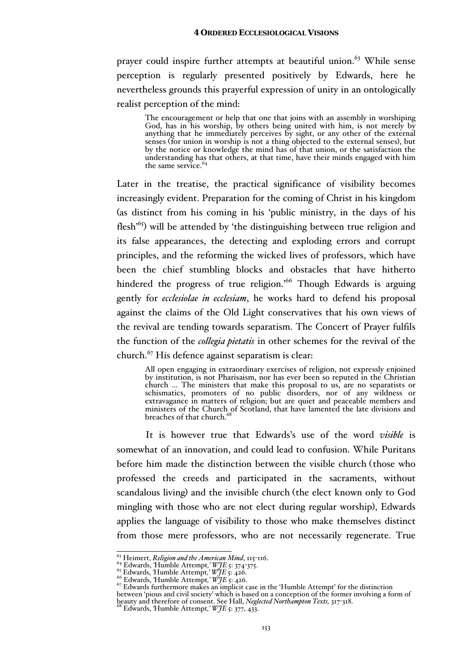prayer could inspire further attempts at beautiful union.<sup>63</sup> While sense perception is regularly presented positively by Edwards, here he nevertheless grounds this prayerful expression of unity in an ontologically realist perception of the mind:

The encouragement or help that one that joins with an assembly in worshiping God, has in his worship, by others being united with him, is not merely by anything that he immediately perceives by sight, or any other of the external senses (for union in worship is not a thing objected to the external senses), but by the notice or knowledge the mind has of that union, or the satisfaction the understanding has that others, at that time, have their minds engaged with him the same service.<sup>6</sup>

Later in the treatise, the practical significance of visibility becomes increasingly evident. Preparation for the coming of Christ in his kingdom (as distinct from his coming in his 'public ministry, in the days of his flesh<sup> $65$ </sup>) will be attended by 'the distinguishing between true religion and its false appearances, the detecting and exploding errors and corrupt principles, and the reforming the wicked lives of professors, which have been the chief stumbling blocks and obstacles that have hitherto hindered the progress of true religion.<sup>66</sup> Though Edwards is arguing gently for *ecclesiolae in ecclesiam*, he works hard to defend his proposal against the claims of the Old Light conservatives that his own views of the revival are tending towards separatism. The Concert of Prayer fulfils the function of the *collegia pietatis* in other schemes for the revival of the church. $67$  His defence against separatism is clear:

All open engaging in extraordinary exercises of religion, not expressly enjoined by institution, is not Pharisaism, nor has ever been so reputed in the Christian church … The ministers that make this proposal to us, are no separatists or schismatics, promoters of no public disorders, nor of any wildness or extravagance in matters of religion; but are quiet and peaceable members and ministers of the Church of Scotland, that have lamented the late divisions and breaches of that church.<sup>4</sup>

It is however true that Edwards's use of the word *visible* is somewhat of an innovation, and could lead to confusion. While Puritans before him made the distinction between the visible church (those who professed the creeds and participated in the sacraments, without scandalous living) and the invisible church (the elect known only to God mingling with those who are not elect during regular worship), Edwards applies the language of visibility to those who make themselves distinct from those mere professors, who are not necessarily regenerate. True

<sup>63</sup> Heimert, *Religion and the American Mind*, 115-116.

<sup>&</sup>lt;sup>64</sup> Edwards, Humble Attempt,' *WJE 5*: 374-375.<br>
<sup>64</sup> Edwards, Humble Attempt,' *WJE 5*: 374-375.<br>
<sup>65</sup> Edwards, Humble Attempt,' *WJE 5*: 426.<br>
<sup>66</sup> Edwards, Humble Attempt,' *WJE 5*: 426.<br>
<sup>66</sup> Edwards furthermore makes between 'pious and civil society' which is based on a conception of the former involving a form of beauty and therefore of consent. See Hall, *Neglected Northampton Texts,* <sup>317</sup>-318. 68 Edwards, *'*Humble Attempt*,' WJE* 5: 377, 433.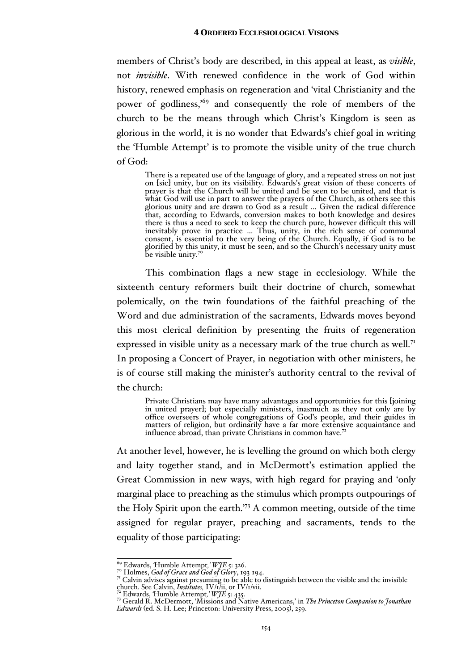members of Christ's body are described, in this appeal at least, as *visible*, not *invisible*. With renewed confidence in the work of God within history, renewed emphasis on regeneration and 'vital Christianity and the power of godliness,<sup>69</sup> and consequently the role of members of the church to be the means through which Christ's Kingdom is seen as glorious in the world, it is no wonder that Edwards's chief goal in writing the 'Humble Attempt' is to promote the visible unity of the true church of God:

There is a repeated use of the language of glory, and a repeated stress on not just on [sic] unity, but on its visibility. Edwards's great vision of these concerts of prayer is that the Church will be united and be seen to be united, and that is what God will use in part to answer the prayers of the Church, as others see this glorious unity and are drawn to God as a result … Given the radical difference that, according to Edwards, conversion makes to both knowledge and desires there is thus a need to seek to keep the church pure, however difficult this will inevitably prove in practice … Thus, unity, in the rich sense of communal consent, is essential to the very being of the Church. Equally, if God is to be glorified by this unity, it must be seen, and so the Church's necessary unity must be visible unity. $7$ 

This combination flags a new stage in ecclesiology. While the sixteenth century reformers built their doctrine of church, somewhat polemically, on the twin foundations of the faithful preaching of the Word and due administration of the sacraments, Edwards moves beyond this most clerical definition by presenting the fruits of regeneration expressed in visible unity as a necessary mark of the true church as well. $7<sup>T</sup>$ In proposing a Concert of Prayer, in negotiation with other ministers, he is of course still making the minister's authority central to the revival of the church:

Private Christians may have many advantages and opportunities for this [joining in united prayer]; but especially ministers, inasmuch as they not only are by office overseers of whole congregations of God's people, and their guides in matters of religion, but ordinarily have a far more extensive acquaintance and influence abroad, than private Christians in common have.<sup>72</sup>

At another level, however, he is levelling the ground on which both clergy and laity together stand, and in McDermott's estimation applied the Great Commission in new ways, with high regard for praying and 'only marginal place to preaching as the stimulus which prompts outpourings of the Holy Spirit upon the earth.'73 A common meeting, outside of the time assigned for regular prayer, preaching and sacraments, tends to the equality of those participating:

<sup>&</sup>lt;sup>69</sup> Edwards, *`Humble Attempt,' WJE 5*: 326.<br><sup>70</sup> Holmes, *God of Grace and God of Glory*, 193-194.<br><sup>71</sup> Calvin advises against presuming to be able to distinguish between the visible and the invisible church. See Calvin, *Institutes,* IV/1/ii, or IV/1/vii.<br><sup>72</sup> Edwards, 'Humble Attempt,' WJE 5: 435.<br><sup>73</sup> Gerald R. McDermott, 'Missions and Native Americans,' in *The Princeton Companion to Jonathan* 

*Edwards* (ed. S. H. Lee; Princeton: University Press, 2005), 259.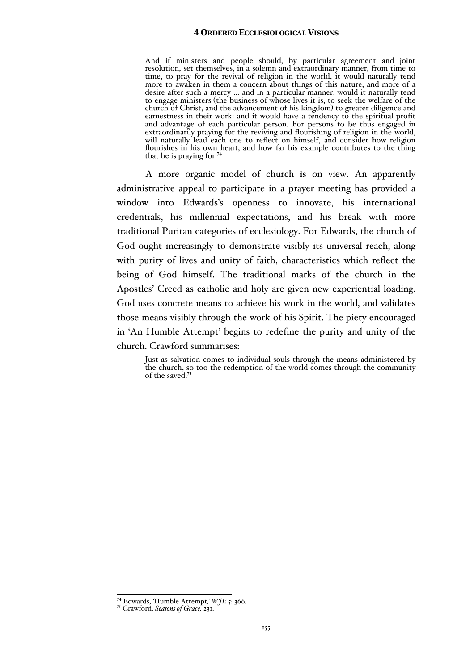And if ministers and people should, by particular agreement and joint resolution, set themselves, in a solemn and extraordinary manner, from time to time, to pray for the revival of religion in the world, it would naturally tend more to awaken in them a concern about things of this nature, and more of a desire after such a mercy … and in a particular manner, would it naturally tend to engage ministers (the business of whose lives it is, to seek the welfare of the church of Christ, and the advancement of his kingdom) to greater diligence and earnestness in their work: and it would have a tendency to the spiritual profit and advantage of each particular person. For persons to be thus engaged in extraordinarily praying for the reviving and flourishing of religion in the world, will naturally lead each one to reflect on himself, and consider how religion flourishes in his own heart, and how far his example contributes to the thing that he is praying for. $74$ 

A more organic model of church is on view. An apparently administrative appeal to participate in a prayer meeting has provided a window into Edwards's openness to innovate, his international credentials, his millennial expectations, and his break with more traditional Puritan categories of ecclesiology. For Edwards, the church of God ought increasingly to demonstrate visibly its universal reach, along with purity of lives and unity of faith, characteristics which reflect the being of God himself. The traditional marks of the church in the Apostles' Creed as catholic and holy are given new experiential loading. God uses concrete means to achieve his work in the world, and validates those means visibly through the work of his Spirit. The piety encouraged in 'An Humble Attempt' begins to redefine the purity and unity of the church. Crawford summarises:

Just as salvation comes to individual souls through the means administered by the church, so too the redemption of the world comes through the community of the saved.75

74 Edwards, *'*Humble Attempt*,' WJE* 5: 366. <sup>75</sup> Crawford, *Seasons of Grace,* 231.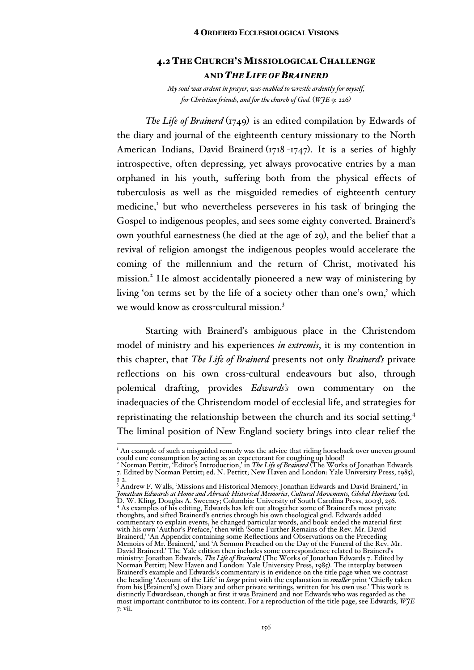# 4.2 THE CHURCH'S MISSIOLOGICAL CHALLENGE AND *THE LIFE OF BRAINERD*

*My soul was ardent in prayer, was enabled to wrestle ardently for myself, for Christian friends, and for the church of God.* (*WJE* 9: 226*)*

*The Life of Brainerd* (1749) is an edited compilation by Edwards of the diary and journal of the eighteenth century missionary to the North American Indians, David Brainerd (1718 -1747). It is a series of highly introspective, often depressing, yet always provocative entries by a man orphaned in his youth, suffering both from the physical effects of tuberculosis as well as the misguided remedies of eighteenth century medicine,<sup>1</sup> but who nevertheless perseveres in his task of bringing the Gospel to indigenous peoples, and sees some eighty converted. Brainerd's own youthful earnestness (he died at the age of 29), and the belief that a revival of religion amongst the indigenous peoples would accelerate the coming of the millennium and the return of Christ, motivated his mission.2 He almost accidentally pioneered a new way of ministering by living 'on terms set by the life of a society other than one's own,' which we would know as cross-cultural mission.<sup>3</sup>

Starting with Brainerd's ambiguous place in the Christendom model of ministry and his experiences *in extremis*, it is my contention in this chapter, that *The Life of Brainerd* presents not only *Brainerd's* private reflections on his own cross-cultural endeavours but also, through polemical drafting, provides *Edwards's* own commentary on the inadequacies of the Christendom model of ecclesial life, and strategies for repristinating the relationship between the church and its social setting.4 The liminal position of New England society brings into clear relief the

<sup>-&</sup>lt;br>1 <sup>1</sup> An example of such a misguided remedy was the advice that riding horseback over uneven ground could cure consumption by acting as an expectorant for coughing up blood! <sup>2</sup> Norman Pettitt, 'Editor's Introduction,' in *The Life of Brainerd* (The Works of Jonathan Edwards

<sup>7.</sup> Edited by Norman Pettitt; ed. N. Pettitt; New Haven and London: Yale University Press, 1985),

<sup>1-2.&</sup>lt;br><sup>3</sup> Andrew F. Walls, 'Missions and Historical Memory: Jonathan Edwards and David Brainerd,' in *Jonathan Edwards at Home and Abroad: Historical Memories, Cultural Movements, Global Horizons* (ed. D. W. Kling, Douglas A. Sweeney; Columbia: University of South Carolina Press, 2003), 256. <sup>4</sup> As examples of his editing, Edwards has left out altogether some of Brainerd's most private thoughts, and sifted Brainerd's entries through his own theological grid. Edwards added commentary to explain events, he changed particular words, and book-ended the material first with his own 'Author's Preface,' then with 'Some Further Remains of the Rev. Mr. David Brainerd,' 'An Appendix containing some Reflections and Observations on the Preceding Memoirs of Mr. Brainerd,' and 'A Sermon Preached on the Day of the Funeral of the Rev. Mr. David Brainerd.' The Yale edition then includes some correspondence related to Brainerd's ministry: Jonathan Edwards, *The Life of Brainerd* (The Works of Jonathan Edwards 7. Edited by Norman Pettitt; New Haven and London: Yale University Press, 1985). The interplay between<br>Brainerd's example and Edwards's commentary is in evidence on the title page when we contrast<br>the heading 'Account of the Life' in from his [Brainerd's] own Diary and other private writings, written for his own use.' This work is distinctly Edwardsean, though at first it was Brainerd and not Edwards who was regarded as the most important contributor to its content. For a reproduction of the title page, see Edwards, *WJE*  7: vii.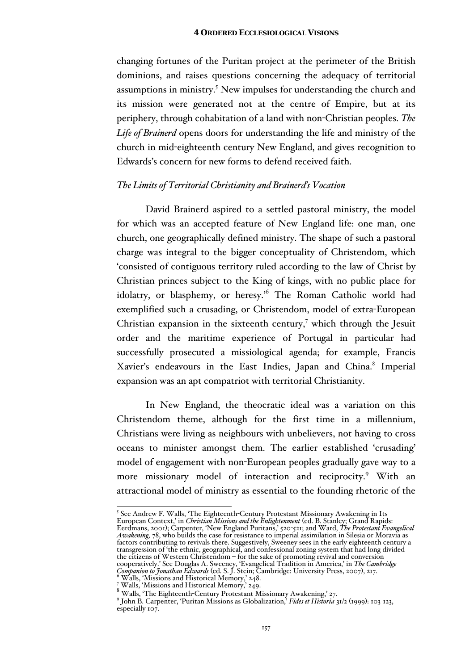changing fortunes of the Puritan project at the perimeter of the British dominions, and raises questions concerning the adequacy of territorial assumptions in ministry.<sup>5</sup> New impulses for understanding the church and its mission were generated not at the centre of Empire, but at its periphery, through cohabitation of a land with non-Christian peoples. *The Life of Brainerd* opens doors for understanding the life and ministry of the church in mid-eighteenth century New England, and gives recognition to Edwards's concern for new forms to defend received faith.

### *The Limits of Territorial Christianity and Brainerd's Vocation*

David Brainerd aspired to a settled pastoral ministry, the model for which was an accepted feature of New England life: one man, one church, one geographically defined ministry. The shape of such a pastoral charge was integral to the bigger conceptuality of Christendom, which 'consisted of contiguous territory ruled according to the law of Christ by Christian princes subject to the King of kings, with no public place for idolatry, or blasphemy, or heresy.<sup>56</sup> The Roman Catholic world had exemplified such a crusading, or Christendom, model of extra-European Christian expansion in the sixteenth century, $7$  which through the Jesuit order and the maritime experience of Portugal in particular had successfully prosecuted a missiological agenda; for example, Francis Xavier's endeavours in the East Indies, Japan and China.<sup>8</sup> Imperial expansion was an apt compatriot with territorial Christianity.

In New England, the theocratic ideal was a variation on this Christendom theme, although for the first time in a millennium, Christians were living as neighbours with unbelievers, not having to cross oceans to minister amongst them. The earlier established 'crusading' model of engagement with non-European peoples gradually gave way to a more missionary model of interaction and reciprocity.<sup>9</sup> With an attractional model of ministry as essential to the founding rhetoric of the

<sup>-&</sup>lt;br>5 See Andrew F. Walls, 'The Eighteenth-Century Protestant Missionary Awakening in Its European Context,' in *Christian Missions and the Enlightenment* (ed. B. Stanley; Grand Rapids: Eerdmans, 2001); Carpenter, 'New England Puritans,' 520-521; and Ward, *The Protestant Evangelical Awakening,* 78, who builds the case for resistance to imperial assimilation in Silesia or Moravia as factors contributing to revivals there. Suggestively, Sweeney sees in the early eighteenth century a transgression of 'the ethnic, geographical, and confessional zoning system that had long divided the citizens of Western Christendom – for the sake of promoting revival and conversion cooperatively.' See Douglas A. Sweeney, 'Evangelical Tradition in America,' in *The Cambridge Companion to Jonathan Edwards* (ed. S. J. Stein; Cambridge: University Press, 2007), 217.<br><sup>6</sup> Walls, 'Missions and Historical Memory,' 248.<br><sup>7</sup> Walls, 'Missions and Historical Memory,' 249.<br><sup>8</sup> Walls, 'The Eighteenth-Cent

especially 107.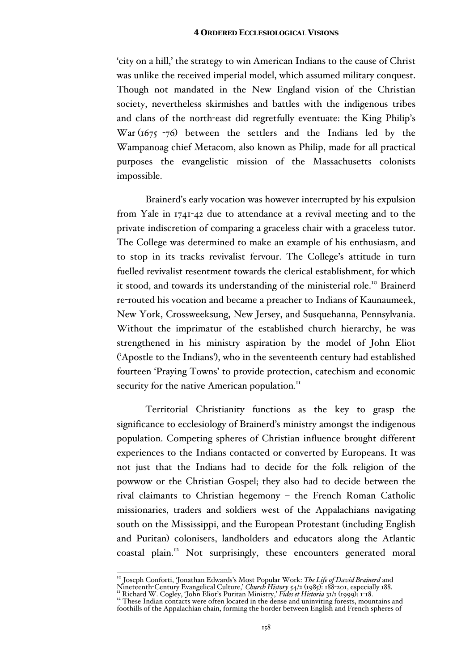'city on a hill,' the strategy to win American Indians to the cause of Christ was unlike the received imperial model, which assumed military conquest. Though not mandated in the New England vision of the Christian society, nevertheless skirmishes and battles with the indigenous tribes and clans of the north-east did regretfully eventuate: the King Philip's War (1675 -76) between the settlers and the Indians led by the Wampanoag chief Metacom, also known as Philip, made for all practical purposes the evangelistic mission of the Massachusetts colonists impossible.

Brainerd's early vocation was however interrupted by his expulsion from Yale in 1741-42 due to attendance at a revival meeting and to the private indiscretion of comparing a graceless chair with a graceless tutor. The College was determined to make an example of his enthusiasm, and to stop in its tracks revivalist fervour. The College's attitude in turn fuelled revivalist resentment towards the clerical establishment, for which it stood, and towards its understanding of the ministerial role.<sup>10</sup> Brainerd re-routed his vocation and became a preacher to Indians of Kaunaumeek, New York, Crossweeksung, New Jersey, and Susquehanna, Pennsylvania. Without the imprimatur of the established church hierarchy, he was strengthened in his ministry aspiration by the model of John Eliot ('Apostle to the Indians'), who in the seventeenth century had established fourteen 'Praying Towns' to provide protection, catechism and economic security for the native American population.<sup>11</sup>

Territorial Christianity functions as the key to grasp the significance to ecclesiology of Brainerd's ministry amongst the indigenous population. Competing spheres of Christian influence brought different experiences to the Indians contacted or converted by Europeans. It was not just that the Indians had to decide for the folk religion of the powwow or the Christian Gospel; they also had to decide between the rival claimants to Christian hegemony – the French Roman Catholic missionaries, traders and soldiers west of the Appalachians navigating south on the Mississippi, and the European Protestant (including English and Puritan) colonisers, landholders and educators along the Atlantic coastal plain.<sup>12</sup> Not surprisingly, these encounters generated moral

<sup>10</sup> Joseph Conforti, 'Jonathan Edwards's Most Popular Work: *The Life of David Brainerd* and Nineteenth-Century Evangelical Culture,' *Church History 54*/2 (1985): 188-201, especially 188.<br><sup>11</sup> Richard W. Cogley, 'John Eliot's Puritan Ministry,' *Fides et Historia 3*1/1 (1999): 1-18.<br><sup>12</sup> These Indian contacts wer

foothills of the Appalachian chain, forming the border between English and French spheres of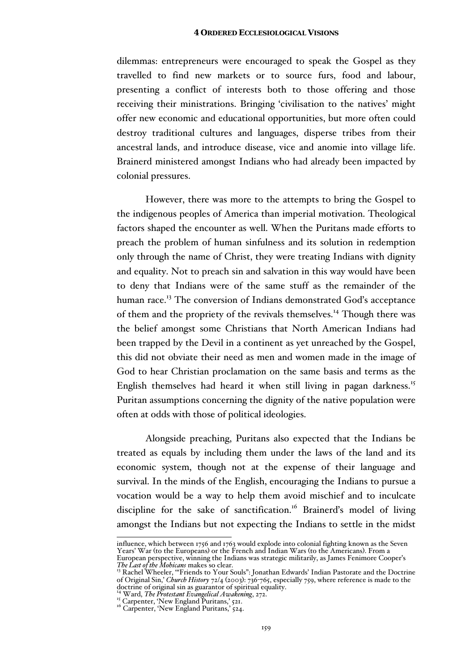dilemmas: entrepreneurs were encouraged to speak the Gospel as they travelled to find new markets or to source furs, food and labour, presenting a conflict of interests both to those offering and those receiving their ministrations. Bringing 'civilisation to the natives' might offer new economic and educational opportunities, but more often could destroy traditional cultures and languages, disperse tribes from their ancestral lands, and introduce disease, vice and anomie into village life. Brainerd ministered amongst Indians who had already been impacted by colonial pressures.

However, there was more to the attempts to bring the Gospel to the indigenous peoples of America than imperial motivation. Theological factors shaped the encounter as well. When the Puritans made efforts to preach the problem of human sinfulness and its solution in redemption only through the name of Christ, they were treating Indians with dignity and equality. Not to preach sin and salvation in this way would have been to deny that Indians were of the same stuff as the remainder of the human race.<sup>13</sup> The conversion of Indians demonstrated God's acceptance of them and the propriety of the revivals themselves.<sup>14</sup> Though there was the belief amongst some Christians that North American Indians had been trapped by the Devil in a continent as yet unreached by the Gospel, this did not obviate their need as men and women made in the image of God to hear Christian proclamation on the same basis and terms as the English themselves had heard it when still living in pagan darkness.<sup>15</sup> Puritan assumptions concerning the dignity of the native population were often at odds with those of political ideologies.

Alongside preaching, Puritans also expected that the Indians be treated as equals by including them under the laws of the land and its economic system, though not at the expense of their language and survival. In the minds of the English, encouraging the Indians to pursue a vocation would be a way to help them avoid mischief and to inculcate discipline for the sake of sanctification.<sup>16</sup> Brainerd's model of living amongst the Indians but not expecting the Indians to settle in the midst

1

influence, which between 1756 and 1763 would explode into colonial fighting known as the Seven Years' War (to the Europeans) or the French and Indian Wars (to the Americans). From a European perspective, winning the Indians was strategic militarily, as James Fenimore Cooper's *The Last of the Mohicans* makes so clear.<br><sup>13</sup> Rachel Wheeler, '"Friends to Your Souls": Jonathan Edwards' Indian Pastorate and the Doctrine

of Original Sin,' *Church History* 72/4 (2003): 736-765, especially 759, where reference is made to the doctrine of original sin as guarantor of spiritual equality.<br><sup>14</sup> Ward, *The Protestant Evangelical Awakening*, 272.<br><sup>15</sup> Carpenter, 'New England Puritans,' 524.<br><sup>16</sup> Carpenter, 'New England Puritans,' 524.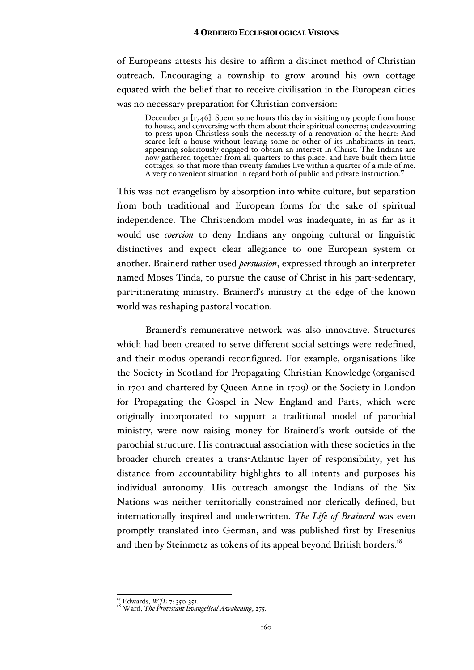of Europeans attests his desire to affirm a distinct method of Christian outreach. Encouraging a township to grow around his own cottage equated with the belief that to receive civilisation in the European cities was no necessary preparation for Christian conversion:

December 31 [1746]. Spent some hours this day in visiting my people from house to house, and conversing with them about their spiritual concerns; endeavouring to press upon Christless souls the necessity of a renovation of the heart: And scarce left a house without leaving some or other of its inhabitants in tears, appearing solicitously engaged to obtain an interest in Christ. The Indians are now gathered together from all quarters to this place, and have built them little cottages, so that more than twenty families live within a quarter of a mile of me. A very convenient situation in regard both of public and private instruction.<sup>17</sup>

This was not evangelism by absorption into white culture, but separation from both traditional and European forms for the sake of spiritual independence. The Christendom model was inadequate, in as far as it would use *coercion* to deny Indians any ongoing cultural or linguistic distinctives and expect clear allegiance to one European system or another. Brainerd rather used *persuasion*, expressed through an interpreter named Moses Tinda, to pursue the cause of Christ in his part-sedentary, part-itinerating ministry. Brainerd's ministry at the edge of the known world was reshaping pastoral vocation.

Brainerd's remunerative network was also innovative. Structures which had been created to serve different social settings were redefined, and their modus operandi reconfigured. For example, organisations like the Society in Scotland for Propagating Christian Knowledge (organised in 1701 and chartered by Queen Anne in 1709) or the Society in London for Propagating the Gospel in New England and Parts, which were originally incorporated to support a traditional model of parochial ministry, were now raising money for Brainerd's work outside of the parochial structure. His contractual association with these societies in the broader church creates a trans-Atlantic layer of responsibility, yet his distance from accountability highlights to all intents and purposes his individual autonomy. His outreach amongst the Indians of the Six Nations was neither territorially constrained nor clerically defined, but internationally inspired and underwritten. *The Life of Brainerd* was even promptly translated into German, and was published first by Fresenius and then by Steinmetz as tokens of its appeal beyond British borders.<sup>18</sup>

<sup>&</sup>lt;sup>17</sup> Edwards, *WJE* 7: 350-351.<br><sup>18</sup> Ward, *The Protestant Evangelical Awakening*, 275.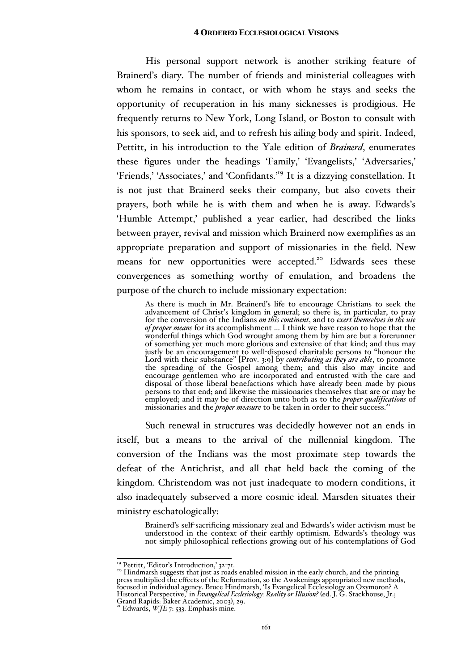His personal support network is another striking feature of Brainerd's diary. The number of friends and ministerial colleagues with whom he remains in contact, or with whom he stays and seeks the opportunity of recuperation in his many sicknesses is prodigious. He frequently returns to New York, Long Island, or Boston to consult with his sponsors, to seek aid, and to refresh his ailing body and spirit. Indeed, Pettitt, in his introduction to the Yale edition of *Brainerd*, enumerates these figures under the headings 'Family,' 'Evangelists,' 'Adversaries,' 'Friends,' 'Associates,' and 'Confidants.'19 It is a dizzying constellation. It is not just that Brainerd seeks their company, but also covets their prayers, both while he is with them and when he is away. Edwards's 'Humble Attempt,' published a year earlier, had described the links between prayer, revival and mission which Brainerd now exemplifies as an appropriate preparation and support of missionaries in the field. New means for new opportunities were accepted.<sup>20</sup> Edwards sees these convergences as something worthy of emulation, and broadens the purpose of the church to include missionary expectation:

As there is much in Mr. Brainerd's life to encourage Christians to seek the advancement of Christ's kingdom in general; so there is, in particular, to pray for the conversion of the Indians *on this continent*, and to *exert themselves in the use of proper means* for its accomplishment … I think we have reason to hope that the wonderful things which God wrought among them by him are but a forerunner of something yet much more glorious and extensive of that kind; and thus may justly be an encouragement to well-disposed charitable persons to "honour the Lord with their substance" [Prov. 3:9] by *contributing as they are able*, to promote the spreading of the Gospel among them; and this also may incite and encourage gentlemen who are incorporated and entrusted with the care and disposal of those liberal benefactions which have already been made by pious persons to that end; and likewise the missionaries themselves that are or may be employed; and it may be of direction unto both as to the *proper qualifications* of missionaries and the *proper measure* to be taken in order to their success.<sup>21</sup>

Such renewal in structures was decidedly however not an ends in itself, but a means to the arrival of the millennial kingdom. The conversion of the Indians was the most proximate step towards the defeat of the Antichrist, and all that held back the coming of the kingdom. Christendom was not just inadequate to modern conditions, it also inadequately subserved a more cosmic ideal. Marsden situates their ministry eschatologically:

Brainerd's self-sacrificing missionary zeal and Edwards's wider activism must be understood in the context of their earthly optimism. Edwards's theology was not simply philosophical reflections growing out of his contemplations of God

<sup>&</sup>lt;sup>19</sup> Pettitt, 'Editor's Introduction,'  $32-71$ .<br><sup>20</sup> Hindmarsh suggests that just as roads enabled mission in the early church, and the printing  $\frac{20}{3}$ press multiplied the effects of the Reformation, so the Awakenings appropriated new methods, focused in individual agency. Bruce Hindmarsh, 'Is Evangelical Ecclesiology an Oxymoron? A Historical Perspective,' in *Evangelical Ecclesiology: Reality or Illusion?* (ed. J. G. Stackhouse, Jr.; Grand Rapids: Baker Academic, 2003), 29.<br><sup>21</sup> Edwards, *WJE* 7: 533. Emphasis mine.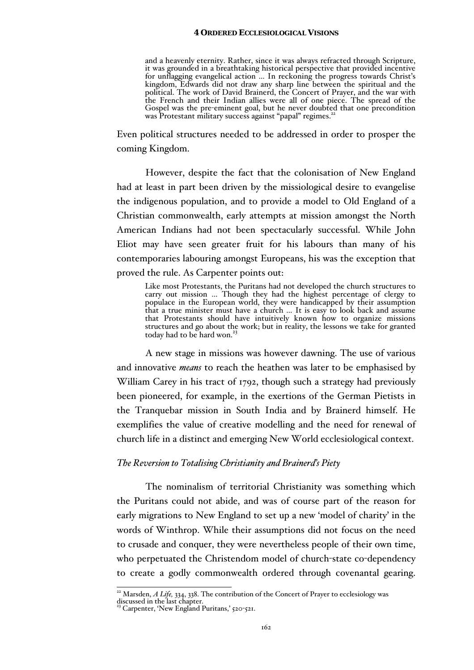and a heavenly eternity. Rather, since it was always refracted through Scripture, it was grounded in a breathtaking historical perspective that provided incentive for unflagging evangelical action … In reckoning the progress towards Christ's kingdom, Edwards did not draw any sharp line between the spiritual and the political. The work of David Brainerd, the Concert of Prayer, and the war with the French and their Indian allies were all of one piece. The spread of the Gospel was the pre-eminent goal, but he never doubted that one precondition was Protestant military success against "papal" regimes.<sup>2</sup>

Even political structures needed to be addressed in order to prosper the coming Kingdom.

However, despite the fact that the colonisation of New England had at least in part been driven by the missiological desire to evangelise the indigenous population, and to provide a model to Old England of a Christian commonwealth, early attempts at mission amongst the North American Indians had not been spectacularly successful. While John Eliot may have seen greater fruit for his labours than many of his contemporaries labouring amongst Europeans, his was the exception that proved the rule. As Carpenter points out:

Like most Protestants, the Puritans had not developed the church structures to carry out mission … Though they had the highest percentage of clergy to populace in the European world, they were handicapped by their assumption that a true minister must have a church … It is easy to look back and assume that Protestants should have intuitively known how to organize missions structures and go about the work; but in reality, the lessons we take for granted today had to be hard won.<sup>23</sup>

A new stage in missions was however dawning. The use of various and innovative *means* to reach the heathen was later to be emphasised by William Carey in his tract of 1792, though such a strategy had previously been pioneered, for example, in the exertions of the German Pietists in the Tranquebar mission in South India and by Brainerd himself. He exemplifies the value of creative modelling and the need for renewal of church life in a distinct and emerging New World ecclesiological context.

### *The Reversion to Totalising Christianity and Brainerd's Piety*

The nominalism of territorial Christianity was something which the Puritans could not abide, and was of course part of the reason for early migrations to New England to set up a new 'model of charity' in the words of Winthrop. While their assumptions did not focus on the need to crusade and conquer, they were nevertheless people of their own time, who perpetuated the Christendom model of church-state co-dependency to create a godly commonwealth ordered through covenantal gearing.

<sup>22</sup> Marsden, *A Life,* 334, 338. The contribution of the Concert of Prayer to ecclesiology was discussed in the last chapter. <sup>23</sup> Carpenter, 'New England Puritans,' 520-521.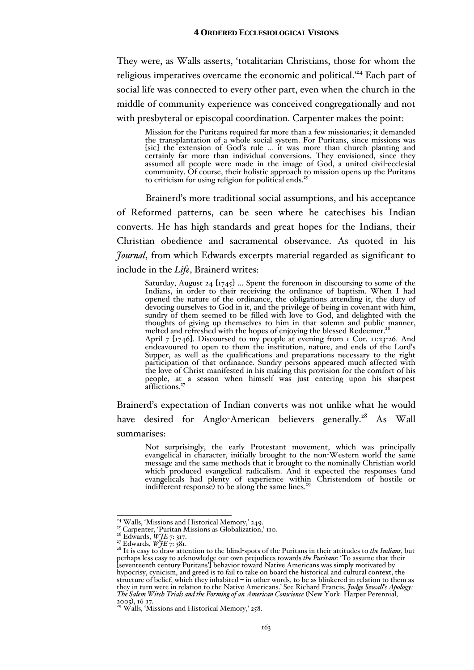They were, as Walls asserts, 'totalitarian Christians, those for whom the religious imperatives overcame the economic and political.<sup>24</sup> Each part of social life was connected to every other part, even when the church in the middle of community experience was conceived congregationally and not with presbyteral or episcopal coordination. Carpenter makes the point:

Mission for the Puritans required far more than a few missionaries; it demanded the transplantation of a whole social system. For Puritans, since missions was [sic] the extension of God's rule … it was more than church planting and certainly far more than individual conversions. They envisioned, since they assumed all people were made in the image of God, a united civil-ecclesial community. Of course, their holistic approach to mission opens up the Puritans to criticism for using religion for political ends.<sup>25</sup>

Brainerd's more traditional social assumptions, and his acceptance of Reformed patterns, can be seen where he catechises his Indian converts. He has high standards and great hopes for the Indians, their Christian obedience and sacramental observance. As quoted in his *Journal*, from which Edwards excerpts material regarded as significant to include in the *Life*, Brainerd writes:

Saturday, August 24 [1745] … Spent the forenoon in discoursing to some of the Indians, in order to their receiving the ordinance of baptism. When I had opened the nature of the ordinance, the obligations attending it, the duty of devoting ourselves to God in it, and the privilege of being in covenant with him, sundry of them seemed to be filled with love to God, and delighted with the thoughts of giving up themselves to him in that solemn and public manner, melted and refreshed with the hopes of enjoying the blessed Redeemer.<sup>26</sup> April 7 [1746]. Discoursed to my people at evening from 1 Cor. 11:23-26. And endeavoured to open to them the institution, nature, and ends of the Lord's Supper, as well as the qualifications and preparations necessary to the right participation of that ordinance. Sundry persons appeared much affected with the love of Christ manifested in his making this provision for the comfort of his people, at a season when himself was just entering upon his sharpest afflictions.<sup>27</sup>

Brainerd's expectation of Indian converts was not unlike what he would have desired for Anglo-American believers generally.<sup>28</sup> As Wall summarises:

Not surprisingly, the early Protestant movement, which was principally evangelical in character, initially brought to the non-Western world the same message and the same methods that it brought to the nominally Christian world which produced evangelical radicalism. And it expected the responses (and evangelicals had plenty of experience within Christendom of hostile or indifferent response) to be along the same lines.<sup>29</sup>

<sup>&</sup>lt;sup>24</sup> Walls, 'Missions and Historical Memory,' 249.<br><sup>25</sup> Carpenter, 'Puritan Missions as Globalization,' 110.<br><sup>26</sup> Edwards, *WJE* 7: 317.<br><sup>27</sup> Edwards, *WJE* 7: 381.<br><sup>28</sup> It is easy to draw attention to the blind-spots of perhaps less easy to acknowledge our own prejudices towards *the Puritans*: 'To assume that their [seventeenth century Puritans'] behavior toward Native Americans was simply motivated by hypocrisy, cynicism, and greed is to fail to take on board the historical and cultural context, the hypocrisy, cynicism, and greed is to fail to take on board the historical and cultural context, the<br>structure of belief, which they inhabited – in other words, to be as blinkered in relation to them as they in turn were in relation to the Native Americans.' See Richard Francis, *Judge Sewall's Apology: The Salem Witch Trials and the Forming of an American Conscience* (New York: Harper Perennial, 2005), 16-17.<br><sup>29</sup> Walls, 'Missions and Historical Memory,' 258.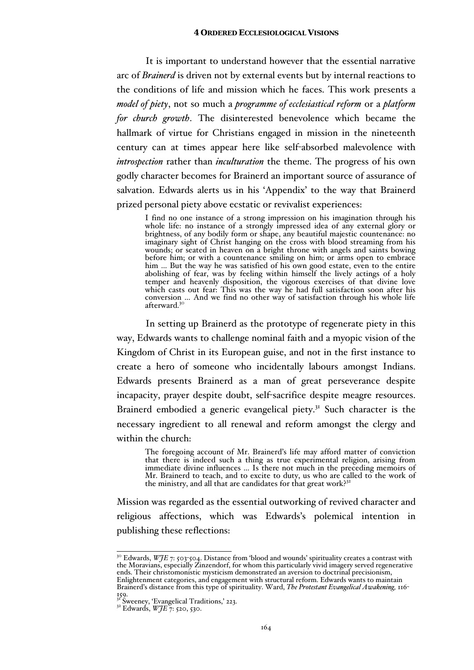It is important to understand however that the essential narrative arc of *Brainerd* is driven not by external events but by internal reactions to the conditions of life and mission which he faces. This work presents a *model of piety*, not so much a *programme of ecclesiastical reform* or a *platform for church growth*. The disinterested benevolence which became the hallmark of virtue for Christians engaged in mission in the nineteenth century can at times appear here like self-absorbed malevolence with *introspection* rather than *inculturation* the theme. The progress of his own godly character becomes for Brainerd an important source of assurance of salvation. Edwards alerts us in his 'Appendix' to the way that Brainerd prized personal piety above ecstatic or revivalist experiences:

I find no one instance of a strong impression on his imagination through his whole life: no instance of a strongly impressed idea of any external glory or brightness, of any bodily form or shape, any beautiful majestic countenance: no imaginary sight of Christ hanging on the cross with blood streaming from his wounds; or seated in heaven on a bright throne with angels and saints bowing before him; or with a countenance smiling on him; or arms open to embrace him … But the way he was satisfied of his own good estate, even to the entire abolishing of fear, was by feeling within himself the lively actings of a holy temper and heavenly disposition, the vigorous exercises of that divine love which casts out fear: This was the way he had full satisfaction soon after his conversion ... And we find no other way of satisfaction through his whole life afterward.<sup>30</sup>

In setting up Brainerd as the prototype of regenerate piety in this way, Edwards wants to challenge nominal faith and a myopic vision of the Kingdom of Christ in its European guise, and not in the first instance to create a hero of someone who incidentally labours amongst Indians. Edwards presents Brainerd as a man of great perseverance despite incapacity, prayer despite doubt, self-sacrifice despite meagre resources. Brainerd embodied a generic evangelical piety.<sup>31</sup> Such character is the necessary ingredient to all renewal and reform amongst the clergy and within the church:

The foregoing account of Mr. Brainerd's life may afford matter of conviction that there is indeed such a thing as true experimental religion, arising from immediate divine influences … Is there not much in the preceding memoirs of Mr. Brainerd to teach, and to excite to duty, us who are called to the work of the ministry, and all that are candidates for that great work? $32$ 

Mission was regarded as the essential outworking of revived character and religious affections, which was Edwards's polemical intention in publishing these reflections:

<sup>&</sup>lt;sup>30</sup> Edwards, *WJE* 7: 503-504. Distance from 'blood and wounds' spirituality creates a contrast with the Moravians, especially Zinzendorf, for whom this particularly vivid imagery served regenerative ends. Their christomonistic mysticism demonstrated an aversion to doctrinal precisionism, Enlightenment categories, and engagement with structural reform. Edwards wants to maintain Brainerd's distance from this type of spirituality. Ward, *The Protestant Evangelical Awakening,* 116-

<sup>159.&</sup>lt;br><sup>31</sup> Sweeney, 'Evangelical Traditions,' 223.<br><sup>32</sup> Edwards, *WJE* 7: 520, 530.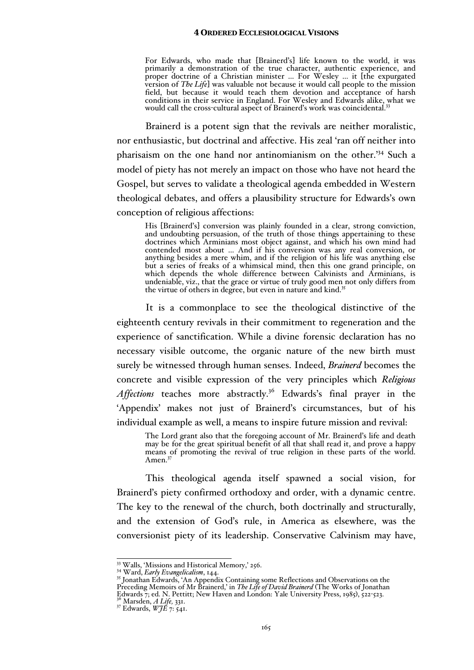For Edwards, who made that [Brainerd's] life known to the world, it was primarily a demonstration of the true character, authentic experience, and proper doctrine of a Christian minister … For Wesley … it [the expurgated version of *The Life*] was valuable not because it would call people to the mission field, but because it would teach them devotion and acceptance of harsh conditions in their service in England. For Wesley and Edwards alike, what we would call the cross-cultural aspect of Brainerd's work was coincidental.<sup>33</sup>

Brainerd is a potent sign that the revivals are neither moralistic, nor enthusiastic, but doctrinal and affective. His zeal 'ran off neither into pharisaism on the one hand nor antinomianism on the other.'34 Such a model of piety has not merely an impact on those who have not heard the Gospel, but serves to validate a theological agenda embedded in Western theological debates, and offers a plausibility structure for Edwards's own conception of religious affections:

His [Brainerd's] conversion was plainly founded in a clear, strong conviction, and undoubting persuasion, of the truth of those things appertaining to these doctrines which Arminians most object against, and which his own mind had contended most about … And if his conversion was any real conversion, or anything besides a mere whim, and if the religion of his life was anything else but a series of freaks of a whimsical mind, then this one grand principle, on which depends the whole difference between Calvinists and Arminians, is undeniable, viz., that the grace or virtue of truly good men not only differs from the virtue of others in degree, but even in nature and kind.<sup>35</sup>

It is a commonplace to see the theological distinctive of the eighteenth century revivals in their commitment to regeneration and the experience of sanctification. While a divine forensic declaration has no necessary visible outcome, the organic nature of the new birth must surely be witnessed through human senses. Indeed, *Brainerd* becomes the concrete and visible expression of the very principles which *Religious*  Affections teaches more abstractly.<sup>36</sup> Edwards's final prayer in the 'Appendix' makes not just of Brainerd's circumstances, but of his individual example as well, a means to inspire future mission and revival:

The Lord grant also that the foregoing account of Mr. Brainerd's life and death may be for the great spiritual benefit of all that shall read it, and prove a happy means of promoting the revival of true religion in these parts of the world. Amen.<sup>37</sup>

This theological agenda itself spawned a social vision, for Brainerd's piety confirmed orthodoxy and order, with a dynamic centre. The key to the renewal of the church, both doctrinally and structurally, and the extension of God's rule, in America as elsewhere, was the conversionist piety of its leadership. Conservative Calvinism may have,

<sup>&</sup>lt;sup>33</sup> Walls, 'Missions and Historical Memory,' 256.<br><sup>34</sup> Ward, *Early Evangelicalism*, 144.<br><sup>35</sup> Jonathan Edwards, 'An Appendix Containing some Reflections and Observations on the Preceding Memoirs of Mr Brainerd,' in *The Life of David Brainerd* (The Works of Jonathan Edwards 7; ed. N. Pettitt; New Haven and London: Yale University Press, 1985), 522-523. <sup>36</sup> Marsden, *A Life,* 331. <sup>37</sup> Edwards, *WJE* 7: 541.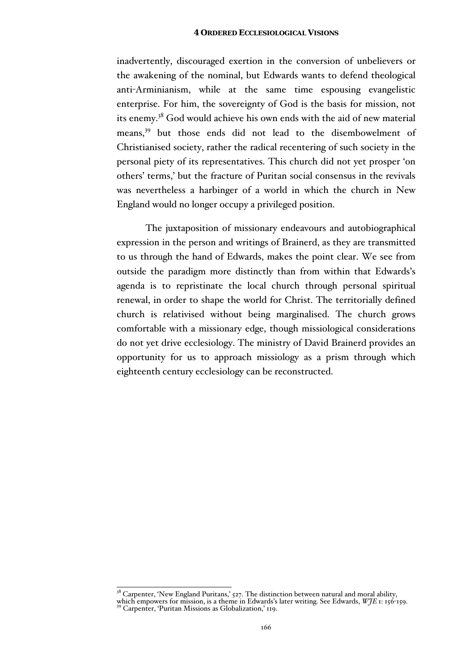inadvertently, discouraged exertion in the conversion of unbelievers or the awakening of the nominal, but Edwards wants to defend theological anti-Arminianism, while at the same time espousing evangelistic enterprise. For him, the sovereignty of God is the basis for mission, not its enemy.38 God would achieve his own ends with the aid of new material means,39 but those ends did not lead to the disembowelment of Christianised society, rather the radical recentering of such society in the personal piety of its representatives. This church did not yet prosper 'on others' terms,' but the fracture of Puritan social consensus in the revivals was nevertheless a harbinger of a world in which the church in New England would no longer occupy a privileged position.

The juxtaposition of missionary endeavours and autobiographical expression in the person and writings of Brainerd, as they are transmitted to us through the hand of Edwards, makes the point clear. We see from outside the paradigm more distinctly than from within that Edwards's agenda is to repristinate the local church through personal spiritual renewal, in order to shape the world for Christ. The territorially defined church is relativised without being marginalised. The church grows comfortable with a missionary edge, though missiological considerations do not yet drive ecclesiology. The ministry of David Brainerd provides an opportunity for us to approach missiology as a prism through which eighteenth century ecclesiology can be reconstructed.

 $\frac{1}{38}$  Carpenter, 'New England Puritans,' 527. The distinction between natural and moral ability, which empowers for mission, is a theme in Edwards's later writing. See Edwards, *WJE* 1: 156-159. <sup>39</sup> Carpenter, 'Puritan Missions as Globalization,' 119.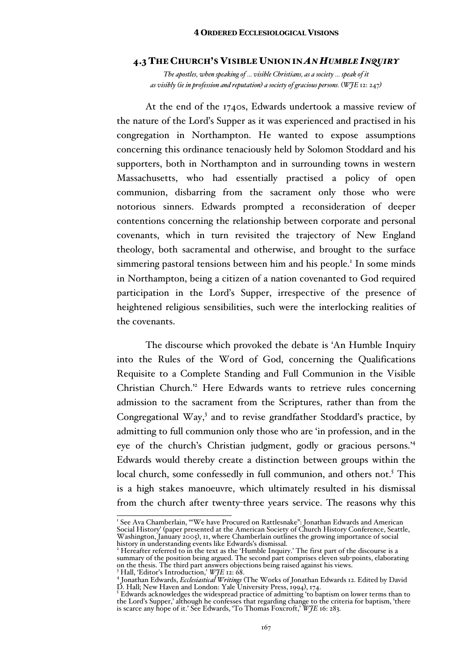## 4.3 THE CHURCH'S VISIBLE UNION IN *AN HUMBLE INQUIRY*

*The apostles, when speaking of … visible Christians, as a society … speak of it as visibly (ie in profession and reputation) a society of gracious persons.* (*WJE* 12: 247*)*

At the end of the 1740s, Edwards undertook a massive review of the nature of the Lord's Supper as it was experienced and practised in his congregation in Northampton. He wanted to expose assumptions concerning this ordinance tenaciously held by Solomon Stoddard and his supporters, both in Northampton and in surrounding towns in western Massachusetts, who had essentially practised a policy of open communion, disbarring from the sacrament only those who were notorious sinners. Edwards prompted a reconsideration of deeper contentions concerning the relationship between corporate and personal covenants, which in turn revisited the trajectory of New England theology, both sacramental and otherwise, and brought to the surface simmering pastoral tensions between him and his people.<sup>1</sup> In some minds in Northampton, being a citizen of a nation covenanted to God required participation in the Lord's Supper, irrespective of the presence of heightened religious sensibilities, such were the interlocking realities of the covenants.

The discourse which provoked the debate is 'An Humble Inquiry into the Rules of the Word of God, concerning the Qualifications Requisite to a Complete Standing and Full Communion in the Visible Christian Church.<sup>22</sup> Here Edwards wants to retrieve rules concerning admission to the sacrament from the Scriptures, rather than from the Congregational Way,<sup>3</sup> and to revise grandfather Stoddard's practice, by admitting to full communion only those who are 'in profession, and in the eye of the church's Christian judgment, godly or gracious persons.'4 Edwards would thereby create a distinction between groups within the local church, some confessedly in full communion, and others not.<sup>5</sup> This is a high stakes manoeuvre, which ultimately resulted in his dismissal from the church after twenty-three years service. The reasons why this

<sup>-&</sup>lt;br>1 See Ava Chamberlain, '"We have Procured on Rattlesnake": Jonathan Edwards and American Social History' (paper presented at the American Society of Church History Conference, Seattle, Washington, January 2005), 11, where Chamberlain outlines the growing importance of social history in understanding events like Edwards's dismissal.

<sup>&</sup>lt;sup>2</sup> Hereafter referred to in the text as the 'Humble Inquiry.' The first part of the discourse is a summary of the position being argued. The second part comprises eleven sub-points, elaborating on the thesis. The third part answers objections being raised against his views. <sup>3</sup> Hall, 'Editor's Introduction,' *WJE* 12: 68. <sup>4</sup> Jonathan Edwards, *Ecclesiastical Writings* (The Works of Jonathan Edwards 12. Edited by David

D. Hall; New Haven and London: Yale University Press, 1994), 174.<br><sup>5</sup> Edwards acknowledges the widespread practice of admitting 'to baptism on lower terms than to

the Lord's Supper,' although he confesses that regarding change to the criteria for baptism, 'there is scarce any hope of it.' See Edwards, 'To Thomas Foxcroft,' *WJE* 16: 283.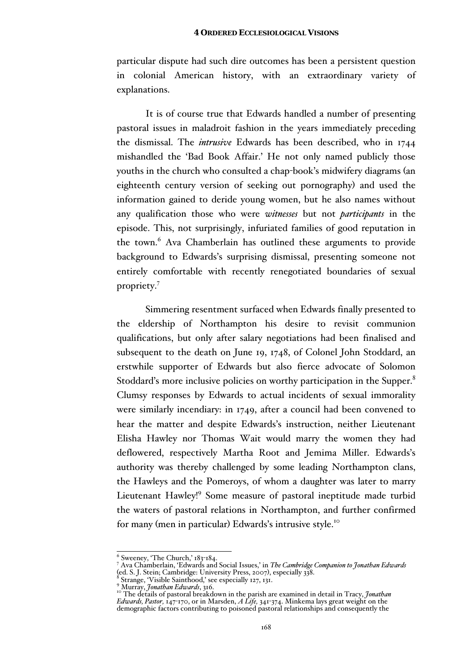particular dispute had such dire outcomes has been a persistent question in colonial American history, with an extraordinary variety of explanations.

It is of course true that Edwards handled a number of presenting pastoral issues in maladroit fashion in the years immediately preceding the dismissal. The *intrusive* Edwards has been described, who in 1744 mishandled the 'Bad Book Affair.' He not only named publicly those youths in the church who consulted a chap-book's midwifery diagrams (an eighteenth century version of seeking out pornography) and used the information gained to deride young women, but he also names without any qualification those who were *witnesses* but not *participants* in the episode. This, not surprisingly, infuriated families of good reputation in the town.<sup>6</sup> Ava Chamberlain has outlined these arguments to provide background to Edwards's surprising dismissal, presenting someone not entirely comfortable with recently renegotiated boundaries of sexual propriety.<sup>7</sup>

Simmering resentment surfaced when Edwards finally presented to the eldership of Northampton his desire to revisit communion qualifications, but only after salary negotiations had been finalised and subsequent to the death on June 19, 1748, of Colonel John Stoddard, an erstwhile supporter of Edwards but also fierce advocate of Solomon Stoddard's more inclusive policies on worthy participation in the Supper.<sup>8</sup> Clumsy responses by Edwards to actual incidents of sexual immorality were similarly incendiary: in 1749, after a council had been convened to hear the matter and despite Edwards's instruction, neither Lieutenant Elisha Hawley nor Thomas Wait would marry the women they had deflowered, respectively Martha Root and Jemima Miller. Edwards's authority was thereby challenged by some leading Northampton clans, the Hawleys and the Pomeroys, of whom a daughter was later to marry Lieutenant Hawley!<sup>9</sup> Some measure of pastoral ineptitude made turbid the waters of pastoral relations in Northampton, and further confirmed for many (men in particular) Edwards's intrusive style.<sup>10</sup>

Example 1 Sweeney, 'The Church,' 183-184.<br>
T Ava Chamberlain, 'Edwards and Social Issues,' in *The Cambridge Companion to Jonathan Edwards*<br>
(ed. S. J. Stein; Cambridge: University Press, 2007), especially 338.<br>
Strange,

*Edwards, Pastor,* 147-170, or in Marsden, *A Life,* 341-374. Minkema lays great weight on the demographic factors contributing to poisoned pastoral relationships and consequently the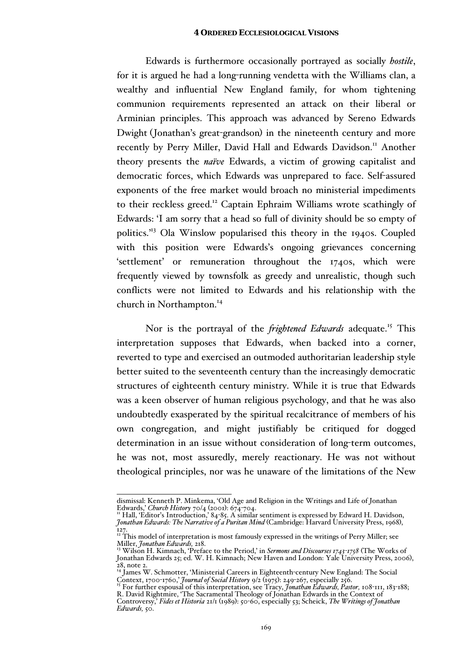Edwards is furthermore occasionally portrayed as socially *hostile*, for it is argued he had a long-running vendetta with the Williams clan, a wealthy and influential New England family, for whom tightening communion requirements represented an attack on their liberal or Arminian principles. This approach was advanced by Sereno Edwards Dwight (Jonathan's great-grandson) in the nineteenth century and more recently by Perry Miller, David Hall and Edwards Davidson.<sup>11</sup> Another theory presents the *naïve* Edwards, a victim of growing capitalist and democratic forces, which Edwards was unprepared to face. Self-assured exponents of the free market would broach no ministerial impediments to their reckless greed.<sup>12</sup> Captain Ephraim Williams wrote scathingly of Edwards: 'I am sorry that a head so full of divinity should be so empty of politics.'13 Ola Winslow popularised this theory in the 1940s. Coupled with this position were Edwards's ongoing grievances concerning 'settlement' or remuneration throughout the 1740s, which were frequently viewed by townsfolk as greedy and unrealistic, though such conflicts were not limited to Edwards and his relationship with the church in Northampton.<sup>14</sup>

Nor is the portrayal of the *frightened Edwards* adequate.<sup>15</sup> This interpretation supposes that Edwards, when backed into a corner, reverted to type and exercised an outmoded authoritarian leadership style better suited to the seventeenth century than the increasingly democratic structures of eighteenth century ministry. While it is true that Edwards was a keen observer of human religious psychology, and that he was also undoubtedly exasperated by the spiritual recalcitrance of members of his own congregation, and might justifiably be critiqued for dogged determination in an issue without consideration of long-term outcomes, he was not, most assuredly, merely reactionary. He was not without theological principles, nor was he unaware of the limitations of the New

<sup>1</sup> dismissal: Kenneth P. Minkema, 'Old Age and Religion in the Writings and Life of Jonathan

Edwards,' *Church History 70*/4 (2001): 674-704.<br><sup>11</sup> Hall, 'Editor's Introduction,' 84-85. A similar sentiment is expressed by Edward H. Davidson, *Jonathan Edwards: The Narrative of a Puritan Mind* (Cambridge: Harvard University Press, 1968),

<sup>127.</sup> 12 This model of interpretation is most famously expressed in the writings of Perry Miller; see

Miller, *Jonathan Edwards*, 218.<br><sup>13</sup> Wilson H. Kimnach, 'Preface to the Period,' in *Sermons and Discourses 1743-1758* (The Works of Jonathan Edwards 25; ed. W. H. Kimnach; New Haven and London: Yale University Press, 2006),<br>28, note 2.

<sup>&</sup>lt;sup>14</sup> James W. Schmotter, 'Ministerial Careers in Eighteenth-century New England: The Social Context, 1700-1760,' *Journal of Social History* 9/2 (1975): 249-267, especially 256. 15 For further espousal of this interpretation, see Tracy, *Jonathan Edwards, Pastor,* <sup>108</sup>-111, 183-188;

R. David Rightmire, 'The Sacramental Theology of Jonathan Edwards in the Context of Controversy,' *Fides et Historia* 21/1 (1989): 50-60, especially 53; Scheick, *The Writings of Jonathan Edwards,* 50.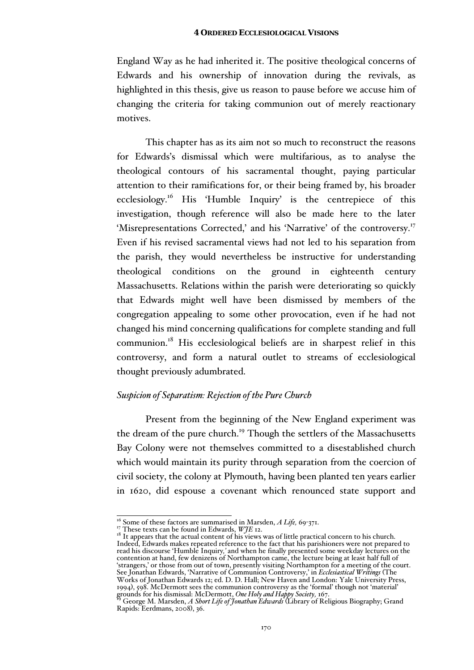England Way as he had inherited it. The positive theological concerns of Edwards and his ownership of innovation during the revivals, as highlighted in this thesis, give us reason to pause before we accuse him of changing the criteria for taking communion out of merely reactionary motives.

This chapter has as its aim not so much to reconstruct the reasons for Edwards's dismissal which were multifarious, as to analyse the theological contours of his sacramental thought, paying particular attention to their ramifications for, or their being framed by, his broader ecclesiology.<sup>16</sup> His 'Humble Inquiry' is the centrepiece of this investigation, though reference will also be made here to the later 'Misrepresentations Corrected,' and his 'Narrative' of the controversy.<sup>17</sup> Even if his revised sacramental views had not led to his separation from the parish, they would nevertheless be instructive for understanding theological conditions on the ground in eighteenth century Massachusetts. Relations within the parish were deteriorating so quickly that Edwards might well have been dismissed by members of the congregation appealing to some other provocation, even if he had not changed his mind concerning qualifications for complete standing and full communion.18 His ecclesiological beliefs are in sharpest relief in this controversy, and form a natural outlet to streams of ecclesiological thought previously adumbrated.

# *Suspicion of Separatism: Rejection of the Pure Church*

Present from the beginning of the New England experiment was the dream of the pure church.<sup>19</sup> Though the settlers of the Massachusetts Bay Colony were not themselves committed to a disestablished church which would maintain its purity through separation from the coercion of civil society, the colony at Plymouth, having been planted ten years earlier in 1620, did espouse a covenant which renounced state support and

<sup>&</sup>lt;sup>16</sup> Some of these factors are summarised in Marsden, *A Life*, 69-371.<br><sup>17</sup> These texts can be found in Edwards, *WJE* 12.<br><sup>18</sup> It appears that the actual content of his views was of little practical concern to his churc Indeed, Edwards makes repeated reference to the fact that his parishioners were not prepared to read his discourse 'Humble Inquiry*,'* and when he finally presented some weekday lectures on the contention at hand, few denizens of Northampton came, the lecture being at least half full of 'strangers,' or those from out of town, presently visiting Northampton for a meeting of the court. See Jonathan Edwards, 'Narrative of Communion Controversy,' in *Ecclesiastical Writings* (The Works of Jonathan Edwards 12; ed. D. D. Hall; New Haven and London: Yale University Press, 1994), 598. McDermott sees the communion controversy as the 'formal' though not 'material'

grounds for his dismissal: McDermott, *One Holy and Happy Society*, 167.<br><sup>19</sup> George M. Marsden, *A Short Life of Jonathan Edwards* (Library of Religious Biography; Grand Rapids: Eerdmans, 2008), 36.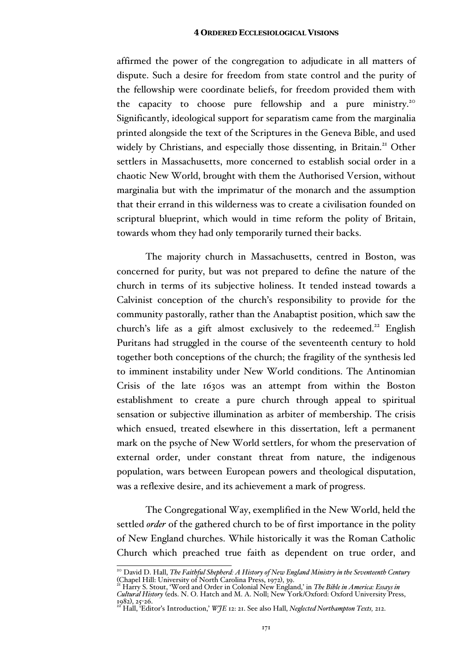affirmed the power of the congregation to adjudicate in all matters of dispute. Such a desire for freedom from state control and the purity of the fellowship were coordinate beliefs, for freedom provided them with the capacity to choose pure fellowship and a pure ministry.<sup>20</sup> Significantly, ideological support for separatism came from the marginalia printed alongside the text of the Scriptures in the Geneva Bible, and used widely by Christians, and especially those dissenting, in Britain.<sup>21</sup> Other settlers in Massachusetts, more concerned to establish social order in a chaotic New World, brought with them the Authorised Version, without marginalia but with the imprimatur of the monarch and the assumption that their errand in this wilderness was to create a civilisation founded on scriptural blueprint, which would in time reform the polity of Britain, towards whom they had only temporarily turned their backs.

The majority church in Massachusetts, centred in Boston, was concerned for purity, but was not prepared to define the nature of the church in terms of its subjective holiness. It tended instead towards a Calvinist conception of the church's responsibility to provide for the community pastorally, rather than the Anabaptist position, which saw the church's life as a gift almost exclusively to the redeemed.<sup>22</sup> English Puritans had struggled in the course of the seventeenth century to hold together both conceptions of the church; the fragility of the synthesis led to imminent instability under New World conditions. The Antinomian Crisis of the late 1630s was an attempt from within the Boston establishment to create a pure church through appeal to spiritual sensation or subjective illumination as arbiter of membership. The crisis which ensued, treated elsewhere in this dissertation, left a permanent mark on the psyche of New World settlers, for whom the preservation of external order, under constant threat from nature, the indigenous population, wars between European powers and theological disputation, was a reflexive desire, and its achievement a mark of progress.

The Congregational Way, exemplified in the New World, held the settled *order* of the gathered church to be of first importance in the polity of New England churches. While historically it was the Roman Catholic Church which preached true faith as dependent on true order, and

<sup>-&</sup>lt;br><sup>20</sup> David D. Hall, *The Faithful Shepherd: A History of New England Ministry in the Seventeenth Century*<br>(Chapel Hill: University of North Carolina Press, 1972), 39.<br><sup>21</sup> Harry S. Stout, 'Word and Order in Colonial New

*Cultural History* (eds. N. O. Hatch and M. A. Noll; New York/Oxford: Oxford University Press, <sup>1982</sup>), 25-26. <sup>22</sup> Hall, 'Editor's Introduction,' *WJE* 12: 21. See also Hall, *Neglected Northampton Texts,* 212.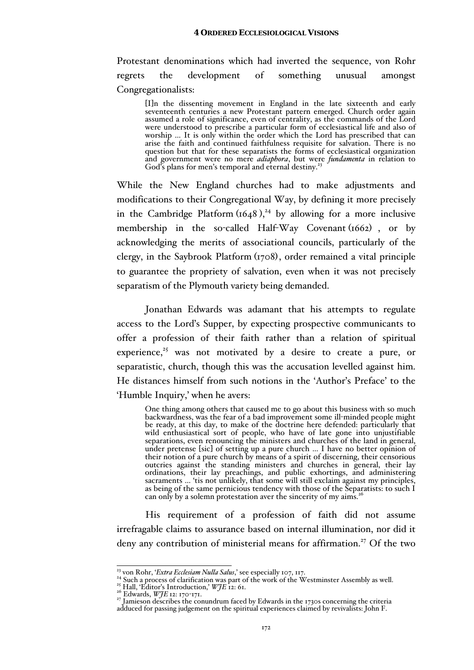Protestant denominations which had inverted the sequence, von Rohr regrets the development of something unusual amongst Congregationalists:

[I]n the dissenting movement in England in the late sixteenth and early seventeenth centuries a new Protestant pattern emerged. Church order again assumed a role of significance, even of centrality, as the commands of the Lord were understood to prescribe a particular form of ecclesiastical life and also of worship … It is only within the order which the Lord has prescribed that can arise the faith and continued faithfulness requisite for salvation. There is no question but that for these separatists the forms of ecclesiastical organization and government were no mere *adiaphora*, but were *fundamenta* in relation to God's plans for men's temporal and eternal destiny.<sup>23</sup>

While the New England churches had to make adjustments and modifications to their Congregational Way, by defining it more precisely in the Cambridge Platform  $(1648)^{24}$  by allowing for a more inclusive membership in the so-called Half-Way Covenant (1662) , or by acknowledging the merits of associational councils, particularly of the clergy, in the Saybrook Platform (1708), order remained a vital principle to guarantee the propriety of salvation, even when it was not precisely separatism of the Plymouth variety being demanded.

Jonathan Edwards was adamant that his attempts to regulate access to the Lord's Supper, by expecting prospective communicants to offer a profession of their faith rather than a relation of spiritual experience, $25$  was not motivated by a desire to create a pure, or separatistic, church, though this was the accusation levelled against him. He distances himself from such notions in the 'Author's Preface' to the 'Humble Inquiry,' when he avers:

One thing among others that caused me to go about this business with so much backwardness, was the fear of a bad improvement some ill-minded people might be ready, at this day, to make of the doctrine here defended: particularly that wild enthusiastical sort of people, who have of late gone into unjustifiable separations, even renouncing the ministers and churches of the land in general, under pretense [sic] of setting up a pure church … I have no better opinion of their notion of a pure church by means of a spirit of discerning, their censorious outcries against the standing ministers and churches in general, their lay ordinations, their lay preachings, and public exhortings, and administering sacraments … 'tis not unlikely, that some will still exclaim against my principles, as being of the same pernicious tendency with those of the Separatists: to such I can only by a solemn protestation aver the sincerity of my aims.<sup>26</sup>

His requirement of a profession of faith did not assume irrefragable claims to assurance based on internal illumination, nor did it deny any contribution of ministerial means for affirmation.<sup>27</sup> Of the two

<sup>&</sup>lt;sup>23</sup> von Rohr, '*Extra Ecclesiam Nulla Salus*,' see especially 107, 117.<br><sup>24</sup> Such a process of clarification was part of the work of the Westminster Assembly as well.<br><sup>25</sup> Hall, 'Editor's Introduction,' *WJE* 12: 61.

Frain, Europe 3 Interested for passing in the spiritual experiences claimed by revivalists: John F.<br>
<sup>27</sup> Jamieson describes the conundrum faced by Edwards in the 1730s concerning the criteria<br>
<sup>27</sup> Jamieson describes the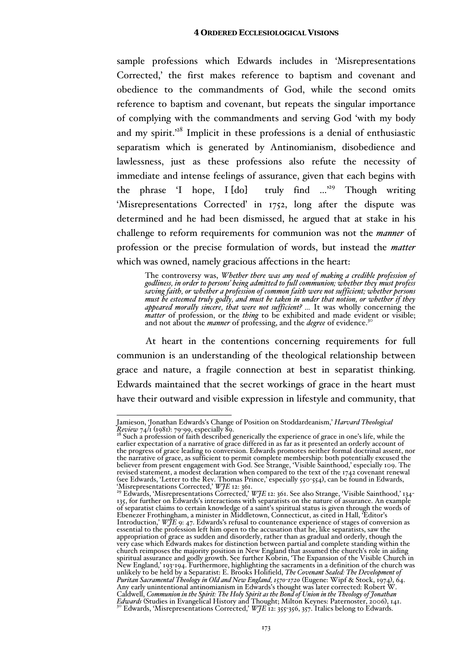sample professions which Edwards includes in 'Misrepresentations Corrected,' the first makes reference to baptism and covenant and obedience to the commandments of God, while the second omits reference to baptism and covenant, but repeats the singular importance of complying with the commandments and serving God 'with my body and my spirit.'28 Implicit in these professions is a denial of enthusiastic separatism which is generated by Antinomianism, disobedience and lawlessness, just as these professions also refute the necessity of immediate and intense feelings of assurance, given that each begins with the phrase 'I hope,  $I[do]$  truly find ...<sup>29</sup> Though writing 'Misrepresentations Corrected' in 1752, long after the dispute was determined and he had been dismissed, he argued that at stake in his challenge to reform requirements for communion was not the *manner* of profession or the precise formulation of words, but instead the *matter*  which was owned, namely gracious affections in the heart:

The controversy was, *Whether there was any need of making a credible profession of godliness, in order to persons' being admitted to full communion; whether they must profess saving faith, or whether a profession of common faith were not sufficient; whether persons must be esteemed truly godly, and must be taken in under that notion, or whether if they appeared morally sincere, that were not sufficient? …* It was wholly concerning the *matter* of profession, or the *thing* to be exhibited and made evident or visible; and not about the *manner* of professing, and the *degree* of evidence.<sup>30</sup>

At heart in the contentions concerning requirements for full communion is an understanding of the theological relationship between grace and nature, a fragile connection at best in separatist thinking. Edwards maintained that the secret workings of grace in the heart must have their outward and visible expression in lifestyle and community, that

<sup>1</sup> Jamieson, 'Jonathan Edwards's Change of Position on Stoddardeanism,' *Harvard Theological* 

*Review* 74/1 (1981): 79-99, especially 89.<br>
<sup>28</sup> Such a profession of faith described generically the experience of grace in one's life, while the earlier expectation of a narrative of grace differed in as far as it presented an orderly account of<br>the progress of grace leading to conversion. Edwards promotes neither formal doctrinal assent, nor the progress of grace leading to conversion. Edwards promotes neither formal doctrinal assent, nor the narrative of grace, as sufficient to permit complete membership: both potentially excused the believer from present engagement with God. See Strange, 'Visible Sainthood,' especially 109. The revised statement, a modest declaration when compared to the text of the 1742 covenant renewal (see Edwards, 'Letter to the Rev. Thomas Prince,' especially 550-554), can be found in Edwards,

<sup>&#</sup>x27;Misrepresentations Corrected,' *WJE* 12: 361. <sup>29</sup> Edwards, 'Misrepresentations Corrected,' *WJE* 12: 361. See also Strange, 'Visible Sainthood,' 134- 135, for further on Edwards's interactions with separatists on the nature of assurance. An example of separatist claims to certain knowledge of a saint's spiritual status is given through the words of Ebenezer Frothingham, a minister in Middletown, Connecticut, as cited in Hall, 'Editor's Introduction,' *WJE* 9: 47. Edwards's refusal to countenance experience of stages of conversion as essential to the profession left him open to the accusation that he, like separatists, saw the appropriation of grace as sudden and disorderly, rather than as gradual and orderly, though the very case which Edwards makes for distinction between partial and complete standing within the church reimposes the majority position in New England that assumed the church's role in aiding spiritual assurance and godly growth. See further Kobrin, 'The Expansion of the Visible Church in New England,' 193-194. Furthermore, highlighting the sacraments in a definition of the church was<br>unlikely to be held by a Separatist: E. Brooks Holifield, *The Covenant Sealed: The Development of*<br>*Puritan Sacramental The* Any early unintentional antinomianism in Edwards's thought was later corrected: Robert W. Caldwell, *Communion in the Spirit: The Holy Spirit as the Bond of Union in the Theology of Jonathan Edwards* (Studies in Evangelical History and Thought; Milton Keynes: Paternoster, 2006), 141. <sup>30</sup> Edwards, 'Misrepresentations Corrected,' *WJE* 12: 355-356, 357. Italics belong to Edwards.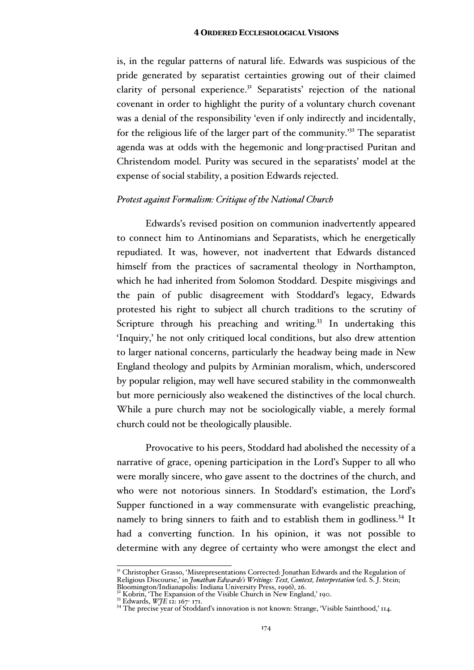is, in the regular patterns of natural life. Edwards was suspicious of the pride generated by separatist certainties growing out of their claimed clarity of personal experience. $3^1$  Separatists' rejection of the national covenant in order to highlight the purity of a voluntary church covenant was a denial of the responsibility 'even if only indirectly and incidentally, for the religious life of the larger part of the community.'32 The separatist agenda was at odds with the hegemonic and long-practised Puritan and Christendom model. Purity was secured in the separatists' model at the expense of social stability, a position Edwards rejected.

### *Protest against Formalism: Critique of the National Church*

Edwards's revised position on communion inadvertently appeared to connect him to Antinomians and Separatists, which he energetically repudiated. It was, however, not inadvertent that Edwards distanced himself from the practices of sacramental theology in Northampton, which he had inherited from Solomon Stoddard. Despite misgivings and the pain of public disagreement with Stoddard's legacy, Edwards protested his right to subject all church traditions to the scrutiny of Scripture through his preaching and writing.<sup>33</sup> In undertaking this 'Inquiry,' he not only critiqued local conditions, but also drew attention to larger national concerns, particularly the headway being made in New England theology and pulpits by Arminian moralism, which, underscored by popular religion, may well have secured stability in the commonwealth but more perniciously also weakened the distinctives of the local church. While a pure church may not be sociologically viable, a merely formal church could not be theologically plausible.

Provocative to his peers, Stoddard had abolished the necessity of a narrative of grace, opening participation in the Lord's Supper to all who were morally sincere, who gave assent to the doctrines of the church, and who were not notorious sinners. In Stoddard's estimation, the Lord's Supper functioned in a way commensurate with evangelistic preaching, namely to bring sinners to faith and to establish them in godliness.<sup>34</sup> It had a converting function. In his opinion, it was not possible to determine with any degree of certainty who were amongst the elect and

<sup>31</sup> Christopher Grasso, 'Misrepresentations Corrected: Jonathan Edwards and the Regulation of Religious Discourse,' in *Jonathan Edwards's Writings: Text, Context, Interpretation* (ed. S. J. Stein; Bloomington/Indianapolis: Indiana University Press, 1996), 26.<br><sup>32</sup> Kobrin, 'The Expansion of the Visible Church in New England,' 190.<br><sup>33</sup> Edwards, *WJE* 12: 167- 171.<br><sup>34</sup> The precise year of Stoddard's innovation is not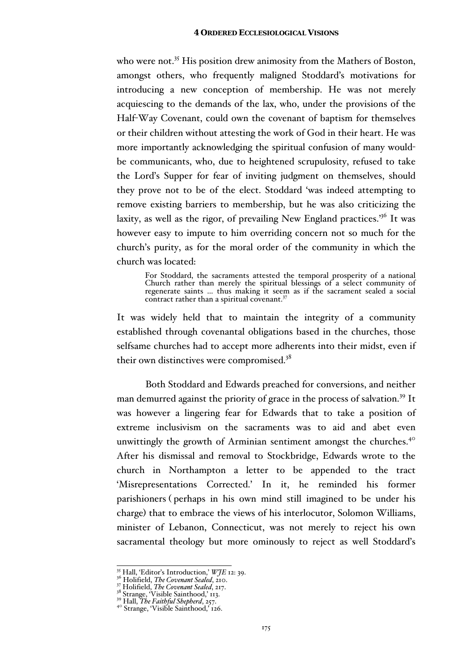who were not.<sup>35</sup> His position drew animosity from the Mathers of Boston, amongst others, who frequently maligned Stoddard's motivations for introducing a new conception of membership. He was not merely acquiescing to the demands of the lax, who, under the provisions of the Half-Way Covenant, could own the covenant of baptism for themselves or their children without attesting the work of God in their heart. He was more importantly acknowledging the spiritual confusion of many wouldbe communicants, who, due to heightened scrupulosity, refused to take the Lord's Supper for fear of inviting judgment on themselves, should they prove not to be of the elect. Stoddard 'was indeed attempting to remove existing barriers to membership, but he was also criticizing the laxity, as well as the rigor, of prevailing New England practices.'36 It was however easy to impute to him overriding concern not so much for the church's purity, as for the moral order of the community in which the church was located:

For Stoddard, the sacraments attested the temporal prosperity of a national Church rather than merely the spiritual blessings of a select community of regenerate saints … thus making it seem as if the sacrament sealed a social contract rather than a spiritual covenant.<sup>37</sup>

It was widely held that to maintain the integrity of a community established through covenantal obligations based in the churches, those selfsame churches had to accept more adherents into their midst, even if their own distinctives were compromised.<sup>38</sup>

Both Stoddard and Edwards preached for conversions, and neither man demurred against the priority of grace in the process of salvation.<sup>39</sup> It was however a lingering fear for Edwards that to take a position of extreme inclusivism on the sacraments was to aid and abet even unwittingly the growth of Arminian sentiment amongst the churches.<sup>40</sup> After his dismissal and removal to Stockbridge, Edwards wrote to the church in Northampton a letter to be appended to the tract 'Misrepresentations Corrected.' In it, he reminded his former parishioners ( perhaps in his own mind still imagined to be under his charge) that to embrace the views of his interlocutor, Solomon Williams, minister of Lebanon, Connecticut, was not merely to reject his own sacramental theology but more ominously to reject as well Stoddard's

<sup>&</sup>lt;sup>35</sup> Hall, 'Editor's Introduction,' *WJE* 12: 39.<br><sup>36</sup> Holifield, *The Covenant Sealed*, 210.<br><sup>37</sup> Holifield, *The Covenant Sealed*, 217.<br><sup>38</sup> Strange, 'Visible Sainthood,' 113.<br><sup>39</sup> Hall, *The Faithful Shepherd*, 257.<br><sup>4</sup>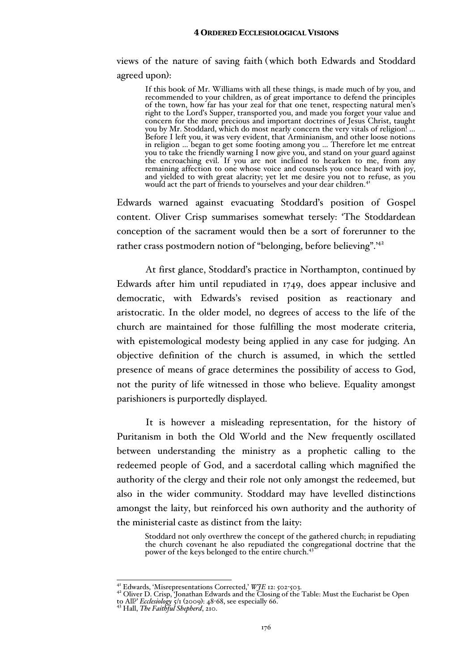## views of the nature of saving faith ( which both Edwards and Stoddard agreed upon):

If this book of Mr. Williams with all these things, is made much of by you, and recommended to your children, as of great importance to defend the principles of the town, how far has your zeal for that one tenet, respecting natural men's right to the Lord's Supper, transported you, and made you forget your value and concern for the more precious and important doctrines of Jesus Christ, taught you by Mr. Stoddard, which do most nearly concern the very vitals of religion! … Before I left you, it was very evident, that Arminianism, and other loose notions in religion … began to get some footing among you … Therefore let me entreat you to take the friendly warning I now give you, and stand on your guard against the encroaching evil. If you are not inclined to hearken to me, from any remaining affection to one whose voice and counsels you once heard with joy, and yielded to with great alacrity; yet let me desire you not to refuse, as you would act the part of friends to yourselves and your dear children.<sup>41</sup>

Edwards warned against evacuating Stoddard's position of Gospel content. Oliver Crisp summarises somewhat tersely: 'The Stoddardean conception of the sacrament would then be a sort of forerunner to the rather crass postmodern notion of "belonging, before believing".<sup>142</sup>

At first glance, Stoddard's practice in Northampton, continued by Edwards after him until repudiated in 1749, does appear inclusive and democratic, with Edwards's revised position as reactionary and aristocratic. In the older model, no degrees of access to the life of the church are maintained for those fulfilling the most moderate criteria, with epistemological modesty being applied in any case for judging. An objective definition of the church is assumed, in which the settled presence of means of grace determines the possibility of access to God, not the purity of life witnessed in those who believe. Equality amongst parishioners is purportedly displayed.

It is however a misleading representation, for the history of Puritanism in both the Old World and the New frequently oscillated between understanding the ministry as a prophetic calling to the redeemed people of God, and a sacerdotal calling which magnified the authority of the clergy and their role not only amongst the redeemed, but also in the wider community. Stoddard may have levelled distinctions amongst the laity, but reinforced his own authority and the authority of the ministerial caste as distinct from the laity:

Stoddard not only overthrew the concept of the gathered church; in repudiating the church covenant he also repudiated the congregational doctrine that the power of the keys belonged to the entire church.<sup>43</sup>

<sup>41</sup> Edwards, 'Misrepresentations Corrected,' *WJE* 12: 502-503.<br><sup>42</sup> Oliver D. Crisp, 'Jonathan Edwards and the Closing of the Table: Must the Eucharist be Open to All?' *Ecclesiology* 5/1 (2009): 48-68, see especially 66. <sup>43</sup> Hall, *The Faithful Shepherd*, 210.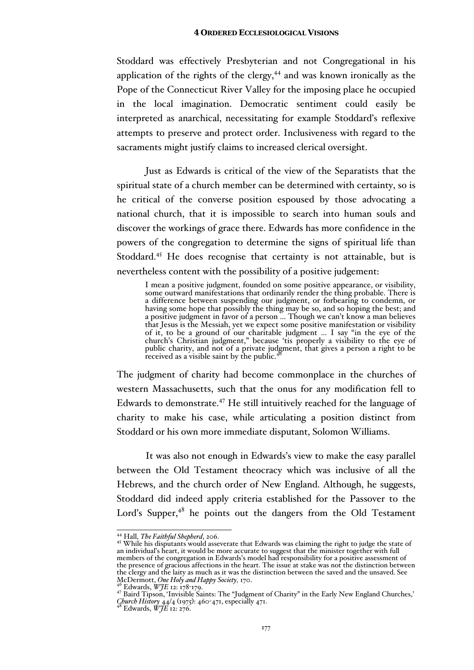Stoddard was effectively Presbyterian and not Congregational in his application of the rights of the clergy, $44$  and was known ironically as the Pope of the Connecticut River Valley for the imposing place he occupied in the local imagination. Democratic sentiment could easily be interpreted as anarchical, necessitating for example Stoddard's reflexive attempts to preserve and protect order. Inclusiveness with regard to the sacraments might justify claims to increased clerical oversight.

Just as Edwards is critical of the view of the Separatists that the spiritual state of a church member can be determined with certainty, so is he critical of the converse position espoused by those advocating a national church, that it is impossible to search into human souls and discover the workings of grace there. Edwards has more confidence in the powers of the congregation to determine the signs of spiritual life than Stoddard.<sup>45</sup> He does recognise that certainty is not attainable, but is nevertheless content with the possibility of a positive judgement:

I mean a positive judgment, founded on some positive appearance, or visibility, some outward manifestations that ordinarily render the thing probable. There is a difference between suspending our judgment, or forbearing to condemn, or having some hope that possibly the thing may be so, and so hoping the best; and a positive judgment in favor of a person … Though we can't know a man believes that Jesus is the Messiah, yet we expect some positive manifestation or visibility of it, to be a ground of our charitable judgment … I say "in the eye of the church's Christian judgment," because 'tis properly a visibility to the eye of public charity, and not of a private judgment, that gives a person a right to be received as a visible saint by the public.  $^{46}$ 

The judgment of charity had become commonplace in the churches of western Massachusetts, such that the onus for any modification fell to Edwards to demonstrate.<sup> $47$ </sup> He still intuitively reached for the language of charity to make his case, while articulating a position distinct from Stoddard or his own more immediate disputant, Solomon Williams.

It was also not enough in Edwards's view to make the easy parallel between the Old Testament theocracy which was inclusive of all the Hebrews, and the church order of New England. Although, he suggests, Stoddard did indeed apply criteria established for the Passover to the Lord's Supper, $48$  he points out the dangers from the Old Testament

<sup>&</sup>lt;sup>44</sup> Hall, *The Faithful Shepherd*, 206.<br><sup>45</sup> While his disputants would asseverate that Edwards was claiming the right to judge the state of an individual's heart, it would be more accurate to suggest that the minister together with full members of the congregation in Edwards's model had responsibility for a positive assessment of the presence of gracious affections in the heart. The issue at stake was not the distinction between the clergy and the laity as much as it was the distinction between the saved and the unsaved. See McDermott, *One Holy and Happy Society,* 170.<br><sup>46</sup> Edwards, *WJE 12: 178-179.*<br><sup>47</sup> Baird Tipson, 'Invisible Saints: The "Judgment of Charity" in the Early New England Churches,'

*Church History* 44/4 (1975): 460-471, especially 471. <sup>48</sup> Edwards, *WJE* 12: 276.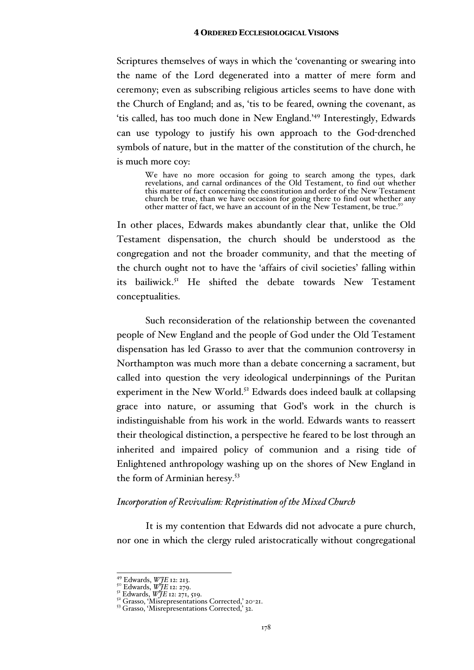Scriptures themselves of ways in which the 'covenanting or swearing into the name of the Lord degenerated into a matter of mere form and ceremony; even as subscribing religious articles seems to have done with the Church of England; and as, 'tis to be feared, owning the covenant, as 'tis called, has too much done in New England.'49 Interestingly, Edwards can use typology to justify his own approach to the God-drenched symbols of nature, but in the matter of the constitution of the church, he is much more coy:

We have no more occasion for going to search among the types, dark revelations, and carnal ordinances of the Old Testament, to find out whether this matter of fact concerning the constitution and order of the New Testament church be true, than we have occasion for going there to find out whether any other matter of fact, we have an account of in the New Testament, be true.<sup>5</sup>

In other places, Edwards makes abundantly clear that, unlike the Old Testament dispensation, the church should be understood as the congregation and not the broader community, and that the meeting of the church ought not to have the 'affairs of civil societies' falling within its bailiwick.<sup>51</sup> He shifted the debate towards New Testament conceptualities.

Such reconsideration of the relationship between the covenanted people of New England and the people of God under the Old Testament dispensation has led Grasso to aver that the communion controversy in Northampton was much more than a debate concerning a sacrament, but called into question the very ideological underpinnings of the Puritan experiment in the New World.<sup>52</sup> Edwards does indeed baulk at collapsing grace into nature, or assuming that God's work in the church is indistinguishable from his work in the world. Edwards wants to reassert their theological distinction, a perspective he feared to be lost through an inherited and impaired policy of communion and a rising tide of Enlightened anthropology washing up on the shores of New England in the form of Arminian heresy.<sup>53</sup>

#### *Incorporation of Revivalism: Repristination of the Mixed Church*

It is my contention that Edwards did not advocate a pure church, nor one in which the clergy ruled aristocratically without congregational

<sup>&</sup>lt;sup>49</sup> Edwards, *WJE* 12: 213.<br><sup>50</sup> Edwards, *WJE* 12: 279.<br><sup>51</sup> Edwards, *WJE* 12: 271, 519.<br><sup>52</sup> Grasso, 'Misrepresentations Corrected,' 20-21.<br><sup>53</sup> Grasso, 'Misrepresentations Corrected,' 32.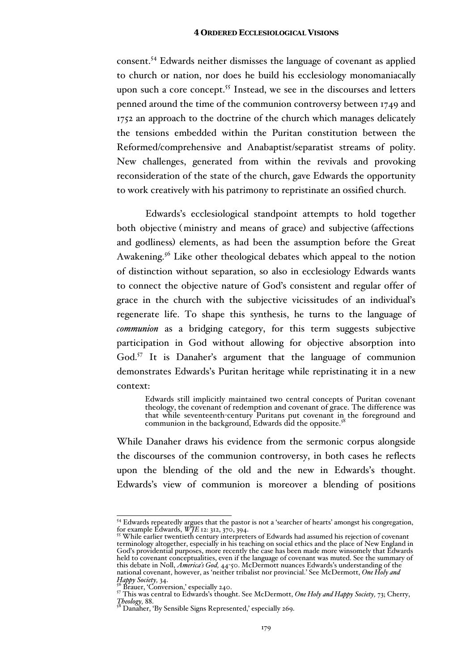consent.54 Edwards neither dismisses the language of covenant as applied to church or nation, nor does he build his ecclesiology monomaniacally upon such a core concept.<sup>55</sup> Instead, we see in the discourses and letters penned around the time of the communion controversy between 1749 and 1752 an approach to the doctrine of the church which manages delicately the tensions embedded within the Puritan constitution between the Reformed/comprehensive and Anabaptist/separatist streams of polity. New challenges, generated from within the revivals and provoking reconsideration of the state of the church, gave Edwards the opportunity to work creatively with his patrimony to repristinate an ossified church.

Edwards's ecclesiological standpoint attempts to hold together both objective ( ministry and means of grace) and subjective (affections and godliness) elements, as had been the assumption before the Great Awakening.<sup>56</sup> Like other theological debates which appeal to the notion of distinction without separation, so also in ecclesiology Edwards wants to connect the objective nature of God's consistent and regular offer of grace in the church with the subjective vicissitudes of an individual's regenerate life. To shape this synthesis, he turns to the language of *communion* as a bridging category, for this term suggests subjective participation in God without allowing for objective absorption into God.<sup>57</sup> It is Danaher's argument that the language of communion demonstrates Edwards's Puritan heritage while repristinating it in a new context:

Edwards still implicitly maintained two central concepts of Puritan covenant theology, the covenant of redemption and covenant of grace. The difference was that while seventeenth-century Puritans put covenant in the foreground and communion in the background, Edwards did the opposite.<sup>58</sup>

While Danaher draws his evidence from the sermonic corpus alongside the discourses of the communion controversy, in both cases he reflects upon the blending of the old and the new in Edwards's thought. Edwards's view of communion is moreover a blending of positions

54 Edwards repeatedly argues that the pastor is not a 'searcher of hearts' amongst his congregation,

for example Edwards, *WJE* 12: 312, 370, 394.<br><sup>55</sup> While earlier twentieth century interpreters of Edwards had assumed his rejection of covenant terminology altogether, especially in his teaching on social ethics and the place of New England in God's providential purposes, more recently the case has been made more winsomely that Edwards held to covenant conceptualities, even if the language of covenant was muted. See the summary of this debate in Noll, *America's God,* <sup>44</sup>-50. McDermott nuances Edwards's understanding of the national covenant, however, as 'neither tribalist nor provincial.' See McDermott, *One Holy and* 

*Happy Society,* 34. *S*<br>
<sup>56</sup> Brauer, 'Conversion,' especially 240.<br>
<sup>57</sup> This was central to Edwards's thought. See McDermott, *One Holy and Happy Society,* 73; Cherry, *Theology,* 88. <sup>58</sup> Danaher, 'By Sensible Signs Represented,' especially 269.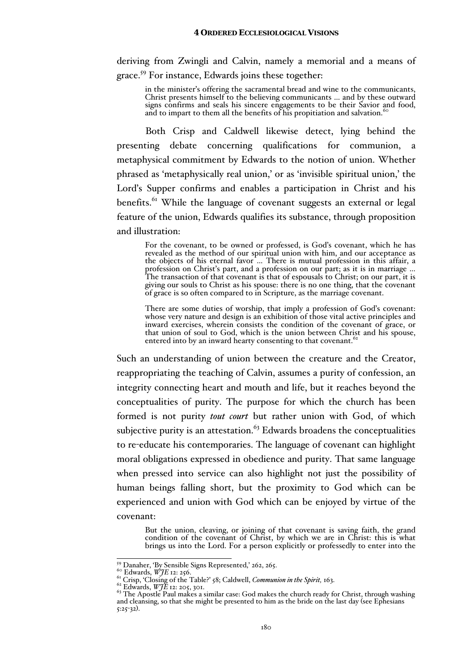deriving from Zwingli and Calvin, namely a memorial and a means of grace.<sup>59</sup> For instance, Edwards joins these together:

in the minister's offering the sacramental bread and wine to the communicants, Christ presents himself to the believing communicants … and by these outward signs confirms and seals his sincere engagements to be their Savior and food, and to impart to them all the benefits of his propitiation and salvation.<sup>60</sup>

Both Crisp and Caldwell likewise detect, lying behind the presenting debate concerning qualifications for communion, a metaphysical commitment by Edwards to the notion of union. Whether phrased as 'metaphysically real union,' or as 'invisible spiritual union,' the Lord's Supper confirms and enables a participation in Christ and his benefits.<sup>61</sup> While the language of covenant suggests an external or legal feature of the union, Edwards qualifies its substance, through proposition and illustration:

For the covenant, to be owned or professed, is God's covenant, which he has revealed as the method of our spiritual union with him, and our acceptance as the objects of his eternal favor … There is mutual profession in this affair, a profession on Christ's part, and a profession on our part; as it is in marriage … The transaction of that covenant is that of espousals to Christ; on our part, it is giving our souls to Christ as his spouse: there is no one thing, that the covenant of grace is so often compared to in Scripture, as the marriage covenant.

There are some duties of worship, that imply a profession of God's covenant: whose very nature and design is an exhibition of those vital active principles and inward exercises, wherein consists the condition of the covenant of grace, or that union of soul to God, which is the union between Christ and his spouse, entered into by an inward hearty consenting to that covenant.<sup>6</sup>

Such an understanding of union between the creature and the Creator, reappropriating the teaching of Calvin, assumes a purity of confession, an integrity connecting heart and mouth and life, but it reaches beyond the conceptualities of purity. The purpose for which the church has been formed is not purity *tout court* but rather union with God, of which subjective purity is an attestation. $^{63}$  Edwards broadens the conceptualities to re-educate his contemporaries. The language of covenant can highlight moral obligations expressed in obedience and purity. That same language when pressed into service can also highlight not just the possibility of human beings falling short, but the proximity to God which can be experienced and union with God which can be enjoyed by virtue of the covenant:

But the union, cleaving, or joining of that covenant is saving faith, the grand condition of the covenant of Christ, by which we are in Christ: this is what brings us into the Lord. For a person explicitly or professedly to enter into the

<sup>&</sup>lt;sup>59</sup> Danaher, 'By Sensible Signs Represented,' 262, 265.<br><sup>60</sup> Edwards, *WJE* 12: 256.<br><sup>61</sup> Crisp, 'Closing of the Table?' 58; Caldwell, *Communion in the Spirit*, 163.<br><sup>62</sup> Edwards, *WJE* 12: 205, 301.<br><sup>63</sup> The Apostle Pa and cleansing, so that she might be presented to him as the bride on the last day (see Ephesians 5:25-32).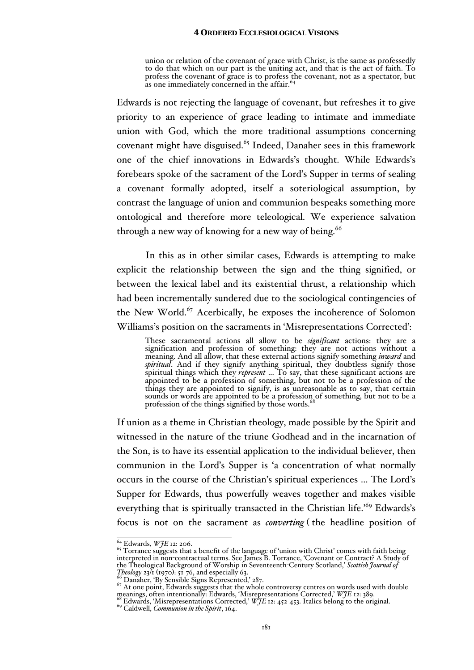union or relation of the covenant of grace with Christ, is the same as professedly to do that which on our part is the uniting act, and that is the act of faith. To profess the covenant of grace is to profess the covenant, not as a spectator, but as one immediately concerned in the affair.<sup>64</sup>

Edwards is not rejecting the language of covenant, but refreshes it to give priority to an experience of grace leading to intimate and immediate union with God, which the more traditional assumptions concerning covenant might have disguised.<sup>65</sup> Indeed, Danaher sees in this framework one of the chief innovations in Edwards's thought. While Edwards's forebears spoke of the sacrament of the Lord's Supper in terms of sealing a covenant formally adopted, itself a soteriological assumption, by contrast the language of union and communion bespeaks something more ontological and therefore more teleological. We experience salvation through a new way of knowing for a new way of being.<sup>66</sup>

In this as in other similar cases, Edwards is attempting to make explicit the relationship between the sign and the thing signified, or between the lexical label and its existential thrust, a relationship which had been incrementally sundered due to the sociological contingencies of the New World. $67$  Acerbically, he exposes the incoherence of Solomon Williams's position on the sacraments in 'Misrepresentations Corrected':

These sacramental actions all allow to be *significant* actions: they are a signification and profession of something: they are not actions without a meaning. And all allow, that these external actions signify something *inward* and *spiritual*. And if they signify anything spiritual, they doubtless signify those spiritual things which they *represent* … To say, that these significant actions are appointed to be a profession of something, but not to be a profession of the things they are appointed to signify, is as unreasonable as to say, that certain sounds or words are appointed to be a profession of something, but not to be a profession of the things signified by those words.<sup>68</sup>

If union as a theme in Christian theology, made possible by the Spirit and witnessed in the nature of the triune Godhead and in the incarnation of the Son, is to have its essential application to the individual believer, then communion in the Lord's Supper is 'a concentration of what normally occurs in the course of the Christian's spiritual experiences … The Lord's Supper for Edwards, thus powerfully weaves together and makes visible everything that is spiritually transacted in the Christian life.<sup>'69</sup> Edwards's focus is not on the sacrament as *converting* ( the headline position of

<sup>64</sup> Edwards, *WJE* 12: 206.

<sup>&</sup>lt;sup>65</sup> Torrance suggests that a benefit of the language of 'union with Christ' comes with faith being interpreted in non-contractual terms. See James B. Torrance, 'Covenant or Contract? A Study of<br>the Theological Background of Worship in Seventeenth-Century Scotland,' Scottish Journal of<br>Theology 23/1 (1970): 51-76, and es

Dananer, by sensible signs represented, 20%.<br>
The controversy centres on words used with double<br>
meanings, often intentionally: Edwards, 'Misrepresentations Corrected,' WHE 12: 389.<br>
<sup>68</sup> Edwards, 'Misrepresentations Corr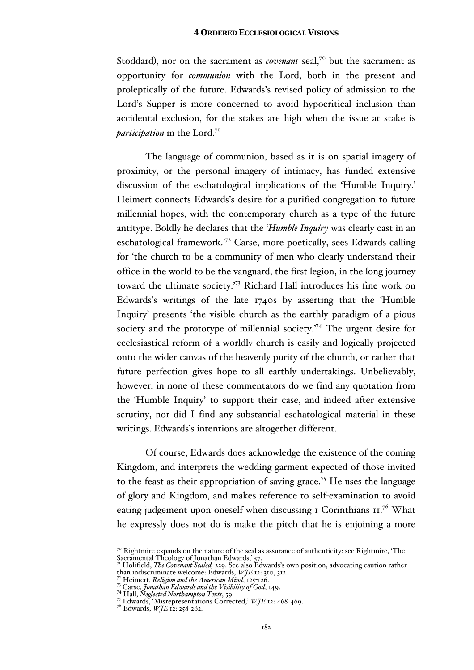Stoddard), nor on the sacrament as *covenant* seal,<sup>70</sup> but the sacrament as opportunity for *communion* with the Lord, both in the present and proleptically of the future. Edwards's revised policy of admission to the Lord's Supper is more concerned to avoid hypocritical inclusion than accidental exclusion, for the stakes are high when the issue at stake is *participation* in the Lord.<sup>71</sup>

The language of communion, based as it is on spatial imagery of proximity, or the personal imagery of intimacy, has funded extensive discussion of the eschatological implications of the 'Humble Inquiry.' Heimert connects Edwards's desire for a purified congregation to future millennial hopes, with the contemporary church as a type of the future antitype. Boldly he declares that the '*Humble Inquiry* was clearly cast in an eschatological framework.'72 Carse, more poetically, sees Edwards calling for 'the church to be a community of men who clearly understand their office in the world to be the vanguard, the first legion, in the long journey toward the ultimate society.'73 Richard Hall introduces his fine work on Edwards's writings of the late 1740s by asserting that the 'Humble Inquiry' presents 'the visible church as the earthly paradigm of a pious society and the prototype of millennial society.<sup>74</sup> The urgent desire for ecclesiastical reform of a worldly church is easily and logically projected onto the wider canvas of the heavenly purity of the church, or rather that future perfection gives hope to all earthly undertakings. Unbelievably, however, in none of these commentators do we find any quotation from the 'Humble Inquiry' to support their case, and indeed after extensive scrutiny, nor did I find any substantial eschatological material in these writings. Edwards's intentions are altogether different.

Of course, Edwards does acknowledge the existence of the coming Kingdom, and interprets the wedding garment expected of those invited to the feast as their appropriation of saving grace.<sup>75</sup> He uses the language of glory and Kingdom, and makes reference to self-examination to avoid eating judgement upon oneself when discussing  $\sigma$  Corinthians  $\sigma$ <sub>1.76</sub> What he expressly does not do is make the pitch that he is enjoining a more

<sup>&</sup>lt;sup>70</sup> Rightmire expands on the nature of the seal as assurance of authenticity: see Rightmire, 'The

<sup>&</sup>lt;sup>70</sup> Rightmire expands on the nature of the seal as assurance of authenticity: see Rightmire, "The Sacramental Theology of Jonathan Edwards," 57.<br><sup>71</sup> Holifield, *The Covenant Sealed*, 229. See also Edwards's own position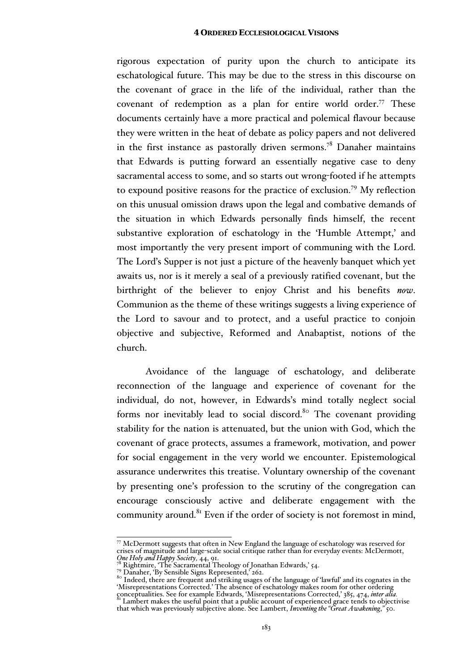rigorous expectation of purity upon the church to anticipate its eschatological future. This may be due to the stress in this discourse on the covenant of grace in the life of the individual, rather than the covenant of redemption as a plan for entire world order.<sup>77</sup> These documents certainly have a more practical and polemical flavour because they were written in the heat of debate as policy papers and not delivered in the first instance as pastorally driven sermons.<sup>78</sup> Danaher maintains that Edwards is putting forward an essentially negative case to deny sacramental access to some, and so starts out wrong-footed if he attempts to expound positive reasons for the practice of exclusion.79 My reflection on this unusual omission draws upon the legal and combative demands of the situation in which Edwards personally finds himself, the recent substantive exploration of eschatology in the 'Humble Attempt,' and most importantly the very present import of communing with the Lord. The Lord's Supper is not just a picture of the heavenly banquet which yet awaits us, nor is it merely a seal of a previously ratified covenant, but the birthright of the believer to enjoy Christ and his benefits *now*. Communion as the theme of these writings suggests a living experience of the Lord to savour and to protect, and a useful practice to conjoin objective and subjective, Reformed and Anabaptist, notions of the church.

Avoidance of the language of eschatology, and deliberate reconnection of the language and experience of covenant for the individual, do not, however, in Edwards's mind totally neglect social forms nor inevitably lead to social discord.<sup>80</sup> The covenant providing stability for the nation is attenuated, but the union with God, which the covenant of grace protects, assumes a framework, motivation, and power for social engagement in the very world we encounter. Epistemological assurance underwrites this treatise. Voluntary ownership of the covenant by presenting one's profession to the scrutiny of the congregation can encourage consciously active and deliberate engagement with the community around. $81$  Even if the order of society is not foremost in mind,

77 McDermott suggests that often in New England the language of eschatology was reserved for crises of magnitude and large-scale social critique rather than for everyday events: McDermott,

*One Holy and Happy Society,* 44, 91.<br><sup>78</sup> Rightmire, 'The Sacramental Theology of Jonathan Edwards,' 54.<br><sup>79</sup> Danaher, 'By Sensible Signs Represented,' 262.<br><sup>80</sup> Indeed, there are frequent and striking usages of the langu 'Misrepresentations Corrected.' The absence of eschatology makes room for other ordering conceptualities. See for example Edwards, 'Misrepresentations Corrected,' 385, 474, *inter alia.*<br><sup>81</sup> Lambert makes the useful point that a public account of experienced grace tends to objectivise

that which was previously subjective alone. See Lambert, *Inventing the "Great Awakening*,*"* 50.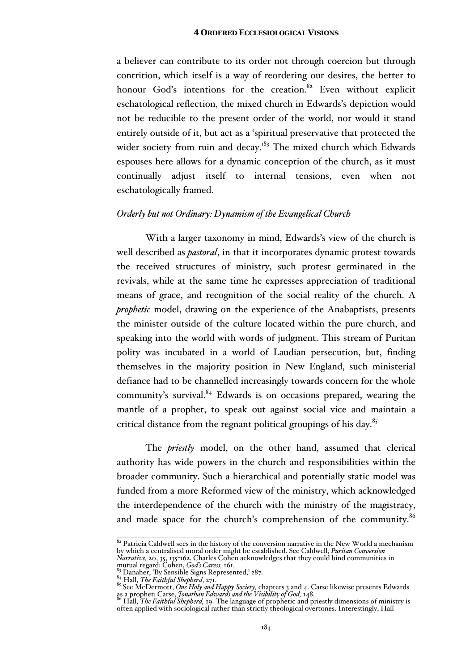a believer can contribute to its order not through coercion but through contrition, which itself is a way of reordering our desires, the better to honour God's intentions for the creation.<sup>82</sup> Even without explicit eschatological reflection, the mixed church in Edwards's depiction would not be reducible to the present order of the world, nor would it stand entirely outside of it, but act as a 'spiritual preservative that protected the wider society from ruin and decay.<sup>83</sup> The mixed church which Edwards espouses here allows for a dynamic conception of the church, as it must continually adjust itself to internal tensions, even when not eschatologically framed.

## *Orderly but not Ordinary: Dynamism of the Evangelical Church*

With a larger taxonomy in mind, Edwards's view of the church is well described as *pastoral*, in that it incorporates dynamic protest towards the received structures of ministry, such protest germinated in the revivals, while at the same time he expresses appreciation of traditional means of grace, and recognition of the social reality of the church. A *prophetic* model, drawing on the experience of the Anabaptists, presents the minister outside of the culture located within the pure church, and speaking into the world with words of judgment. This stream of Puritan polity was incubated in a world of Laudian persecution, but, finding themselves in the majority position in New England, such ministerial defiance had to be channelled increasingly towards concern for the whole community's survival.<sup>84</sup> Edwards is on occasions prepared, wearing the mantle of a prophet, to speak out against social vice and maintain a critical distance from the regnant political groupings of his day.<sup>85</sup>

The *priestly* model, on the other hand, assumed that clerical authority has wide powers in the church and responsibilities within the broader community. Such a hierarchical and potentially static model was funded from a more Reformed view of the ministry, which acknowledged the interdependence of the church with the ministry of the magistracy, and made space for the church's comprehension of the community.<sup>86</sup>

 $82$  Patricia Caldwell sees in the history of the conversion narrative in the New World a mechanism by which a centralised moral order might be established. See Caldwell, *Puritan Conversion Narrative,* 20, 35, 135-162. Charles Cohen acknowledges that they could bind communities in mutual regard: Cohen, *God's Caress,* 161.

<sup>&</sup>lt;sup>83</sup> Danaher, 'By Sensible Signs Represented,' 287.<br><sup>84</sup> Hall, *The Faithful Shepherd*, 271.<br><sup>85</sup> See McDermott, *One Holy and Happy Society,* chapters 3 and 4. Carse likewise presents Edwards as a prophet: Carse, *Jonathan Edwards and the Visibility of God,* 148.<br><sup>86</sup> Hall, *The Faithful Shepherd,* 19. The language of prophetic and priestly dimensions of ministry is

often applied with sociological rather than strictly theological overtones. Interestingly, Hall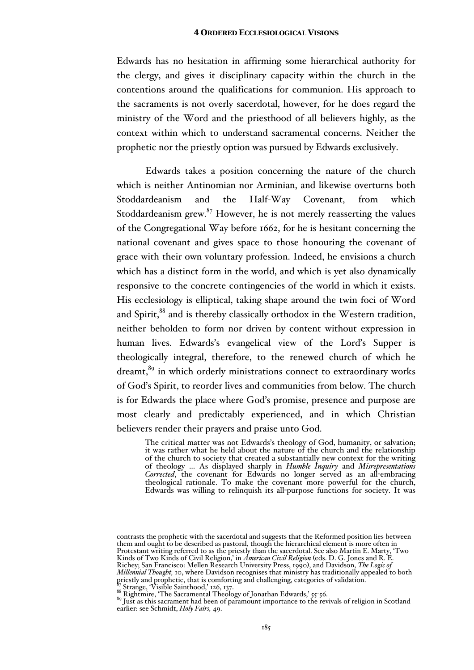Edwards has no hesitation in affirming some hierarchical authority for the clergy, and gives it disciplinary capacity within the church in the contentions around the qualifications for communion. His approach to the sacraments is not overly sacerdotal, however, for he does regard the ministry of the Word and the priesthood of all believers highly, as the context within which to understand sacramental concerns. Neither the prophetic nor the priestly option was pursued by Edwards exclusively.

Edwards takes a position concerning the nature of the church which is neither Antinomian nor Arminian, and likewise overturns both Stoddardeanism and the Half-Way Covenant, from which Stoddardeanism grew. $87$  However, he is not merely reasserting the values of the Congregational Way before 1662, for he is hesitant concerning the national covenant and gives space to those honouring the covenant of grace with their own voluntary profession. Indeed, he envisions a church which has a distinct form in the world, and which is yet also dynamically responsive to the concrete contingencies of the world in which it exists. His ecclesiology is elliptical, taking shape around the twin foci of Word and Spirit,<sup>88</sup> and is thereby classically orthodox in the Western tradition, neither beholden to form nor driven by content without expression in human lives. Edwards's evangelical view of the Lord's Supper is theologically integral, therefore, to the renewed church of which he dreamt,<sup>89</sup> in which orderly ministrations connect to extraordinary works of God's Spirit, to reorder lives and communities from below. The church is for Edwards the place where God's promise, presence and purpose are most clearly and predictably experienced, and in which Christian believers render their prayers and praise unto God.

The critical matter was not Edwards's theology of God, humanity, or salvation; it was rather what he held about the nature of the church and the relationship of the church to society that created a substantially new context for the writing of theology … As displayed sharply in *Humble Inquiry* and *Misrepresentations Corrected*, the covenant for Edwards no longer served as an all-embracing theological rationale. To make the covenant more powerful for the church, Edwards was willing to relinquish its all-purpose functions for society. It was

<sup>1</sup> contrasts the prophetic with the sacerdotal and suggests that the Reformed position lies between them and ought to be described as pastoral, though the hierarchical element is more often in Protestant writing referred to as the priestly than the sacerdotal. See also Martin E. Marty, 'Two Kinds of Two Kinds of Civil Religion,' in *American Civil Religion* (eds. D. G. Jones and R. E. Richey; San Francisco: Mellen Research University Press, 1990), and Davidson, *The Logic of*<br>*Millennial Thought,* 10, where Davidson recognises that ministry has traditionally appealed to both<br>priestly and prophetic, that

<sup>&</sup>lt;sup>87</sup> Strange, 'Visible Sainthood,' 126, 137.  $\frac{8}{100}$  of Jonathan Edwards,' 55-56.<br><sup>88</sup> Rightmire, 'The Sacramental Theology of Jonathan Edwards,' 55-56.<br><sup>89</sup> Just as this sacrament had been of paramount importance to earlier: see Schmidt, *Holy Fairs,* 49.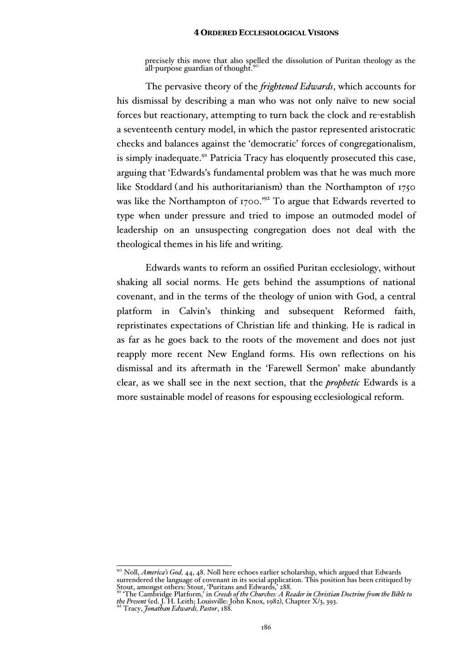precisely this move that also spelled the dissolution of Puritan theology as the all-purpose guardian of thought.<sup>90</sup>

The pervasive theory of the *frightened Edwards*, which accounts for his dismissal by describing a man who was not only naïve to new social forces but reactionary, attempting to turn back the clock and re-establish a seventeenth century model, in which the pastor represented aristocratic checks and balances against the 'democratic' forces of congregationalism, is simply inadequate.<sup>91</sup> Patricia Tracy has eloquently prosecuted this case, arguing that 'Edwards's fundamental problem was that he was much more like Stoddard ( and his authoritarianism) than the Northampton of 1750 was like the Northampton of 1700.<sup>'92</sup> To argue that Edwards reverted to type when under pressure and tried to impose an outmoded model of leadership on an unsuspecting congregation does not deal with the theological themes in his life and writing.

Edwards wants to reform an ossified Puritan ecclesiology, without shaking all social norms. He gets behind the assumptions of national covenant, and in the terms of the theology of union with God, a central platform in Calvin's thinking and subsequent Reformed faith, repristinates expectations of Christian life and thinking. He is radical in as far as he goes back to the roots of the movement and does not just reapply more recent New England forms. His own reflections on his dismissal and its aftermath in the 'Farewell Sermon' make abundantly clear, as we shall see in the next section, that the *prophetic* Edwards is a more sustainable model of reasons for espousing ecclesiological reform.

<sup>&</sup>lt;sup>90</sup> Noll, *America's God*, 44, 48. Noll here echoes earlier scholarship, which argued that Edwards surrendered the language of covenant in its social application. This position has been critiqued by Stout, amongst others: Stout, 'Puritans and Edwards,' 288.<br><sup>91</sup> 'The Cambridge Platform,' in *Creeds of the Churches: A Reader in Christian Doctrine from the Bible to* 

*the Present (*ed. J. H. Leith; Louisville: John Knox, 1982), Chapter X/3, 393.<br><sup>92</sup> Tracy*, Jonathan Edwards, Pastor*, 188.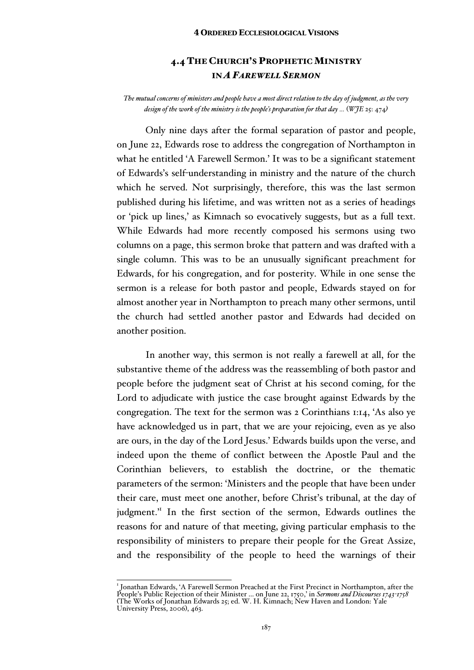# 4.4 THE CHURCH'S PROPHETIC MINISTRY IN *A FAREWELL SERMON*

*The mutual concerns of ministers and people have a most direct relation to the day of judgment, as the very design of the work of the ministry is the people's preparation for that day …* (*WJE* 25: 474*)*

Only nine days after the formal separation of pastor and people, on June 22, Edwards rose to address the congregation of Northampton in what he entitled 'A Farewell Sermon.' It was to be a significant statement of Edwards's self-understanding in ministry and the nature of the church which he served. Not surprisingly, therefore, this was the last sermon published during his lifetime, and was written not as a series of headings or 'pick up lines,' as Kimnach so evocatively suggests, but as a full text. While Edwards had more recently composed his sermons using two columns on a page, this sermon broke that pattern and was drafted with a single column. This was to be an unusually significant preachment for Edwards, for his congregation, and for posterity. While in one sense the sermon is a release for both pastor and people, Edwards stayed on for almost another year in Northampton to preach many other sermons, until the church had settled another pastor and Edwards had decided on another position.

In another way, this sermon is not really a farewell at all, for the substantive theme of the address was the reassembling of both pastor and people before the judgment seat of Christ at his second coming, for the Lord to adjudicate with justice the case brought against Edwards by the congregation. The text for the sermon was 2 Corinthians 1:14, 'As also ye have acknowledged us in part, that we are your rejoicing, even as ye also are ours, in the day of the Lord Jesus.' Edwards builds upon the verse, and indeed upon the theme of conflict between the Apostle Paul and the Corinthian believers, to establish the doctrine, or the thematic parameters of the sermon: 'Ministers and the people that have been under their care, must meet one another, before Christ's tribunal, at the day of judgment.<sup>31</sup> In the first section of the sermon, Edwards outlines the reasons for and nature of that meeting, giving particular emphasis to the responsibility of ministers to prepare their people for the Great Assize, and the responsibility of the people to heed the warnings of their

<sup>1</sup> Jonathan Edwards, 'A Farewell Sermon Preached at the First Precinct in Northampton, after the People's Public Rejection of their Minister ... on June 22, 1750,' in *Sermons and Discourses 1743-1758* (The Works of Jonathan Edwards 25; ed. W. H. Kimnach; New Haven and London: Yale University Press, 2006), 463.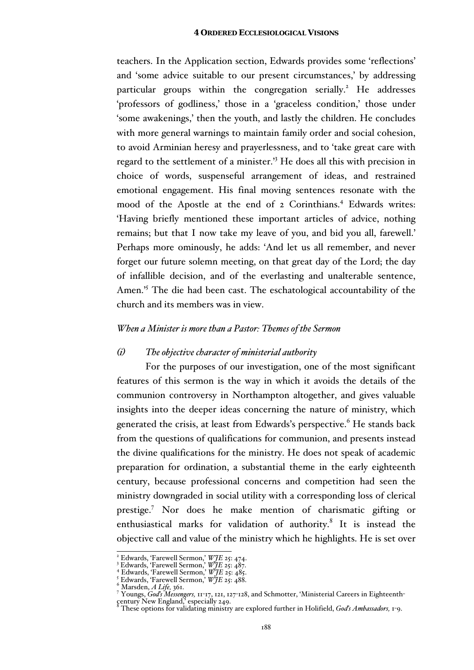teachers. In the Application section, Edwards provides some 'reflections' and 'some advice suitable to our present circumstances,' by addressing particular groups within the congregation serially.<sup>2</sup> He addresses 'professors of godliness,' those in a 'graceless condition,' those under 'some awakenings,' then the youth, and lastly the children. He concludes with more general warnings to maintain family order and social cohesion, to avoid Arminian heresy and prayerlessness, and to 'take great care with regard to the settlement of a minister.'<sup>3</sup> He does all this with precision in choice of words, suspenseful arrangement of ideas, and restrained emotional engagement. His final moving sentences resonate with the mood of the Apostle at the end of 2 Corinthians.4 Edwards writes: 'Having briefly mentioned these important articles of advice, nothing remains; but that I now take my leave of you, and bid you all, farewell.' Perhaps more ominously, he adds: 'And let us all remember, and never forget our future solemn meeting, on that great day of the Lord; the day of infallible decision, and of the everlasting and unalterable sentence, Amen.'5 The die had been cast. The eschatological accountability of the church and its members was in view.

### *When a Minister is more than a Pastor: Themes of the Sermon*

#### *(i) The objective character of ministerial authority*

For the purposes of our investigation, one of the most significant features of this sermon is the way in which it avoids the details of the communion controversy in Northampton altogether, and gives valuable insights into the deeper ideas concerning the nature of ministry, which generated the crisis, at least from Edwards's perspective.<sup>6</sup> He stands back from the questions of qualifications for communion, and presents instead the divine qualifications for the ministry. He does not speak of academic preparation for ordination, a substantial theme in the early eighteenth century, because professional concerns and competition had seen the ministry downgraded in social utility with a corresponding loss of clerical prestige.7 Nor does he make mention of charismatic gifting or enthusiastical marks for validation of authority.<sup>8</sup> It is instead the objective call and value of the ministry which he highlights. He is set over

<sup>&</sup>lt;sup>2</sup> Edwards, 'Farewell Sermon,' *WTE* 25: 474.<br>
<sup>3</sup> Edwards, 'Farewell Sermon,' *WTE* 25: 487.<br>
<sup>4</sup> Edwards, 'Farewell Sermon,' *WTE* 25: 485.<br>
<sup>5</sup> Edwards, 'Farewell Sermon,' *WTE* 25: 488.<br>
<sup>6</sup> Marsden, *A Life*, 361.

century New England,' especially 249.<br><sup>8</sup> These options for validating ministry are explored further in Holifield, *God's Ambassadors,* 1-9.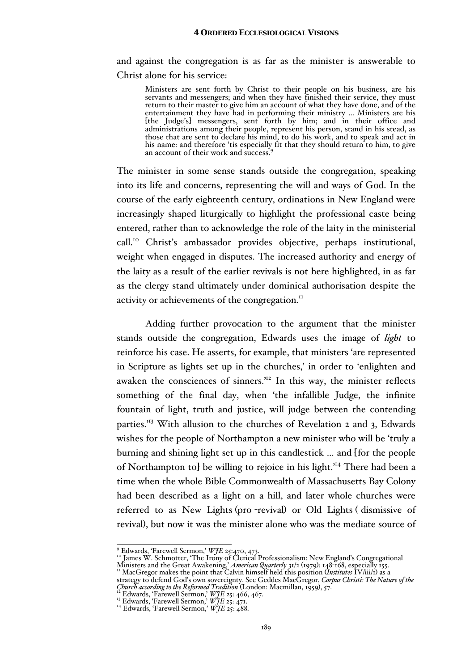# and against the congregation is as far as the minister is answerable to Christ alone for his service:

Ministers are sent forth by Christ to their people on his business, are his servants and messengers; and when they have finished their service, they must return to their master to give him an account of what they have done, and of the entertainment they have had in performing their ministry … Ministers are his [the Judge's] messengers, sent forth by him; and in their office and administrations among their people, represent his person, stand in his stead, as those that are sent to declare his mind, to do his work, and to speak and act in his name: and therefore 'tis especially fit that they should return to him, to give an account of their work and success.<sup>9</sup>

The minister in some sense stands outside the congregation, speaking into its life and concerns, representing the will and ways of God. In the course of the early eighteenth century, ordinations in New England were increasingly shaped liturgically to highlight the professional caste being entered, rather than to acknowledge the role of the laity in the ministerial call.10 Christ's ambassador provides objective, perhaps institutional, weight when engaged in disputes. The increased authority and energy of the laity as a result of the earlier revivals is not here highlighted, in as far as the clergy stand ultimately under dominical authorisation despite the activity or achievements of the congregation.<sup>11</sup>

Adding further provocation to the argument that the minister stands outside the congregation, Edwards uses the image of *light* to reinforce his case. He asserts, for example, that ministers 'are represented in Scripture as lights set up in the churches,' in order to 'enlighten and awaken the consciences of sinners.<sup>12</sup> In this way, the minister reflects something of the final day, when 'the infallible Judge, the infinite fountain of light, truth and justice, will judge between the contending parties.'13 With allusion to the churches of Revelation 2 and 3, Edwards wishes for the people of Northampton a new minister who will be 'truly a burning and shining light set up in this candlestick … and [for the people of Northampton to] be willing to rejoice in his light.'14 There had been a time when the whole Bible Commonwealth of Massachusetts Bay Colony had been described as a light on a hill, and later whole churches were referred to as New Lights (pro -revival) or Old Lights ( dismissive of revival), but now it was the minister alone who was the mediate source of

<sup>&</sup>lt;del>-</del><br><sup>9</sup> Edwards, 'Farewell Sermon,' *WJE 25*:470, 473.<br><sup>10</sup> James W. Schmotter, 'The Irony of Clerical Professionalism: New England's Congregational Ministers and the Great Awakening,' *American Quarterly 31*/2 (1979): 148-168, especially 155.<br><sup>11</sup> MacGregor makes the point that Calvin himself held this position (I*nstitutes* IV/iii/1) as a<br>strategy to defend God's own

*Church according to the Reformed Tradition* (London: Macmillan, 1959), 57.<br><sup>12</sup> Edwards, 'Farewell Sermon,' *WJE 25*: 466, 467.<br><sup>13</sup> Edwards, 'Farewell Sermon,' *WJE 25*: 471.<br><sup>14</sup> Edwards, 'Farewell Sermon,' *WJE 25*: 48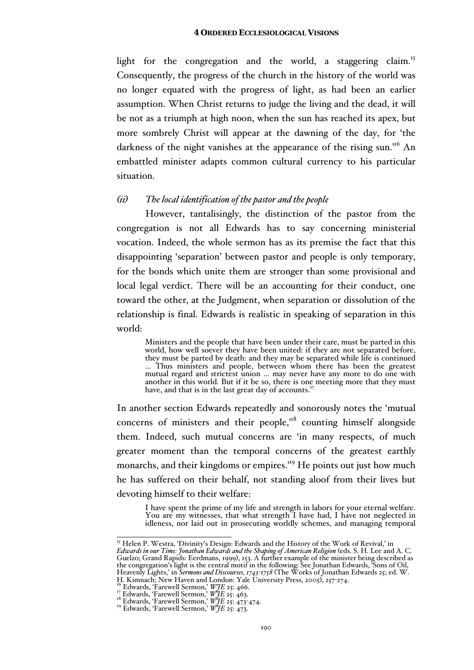light for the congregation and the world, a staggering claim.<sup>15</sup> Consequently, the progress of the church in the history of the world was no longer equated with the progress of light, as had been an earlier assumption. When Christ returns to judge the living and the dead, it will be not as a triumph at high noon, when the sun has reached its apex, but more sombrely Christ will appear at the dawning of the day, for 'the darkness of the night vanishes at the appearance of the rising sun.<sup>16</sup> An embattled minister adapts common cultural currency to his particular situation.

## *(ii) The local identification of the pastor and the people*

However, tantalisingly, the distinction of the pastor from the congregation is not all Edwards has to say concerning ministerial vocation. Indeed, the whole sermon has as its premise the fact that this disappointing 'separation' between pastor and people is only temporary, for the bonds which unite them are stronger than some provisional and local legal verdict. There will be an accounting for their conduct, one toward the other, at the Judgment, when separation or dissolution of the relationship is final. Edwards is realistic in speaking of separation in this world:

Ministers and the people that have been under their care, must be parted in this world, how well soever they have been united: if they are not separated before, they must be parted by death: and they may be separated while life is continued … Thus ministers and people, between whom there has been the greatest mutual regard and strictest union … may never have any more to do one with another in this world. But if it be so, there is one meeting more that they must have, and that is in the last great day of accounts.<sup>17</sup>

In another section Edwards repeatedly and sonorously notes the 'mutual concerns of ministers and their people, $18$  counting himself alongside them. Indeed, such mutual concerns are 'in many respects, of much greater moment than the temporal concerns of the greatest earthly monarchs, and their kingdoms or empires.<sup>19</sup> He points out just how much he has suffered on their behalf, not standing aloof from their lives but devoting himself to their welfare:

I have spent the prime of my life and strength in labors for your eternal welfare. You are my witnesses, that what strength I have had, I have not neglected in idleness, nor laid out in prosecuting worldly schemes, and managing temporal

<sup>&</sup>lt;sup>15</sup> Helen P. Westra, 'Divinity's Design: Edwards and the History of the Work of Revival,' in *Edwards in our Time: Jonathan Edwards and the Shaping of American Religion* (eds. S. H. Lee and A. C. Guelzo; Grand Rapids: Eerdmans, 1999), 153. A further example of the minister being described as the congregation's light is the central motif in the following: See Jonathan Edwards, 'Sons of Oil, Heavenly Lights,' in *Sermons and Discourses, 1743-1758* (The Works of Jonathan Edwards 25; ed. W. H. Kimnach; New Haven and London: Yale University Press, 2005), 257-274.<br><sup>16</sup> Edwards, 'Farewell Sermon,' *WJE* 25: 466.<br><sup>17</sup> Edwards, 'Farewell Sermon,' *WJE* 25: 463.<br><sup>18</sup> Edwards, 'Farewell Sermon,' *WJE* 25: 473-474.<br><sup></sup>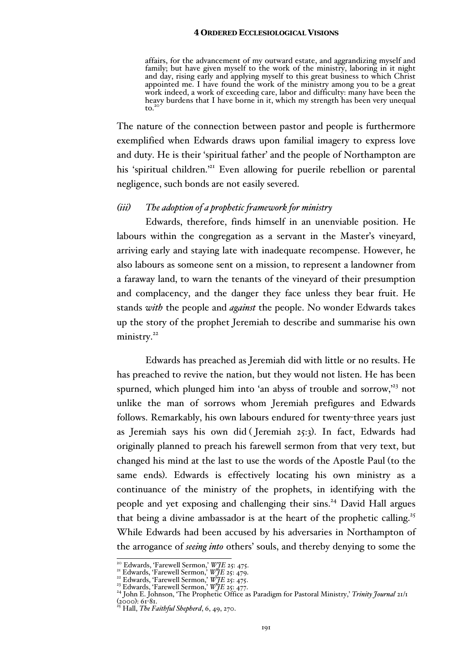affairs, for the advancement of my outward estate, and aggrandizing myself and and day, rising early and applying myself to this great business to which Christ appointed me. I have found the work of the ministry among you to be a great work indeed, a work of exceeding care, labor and difficulty: many have been the heavy burdens that I have borne in it, which my strength has been very unequal to. $20$ 

The nature of the connection between pastor and people is furthermore exemplified when Edwards draws upon familial imagery to express love and duty. He is their 'spiritual father' and the people of Northampton are his 'spiritual children.<sup>21</sup> Even allowing for puerile rebellion or parental negligence, such bonds are not easily severed.

## *(iii) The adoption of a prophetic framework for ministry*

Edwards, therefore, finds himself in an unenviable position. He labours within the congregation as a servant in the Master's vineyard, arriving early and staying late with inadequate recompense. However, he also labours as someone sent on a mission, to represent a landowner from a faraway land, to warn the tenants of the vineyard of their presumption and complacency, and the danger they face unless they bear fruit. He stands *with* the people and *against* the people. No wonder Edwards takes up the story of the prophet Jeremiah to describe and summarise his own ministry.<sup>22</sup>

Edwards has preached as Jeremiah did with little or no results. He has preached to revive the nation, but they would not listen. He has been spurned, which plunged him into 'an abyss of trouble and sorrow,"<sup>23</sup> not unlike the man of sorrows whom Jeremiah prefigures and Edwards follows. Remarkably, his own labours endured for twenty-three years just as Jeremiah says his own did ( Jeremiah 25:3). In fact, Edwards had originally planned to preach his farewell sermon from that very text, but changed his mind at the last to use the words of the Apostle Paul (to the same ends). Edwards is effectively locating his own ministry as a continuance of the ministry of the prophets, in identifying with the people and yet exposing and challenging their sins.<sup>24</sup> David Hall argues that being a divine ambassador is at the heart of the prophetic calling.<sup>25</sup> While Edwards had been accused by his adversaries in Northampton of the arrogance of *seeing into* others' souls, and thereby denying to some the

<sup>&</sup>lt;sup>20</sup> Edwards, 'Farewell Sermon,' *WTE 25*: 475.<br><sup>21</sup> Edwards, 'Farewell Sermon,' *WTE 25*: 479.<br><sup>22</sup> Edwards, 'Farewell Sermon,' *WTE 25*: 475.<br><sup>23</sup> Edwards, 'Farewell Sermon,' *WTE 25*: 477.<br><sup>24</sup> John E. Johnson, 'The Pro (2000): 61-81. <sup>25</sup> Hall, *The Faithful Shepherd*, 6, 49, 270.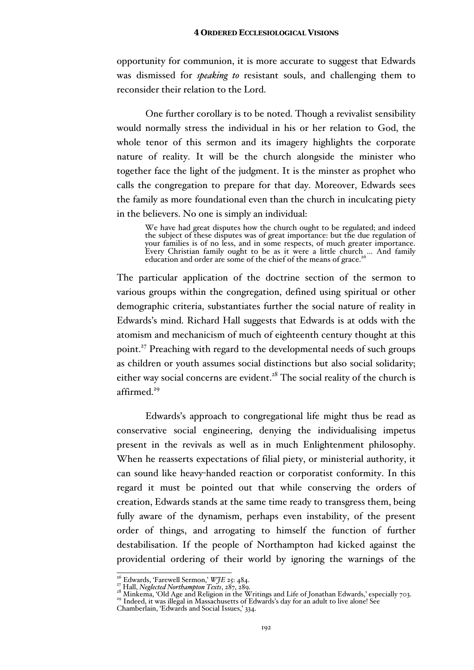opportunity for communion, it is more accurate to suggest that Edwards was dismissed for *speaking to* resistant souls, and challenging them to reconsider their relation to the Lord.

One further corollary is to be noted. Though a revivalist sensibility would normally stress the individual in his or her relation to God, the whole tenor of this sermon and its imagery highlights the corporate nature of reality. It will be the church alongside the minister who together face the light of the judgment. It is the minster as prophet who calls the congregation to prepare for that day. Moreover, Edwards sees the family as more foundational even than the church in inculcating piety in the believers. No one is simply an individual:

We have had great disputes how the church ought to be regulated; and indeed the subject of these disputes was of great importance: but the due regulation of your families is of no less, and in some respects, of much greater importance. Every Christian family ought to be as it were a little church … And family education and order are some of the chief of the means of grace.<sup>26</sup>

The particular application of the doctrine section of the sermon to various groups within the congregation, defined using spiritual or other demographic criteria, substantiates further the social nature of reality in Edwards's mind. Richard Hall suggests that Edwards is at odds with the atomism and mechanicism of much of eighteenth century thought at this point.27 Preaching with regard to the developmental needs of such groups as children or youth assumes social distinctions but also social solidarity; either way social concerns are evident.<sup>28</sup> The social reality of the church is affirmed $^{29}$ 

Edwards's approach to congregational life might thus be read as conservative social engineering, denying the individualising impetus present in the revivals as well as in much Enlightenment philosophy. When he reasserts expectations of filial piety, or ministerial authority, it can sound like heavy-handed reaction or corporatist conformity. In this regard it must be pointed out that while conserving the orders of creation, Edwards stands at the same time ready to transgress them, being fully aware of the dynamism, perhaps even instability, of the present order of things, and arrogating to himself the function of further destabilisation. If the people of Northampton had kicked against the providential ordering of their world by ignoring the warnings of the

<sup>&</sup>lt;sup>26</sup> Edwards, 'Farewell Sermon,' *WJE* 25: 484.<br><sup>27</sup> Hall, *Neglected Northampton Texts*, 287, 289.<br><sup>28</sup> Minkema, 'Old Age and Religion in the Writings and Life of Jonathan Edwards,' especially 703.<br><sup>28</sup> Indeed, it was ill

Chamberlain, 'Edwards and Social Issues,' 334.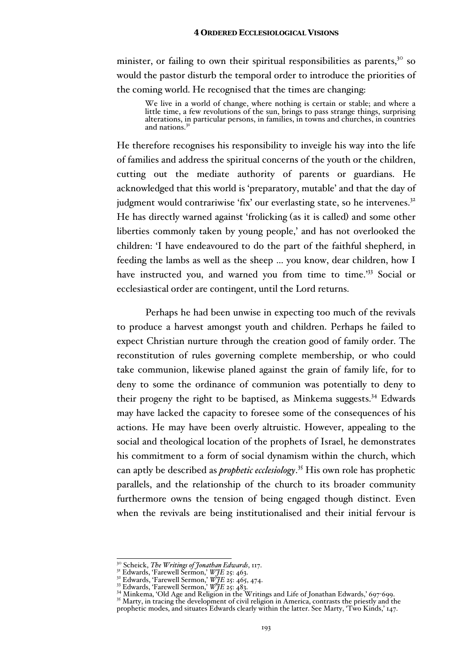minister, or failing to own their spiritual responsibilities as parents, $3^\circ$  so would the pastor disturb the temporal order to introduce the priorities of the coming world. He recognised that the times are changing:

We live in a world of change, where nothing is certain or stable; and where a little time, a few revolutions of the sun, brings to pass strange things, surprising alterations, in particular persons, in families, in towns and churches, in countries and nations.<sup>31</sup>

He therefore recognises his responsibility to inveigle his way into the life of families and address the spiritual concerns of the youth or the children, cutting out the mediate authority of parents or guardians. He acknowledged that this world is 'preparatory, mutable' and that the day of judgment would contrariwise 'fix' our everlasting state, so he intervenes.<sup>32</sup> He has directly warned against 'frolicking (as it is called) and some other liberties commonly taken by young people,' and has not overlooked the children: 'I have endeavoured to do the part of the faithful shepherd, in feeding the lambs as well as the sheep … you know, dear children, how I have instructed you, and warned you from time to time.<sup>33</sup> Social or ecclesiastical order are contingent, until the Lord returns.

Perhaps he had been unwise in expecting too much of the revivals to produce a harvest amongst youth and children. Perhaps he failed to expect Christian nurture through the creation good of family order. The reconstitution of rules governing complete membership, or who could take communion, likewise planed against the grain of family life, for to deny to some the ordinance of communion was potentially to deny to their progeny the right to be baptised, as Minkema suggests.<sup>34</sup> Edwards may have lacked the capacity to foresee some of the consequences of his actions. He may have been overly altruistic. However, appealing to the social and theological location of the prophets of Israel, he demonstrates his commitment to a form of social dynamism within the church, which can aptly be described as *prophetic ecclesiology*. 35 His own role has prophetic parallels, and the relationship of the church to its broader community furthermore owns the tension of being engaged though distinct. Even when the revivals are being institutionalised and their initial fervour is

<sup>&</sup>lt;sup>30</sup> Scheick, *The Writings of Jonathan Edwards*, 117.<br><sup>31</sup> Edwards, 'Farewell Sermon,' *WTE* 25: 463.<br><sup>32</sup> Edwards, 'Farewell Sermon,' *WTE* 25: 465, 474.<br><sup>33</sup> Edwards, 'Farewell Sermon,' *WTE* 25: 465, 474.<br><sup>34</sup> Mintkema prophetic modes, and situates Edwards clearly within the latter. See Marty, 'Two Kinds,' 147.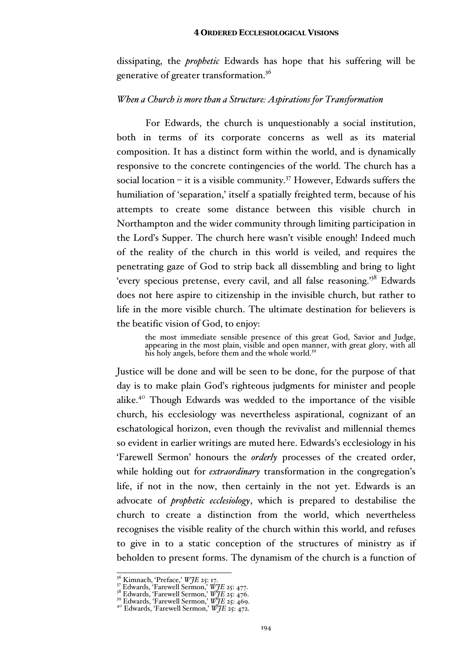dissipating, the *prophetic* Edwards has hope that his suffering will be generative of greater transformation.36

## *When a Church is more than a Structure: Aspirations for Transformation*

For Edwards, the church is unquestionably a social institution, both in terms of its corporate concerns as well as its material composition. It has a distinct form within the world, and is dynamically responsive to the concrete contingencies of the world. The church has a social location – it is a visible community.<sup>37</sup> However, Edwards suffers the humiliation of 'separation,' itself a spatially freighted term, because of his attempts to create some distance between this visible church in Northampton and the wider community through limiting participation in the Lord's Supper. The church here wasn't visible enough! Indeed much of the reality of the church in this world is veiled, and requires the penetrating gaze of God to strip back all dissembling and bring to light 'every specious pretense, every cavil, and all false reasoning.'38 Edwards does not here aspire to citizenship in the invisible church, but rather to life in the more visible church. The ultimate destination for believers is the beatific vision of God, to enjoy:

the most immediate sensible presence of this great God, Savior and Judge, appearing in the most plain, visible and open manner, with great glory, with all his holy angels, before them and the whole world.<sup>39</sup>

Justice will be done and will be seen to be done, for the purpose of that day is to make plain God's righteous judgments for minister and people alike.40 Though Edwards was wedded to the importance of the visible church, his ecclesiology was nevertheless aspirational, cognizant of an eschatological horizon, even though the revivalist and millennial themes so evident in earlier writings are muted here. Edwards's ecclesiology in his 'Farewell Sermon' honours the *orderly* processes of the created order, while holding out for *extraordinary* transformation in the congregation's life, if not in the now, then certainly in the not yet. Edwards is an advocate of *prophetic ecclesiology*, which is prepared to destabilise the church to create a distinction from the world, which nevertheless recognises the visible reality of the church within this world, and refuses to give in to a static conception of the structures of ministry as if beholden to present forms. The dynamism of the church is a function of

<sup>&</sup>lt;sup>36</sup> Kimnach, 'Preface,' *WJE* 25: 17.<br><sup>37</sup> Edwards, 'Farewell Sermon,' *WJE* 25: 477.<br><sup>38</sup> Edwards, 'Farewell Sermon,' *WJE* 25: 476.<br><sup>39</sup> Edwards, 'Farewell Sermon,' *WJE* 25: 469.<br><sup>40</sup> Edwards, 'Farewell Sermon,' *WJE*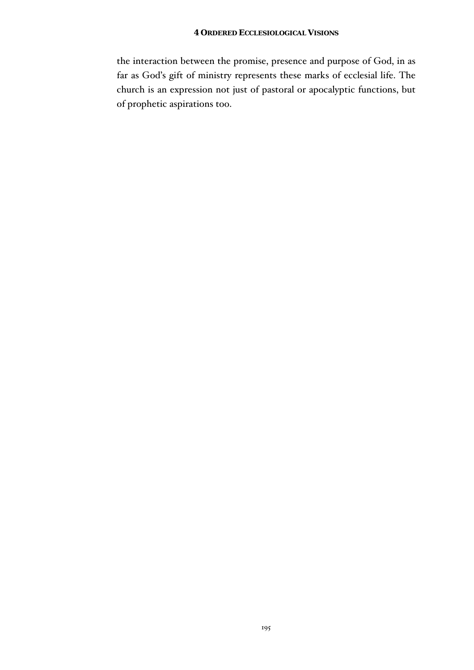the interaction between the promise, presence and purpose of God, in as far as God's gift of ministry represents these marks of ecclesial life. The church is an expression not just of pastoral or apocalyptic functions, but of prophetic aspirations too.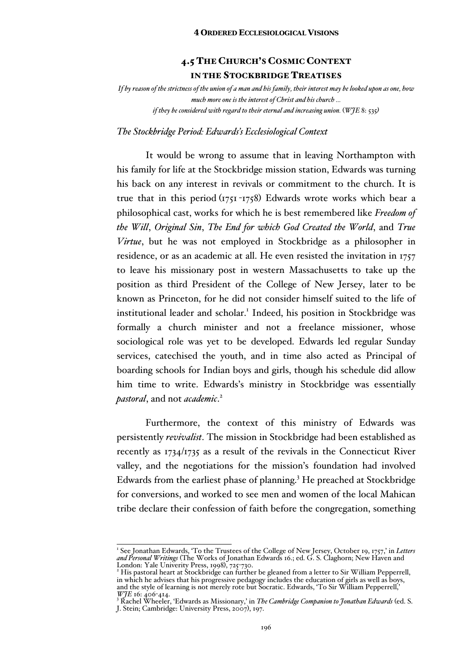# 4.5 THE CHURCH'S COSMIC CONTEXT IN THE STOCKBRIDGE TREATISES

*If by reason of the strictness of the union of a man and his family, their interest may be looked upon as one, how much more one is the interest of Christ and his church … if they be considered with regard to their eternal and increasing union.* (*WJE* 8: 535*)*

#### *The Stockbridge Period: Edwards's Ecclesiological Context*

It would be wrong to assume that in leaving Northampton with his family for life at the Stockbridge mission station, Edwards was turning his back on any interest in revivals or commitment to the church. It is true that in this period  $(1751 - 1758)$  Edwards wrote works which bear a philosophical cast, works for which he is best remembered like *Freedom of the Will*, *Original Sin*, *The End for which God Created the World*, and *True Virtue*, but he was not employed in Stockbridge as a philosopher in residence, or as an academic at all. He even resisted the invitation in 1757 to leave his missionary post in western Massachusetts to take up the position as third President of the College of New Jersey, later to be known as Princeton, for he did not consider himself suited to the life of institutional leader and scholar.<sup>1</sup> Indeed, his position in Stockbridge was formally a church minister and not a freelance missioner, whose sociological role was yet to be developed. Edwards led regular Sunday services, catechised the youth, and in time also acted as Principal of boarding schools for Indian boys and girls, though his schedule did allow him time to write. Edwards's ministry in Stockbridge was essentially *pastoral*, and not *academic*. 2

Furthermore, the context of this ministry of Edwards was persistently *revivalist*. The mission in Stockbridge had been established as recently as 1734/1735 as a result of the revivals in the Connecticut River valley, and the negotiations for the mission's foundation had involved Edwards from the earliest phase of planning.<sup>3</sup> He preached at Stockbridge for conversions, and worked to see men and women of the local Mahican tribe declare their confession of faith before the congregation, something

<sup>-&</sup>lt;br>1 See Jonathan Edwards, 'To the Trustees of the College of New Jersey, October 19, 1757,' in *Letters and Personal Writings* (The Works of Jonathan Edwards 16.; ed. G. S. Claghorn; New Haven and London: Yale Univerity Press, 1998), 725-730.<br><sup>2</sup> His pastoral heart at Stockbridge can further be gleaned from a letter to Sir William Pepperrell,

in which he advises that his progressive pedagogy includes the education of girls as well as boys, and the style of learning is not merely rote but Socratic. Edwards, 'To Sir William Pepperrell,'

*WJE* 16: 406-414.<br><sup>3</sup> Rachel Wheeler, 'Edwards as Missionary,' in *The Cambridge Companion to Jonathan Edwards* (ed. S. J. Stein; Cambridge: University Press, 2007), 197.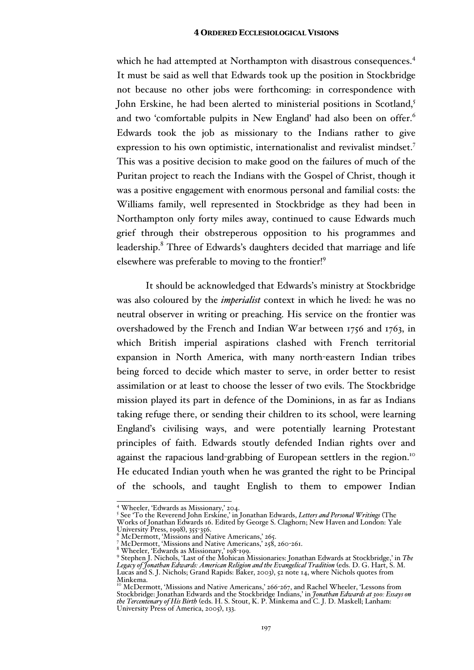which he had attempted at Northampton with disastrous consequences.<sup>4</sup> It must be said as well that Edwards took up the position in Stockbridge not because no other jobs were forthcoming: in correspondence with John Erskine, he had been alerted to ministerial positions in Scotland,<sup>5</sup> and two 'comfortable pulpits in New England' had also been on offer.<sup>6</sup> Edwards took the job as missionary to the Indians rather to give expression to his own optimistic, internationalist and revivalist mindset.<sup>7</sup> This was a positive decision to make good on the failures of much of the Puritan project to reach the Indians with the Gospel of Christ, though it was a positive engagement with enormous personal and familial costs: the Williams family, well represented in Stockbridge as they had been in Northampton only forty miles away, continued to cause Edwards much grief through their obstreperous opposition to his programmes and leadership.<sup>8</sup> Three of Edwards's daughters decided that marriage and life elsewhere was preferable to moving to the frontier!<sup>9</sup>

It should be acknowledged that Edwards's ministry at Stockbridge was also coloured by the *imperialist* context in which he lived: he was no neutral observer in writing or preaching. His service on the frontier was overshadowed by the French and Indian War between 1756 and 1763, in which British imperial aspirations clashed with French territorial expansion in North America, with many north-eastern Indian tribes being forced to decide which master to serve, in order better to resist assimilation or at least to choose the lesser of two evils. The Stockbridge mission played its part in defence of the Dominions, in as far as Indians taking refuge there, or sending their children to its school, were learning England's civilising ways, and were potentially learning Protestant principles of faith. Edwards stoutly defended Indian rights over and against the rapacious land-grabbing of European settlers in the region.<sup>10</sup> He educated Indian youth when he was granted the right to be Principal of the schools, and taught English to them to empower Indian

<sup>4</sup> Wheeler, 'Edwards as Missionary,' 204. <sup>5</sup> See 'To the Reverend John Erskine,' in Jonathan Edwards, *Letters and Personal Writings* (The Works of Jonathan Edwards 16. Edited by George S. Claghorn; New Haven and London: Yale

University Press, 1998), 355-356.<br><sup>6</sup> McDermott, 'Missions and Native Americans,' 265.<br><sup>7</sup> McDermott, 'Missions and Native Americans,' 258, 260-261.<br><sup>8</sup> Wheeler, 'Edwards as Missionary,' 198-199.<br><sup>9</sup> Stephen J. Nichols, 'L *Legacy of Jonathan Edwards: American Religion and the Evangelical Tradition* (eds. D. G. Hart, S. M. Lucas and S. J. Nichols; Grand Rapids: Baker, 2003), 52 note 14, where Nichols quotes from Minkema.

<sup>10</sup> McDermott, 'Missions and Native Americans,' 266-267, and Rachel Wheeler, 'Lessons from Stockbridge: Jonathan Edwards and the Stockbridge Indians,' in *Jonathan Edwards at 300: Essays on the Tercentenary of His Birth* (eds. H. S. Stout, K. P. Minkema and C. J. D. Maskell; Lanham: University Press of America, 2005), 133.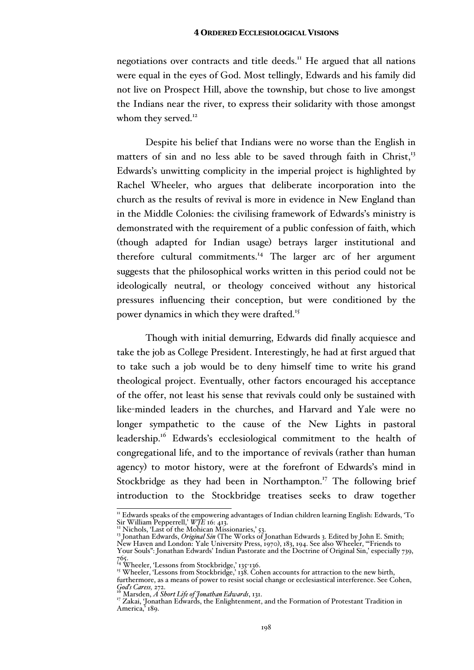negotiations over contracts and title deeds.<sup>11</sup> He argued that all nations were equal in the eyes of God. Most tellingly, Edwards and his family did not live on Prospect Hill, above the township, but chose to live amongst the Indians near the river, to express their solidarity with those amongst whom they served.<sup>12</sup>

Despite his belief that Indians were no worse than the English in matters of sin and no less able to be saved through faith in Christ, $^{13}$ Edwards's unwitting complicity in the imperial project is highlighted by Rachel Wheeler, who argues that deliberate incorporation into the church as the results of revival is more in evidence in New England than in the Middle Colonies: the civilising framework of Edwards's ministry is demonstrated with the requirement of a public confession of faith, which (though adapted for Indian usage) betrays larger institutional and therefore cultural commitments.<sup>14</sup> The larger arc of her argument suggests that the philosophical works written in this period could not be ideologically neutral, or theology conceived without any historical pressures influencing their conception, but were conditioned by the power dynamics in which they were drafted.<sup>15</sup>

Though with initial demurring, Edwards did finally acquiesce and take the job as College President. Interestingly, he had at first argued that to take such a job would be to deny himself time to write his grand theological project. Eventually, other factors encouraged his acceptance of the offer, not least his sense that revivals could only be sustained with like-minded leaders in the churches, and Harvard and Yale were no longer sympathetic to the cause of the New Lights in pastoral leadership.<sup>16</sup> Edwards's ecclesiological commitment to the health of congregational life, and to the importance of revivals (rather than human agency) to motor history, were at the forefront of Edwards's mind in Stockbridge as they had been in Northampton.<sup>17</sup> The following brief introduction to the Stockbridge treatises seeks to draw together

11 Edwards speaks of the empowering advantages of Indian children learning English: Edwards, 'To

Sir William Pepperrell,' *WJE* 16: 413.<br><sup>12</sup> Nichols, 'Last of the Mohican Missionaries,' 53.<br><sup>13</sup> Jonathan Edwards, *Original Sin* (The Works of Jonathan Edwards 3. Edited by John E. Smith; New Haven and London: Yale University Press, 1970), 183, 194. See also Wheeler, '"Friends to

Your Souls": Jonathan Edwards' Indian Pastorate and the Doctrine of Original Sin,' especially 739,

<sup>765.&</sup>lt;br><sup>14</sup> Wheeler, 'Lessons from Stockbridge,' 135-136.<br><sup>15</sup> Wheeler, 'Lessons from Stockbridge,' 138. Cohen accounts for attraction to the new birth,<br>furthermore, as a means of power to resist social change or ecclesiasti *God's Caress,* 272. <sup>16</sup> Marsden, *A Short Life of Jonathan Edwards*, 131. <sup>17</sup> Zakai, 'Jonathan Edwards, the Enlightenment, and the Formation of Protestant Tradition in

America,' 189.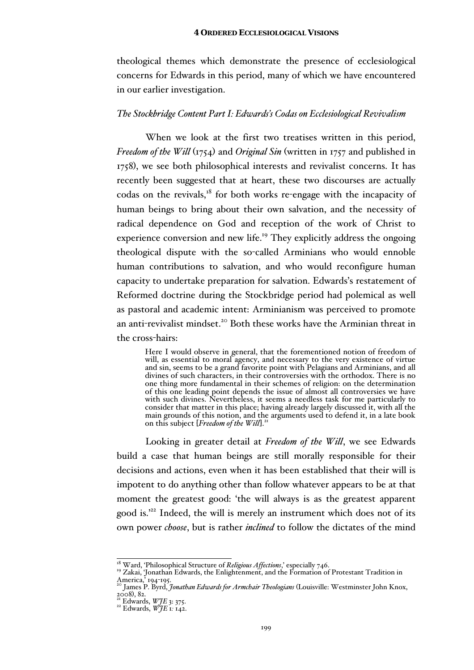theological themes which demonstrate the presence of ecclesiological concerns for Edwards in this period, many of which we have encountered in our earlier investigation.

#### *The Stockbridge Content Part I: Edwards's Codas on Ecclesiological Revivalism*

When we look at the first two treatises written in this period, *Freedom of the Will* (1754) and *Original Sin* (written in 1757 and published in 1758), we see both philosophical interests and revivalist concerns. It has recently been suggested that at heart, these two discourses are actually codas on the revivals, $18$  for both works re-engage with the incapacity of human beings to bring about their own salvation, and the necessity of radical dependence on God and reception of the work of Christ to experience conversion and new life.<sup>19</sup> They explicitly address the ongoing theological dispute with the so-called Arminians who would ennoble human contributions to salvation, and who would reconfigure human capacity to undertake preparation for salvation. Edwards's restatement of Reformed doctrine during the Stockbridge period had polemical as well as pastoral and academic intent: Arminianism was perceived to promote an anti-revivalist mindset.<sup>20</sup> Both these works have the Arminian threat in the cross-hairs:

Here I would observe in general, that the forementioned notion of freedom of will, as essential to moral agency, and necessary to the very existence of virtue and sin, seems to be a grand favorite point with Pelagians and Arminians, and all divines of such characters, in their controversies with the orthodox. There is no one thing more fundamental in their schemes of religion: on the determination of this one leading point depends the issue of almost all controversies we have with such divines. Nevertheless, it seems a needless task for me particularly to consider that matter in this place; having already largely discussed it, with all the main grounds of this notion, and the arguments used to defend it, in a late book on this subject [*Freedom of the Will*]. 21

Looking in greater detail at *Freedom of the Will*, we see Edwards build a case that human beings are still morally responsible for their decisions and actions, even when it has been established that their will is impotent to do anything other than follow whatever appears to be at that moment the greatest good: 'the will always is as the greatest apparent good is.<sup>22</sup> Indeed, the will is merely an instrument which does not of its own power *choose*, but is rather *inclined* to follow the dictates of the mind

<sup>&</sup>lt;sup>18</sup> Ward, 'Philosophical Structure of *Religious Affections*,' especially 746.<br><sup>19</sup> Zakai, 'Jonathan Edwards, the Enlightenment, and the Formation of Protestant Tradition in America,<sup>y</sup> 194-195.<br><sup>20</sup> James P. Byrd, *Jonathan Edwards for Armchair Theologians* (Louisville: Westminster John Knox,

<sup>2008</sup>), 82. <sup>21</sup> Edwards, *WJE* 3: 375. <sup>22</sup> Edwards, *WJE* 1*:* 142.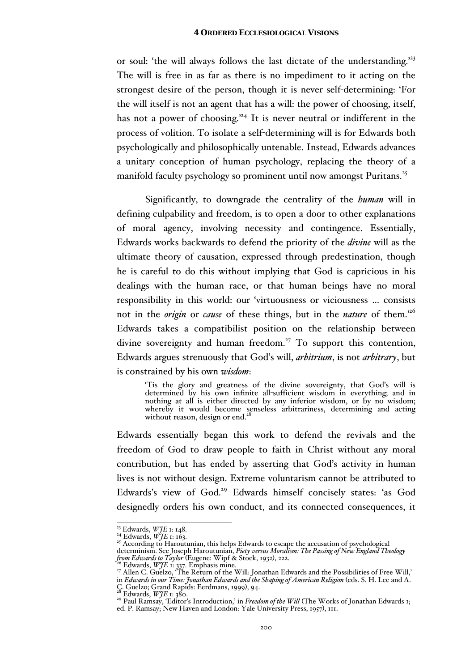or soul: 'the will always follows the last dictate of the understanding.'<sup>23</sup> The will is free in as far as there is no impediment to it acting on the strongest desire of the person, though it is never self-determining: 'For the will itself is not an agent that has a will: the power of choosing, itself, has not a power of choosing.<sup>24</sup> It is never neutral or indifferent in the process of volition. To isolate a self-determining will is for Edwards both psychologically and philosophically untenable. Instead, Edwards advances a unitary conception of human psychology, replacing the theory of a manifold faculty psychology so prominent until now amongst Puritans.<sup>25</sup>

Significantly, to downgrade the centrality of the *human* will in defining culpability and freedom, is to open a door to other explanations of moral agency, involving necessity and contingence. Essentially, Edwards works backwards to defend the priority of the *divine* will as the ultimate theory of causation, expressed through predestination, though he is careful to do this without implying that God is capricious in his dealings with the human race, or that human beings have no moral responsibility in this world: our 'virtuousness or viciousness … consists not in the *origin* or *cause* of these things, but in the *nature* of them.'26 Edwards takes a compatibilist position on the relationship between divine sovereignty and human freedom.<sup>27</sup> To support this contention, Edwards argues strenuously that God's will, *arbitrium*, is not *arbitrary*, but is constrained by his own *wisdom*:

'Tis the glory and greatness of the divine sovereignty, that God's will is determined by his own infinite all-sufficient wisdom in everything; and in nothing at all is either directed by any inferior wisdom, or by no wisdom; whereby it would become senseless arbitrariness, determining and acting without reason, design or end.<sup>28</sup>

Edwards essentially began this work to defend the revivals and the freedom of God to draw people to faith in Christ without any moral contribution, but has ended by asserting that God's activity in human lives is not without design. Extreme voluntarism cannot be attributed to Edwards's view of God.<sup>29</sup> Edwards himself concisely states: 'as God designedly orders his own conduct, and its connected consequences, it

<sup>&</sup>lt;sup>23</sup> Edwards, *WJE* 1: 148.<br><sup>24</sup> Edwards, *WJE* 1: 163.<br><sup>25</sup> According to Haroutunian, this helps Edwards to escape the accusation of psychological<br>25 According to Haroutunian, this helps Edwards to escape the accusation o determinism. See Joseph Haroutunian, *Piety versus Moralism: The Passing of New England Theology* 

*from Edwards to Taylor* (Eugene: Wipf & Stock, 1932), 222.<br><sup>26</sup> Edwards, *WJE* 1: 337. Emphasis mine.<br><sup>27</sup> Allen C. Guelzo, 'The Return of the Will: Jonathan Edwards and the Possibilities of Free Will,' in *Edwards in our Time: Jonathan Edwards and the Shaping of American Religion* (eds. S. H. Lee and A. C. Guelzo; Grand Rapids: Eerdmans, 1999), 94.<br><sup>28</sup> Edwards, *WJE* 1: 380.<br><sup>29</sup> Paul Ramsay, 'Editor's Introduction,' in *Freedom of the Will* (The Works of Jonathan Edwards 1;

ed. P. Ramsay; New Haven and London: Yale University Press, 1957), 111.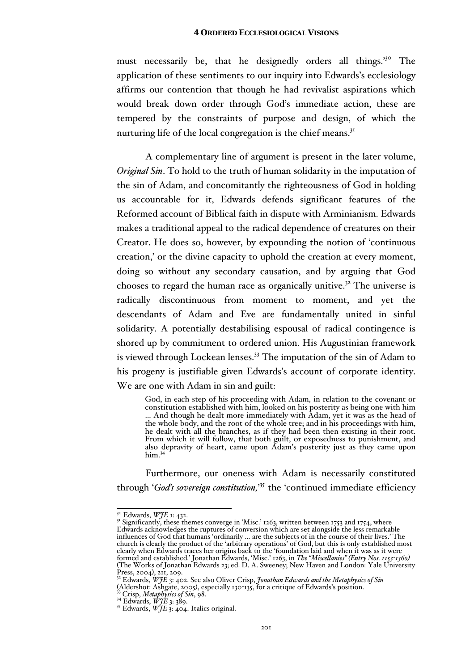must necessarily be, that he designedly orders all things.'30 The application of these sentiments to our inquiry into Edwards's ecclesiology affirms our contention that though he had revivalist aspirations which would break down order through God's immediate action, these are tempered by the constraints of purpose and design, of which the nurturing life of the local congregation is the chief means. $3<sup>T</sup>$ 

A complementary line of argument is present in the later volume, *Original Sin*. To hold to the truth of human solidarity in the imputation of the sin of Adam, and concomitantly the righteousness of God in holding us accountable for it, Edwards defends significant features of the Reformed account of Biblical faith in dispute with Arminianism. Edwards makes a traditional appeal to the radical dependence of creatures on their Creator. He does so, however, by expounding the notion of 'continuous creation,' or the divine capacity to uphold the creation at every moment, doing so without any secondary causation, and by arguing that God chooses to regard the human race as organically unitive. $32$  The universe is radically discontinuous from moment to moment, and yet the descendants of Adam and Eve are fundamentally united in sinful solidarity. A potentially destabilising espousal of radical contingence is shored up by commitment to ordered union. His Augustinian framework is viewed through Lockean lenses.<sup>33</sup> The imputation of the sin of Adam to his progeny is justifiable given Edwards's account of corporate identity. We are one with Adam in sin and guilt:

God, in each step of his proceeding with Adam, in relation to the covenant or constitution established with him, looked on his posterity as being one with him … And though he dealt more immediately with Adam, yet it was as the head of the whole body, and the root of the whole tree; and in his proceedings with him, he dealt with all the branches, as if they had been then existing in their root. From which it will follow, that both guilt, or exposedness to punishment, and also depravity of heart, came upon Adam's posterity just as they came upon him.<sup>34</sup>

Furthermore, our oneness with Adam is necessarily constituted through '*God's sovereign constitution,*' 35 the 'continued immediate efficiency

<sup>&</sup>lt;sup>30</sup> Edwards, *WJE* 1: 432.<br><sup>31</sup> Significantly, these themes converge in 'Misc.' 1263, written between 1753 and 1754, where Edwards acknowledges the ruptures of conversion which are set alongside the less remarkable influences of God that humans 'ordinarily … are the subjects of in the course of their lives.' The church is clearly the product of the 'arbitrary operations' of God, but this is only established most clearly when Edwards traces her origins back to the 'foundation laid and when it was as it were formed and established.' Jonathan Edwards, 'Misc.' 1263, in *The "Miscellanies" (Entry Nos. 1153-1360)* (The Works of Jonathan Edwards 23; ed. D. A. Sweeney; New Haven and London: Yale University

Press, 2004), 211, 209.<br><sup>32</sup> Edwards, *WJE* 3: 402. See also Oliver Crisp, *Jonathan Edwards and the Metaphysics of Sin*<br>(Aldershot: Ashgate, 2005), especially 130-135, for a critique of Edwards's position.<br><sup>33</sup> Crisp, Met

<sup>(</sup>Aldershot: Ashgate, 2005), especially 130-135, for a critique of Edwards's position. <sup>33</sup> Crisp, *Metaphysics of Sin*, 98. <sup>34</sup> Edwards, *WJE* 3: 389. <sup>35</sup> Edwards, *WJE* 3: 404. Italics original.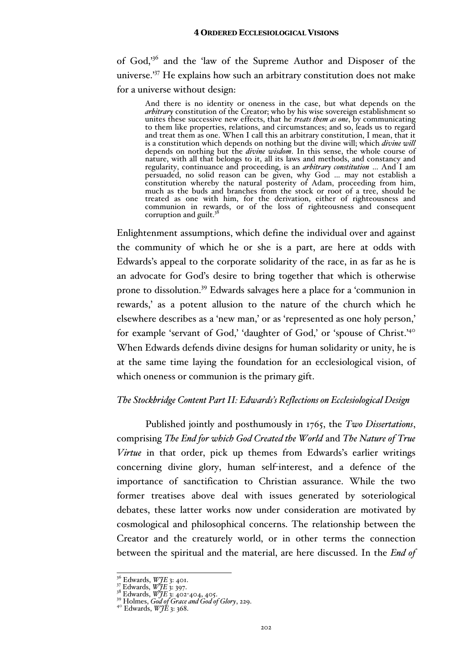of God,' 36 and the 'law of the Supreme Author and Disposer of the universe.'37 He explains how such an arbitrary constitution does not make for a universe without design:

And there is no identity or oneness in the case, but what depends on the *arbitrary* constitution of the Creator; who by his wise sovereign establishment so arbitrary constitution of the Creator; that he *treats them as one*, by communicating unites these successive new effects, that he *treats them as one*, by communicating to them like properties, relations, and circumstances; and so, leads us to regard and treat them as one. When I call this an arbitrary constitution, I mean, that it is a constitution which depends on nothing but the divine will; which *divine will* depends on nothing but the *divine wisdom*. In this sense, the whole course of nature, with all that belongs to it, all its laws and methods, and constancy and regularity, continuance and proceeding, is an *arbitrary constitution* … And I am persuaded, no solid reason can be given, why God … may not establish a constitution whereby the natural posterity of Adam, proceeding from him, much as the buds and branches from the stock or root of a tree, should be treated as one with him, for the derivation, either of righteousness and communion in rewards, or of the loss of righteousness and consequent corruption and guilt.<sup>3</sup>

Enlightenment assumptions, which define the individual over and against the community of which he or she is a part, are here at odds with Edwards's appeal to the corporate solidarity of the race, in as far as he is an advocate for God's desire to bring together that which is otherwise prone to dissolution.39 Edwards salvages here a place for a 'communion in rewards,' as a potent allusion to the nature of the church which he elsewhere describes as a 'new man,' or as 'represented as one holy person,' for example 'servant of God,' 'daughter of God,' or 'spouse of Christ.'40 When Edwards defends divine designs for human solidarity or unity, he is at the same time laying the foundation for an ecclesiological vision, of which oneness or communion is the primary gift.

## *The Stockbridge Content Part II: Edwards's Reflections on Ecclesiological Design*

Published jointly and posthumously in 1765, the *Two Dissertations*, comprising *The End for which God Created the World* and *The Nature of True Virtue* in that order, pick up themes from Edwards's earlier writings concerning divine glory, human self-interest, and a defence of the importance of sanctification to Christian assurance. While the two former treatises above deal with issues generated by soteriological debates, these latter works now under consideration are motivated by cosmological and philosophical concerns. The relationship between the Creator and the creaturely world, or in other terms the connection between the spiritual and the material, are here discussed. In the *End of* 

<sup>36</sup> Edwards, *WJE* 3: 401. <sup>37</sup> Edwards, *WJE* 3: 397. <sup>38</sup> Edwards, *WJE* 3: 402-404, 405. <sup>39</sup> Holmes, *God of Grace and God of Glory*, 229. <sup>40</sup> Edwards, *WJE* 3: 368.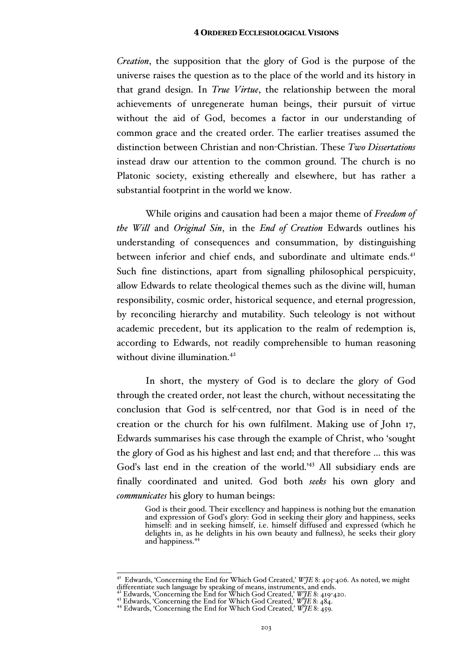*Creation*, the supposition that the glory of God is the purpose of the universe raises the question as to the place of the world and its history in that grand design. In *True Virtue*, the relationship between the moral achievements of unregenerate human beings, their pursuit of virtue without the aid of God, becomes a factor in our understanding of common grace and the created order. The earlier treatises assumed the distinction between Christian and non-Christian. These *Two Dissertations* instead draw our attention to the common ground. The church is no Platonic society, existing ethereally and elsewhere, but has rather a substantial footprint in the world we know.

While origins and causation had been a major theme of *Freedom of the Will* and *Original Sin*, in the *End of Creation* Edwards outlines his understanding of consequences and consummation, by distinguishing between inferior and chief ends, and subordinate and ultimate ends.<sup>41</sup> Such fine distinctions, apart from signalling philosophical perspicuity, allow Edwards to relate theological themes such as the divine will, human responsibility, cosmic order, historical sequence, and eternal progression, by reconciling hierarchy and mutability. Such teleology is not without academic precedent, but its application to the realm of redemption is, according to Edwards, not readily comprehensible to human reasoning without divine illumination.<sup>42</sup>

In short, the mystery of God is to declare the glory of God through the created order, not least the church, without necessitating the conclusion that God is self-centred, nor that God is in need of the creation or the church for his own fulfilment. Making use of John 17, Edwards summarises his case through the example of Christ, who 'sought the glory of God as his highest and last end; and that therefore … this was God's last end in the creation of the world.'43 All subsidiary ends are finally coordinated and united. God both *seeks* his own glory and *communicates* his glory to human beings:

God is their good. Their excellency and happiness is nothing but the emanation and expression of God's glory: God in seeking their glory and happiness, seeks himself: and in seeking himself, i.e. himself diffused and expressed (which he delights in, as he delights in his own beauty and fullness), he seeks their glory and happiness.<sup>44</sup>

41 Edwards, 'Concerning the End for Which God Created,' *WJE* 8: 405-406. As noted, we might differentiate such language by speaking of means, instruments, and ends.<br><sup>42</sup> Edwards, 'Concerning the End for Which God Created,' *WJE* 8: 419-420.<br><sup>43</sup> Edwards, 'Concerning the End for Which God Created,' *WJE* 8: 484.<br><sup></sup>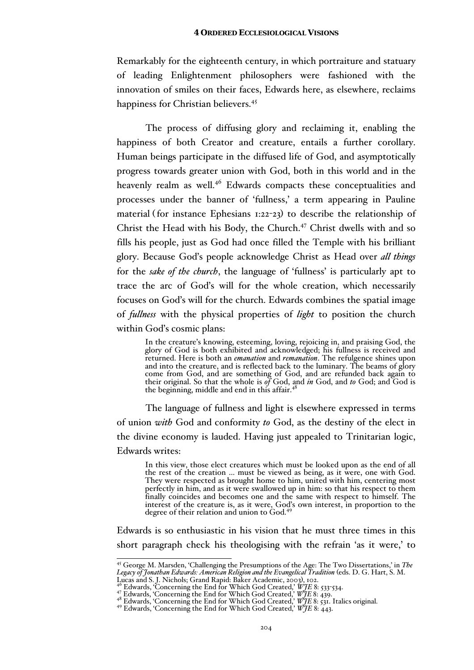Remarkably for the eighteenth century, in which portraiture and statuary of leading Enlightenment philosophers were fashioned with the innovation of smiles on their faces, Edwards here, as elsewhere, reclaims happiness for Christian believers.<sup>45</sup>

The process of diffusing glory and reclaiming it, enabling the happiness of both Creator and creature, entails a further corollary. Human beings participate in the diffused life of God, and asymptotically progress towards greater union with God, both in this world and in the heavenly realm as well.<sup>46</sup> Edwards compacts these conceptualities and processes under the banner of 'fullness,' a term appearing in Pauline material ( for instance Ephesians 1:22-23) to describe the relationship of Christ the Head with his Body, the Church.<sup>47</sup> Christ dwells with and so fills his people, just as God had once filled the Temple with his brilliant glory. Because God's people acknowledge Christ as Head over *all things* for the *sake of the church*, the language of 'fullness' is particularly apt to trace the arc of God's will for the whole creation, which necessarily focuses on God's will for the church. Edwards combines the spatial image of *fullness* with the physical properties of *light* to position the church within God's cosmic plans:

In the creature's knowing, esteeming, loving, rejoicing in, and praising God, the glory of God is both exhibited and acknowledged; his fullness is received and returned. Here is both an *emanation* and *remanation*. The refulgence shines upon and into the creature, and is reflected back to the luminary. The beams of glory come from God, and are something of God, and are refunded back again to their original. So that the whole is *of* God, and *in* God, and *to* God; and God is the beginning, middle and end in this affair.<sup>48</sup>

The language of fullness and light is elsewhere expressed in terms of union *with* God and conformity *to* God, as the destiny of the elect in the divine economy is lauded. Having just appealed to Trinitarian logic, Edwards writes:

In this view, those elect creatures which must be looked upon as the end of all the rest of the creation … must be viewed as being, as it were, one with God. They were respected as brought home to him, united with him, centering most perfectly in him, and as it were swallowed up in him: so that his respect to them finally coincides and becomes one and the same with respect to himself. The interest of the creature is, as it were, God's own interest, in proportion to the degree of their relation and union to God.<sup>49</sup>

Edwards is so enthusiastic in his vision that he must three times in this short paragraph check his theologising with the refrain 'as it were,' to

<sup>45</sup> George M. Marsden, 'Challenging the Presumptions of the Age: The Two Dissertations,' in *The Legacy of Jonathan Edwards: American Religion and the Evangelical Tradition* (eds. D. G. Hart, S. M.

Lucas and S. J. Nichols; Grand Rapid: Baker Academic, 2003), 102.<br><sup>46</sup> Edwards, 'Concerning the End for Which God Created,' *WJE* 8: 533-534.<br><sup>47</sup> Edwards, 'Concerning the End for Which God Created,' *WJE* 8: 439.<br><sup>48</sup> Edw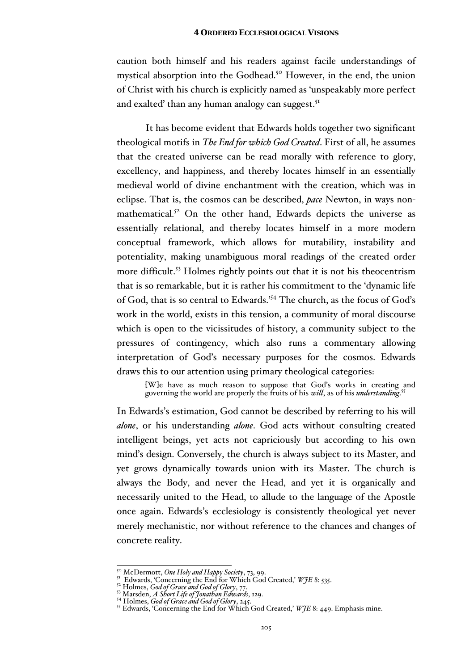caution both himself and his readers against facile understandings of mystical absorption into the Godhead.<sup>50</sup> However, in the end, the union of Christ with his church is explicitly named as 'unspeakably more perfect and exalted' than any human analogy can suggest. $5<sup>T</sup>$ 

It has become evident that Edwards holds together two significant theological motifs in *The End for which God Created*. First of all, he assumes that the created universe can be read morally with reference to glory, excellency, and happiness, and thereby locates himself in an essentially medieval world of divine enchantment with the creation, which was in eclipse. That is, the cosmos can be described, *pace* Newton, in ways nonmathematical.<sup>52</sup> On the other hand, Edwards depicts the universe as essentially relational, and thereby locates himself in a more modern conceptual framework, which allows for mutability, instability and potentiality, making unambiguous moral readings of the created order more difficult.<sup>53</sup> Holmes rightly points out that it is not his theocentrism that is so remarkable, but it is rather his commitment to the 'dynamic life of God, that is so central to Edwards.'54 The church, as the focus of God's work in the world, exists in this tension, a community of moral discourse which is open to the vicissitudes of history, a community subject to the pressures of contingency, which also runs a commentary allowing interpretation of God's necessary purposes for the cosmos. Edwards draws this to our attention using primary theological categories:

[W]e have as much reason to suppose that God's works in creating and governing the world are properly the fruits of his *will*, as of his *understanding*. 55

In Edwards's estimation, God cannot be described by referring to his will *alone*, or his understanding *alone*. God acts without consulting created intelligent beings, yet acts not capriciously but according to his own mind's design. Conversely, the church is always subject to its Master, and yet grows dynamically towards union with its Master. The church is always the Body, and never the Head, and yet it is organically and necessarily united to the Head, to allude to the language of the Apostle once again. Edwards's ecclesiology is consistently theological yet never merely mechanistic, nor without reference to the chances and changes of concrete reality.

<sup>&</sup>lt;sup>50</sup> McDermott, *One Holy and Happy Society*, 73, 99.<br><sup>51</sup> Edwards, 'Concerning the End for Which God Created,' *WJE* 8: 535.<br><sup>52</sup> Holmes, *God of Grace and God of Glory*, 77.<br><sup>53</sup> Marsden, *A Short Life of Jonathan Edward*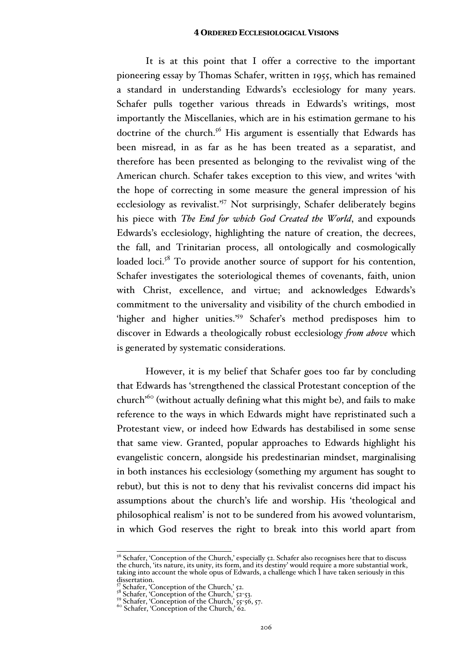It is at this point that I offer a corrective to the important pioneering essay by Thomas Schafer, written in 1955, which has remained a standard in understanding Edwards's ecclesiology for many years. Schafer pulls together various threads in Edwards's writings, most importantly the Miscellanies, which are in his estimation germane to his doctrine of the church.<sup>56</sup> His argument is essentially that Edwards has been misread, in as far as he has been treated as a separatist, and therefore has been presented as belonging to the revivalist wing of the American church. Schafer takes exception to this view, and writes 'with the hope of correcting in some measure the general impression of his ecclesiology as revivalist.<sup>'57</sup> Not surprisingly, Schafer deliberately begins his piece with *The End for which God Created the World*, and expounds Edwards's ecclesiology, highlighting the nature of creation, the decrees, the fall, and Trinitarian process, all ontologically and cosmologically loaded loci.<sup>58</sup> To provide another source of support for his contention, Schafer investigates the soteriological themes of covenants, faith, union with Christ, excellence, and virtue; and acknowledges Edwards's commitment to the universality and visibility of the church embodied in 'higher and higher unities.'<sup>59</sup> Schafer's method predisposes him to discover in Edwards a theologically robust ecclesiology *from above* which is generated by systematic considerations.

However, it is my belief that Schafer goes too far by concluding that Edwards has 'strengthened the classical Protestant conception of the church'<sup>60</sup> (without actually defining what this might be), and fails to make reference to the ways in which Edwards might have repristinated such a Protestant view, or indeed how Edwards has destabilised in some sense that same view. Granted, popular approaches to Edwards highlight his evangelistic concern, alongside his predestinarian mindset, marginalising in both instances his ecclesiology (something my argument has sought to rebut), but this is not to deny that his revivalist concerns did impact his assumptions about the church's life and worship. His 'theological and philosophical realism' is not to be sundered from his avowed voluntarism, in which God reserves the right to break into this world apart from

 $\frac{1}{56}$  Schafer, 'Conception of the Church,' especially 52. Schafer also recognises here that to discuss<br>the church, 'its nature, its unity, its form, and its destiny' would require a more substantial work, taking into account the whole opus of Edwards, a challenge which I have taken seriously in this dissertation.

<sup>&</sup>lt;sup>57</sup> Schafer, 'Conception of the Church,' 52-53.<br><sup>58</sup> Schafer, 'Conception of the Church,' 52-53.<br><sup>59</sup> Schafer, 'Conception of the Church,' 65.<br><sup>60</sup> Schafer, 'Conception of the Church,' 62.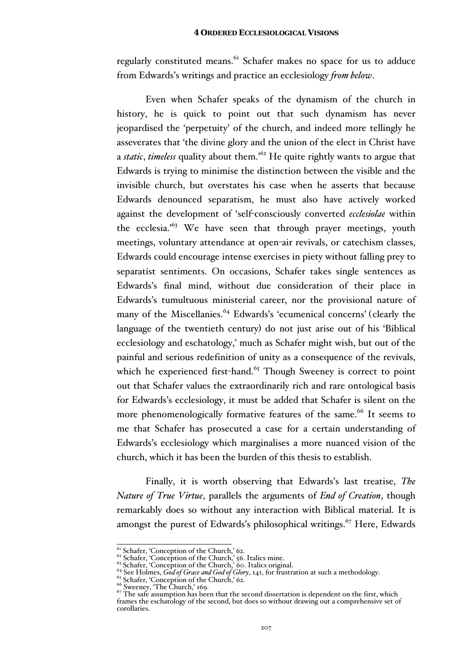regularly constituted means.<sup>61</sup> Schafer makes no space for us to adduce from Edwards's writings and practice an ecclesiology *from below*.

Even when Schafer speaks of the dynamism of the church in history, he is quick to point out that such dynamism has never jeopardised the 'perpetuity' of the church, and indeed more tellingly he asseverates that 'the divine glory and the union of the elect in Christ have a *static*, *timeless* quality about them.'62 He quite rightly wants to argue that Edwards is trying to minimise the distinction between the visible and the invisible church, but overstates his case when he asserts that because Edwards denounced separatism, he must also have actively worked against the development of 'self-consciously converted *ecclesiolae* within the ecclesia.<sup>'63</sup> We have seen that through prayer meetings, youth meetings, voluntary attendance at open-air revivals, or catechism classes, Edwards could encourage intense exercises in piety without falling prey to separatist sentiments. On occasions, Schafer takes single sentences as Edwards's final mind, without due consideration of their place in Edwards's tumultuous ministerial career, nor the provisional nature of many of the Miscellanies.<sup>64</sup> Edwards's 'ecumenical concerns' (clearly the language of the twentieth century) do not just arise out of his 'Biblical ecclesiology and eschatology,' much as Schafer might wish, but out of the painful and serious redefinition of unity as a consequence of the revivals, which he experienced first-hand.<sup>65</sup> Though Sweeney is correct to point out that Schafer values the extraordinarily rich and rare ontological basis for Edwards's ecclesiology, it must be added that Schafer is silent on the more phenomenologically formative features of the same.<sup>66</sup> It seems to me that Schafer has prosecuted a case for a certain understanding of Edwards's ecclesiology which marginalises a more nuanced vision of the church, which it has been the burden of this thesis to establish.

Finally, it is worth observing that Edwards's last treatise, *The Nature of True Virtue*, parallels the arguments of *End of Creation*, though remarkably does so without any interaction with Biblical material. It is amongst the purest of Edwards's philosophical writings.<sup>67</sup> Here, Edwards

<sup>&</sup>lt;sup>61</sup> Schafer, 'Conception of the Church,' 62.<br>
<sup>62</sup> Schafer, 'Conception of the Church,' 56. Italics mine.<br>
<sup>63</sup> Schafer, 'Conception of the Church,' 60. Italics original.<br>
<sup>64</sup> See Holmes, *God of Grace and God of Glory* 

 $67$  The safe assumption has been that the second dissertation is dependent on the first, which frames the eschatology of the second, but does so without drawing out a comprehensive set of corollaries.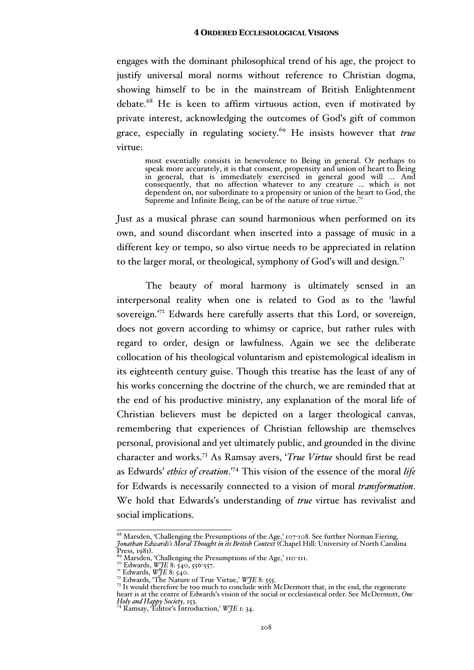engages with the dominant philosophical trend of his age, the project to justify universal moral norms without reference to Christian dogma, showing himself to be in the mainstream of British Enlightenment debate.<sup>68</sup> He is keen to affirm virtuous action, even if motivated by private interest, acknowledging the outcomes of God's gift of common grace, especially in regulating society.69 He insists however that *true* virtue:

most essentially consists in benevolence to Being in general. Or perhaps to speak more accurately, it is that consent, propensity and union of heart to Being in general, that is immediately exercised in general good will … And consequently, that no affection whatever to any creature … which is not dependent on, nor subordinate to a propensity or union of the heart to God, the Supreme and Infinite Being, can be of the nature of true virtue.<sup>70</sup>

Just as a musical phrase can sound harmonious when performed on its own, and sound discordant when inserted into a passage of music in a different key or tempo, so also virtue needs to be appreciated in relation to the larger moral, or theological, symphony of God's will and design.<sup>71</sup>

The beauty of moral harmony is ultimately sensed in an interpersonal reality when one is related to God as to the 'lawful sovereign.<sup>'72</sup> Edwards here carefully asserts that this Lord, or sovereign, does not govern according to whimsy or caprice, but rather rules with regard to order, design or lawfulness. Again we see the deliberate collocation of his theological voluntarism and epistemological idealism in its eighteenth century guise. Though this treatise has the least of any of his works concerning the doctrine of the church, we are reminded that at the end of his productive ministry, any explanation of the moral life of Christian believers must be depicted on a larger theological canvas, remembering that experiences of Christian fellowship are themselves personal, provisional and yet ultimately public, and grounded in the divine character and works.73 As Ramsay avers, '*True Virtue* should first be read as Edwards' *ethics of creation*.'74 This vision of the essence of the moral *life* for Edwards is necessarily connected to a vision of moral *transformation*. We hold that Edwards's understanding of *true* virtue has revivalist and social implications.

 $\frac{1}{68}$  Marsden, 'Challenging the Presumptions of the Age,' 107-108. See further Norman Fiering, *Jonathan Edwards's Moral Thought in its British Context* (Chapel Hill: University of North Carolina

Press, 1981).<br>
<sup>69</sup> Marsden, 'Challenging the Presumptions of the Age,' 110-111.<br>
<sup>70</sup> Edwards, *WJE* 8: 540, 556-557.<br>
<sup>71</sup> Edwards, *WJE* 8: 540.<br>
<sup>72</sup> Edwards, The Nature of True Virtue,' *WJE* 8: 555.<br>
<sup>73</sup> It would t heart is at the centre of Edwards's vision of the social or ecclesiastical order. See McDermott, *One Holy and Happy Society,* 153. <sup>74</sup> Ramsay, 'Editor's Introduction,' *WJE* 1: 34.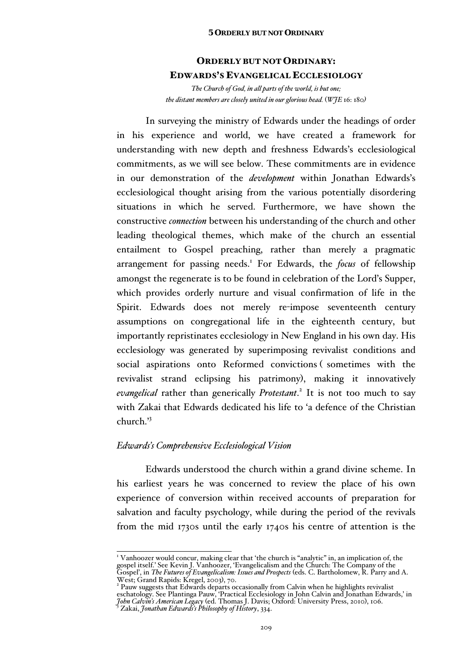# ORDERLY BUT NOT ORDINARY: EDWARDS'S EVANGELICAL ECCLESIOLOGY

*The Church of God, in all parts of the world, is but one; the distant members are closely united in our glorious head.* (*WJE* 16: 180*)*

In surveying the ministry of Edwards under the headings of order in his experience and world, we have created a framework for understanding with new depth and freshness Edwards's ecclesiological commitments, as we will see below. These commitments are in evidence in our demonstration of the *development* within Jonathan Edwards's ecclesiological thought arising from the various potentially disordering situations in which he served. Furthermore, we have shown the constructive *connection* between his understanding of the church and other leading theological themes, which make of the church an essential entailment to Gospel preaching, rather than merely a pragmatic arrangement for passing needs.<sup>1</sup> For Edwards, the *focus* of fellowship amongst the regenerate is to be found in celebration of the Lord's Supper, which provides orderly nurture and visual confirmation of life in the Spirit. Edwards does not merely re-impose seventeenth century assumptions on congregational life in the eighteenth century, but importantly repristinates ecclesiology in New England in his own day. His ecclesiology was generated by superimposing revivalist conditions and social aspirations onto Reformed convictions ( sometimes with the revivalist strand eclipsing his patrimony), making it innovatively evangelical rather than generically *Protestant*.<sup>2</sup> It is not too much to say with Zakai that Edwards dedicated his life to 'a defence of the Christian church.'3

#### *Edwards's Comprehensive Ecclesiological Vision*

Edwards understood the church within a grand divine scheme. In his earliest years he was concerned to review the place of his own experience of conversion within received accounts of preparation for salvation and faculty psychology, while during the period of the revivals from the mid 1730s until the early 1740s his centre of attention is the

<sup>-&</sup>lt;br>1 Vanhoozer would concur, making clear that 'the church is "analytic" in, an implication of, the gospel itself.' See Kevin J. Vanhoozer, 'Evangelicalism and the Church: The Company of the<br>Gospel', in *The Futures of Evangelicalism: Issues and Prospects* (eds. C. Bartholomew, R. Parry and A.<br>West; Grand Rapids: Kregel,

eschatology. See Plantinga Pauw, 'Practical Ecclesiology in John Calvin and Jonathan Edwards,' in *John Calvin's American Legacy* (ed. Thomas J. Davis; Oxford: University Press, 2010), 106. <sup>3</sup> Zakai, *Jonathan Edwards's Philosophy of History*, 334.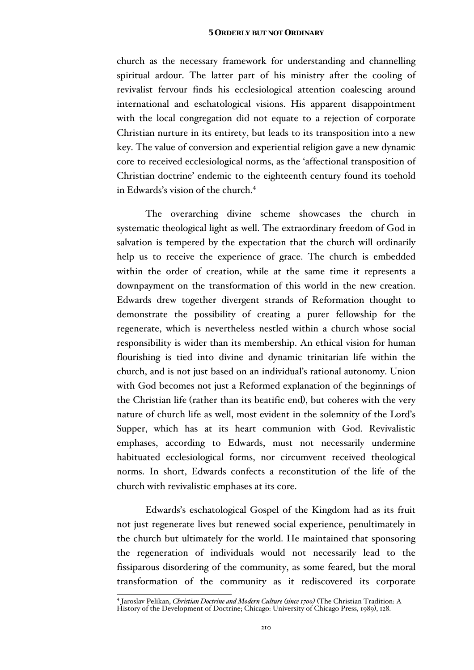church as the necessary framework for understanding and channelling spiritual ardour. The latter part of his ministry after the cooling of revivalist fervour finds his ecclesiological attention coalescing around international and eschatological visions. His apparent disappointment with the local congregation did not equate to a rejection of corporate Christian nurture in its entirety, but leads to its transposition into a new key. The value of conversion and experiential religion gave a new dynamic core to received ecclesiological norms, as the 'affectional transposition of Christian doctrine' endemic to the eighteenth century found its toehold in Edwards's vision of the church.<sup>4</sup>

The overarching divine scheme showcases the church in systematic theological light as well. The extraordinary freedom of God in salvation is tempered by the expectation that the church will ordinarily help us to receive the experience of grace. The church is embedded within the order of creation, while at the same time it represents a downpayment on the transformation of this world in the new creation. Edwards drew together divergent strands of Reformation thought to demonstrate the possibility of creating a purer fellowship for the regenerate, which is nevertheless nestled within a church whose social responsibility is wider than its membership. An ethical vision for human flourishing is tied into divine and dynamic trinitarian life within the church, and is not just based on an individual's rational autonomy. Union with God becomes not just a Reformed explanation of the beginnings of the Christian life (rather than its beatific end), but coheres with the very nature of church life as well, most evident in the solemnity of the Lord's Supper, which has at its heart communion with God. Revivalistic emphases, according to Edwards, must not necessarily undermine habituated ecclesiological forms, nor circumvent received theological norms. In short, Edwards confects a reconstitution of the life of the church with revivalistic emphases at its core.

Edwards's eschatological Gospel of the Kingdom had as its fruit not just regenerate lives but renewed social experience, penultimately in the church but ultimately for the world. He maintained that sponsoring the regeneration of individuals would not necessarily lead to the fissiparous disordering of the community, as some feared, but the moral transformation of the community as it rediscovered its corporate

<sup>4</sup> Jaroslav Pelikan, *Christian Doctrine and Modern Culture (since 1700)* (The Christian Tradition: A History of the Development of Doctrine; Chicago: University of Chicago Press, 1989), 128.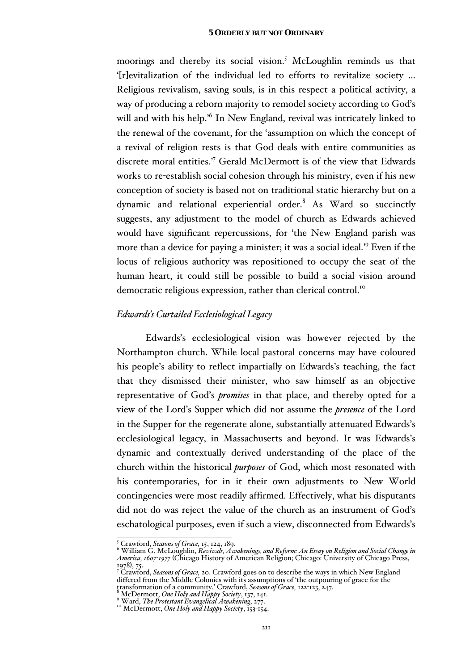moorings and thereby its social vision.<sup>5</sup> McLoughlin reminds us that '[r]evitalization of the individual led to efforts to revitalize society … Religious revivalism, saving souls, is in this respect a political activity, a way of producing a reborn majority to remodel society according to God's will and with his help.<sup>'6</sup> In New England, revival was intricately linked to the renewal of the covenant, for the 'assumption on which the concept of a revival of religion rests is that God deals with entire communities as discrete moral entities.'7 Gerald McDermott is of the view that Edwards works to re-establish social cohesion through his ministry, even if his new conception of society is based not on traditional static hierarchy but on a dynamic and relational experiential order.<sup>8</sup> As Ward so succinctly suggests, any adjustment to the model of church as Edwards achieved would have significant repercussions, for 'the New England parish was more than a device for paying a minister; it was a social ideal.'<sup>9</sup> Even if the locus of religious authority was repositioned to occupy the seat of the human heart, it could still be possible to build a social vision around democratic religious expression, rather than clerical control.<sup>10</sup>

#### *Edwards's Curtailed Ecclesiological Legacy*

Edwards's ecclesiological vision was however rejected by the Northampton church. While local pastoral concerns may have coloured his people's ability to reflect impartially on Edwards's teaching, the fact that they dismissed their minister, who saw himself as an objective representative of God's *promises* in that place, and thereby opted for a view of the Lord's Supper which did not assume the *presence* of the Lord in the Supper for the regenerate alone, substantially attenuated Edwards's ecclesiological legacy, in Massachusetts and beyond. It was Edwards's dynamic and contextually derived understanding of the place of the church within the historical *purposes* of God, which most resonated with his contemporaries, for in it their own adjustments to New World contingencies were most readily affirmed. Effectively, what his disputants did not do was reject the value of the church as an instrument of God's eschatological purposes, even if such a view, disconnected from Edwards's

<sup>&</sup>lt;sup>5</sup> Crawford, *Seasons of Grace, 15, 124, 189.*<br><sup>6</sup> William G. McLoughlin, *Revivals, Awakenings, and Reform: An Essay on Religion and Social Change in America, 1607-1977* (Chicago History of American Religion; Chicago: University of Chicago Press,

<sup>1978), 75.&</sup>lt;br><sup>7</sup> Crawford, *Seasons of Grace*, 20. Crawford goes on to describe the ways in which New England<br>differed from the Middle Colonies with its assumptions of 'the outpouring of grace for the<br>transformation of a com

<sup>&</sup>lt;sup>8</sup> McDermott, *One Holy and Happy Society*, 137, 141.<br><sup>9</sup> Ward, *The Protestant Evangelical Awakening*, 277.<br><sup>10</sup> McDermott, *One Holy and Happy Society*, 153-154.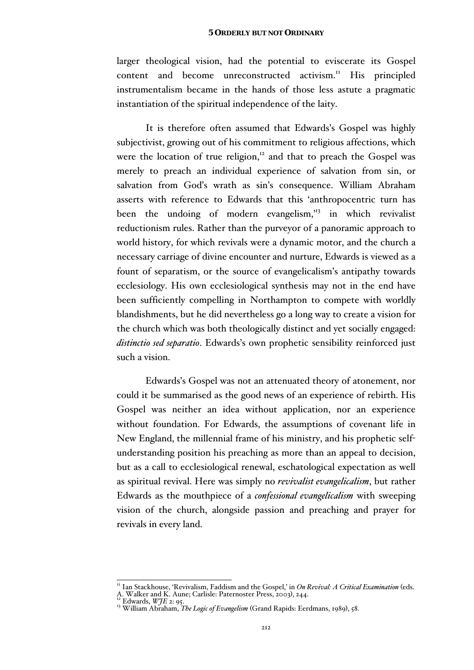larger theological vision, had the potential to eviscerate its Gospel content and become unreconstructed activism.<sup>11</sup> His principled instrumentalism became in the hands of those less astute a pragmatic instantiation of the spiritual independence of the laity.

It is therefore often assumed that Edwards's Gospel was highly subjectivist, growing out of his commitment to religious affections, which were the location of true religion,<sup>12</sup> and that to preach the Gospel was merely to preach an individual experience of salvation from sin, or salvation from God's wrath as sin's consequence. William Abraham asserts with reference to Edwards that this 'anthropocentric turn has been the undoing of modern evangelism,"<sup>3</sup> in which revivalist reductionism rules. Rather than the purveyor of a panoramic approach to world history, for which revivals were a dynamic motor, and the church a necessary carriage of divine encounter and nurture, Edwards is viewed as a fount of separatism, or the source of evangelicalism's antipathy towards ecclesiology. His own ecclesiological synthesis may not in the end have been sufficiently compelling in Northampton to compete with worldly blandishments, but he did nevertheless go a long way to create a vision for the church which was both theologically distinct and yet socially engaged: *distinctio sed separatio*. Edwards's own prophetic sensibility reinforced just such a vision.

Edwards's Gospel was not an attenuated theory of atonement, nor could it be summarised as the good news of an experience of rebirth. His Gospel was neither an idea without application, nor an experience without foundation. For Edwards, the assumptions of covenant life in New England, the millennial frame of his ministry, and his prophetic selfunderstanding position his preaching as more than an appeal to decision, but as a call to ecclesiological renewal, eschatological expectation as well as spiritual revival. Here was simply no *revivalist evangelicalism*, but rather Edwards as the mouthpiece of a *confessional evangelicalism* with sweeping vision of the church, alongside passion and preaching and prayer for revivals in every land.

<sup>&</sup>lt;sup>11</sup> Ian Stackhouse, 'Revivalism, Faddism and the Gospel,' in On Revival: A Critical Examination (eds. A. Walker and K. Aune; Carlisle: Paternoster Press, 2003), 244.<br><sup>12</sup> Edwards, *WJE* 2: 95.<br><sup>13</sup> William Abraham, *The Logic of Evangelism* (Grand Rapids: Eerdmans, 1989), 58.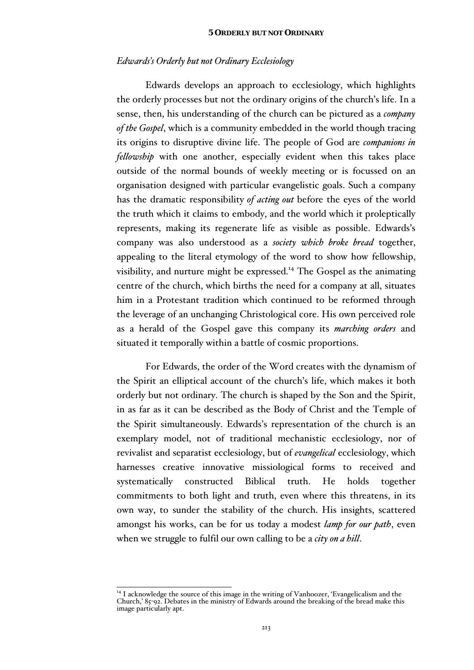## *Edwards's Orderly but not Ordinary Ecclesiology*

Edwards develops an approach to ecclesiology, which highlights the orderly processes but not the ordinary origins of the church's life. In a sense, then, his understanding of the church can be pictured as a *company of the Gospel*, which is a community embedded in the world though tracing its origins to disruptive divine life. The people of God are *companions in fellowship* with one another, especially evident when this takes place outside of the normal bounds of weekly meeting or is focussed on an organisation designed with particular evangelistic goals. Such a company has the dramatic responsibility *of acting out* before the eyes of the world the truth which it claims to embody, and the world which it proleptically represents, making its regenerate life as visible as possible. Edwards's company was also understood as a *society which broke bread* together, appealing to the literal etymology of the word to show how fellowship, visibility, and nurture might be expressed.<sup>14</sup> The Gospel as the animating centre of the church, which births the need for a company at all, situates him in a Protestant tradition which continued to be reformed through the leverage of an unchanging Christological core. His own perceived role as a herald of the Gospel gave this company its *marching orders* and situated it temporally within a battle of cosmic proportions.

For Edwards, the order of the Word creates with the dynamism of the Spirit an elliptical account of the church's life, which makes it both orderly but not ordinary. The church is shaped by the Son and the Spirit, in as far as it can be described as the Body of Christ and the Temple of the Spirit simultaneously. Edwards's representation of the church is an exemplary model, not of traditional mechanistic ecclesiology, nor of revivalist and separatist ecclesiology, but of *evangelical* ecclesiology, which harnesses creative innovative missiological forms to received and systematically constructed Biblical truth. He holds together commitments to both light and truth, even where this threatens, in its own way, to sunder the stability of the church. His insights, scattered amongst his works, can be for us today a modest *lamp for our path*, even when we struggle to fulfil our own calling to be a *city on a hill*.

14 I acknowledge the source of this image in the writing of Vanhoozer, 'Evangelicalism and the Church,' 85-92. Debates in the ministry of Edwards around the breaking of the bread make this image particularly apt.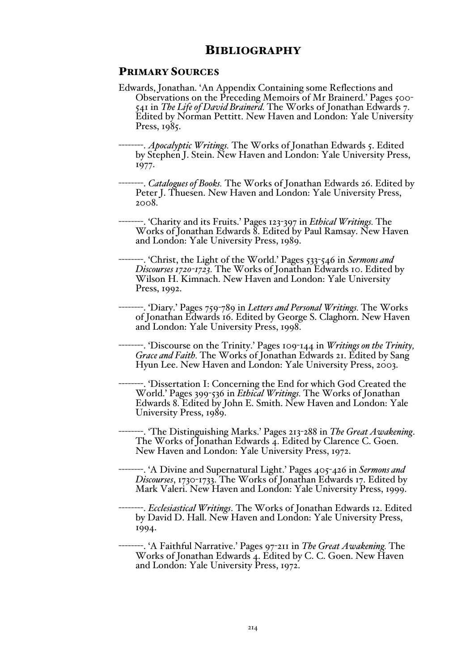## BIBLIOGRAPHY

## PRIMARY SOURCES

Edwards, Jonathan. 'An Appendix Containing some Reflections and Observations on the Preceding Memoirs of Mr Brainerd.' Pages 500- 541 in *The Life of David Brainerd.* The Works of Jonathan Edwards 7. Edited by Norman Pettitt. New Haven and London: Yale University Press, 1985.

--. *Apocalyptic Writings*. The Works of Jonathan Edwards 5. Edited by Stephen J. Stein. New Haven and London: Yale University Press, 1977.

--------. *Catalogues of Books.* The Works of Jonathan Edwards 26. Edited by Peter J. Thuesen. New Haven and London: Yale University Press, 2008.

--------. 'Charity and its Fruits.' Pages 123-397 in *Ethical Writings.* The Works of Jonathan Edwards 8. Edited by Paul Ramsay. New Haven and London: Yale University Press, 1989.

----. 'Christ, the Light of the World.' Pages 533-546 in *Sermons and Discourses 1720-1723*. The Works of Jonathan Edwards 10. Edited by *Wilson H. Kimnach. New Haven and London: Yale University* Press, 1992.

--------. 'Diary.' Pages 759-789 in *Letters and Personal Writings.* The Works of Jonathan Edwards 16. Edited by George S. Claghorn. New Haven and London: Yale University Press, 1998.

---. 'Discourse on the Trinity.' Pages 109-144 in *Writings on the Trinity*, *Grace and Faith.* The Works of Jonathan Edwards 21. Edited by Sang Hyun Lee. New Haven and London: Yale University Press, 2003.

-. 'Dissertation I: Concerning the End for which God Created the World.' Pages 399-536 in *Ethical Writings.* The Works of Jonathan Edwards 8. Edited by John E. Smith. New Haven and London: Yale University Press, 1989.

--------. 'The Distinguishing Marks.' Pages 213-288 in *The Great Awakening*. The Works of Jonathan Edwards 4. Edited by Clarence C. Goen. New Haven and London: Yale University Press, 1972.

<sup>--</sup>--. 'A Divine and Supernatural Light.' Pages 405-426 in *Sermons and Discourses*, 1730-1733. The Works of Jonathan Edwards 17. Edited by Mark Valeri. New Haven and London: Yale University Press, 1999.

--. *Ecclesiastical Writings*. The Works of Jonathan Edwards 12. Edited by David D. Hall. New Haven and London: Yale University Press, 1994.

-. 'A Faithful Narrative.' Pages 97-211 in *The Great Awakening*. The Works of Jonathan Edwards 4. Edited by C. C. Goen. New Haven and London: Yale University Press, 1972.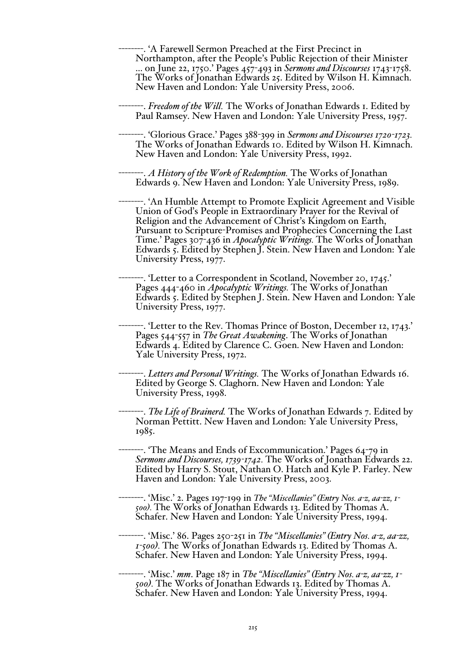- --------. 'A Farewell Sermon Preached at the First Precinct in Northampton, after the People's Public Rejection of their Minister ... on June 22, 1750.' Pages 457-493 in *Sermons and Discourses* 1743-1758. The Works of Jonathan Edwards 25. Edited by Wilson H. Kimnach. New Haven and London: Yale University Press, 2006.
- -. *Freedom of the Will*. The Works of Jonathan Edwards 1. Edited by Paul Ramsey. New Haven and London: Yale University Press, 1957.
- --------. 'Glorious Grace.' Pages 388-399 in *Sermons and Discourses 1720-1723.*  The Works of Jonathan Edwards 10. Edited by Wilson H. Kimnach. New Haven and London: Yale University Press, 1992.

--. *A History of the Work of Redemption*. The Works of Jonathan Edwards 9. New Haven and London: Yale University Press, 1989.

- ---. 'An Humble Attempt to Promote Explicit Agreement and Visible Union of God's People in Extraordinary Prayer for the Revival of Religion and the Advancement of Christ's Kingdom on Earth, Pursuant to Scripture-Promises and Prophecies Concerning the Last Time.' Pages 307-436 in *Apocalyptic Writings.* The Works of Jonathan Edwards 5. Edited by Stephen J. Stein. New Haven and London: Yale University Press, 1977.
- --. 'Letter to a Correspondent in Scotland, November 20, 1745.' Pages 444-460 in *Apocalyptic Writings.* The Works of Jonathan Edwards 5. Edited by Stephen J. Stein. New Haven and London: Yale University Press, 1977.
- ---. 'Letter to the Rev. Thomas Prince of Boston, December 12, 1743.' Pages 544-557 in *The Great Awakening*. The Works of Jonathan Edwards 4. Edited by Clarence C. Goen. New Haven and London: Yale University Press, 1972.
- -. *Letters and Personal Writings*. The Works of Jonathan Edwards 16. Edited by George S. Claghorn. New Haven and London: Yale University Press, 1998.
- --------. *The Life of Brainerd.* The Works of Jonathan Edwards 7. Edited by Norman Pettitt. New Haven and London: Yale University Press, 1985.
- ---. 'The Means and Ends of Excommunication.' Pages 64-79 in *Sermons and Discourses, 1739-1742.* The Works of Jonathan Edwards 22. Edited by Harry S. Stout, Nathan O. Hatch and Kyle P. Farley. New Haven and London: Yale University Press, 2003.
- --------. 'Misc.' 2. Pages 197-199 in *The "Miscellanies" (Entry Nos. a-z, aa-zz, 1- Schafer. New Haven and London: Yale University Press, 1994.*
- --------. 'Misc.' 86. Pages 250-251 in *The "Miscellanies" (Entry Nos. a-z, aa-zz, Schafer. New Haven and London: Yale University Press, 1994.*
- --------. 'Misc.' *mm*. Page 187 in *The "Miscellanies" (Entry Nos. a-z, aa-zz, 1- <sup>500</sup>).* The Works of Jonathan Edwards 13. Edited by Thomas A. Schafer. New Haven and London: Yale University Press, 1994.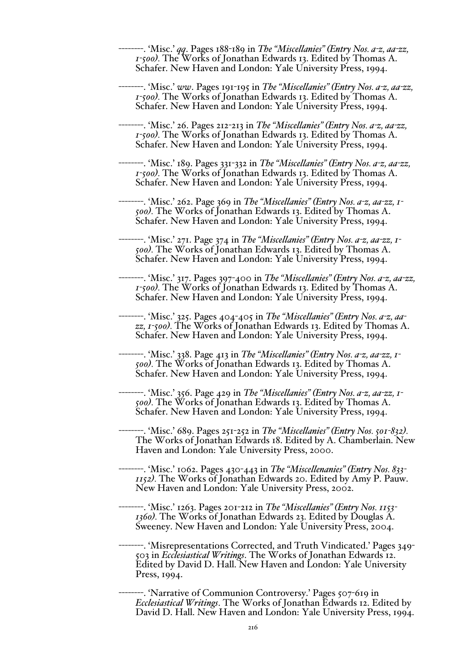--------. 'Misc.' *qq*. Pages 188-189 in *The "Miscellanies" (Entry Nos. a-z, aa-zz, 1-500).* The Works of Jonathan Edwards 13. Edited by Thomas A. Schafer. New Haven and London: Yale University Press, 1994.

--------. 'Misc.' *ww*. Pages 191-195 in *The "Miscellanies" (Entry Nos. a-z, aa-zz, 1-500).* The Works of Jonathan Edwards 13. Edited by Thomas A. Schafer. New Haven and London: Yale University Press, 1994.

--------. 'Misc.' 26. Pages 212-213 in *The "Miscellanies" (Entry Nos. a-z, aa-zz, 1-500).* The Works of Jonathan Edwards 13. Edited by Thomas A. Schafer. New Haven and London: Yale University Press, 1994.

--------. 'Misc.' 189. Pages 331-332 in *The "Miscellanies" (Entry Nos. a-z, aa-zz, 1-500).* The Works of Jonathan Edwards 13. Edited by Thomas A. Schafer. New Haven and London: Yale University Press, 1994.

--------. 'Misc.' 262. Page 369 in *The "Miscellanies" (Entry Nos. a-z, aa-zz, 1- 500).* The Works of Jonathan Edwards 13. Edited by Thomas A. Schafer. New Haven and London: Yale University Press, 1994.

--------. 'Misc.' 271. Page 374 in *The "Miscellanies" (Entry Nos. a-z, aa-zz, 1- 500).* The Works of Jonathan Edwards 13. Edited by Thomas A. Schafer. New Haven and London: Yale University Press, 1994.

--------. 'Misc.' 317. Pages 397-400 in *The "Miscellanies" (Entry Nos. a-z, aa-zz, 1-500).* The Works of Jonathan Edwards 13. Edited by Thomas A. Schafer. New Haven and London: Yale University Press, 1994.

---. 'Misc.' 325. Pages 404-405 in *The "Miscellanies" (Entry Nos. a-z. aazz, 1-500).* The Works of Jonathan Edwards 13. Edited by Thomas A. Schafer. New Haven and London: Yale University Press, 1994.

--------. 'Misc.' 338. Page 413 in *The "Miscellanies" (Entry Nos. a-z, aa-zz, 1- 500).* The Works of Jonathan Edwards 13. Edited by Thomas A. Schafer. New Haven and London: Yale University Press, 1994.

--------. 'Misc.' 356. Page 429 in *The "Miscellanies" (Entry Nos. a-z, aa-zz, 1- <sup>500</sup>).* The Works of Jonathan Edwards 13. Edited by Thomas A. Schafer. New Haven and London: Yale University Press, 1994.

--------. 'Misc.' 689. Pages 251-252 in *The "Miscellanies" (Entry Nos. 501-832).* The Works of Jonathan Edwards 18. Edited by A. Chamberlain. New Haven and London: Yale University Press, 2000.

----. 'Misc.' 1062. Pages 430-443 in The "Miscellenanies" (Entry Nos. 833-1152). The Works of Jonathan Edwards 20. Edited by Amy P. Pauw.<br>New Haven and London: Yale University Press, 2002.

--------. 'Misc.' 1263. Pages 201-212 in *The "Miscellanies" (Entry Nos. 1153- <sup>1360</sup>).* The Works of Jonathan Edwards 23. Edited by Douglas A. Sweeney. New Haven and London: Yale University Press, 2004.

--------. 'Misrepresentations Corrected, and Truth Vindicated.' Pages 349- 503 in *Ecclesiastical Writings*. The Works of Jonathan Edwards 12. Edited by David D. Hall. New Haven and London: Yale University Press, 1994.

--. 'Narrative of Communion Controversy.' Pages 507-619 in *Ecclesiastical Writings*. The Works of Jonathan Edwards 12. Edited by David D. Hall. New Haven and London: Yale University Press, 1994.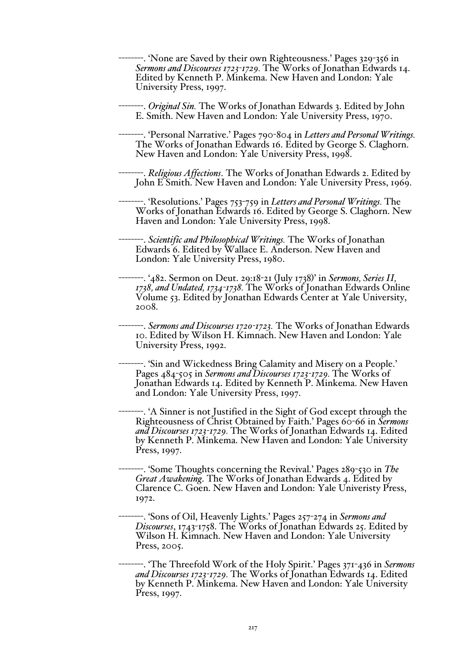- ---. 'None are Saved by their own Righteousness.' Pages 329-356 in *Sermons and Discourses 1723-1729.* The Works of Jonathan Edwards 14. Edited by Kenneth P. Minkema. New Haven and London: Yale University Press, 1997.
- -. *Original Sin*. The Works of Jonathan Edwards 3. Edited by John E. Smith. New Haven and London: Yale University Press, 1970.
- --------. 'Personal Narrative.' Pages 790-804 in *Letters and Personal Writings.*  The Works of Jonathan Edwards 16. Edited by George S. Claghorn. New Haven and London: Yale University Press, 1998.
- -. *Religious Affections*. The Works of Jonathan Edwards 2. Edited by John E Smith. New Haven and London: Yale University Press, 1969.
- --. 'Resolutions.' Pages 753-759 in *Letters and Personal Writings*. The Works of Jonathan Edwards 16. Edited by George S. Claghorn. New Haven and London: Yale University Press, 1998.
- ---. *Scientific and Philosophical Writings*. The Works of Jonathan Edwards 6. Edited by Wallace E. Anderson. New Haven and London: Yale University Press, 1980.
- --. '482. Sermon on Deut. 29:18-21 (July 1738)' in *Sermons, Series II, 1738, and Undated, 1734-1738.* The Works of Jonathan Edwards Online Volume 53. Edited by Jonathan Edwards Center at Yale University, 2008.

---. *Sermons and Discourses 1720-1723*. The Works of Jonathan Edwards 10. Edited by Wilson H. Kimnach. New Haven and London: Yale University Press, 1992.

- ---. 'Sin and Wickedness Bring Calamity and Misery on a People.' Pages 484-505 in *Sermons and Discourses 1723-1729.* The Works of Jonathan Edwards 14. Edited by Kenneth P. Minkema. New Haven and London: Yale University Press, 1997.
- --------. 'A Sinner is not Justified in the Sight of God except through the Righteousness of Christ Obtained by Faith.' Pages 60-66 in *Sermons and Discourses 1723-1729.* The Works of Jonathan Edwards 14. Edited by Kenneth P. Minkema. New Haven and London: Yale University Press, 1997.
- ---. 'Some Thoughts concerning the Revival.' Pages 289-530 in *The Great Awakening*. The Works of Jonathan Edwards 4. Edited by *Clarence C. Goen. New Haven and London: Yale Univeristy Press,* 1972.
- --------. 'Sons of Oil, Heavenly Lights.' Pages 257-274 in *Sermons and Discourses*, 1743-1758. The Works of Jonathan Edwards 25. Edited by Wilson H. Kimnach. New Haven and London: Yale University Press, 2005.
- --------. 'The Threefold Work of the Holy Spirit.' Pages 371-436 in *Sermons and Discourses 1723-1729.* The Works of Jonathan Edwards 14. Edited by Kenneth P. Minkema. New Haven and London: Yale University Press, 1997.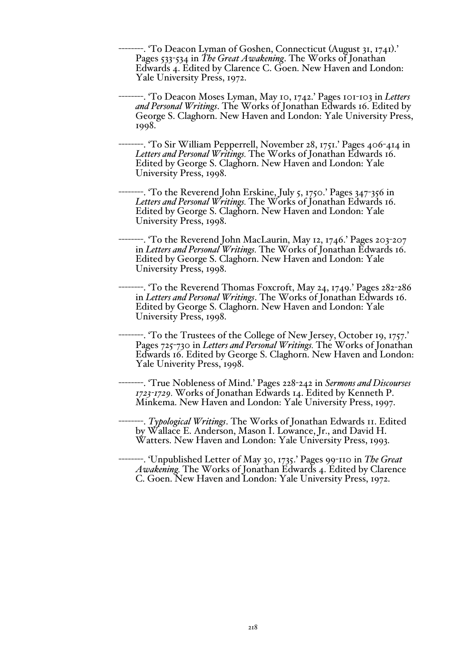- ---. 'To Deacon Lyman of Goshen, Connecticut (August 31, 1741).' Pages 533-534 in *The Great Awakening*. The Works of Jonathan Edwards 4. Edited by Clarence C. Goen. New Haven and London: Yale University Press, 1972.
- --. 'To Deacon Moses Lyman, May 10, 1742.' Pages 101-103 in *Letters and Personal Writings*. The Works of Jonathan Edwards 16. Edited by George S. Claghorn. New Haven and London: Yale University Press, 1998.
- --------. 'To Sir William Pepperrell, November 28, 1751.' Pages 406-414 in *Letters and Personal Writings.* The Works of Jonathan Edwards 16. Edited by George S. Claghorn. New Haven and London: Yale University Press, 1998.
- ---. 'To the Reverend John Erskine, July 5, 1750.' Pages 347-356 in *Letters and Personal Writings.* The Works of Jonathan Edwards 16. Edited by George S. Claghorn. New Haven and London: Yale University Press, 1998.
- --------. 'To the Reverend John MacLaurin, May 12, 1746.' Pages 203-207 in *Letters and Personal Writings.* The Works of Jonathan Edwards 16. Edited by George S. Claghorn. New Haven and London: Yale University Press, 1998.
- --. 'To the Reverend Thomas Foxcroft, May 24, 1749.' Pages 282-286 in *Letters and Personal Writings*. The Works of Jonathan Edwards 16. Edited by George S. Claghorn. New Haven and London: Yale University Press, 1998.
- ----. 'To the Trustees of the College of New Jersey, October 19, 1757.' Pages 725-730 in *Letters and Personal Writings.* The Works of Jonathan Edwards 16. Edited by George S. Claghorn. New Haven and London: Yale Univerity Press, 1998.
- --. 'True Nobleness of Mind.' Pages 228-242 in *Sermons and Discourses 1723-1729.* Works of Jonathan Edwards 14. Edited by Kenneth P. Minkema. New Haven and London: Yale University Press, 1997.
- --------. *Typological Writings*. The Works of Jonathan Edwards 11. Edited by Wallace E. Anderson, Mason I. Lowance, Jr., and David H. Watters. New Haven and London: Yale University Press, 1993.
	- --------. 'Unpublished Letter of May 30, 1735.' Pages 99-110 in *The Great Awakening.* The Works of Jonathan Edwards 4. Edited by Clarence C. Goen. New Haven and London: Yale University Press, 1972.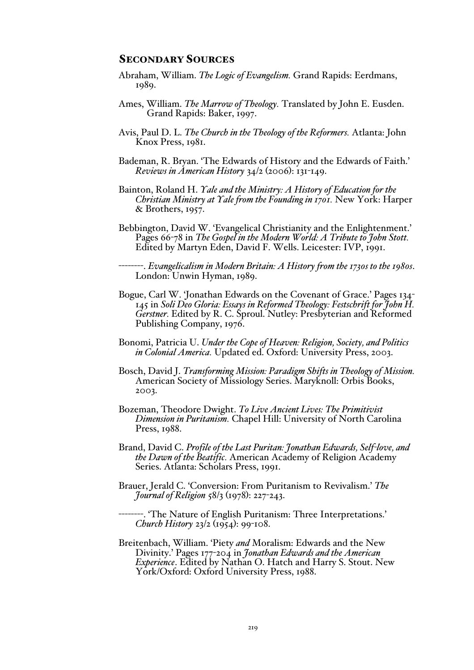## SECONDARY SOURCES

- Abraham, William. *The Logic of Evangelism.* Grand Rapids: Eerdmans, 1989.
- Ames, William. *The Marrow of Theology.* Translated by John E. Eusden. Grand Rapids: Baker, 1997.
- Avis, Paul D. L. *The Church in the Theology of the Reformers.* Atlanta: John Knox Press, 1981.
- Bademan, R. Bryan. 'The Edwards of History and the Edwards of Faith.' *Reviews in American History* 34/2 (2006): 131-149.
- Bainton, Roland H. *Yale and the Ministry: A History of Education for the Christian Ministry at Yale from the Founding in 1701.* New York: Harper & Brothers, 1957.
- Bebbington, David W. 'Evangelical Christianity and the Enlightenment.' Pages 66-78 in *The Gospel in the Modern World: A Tribute to John Stott.* Edited by Martyn Eden, David F. Wells. Leicester: IVP, 1991.

<sup>--</sup>-. *Evangelicalism in Modern Britain: A History from the 1730s to the 1980s.* London: Unwin Hyman, 1989.

- Bogue, Carl W. 'Jonathan Edwards on the Covenant of Grace.' Pages 134- 145 in *Soli Deo Gloria: Essays in Reformed Theology: Festschrift for John H. Gerstner.* Edited by R. C. Sproul. Nutley: Presbyterian and Reformed Publishing Company, 1976.
- Bonomi, Patricia U. *Under the Cope of Heaven: Religion, Society, and Politics in Colonial America.* Updated ed. Oxford: University Press, 2003.
- Bosch, David J. *Transforming Mission: Paradigm Shifts in Theology of Mission.*  American Society of Missiology Series. Maryknoll: Orbis Books, 2003.
- Bozeman, Theodore Dwight. *To Live Ancient Lives: The Primitivist Dimension in Puritanism.* Chapel Hill: University of North Carolina Press, 1988.
- Brand, David C. *Profile of the Last Puritan: Jonathan Edwards, Self-love, and the Dawn of the Beatific.* American Academy of Religion Academy Series. Atlanta: Scholars Press, 1991.
- Brauer, Jerald C. 'Conversion: From Puritanism to Revivalism.' *The Journal of Religion* 58/3 (1978): 227-243.
- -. 'The Nature of English Puritanism: Three Interpretations.' *Church History* 23/2 (1954): 99-108.
- Breitenbach, William. 'Piety *and* Moralism: Edwards and the New Divinity.' Pages 177-204 in *Jonathan Edwards and the American Experience*. Edited by Nathan O. Hatch and Harry S. Stout. New York/Oxford: Oxford University Press, 1988.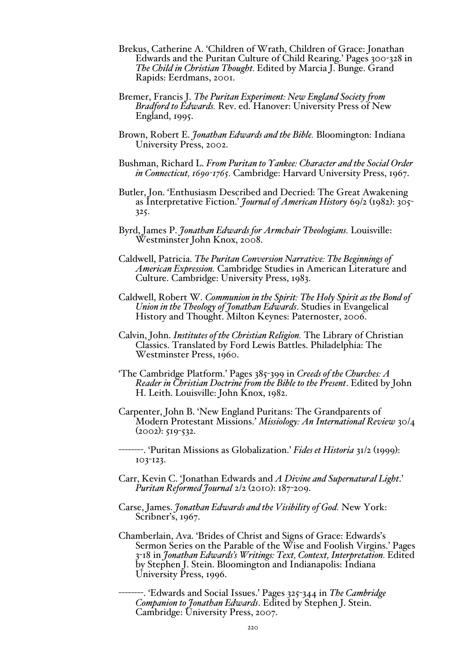- Brekus, Catherine A. 'Children of Wrath, Children of Grace: Jonathan Edwards and the Puritan Culture of Child Rearing.' Pages 300-328 in *The Child in Christian Thought.* Edited by Marcia J. Bunge. Grand Rapids: Eerdmans, 2001.
- Bremer, Francis J. *The Puritan Experiment: New England Society from Bradford to Edwards.* Rev. ed. Hanover: University Press of New England, 1995.
- Brown, Robert E. *Jonathan Edwards and the Bible.* Bloomington: Indiana University Press, 2002.
- Bushman, Richard L. *From Puritan to Yankee: Character and the Social Order in Connecticut, 1690-1765.* Cambridge: Harvard University Press, 1967.
- Butler, Jon. 'Enthusiasm Described and Decried: The Great Awakening as Interpretative Fiction.' *Journal of American History* 69/2 (1982): 305- 325.
- Byrd, James P. *Jonathan Edwards for Armchair Theologians.* Louisville: Westminster John Knox, 2008.
- Caldwell, Patricia. *The Puritan Conversion Narrative: The Beginnings of American Expression.* Cambridge Studies in American Literature and Culture. Cambridge: University Press, 1983.
- Caldwell, Robert W. *Communion in the Spirit: The Holy Spirit as the Bond of Union in the Theology of Jonathan Edwards*. Studies in Evangelical History and Thought. Milton Keynes: Paternoster, 2006.
- Calvin, John. *Institutes of the Christian Religion.* The Library of Christian Classics. Translated by Ford Lewis Battles. Philadelphia: The Westminster Press, 1960.
- 'The Cambridge Platform.' Pages 385-399 in *Creeds of the Churches: A Reader in Christian Doctrine from the Bible to the Present*. Edited by John H. Leith. Louisville: John Knox, 1982.
- Carpenter, John B. 'New England Puritans: The Grandparents of Modern Protestant Missions.' *Missiology: An International Review* 30/4  $(2002): 519-532.$
- --------. 'Puritan Missions as Globalization.' *Fides et Historia* 31/2 (1999): 103-123.
- Carr, Kevin C. 'Jonathan Edwards and *A Divine and Supernatural Light*.' *Puritan Reformed Journal* 2/2 (2010): 187-209.
- Carse, James. *Jonathan Edwards and the Visibility of God.* New York: Scribner's, 1967.
- Chamberlain, Ava. 'Brides of Christ and Signs of Grace: Edwards's Sermon Series on the Parable of the Wise and Foolish Virgins.' Pages 3-18 in *Jonathan Edwards's Writings: Text, Context, Interpretation.* Edited by Stephen J. Stein. Bloomington and Indianapolis: Indiana University Press, 1996.

---. 'Edwards and Social Issues.' Pages 325-344 in *The Cambridge<br>Companion to Jonathan Edwards*. Edited by Stephen J. Stein.<br>Cambridge: University Press, 2007.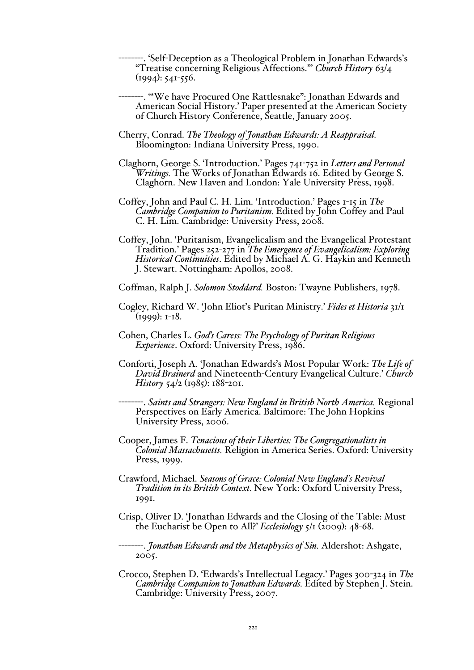- ---. 'Self-Deception as a Theological Problem in Jonathan Edwards's "Treatise concerning Religious Affections."' *Church History* 63/4  $(1994): 541-556.$
- --. "We have Procured One Rattlesnake": Jonathan Edwards and American Social History.' Paper presented at the American Society of Church History Conference, Seattle, January 2005.
- Cherry, Conrad. *The Theology of Jonathan Edwards: A Reappraisal.* Bloomington: Indiana University Press, 1990.
- Claghorn, George S. 'Introduction.' Pages 741-752 in *Letters and Personal Writings.* The Works of Jonathan Edwards 16. Edited by George S. Claghorn. New Haven and London: Yale University Press, 1998.
- Coffey, John and Paul C. H. Lim. 'Introduction.' Pages 1-15 in *The Cambridge Companion to Puritanism.* Edited by John Coffey and Paul C. H. Lim. Cambridge: University Press, 2008.
- Coffey, John. 'Puritanism, Evangelicalism and the Evangelical Protestant Tradition.' Pages 252-277 in *The Emergence of Evangelicalism: Exploring Historical Continuities*. Edited by Michael A. G. Haykin and Kenneth J. Stewart. Nottingham: Apollos, 2008.
- Coffman, Ralph J. *Solomon Stoddard.* Boston: Twayne Publishers, 1978.
- Cogley, Richard W. 'John Eliot's Puritan Ministry.' *Fides et Historia* 31/1  $(1999): 1-18.$
- Cohen, Charles L. *God's Caress: The Psychology of Puritan Religious Experience*. Oxford: University Press, 1986.
- Conforti, Joseph A. 'Jonathan Edwards's Most Popular Work: *The Life of David Brainerd* and Nineteenth-Century Evangelical Culture.' *Church History* 54/2 (1985): 188-201.
	- ---. *Saints and Strangers: New England in British North America*. Regional Perspectives on Early America. Baltimore: The John Hopkins University Press, 2006.
- Cooper, James F. *Tenacious of their Liberties: The Congregationalists in Colonial Massachusetts.* Religion in America Series. Oxford: University Press, 1999.
- Crawford, Michael. *Seasons of Grace: Colonial New England's Revival Tradition in its British Context.* New York: Oxford University Press, 1991.
- Crisp, Oliver D. 'Jonathan Edwards and the Closing of the Table: Must the Eucharist be Open to All?' *Ecclesiology* 5/1 (2009): 48-68.

--------. *Jonathan Edwards and the Metaphysics of Sin.* Aldershot: Ashgate, 2005.

Crocco, Stephen D. 'Edwards's Intellectual Legacy.' Pages 300-324 in *The Cambridge Companion to Jonathan Edwards.* Edited by Stephen J. Stein. Cambridge: University Press, 2007.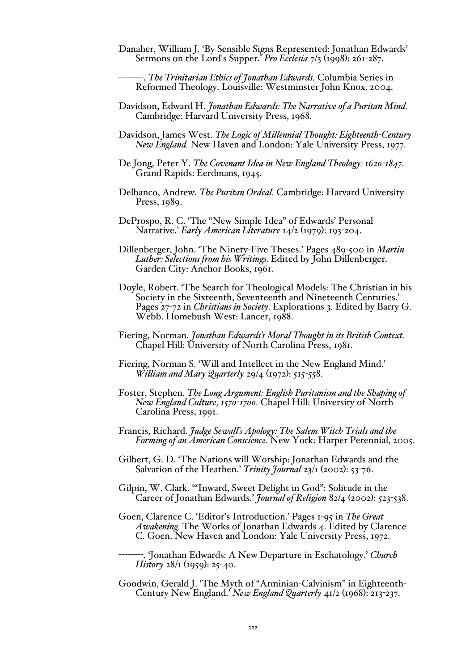- Danaher, William J. 'By Sensible Signs Represented: Jonathan Edwards' Sermons on the Lord's Supper.' *Pro Ecclesia* 7/3 (1998): 261-287.
	- --. *The Trinitarian Ethics of Jonathan Edwards*. Columbia Series in Reformed Theology. Louisville: Westminster John Knox, 2004.
- Davidson, Edward H. *Jonathan Edwards: The Narrative of a Puritan Mind.* Cambridge: Harvard University Press, 1968.
- Davidson, James West. *The Logic of Millennial Thought: Eighteenth-Century New England.* New Haven and London: Yale University Press, 1977.
- De Jong, Peter Y. *The Covenant Idea in New England Theology: 1620-1847.* Grand Rapids: Eerdmans, 1945.
- Delbanco, Andrew. *The Puritan Ordeal.* Cambridge: Harvard University Press, 1989.
- DeProspo, R. C. 'The "New Simple Idea" of Edwards' Personal Narrative.' *Early American Literature* 14/2 (1979): 193-204.
- Dillenberger, John. 'The Ninety-Five Theses.' Pages 489-500 in *Martin Luther: Selections from his Writings.* Edited by John Dillenberger. Garden City: Anchor Books, 1961.
- Doyle, Robert. 'The Search for Theological Models: The Christian in his Society in the Sixteenth, Seventeenth and Nineteenth Centuries.' Pages 27-72 in *Christians in Society.* Explorations 3. Edited by Barry G. Webb. Homebush West: Lancer, 1988.
- Fiering, Norman. *Jonathan Edwards's Moral Thought in its British Context.* Chapel Hill: University of North Carolina Press, 1981.
- Fiering, Norman S. 'Will and Intellect in the New England Mind.' *William and Mary Quarterly* 29/4 (1972): 515-558.
- Foster, Stephen. *The Long Argument: English Puritanism and the Shaping of New England Culture, 1570-1700.* Chapel Hill: University of North Carolina Press, 1991.
- Francis, Richard. *Judge Sewall's Apology: The Salem Witch Trials and the Forming of an American Conscience.* New York: Harper Perennial, 2005.
- Gilbert, G. D. 'The Nations will Worship: Jonathan Edwards and the Salvation of the Heathen.' *Trinity Journal* 23/1 (2002): 53-76.
- Gilpin, W. Clark. '"Inward, Sweet Delight in God": Solitude in the Career of Jonathan Edwards.' *Journal of Religion* 82/4 (2002): 523-538.
- Goen, Clarence C. 'Editor's Introduction.' Pages 1-95 in *The Great Awakening.* The Works of Jonathan Edwards 4. Edited by Clarence C. Goen. New Haven and London: Yale University Press, 1972.
- --------. 'Jonathan Edwards: A New Departure in Eschatology.' *Church History* 28/1 (1959): 25-40.
- Goodwin, Gerald J. 'The Myth of "Arminian-Calvinism" in Eighteenth-Century New England.' *New England Quarterly* 41/2 (1968): 213-237.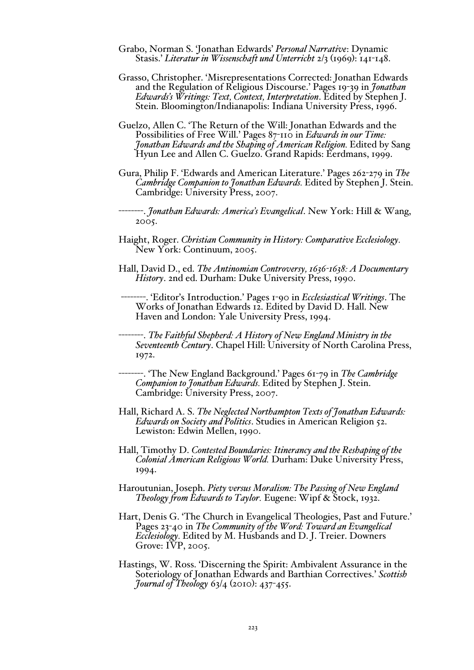- Grabo, Norman S. 'Jonathan Edwards' *Personal Narrative*: Dynamic Stasis.' *Literatur in Wissenschaft und Unterricht* 2/3 (1969): 141-148.
- Grasso, Christopher. 'Misrepresentations Corrected: Jonathan Edwards and the Regulation of Religious Discourse.' Pages 19-39 in *Jonathan Edwards's Writings: Text, Context, Interpretation*. Edited by Stephen J. Stein. Bloomington/Indianapolis: Indiana University Press, 1996.
- Guelzo, Allen C. 'The Return of the Will: Jonathan Edwards and the Possibilities of Free Will.' Pages 87-110 in *Edwards in our Time: Jonathan Edwards and the Shaping of American Religion.* Edited by Sang Hyun Lee and Allen C. Guelzo. Grand Rapids: Eerdmans, 1999.
- Gura, Philip F. 'Edwards and American Literature.' Pages 262-279 in *The Cambridge Companion to Jonathan Edwards.* Edited by Stephen J. Stein. Cambridge: University Press, 2007.
- -. *Jonathan Edwards: America's Evangelical*. New York: Hill & Wang, 2005.
- Haight, Roger. *Christian Community in History: Comparative Ecclesiology.* New York: Continuum, 2005.
- Hall, David D., ed. *The Antinomian Controversy, 1636-1638: A Documentary History*. 2nd ed. Durham: Duke University Press, 1990.
- --. 'Editor's Introduction.' Pages 1-90 in *Ecclesiastical Writings*. The Works of Jonathan Edwards 12. Edited by David D. Hall. New Haven and London: Yale University Press, 1994.
	- --------. *The Faithful Shepherd: A History of New England Ministry in the Seventeenth Century*. Chapel Hill: University of North Carolina Press, 1972.
- --------. 'The New England Background.' Pages 61-79 in *The Cambridge Companion to Jonathan Edwards.* Edited by Stephen J. Stein. Cambridge: University Press, 2007.
- Hall, Richard A. S. *The Neglected Northampton Texts of Jonathan Edwards: Edwards on Society and Politics*. Studies in American Religion 52. Lewiston: Edwin Mellen, 1990.
- Hall, Timothy D. *Contested Boundaries: Itinerancy and the Reshaping of the Colonial American Religious World.* Durham: Duke University Press, 1994.
- Haroutunian, Joseph. *Piety versus Moralism: The Passing of New England Theology from Edwards to Taylor.* Eugene: Wipf & Stock, 1932.
- Hart, Denis G. 'The Church in Evangelical Theologies, Past and Future.' Pages 23-40 in *The Community of the Word: Toward an Evangelical Ecclesiology.* Edited by M. Husbands and D. J. Treier. Downers Grove: IVP, 2005.
- Hastings, W. Ross. 'Discerning the Spirit: Ambivalent Assurance in the Soteriology of Jonathan Edwards and Barthian Correctives.' *Scottish Journal of Theology* 63/4 (2010): 437-455.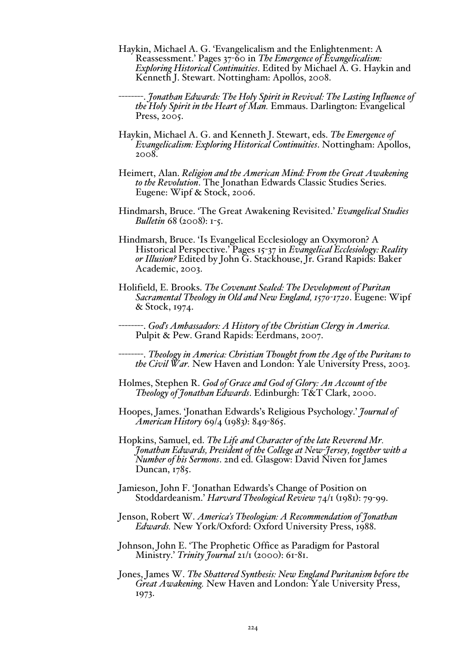Haykin, Michael A. G. 'Evangelicalism and the Enlightenment: A Reassessment.' Pages 37-60 in *The Emergence of Evangelicalism: Exploring Historical Continuities*. Edited by Michael A. G. Haykin and Kenneth J. Stewart. Nottingham: Apollos, 2008.

--------. *Jonathan Edwards: The Holy Spirit in Revival: The Lasting Influence of the Holy Spirit in the Heart of Man.* Emmaus. Darlington: Evangelical Press, 2005.

- Haykin, Michael A. G. and Kenneth J. Stewart, eds. *The Emergence of Evangelicalism: Exploring Historical Continuities*. Nottingham: Apollos, 2008.
- Heimert, Alan. *Religion and the American Mind: From the Great Awakening to the Revolution*. The Jonathan Edwards Classic Studies Series. Eugene: Wipf & Stock, 2006.
- Hindmarsh, Bruce. 'The Great Awakening Revisited.' *Evangelical Studies Bulletin* 68 (2008): 1-5.
- Hindmarsh, Bruce. 'Is Evangelical Ecclesiology an Oxymoron? A Historical Perspective.' Pages 15-37 in *Evangelical Ecclesiology: Reality or Illusion?* Edited by John G. Stackhouse, Jr. Grand Rapids: Baker Academic, 2003.
- Holifield, E. Brooks. *The Covenant Sealed: The Development of Puritan Sacramental Theology in Old and New England, 1570-1720*. Eugene: Wipf & Stock, 1974.

--------. *God's Ambassadors: A History of the Christian Clergy in America.* Pulpit & Pew. Grand Rapids: Eerdmans, 2007.

--------. *Theology in America: Christian Thought from the Age of the Puritans to the Civil War.* New Haven and London: Yale University Press, 2003.

- Holmes, Stephen R. *God of Grace and God of Glory: An Account of the Theology of Jonathan Edwards*. Edinburgh: T&T Clark, 2000.
- Hoopes, James. 'Jonathan Edwards's Religious Psychology.' *Journal of American History* 69/4 (1983): 849-865.
- Hopkins, Samuel, ed. The Life and Character of the late Reverend Mr.<br>Jonathan Edwards, President of the College at New-Jersey, together with a<br>Number of his Sermons. 2nd ed. Glasgow: David Niven for James Duncan, 1785.
- Jamieson, John F. 'Jonathan Edwards's Change of Position on Stoddardeanism.' *Harvard Theological Review* 74/1 (1981): 79-99.
- Jenson, Robert W. *America's Theologian: A Recommendation of Jonathan Edwards.* New York/Oxford: Oxford University Press, 1988.
- Johnson, John E. 'The Prophetic Office as Paradigm for Pastoral Ministry.' *Trinity Journal* 21/1 (2000): 61-81.
- Jones, James W. *The Shattered Synthesis: New England Puritanism before the Great Awakening.* New Haven and London: Yale University Press, 1973.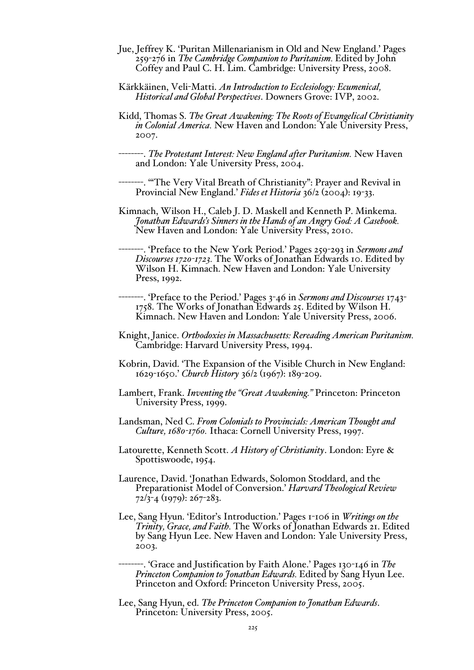- Jue, Jeffrey K. 'Puritan Millenarianism in Old and New England.' Pages 259-276 in *The Cambridge Companion to Puritanism.* Edited by John Coffey and Paul C. H. Lim. Cambridge: University Press, 2008.
- Kärkkäinen, Veli-Matti. *An Introduction to Ecclesiology: Ecumenical, Historical and Global Perspectives*. Downers Grove: IVP, 2002.
- Kidd, Thomas S. *The Great Awakening: The Roots of Evangelical Christianity in Colonial America.* New Haven and London: Yale University Press, 2007.
- --------. *The Protestant Interest: New England after Puritanism.* New Haven and London: Yale University Press, 2004.
- --. "The Very Vital Breath of Christianity": Prayer and Revival in Provincial New England.' *Fides et Historia* 36/2 (2004): 19-33.
- Kimnach, Wilson H., Caleb J. D. Maskell and Kenneth P. Minkema. *Jonathan Edwards's Sinners in the Hands of an Angry God: A Casebook.* New Haven and London: Yale University Press, 2010.
- --. 'Preface to the New York Period.' Pages 259-293 in *Sermons and Discourses 1720-1723.* The Works of Jonathan Edwards 10. Edited by Wilson H. Kimnach. New Haven and London: Yale University Press, 1992.
- --------. 'Preface to the Period.' Pages 3-46 in *Sermons and Discourses* 1743- 1758. The Works of Jonathan Edwards 25. Edited by Wilson H. Kimnach. New Haven and London: Yale University Press, 2006.
- Knight, Janice. *Orthodoxies in Massachusetts: Rereading American Puritanism.* Cambridge: Harvard University Press, 1994.
- Kobrin, David. 'The Expansion of the Visible Church in New England: 1629-1650.' *Church History* 36/2 (1967): 189-209.
- Lambert, Frank. *Inventing the "Great Awakening."* Princeton: Princeton University Press, 1999.
- Landsman, Ned C. *From Colonials to Provincials: American Thought and Culture, 1680-1760.* Ithaca: Cornell University Press, 1997.
- Latourette, Kenneth Scott. *A History of Christianity*. London: Eyre & Spottiswoode, 1954.
- Laurence, David. 'Jonathan Edwards, Solomon Stoddard, and the Preparationist Model of Conversion.' *Harvard Theological Review* 72/3-4 (1979): 267-283.
- Lee, Sang Hyun. 'Editor's Introduction.' Pages 1-106 in *Writings on the Trinity, Grace, and Faith.* The Works of Jonathan Edwards 21. Edited by Sang Hyun Lee. New Haven and London: Yale University Press, 2003.

--------. 'Grace and Justification by Faith Alone.' Pages 130-146 in *The Princeton Companion to Jonathan Edwards.* Edited by Sang Hyun Lee. Princeton and Oxford: Princeton University Press, 2005.

Lee, Sang Hyun, ed. *The Princeton Companion to Jonathan Edwards*. Princeton: University Press, 2005.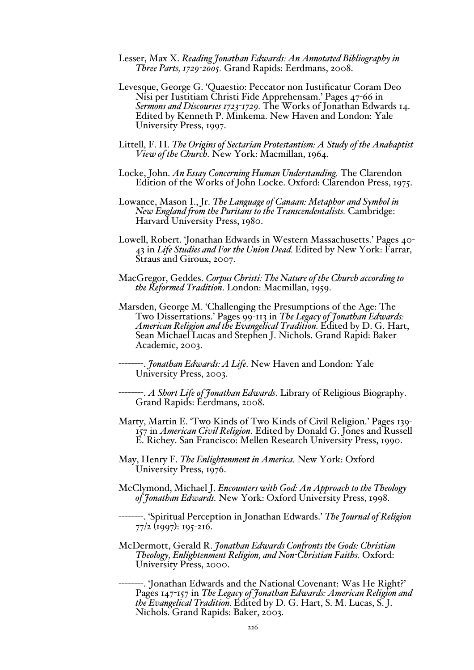- Lesser, Max X. *Reading Jonathan Edwards: An Annotated Bibliography in Three Parts, 1729-2005.* Grand Rapids: Eerdmans, 2008.
- Levesque, George G. 'Quaestio: Peccator non Iustificatur Coram Deo Nisi per Iustitiam Christi Fide Apprehensam.' Pages 47-66 in *Sermons and Discourses 1723-1729.* The Works of Jonathan Edwards 14. Edited by Kenneth P. Minkema. New Haven and London: Yale University Press, 1997.
- Littell, F. H. *The Origins of Sectarian Protestantism: A Study of the Anabaptist View of the Church.* New York: Macmillan, 1964.
- Locke, John. *An Essay Concerning Human Understanding.* The Clarendon Edition of the Works of John Locke. Oxford: Clarendon Press, 1975.
- Lowance, Mason I., Jr. *The Language of Canaan: Metaphor and Symbol in New England from the Puritans to the Transcendentalists.* Cambridge: Harvard University Press, 1980.
- Lowell, Robert. 'Jonathan Edwards in Western Massachusetts.' Pages 40- 43 in *Life Studies and For the Union Dead.* Edited by New York: Farrar, Straus and Giroux, 2007.
- MacGregor, Geddes. *Corpus Christi: The Nature of the Church according to the Reformed Tradition*. London: Macmillan, 1959.
- Marsden, George M. 'Challenging the Presumptions of the Age: The Two Dissertations.' Pages 99-113 in *The Legacy of Jonathan Edwards: American Religion and the Evangelical Tradition.* Edited by D. G. Hart, Sean Michael Lucas and Stephen J. Nichols. Grand Rapid: Baker Academic, 2003.

--. *Jonathan Edwards: A Life*. New Haven and London: Yale University Press, 2003.

-. *A Short Life of Jonathan Edwards*. Library of Religious Biography. Grand Rapids: Eerdmans, 2008.

- Marty, Martin E. 'Two Kinds of Two Kinds of Civil Religion.' Pages 139- 157 in *American Civil Religion*. Edited by Donald G. Jones and Russell E. Richey. San Francisco: Mellen Research University Press, 1990.
- May, Henry F. *The Enlightenment in America.* New York: Oxford University Press, 1976.
- McClymond, Michael J. *Encounters with God: An Approach to the Theology of Jonathan Edwards.* New York: Oxford University Press, 1998.
- --------. 'Spiritual Perception in Jonathan Edwards.' *The Journal of Religion* 77/2 (1997): 195-216.
- McDermott, Gerald R. *Jonathan Edwards Confronts the Gods: Christian Theology, Enlightenment Religion, and Non-Christian Faiths.* Oxford: University Press, 2000.
	- --. 'Jonathan Edwards and the National Covenant: Was He Right?' Pages 147-157 in *The Legacy of Jonathan Edwards: American Religion and the Evangelical Tradition*. Edited by D. G. Hart, S. M. Lucas, S. J. Nichols. Grand Rapids: Baker, 2003.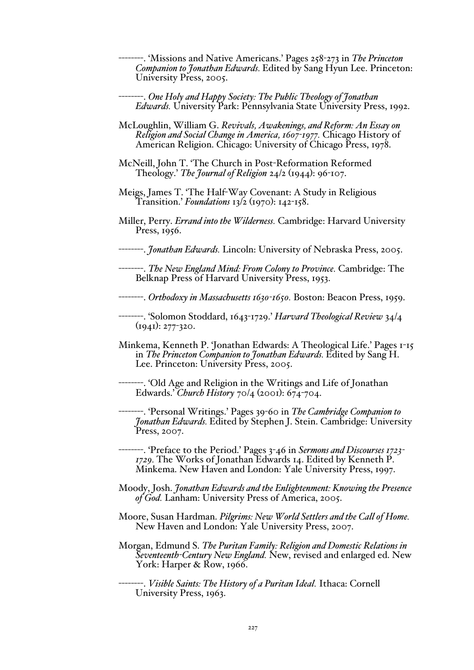- --------. 'Missions and Native Americans.' Pages 258-273 in *The Princeton Companion to Jonathan Edwards.* Edited by Sang Hyun Lee. Princeton: University Press, 2005.
- -. One Holy and Happy Society: The Public Theology of Jonathan *Edwards.* University Park: Pennsylvania State University Press, 1992.
- McLoughlin, William G. *Revivals, Awakenings, and Reform: An Essay on Religion and Social Change in America, 1607-1977.* Chicago History of American Religion. Chicago: University of Chicago Press, 1978.
- McNeill, John T. 'The Church in Post-Reformation Reformed Theology.' *The Journal of Religion* 24/2 (1944): 96-107.
- Meigs, James T. 'The Half-Way Covenant: A Study in Religious Transition.' *Foundations* 13/2 (1970): 142-158.
- Miller, Perry. *Errand into the Wilderness.* Cambridge: Harvard University Press, 1956.

--------. *Jonathan Edwards.* Lincoln: University of Nebraska Press, 2005.

--------. *The New England Mind: From Colony to Province.* Cambridge: The Belknap Press of Harvard University Press, 1953.

--------. *Orthodoxy in Massachusetts 1630-1650.* Boston: Beacon Press, 1959.

- --------. 'Solomon Stoddard, 1643-1729.' *Harvard Theological Review* 34/4  $(1941): 277 - 320.$
- Minkema, Kenneth P. 'Jonathan Edwards: A Theological Life.' Pages 1-15 in *The Princeton Companion to Jonathan Edwards.* Edited by Sang H. Lee. Princeton: University Press, 2005.
- --. 'Old Age and Religion in the Writings and Life of Jonathan Edwards.' *Church History* 70/4 (2001): 674-704.

----. 'Personal Writings.' Pages 39-60 in *The Cambridge Companion to* Jonathan Edwards. Edited by Stephen J. Stein. Cambridge: University Press, 2007.

--------. 'Preface to the Period.' Pages 3-46 in *Sermons and Discourses 1723- 1729.* The Works of Jonathan Edwards 14. Edited by Kenneth P. Minkema. New Haven and London: Yale University Press, 1997.

- Moody, Josh. *Jonathan Edwards and the Enlightenment: Knowing the Presence of God.* Lanham: University Press of America, 2005.
- Moore, Susan Hardman. *Pilgrims: New World Settlers and the Call of Home.* New Haven and London: Yale University Press, 2007.
- Morgan, Edmund S. *The Puritan Family: Religion and Domestic Relations in Seventeenth-Century New England.* New, revised and enlarged ed. New York: Harper & Row, 1966.

-. *Visible Saints: The History of a Puritan Ideal.* Ithaca: Cornell University Press, 1963.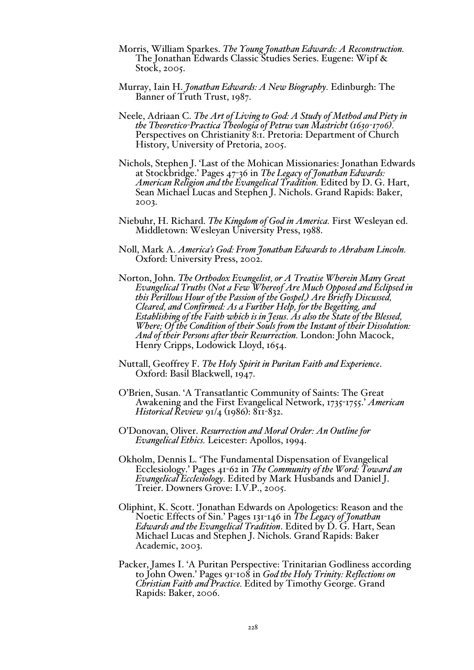- Morris, William Sparkes. *The Young Jonathan Edwards: A Reconstruction.* The Jonathan Edwards Classic Studies Series. Eugene: Wipf & Stock, 2005.
- Murray, Iain H. *Jonathan Edwards: A New Biography.* Edinburgh: The Banner of Truth Trust, 1987.
- Neele, Adriaan C. *The Art of Living to God: A Study of Method and Piety in the Theoretico-Practica Theologia of Petrus van Mastricht (1630-1706).* Perspectives on Christianity 8:1. Pretoria: Department of Church History, University of Pretoria, 2005.
- Nichols, Stephen J. 'Last of the Mohican Missionaries: Jonathan Edwards at Stockbridge.' Pages 47-36 in *The Legacy of Jonathan Edwards: American Religion and the Evangelical Tradition.* Edited by D. G. Hart, Sean Michael Lucas and Stephen J. Nichols. Grand Rapids: Baker, 2003.
- Niebuhr, H. Richard. *The Kingdom of God in America.* First Wesleyan ed. Middletown: Wesleyan University Press, 1988.
- Noll, Mark A. *America's God: From Jonathan Edwards to Abraham Lincoln.* Oxford: University Press, 2002.
- Norton, John. *The Orthodox Evangelist, or A Treatise Wherein Many Great Evangelical Truths (Not a Few Whereof Are Much Opposed and Eclipsed in this Perillous Hour of the Passion of the Gospel,) Are Briefly Discussed, Cleared, and Confirmed: As a Further Help, for the Begetting, and Establishing of the Faith which is in Jesus. As also the State of the Blessed, Where; Of the Condition of their Souls from the Instant of their Dissolution: And of their Persons after their Resurrection.* London: John Macock, Henry Cripps, Lodowick Lloyd, 1654.
- Nuttall, Geoffrey F. *The Holy Spirit in Puritan Faith and Experience*. Oxford: Basil Blackwell, 1947.
- O'Brien, Susan. 'A Transatlantic Community of Saints: The Great Awakening and the First Evangelical Network, 1735-1755.' *American Historical Review* 91/4 (1986): 811-832.
- O'Donovan, Oliver. *Resurrection and Moral Order: An Outline for Evangelical Ethics.* Leicester: Apollos, 1994.
- Okholm, Dennis L. 'The Fundamental Dispensation of Evangelical Ecclesiology.' Pages 41-62 in *The Community of the Word: Toward an Evangelical Ecclesiology.* Edited by Mark Husbands and Daniel J. Treier. Downers Grove: I.V.P., 2005.
- Oliphint, K. Scott. 'Jonathan Edwards on Apologetics: Reason and the Noetic Effects of Sin.' Pages 131-146 in *The Legacy of Jonathan Edwards and the Evangelical Tradition*. Edited by D. G. Hart, Sean Michael Lucas and Stephen J. Nichols. Grand Rapids: Baker Academic, 2003.
- Packer, James I. 'A Puritan Perspective: Trinitarian Godliness according to John Owen.' Pages 91-108 in *God the Holy Trinity: Reflections on Christian Faith and Practice.* Edited by Timothy George. Grand Rapids: Baker, 2006.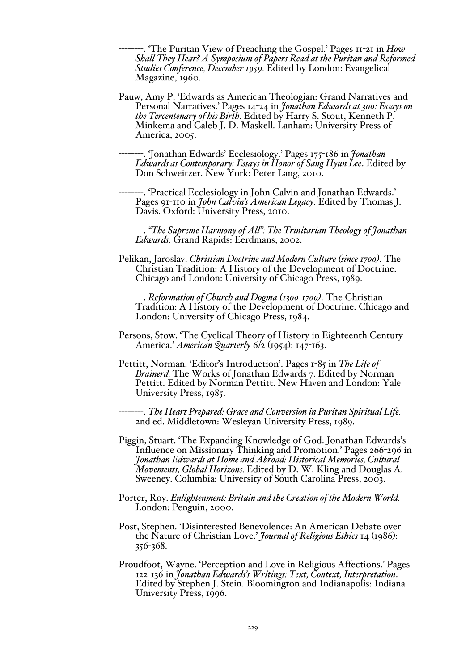--------. 'The Puritan View of Preaching the Gospel.' Pages 11-21 in *How Shall They Hear? A Symposium of Papers Read at the Puritan and Reformed Studies Conference, December 1959.* Edited by London: Evangelical Magazine, 1960.

Pauw, Amy P. 'Edwards as American Theologian: Grand Narratives and Personal Narratives.' Pages 14-24 in *Jonathan Edwards at 300: Essays on the Tercentenary of his Birth.* Edited by Harry S. Stout, Kenneth P. Minkema and Caleb J. D. Maskell. Lanham: University Press of America, 2005.

--------. 'Jonathan Edwards' Ecclesiology.' Pages 175-186 in *Jonathan Edwards as Contemporary: Essays in Honor of Sang Hyun Lee*. Edited by Don Schweitzer. New York: Peter Lang, 2010.

---. 'Practical Ecclesiology in John Calvin and Jonathan Edwards.' Pages 91-110 in *John Calvin's American Legacy.* Edited by Thomas J. Davis. Oxford: University Press, 2010.

--- *"The Supreme Harmony of All": The Trinitarian Theology of Jonathan Edwards.* Grand Rapids: Eerdmans, 2002.

- Pelikan, Jaroslav. *Christian Doctrine and Modern Culture (since 1700).* The Christian Tradition: A History of the Development of Doctrine. Chicago and London: University of Chicago Press, 1989.
- --------. *Reformation of Church and Dogma (1300-1700).* The Christian Tradition: A History of the Development of Doctrine. Chicago and London: University of Chicago Press, 1984.
- Persons, Stow. 'The Cyclical Theory of History in Eighteenth Century America.' *American Quarterly* 6/2 (1954): 147-163.
- Pettitt, Norman. 'Editor's Introduction'. Pages 1-85 in *The Life of Brainerd.* The Works of Jonathan Edwards 7. Edited by Norman Pettitt. Edited by Norman Pettitt. New Haven and London: Yale University Press, 1985.

--------. *The Heart Prepared: Grace and Conversion in Puritan Spiritual Life.* 2nd ed. Middletown: Wesleyan University Press, 1989.

Piggin, Stuart. 'The Expanding Knowledge of God: Jonathan Edwards's Influence on Missionary Thinking and Promotion.' Pages 266-296 in *Jonathan Edwards at Home and Abroad: Historical Memories, Cultural Movements, Global Horizons.* Edited by D. W. Kling and Douglas A. Sweeney. Columbia: University of South Carolina Press, 2003.

Porter, Roy. *Enlightenment: Britain and the Creation of the Modern World.* London: Penguin, 2000.

- Post, Stephen. 'Disinterested Benevolence: An American Debate over the Nature of Christian Love.' *Journal of Religious Ethics* 14 (1986): 356-368.
- Proudfoot, Wayne. 'Perception and Love in Religious Affections.' Pages 122-136 in *Jonathan Edwards's Writings: Text, Context, Interpretation*. Edited by Stephen J. Stein. Bloomington and Indianapolis: Indiana University Press, 1996.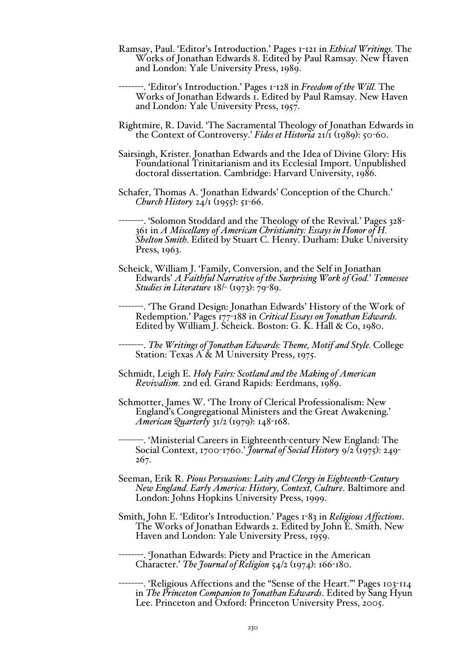- Ramsay, Paul. 'Editor's Introduction.' Pages 1-121 in *Ethical Writings.* The Works of Jonathan Edwards 8. Edited by Paul Ramsay. New Haven and London: Yale University Press, 1989.
	- --. 'Editor's Introduction.' Pages 1-128 in *Freedom of the Will*. The Works of Jonathan Edwards 1. Edited by Paul Ramsay. New Haven and London: Yale University Press, 1957.
- Rightmire, R. David. 'The Sacramental Theology of Jonathan Edwards in the Context of Controversy.' *Fides et Historia* 21/1 (1989): 50-60.
- Sairsingh, Krister. Jonathan Edwards and the Idea of Divine Glory: His Foundational Trinitarianism and its Ecclesial Import. Unpublished doctoral dissertation. Cambridge: Harvard University, 1986.
- Schafer, Thomas A. 'Jonathan Edwards' Conception of the Church.' *Church History* 24/1 (1955): 51-66.
- --------. 'Solomon Stoddard and the Theology of the Revival.' Pages 328- 361 in *A Miscellany of American Christianity: Essays in Honor of H. Shelton Smith.* Edited by Stuart C. Henry. Durham: Duke University Press, 1963.
- Scheick, William J. 'Family, Conversion, and the Self in Jonathan Edwards' *A Faithful Narrative of the Surprising Work of God.*' *Tennessee Studies in Literature* 18/- (1973): 79-89.
	- --. 'The Grand Design: Jonathan Edwards' History of the Work of Redemption.' Pages 177-188 in *Critical Essays on Jonathan Edwards.* Edited by William J. Scheick. Boston: G. K. Hall & Co, 1980.
- --------. *The Writings of Jonathan Edwards: Theme, Motif and Style.* College Station: Texas A & M University Press, 1975.
- Schmidt, Leigh E. *Holy Fairs: Scotland and the Making of American Revivalism.* 2nd ed. Grand Rapids: Eerdmans, 1989.
- Schmotter, James W. 'The Irony of Clerical Professionalism: New England's Congregational Ministers and the Great Awakening.' *American Quarterly* 31/2 (1979): 148-168.

--------. 'Ministerial Careers in Eighteenth-century New England: The Social Context, 1700-1760.' *Journal of Social History* 9/2 (1975): 249- 267.

- Seeman, Erik R. *Pious Persuasions: Laity and Clergy in Eighteenth-Century New England. Early America: History, Context, Culture*. Baltimore and London: Johns Hopkins University Press, 1999.
- Smith, John E. 'Editor's Introduction.' Pages 1-83 in *Religious Affections*. The Works of Jonathan Edwards 2. Edited by John E. Smith. New Haven and London: Yale University Press, 1959.
- --------. 'Jonathan Edwards: Piety and Practice in the American Character.' *The Journal of Religion* 54/2 (1974): 166-180.
- ---. 'Religious Affections and the "Sense of the Heart." Pages 103-114<br>in *The Princeton Companion to Jonathan Edwards*. Edited by Sang Hyun Lee. Princeton and Oxford: Princeton University Press, 2005.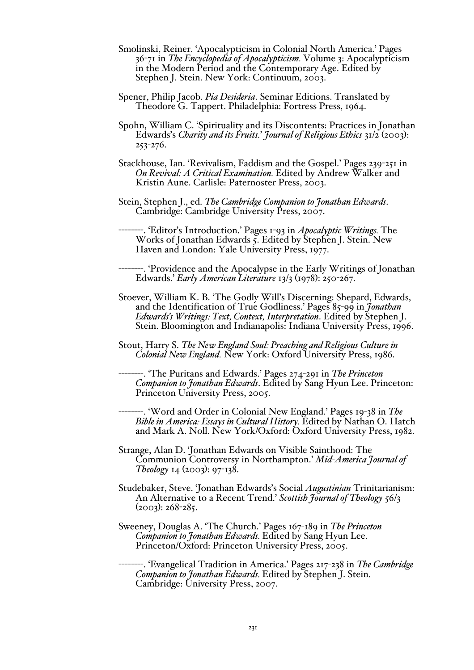- Smolinski, Reiner. 'Apocalypticism in Colonial North America.' Pages 36-71 in *The Encyclopedia of Apocalypticism.* Volume 3: Apocalypticism in the Modern Period and the Contemporary Age. Edited by Stephen J. Stein. New York: Continuum, 2003.
- Spener, Philip Jacob. *Pia Desideria*. Seminar Editions. Translated by Theodore G. Tappert. Philadelphia: Fortress Press, 1964.
- Spohn, William C. 'Spirituality and its Discontents: Practices in Jonathan Edwards's *Charity and its Fruits.*' *Journal of Religious Ethics* 31/2 (2003): 253-276.
- Stackhouse, Ian. 'Revivalism, Faddism and the Gospel.' Pages 239-251 in *On Revival: A Critical Examination.* Edited by Andrew Walker and Kristin Aune. Carlisle: Paternoster Press, 2003.
- Stein, Stephen J., ed. *The Cambridge Companion to Jonathan Edwards*. Cambridge: Cambridge University Press, 2007.
- ---. 'Editor's Introduction.' Pages 1-93 in *Apocalyptic Writings*. The Works of Jonathan Edwards 5. Edited by Stephen J. Stein. New Haven and London: Yale University Press, 1977.
- --. 'Providence and the Apocalypse in the Early Writings of Jonathan Edwards.' *Early American Literature* 13/3 (1978): 250-267.
- Stoever, William K. B. 'The Godly Will's Discerning: Shepard, Edwards, and the Identification of True Godliness.' Pages 85-99 in *Jonathan Edwards's Writings: Text, Context, Interpretation*. Edited by Stephen J. Stein. Bloomington and Indianapolis: Indiana University Press, 1996.
- Stout, Harry S. *The New England Soul: Preaching and Religious Culture in Colonial New England.* New York: Oxford University Press, 1986.
- -. 'The Puritans and Edwards.' Pages 274-291 in *The Princeton Companion to Jonathan Edwards*. Edited by Sang Hyun Lee. Princeton: Princeton University Press, 2005.
	- --------. 'Word and Order in Colonial New England.' Pages 19-38 in *The Bible in America: Essays in Cultural History.* Edited by Nathan O. Hatch and Mark A. Noll. New York/Oxford: Oxford University Press, 1982.
- Strange, Alan D. 'Jonathan Edwards on Visible Sainthood: The Communion Controversy in Northampton.' *Mid-America Journal of Theology* 14 (2003): 97-138.
- Studebaker, Steve. 'Jonathan Edwards's Social *Augustinian* Trinitarianism: An Alternative to a Recent Trend.' *Scottish Journal of Theology* 56/3  $(2003): 268-285.$
- Sweeney, Douglas A. 'The Church.' Pages 167-189 in *The Princeton Companion to Jonathan Edwards.* Edited by Sang Hyun Lee. Princeton/Oxford: Princeton University Press, 2005.

--. 'Evangelical Tradition in America.' Pages 217-238 in *The Cambridge Companion to Jonathan Edwards.* Edited by Stephen J. Stein. Cambridge: University Press, 2007.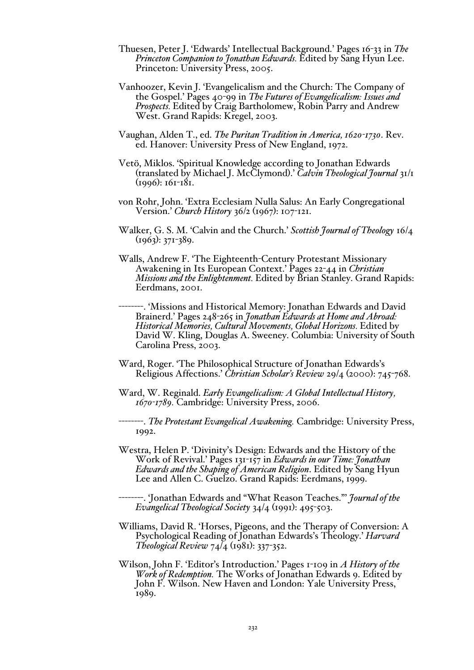- Thuesen, Peter J. 'Edwards' Intellectual Background.' Pages 16-33 in *The Princeton Companion to Jonathan Edwards.* Edited by Sang Hyun Lee. Princeton: University Press, 2005.
- Vanhoozer, Kevin J. 'Evangelicalism and the Church: The Company of the Gospel.' Pages 40-99 in *The Futures of Evangelicalism: Issues and Prospects.* Edited by Craig Bartholomew, Robin Parry and Andrew West. Grand Rapids: Kregel, 2003.
- Vaughan, Alden T., ed. *The Puritan Tradition in America, 1620-1730*. Rev. ed. Hanover: University Press of New England, 1972.
- Vetö, Miklos. 'Spiritual Knowledge according to Jonathan Edwards (translated by Michael J. McClymond).' *Calvin Theological Journal* 31/1 (1996): 161-181.
- von Rohr, John. 'Extra Ecclesiam Nulla Salus: An Early Congregational Version.' *Church History* 36/2 (1967): 107-121.
- Walker, G. S. M. 'Calvin and the Church.' *Scottish Journal of Theology* 16/4  $(1963): 371-389.$
- Walls, Andrew F. 'The Eighteenth-Century Protestant Missionary Awakening in Its European Context.' Pages 22-44 in *Christian Missions and the Enlightenment.* Edited by Brian Stanley. Grand Rapids: Eerdmans, 2001.

---. 'Missions and Historical Memory: Jonathan Edwards and David Brainerd.' Pages 248-265 in *Jonathan Edwards at Home and Abroad: Historical Memories, Cultural Movements, Global Horizons.* Edited by David W. Kling, Douglas A. Sweeney. Columbia: University of South Carolina Press, 2003.

- Ward, Roger. 'The Philosophical Structure of Jonathan Edwards's Religious Affections.' *Christian Scholar's Review* 29/4 (2000): 745-768.
- Ward, W. Reginald. *Early Evangelicalism: A Global Intellectual History, 1670-1789.* Cambridge: University Press, 2006.

---. *The Protestant Evangelical Awakening*. Cambridge: University Press, 1992.

Westra, Helen P. 'Divinity's Design: Edwards and the History of the<br>Work of Revival.' Pages 131-157 in *Edwards in our Time: Jonathan<br>Edwards and the Shaping of American Religion*. Edited by Sang Hyun<br>Lee and Allen C. Guel

--------. 'Jonathan Edwards and "What Reason Teaches."' *Journal of the Evangelical Theological Society* 34/4 (1991): 495-503.

- Williams, David R. 'Horses, Pigeons, and the Therapy of Conversion: A Psychological Reading of Jonathan Edwards's Theology.' *Harvard Theological Review* 74/4 (1981): 337-352.
- Wilson, John F. 'Editor's Introduction.' Pages 1-109 in *A History of the Work of Redemption.* The Works of Jonathan Edwards 9. Edited by John F. Wilson. New Haven and London: Yale University Press, 1989.